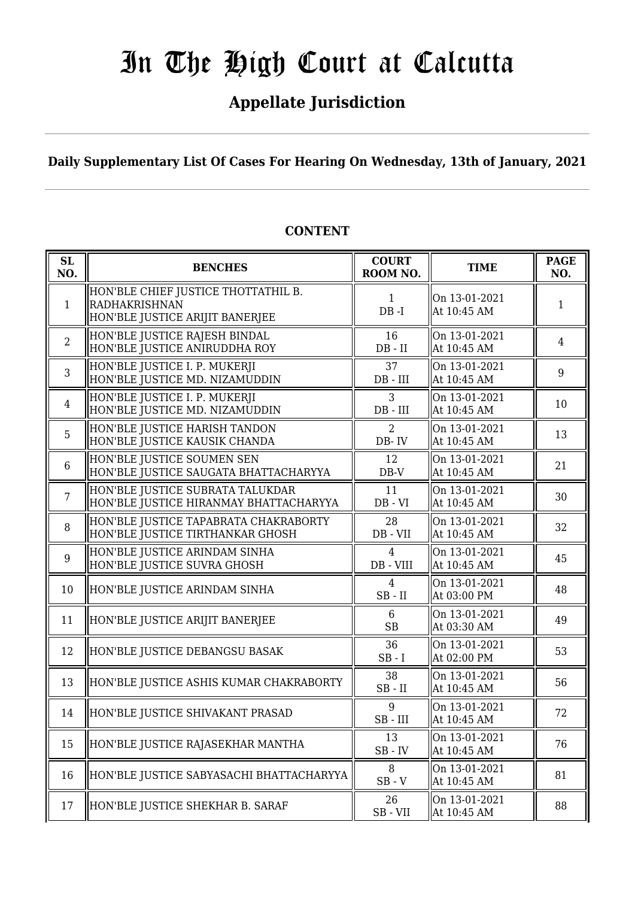## **Appellate Jurisdiction**

**Daily Supplementary List Of Cases For Hearing On Wednesday, 13th of January, 2021**

| SL<br>NO.      | <b>BENCHES</b>                                                                                 | <b>COURT</b><br>ROOM NO.      | <b>TIME</b>                  | <b>PAGE</b><br>NO. |
|----------------|------------------------------------------------------------------------------------------------|-------------------------------|------------------------------|--------------------|
| 1              | HON'BLE CHIEF JUSTICE THOTTATHIL B.<br><b>RADHAKRISHNAN</b><br>HON'BLE JUSTICE ARIJIT BANERJEE | $\mathbf{1}$<br>$DB - I$      | On 13-01-2021<br>At 10:45 AM | 1                  |
| $\overline{2}$ | HON'BLE JUSTICE RAJESH BINDAL<br>HON'BLE JUSTICE ANIRUDDHA ROY                                 | 16<br>$DB$ - $\rm II$         | On 13-01-2021<br>At 10:45 AM | 4                  |
| $\overline{3}$ | HON'BLE JUSTICE I. P. MUKERJI<br>HON'BLE JUSTICE MD. NIZAMUDDIN                                | 37<br>$DB$ - $III$            | On 13-01-2021<br>At 10:45 AM | 9                  |
| $\overline{4}$ | HON'BLE JUSTICE I. P. MUKERJI<br>HON'BLE JUSTICE MD. NIZAMUDDIN                                | 3<br>$DB$ - $III$             | On 13-01-2021<br>At 10:45 AM | 10                 |
| 5              | HON'BLE JUSTICE HARISH TANDON<br>HON'BLE JUSTICE KAUSIK CHANDA                                 | 2<br>DB-IV                    | On 13-01-2021<br>At 10:45 AM | 13                 |
| 6              | HON'BLE JUSTICE SOUMEN SEN<br>HON'BLE JUSTICE SAUGATA BHATTACHARYYA                            | 12<br>$DB-V$                  | On 13-01-2021<br>At 10:45 AM | 21                 |
| $\overline{7}$ | HON'BLE JUSTICE SUBRATA TALUKDAR<br>HON'BLE JUSTICE HIRANMAY BHATTACHARYYA                     | 11<br>$DB - VI$               | On 13-01-2021<br>At 10:45 AM | 30                 |
| 8              | HON'BLE JUSTICE TAPABRATA CHAKRABORTY<br>HON'BLE JUSTICE TIRTHANKAR GHOSH                      | 28<br>DB - VII                | On 13-01-2021<br>At 10:45 AM | 32                 |
| 9              | HON'BLE JUSTICE ARINDAM SINHA<br>HON'BLE JUSTICE SUVRA GHOSH                                   | $\overline{4}$<br>DB - VIII   | On 13-01-2021<br>At 10:45 AM | 45                 |
| 10             | HON'BLE JUSTICE ARINDAM SINHA                                                                  | $\overline{4}$<br>$SB$ - $II$ | On 13-01-2021<br>At 03:00 PM | 48                 |
| 11             | HON'BLE JUSTICE ARIJIT BANERJEE                                                                | 6<br><b>SB</b>                | On 13-01-2021<br>At 03:30 AM | 49                 |
| 12             | HON'BLE JUSTICE DEBANGSU BASAK                                                                 | 36<br>$SB - I$                | On 13-01-2021<br>At 02:00 PM | 53                 |
| 13             | HON'BLE JUSTICE ASHIS KUMAR CHAKRABORTY                                                        | 38<br>$SB$ - $II$             | On 13-01-2021<br>At 10:45 AM | 56                 |
| 14             | HON'BLE JUSTICE SHIVAKANT PRASAD                                                               | 9<br>$SB$ - $III$             | On 13-01-2021<br>At 10:45 AM | 72                 |
| 15             | HON'BLE JUSTICE RAJASEKHAR MANTHA                                                              | 13<br>$SB$ - $IV$             | On 13-01-2021<br>At 10:45 AM | 76                 |
| 16             | HON'BLE JUSTICE SABYASACHI BHATTACHARYYA                                                       | 8<br>$SB - V$                 | On 13-01-2021<br>At 10:45 AM | 81                 |
| 17             | HON'BLE JUSTICE SHEKHAR B. SARAF                                                               | 26<br>$SB - VII$              | On 13-01-2021<br>At 10:45 AM | 88                 |

#### **CONTENT**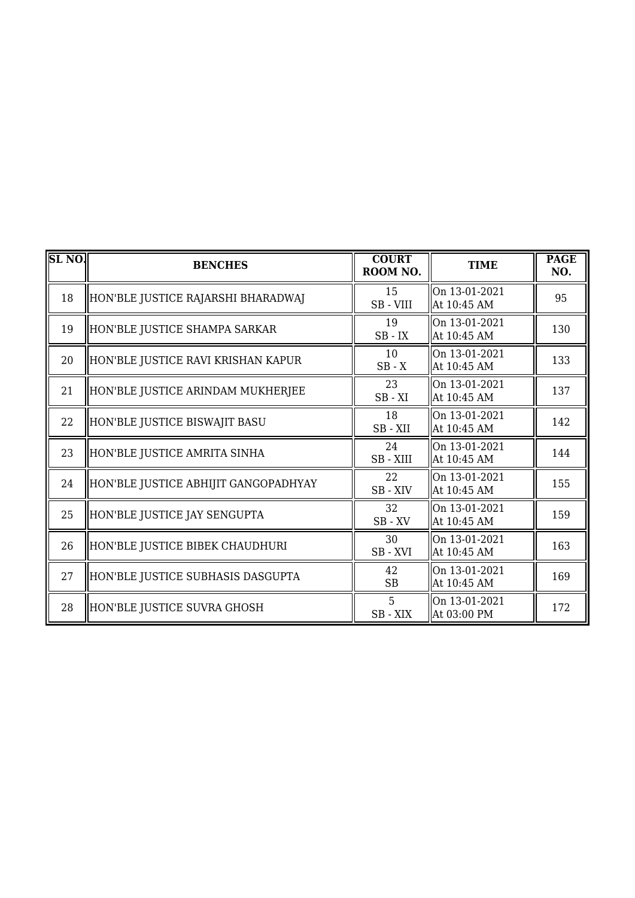| <b>SL NO.</b> | <b>BENCHES</b>                       | <b>COURT</b><br>ROOM NO. | <b>TIME</b>                  | <b>PAGE</b><br>NO. |
|---------------|--------------------------------------|--------------------------|------------------------------|--------------------|
| 18            | HON'BLE JUSTICE RAJARSHI BHARADWAJ   | 15<br>SB - VIII          | On 13-01-2021<br>At 10:45 AM | 95                 |
| 19            | HON'BLE JUSTICE SHAMPA SARKAR        | 19<br>$SB$ - $IX$        | On 13-01-2021<br>At 10:45 AM | 130                |
| 20            | HON'BLE JUSTICE RAVI KRISHAN KAPUR   | 10<br>$SB - X$           | On 13-01-2021<br>At 10:45 AM | 133                |
| 21            | HON'BLE JUSTICE ARINDAM MUKHERJEE    | 23<br>$SB - XI$          | On 13-01-2021<br>At 10:45 AM | 137                |
| 22            | HON'BLE JUSTICE BISWAJIT BASU        | 18<br>SB-XII             | On 13-01-2021<br>At 10:45 AM | 142                |
| 23            | HON'BLE JUSTICE AMRITA SINHA         | 24<br>SB-XIII            | On 13-01-2021<br>At 10:45 AM | 144                |
| 24            | HON'BLE JUSTICE ABHIJIT GANGOPADHYAY | 22<br>$SB$ - ${\rm XIV}$ | On 13-01-2021<br>At 10:45 AM | 155                |
| 25            | HON'BLE JUSTICE JAY SENGUPTA         | 32<br>$SB$ - $XV$        | On 13-01-2021<br>At 10:45 AM | 159                |
| 26            | HON'BLE JUSTICE BIBEK CHAUDHURI      | 30<br>SB-XVI             | On 13-01-2021<br>At 10:45 AM | 163                |
| 27            | HON'BLE JUSTICE SUBHASIS DASGUPTA    | 42<br><b>SB</b>          | On 13-01-2021<br>At 10:45 AM | 169                |
| 28            | HON'BLE JUSTICE SUVRA GHOSH          | 5<br>SB-XIX              | On 13-01-2021<br>At 03:00 PM | 172                |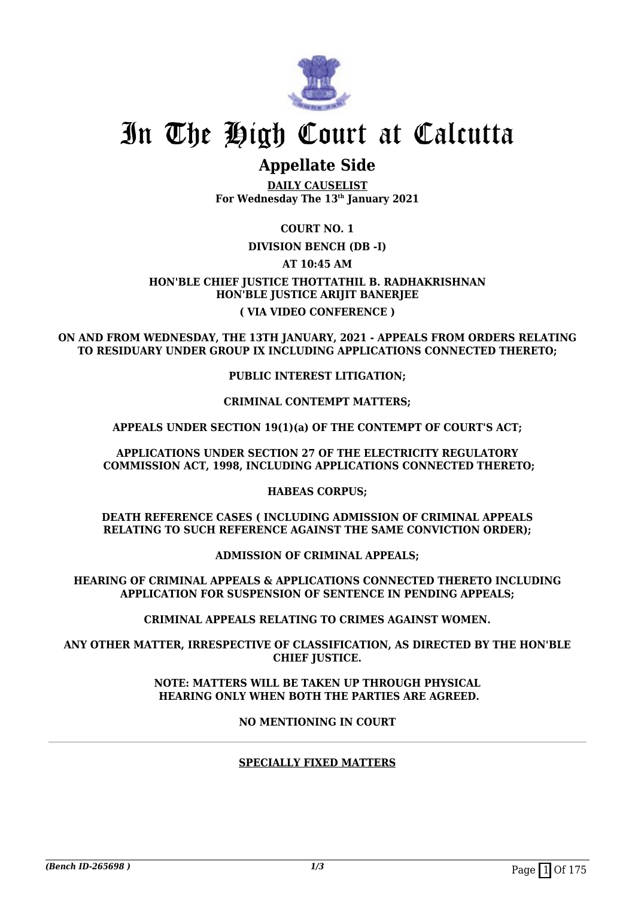

## **Appellate Side**

**DAILY CAUSELIST For Wednesday The 13th January 2021**

**COURT NO. 1**

**DIVISION BENCH (DB -I)**

**AT 10:45 AM**

**HON'BLE CHIEF JUSTICE THOTTATHIL B. RADHAKRISHNAN HON'BLE JUSTICE ARIJIT BANERJEE ( VIA VIDEO CONFERENCE )**

**ON AND FROM WEDNESDAY, THE 13TH JANUARY, 2021 - APPEALS FROM ORDERS RELATING TO RESIDUARY UNDER GROUP IX INCLUDING APPLICATIONS CONNECTED THERETO;**

**PUBLIC INTEREST LITIGATION;**

**CRIMINAL CONTEMPT MATTERS;**

**APPEALS UNDER SECTION 19(1)(a) OF THE CONTEMPT OF COURT'S ACT;**

**APPLICATIONS UNDER SECTION 27 OF THE ELECTRICITY REGULATORY COMMISSION ACT, 1998, INCLUDING APPLICATIONS CONNECTED THERETO;**

**HABEAS CORPUS;**

**DEATH REFERENCE CASES ( INCLUDING ADMISSION OF CRIMINAL APPEALS RELATING TO SUCH REFERENCE AGAINST THE SAME CONVICTION ORDER);**

**ADMISSION OF CRIMINAL APPEALS;**

**HEARING OF CRIMINAL APPEALS & APPLICATIONS CONNECTED THERETO INCLUDING APPLICATION FOR SUSPENSION OF SENTENCE IN PENDING APPEALS;**

**CRIMINAL APPEALS RELATING TO CRIMES AGAINST WOMEN.**

**ANY OTHER MATTER, IRRESPECTIVE OF CLASSIFICATION, AS DIRECTED BY THE HON'BLE CHIEF JUSTICE.**

#### **NOTE: MATTERS WILL BE TAKEN UP THROUGH PHYSICAL HEARING ONLY WHEN BOTH THE PARTIES ARE AGREED.**

**NO MENTIONING IN COURT**

#### **SPECIALLY FIXED MATTERS**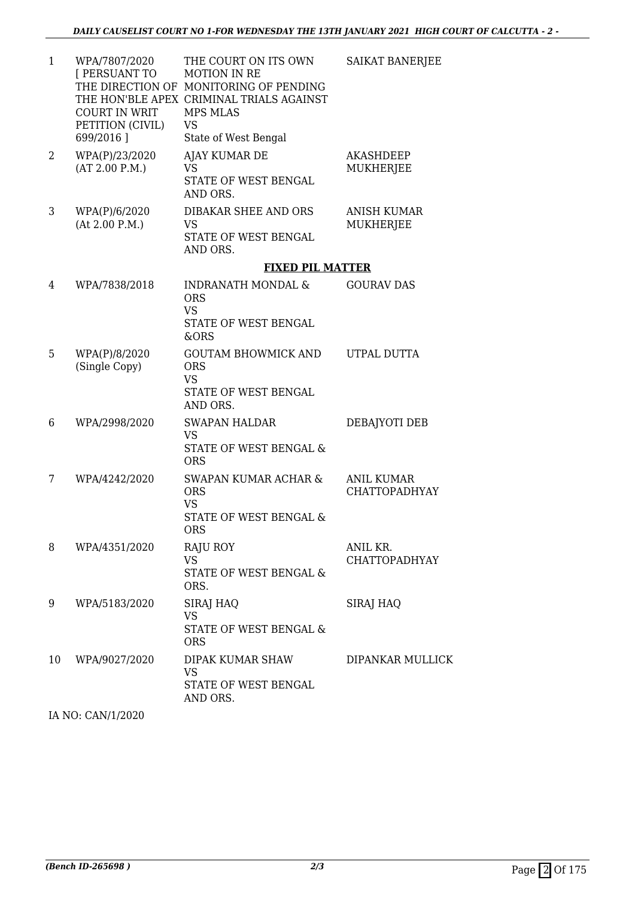| $\mathbf{1}$ | WPA/7807/2020<br>[ PERSUANT TO<br><b>COURT IN WRIT</b><br>PETITION (CIVIL)<br>699/2016] | THE COURT ON ITS OWN<br><b>MOTION IN RE</b><br>THE DIRECTION OF MONITORING OF PENDING<br>THE HON'BLE APEX CRIMINAL TRIALS AGAINST<br><b>MPS MLAS</b><br><b>VS</b><br>State of West Bengal | <b>SAIKAT BANERJEE</b>                    |
|--------------|-----------------------------------------------------------------------------------------|-------------------------------------------------------------------------------------------------------------------------------------------------------------------------------------------|-------------------------------------------|
| 2            | WPA(P)/23/2020<br>(AT 2.00 P.M.)                                                        | AJAY KUMAR DE<br><b>VS</b><br>STATE OF WEST BENGAL<br>AND ORS.                                                                                                                            | <b>AKASHDEEP</b><br>MUKHERJEE             |
| 3            | WPA(P)/6/2020<br>(At 2.00 P.M.)                                                         | DIBAKAR SHEE AND ORS<br><b>VS</b><br>STATE OF WEST BENGAL<br>AND ORS.                                                                                                                     | <b>ANISH KUMAR</b><br>MUKHERJEE           |
|              |                                                                                         | <b>FIXED PIL MATTER</b>                                                                                                                                                                   |                                           |
| 4            | WPA/7838/2018                                                                           | <b>INDRANATH MONDAL &amp;</b><br><b>ORS</b><br><b>VS</b><br>STATE OF WEST BENGAL<br>&ORS                                                                                                  | <b>GOURAV DAS</b>                         |
| 5            | WPA(P)/8/2020<br>(Single Copy)                                                          | <b>GOUTAM BHOWMICK AND</b><br><b>ORS</b><br><b>VS</b><br>STATE OF WEST BENGAL<br>AND ORS.                                                                                                 | UTPAL DUTTA                               |
| 6            | WPA/2998/2020                                                                           | <b>SWAPAN HALDAR</b><br><b>VS</b><br>STATE OF WEST BENGAL &<br><b>ORS</b>                                                                                                                 | DEBAJYOTI DEB                             |
| 7            | WPA/4242/2020                                                                           | SWAPAN KUMAR ACHAR &<br><b>ORS</b><br><b>VS</b><br><b>STATE OF WEST BENGAL &amp;</b><br><b>ORS</b>                                                                                        | <b>ANIL KUMAR</b><br><b>CHATTOPADHYAY</b> |
| 8            | WPA/4351/2020                                                                           | RAJU ROY<br><b>VS</b><br>STATE OF WEST BENGAL &<br>ORS.                                                                                                                                   | ANIL KR.<br><b>CHATTOPADHYAY</b>          |
| 9            | WPA/5183/2020                                                                           | SIRAJ HAQ<br><b>VS</b><br>STATE OF WEST BENGAL &<br><b>ORS</b>                                                                                                                            | SIRAJ HAQ                                 |
| 10           | WPA/9027/2020                                                                           | DIPAK KUMAR SHAW<br>VS<br>STATE OF WEST BENGAL<br>AND ORS.                                                                                                                                | DIPANKAR MULLICK                          |

IA NO: CAN/1/2020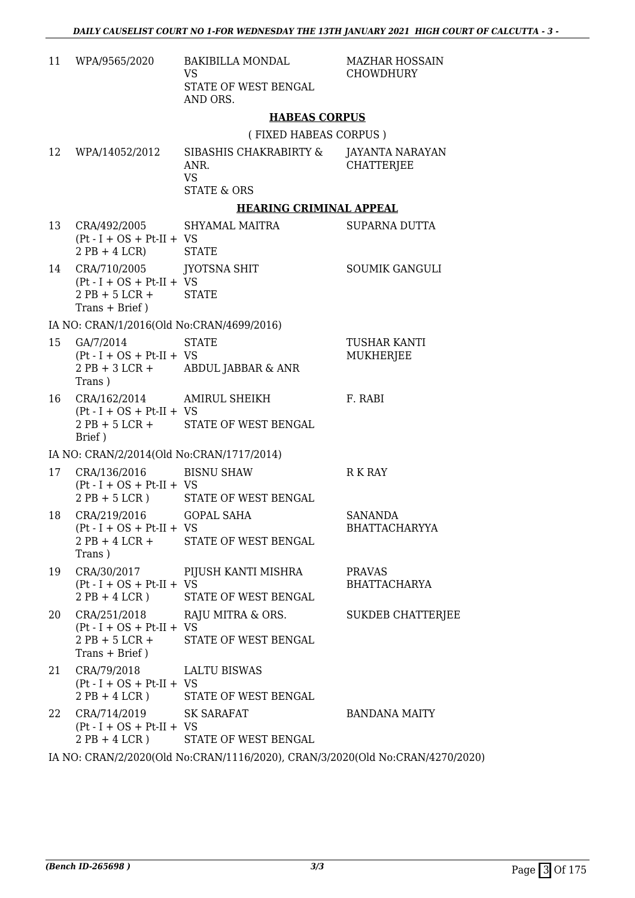| 11 | WPA/9565/2020                                                                                      | BAKIBILLA MONDAL<br>VS.<br>STATE OF WEST BENGAL<br>AND ORS.                                                                                                                                                                                                                                                                                                                          | <b>MAZHAR HOSSAIN</b><br><b>CHOWDHURY</b>   |
|----|----------------------------------------------------------------------------------------------------|--------------------------------------------------------------------------------------------------------------------------------------------------------------------------------------------------------------------------------------------------------------------------------------------------------------------------------------------------------------------------------------|---------------------------------------------|
|    |                                                                                                    | <b>HABEAS CORPUS</b>                                                                                                                                                                                                                                                                                                                                                                 |                                             |
|    |                                                                                                    | (FIXED HABEAS CORPUS)                                                                                                                                                                                                                                                                                                                                                                |                                             |
| 12 | WPA/14052/2012                                                                                     | SIBASHIS CHAKRABIRTY &<br>ANR.<br><b>VS</b><br><b>STATE &amp; ORS</b>                                                                                                                                                                                                                                                                                                                | <b>JAYANTA NARAYAN</b><br><b>CHATTERJEE</b> |
|    |                                                                                                    | <b>HEARING CRIMINAL APPEAL</b>                                                                                                                                                                                                                                                                                                                                                       |                                             |
| 13 | $Pt-I + OS + Pt-II + VS$<br>$2$ PB + 4 LCR)                                                        | CRA/492/2005             SHYAMAL MAITRA<br><b>STATE</b>                                                                                                                                                                                                                                                                                                                              | SUPARNA DUTTA                               |
| 14 | CRA/710/2005 JYOTSNA SHIT<br>$(Pt - I + OS + Pt-II + VS)$<br>$2$ PB + 5 LCR +<br>$Trans + Brief)$  | <b>STATE</b>                                                                                                                                                                                                                                                                                                                                                                         | <b>SOUMIK GANGULI</b>                       |
|    | IA NO: CRAN/1/2016(Old No:CRAN/4699/2016)                                                          |                                                                                                                                                                                                                                                                                                                                                                                      |                                             |
| 15 | GA/7/2014<br>$(Pt - I + OS + Pt-II + VS)$<br>Trans)                                                | <b>STATE</b><br>$2$ PB + 3 LCR + ABDUL JABBAR & ANR                                                                                                                                                                                                                                                                                                                                  | TUSHAR KANTI<br><b>MUKHERJEE</b>            |
|    | 16 CRA/162/2014 AMIRUL SHEIKH<br>$(Pt - I + OS + Pt-II + VS)$<br>Brief)                            | 2 PB + 5 LCR + STATE OF WEST BENGAL                                                                                                                                                                                                                                                                                                                                                  | F. RABI                                     |
|    | IA NO: CRAN/2/2014(Old No:CRAN/1717/2014)                                                          |                                                                                                                                                                                                                                                                                                                                                                                      |                                             |
| 17 | CRA/136/2016 BISNU SHAW<br>$(Pt - I + OS + Pt-II + VS)$                                            | 2 PB + 5 LCR ) STATE OF WEST BENGAL                                                                                                                                                                                                                                                                                                                                                  | R K RAY                                     |
| 18 | CRA/219/2016<br>$(Pt - I + OS + Pt-II + VS)$<br>Trans)                                             | GOPAL SAHA<br>2 PB + 4 LCR + STATE OF WEST BENGAL                                                                                                                                                                                                                                                                                                                                    | SANANDA<br><b>BHATTACHARYYA</b>             |
| 19 | $Pt-I + OS + Pt-II + VS$<br>$2PB + 4LCR$ )                                                         | CRA/30/2017 PIJUSH KANTI MISHRA<br>STATE OF WEST BENGAL                                                                                                                                                                                                                                                                                                                              | PRAVAS<br><b>BHATTACHARYA</b>               |
| 20 | CRA/251/2018 RAJU MITRA & ORS.<br>$Pt-I + OS + Pt-II + VS$<br>$2$ PB + 5 LCR +<br>$Trans + Brief)$ | STATE OF WEST BENGAL                                                                                                                                                                                                                                                                                                                                                                 | SUKDEB CHATTERJEE                           |
|    | 21 CRA/79/2018 LALTU BISWAS<br>$(Pt - I + OS + Pt-II + VS)$                                        | 2 PB + 4 LCR) STATE OF WEST BENGAL                                                                                                                                                                                                                                                                                                                                                   |                                             |
|    | 22 CRA/714/2019 SK SARAFAT<br>$Pt-I + OS + Pt-II + VS$                                             | 2 PB + 4 LCR) STATE OF WEST BENGAL                                                                                                                                                                                                                                                                                                                                                   | <b>BANDANA MAITY</b>                        |
|    |                                                                                                    | $\overline{M}$ $\overline{M}$ $\overline{M}$ $\overline{M}$ $\overline{M}$ $\overline{M}$ $\overline{M}$ $\overline{M}$ $\overline{M}$ $\overline{M}$ $\overline{M}$ $\overline{M}$ $\overline{M}$ $\overline{M}$ $\overline{M}$ $\overline{M}$ $\overline{M}$ $\overline{M}$ $\overline{M}$ $\overline{M}$ $\overline{M}$ $\overline{M}$ $\overline{M}$ $\overline{M}$ $\overline{$ |                                             |

IA NO: CRAN/2/2020(Old No:CRAN/1116/2020), CRAN/3/2020(Old No:CRAN/4270/2020)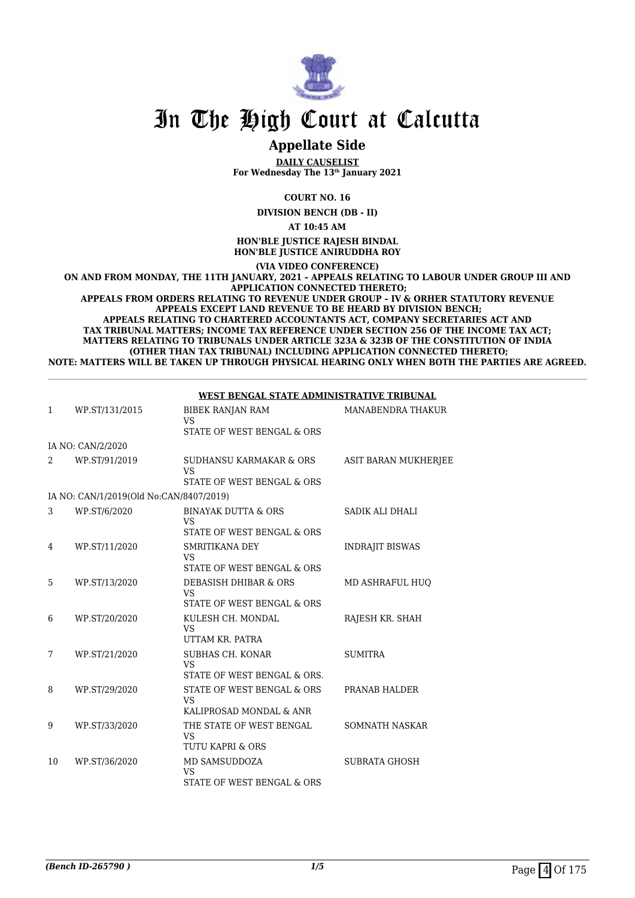

### **Appellate Side**

**DAILY CAUSELIST For Wednesday The 13th January 2021**

**COURT NO. 16**

**DIVISION BENCH (DB - II)**

**AT 10:45 AM**

**HON'BLE JUSTICE RAJESH BINDAL HON'BLE JUSTICE ANIRUDDHA ROY**

**(VIA VIDEO CONFERENCE)**

**ON AND FROM MONDAY, THE 11TH JANUARY, 2021 – APPEALS RELATING TO LABOUR UNDER GROUP III AND APPLICATION CONNECTED THERETO;**

**APPEALS FROM ORDERS RELATING TO REVENUE UNDER GROUP – IV & ORHER STATUTORY REVENUE APPEALS EXCEPT LAND REVENUE TO BE HEARD BY DIVISION BENCH; APPEALS RELATING TO CHARTERED ACCOUNTANTS ACT, COMPANY SECRETARIES ACT AND TAX TRIBUNAL MATTERS; INCOME TAX REFERENCE UNDER SECTION 256 OF THE INCOME TAX ACT; MATTERS RELATING TO TRIBUNALS UNDER ARTICLE 323A & 323B OF THE CONSTITUTION OF INDIA (OTHER THAN TAX TRIBUNAL) INCLUDING APPLICATION CONNECTED THERETO; NOTE: MATTERS WILL BE TAKEN UP THROUGH PHYSICAL HEARING ONLY WHEN BOTH THE PARTIES ARE AGREED.**

#### **WEST BENGAL STATE ADMINISTRATIVE TRIBUNAL**

| $\mathbf{1}$ | WP.ST/131/2015                          | <b>BIBEK RANJAN RAM</b><br><b>VS</b><br>STATE OF WEST BENGAL & ORS        | <b>MANABENDRA THAKUR</b> |
|--------------|-----------------------------------------|---------------------------------------------------------------------------|--------------------------|
|              | IA NO: CAN/2/2020                       |                                                                           |                          |
| 2            | WP.ST/91/2019                           | SUDHANSU KARMAKAR & ORS<br><b>VS</b><br>STATE OF WEST BENGAL & ORS        | ASIT BARAN MUKHERJEE     |
|              | IA NO: CAN/1/2019(Old No:CAN/8407/2019) |                                                                           |                          |
| 3            | WP.ST/6/2020                            | <b>BINAYAK DUTTA &amp; ORS</b><br><b>VS</b><br>STATE OF WEST BENGAL & ORS | SADIK ALI DHALI          |
| 4            | WP.ST/11/2020                           | SMRITIKANA DEY<br><b>VS</b><br>STATE OF WEST BENGAL & ORS                 | <b>INDRAJIT BISWAS</b>   |
| 5            | WP.ST/13/2020                           | DEBASISH DHIBAR & ORS<br><b>VS</b><br>STATE OF WEST BENGAL & ORS          | MD ASHRAFUL HUO          |
| 6            | WP.ST/20/2020                           | KULESH CH. MONDAL<br><b>VS</b><br>UTTAM KR. PATRA                         | RAJESH KR. SHAH          |
| 7            | WP.ST/21/2020                           | <b>SUBHAS CH. KONAR</b><br><b>VS</b><br>STATE OF WEST BENGAL & ORS.       | <b>SUMITRA</b>           |
| 8            | WP.ST/29/2020                           | STATE OF WEST BENGAL & ORS<br><b>VS</b><br>KALIPROSAD MONDAL & ANR        | PRANAB HALDER            |
| 9            | WP.ST/33/2020                           | THE STATE OF WEST BENGAL<br><b>VS</b><br>TUTU KAPRI & ORS                 | <b>SOMNATH NASKAR</b>    |
| 10           | WP.ST/36/2020                           | <b>MD SAMSUDDOZA</b><br>VS<br>STATE OF WEST BENGAL & ORS                  | <b>SUBRATA GHOSH</b>     |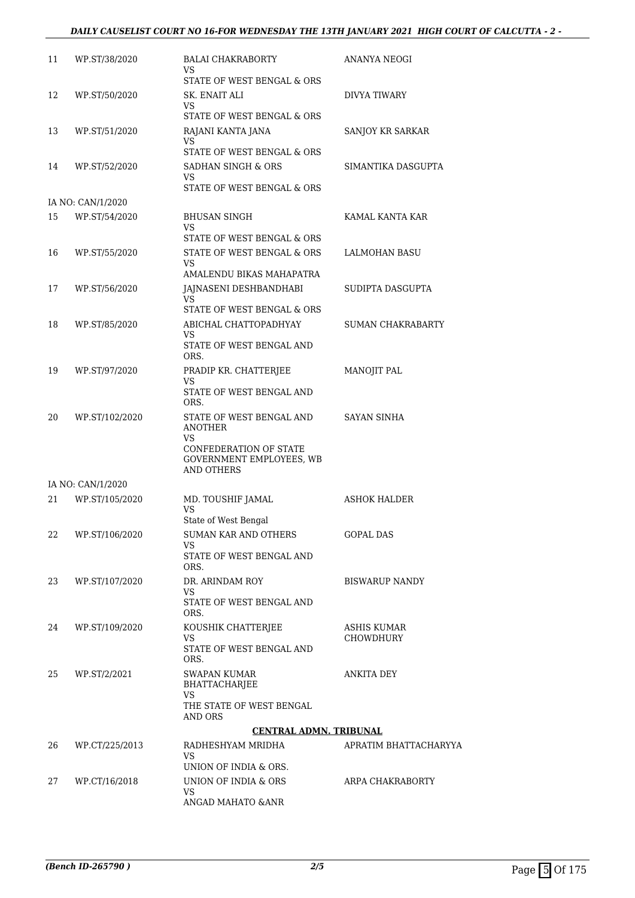#### *DAILY CAUSELIST COURT NO 16-FOR WEDNESDAY THE 13TH JANUARY 2021 HIGH COURT OF CALCUTTA - 2 -*

| 11 | WP.ST/38/2020     | <b>BALAI CHAKRABORTY</b><br>VS                                                             | ANANYA NEOGI                    |
|----|-------------------|--------------------------------------------------------------------------------------------|---------------------------------|
| 12 | WP.ST/50/2020     | STATE OF WEST BENGAL & ORS<br>SK. ENAIT ALI<br>VS<br>STATE OF WEST BENGAL & ORS            | <b>DIVYA TIWARY</b>             |
| 13 | WP.ST/51/2020     | RAJANI KANTA JANA<br>VS.                                                                   | SANJOY KR SARKAR                |
| 14 | WP.ST/52/2020     | STATE OF WEST BENGAL & ORS<br>SADHAN SINGH & ORS<br>VS<br>STATE OF WEST BENGAL & ORS       | SIMANTIKA DASGUPTA              |
|    | IA NO: CAN/1/2020 |                                                                                            |                                 |
| 15 | WP.ST/54/2020     | <b>BHUSAN SINGH</b><br>VS.                                                                 | KAMAL KANTA KAR                 |
| 16 | WP.ST/55/2020     | STATE OF WEST BENGAL & ORS<br>STATE OF WEST BENGAL & ORS<br>VS<br>AMALENDU BIKAS MAHAPATRA | LALMOHAN BASU                   |
| 17 | WP.ST/56/2020     | JAJNASENI DESHBANDHABI<br>VS                                                               | SUDIPTA DASGUPTA                |
| 18 | WP.ST/85/2020     | STATE OF WEST BENGAL & ORS<br>ABICHAL CHATTOPADHYAY<br>VS<br>STATE OF WEST BENGAL AND      | <b>SUMAN CHAKRABARTY</b>        |
| 19 | WP.ST/97/2020     | ORS.<br>PRADIP KR. CHATTERJEE                                                              | MANOJIT PAL                     |
|    |                   | VS<br>STATE OF WEST BENGAL AND<br>ORS.                                                     |                                 |
| 20 | WP.ST/102/2020    | STATE OF WEST BENGAL AND<br><b>ANOTHER</b><br>VS                                           | SAYAN SINHA                     |
|    |                   | CONFEDERATION OF STATE<br>GOVERNMENT EMPLOYEES, WB<br>AND OTHERS                           |                                 |
|    | IA NO: CAN/1/2020 |                                                                                            |                                 |
| 21 | WP.ST/105/2020    | MD. TOUSHIF JAMAL<br><b>VS</b><br>State of West Bengal                                     | ASHOK HALDER                    |
| 22 | WP.ST/106/2020    | SUMAN KAR AND OTHERS<br>VS<br>STATE OF WEST BENGAL AND<br>ORS.                             | GOPAL DAS                       |
| 23 | WP.ST/107/2020    | DR. ARINDAM ROY<br>VS.<br>STATE OF WEST BENGAL AND                                         | <b>BISWARUP NANDY</b>           |
| 24 | WP.ST/109/2020    | ORS.<br>KOUSHIK CHATTERJEE<br>VS                                                           | ASHIS KUMAR<br><b>CHOWDHURY</b> |
|    |                   | STATE OF WEST BENGAL AND<br>ORS.                                                           |                                 |
| 25 | WP.ST/2/2021      | <b>SWAPAN KUMAR</b><br>BHATTACHARJEE<br>VS                                                 | ANKITA DEY                      |
|    |                   | THE STATE OF WEST BENGAL<br>AND ORS                                                        |                                 |
|    |                   | <b>CENTRAL ADMN. TRIBUNAL</b>                                                              |                                 |
| 26 | WP.CT/225/2013    | RADHESHYAM MRIDHA<br>VS.<br>UNION OF INDIA & ORS.                                          | APRATIM BHATTACHARYYA           |
| 27 | WP.CT/16/2018     | UNION OF INDIA & ORS                                                                       | ARPA CHAKRABORTY                |
|    |                   | VS.<br>ANGAD MAHATO & ANR                                                                  |                                 |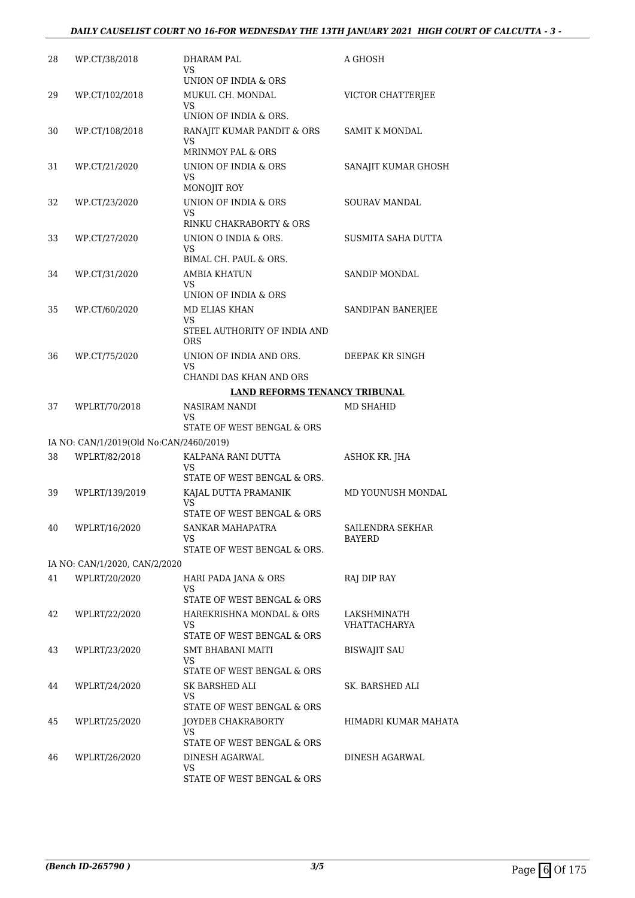| 28 | WP.CT/38/2018                           | <b>DHARAM PAL</b><br>VS.<br>UNION OF INDIA & ORS                           | A GHOSH                            |
|----|-----------------------------------------|----------------------------------------------------------------------------|------------------------------------|
| 29 | WP.CT/102/2018                          | MUKUL CH. MONDAL<br>VS.<br>UNION OF INDIA & ORS.                           | VICTOR CHATTERJEE                  |
| 30 | WP.CT/108/2018                          | RANAJIT KUMAR PANDIT & ORS<br>VS                                           | SAMIT K MONDAL                     |
| 31 | WP.CT/21/2020                           | <b>MRINMOY PAL &amp; ORS</b><br>UNION OF INDIA & ORS<br>VS.<br>MONOJIT ROY | SANAJIT KUMAR GHOSH                |
| 32 | WP.CT/23/2020                           | UNION OF INDIA & ORS<br>VS<br>RINKU CHAKRABORTY & ORS                      | SOURAV MANDAL                      |
| 33 | WP.CT/27/2020                           | UNION O INDIA & ORS.<br>VS                                                 | SUSMITA SAHA DUTTA                 |
| 34 | WP.CT/31/2020                           | BIMAL CH. PAUL & ORS.<br>AMBIA KHATUN<br>VS<br>UNION OF INDIA & ORS        | <b>SANDIP MONDAL</b>               |
| 35 | WP.CT/60/2020                           | MD ELIAS KHAN<br>VS<br>STEEL AUTHORITY OF INDIA AND<br><b>ORS</b>          | SANDIPAN BANERJEE                  |
| 36 | WP.CT/75/2020                           | UNION OF INDIA AND ORS.<br>VS.<br>CHANDI DAS KHAN AND ORS                  | DEEPAK KR SINGH                    |
|    |                                         | <b>LAND REFORMS TENANCY TRIBUNAL</b>                                       |                                    |
| 37 | WPLRT/70/2018                           | NASIRAM NANDI<br>VS<br>STATE OF WEST BENGAL & ORS                          | MD SHAHID                          |
|    | IA NO: CAN/1/2019(Old No:CAN/2460/2019) |                                                                            |                                    |
| 38 | WPLRT/82/2018                           | KALPANA RANI DUTTA<br>VS<br>STATE OF WEST BENGAL & ORS.                    | ASHOK KR. JHA                      |
| 39 | WPLRT/139/2019                          | KAJAL DUTTA PRAMANIK<br>VS.<br>STATE OF WEST BENGAL & ORS                  | MD YOUNUSH MONDAL                  |
| 40 | WPLRT/16/2020                           | SANKAR MAHAPATRA<br><b>VS</b><br>STATE OF WEST BENGAL & ORS.               | SAILENDRA SEKHAR<br>BAYERD         |
|    | IA NO: CAN/1/2020, CAN/2/2020           |                                                                            |                                    |
| 41 | WPLRT/20/2020                           | HARI PADA JANA & ORS<br>VS<br>STATE OF WEST BENGAL & ORS                   | RAJ DIP RAY                        |
| 42 | WPLRT/22/2020                           | HAREKRISHNA MONDAL & ORS<br>VS.<br>STATE OF WEST BENGAL & ORS              | LAKSHMINATH<br><b>VHATTACHARYA</b> |
| 43 | WPLRT/23/2020                           | <b>SMT BHABANI MAITI</b><br>VS.<br>STATE OF WEST BENGAL & ORS              | <b>BISWAJIT SAU</b>                |
| 44 | WPLRT/24/2020                           | SK BARSHED ALI<br>VS.<br>STATE OF WEST BENGAL & ORS                        | SK. BARSHED ALI                    |
| 45 | WPLRT/25/2020                           | JOYDEB CHAKRABORTY<br>VS.<br>STATE OF WEST BENGAL & ORS                    | HIMADRI KUMAR MAHATA               |
| 46 | WPLRT/26/2020                           | DINESH AGARWAL<br>VS<br>STATE OF WEST BENGAL & ORS                         | DINESH AGARWAL                     |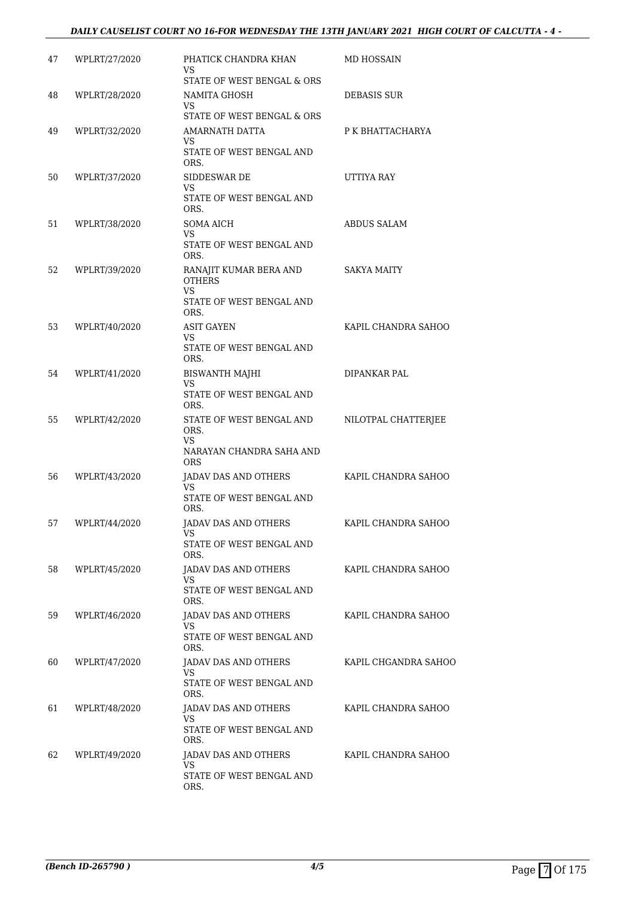#### *DAILY CAUSELIST COURT NO 16-FOR WEDNESDAY THE 13TH JANUARY 2021 HIGH COURT OF CALCUTTA - 4 -*

| 47 | WPLRT/27/2020 | PHATICK CHANDRA KHAN<br>VS              | MD HOSSAIN           |
|----|---------------|-----------------------------------------|----------------------|
|    |               | STATE OF WEST BENGAL & ORS              |                      |
| 48 | WPLRT/28/2020 | NAMITA GHOSH<br><b>VS</b>               | DEBASIS SUR          |
|    |               | STATE OF WEST BENGAL & ORS              |                      |
| 49 | WPLRT/32/2020 | AMARNATH DATTA<br>VS                    | P K BHATTACHARYA     |
|    |               | STATE OF WEST BENGAL AND<br>ORS.        |                      |
| 50 | WPLRT/37/2020 | SIDDESWAR DE<br>VS                      | UTTIYA RAY           |
|    |               | STATE OF WEST BENGAL AND<br>ORS.        |                      |
| 51 | WPLRT/38/2020 | <b>SOMA AICH</b>                        | ABDUS SALAM          |
|    |               | VS.<br>STATE OF WEST BENGAL AND<br>ORS. |                      |
| 52 | WPLRT/39/2020 | RANAJIT KUMAR BERA AND<br><b>OTHERS</b> | SAKYA MAITY          |
|    |               | VS<br>STATE OF WEST BENGAL AND<br>ORS.  |                      |
| 53 | WPLRT/40/2020 | ASIT GAYEN                              | KAPIL CHANDRA SAHOO  |
|    |               | VS<br>STATE OF WEST BENGAL AND          |                      |
|    |               | ORS.                                    |                      |
| 54 | WPLRT/41/2020 | <b>BISWANTH MAJHI</b><br><b>VS</b>      | DIPANKAR PAL         |
|    |               | STATE OF WEST BENGAL AND<br>ORS.        |                      |
| 55 | WPLRT/42/2020 | STATE OF WEST BENGAL AND<br>ORS.<br>VS  | NILOTPAL CHATTERJEE  |
|    |               | NARAYAN CHANDRA SAHA AND<br><b>ORS</b>  |                      |
| 56 | WPLRT/43/2020 | JADAV DAS AND OTHERS<br><b>VS</b>       | KAPIL CHANDRA SAHOO  |
|    |               | STATE OF WEST BENGAL AND<br>ORS.        |                      |
| 57 | WPLRT/44/2020 | JADAV DAS AND OTHERS<br>VS              | KAPIL CHANDRA SAHOO  |
|    |               | STATE OF WEST BENGAL AND<br>ORS.        |                      |
| 58 | WPLRT/45/2020 | JADAV DAS AND OTHERS<br>VS              | KAPIL CHANDRA SAHOO  |
|    |               | STATE OF WEST BENGAL AND<br>ORS.        |                      |
| 59 | WPLRT/46/2020 | JADAV DAS AND OTHERS<br>VS              | KAPIL CHANDRA SAHOO  |
|    |               | STATE OF WEST BENGAL AND<br>ORS.        |                      |
| 60 | WPLRT/47/2020 | JADAV DAS AND OTHERS                    | KAPIL CHGANDRA SAHOO |
|    |               | VS<br>STATE OF WEST BENGAL AND<br>ORS.  |                      |
| 61 | WPLRT/48/2020 | JADAV DAS AND OTHERS                    | KAPIL CHANDRA SAHOO  |
|    |               | VS<br>STATE OF WEST BENGAL AND<br>ORS.  |                      |
| 62 | WPLRT/49/2020 | JADAV DAS AND OTHERS<br>VS              | KAPIL CHANDRA SAHOO  |
|    |               | STATE OF WEST BENGAL AND<br>ORS.        |                      |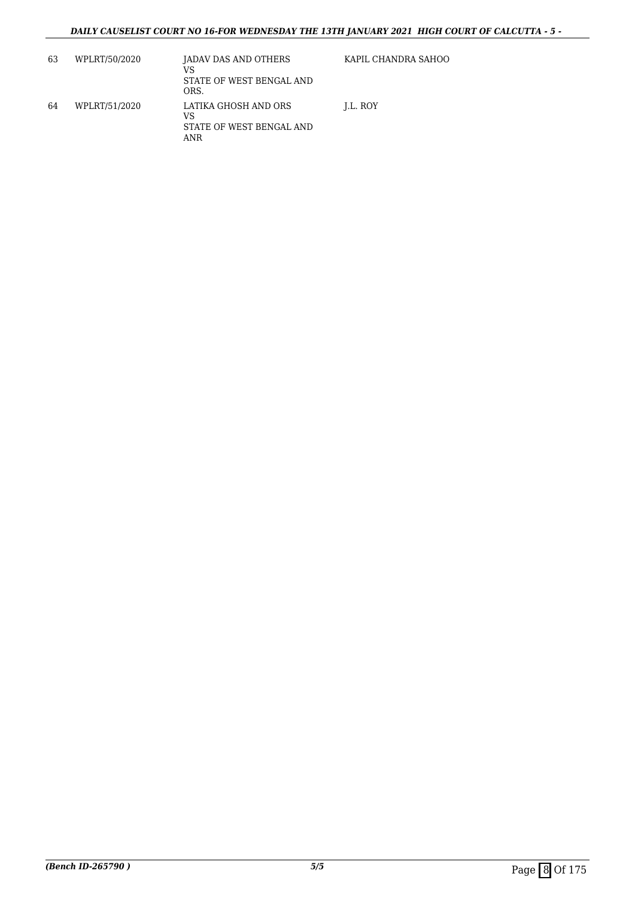| 63 | WPLRT/50/2020 | JADAV DAS AND OTHERS<br>VS<br>STATE OF WEST BENGAL AND<br>ORS. | KAPIL CHANDRA SAHOO |
|----|---------------|----------------------------------------------------------------|---------------------|
| 64 | WPLRT/51/2020 | LATIKA GHOSH AND ORS<br>VS<br>STATE OF WEST BENGAL AND<br>ANR  | LL. ROY             |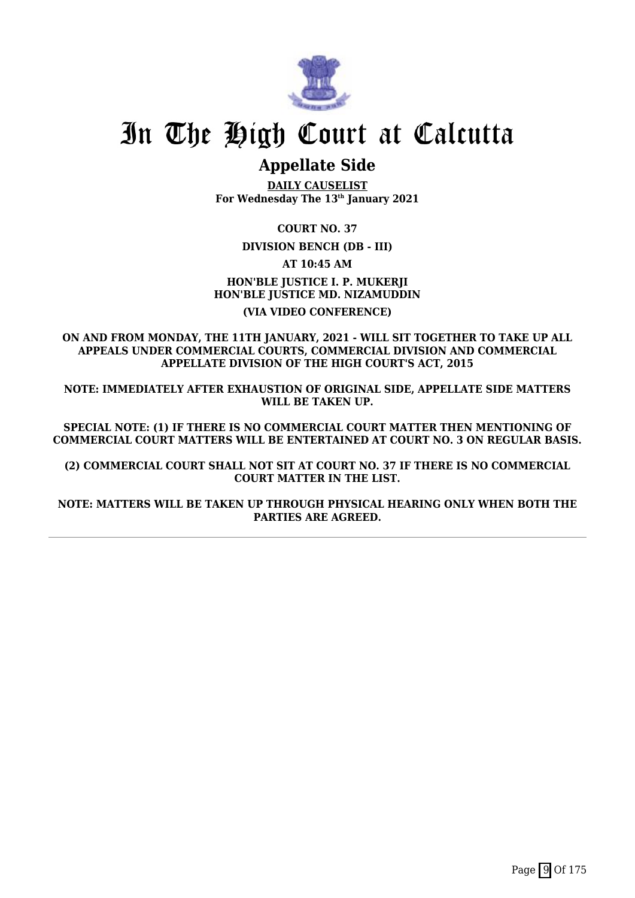

## **Appellate Side**

**DAILY CAUSELIST For Wednesday The 13th January 2021**

**COURT NO. 37**

**DIVISION BENCH (DB - III)**

**AT 10:45 AM**

**HON'BLE JUSTICE I. P. MUKERJI HON'BLE JUSTICE MD. NIZAMUDDIN (VIA VIDEO CONFERENCE)**

**ON AND FROM MONDAY, THE 11TH JANUARY, 2021 - WILL SIT TOGETHER TO TAKE UP ALL APPEALS UNDER COMMERCIAL COURTS, COMMERCIAL DIVISION AND COMMERCIAL APPELLATE DIVISION OF THE HIGH COURT'S ACT, 2015**

**NOTE: IMMEDIATELY AFTER EXHAUSTION OF ORIGINAL SIDE, APPELLATE SIDE MATTERS WILL BE TAKEN UP.**

**SPECIAL NOTE: (1) IF THERE IS NO COMMERCIAL COURT MATTER THEN MENTIONING OF COMMERCIAL COURT MATTERS WILL BE ENTERTAINED AT COURT NO. 3 ON REGULAR BASIS.**

**(2) COMMERCIAL COURT SHALL NOT SIT AT COURT NO. 37 IF THERE IS NO COMMERCIAL COURT MATTER IN THE LIST.**

**NOTE: MATTERS WILL BE TAKEN UP THROUGH PHYSICAL HEARING ONLY WHEN BOTH THE PARTIES ARE AGREED.**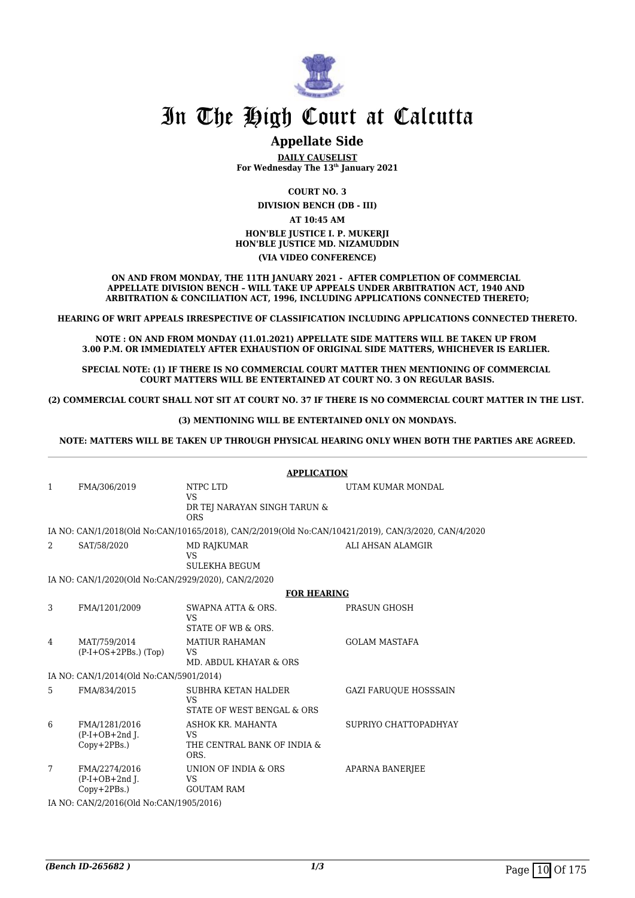

#### **Appellate Side**

**DAILY CAUSELIST For Wednesday The 13th January 2021**

**COURT NO. 3**

**DIVISION BENCH (DB - III)**

**AT 10:45 AM HON'BLE JUSTICE I. P. MUKERJI HON'BLE JUSTICE MD. NIZAMUDDIN (VIA VIDEO CONFERENCE)**

**ON AND FROM MONDAY, THE 11TH JANUARY 2021 - AFTER COMPLETION OF COMMERCIAL APPELLATE DIVISION BENCH – WILL TAKE UP APPEALS UNDER ARBITRATION ACT, 1940 AND ARBITRATION & CONCILIATION ACT, 1996, INCLUDING APPLICATIONS CONNECTED THERETO;**

**HEARING OF WRIT APPEALS IRRESPECTIVE OF CLASSIFICATION INCLUDING APPLICATIONS CONNECTED THERETO.**

**NOTE : ON AND FROM MONDAY (11.01.2021) APPELLATE SIDE MATTERS WILL BE TAKEN UP FROM 3.00 P.M. OR IMMEDIATELY AFTER EXHAUSTION OF ORIGINAL SIDE MATTERS, WHICHEVER IS EARLIER.** 

**SPECIAL NOTE: (1) IF THERE IS NO COMMERCIAL COURT MATTER THEN MENTIONING OF COMMERCIAL COURT MATTERS WILL BE ENTERTAINED AT COURT NO. 3 ON REGULAR BASIS.**

**(2) COMMERCIAL COURT SHALL NOT SIT AT COURT NO. 37 IF THERE IS NO COMMERCIAL COURT MATTER IN THE LIST.** 

**(3) MENTIONING WILL BE ENTERTAINED ONLY ON MONDAYS.**

#### **NOTE: MATTERS WILL BE TAKEN UP THROUGH PHYSICAL HEARING ONLY WHEN BOTH THE PARTIES ARE AGREED.**

|                                         | <b>APPLICATION</b>                                  |                                                                                                     |                              |  |  |  |
|-----------------------------------------|-----------------------------------------------------|-----------------------------------------------------------------------------------------------------|------------------------------|--|--|--|
| $\mathbf{1}$                            | FMA/306/2019                                        | NTPC LTD<br><b>VS</b><br>DR TEJ NARAYAN SINGH TARUN &                                               | UTAM KUMAR MONDAL            |  |  |  |
|                                         |                                                     | <b>ORS</b>                                                                                          |                              |  |  |  |
|                                         |                                                     | IA NO: CAN/1/2018(Old No:CAN/10165/2018), CAN/2/2019(Old No:CAN/10421/2019), CAN/3/2020, CAN/4/2020 |                              |  |  |  |
| $\overline{a}$                          | SAT/58/2020                                         | MD RAJKUMAR<br><b>VS</b><br><b>SULEKHA BEGUM</b>                                                    | ALI AHSAN ALAMGIR            |  |  |  |
|                                         | IA NO: CAN/1/2020(Old No:CAN/2929/2020), CAN/2/2020 |                                                                                                     |                              |  |  |  |
|                                         |                                                     | <b>FOR HEARING</b>                                                                                  |                              |  |  |  |
| 3                                       | FMA/1201/2009                                       | SWAPNA ATTA & ORS.<br><b>VS</b><br>STATE OF WB & ORS.                                               | PRASUN GHOSH                 |  |  |  |
| 4                                       | MAT/759/2014<br>$(P-I+OS+2PBs.)$ (Top)              | <b>MATIUR RAHAMAN</b><br><b>VS</b><br>MD. ABDUL KHAYAR & ORS                                        | <b>GOLAM MASTAFA</b>         |  |  |  |
|                                         | IA NO: CAN/1/2014(Old No:CAN/5901/2014)             |                                                                                                     |                              |  |  |  |
| 5                                       | FMA/834/2015                                        | SUBHRA KETAN HALDER<br><b>VS</b><br>STATE OF WEST BENGAL & ORS                                      | <b>GAZI FARUOUE HOSSSAIN</b> |  |  |  |
| 6                                       | FMA/1281/2016<br>$(P-I+OB+2nd I.$<br>$Copy+2PBs.$ ) | ASHOK KR. MAHANTA<br>VS.<br>THE CENTRAL BANK OF INDIA &<br>ORS.                                     | SUPRIYO CHATTOPADHYAY        |  |  |  |
| 7                                       | FMA/2274/2016<br>$(P-I+OB+2nd I.$<br>$Copy+2PBs.$ ) | UNION OF INDIA & ORS<br>VS<br><b>GOUTAM RAM</b>                                                     | <b>APARNA BANERJEE</b>       |  |  |  |
| IA NO: CAN/2/2016(Old No:CAN/1905/2016) |                                                     |                                                                                                     |                              |  |  |  |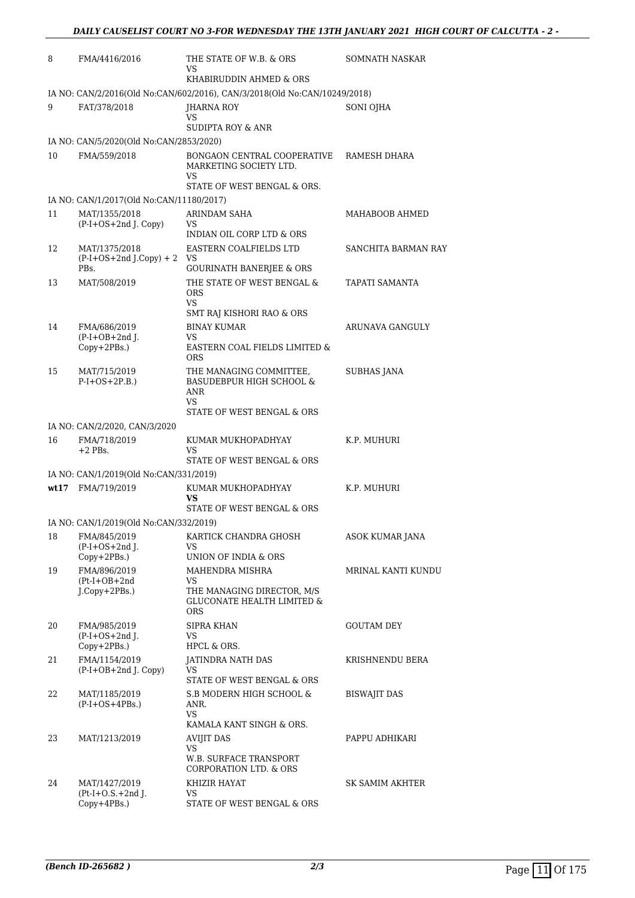| 8    | FMA/4416/2016                            | THE STATE OF W.B. & ORS<br>VS.                                                    | SOMNATH NASKAR      |
|------|------------------------------------------|-----------------------------------------------------------------------------------|---------------------|
|      |                                          | KHABIRUDDIN AHMED & ORS                                                           |                     |
|      |                                          | IA NO: CAN/2/2016(Old No:CAN/602/2016), CAN/3/2018(Old No:CAN/10249/2018)         |                     |
| 9    | FAT/378/2018                             | JHARNA ROY<br>VS                                                                  | SONI OJHA           |
|      |                                          | <b>SUDIPTA ROY &amp; ANR</b>                                                      |                     |
|      | IA NO: CAN/5/2020(Old No:CAN/2853/2020)  |                                                                                   |                     |
| 10   | FMA/559/2018                             | BONGAON CENTRAL COOPERATIVE<br>MARKETING SOCIETY LTD.<br>VS                       | RAMESH DHARA        |
|      |                                          | STATE OF WEST BENGAL & ORS.                                                       |                     |
|      | IA NO: CAN/1/2017(Old No:CAN/11180/2017) |                                                                                   |                     |
| 11   | MAT/1355/2018<br>(P-I+OS+2nd J. Copy)    | ARINDAM SAHA<br>VS.<br>INDIAN OIL CORP LTD & ORS                                  | MAHABOOB AHMED      |
| 12   | MAT/1375/2018                            | EASTERN COALFIELDS LTD                                                            | SANCHITA BARMAN RAY |
|      | $(P-I+OS+2nd J.Copy) + 2$<br>PBs.        | VS<br><b>GOURINATH BANERJEE &amp; ORS</b>                                         |                     |
| 13   | MAT/508/2019                             | THE STATE OF WEST BENGAL &<br><b>ORS</b>                                          | TAPATI SAMANTA      |
|      |                                          | VS.<br>SMT RAJ KISHORI RAO & ORS                                                  |                     |
| 14   | FMA/686/2019                             | <b>BINAY KUMAR</b>                                                                | ARUNAVA GANGULY     |
|      | $(P-I+OB+2nd$ J.<br>Copy+2PBs.)          | VS<br>EASTERN COAL FIELDS LIMITED &                                               |                     |
| 15   | MAT/715/2019<br>$P-I+OS+2P.B.)$          | <b>ORS</b><br>THE MANAGING COMMITTEE,<br><b>BASUDEBPUR HIGH SCHOOL &amp;</b>      | <b>SUBHAS JANA</b>  |
|      |                                          | ANR<br>VS.<br>STATE OF WEST BENGAL & ORS                                          |                     |
|      | IA NO: CAN/2/2020, CAN/3/2020            |                                                                                   |                     |
| 16   | FMA/718/2019                             | KUMAR MUKHOPADHYAY                                                                | K.P. MUHURI         |
|      | $+2$ PBs.                                | VS<br>STATE OF WEST BENGAL & ORS                                                  |                     |
|      | IA NO: CAN/1/2019(Old No:CAN/331/2019)   |                                                                                   |                     |
| wt17 | FMA/719/2019                             | KUMAR MUKHOPADHYAY<br>VS<br>STATE OF WEST BENGAL & ORS                            | K.P. MUHURI         |
|      | IA NO: CAN/1/2019(Old No:CAN/332/2019)   |                                                                                   |                     |
| 18   | FMA/845/2019<br>$(P-I+OS+2nd$ J.         | KARTICK CHANDRA GHOSH<br>VS                                                       | ASOK KUMAR JANA     |
|      | Copy+2PBs.)                              | UNION OF INDIA & ORS                                                              |                     |
| 19   | FMA/896/2019<br>$(Pt-I+OB+2nd$           | MAHENDRA MISHRA<br>VS                                                             | MRINAL KANTI KUNDU  |
|      | J.Copy+2PBs.)                            | THE MANAGING DIRECTOR, M/S<br><b>GLUCONATE HEALTH LIMITED &amp;</b><br><b>ORS</b> |                     |
| 20   | FMA/985/2019                             | <b>SIPRA KHAN</b>                                                                 | <b>GOUTAM DEY</b>   |
|      | $(P-I+OS+2nd)$ .<br>$Copy+2PBs.$ )       | VS<br><b>HPCL &amp; ORS.</b>                                                      |                     |
| 21   | FMA/1154/2019                            | JATINDRA NATH DAS                                                                 | KRISHNENDU BERA     |
|      | (P-I+OB+2nd J. Copy)                     | VS<br>STATE OF WEST BENGAL & ORS                                                  |                     |
| 22   | MAT/1185/2019<br>$(P-I+OS+4PBs.)$        | S.B MODERN HIGH SCHOOL &<br>ANR.<br>VS                                            | <b>BISWAJIT DAS</b> |
|      |                                          | KAMALA KANT SINGH & ORS.                                                          |                     |
| 23   | MAT/1213/2019                            | <b>AVIJIT DAS</b>                                                                 | PAPPU ADHIKARI      |
|      |                                          | VS<br>W.B. SURFACE TRANSPORT<br>CORPORATION LTD. & ORS                            |                     |
| 24   | MAT/1427/2019                            | KHIZIR HAYAT                                                                      | SK SAMIM AKHTER     |
|      | $(Pt-I+O.S.+2nd J.$<br>Copy+4PBs.)       | VS<br>STATE OF WEST BENGAL & ORS                                                  |                     |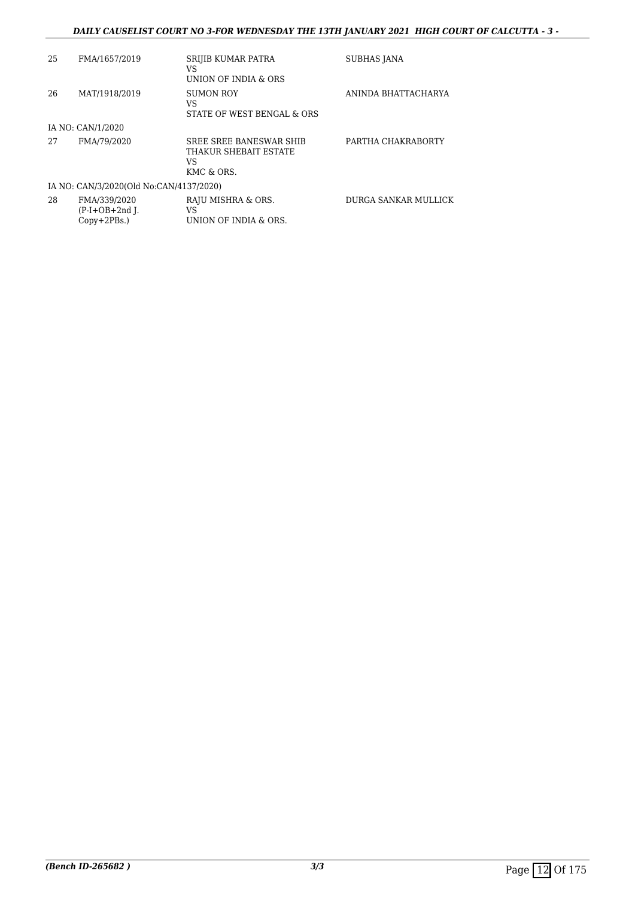#### *DAILY CAUSELIST COURT NO 3-FOR WEDNESDAY THE 13TH JANUARY 2021 HIGH COURT OF CALCUTTA - 3 -*

| 25 | FMA/1657/2019                           | SRIJIB KUMAR PATRA<br>VS<br>UNION OF INDIA & ORS                     | <b>SUBHAS JANA</b>          |
|----|-----------------------------------------|----------------------------------------------------------------------|-----------------------------|
| 26 | MAT/1918/2019                           | <b>SUMON ROY</b><br>VS<br>STATE OF WEST BENGAL & ORS                 | ANINDA BHATTACHARYA         |
|    | IA NO: CAN/1/2020                       |                                                                      |                             |
| 27 | FMA/79/2020                             | SREE SREE BANESWAR SHIB<br>THAKUR SHEBAIT ESTATE<br>VS<br>KMC & ORS. | PARTHA CHAKRABORTY          |
|    | IA NO: CAN/3/2020(Old No:CAN/4137/2020) |                                                                      |                             |
| 28 | FMA/339/2020<br>$(P-I+OB+2nd I.$        | RAJU MISHRA & ORS.<br>VS                                             | <b>DURGA SANKAR MULLICK</b> |

UNION OF INDIA & ORS.

Copy+2PBs.)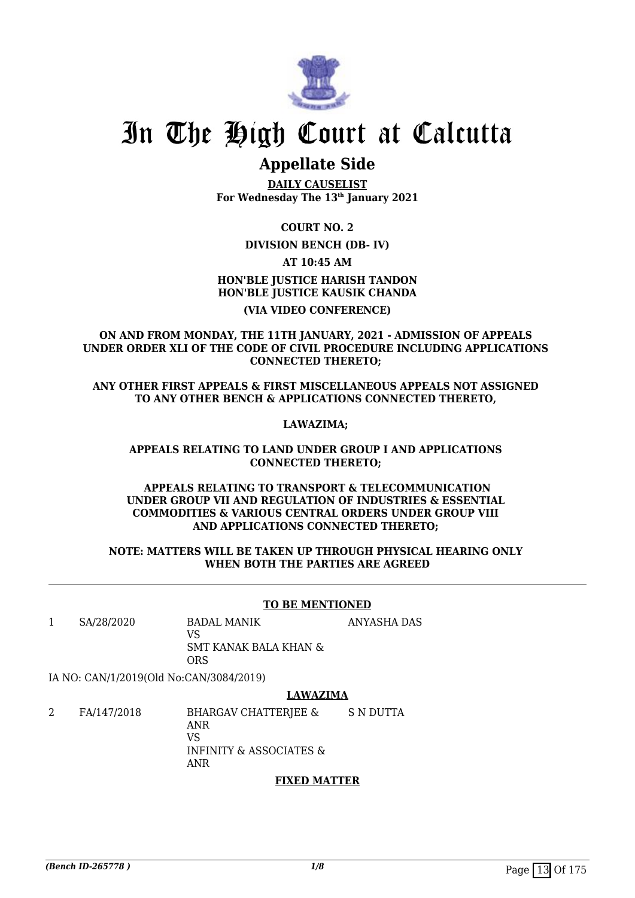

### **Appellate Side**

**DAILY CAUSELIST For Wednesday The 13th January 2021**

**COURT NO. 2**

#### **DIVISION BENCH (DB- IV)**

**AT 10:45 AM**

**HON'BLE JUSTICE HARISH TANDON HON'BLE JUSTICE KAUSIK CHANDA (VIA VIDEO CONFERENCE)**

**ON AND FROM MONDAY, THE 11TH JANUARY, 2021 - ADMISSION OF APPEALS UNDER ORDER XLI OF THE CODE OF CIVIL PROCEDURE INCLUDING APPLICATIONS CONNECTED THERETO;** 

**ANY OTHER FIRST APPEALS & FIRST MISCELLANEOUS APPEALS NOT ASSIGNED TO ANY OTHER BENCH & APPLICATIONS CONNECTED THERETO,** 

#### **LAWAZIMA;**

#### **APPEALS RELATING TO LAND UNDER GROUP I AND APPLICATIONS CONNECTED THERETO;**

#### **APPEALS RELATING TO TRANSPORT & TELECOMMUNICATION UNDER GROUP VII AND REGULATION OF INDUSTRIES & ESSENTIAL COMMODITIES & VARIOUS CENTRAL ORDERS UNDER GROUP VIII AND APPLICATIONS CONNECTED THERETO;**

#### **NOTE: MATTERS WILL BE TAKEN UP THROUGH PHYSICAL HEARING ONLY WHEN BOTH THE PARTIES ARE AGREED**

#### **TO BE MENTIONED**

1 SA/28/2020 BADAL MANIK

ANYASHA DAS

VS SMT KANAK BALA KHAN & ORS

IA NO: CAN/1/2019(Old No:CAN/3084/2019)

#### **LAWAZIMA**

2 FA/147/2018 BHARGAV CHATTERJEE & ANR VS INFINITY & ASSOCIATES & ANR S N DUTTA

#### **FIXED MATTER**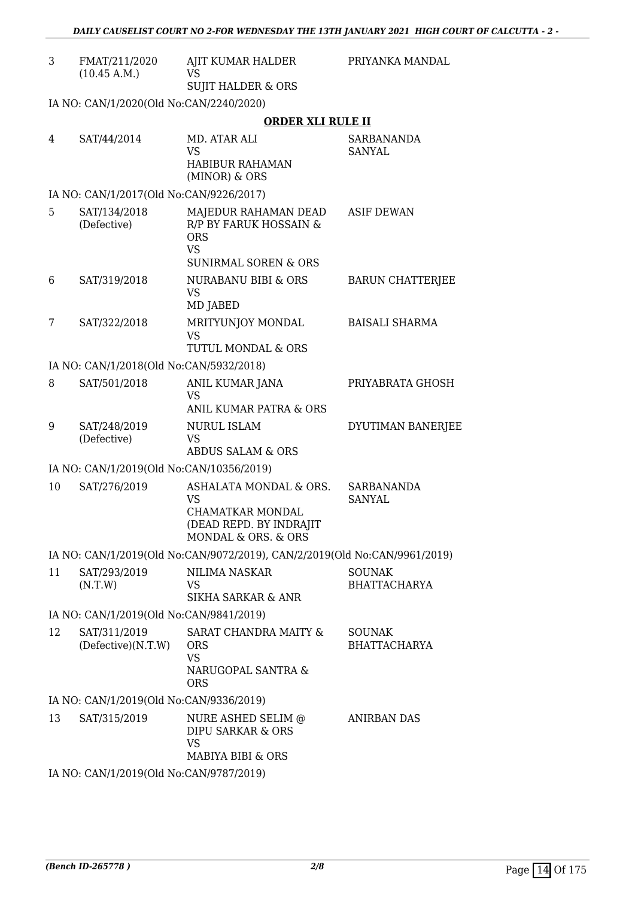| 3  | FMAT/211/2020<br>(10.45 A.M.)            | AJIT KUMAR HALDER<br><b>VS</b><br><b>SUJIT HALDER &amp; ORS</b>                                                  | PRIYANKA MANDAL                      |
|----|------------------------------------------|------------------------------------------------------------------------------------------------------------------|--------------------------------------|
|    | IA NO: CAN/1/2020(Old No:CAN/2240/2020)  |                                                                                                                  |                                      |
|    |                                          | <b>ORDER XLI RULE II</b>                                                                                         |                                      |
| 4  | SAT/44/2014                              | MD. ATAR ALI<br>VS<br><b>HABIBUR RAHAMAN</b><br>(MINOR) & ORS                                                    | SARBANANDA<br><b>SANYAL</b>          |
|    | IA NO: CAN/1/2017(Old No:CAN/9226/2017)  |                                                                                                                  |                                      |
| 5  | SAT/134/2018<br>(Defective)              | MAJEDUR RAHAMAN DEAD<br>R/P BY FARUK HOSSAIN &<br><b>ORS</b><br><b>VS</b><br><b>SUNIRMAL SOREN &amp; ORS</b>     | <b>ASIF DEWAN</b>                    |
| 6  | SAT/319/2018                             | NURABANU BIBI & ORS<br><b>VS</b><br>MD JABED                                                                     | <b>BARUN CHATTERJEE</b>              |
| 7  | SAT/322/2018                             | MRITYUNJOY MONDAL<br><b>VS</b><br>TUTUL MONDAL & ORS                                                             | <b>BAISALI SHARMA</b>                |
|    | IA NO: CAN/1/2018(Old No:CAN/5932/2018)  |                                                                                                                  |                                      |
| 8  | SAT/501/2018                             | ANIL KUMAR JANA<br><b>VS</b><br>ANIL KUMAR PATRA & ORS                                                           | PRIYABRATA GHOSH                     |
| 9  | SAT/248/2019<br>(Defective)              | NURUL ISLAM<br><b>VS</b><br><b>ABDUS SALAM &amp; ORS</b>                                                         | DYUTIMAN BANERJEE                    |
|    | IA NO: CAN/1/2019(Old No:CAN/10356/2019) |                                                                                                                  |                                      |
| 10 | SAT/276/2019                             | ASHALATA MONDAL & ORS.<br><b>VS</b><br><b>CHAMATKAR MONDAL</b><br>(DEAD REPD. BY INDRAJIT<br>MONDAL & ORS. & ORS | <b>SARBANANDA</b><br><b>SANYAL</b>   |
|    |                                          | IA NO: CAN/1/2019(Old No:CAN/9072/2019), CAN/2/2019(Old No:CAN/9961/2019)                                        |                                      |
| 11 | SAT/293/2019<br>(N.T.W)                  | NILIMA NASKAR<br><b>VS</b><br><b>SIKHA SARKAR &amp; ANR</b>                                                      | <b>SOUNAK</b><br><b>BHATTACHARYA</b> |
|    | IA NO: CAN/1/2019(Old No:CAN/9841/2019)  |                                                                                                                  |                                      |
| 12 | SAT/311/2019<br>(Defective)(N.T.W)       | SARAT CHANDRA MAITY &<br><b>ORS</b><br><b>VS</b><br>NARUGOPAL SANTRA &<br><b>ORS</b>                             | <b>SOUNAK</b><br><b>BHATTACHARYA</b> |
|    | IA NO: CAN/1/2019(Old No:CAN/9336/2019)  |                                                                                                                  |                                      |
| 13 | SAT/315/2019                             | NURE ASHED SELIM @<br><b>DIPU SARKAR &amp; ORS</b><br><b>VS</b><br>MABIYA BIBI & ORS                             | ANIRBAN DAS                          |

IA NO: CAN/1/2019(Old No:CAN/9787/2019)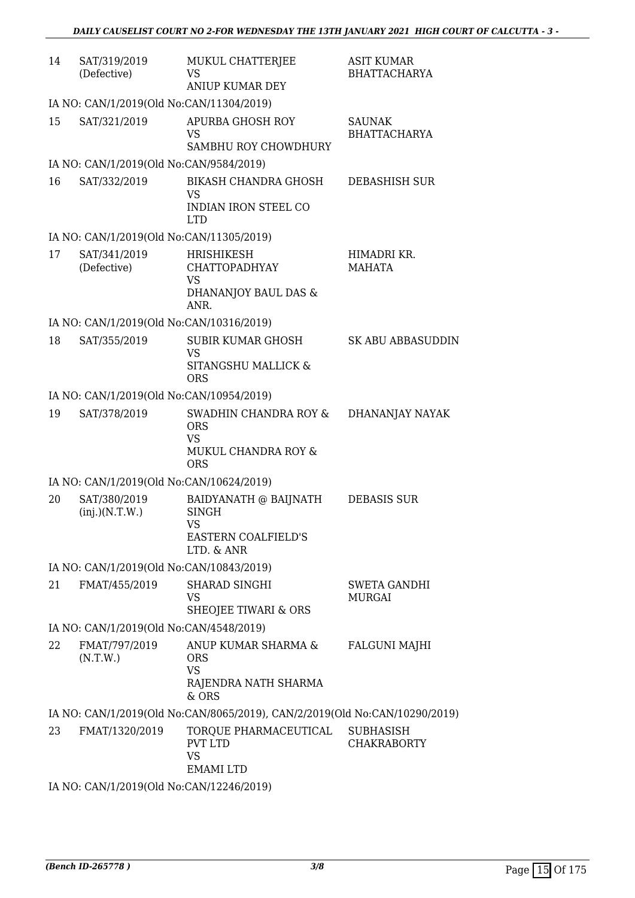| 14 | SAT/319/2019<br>(Defective)              | MUKUL CHATTERJEE<br><b>VS</b><br><b>ANIUP KUMAR DEY</b>                                        | <b>ASIT KUMAR</b><br><b>BHATTACHARYA</b> |
|----|------------------------------------------|------------------------------------------------------------------------------------------------|------------------------------------------|
|    | IA NO: CAN/1/2019(Old No:CAN/11304/2019) |                                                                                                |                                          |
| 15 | SAT/321/2019                             | APURBA GHOSH ROY<br><b>VS</b><br>SAMBHU ROY CHOWDHURY                                          | <b>SAUNAK</b><br><b>BHATTACHARYA</b>     |
|    | IA NO: CAN/1/2019(Old No:CAN/9584/2019)  |                                                                                                |                                          |
| 16 | SAT/332/2019                             | <b>BIKASH CHANDRA GHOSH</b><br><b>VS</b><br><b>INDIAN IRON STEEL CO</b><br><b>LTD</b>          | <b>DEBASHISH SUR</b>                     |
|    | IA NO: CAN/1/2019(Old No:CAN/11305/2019) |                                                                                                |                                          |
| 17 | SAT/341/2019<br>(Defective)              | <b>HRISHIKESH</b><br><b>CHATTOPADHYAY</b><br><b>VS</b>                                         | HIMADRI KR.<br><b>MAHATA</b>             |
|    |                                          | DHANANJOY BAUL DAS &<br>ANR.                                                                   |                                          |
|    | IA NO: CAN/1/2019(Old No:CAN/10316/2019) |                                                                                                |                                          |
| 18 | SAT/355/2019                             | <b>SUBIR KUMAR GHOSH</b><br><b>VS</b><br>SITANGSHU MALLICK &<br><b>ORS</b>                     | <b>SK ABU ABBASUDDIN</b>                 |
|    | IA NO: CAN/1/2019(Old No:CAN/10954/2019) |                                                                                                |                                          |
| 19 | SAT/378/2019                             | SWADHIN CHANDRA ROY &<br><b>ORS</b><br><b>VS</b><br>MUKUL CHANDRA ROY &<br><b>ORS</b>          | DHANANJAY NAYAK                          |
|    | IA NO: CAN/1/2019(Old No:CAN/10624/2019) |                                                                                                |                                          |
| 20 | SAT/380/2019<br>(inj.)(N.T.W.)           | BAIDYANATH @ BAIJNATH<br><b>SINGH</b><br><b>VS</b><br><b>EASTERN COALFIELD'S</b><br>LTD. & ANR | <b>DEBASIS SUR</b>                       |
|    | IA NO: CAN/1/2019(Old No:CAN/10843/2019) |                                                                                                |                                          |
| 21 | FMAT/455/2019                            | <b>SHARAD SINGHI</b><br><b>VS</b><br>SHEOJEE TIWARI & ORS                                      | <b>SWETA GANDHI</b><br><b>MURGAI</b>     |
|    | IA NO: CAN/1/2019(Old No:CAN/4548/2019)  |                                                                                                |                                          |
| 22 | FMAT/797/2019<br>(N.T.W.)                | ANUP KUMAR SHARMA &<br><b>ORS</b><br><b>VS</b><br>RAJENDRA NATH SHARMA<br>& ORS                | <b>FALGUNI MAJHI</b>                     |
|    |                                          | IA NO: CAN/1/2019(Old No:CAN/8065/2019), CAN/2/2019(Old No:CAN/10290/2019)                     |                                          |
| 23 | FMAT/1320/2019                           | TORQUE PHARMACEUTICAL<br><b>PVT LTD</b><br><b>VS</b><br>EMAMI LTD                              | <b>SUBHASISH</b><br><b>CHAKRABORTY</b>   |
|    | IA NO: CAN/1/2019(Old No:CAN/12246/2019) |                                                                                                |                                          |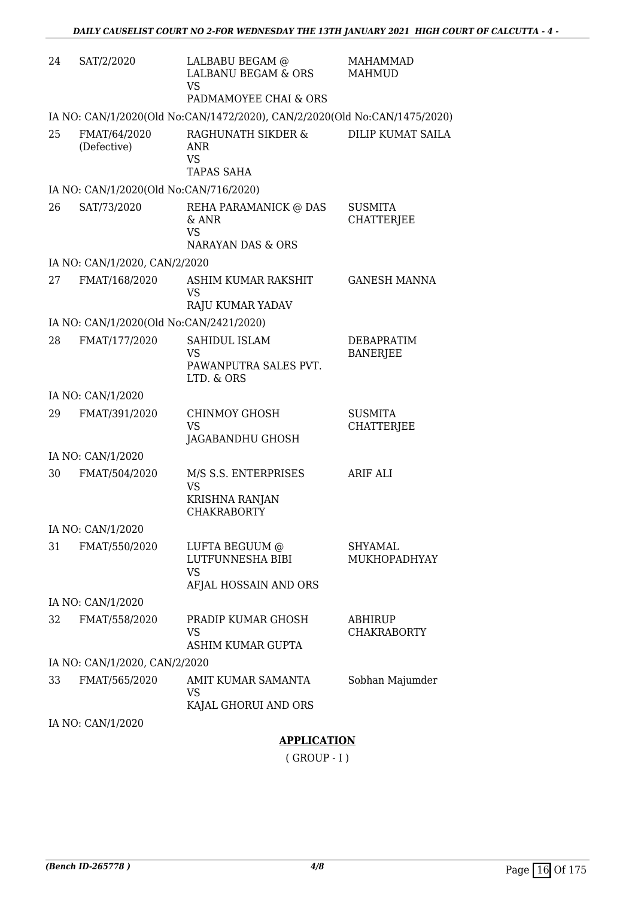| 24 | SAT/2/2020                              | LALBABU BEGAM @<br><b>LALBANU BEGAM &amp; ORS</b><br>VS.<br>PADMAMOYEE CHAI & ORS | <b>MAHAMMAD</b><br><b>MAHMUD</b>     |
|----|-----------------------------------------|-----------------------------------------------------------------------------------|--------------------------------------|
|    |                                         | IA NO: CAN/1/2020(Old No:CAN/1472/2020), CAN/2/2020(Old No:CAN/1475/2020)         |                                      |
| 25 | FMAT/64/2020<br>(Defective)             | RAGHUNATH SIKDER &<br>ANR<br><b>VS</b><br><b>TAPAS SAHA</b>                       | <b>DILIP KUMAT SAILA</b>             |
|    | IA NO: CAN/1/2020(Old No:CAN/716/2020)  |                                                                                   |                                      |
| 26 | SAT/73/2020                             | REHA PARAMANICK @ DAS<br>& ANR<br><b>VS</b><br><b>NARAYAN DAS &amp; ORS</b>       | <b>SUSMITA</b><br><b>CHATTERJEE</b>  |
|    | IA NO: CAN/1/2020, CAN/2/2020           |                                                                                   |                                      |
| 27 | FMAT/168/2020                           | ASHIM KUMAR RAKSHIT<br>VS<br>RAJU KUMAR YADAV                                     | <b>GANESH MANNA</b>                  |
|    | IA NO: CAN/1/2020(Old No:CAN/2421/2020) |                                                                                   |                                      |
| 28 | FMAT/177/2020                           | <b>SAHIDUL ISLAM</b><br><b>VS</b><br>PAWANPUTRA SALES PVT.<br>LTD. & ORS          | <b>DEBAPRATIM</b><br><b>BANERJEE</b> |
|    | IA NO: CAN/1/2020                       |                                                                                   |                                      |
| 29 | FMAT/391/2020                           | <b>CHINMOY GHOSH</b><br><b>VS</b><br>JAGABANDHU GHOSH                             | <b>SUSMITA</b><br>CHATTERJEE         |
|    | IA NO: CAN/1/2020                       |                                                                                   |                                      |
| 30 | FMAT/504/2020                           | M/S S.S. ENTERPRISES<br><b>VS</b><br><b>KRISHNA RANJAN</b><br><b>CHAKRABORTY</b>  | <b>ARIF ALI</b>                      |
|    | IA NO: CAN/1/2020                       |                                                                                   |                                      |
| 31 | FMAT/550/2020                           | LUFTA BEGUUM @<br>LUTFUNNESHA BIBI<br><b>VS</b><br>AFJAL HOSSAIN AND ORS          | <b>SHYAMAL</b><br>MUKHOPADHYAY       |
|    | IA NO: CAN/1/2020                       |                                                                                   |                                      |
| 32 | FMAT/558/2020                           | PRADIP KUMAR GHOSH<br>VS<br>ASHIM KUMAR GUPTA                                     | <b>ABHIRUP</b><br><b>CHAKRABORTY</b> |
|    | IA NO: CAN/1/2020, CAN/2/2020           |                                                                                   |                                      |
| 33 | FMAT/565/2020                           | AMIT KUMAR SAMANTA<br>VS<br>KAJAL GHORUI AND ORS                                  | Sobhan Majumder                      |
|    | IA NO: CAN/1/2020                       |                                                                                   |                                      |
|    |                                         | <b>APPLICATION</b>                                                                |                                      |

( GROUP - I )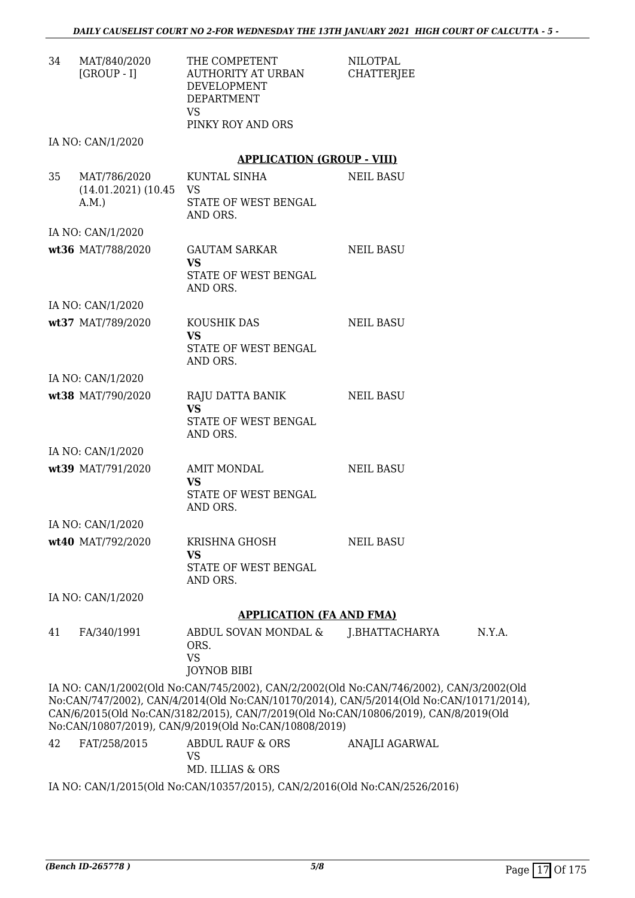| 34 | MAT/840/2020<br>$[{\rm GROUP} - I]$                             | THE COMPETENT<br>AUTHORITY AT URBAN<br><b>DEVELOPMENT</b><br><b>DEPARTMENT</b><br><b>VS</b>                                                                                                                                                                                                                                        | NILOTPAL<br><b>CHATTERJEE</b> |        |
|----|-----------------------------------------------------------------|------------------------------------------------------------------------------------------------------------------------------------------------------------------------------------------------------------------------------------------------------------------------------------------------------------------------------------|-------------------------------|--------|
|    |                                                                 | PINKY ROY AND ORS                                                                                                                                                                                                                                                                                                                  |                               |        |
|    | IA NO: CAN/1/2020                                               |                                                                                                                                                                                                                                                                                                                                    |                               |        |
|    |                                                                 | <b>APPLICATION (GROUP - VIII)</b>                                                                                                                                                                                                                                                                                                  |                               |        |
| 35 | MAT/786/2020 KUNTAL SINHA<br>$(14.01.2021)$ $(10.45$ VS<br>A.M. | STATE OF WEST BENGAL<br>AND ORS.                                                                                                                                                                                                                                                                                                   | <b>NEIL BASU</b>              |        |
|    | IA NO: CAN/1/2020                                               |                                                                                                                                                                                                                                                                                                                                    |                               |        |
|    | wt36 MAT/788/2020                                               | <b>GAUTAM SARKAR</b><br><b>VS</b><br>STATE OF WEST BENGAL                                                                                                                                                                                                                                                                          | <b>NEIL BASU</b>              |        |
|    |                                                                 | AND ORS.                                                                                                                                                                                                                                                                                                                           |                               |        |
|    | IA NO: CAN/1/2020                                               |                                                                                                                                                                                                                                                                                                                                    |                               |        |
|    | wt37 MAT/789/2020                                               | KOUSHIK DAS<br><b>VS</b><br><b>STATE OF WEST BENGAL</b><br>AND ORS.                                                                                                                                                                                                                                                                | <b>NEIL BASU</b>              |        |
|    | IA NO: CAN/1/2020                                               |                                                                                                                                                                                                                                                                                                                                    |                               |        |
|    | wt38 MAT/790/2020                                               | RAJU DATTA BANIK<br><b>VS</b><br>STATE OF WEST BENGAL                                                                                                                                                                                                                                                                              | <b>NEIL BASU</b>              |        |
|    |                                                                 | AND ORS.                                                                                                                                                                                                                                                                                                                           |                               |        |
|    | IA NO: CAN/1/2020                                               |                                                                                                                                                                                                                                                                                                                                    |                               |        |
|    | wt39 MAT/791/2020                                               | <b>AMIT MONDAL</b><br><b>VS</b>                                                                                                                                                                                                                                                                                                    | <b>NEIL BASU</b>              |        |
|    |                                                                 | STATE OF WEST BENGAL<br>AND ORS.                                                                                                                                                                                                                                                                                                   |                               |        |
|    | IA NO: CAN/1/2020                                               |                                                                                                                                                                                                                                                                                                                                    |                               |        |
|    | wt40 MAT/792/2020                                               | KRISHNA GHOSH<br>VS<br>STATE OF WEST BENGAL                                                                                                                                                                                                                                                                                        | <b>NEIL BASU</b>              |        |
|    |                                                                 | AND ORS.                                                                                                                                                                                                                                                                                                                           |                               |        |
|    | IA NO: CAN/1/2020                                               |                                                                                                                                                                                                                                                                                                                                    |                               |        |
|    |                                                                 | <b>APPLICATION (FA AND FMA)</b>                                                                                                                                                                                                                                                                                                    |                               |        |
| 41 | FA/340/1991                                                     | ABDUL SOVAN MONDAL &<br>ORS.<br><b>VS</b>                                                                                                                                                                                                                                                                                          | J.BHATTACHARYA                | N.Y.A. |
|    |                                                                 | <b>JOYNOB BIBI</b>                                                                                                                                                                                                                                                                                                                 |                               |        |
|    |                                                                 | IA NO: CAN/1/2002(Old No:CAN/745/2002), CAN/2/2002(Old No:CAN/746/2002), CAN/3/2002(Old<br>No:CAN/747/2002), CAN/4/2014(Old No:CAN/10170/2014), CAN/5/2014(Old No:CAN/10171/2014),<br>CAN/6/2015(Old No:CAN/3182/2015), CAN/7/2019(Old No:CAN/10806/2019), CAN/8/2019(Old<br>No:CAN/10807/2019), CAN/9/2019(Old No:CAN/10808/2019) |                               |        |
| 42 | FAT/258/2015                                                    | ABDUL RAUF & ORS                                                                                                                                                                                                                                                                                                                   | ANAJLI AGARWAL                |        |

VS MD. ILLIAS & ORS

IA NO: CAN/1/2015(Old No:CAN/10357/2015), CAN/2/2016(Old No:CAN/2526/2016)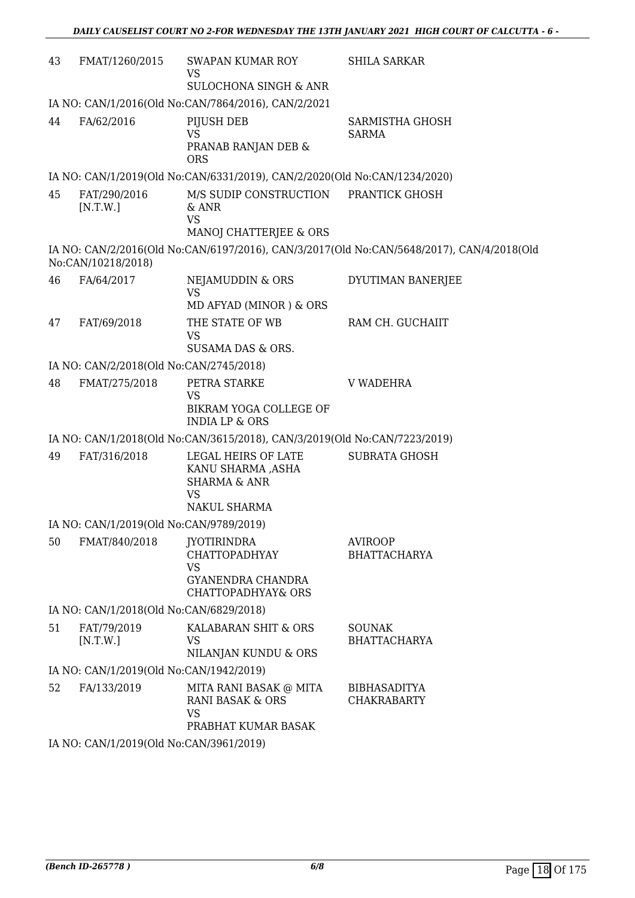|                          | <b>SWAPAN KUMAR ROY</b><br><b>VS</b>                                             | <b>SHILA SARKAR</b>                                                                                                                                                                                                                                                                                                                                                                                                                                                                                                                                                                                                |
|--------------------------|----------------------------------------------------------------------------------|--------------------------------------------------------------------------------------------------------------------------------------------------------------------------------------------------------------------------------------------------------------------------------------------------------------------------------------------------------------------------------------------------------------------------------------------------------------------------------------------------------------------------------------------------------------------------------------------------------------------|
|                          |                                                                                  |                                                                                                                                                                                                                                                                                                                                                                                                                                                                                                                                                                                                                    |
|                          |                                                                                  |                                                                                                                                                                                                                                                                                                                                                                                                                                                                                                                                                                                                                    |
| FA/62/2016               | PIJUSH DEB<br><b>VS</b>                                                          | SARMISTHA GHOSH<br><b>SARMA</b>                                                                                                                                                                                                                                                                                                                                                                                                                                                                                                                                                                                    |
|                          | <b>ORS</b>                                                                       |                                                                                                                                                                                                                                                                                                                                                                                                                                                                                                                                                                                                                    |
|                          |                                                                                  |                                                                                                                                                                                                                                                                                                                                                                                                                                                                                                                                                                                                                    |
| FAT/290/2016<br>[N.T.W.] | M/S SUDIP CONSTRUCTION<br>& ANR                                                  | PRANTICK GHOSH                                                                                                                                                                                                                                                                                                                                                                                                                                                                                                                                                                                                     |
|                          | MANOJ CHATTERJEE & ORS                                                           |                                                                                                                                                                                                                                                                                                                                                                                                                                                                                                                                                                                                                    |
|                          |                                                                                  |                                                                                                                                                                                                                                                                                                                                                                                                                                                                                                                                                                                                                    |
| FA/64/2017               | NEJAMUDDIN & ORS<br><b>VS</b>                                                    | DYUTIMAN BANERJEE                                                                                                                                                                                                                                                                                                                                                                                                                                                                                                                                                                                                  |
|                          | MD AFYAD (MINOR) & ORS                                                           |                                                                                                                                                                                                                                                                                                                                                                                                                                                                                                                                                                                                                    |
| FAT/69/2018              | THE STATE OF WB<br><b>VS</b>                                                     | RAM CH. GUCHAIIT                                                                                                                                                                                                                                                                                                                                                                                                                                                                                                                                                                                                   |
|                          | SUSAMA DAS & ORS.                                                                |                                                                                                                                                                                                                                                                                                                                                                                                                                                                                                                                                                                                                    |
|                          |                                                                                  |                                                                                                                                                                                                                                                                                                                                                                                                                                                                                                                                                                                                                    |
| FMAT/275/2018            | PETRA STARKE<br><b>VS</b>                                                        | <b>V WADEHRA</b>                                                                                                                                                                                                                                                                                                                                                                                                                                                                                                                                                                                                   |
|                          | <b>INDIA LP &amp; ORS</b>                                                        |                                                                                                                                                                                                                                                                                                                                                                                                                                                                                                                                                                                                                    |
|                          |                                                                                  |                                                                                                                                                                                                                                                                                                                                                                                                                                                                                                                                                                                                                    |
| FAT/316/2018             | LEGAL HEIRS OF LATE<br>KANU SHARMA ,ASHA<br><b>SHARMA &amp; ANR</b><br><b>VS</b> | <b>SUBRATA GHOSH</b>                                                                                                                                                                                                                                                                                                                                                                                                                                                                                                                                                                                               |
|                          | NAKUL SHARMA                                                                     |                                                                                                                                                                                                                                                                                                                                                                                                                                                                                                                                                                                                                    |
|                          |                                                                                  |                                                                                                                                                                                                                                                                                                                                                                                                                                                                                                                                                                                                                    |
| FMAT/840/2018            | <b>JYOTIRINDRA</b><br><b>CHATTOPADHYAY</b>                                       | <b>AVIROOP</b><br><b>BHATTACHARYA</b>                                                                                                                                                                                                                                                                                                                                                                                                                                                                                                                                                                              |
|                          | GYANENDRA CHANDRA<br>CHATTOPADHYAY& ORS                                          |                                                                                                                                                                                                                                                                                                                                                                                                                                                                                                                                                                                                                    |
|                          |                                                                                  |                                                                                                                                                                                                                                                                                                                                                                                                                                                                                                                                                                                                                    |
| FAT/79/2019<br>[N.T.W.]  | KALABARAN SHIT & ORS<br>VS                                                       | <b>SOUNAK</b><br><b>BHATTACHARYA</b>                                                                                                                                                                                                                                                                                                                                                                                                                                                                                                                                                                               |
|                          | NILANJAN KUNDU & ORS                                                             |                                                                                                                                                                                                                                                                                                                                                                                                                                                                                                                                                                                                                    |
|                          |                                                                                  |                                                                                                                                                                                                                                                                                                                                                                                                                                                                                                                                                                                                                    |
| FA/133/2019              | MITA RANI BASAK @ MITA<br>RANI BASAK & ORS                                       | <b>BIBHASADITYA</b><br><b>CHAKRABARTY</b>                                                                                                                                                                                                                                                                                                                                                                                                                                                                                                                                                                          |
|                          | PRABHAT KUMAR BASAK                                                              |                                                                                                                                                                                                                                                                                                                                                                                                                                                                                                                                                                                                                    |
|                          | No:CAN/10218/2018)                                                               | <b>SULOCHONA SINGH &amp; ANR</b><br>IA NO: CAN/1/2016(Old No:CAN/7864/2016), CAN/2/2021<br>PRANAB RANJAN DEB &<br>IA NO: CAN/1/2019(Old No:CAN/6331/2019), CAN/2/2020(Old No:CAN/1234/2020)<br><b>VS</b><br>IA NO: CAN/2/2016(Old No:CAN/6197/2016), CAN/3/2017(Old No:CAN/5648/2017), CAN/4/2018(Old<br>IA NO: CAN/2/2018(Old No:CAN/2745/2018)<br>BIKRAM YOGA COLLEGE OF<br>IA NO: CAN/1/2018(Old No:CAN/3615/2018), CAN/3/2019(Old No:CAN/7223/2019)<br>IA NO: CAN/1/2019(Old No:CAN/9789/2019)<br><b>VS</b><br>IA NO: CAN/1/2018(Old No:CAN/6829/2018)<br>IA NO: CAN/1/2019(Old No:CAN/1942/2019)<br><b>VS</b> |

IA NO: CAN/1/2019(Old No:CAN/3961/2019)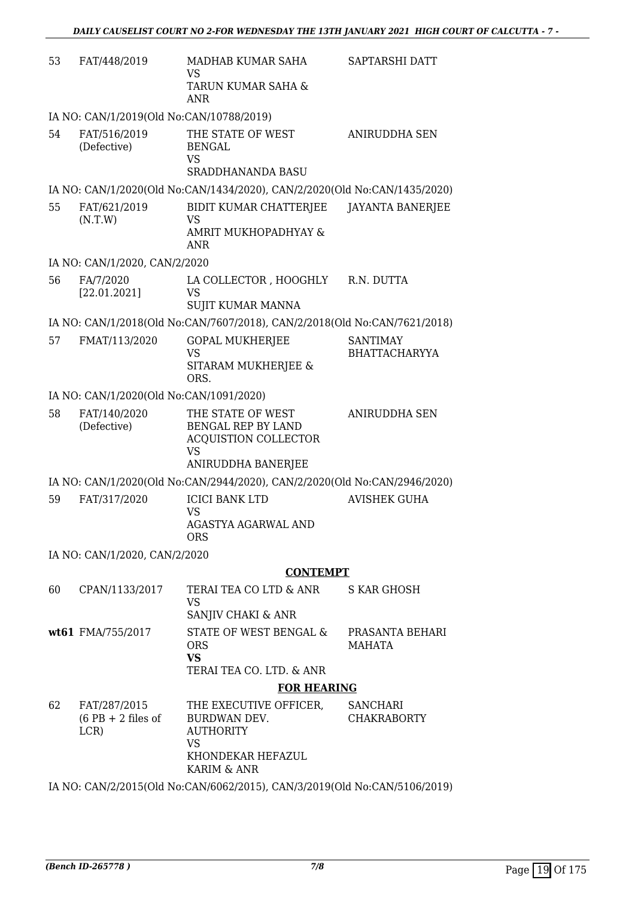| 53 | FAT/448/2019                                                              | MADHAB KUMAR SAHA<br><b>VS</b><br>TARUN KUMAR SAHA &<br>ANR                                               | SAPTARSHI DATT                          |  |
|----|---------------------------------------------------------------------------|-----------------------------------------------------------------------------------------------------------|-----------------------------------------|--|
|    | IA NO: CAN/1/2019(Old No:CAN/10788/2019)                                  |                                                                                                           |                                         |  |
| 54 | FAT/516/2019<br>(Defective)                                               | THE STATE OF WEST<br><b>BENGAL</b><br><b>VS</b><br>SRADDHANANDA BASU                                      | ANIRUDDHA SEN                           |  |
|    |                                                                           | IA NO: CAN/1/2020(Old No:CAN/1434/2020), CAN/2/2020(Old No:CAN/1435/2020)                                 |                                         |  |
| 55 | FAT/621/2019<br>(N.T.W)                                                   | BIDIT KUMAR CHATTERJEE<br><b>VS</b><br>AMRIT MUKHOPADHYAY &<br><b>ANR</b>                                 | <b>JAYANTA BANERJEE</b>                 |  |
|    | IA NO: CAN/1/2020, CAN/2/2020                                             |                                                                                                           |                                         |  |
| 56 | FA/7/2020<br>[22.01.2021]                                                 | LA COLLECTOR , HOOGHLY<br>VS<br><b>SUJIT KUMAR MANNA</b>                                                  | R.N. DUTTA                              |  |
|    |                                                                           | IA NO: CAN/1/2018(Old No:CAN/7607/2018), CAN/2/2018(Old No:CAN/7621/2018)                                 |                                         |  |
| 57 | FMAT/113/2020                                                             | <b>GOPAL MUKHERJEE</b><br><b>VS</b><br>SITARAM MUKHERJEE &<br>ORS.                                        | <b>SANTIMAY</b><br><b>BHATTACHARYYA</b> |  |
|    | IA NO: CAN/1/2020(Old No:CAN/1091/2020)                                   |                                                                                                           |                                         |  |
| 58 | FAT/140/2020<br>(Defective)                                               | THE STATE OF WEST<br><b>BENGAL REP BY LAND</b><br>ACQUISTION COLLECTOR<br><b>VS</b><br>ANIRUDDHA BANERJEE | <b>ANIRUDDHA SEN</b>                    |  |
|    |                                                                           | IA NO: CAN/1/2020(Old No:CAN/2944/2020), CAN/2/2020(Old No:CAN/2946/2020)                                 |                                         |  |
| 59 | FAT/317/2020                                                              | <b>ICICI BANK LTD</b><br><b>VS</b><br>AGASTYA AGARWAL AND<br><b>ORS</b>                                   | <b>AVISHEK GUHA</b>                     |  |
|    | IA NO: CAN/1/2020, CAN/2/2020                                             |                                                                                                           |                                         |  |
|    |                                                                           | <b>CONTEMPT</b>                                                                                           |                                         |  |
| 60 | CPAN/1133/2017                                                            | TERAI TEA CO LTD & ANR<br>VS<br>SANJIV CHAKI & ANR                                                        | <b>S KAR GHOSH</b>                      |  |
|    | wt61 FMA/755/2017                                                         | STATE OF WEST BENGAL &<br><b>ORS</b><br><b>VS</b><br>TERAI TEA CO. LTD. & ANR                             | PRASANTA BEHARI<br><b>MAHATA</b>        |  |
|    |                                                                           | <b>FOR HEARING</b>                                                                                        |                                         |  |
| 62 | FAT/287/2015<br>$(6$ PB + 2 files of<br>LCR)                              | THE EXECUTIVE OFFICER,<br>BURDWAN DEV.<br><b>AUTHORITY</b><br><b>VS</b>                                   | <b>SANCHARI</b><br><b>CHAKRABORTY</b>   |  |
|    |                                                                           | KHONDEKAR HEFAZUL<br>KARIM & ANR                                                                          |                                         |  |
|    | IA NO: CAN/2/2015(Old No:CAN/6062/2015), CAN/3/2019(Old No:CAN/5106/2019) |                                                                                                           |                                         |  |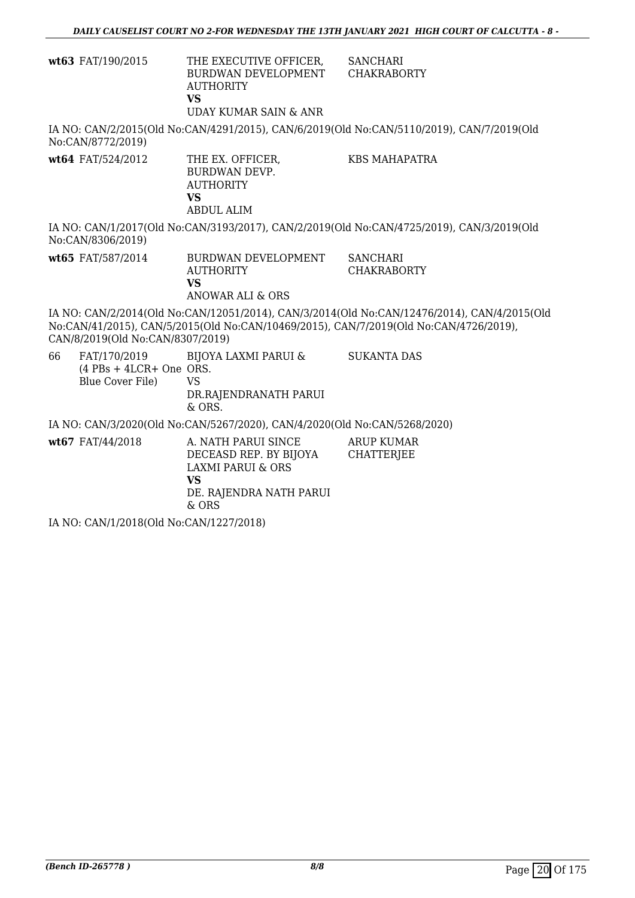| wt63 FAT/190/2015 | THE EXECUTIVE OFFICER, | SANCHARI    |
|-------------------|------------------------|-------------|
|                   | BURDWAN DEVELOPMENT    | CHAKRABORTY |
|                   | <b>AUTHORITY</b>       |             |
|                   | VS                     |             |
|                   | UDAY KUMAR SAIN & ANR  |             |

IA NO: CAN/2/2015(Old No:CAN/4291/2015), CAN/6/2019(Old No:CAN/5110/2019), CAN/7/2019(Old No:CAN/8772/2019)

**wt64** FAT/524/2012 THE EX. OFFICER, BURDWAN DEVP. AUTHORITY **VS** ABDUL ALIM KBS MAHAPATRA

IA NO: CAN/1/2017(Old No:CAN/3193/2017), CAN/2/2019(Old No:CAN/4725/2019), CAN/3/2019(Old No:CAN/8306/2019)

**wt65** FAT/587/2014 BURDWAN DEVELOPMENT AUTHORITY **VS** ANOWAR ALI & ORS **SANCHARI** CHAKRABORTY

IA NO: CAN/2/2014(Old No:CAN/12051/2014), CAN/3/2014(Old No:CAN/12476/2014), CAN/4/2015(Old No:CAN/41/2015), CAN/5/2015(Old No:CAN/10469/2015), CAN/7/2019(Old No:CAN/4726/2019), CAN/8/2019(Old No:CAN/8307/2019)

| 66 | FAT/170/2019              | BIJOYA LAXMI PARUI &                                                         | SUKANTA DAS |
|----|---------------------------|------------------------------------------------------------------------------|-------------|
|    | $(4$ PBs + 4LCR+ One ORS. |                                                                              |             |
|    | Blue Cover File)          | VS.                                                                          |             |
|    |                           | DR.RAJENDRANATH PARUI                                                        |             |
|    |                           | $\&$ ORS.                                                                    |             |
|    |                           | IA NIO LOANILA MOQOLO ILI NI CANILEDETIDODO LOANILA MODOLO ILI NI CANILEDEDI |             |

IA NO: CAN/3/2020(Old No:CAN/5267/2020), CAN/4/2020(Old No:CAN/5268/2020)

**wt67** FAT/44/2018 **A. NATH PARUI SINCE** DECEASD REP. BY BIJOYA LAXMI PARUI & ORS **VS** DE. RAJENDRA NATH PARUI & ORS ARUP KUMAR **CHATTERIEE** 

IA NO: CAN/1/2018(Old No:CAN/1227/2018)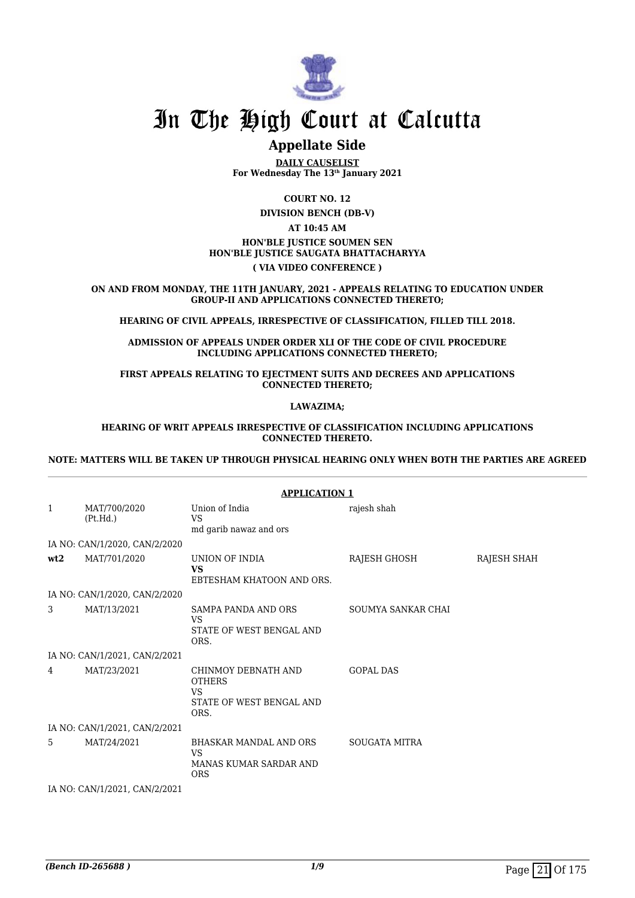

## **Appellate Side**

**DAILY CAUSELIST For Wednesday The 13th January 2021**

**COURT NO. 12**

**DIVISION BENCH (DB-V)**

#### **AT 10:45 AM HON'BLE JUSTICE SOUMEN SEN HON'BLE JUSTICE SAUGATA BHATTACHARYYA ( VIA VIDEO CONFERENCE )**

**ON AND FROM MONDAY, THE 11TH JANUARY, 2021 - APPEALS RELATING TO EDUCATION UNDER GROUP-II AND APPLICATIONS CONNECTED THERETO;**

**HEARING OF CIVIL APPEALS, IRRESPECTIVE OF CLASSIFICATION, FILLED TILL 2018.**

**ADMISSION OF APPEALS UNDER ORDER XLI OF THE CODE OF CIVIL PROCEDURE INCLUDING APPLICATIONS CONNECTED THERETO;**

**FIRST APPEALS RELATING TO EJECTMENT SUITS AND DECREES AND APPLICATIONS CONNECTED THERETO;**

**LAWAZIMA;**

#### **HEARING OF WRIT APPEALS IRRESPECTIVE OF CLASSIFICATION INCLUDING APPLICATIONS CONNECTED THERETO.**

#### **NOTE: MATTERS WILL BE TAKEN UP THROUGH PHYSICAL HEARING ONLY WHEN BOTH THE PARTIES ARE AGREED**

|                               | <b>APPLICATION 1</b>          |                                                                                    |                      |             |
|-------------------------------|-------------------------------|------------------------------------------------------------------------------------|----------------------|-------------|
| $\mathbf{1}$                  | MAT/700/2020<br>(Pt.Hd.)      | Union of India<br><b>VS</b><br>md garib nawaz and ors                              | rajesh shah          |             |
|                               | IA NO: CAN/1/2020, CAN/2/2020 |                                                                                    |                      |             |
| wt2                           | MAT/701/2020                  | UNION OF INDIA<br><b>VS</b><br>EBTESHAM KHATOON AND ORS.                           | RAJESH GHOSH         | RAJESH SHAH |
|                               | IA NO: CAN/1/2020, CAN/2/2020 |                                                                                    |                      |             |
| 3                             | MAT/13/2021                   | SAMPA PANDA AND ORS<br><b>VS</b><br>STATE OF WEST BENGAL AND<br>ORS.               | SOUMYA SANKAR CHAI   |             |
|                               | IA NO: CAN/1/2021, CAN/2/2021 |                                                                                    |                      |             |
| 4                             | MAT/23/2021                   | CHINMOY DEBNATH AND<br><b>OTHERS</b><br>VS.<br>STATE OF WEST BENGAL AND<br>ORS.    | <b>GOPAL DAS</b>     |             |
|                               | IA NO: CAN/1/2021, CAN/2/2021 |                                                                                    |                      |             |
| 5                             | MAT/24/2021                   | <b>BHASKAR MANDAL AND ORS</b><br><b>VS</b><br>MANAS KUMAR SARDAR AND<br><b>ORS</b> | <b>SOUGATA MITRA</b> |             |
| IA NO: CAN/1/2021, CAN/2/2021 |                               |                                                                                    |                      |             |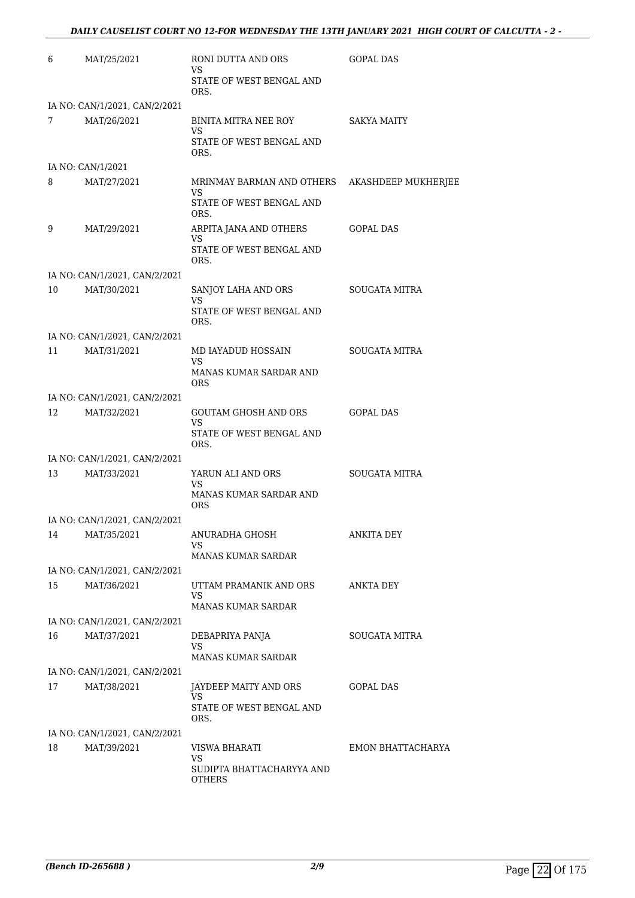| 6  | MAT/25/2021                   | RONI DUTTA AND ORS<br>VS.                  | GOPAL DAS            |
|----|-------------------------------|--------------------------------------------|----------------------|
|    |                               | STATE OF WEST BENGAL AND<br>ORS.           |                      |
|    | IA NO: CAN/1/2021, CAN/2/2021 |                                            |                      |
| 7  | MAT/26/2021                   | BINITA MITRA NEE ROY<br>VS                 | <b>SAKYA MAITY</b>   |
|    |                               | STATE OF WEST BENGAL AND<br>ORS.           |                      |
|    | IA NO: CAN/1/2021             |                                            |                      |
| 8  | MAT/27/2021                   | MRINMAY BARMAN AND OTHERS<br>VS            | AKASHDEEP MUKHERJEE  |
|    |                               | STATE OF WEST BENGAL AND<br>ORS.           |                      |
| 9  | MAT/29/2021                   | ARPITA JANA AND OTHERS<br>VS               | GOPAL DAS            |
|    |                               | STATE OF WEST BENGAL AND<br>ORS.           |                      |
|    | IA NO: CAN/1/2021, CAN/2/2021 |                                            |                      |
| 10 | MAT/30/2021                   | SANJOY LAHA AND ORS<br><b>VS</b>           | SOUGATA MITRA        |
|    |                               | STATE OF WEST BENGAL AND<br>ORS.           |                      |
|    | IA NO: CAN/1/2021, CAN/2/2021 |                                            |                      |
| 11 | MAT/31/2021                   | MD IAYADUD HOSSAIN<br>VS                   | <b>SOUGATA MITRA</b> |
|    |                               | MANAS KUMAR SARDAR AND<br><b>ORS</b>       |                      |
|    | IA NO: CAN/1/2021, CAN/2/2021 |                                            |                      |
| 12 | MAT/32/2021                   | <b>GOUTAM GHOSH AND ORS</b>                | <b>GOPAL DAS</b>     |
|    |                               | VS<br>STATE OF WEST BENGAL AND<br>ORS.     |                      |
|    | IA NO: CAN/1/2021, CAN/2/2021 |                                            |                      |
| 13 | MAT/33/2021                   | YARUN ALI AND ORS                          | SOUGATA MITRA        |
|    |                               | VS<br>MANAS KUMAR SARDAR AND<br><b>ORS</b> |                      |
|    | IA NO: CAN/1/2021, CAN/2/2021 |                                            |                      |
| 14 | MAT/35/2021                   | ANURADHA GHOSH                             | ANKITA DEY           |
|    |                               | VS<br>MANAS KUMAR SARDAR                   |                      |
|    | IA NO: CAN/1/2021, CAN/2/2021 |                                            |                      |
| 15 | MAT/36/2021                   | UTTAM PRAMANIK AND ORS<br>VS               | ANKTA DEY            |
|    |                               | MANAS KUMAR SARDAR                         |                      |
|    | IA NO: CAN/1/2021, CAN/2/2021 |                                            |                      |
| 16 | MAT/37/2021                   | DEBAPRIYA PANJA                            | <b>SOUGATA MITRA</b> |
|    |                               | VS<br>MANAS KUMAR SARDAR                   |                      |
|    | IA NO: CAN/1/2021, CAN/2/2021 |                                            |                      |
| 17 | MAT/38/2021                   | JAYDEEP MAITY AND ORS<br>VS                | GOPAL DAS            |
|    |                               | STATE OF WEST BENGAL AND<br>ORS.           |                      |
|    | IA NO: CAN/1/2021, CAN/2/2021 |                                            |                      |
| 18 | MAT/39/2021                   | VISWA BHARATI<br>VS                        | EMON BHATTACHARYA    |
|    |                               | SUDIPTA BHATTACHARYYA AND<br><b>OTHERS</b> |                      |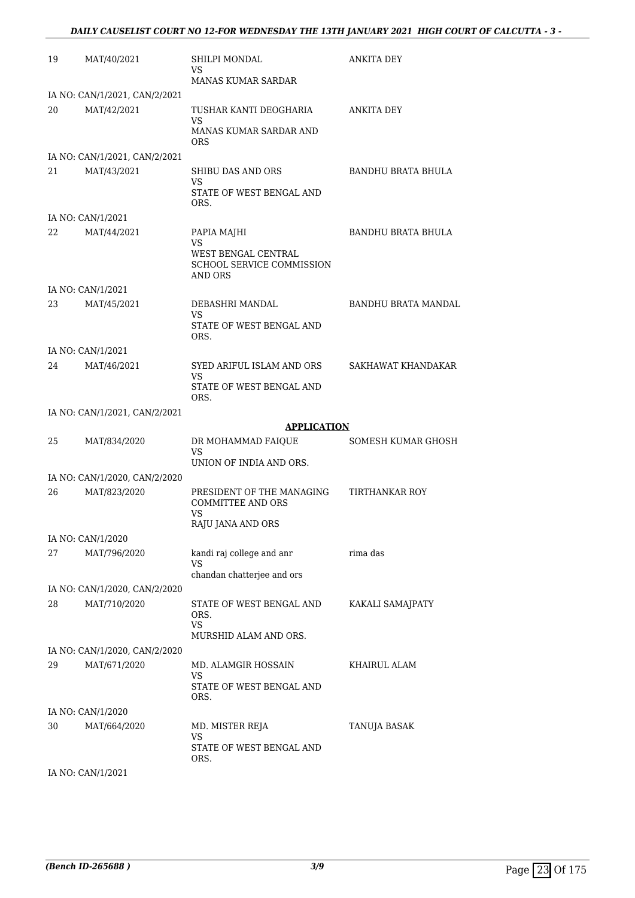| 19 | MAT/40/2021                                   | SHILPI MONDAL<br>VS                                         | ANKITA DEY                 |
|----|-----------------------------------------------|-------------------------------------------------------------|----------------------------|
|    |                                               | <b>MANAS KUMAR SARDAR</b>                                   |                            |
|    | IA NO: CAN/1/2021, CAN/2/2021                 |                                                             |                            |
| 20 | MAT/42/2021                                   | TUSHAR KANTI DEOGHARIA<br>VS.                               | ANKITA DEY                 |
|    |                                               | MANAS KUMAR SARDAR AND<br>ORS                               |                            |
|    | IA NO: CAN/1/2021, CAN/2/2021                 |                                                             |                            |
| 21 | MAT/43/2021                                   | SHIBU DAS AND ORS<br>VS                                     | <b>BANDHU BRATA BHULA</b>  |
|    |                                               | STATE OF WEST BENGAL AND<br>ORS.                            |                            |
|    | IA NO: CAN/1/2021                             |                                                             |                            |
| 22 | MAT/44/2021                                   | PAPIA MAJHI<br>VS                                           | <b>BANDHU BRATA BHULA</b>  |
|    |                                               | WEST BENGAL CENTRAL<br>SCHOOL SERVICE COMMISSION<br>AND ORS |                            |
|    | IA NO: CAN/1/2021                             |                                                             |                            |
| 23 | MAT/45/2021                                   | DEBASHRI MANDAL<br>VS                                       | <b>BANDHU BRATA MANDAL</b> |
|    |                                               | STATE OF WEST BENGAL AND<br>ORS.                            |                            |
|    | IA NO: CAN/1/2021                             |                                                             |                            |
| 24 | MAT/46/2021                                   | SYED ARIFUL ISLAM AND ORS<br>VS                             | SAKHAWAT KHANDAKAR         |
|    |                                               | STATE OF WEST BENGAL AND<br>ORS.                            |                            |
|    | IA NO: CAN/1/2021, CAN/2/2021                 |                                                             |                            |
|    |                                               | <b>APPLICATION</b>                                          |                            |
| 25 | MAT/834/2020                                  | DR MOHAMMAD FAIQUE<br>VS                                    | SOMESH KUMAR GHOSH         |
|    |                                               | UNION OF INDIA AND ORS.                                     |                            |
| 26 | IA NO: CAN/1/2020, CAN/2/2020<br>MAT/823/2020 | PRESIDENT OF THE MANAGING                                   | <b>TIRTHANKAR ROY</b>      |
|    |                                               | <b>COMMITTEE AND ORS</b><br>VS<br>RAJU JANA AND ORS         |                            |
|    | IA NO: CAN/1/2020                             |                                                             |                            |
| 27 | MAT/796/2020                                  | kandi raj college and anr<br>VS                             | rima das                   |
|    |                                               | chandan chatterjee and ors                                  |                            |
|    | IA NO: CAN/1/2020, CAN/2/2020                 |                                                             |                            |
| 28 | MAT/710/2020                                  | STATE OF WEST BENGAL AND<br>ORS.                            | KAKALI SAMAJPATY           |
|    |                                               | VS<br>MURSHID ALAM AND ORS.                                 |                            |
|    |                                               |                                                             |                            |
|    |                                               |                                                             |                            |
| 29 | IA NO: CAN/1/2020, CAN/2/2020                 | MD. ALAMGIR HOSSAIN                                         | KHAIRUL ALAM               |
|    | MAT/671/2020                                  | VS<br>STATE OF WEST BENGAL AND                              |                            |
|    |                                               | ORS.                                                        |                            |
|    | IA NO: CAN/1/2020                             |                                                             |                            |
| 30 | MAT/664/2020                                  | MD. MISTER REJA<br>VS<br>STATE OF WEST BENGAL AND           | TANUJA BASAK               |
|    | IA NO: CAN/1/2021                             | ORS.                                                        |                            |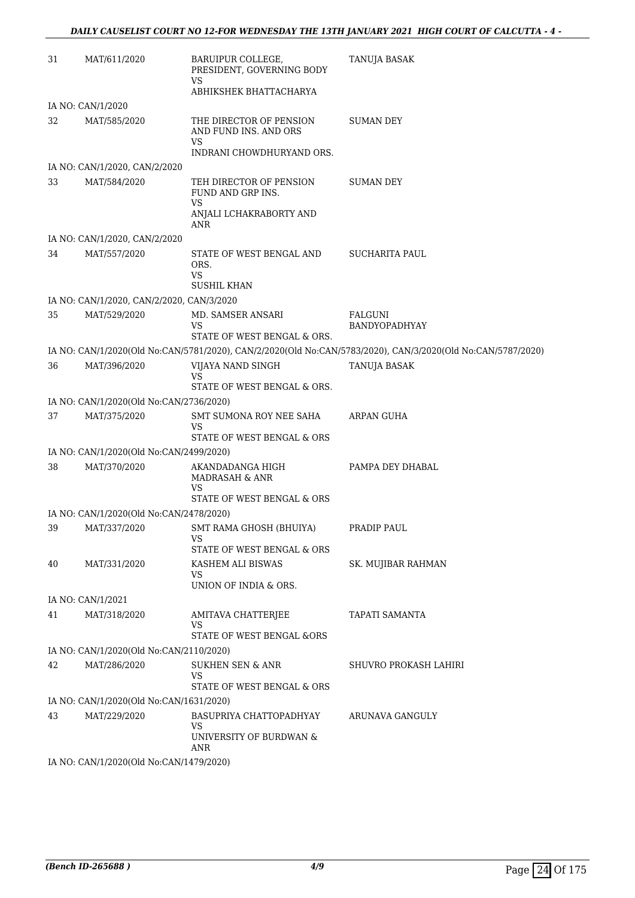| 31 | MAT/611/2020                              | BARUIPUR COLLEGE,<br>PRESIDENT, GOVERNING BODY<br>VS        | TANUJA BASAK                                                                                                |
|----|-------------------------------------------|-------------------------------------------------------------|-------------------------------------------------------------------------------------------------------------|
|    |                                           | ABHIKSHEK BHATTACHARYA                                      |                                                                                                             |
|    | IA NO: CAN/1/2020                         |                                                             |                                                                                                             |
| 32 | MAT/585/2020                              | THE DIRECTOR OF PENSION<br>AND FUND INS. AND ORS            | <b>SUMAN DEY</b>                                                                                            |
|    |                                           | VS<br>INDRANI CHOWDHURYAND ORS.                             |                                                                                                             |
|    | IA NO: CAN/1/2020, CAN/2/2020             |                                                             |                                                                                                             |
| 33 | MAT/584/2020                              | TEH DIRECTOR OF PENSION<br>FUND AND GRP INS.<br>VS          | <b>SUMAN DEY</b>                                                                                            |
|    |                                           | ANJALI LCHAKRABORTY AND<br>ANR                              |                                                                                                             |
|    | IA NO: CAN/1/2020, CAN/2/2020             |                                                             |                                                                                                             |
| 34 | MAT/557/2020                              | STATE OF WEST BENGAL AND<br>ORS.<br>VS                      | <b>SUCHARITA PAUL</b>                                                                                       |
|    |                                           | <b>SUSHIL KHAN</b>                                          |                                                                                                             |
|    | IA NO: CAN/1/2020, CAN/2/2020, CAN/3/2020 |                                                             |                                                                                                             |
| 35 | MAT/529/2020                              | MD. SAMSER ANSARI<br>VS                                     | <b>FALGUNI</b><br>BANDYOPADHYAY                                                                             |
|    |                                           | STATE OF WEST BENGAL & ORS.                                 |                                                                                                             |
|    |                                           |                                                             | IA NO: CAN/1/2020(Old No:CAN/5781/2020), CAN/2/2020(Old No:CAN/5783/2020), CAN/3/2020(Old No:CAN/5787/2020) |
| 36 | MAT/396/2020                              | VIJAYA NAND SINGH<br><b>VS</b>                              | TANUJA BASAK                                                                                                |
|    |                                           | STATE OF WEST BENGAL & ORS.                                 |                                                                                                             |
|    | IA NO: CAN/1/2020(Old No:CAN/2736/2020)   |                                                             |                                                                                                             |
| 37 | MAT/375/2020                              | SMT SUMONA ROY NEE SAHA<br>VS<br>STATE OF WEST BENGAL & ORS | ARPAN GUHA                                                                                                  |
|    | IA NO: CAN/1/2020(Old No:CAN/2499/2020)   |                                                             |                                                                                                             |
| 38 | MAT/370/2020                              | AKANDADANGA HIGH                                            | PAMPA DEY DHABAL                                                                                            |
|    |                                           | MADRASAH & ANR<br>VS                                        |                                                                                                             |
|    |                                           | STATE OF WEST BENGAL & ORS                                  |                                                                                                             |
|    | IA NO: CAN/1/2020(Old No:CAN/2478/2020)   |                                                             |                                                                                                             |
| 39 | MAT/337/2020                              | SMT RAMA GHOSH (BHUIYA)<br>VS                               | PRADIP PAUL                                                                                                 |
|    |                                           | STATE OF WEST BENGAL & ORS                                  |                                                                                                             |
| 40 | MAT/331/2020                              | KASHEM ALI BISWAS<br>VS                                     | SK. MUJIBAR RAHMAN                                                                                          |
|    |                                           | UNION OF INDIA & ORS.                                       |                                                                                                             |
|    | IA NO: CAN/1/2021                         |                                                             |                                                                                                             |
| 41 | MAT/318/2020                              | AMITAVA CHATTERJEE<br><b>VS</b>                             | <b>TAPATI SAMANTA</b>                                                                                       |
|    |                                           | STATE OF WEST BENGAL &ORS                                   |                                                                                                             |
|    | IA NO: CAN/1/2020(Old No:CAN/2110/2020)   |                                                             |                                                                                                             |
| 42 | MAT/286/2020                              | <b>SUKHEN SEN &amp; ANR</b><br>VS                           | SHUVRO PROKASH LAHIRI                                                                                       |
|    |                                           | STATE OF WEST BENGAL & ORS                                  |                                                                                                             |
|    | IA NO: CAN/1/2020(Old No:CAN/1631/2020)   |                                                             |                                                                                                             |
| 43 | MAT/229/2020                              | BASUPRIYA CHATTOPADHYAY<br>VS<br>UNIVERSITY OF BURDWAN &    | ARUNAVA GANGULY                                                                                             |
|    |                                           | ANR                                                         |                                                                                                             |
|    | IA NO: CAN/1/2020(Old No:CAN/1479/2020)   |                                                             |                                                                                                             |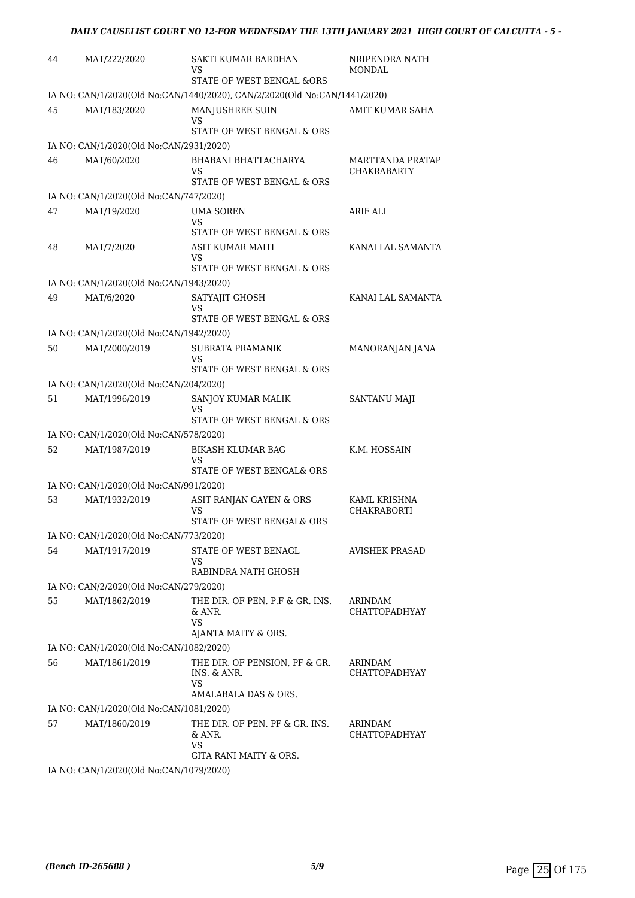| 44 | MAT/222/2020                                            | SAKTI KUMAR BARDHAN<br>VS                                                                              | NRIPENDRA NATH<br><b>MONDAL</b>        |
|----|---------------------------------------------------------|--------------------------------------------------------------------------------------------------------|----------------------------------------|
|    |                                                         | STATE OF WEST BENGAL &ORS<br>IA NO: CAN/1/2020(Old No:CAN/1440/2020), CAN/2/2020(Old No:CAN/1441/2020) |                                        |
| 45 | MAT/183/2020                                            | MANJUSHREE SUIN<br>VS                                                                                  | AMIT KUMAR SAHA                        |
|    |                                                         | STATE OF WEST BENGAL & ORS                                                                             |                                        |
|    | IA NO: CAN/1/2020(Old No:CAN/2931/2020)                 |                                                                                                        |                                        |
| 46 | MAT/60/2020                                             | <b>BHABANI BHATTACHARYA</b><br>VS<br>STATE OF WEST BENGAL & ORS                                        | MARTTANDA PRATAP<br><b>CHAKRABARTY</b> |
|    | IA NO: CAN/1/2020(Old No:CAN/747/2020)                  |                                                                                                        |                                        |
| 47 | MAT/19/2020                                             | <b>UMA SOREN</b><br><b>VS</b><br>STATE OF WEST BENGAL & ORS                                            | ARIF ALI                               |
| 48 | MAT/7/2020                                              | <b>ASIT KUMAR MAITI</b><br><b>VS</b>                                                                   | KANAI LAL SAMANTA                      |
|    |                                                         | STATE OF WEST BENGAL & ORS                                                                             |                                        |
| 49 | IA NO: CAN/1/2020(Old No:CAN/1943/2020)<br>MAT/6/2020   | SATYAJIT GHOSH                                                                                         | KANAI LAL SAMANTA                      |
|    |                                                         | VS<br>STATE OF WEST BENGAL & ORS                                                                       |                                        |
|    | IA NO: CAN/1/2020(Old No:CAN/1942/2020)                 |                                                                                                        |                                        |
| 50 | MAT/2000/2019                                           | SUBRATA PRAMANIK<br>VS<br>STATE OF WEST BENGAL & ORS                                                   | MANORANJAN JANA                        |
|    | IA NO: CAN/1/2020(Old No:CAN/204/2020)                  |                                                                                                        |                                        |
| 51 | MAT/1996/2019                                           | SANJOY KUMAR MALIK<br>VS                                                                               | SANTANU MAJI                           |
|    |                                                         | STATE OF WEST BENGAL & ORS                                                                             |                                        |
| 52 | IA NO: CAN/1/2020(Old No:CAN/578/2020)<br>MAT/1987/2019 | <b>BIKASH KLUMAR BAG</b>                                                                               | K.M. HOSSAIN                           |
|    |                                                         | VS<br>STATE OF WEST BENGAL& ORS                                                                        |                                        |
|    | IA NO: CAN/1/2020(Old No:CAN/991/2020)                  |                                                                                                        |                                        |
| 53 | MAT/1932/2019                                           | ASIT RANJAN GAYEN & ORS<br>VS<br>STATE OF WEST BENGAL& ORS                                             | KAML KRISHNA<br><b>CHAKRABORTI</b>     |
|    | IA NO: CAN/1/2020(Old No:CAN/773/2020)                  |                                                                                                        |                                        |
| 54 | MAT/1917/2019                                           | STATE OF WEST BENAGL<br>VS<br>RABINDRA NATH GHOSH                                                      | <b>AVISHEK PRASAD</b>                  |
|    | IA NO: CAN/2/2020(Old No:CAN/279/2020)                  |                                                                                                        |                                        |
| 55 | MAT/1862/2019                                           | THE DIR. OF PEN. P.F & GR. INS.<br>& ANR.<br><b>VS</b>                                                 | ARINDAM<br><b>CHATTOPADHYAY</b>        |
|    |                                                         | AJANTA MAITY & ORS.                                                                                    |                                        |
|    | IA NO: CAN/1/2020(Old No:CAN/1082/2020)                 |                                                                                                        |                                        |
| 56 | MAT/1861/2019                                           | THE DIR. OF PENSION, PF & GR.<br>INS. & ANR.<br>VS<br>AMALABALA DAS & ORS.                             | <b>ARINDAM</b><br><b>CHATTOPADHYAY</b> |
|    | IA NO: CAN/1/2020(Old No:CAN/1081/2020)                 |                                                                                                        |                                        |
| 57 | MAT/1860/2019                                           | THE DIR. OF PEN. PF & GR. INS.                                                                         | ARINDAM                                |
|    |                                                         | & ANR.<br><b>VS</b><br>GITA RANI MAITY & ORS.                                                          | <b>CHATTOPADHYAY</b>                   |
|    | IA NO: CAN/1/2020(Old No:CAN/1079/2020)                 |                                                                                                        |                                        |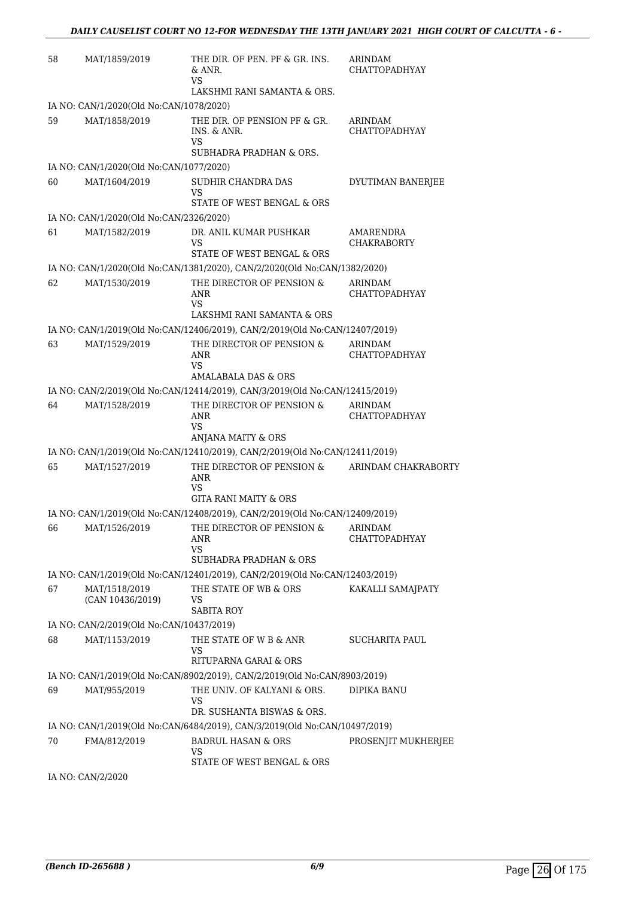| 58 | MAT/1859/2019                            | THE DIR. OF PEN. PF & GR. INS.<br>& ANR.<br>VS                              | ARINDAM<br>CHATTOPADHYAY               |
|----|------------------------------------------|-----------------------------------------------------------------------------|----------------------------------------|
|    |                                          | LAKSHMI RANI SAMANTA & ORS.                                                 |                                        |
|    | IA NO: CAN/1/2020(Old No:CAN/1078/2020)  |                                                                             |                                        |
| 59 | MAT/1858/2019                            | THE DIR. OF PENSION PF & GR.<br>INS. & ANR.<br>VS                           | ARINDAM<br><b>CHATTOPADHYAY</b>        |
|    |                                          | SUBHADRA PRADHAN & ORS.                                                     |                                        |
|    | IA NO: CAN/1/2020(Old No:CAN/1077/2020)  |                                                                             |                                        |
| 60 | MAT/1604/2019                            | SUDHIR CHANDRA DAS<br>VS<br>STATE OF WEST BENGAL & ORS                      | DYUTIMAN BANERJEE                      |
|    | IA NO: CAN/1/2020(Old No:CAN/2326/2020)  |                                                                             |                                        |
| 61 | MAT/1582/2019                            | DR. ANIL KUMAR PUSHKAR<br>VS<br>STATE OF WEST BENGAL & ORS                  | AMARENDRA<br><b>CHAKRABORTY</b>        |
|    |                                          | IA NO: CAN/1/2020(Old No:CAN/1381/2020), CAN/2/2020(Old No:CAN/1382/2020)   |                                        |
| 62 | MAT/1530/2019                            | THE DIRECTOR OF PENSION &<br>ANR<br><b>VS</b>                               | ARINDAM<br><b>CHATTOPADHYAY</b>        |
|    |                                          | LAKSHMI RANI SAMANTA & ORS                                                  |                                        |
|    |                                          | IA NO: CAN/1/2019(Old No:CAN/12406/2019), CAN/2/2019(Old No:CAN/12407/2019) |                                        |
| 63 | MAT/1529/2019                            | THE DIRECTOR OF PENSION &<br>ANR<br><b>VS</b>                               | <b>ARINDAM</b><br><b>CHATTOPADHYAY</b> |
|    |                                          | <b>AMALABALA DAS &amp; ORS</b>                                              |                                        |
|    |                                          | IA NO: CAN/2/2019(Old No:CAN/12414/2019), CAN/3/2019(Old No:CAN/12415/2019) |                                        |
| 64 | MAT/1528/2019                            | THE DIRECTOR OF PENSION &<br>ANR<br><b>VS</b>                               | ARINDAM<br><b>CHATTOPADHYAY</b>        |
|    |                                          | ANJANA MAITY & ORS                                                          |                                        |
|    |                                          | IA NO: CAN/1/2019(Old No:CAN/12410/2019), CAN/2/2019(Old No:CAN/12411/2019) |                                        |
| 65 | MAT/1527/2019                            | THE DIRECTOR OF PENSION &<br>ANR<br>VS<br>GITA RANI MAITY & ORS             | ARINDAM CHAKRABORTY                    |
|    |                                          | IA NO: CAN/1/2019(Old No:CAN/12408/2019), CAN/2/2019(Old No:CAN/12409/2019) |                                        |
| 66 | MAT/1526/2019                            | THE DIRECTOR OF PENSION & ARINDAM<br>ANR                                    | <b>CHATTOPADHYAY</b>                   |
|    |                                          | VS<br>SUBHADRA PRADHAN & ORS                                                |                                        |
|    |                                          | IA NO: CAN/1/2019(Old No:CAN/12401/2019), CAN/2/2019(Old No:CAN/12403/2019) |                                        |
| 67 | MAT/1518/2019                            | THE STATE OF WB & ORS                                                       | KAKALLI SAMAJPATY                      |
|    | (CAN 10436/2019)                         | VS<br><b>SABITA ROY</b>                                                     |                                        |
|    | IA NO: CAN/2/2019(Old No:CAN/10437/2019) |                                                                             |                                        |
| 68 | MAT/1153/2019                            | THE STATE OF W B & ANR<br>VS<br>RITUPARNA GARAI & ORS                       | SUCHARITA PAUL                         |
|    |                                          | IA NO: CAN/1/2019(Old No:CAN/8902/2019), CAN/2/2019(Old No:CAN/8903/2019)   |                                        |
| 69 | MAT/955/2019                             | THE UNIV. OF KALYANI & ORS.                                                 | DIPIKA BANU                            |
|    |                                          | VS<br>DR. SUSHANTA BISWAS & ORS.                                            |                                        |
|    |                                          | IA NO: CAN/1/2019(Old No:CAN/6484/2019), CAN/3/2019(Old No:CAN/10497/2019)  |                                        |
| 70 | FMA/812/2019                             | <b>BADRUL HASAN &amp; ORS</b><br>VS                                         | PROSENJIT MUKHERJEE                    |
|    |                                          | STATE OF WEST BENGAL & ORS                                                  |                                        |
|    | IA NO: CAN/2/2020                        |                                                                             |                                        |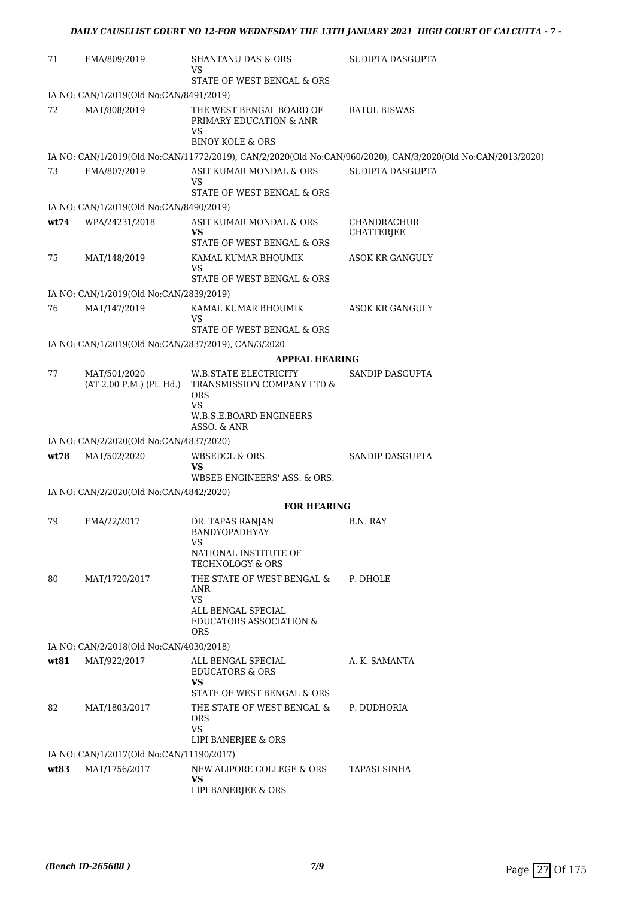| 71   | FMA/809/2019                                        | <b>SHANTANU DAS &amp; ORS</b><br>VS                                                 | SUDIPTA DASGUPTA                                                                                            |
|------|-----------------------------------------------------|-------------------------------------------------------------------------------------|-------------------------------------------------------------------------------------------------------------|
|      |                                                     | STATE OF WEST BENGAL & ORS                                                          |                                                                                                             |
|      | IA NO: CAN/1/2019(Old No:CAN/8491/2019)             |                                                                                     |                                                                                                             |
| 72   | MAT/808/2019                                        | THE WEST BENGAL BOARD OF<br>PRIMARY EDUCATION & ANR<br>VS                           | RATUL BISWAS                                                                                                |
|      |                                                     | <b>BINOY KOLE &amp; ORS</b>                                                         |                                                                                                             |
|      |                                                     |                                                                                     | IA NO: CAN/1/2019(Old No:CAN/11772/2019), CAN/2/2020(Old No:CAN/960/2020), CAN/3/2020(Old No:CAN/2013/2020) |
| 73   | FMA/807/2019                                        | ASIT KUMAR MONDAL & ORS<br>VS<br>STATE OF WEST BENGAL & ORS                         | SUDIPTA DASGUPTA                                                                                            |
|      | IA NO: CAN/1/2019(Old No:CAN/8490/2019)             |                                                                                     |                                                                                                             |
| wt74 | WPA/24231/2018                                      | ASIT KUMAR MONDAL & ORS                                                             | CHANDRACHUR                                                                                                 |
|      |                                                     | VS<br>STATE OF WEST BENGAL & ORS                                                    | CHATTERJEE                                                                                                  |
| 75   | MAT/148/2019                                        | KAMAL KUMAR BHOUMIK                                                                 | ASOK KR GANGULY                                                                                             |
|      |                                                     | VS<br>STATE OF WEST BENGAL & ORS                                                    |                                                                                                             |
|      | IA NO: CAN/1/2019(Old No:CAN/2839/2019)             |                                                                                     |                                                                                                             |
| 76   | MAT/147/2019                                        | KAMAL KUMAR BHOUMIK<br>VS                                                           | <b>ASOK KR GANGULY</b>                                                                                      |
|      |                                                     | STATE OF WEST BENGAL & ORS                                                          |                                                                                                             |
|      | IA NO: CAN/1/2019(Old No:CAN/2837/2019), CAN/3/2020 |                                                                                     |                                                                                                             |
|      |                                                     | <b>APPEAL HEARING</b>                                                               |                                                                                                             |
| 77   | MAT/501/2020<br>(AT 2.00 P.M.) (Pt. Hd.)            | W.B.STATE ELECTRICITY<br>TRANSMISSION COMPANY LTD &<br><b>ORS</b><br>VS             | SANDIP DASGUPTA                                                                                             |
|      |                                                     | W.B.S.E.BOARD ENGINEERS<br>ASSO. & ANR                                              |                                                                                                             |
|      | IA NO: CAN/2/2020(Old No:CAN/4837/2020)             |                                                                                     |                                                                                                             |
| wt78 | MAT/502/2020                                        | WBSEDCL & ORS.<br>VS                                                                | SANDIP DASGUPTA                                                                                             |
|      | IA NO: CAN/2/2020(Old No:CAN/4842/2020)             | WBSEB ENGINEERS' ASS. & ORS.                                                        |                                                                                                             |
|      |                                                     | <b>FOR HEARING</b>                                                                  |                                                                                                             |
| 79   | FMA/22/2017                                         | DR. TAPAS RANJAN                                                                    | B.N. RAY                                                                                                    |
|      |                                                     | BANDYOPADHYAY<br>VS                                                                 |                                                                                                             |
|      |                                                     | NATIONAL INSTITUTE OF<br><b>TECHNOLOGY &amp; ORS</b>                                |                                                                                                             |
| 80   | MAT/1720/2017                                       | THE STATE OF WEST BENGAL &<br>ANR                                                   | P. DHOLE                                                                                                    |
|      |                                                     | <b>VS</b><br>ALL BENGAL SPECIAL<br><b>EDUCATORS ASSOCIATION &amp;</b><br><b>ORS</b> |                                                                                                             |
|      | IA NO: CAN/2/2018(Old No:CAN/4030/2018)             |                                                                                     |                                                                                                             |
| wt81 | MAT/922/2017                                        | ALL BENGAL SPECIAL<br><b>EDUCATORS &amp; ORS</b><br>VS                              | A. K. SAMANTA                                                                                               |
|      |                                                     | STATE OF WEST BENGAL & ORS                                                          |                                                                                                             |
| 82   | MAT/1803/2017                                       | THE STATE OF WEST BENGAL &<br>ORS<br><b>VS</b>                                      | P. DUDHORIA                                                                                                 |
|      |                                                     | LIPI BANERJEE & ORS                                                                 |                                                                                                             |
|      | IA NO: CAN/1/2017(Old No:CAN/11190/2017)            |                                                                                     |                                                                                                             |
| wt83 | MAT/1756/2017                                       | NEW ALIPORE COLLEGE & ORS<br>VS<br>LIPI BANERJEE & ORS                              | TAPASI SINHA                                                                                                |
|      |                                                     |                                                                                     |                                                                                                             |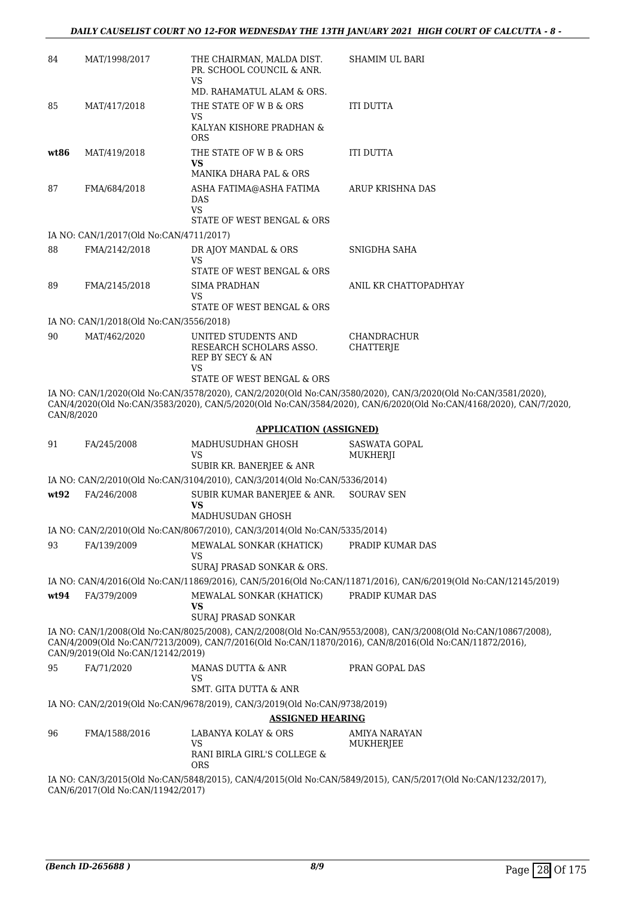| 84         | MAT/1998/2017                           | THE CHAIRMAN, MALDA DIST.<br>PR. SCHOOL COUNCIL & ANR.<br><b>VS</b>       | SHAMIM UL BARI                                                                                                                                                                                                                   |
|------------|-----------------------------------------|---------------------------------------------------------------------------|----------------------------------------------------------------------------------------------------------------------------------------------------------------------------------------------------------------------------------|
|            |                                         | MD. RAHAMATUL ALAM & ORS.                                                 |                                                                                                                                                                                                                                  |
| 85         | MAT/417/2018                            | THE STATE OF W B & ORS                                                    | <b>ITI DUTTA</b>                                                                                                                                                                                                                 |
|            |                                         | VS<br>KALYAN KISHORE PRADHAN &<br><b>ORS</b>                              |                                                                                                                                                                                                                                  |
| wt86       | MAT/419/2018                            | THE STATE OF W B & ORS                                                    | <b>ITI DUTTA</b>                                                                                                                                                                                                                 |
|            |                                         | VS<br>MANIKA DHARA PAL & ORS                                              |                                                                                                                                                                                                                                  |
| 87         | FMA/684/2018                            | ASHA FATIMA@ASHA FATIMA<br>DAS<br><b>VS</b><br>STATE OF WEST BENGAL & ORS | ARUP KRISHNA DAS                                                                                                                                                                                                                 |
|            | IA NO: CAN/1/2017(Old No:CAN/4711/2017) |                                                                           |                                                                                                                                                                                                                                  |
| 88         | FMA/2142/2018                           | DR AJOY MANDAL & ORS                                                      | SNIGDHA SAHA                                                                                                                                                                                                                     |
|            |                                         | VS<br>STATE OF WEST BENGAL & ORS                                          |                                                                                                                                                                                                                                  |
| 89         | FMA/2145/2018                           | SIMA PRADHAN                                                              | ANIL KR CHATTOPADHYAY                                                                                                                                                                                                            |
|            |                                         | <b>VS</b>                                                                 |                                                                                                                                                                                                                                  |
|            |                                         | STATE OF WEST BENGAL & ORS                                                |                                                                                                                                                                                                                                  |
|            | IA NO: CAN/1/2018(Old No:CAN/3556/2018) |                                                                           |                                                                                                                                                                                                                                  |
| 90         | MAT/462/2020                            | UNITED STUDENTS AND<br>RESEARCH SCHOLARS ASSO.<br>REP BY SECY & AN<br>VS  | <b>CHANDRACHUR</b><br>CHATTERJE                                                                                                                                                                                                  |
|            |                                         | STATE OF WEST BENGAL & ORS                                                |                                                                                                                                                                                                                                  |
| CAN/8/2020 |                                         |                                                                           | IA NO: CAN/1/2020(Old No:CAN/3578/2020), CAN/2/2020(Old No:CAN/3580/2020), CAN/3/2020(Old No:CAN/3581/2020),<br>CAN/4/2020(Old No:CAN/3583/2020), CAN/5/2020(Old No:CAN/3584/2020), CAN/6/2020(Old No:CAN/4168/2020), CAN/7/2020 |
|            |                                         | <b>APPLICATION (ASSIGNED)</b>                                             |                                                                                                                                                                                                                                  |
| 91         | FA/245/2008                             | MADHUSUDHAN GHOSH<br>VS<br>SUBIR KR. BANERJEE & ANR                       | <b>SASWATA GOPAL</b><br>MUKHERJI                                                                                                                                                                                                 |
|            |                                         | IA NO: CAN/2/2010(Old No:CAN/3104/2010), CAN/3/2014(Old No:CAN/5336/2014) |                                                                                                                                                                                                                                  |
| wt92       | FA/246/2008                             | SUBIR KUMAR BANERJEE & ANR.<br>VS                                         | <b>SOURAV SEN</b>                                                                                                                                                                                                                |
|            |                                         | MADHUSUDAN GHOSH                                                          |                                                                                                                                                                                                                                  |
| 93         | FA/139/2009                             | IA NO: CAN/2/2010(Old No:CAN/8067/2010), CAN/3/2014(Old No:CAN/5335/2014) | PRADIP KUMAR DAS                                                                                                                                                                                                                 |
|            |                                         | MEWALAL SONKAR (KHATICK)<br>VS                                            |                                                                                                                                                                                                                                  |
|            |                                         | SURAJ PRASAD SONKAR & ORS.                                                |                                                                                                                                                                                                                                  |
|            |                                         |                                                                           | IA NO: CAN/4/2016(Old No:CAN/11869/2016), CAN/5/2016(Old No:CAN/11871/2016), CAN/6/2019(Old No:CAN/12145/2019)                                                                                                                   |
| wt94       | FA/379/2009                             | MEWALAL SONKAR (KHATICK)<br>VS<br>SURAJ PRASAD SONKAR                     | PRADIP KUMAR DAS                                                                                                                                                                                                                 |
|            | CAN/9/2019(Old No:CAN/12142/2019)       |                                                                           | IA NO: CAN/1/2008(Old No:CAN/8025/2008), CAN/2/2008(Old No:CAN/9553/2008), CAN/3/2008(Old No:CAN/10867/2008),<br>CAN/4/2009(Old No:CAN/7213/2009), CAN/7/2016(Old No:CAN/11870/2016), CAN/8/2016(Old No:CAN/11872/2016),         |
| 95         | FA/71/2020                              | MANAS DUTTA & ANR<br>VS                                                   | PRAN GOPAL DAS                                                                                                                                                                                                                   |
|            |                                         | SMT. GITA DUTTA & ANR                                                     |                                                                                                                                                                                                                                  |
|            |                                         | IA NO: CAN/2/2019(Old No:CAN/9678/2019), CAN/3/2019(Old No:CAN/9738/2019) |                                                                                                                                                                                                                                  |
| 96         | FMA/1588/2016                           | <b>ASSIGNED HEARING</b><br>LABANYA KOLAY & ORS                            | AMIYA NARAYAN                                                                                                                                                                                                                    |
|            |                                         | VS<br>RANI BIRLA GIRL'S COLLEGE &                                         | MUKHERJEE                                                                                                                                                                                                                        |
|            |                                         | <b>ORS</b>                                                                |                                                                                                                                                                                                                                  |
|            |                                         |                                                                           | IA NO: CAN/3/2015(Old No:CAN/5848/2015), CAN/4/2015(Old No:CAN/5849/2015), CAN/5/2017(Old No:CAN/1232/2017),                                                                                                                     |

CAN/6/2017(Old No:CAN/11942/2017)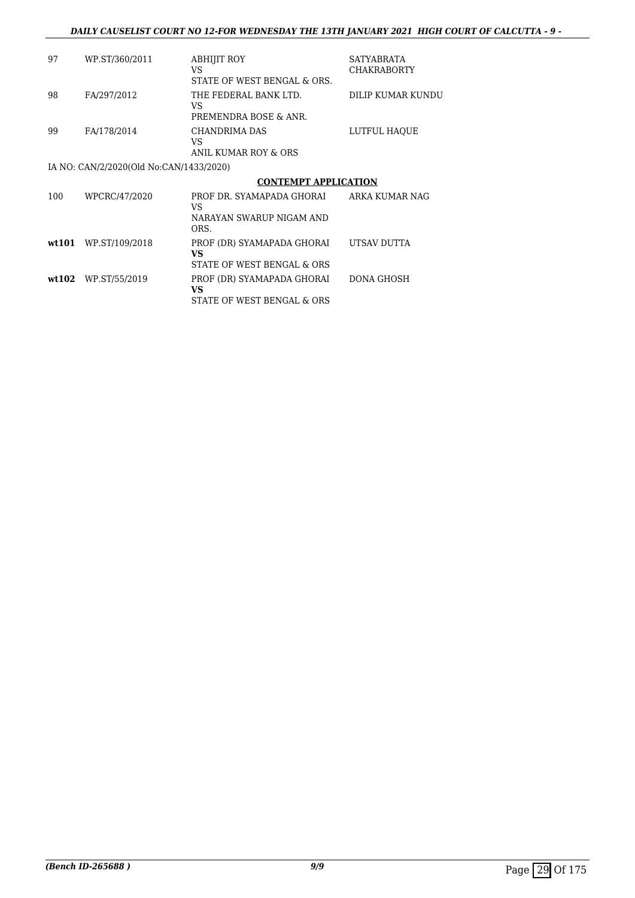#### *DAILY CAUSELIST COURT NO 12-FOR WEDNESDAY THE 13TH JANUARY 2021 HIGH COURT OF CALCUTTA - 9 -*

| 97  | WP.ST/360/2011                          | ABHIJIT ROY<br>VS<br>STATE OF WEST BENGAL & ORS.     | <b>SATYABRATA</b><br><b>CHAKRABORTY</b> |
|-----|-----------------------------------------|------------------------------------------------------|-----------------------------------------|
| 98  | FA/297/2012                             | THE FEDERAL BANK LTD.<br>VS<br>PREMENDRA BOSE & ANR. | DILIP KUMAR KUNDU                       |
| 99  | FA/178/2014                             | CHANDRIMA DAS<br>VS<br>ANIL KUMAR ROY & ORS          | LUTFUL HAOUE                            |
|     | IA NO: CAN/2/2020(Old No:CAN/1433/2020) |                                                      |                                         |
|     |                                         | <b>CONTEMPT APPLICATION</b>                          |                                         |
| 100 | WPCRC/47/2020                           | PROF DR. SYAMAPADA GHORAI<br>VS                      | ARKA KUMAR NAG                          |

|                        | NARAYAN SWARUP NIGAM AND<br>ORS.                               |             |
|------------------------|----------------------------------------------------------------|-------------|
| $wt101$ WP.ST/109/2018 | PROF (DR) SYAMAPADA GHORAI<br>VS                               | UTSAV DUTTA |
|                        | STATE OF WEST BENGAL & ORS                                     |             |
| wt102 WP.ST/55/2019    | PROF (DR) SYAMAPADA GHORAI<br>VS<br>STATE OF WEST BENGAL & ORS | DONA GHOSH  |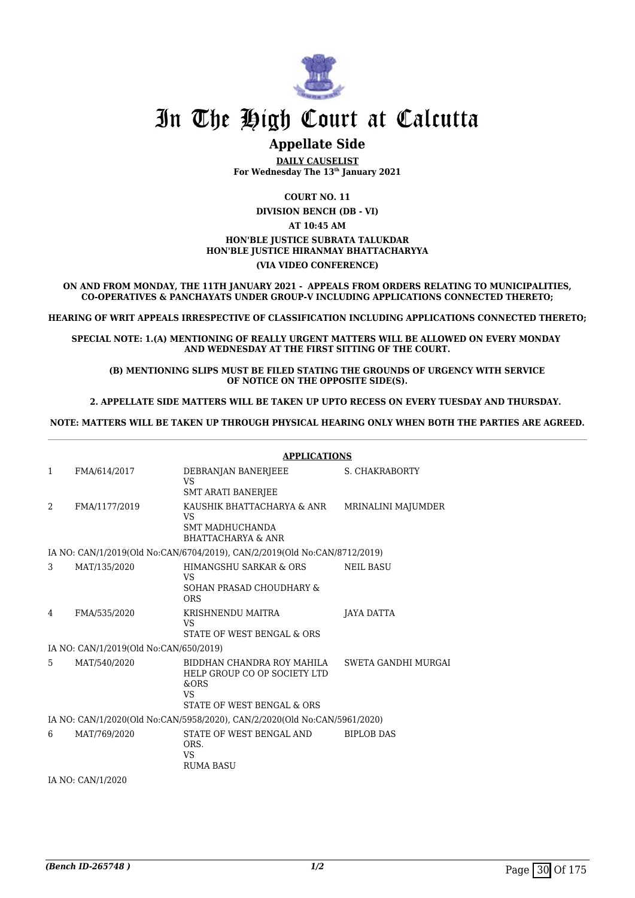

### **Appellate Side**

**DAILY CAUSELIST For Wednesday The 13th January 2021**

**COURT NO. 11**

**DIVISION BENCH (DB - VI) AT 10:45 AM HON'BLE JUSTICE SUBRATA TALUKDAR**

#### **HON'BLE JUSTICE HIRANMAY BHATTACHARYYA**

#### **(VIA VIDEO CONFERENCE)**

**ON AND FROM MONDAY, THE 11TH JANUARY 2021 - APPEALS FROM ORDERS RELATING TO MUNICIPALITIES, CO-OPERATIVES & PANCHAYATS UNDER GROUP-V INCLUDING APPLICATIONS CONNECTED THERETO;**

**HEARING OF WRIT APPEALS IRRESPECTIVE OF CLASSIFICATION INCLUDING APPLICATIONS CONNECTED THERETO;**

**SPECIAL NOTE: 1.(A) MENTIONING OF REALLY URGENT MATTERS WILL BE ALLOWED ON EVERY MONDAY AND WEDNESDAY AT THE FIRST SITTING OF THE COURT.**

 **(B) MENTIONING SLIPS MUST BE FILED STATING THE GROUNDS OF URGENCY WITH SERVICE OF NOTICE ON THE OPPOSITE SIDE(S).**

 **2. APPELLATE SIDE MATTERS WILL BE TAKEN UP UPTO RECESS ON EVERY TUESDAY AND THURSDAY.** 

**NOTE: MATTERS WILL BE TAKEN UP THROUGH PHYSICAL HEARING ONLY WHEN BOTH THE PARTIES ARE AGREED.**

|                                                                           |                                        | <b>APPLICATIONS</b>                                                                                           |                     |
|---------------------------------------------------------------------------|----------------------------------------|---------------------------------------------------------------------------------------------------------------|---------------------|
| $\mathbf{1}$                                                              | FMA/614/2017                           | DEBRANJAN BANERJEEE<br><b>VS</b><br><b>SMT ARATI BANERJEE</b>                                                 | S. CHAKRABORTY      |
| 2                                                                         | FMA/1177/2019                          | KAUSHIK BHATTACHARYA & ANR<br>VS<br><b>SMT MADHUCHANDA</b><br><b>BHATTACHARYA &amp; ANR</b>                   | MRINALINI MAJUMDER  |
|                                                                           |                                        | IA NO: CAN/1/2019(Old No:CAN/6704/2019), CAN/2/2019(Old No:CAN/8712/2019)                                     |                     |
| 3                                                                         | MAT/135/2020                           | HIMANGSHU SARKAR & ORS<br>VS<br>SOHAN PRASAD CHOUDHARY &<br><b>ORS</b>                                        | <b>NEIL BASU</b>    |
| 4                                                                         | FMA/535/2020                           | KRISHNENDU MAITRA<br>VS<br>STATE OF WEST BENGAL & ORS                                                         | JAYA DATTA          |
|                                                                           | IA NO: CAN/1/2019(Old No:CAN/650/2019) |                                                                                                               |                     |
| 5                                                                         | MAT/540/2020                           | BIDDHAN CHANDRA ROY MAHILA<br>HELP GROUP CO OP SOCIETY LTD<br>&ORS<br><b>VS</b><br>STATE OF WEST BENGAL & ORS | SWETA GANDHI MURGAI |
| IA NO: CAN/1/2020(Old No:CAN/5958/2020), CAN/2/2020(Old No:CAN/5961/2020) |                                        |                                                                                                               |                     |
| 6                                                                         | MAT/769/2020<br>TA NIO CANTILIONO      | STATE OF WEST BENGAL AND<br>ORS.<br>VS<br><b>RUMA BASU</b>                                                    | <b>BIPLOB DAS</b>   |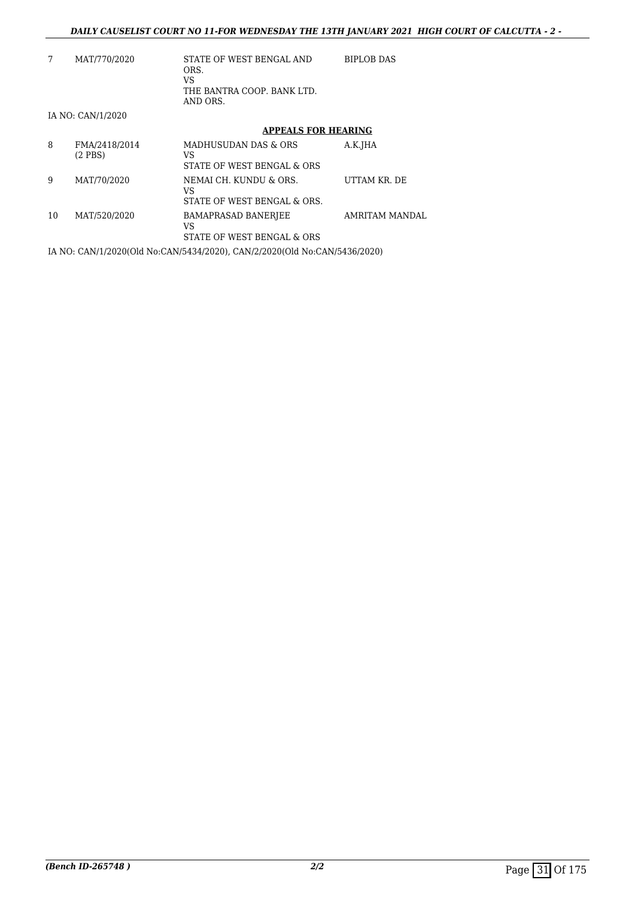| 7  | MAT/770/2020                  | STATE OF WEST BENGAL AND<br>ORS.<br>VS.<br>THE BANTRA COOP. BANK LTD.<br>AND ORS. | <b>BIPLOB DAS</b> |
|----|-------------------------------|-----------------------------------------------------------------------------------|-------------------|
|    | IA NO: CAN/1/2020             |                                                                                   |                   |
|    |                               | <b>APPEALS FOR HEARING</b>                                                        |                   |
| 8  | FMA/2418/2014<br>$(2$ PBS $)$ | MADHUSUDAN DAS & ORS<br>VS.<br>STATE OF WEST BENGAL & ORS                         | A.K.JHA           |
| 9  | MAT/70/2020                   | NEMAI CH. KUNDU & ORS.<br>VS<br>STATE OF WEST BENGAL & ORS.                       | UTTAM KR. DE      |
| 10 | MAT/520/2020                  | <b>BAMAPRASAD BANERJEE</b><br>VS.<br>STATE OF WEST BENGAL & ORS                   | AMRITAM MANDAL    |
|    |                               | IA NO: CAN/1/2020(Old No:CAN/5434/2020), CAN/2/2020(Old No:CAN/5436/2020)         |                   |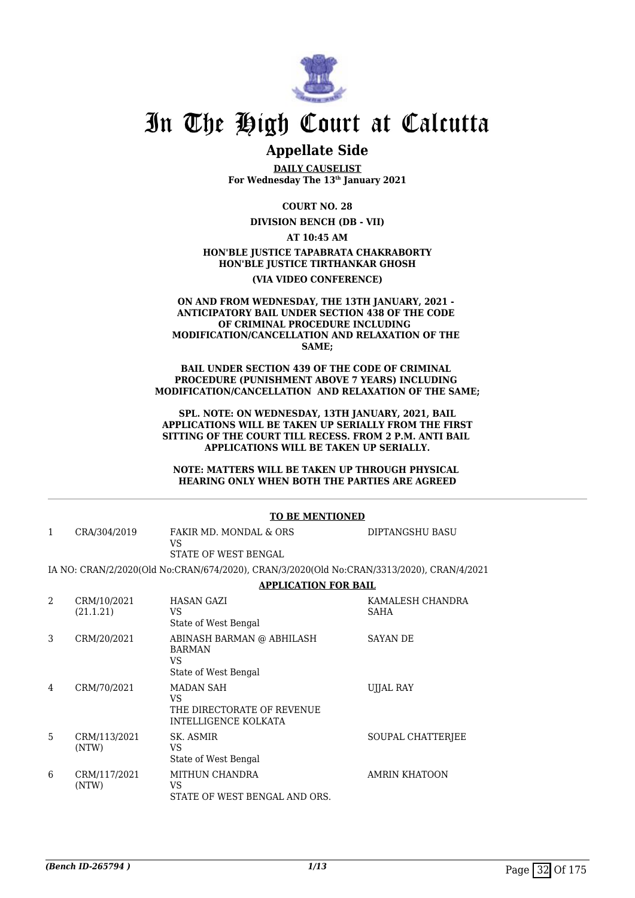

### **Appellate Side**

**DAILY CAUSELIST For Wednesday The 13th January 2021**

**COURT NO. 28**

**DIVISION BENCH (DB - VII) AT 10:45 AM HON'BLE JUSTICE TAPABRATA CHAKRABORTY**

#### **HON'BLE JUSTICE TIRTHANKAR GHOSH**

**(VIA VIDEO CONFERENCE)**

#### **ON AND FROM WEDNESDAY, THE 13TH JANUARY, 2021 - ANTICIPATORY BAIL UNDER SECTION 438 OF THE CODE OF CRIMINAL PROCEDURE INCLUDING MODIFICATION/CANCELLATION AND RELAXATION OF THE SAME;**

**BAIL UNDER SECTION 439 OF THE CODE OF CRIMINAL PROCEDURE (PUNISHMENT ABOVE 7 YEARS) INCLUDING MODIFICATION/CANCELLATION AND RELAXATION OF THE SAME;**

#### **SPL. NOTE: ON WEDNESDAY, 13TH JANUARY, 2021, BAIL APPLICATIONS WILL BE TAKEN UP SERIALLY FROM THE FIRST SITTING OF THE COURT TILL RECESS. FROM 2 P.M. ANTI BAIL APPLICATIONS WILL BE TAKEN UP SERIALLY.**

**NOTE: MATTERS WILL BE TAKEN UP THROUGH PHYSICAL HEARING ONLY WHEN BOTH THE PARTIES ARE AGREED**

#### **TO BE MENTIONED**

| $\mathbf{1}$   | CRA/304/2019             | FAKIR MD. MONDAL & ORS<br>VS.                                                             | DIPTANGSHU BASU                 |
|----------------|--------------------------|-------------------------------------------------------------------------------------------|---------------------------------|
|                |                          | STATE OF WEST BENGAL                                                                      |                                 |
|                |                          | IA NO: CRAN/2/2020(Old No:CRAN/674/2020), CRAN/3/2020(Old No:CRAN/3313/2020), CRAN/4/2021 |                                 |
|                |                          | <b>APPLICATION FOR BAIL</b>                                                               |                                 |
| $\mathfrak{D}$ | CRM/10/2021<br>(21.1.21) | <b>HASAN GAZI</b><br><b>VS</b><br>State of West Bengal                                    | KAMALESH CHANDRA<br><b>SAHA</b> |
| 3              | CRM/20/2021              | ABINASH BARMAN @ ABHILASH<br><b>BARMAN</b><br>VS.<br>State of West Bengal                 | <b>SAYAN DE</b>                 |
| 4              | CRM/70/2021              | MADAN SAH<br>VS.<br>THE DIRECTORATE OF REVENUE<br>INTELLIGENCE KOLKATA                    | UJJAL RAY                       |
| 5              | CRM/113/2021<br>(NTW)    | SK. ASMIR<br>VS<br>State of West Bengal                                                   | SOUPAL CHATTERJEE               |
| 6              | CRM/117/2021<br>(NTW)    | MITHUN CHANDRA<br>VS.<br>STATE OF WEST BENGAL AND ORS.                                    | <b>AMRIN KHATOON</b>            |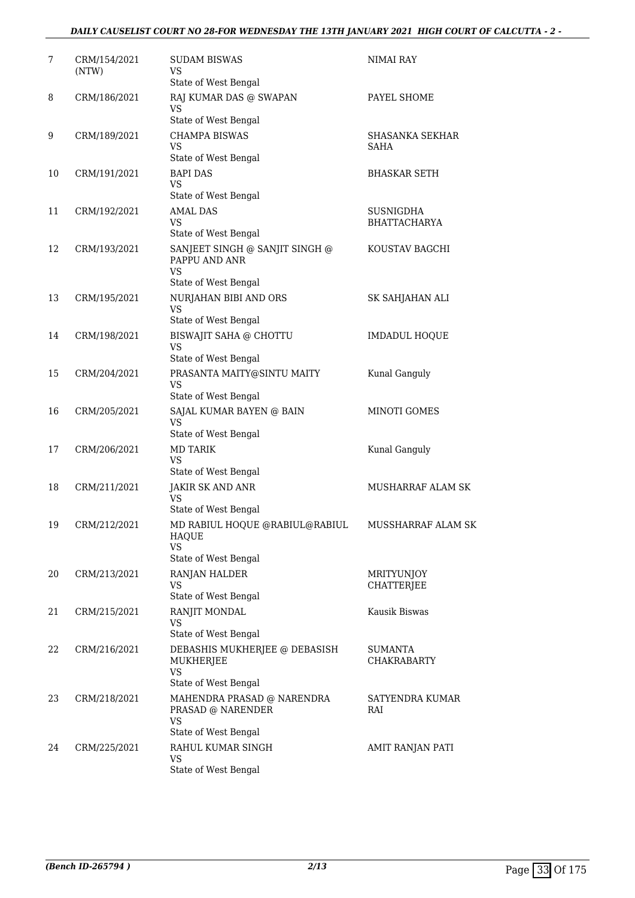| 7  | CRM/154/2021<br>(NTW) | <b>SUDAM BISWAS</b><br>VS<br>State of West Bengal                                    | NIMAI RAY                        |
|----|-----------------------|--------------------------------------------------------------------------------------|----------------------------------|
| 8  | CRM/186/2021          | RAJ KUMAR DAS @ SWAPAN<br><b>VS</b>                                                  | PAYEL SHOME                      |
| 9  | CRM/189/2021          | State of West Bengal<br><b>CHAMPA BISWAS</b>                                         | SHASANKA SEKHAR                  |
|    |                       | VS<br>State of West Bengal                                                           | SAHA                             |
| 10 | CRM/191/2021          | <b>BAPI DAS</b><br>VS                                                                | <b>BHASKAR SETH</b>              |
| 11 | CRM/192/2021          | State of West Bengal<br><b>AMAL DAS</b><br>VS<br>State of West Bengal                | SUSNIGDHA<br><b>BHATTACHARYA</b> |
| 12 | CRM/193/2021          | SANJEET SINGH @ SANJIT SINGH @<br>PAPPU AND ANR<br>VS                                | KOUSTAV BAGCHI                   |
|    |                       | State of West Bengal                                                                 |                                  |
| 13 | CRM/195/2021          | NURJAHAN BIBI AND ORS<br><b>VS</b><br>State of West Bengal                           | SK SAHJAHAN ALI                  |
| 14 | CRM/198/2021          | <b>BISWAJIT SAHA @ CHOTTU</b><br><b>VS</b>                                           | <b>IMDADUL HOQUE</b>             |
|    |                       | State of West Bengal                                                                 |                                  |
| 15 | CRM/204/2021          | PRASANTA MAITY@SINTU MAITY<br>VS<br>State of West Bengal                             | Kunal Ganguly                    |
| 16 | CRM/205/2021          | SAJAL KUMAR BAYEN @ BAIN<br><b>VS</b>                                                | MINOTI GOMES                     |
|    |                       | State of West Bengal                                                                 |                                  |
| 17 | CRM/206/2021          | <b>MD TARIK</b><br>VS<br>State of West Bengal                                        | Kunal Ganguly                    |
| 18 | CRM/211/2021          | <b>JAKIR SK AND ANR</b><br>VS                                                        | MUSHARRAF ALAM SK                |
|    |                       | State of West Bengal                                                                 |                                  |
| 19 | CRM/212/2021          | MD RABIUL HOQUE @RABIUL@RABIUL<br>HAQUE<br><b>VS</b>                                 | MUSSHARRAF ALAM SK               |
|    |                       | State of West Bengal                                                                 |                                  |
| 20 | CRM/213/2021          | RANJAN HALDER<br><b>VS</b>                                                           | <b>MRITYUNJOY</b><br>CHATTERJEE  |
|    |                       | State of West Bengal                                                                 |                                  |
| 21 | CRM/215/2021          | RANJIT MONDAL<br><b>VS</b><br>State of West Bengal                                   | Kausik Biswas                    |
| 22 | CRM/216/2021          | DEBASHIS MUKHERJEE @ DEBASISH<br>MUKHERJEE<br><b>VS</b><br>State of West Bengal      | SUMANTA<br><b>CHAKRABARTY</b>    |
| 23 | CRM/218/2021          | MAHENDRA PRASAD @ NARENDRA<br>PRASAD @ NARENDER<br><b>VS</b><br>State of West Bengal | SATYENDRA KUMAR<br>RAI           |
| 24 | CRM/225/2021          | RAHUL KUMAR SINGH<br>VS<br>State of West Bengal                                      | AMIT RANJAN PATI                 |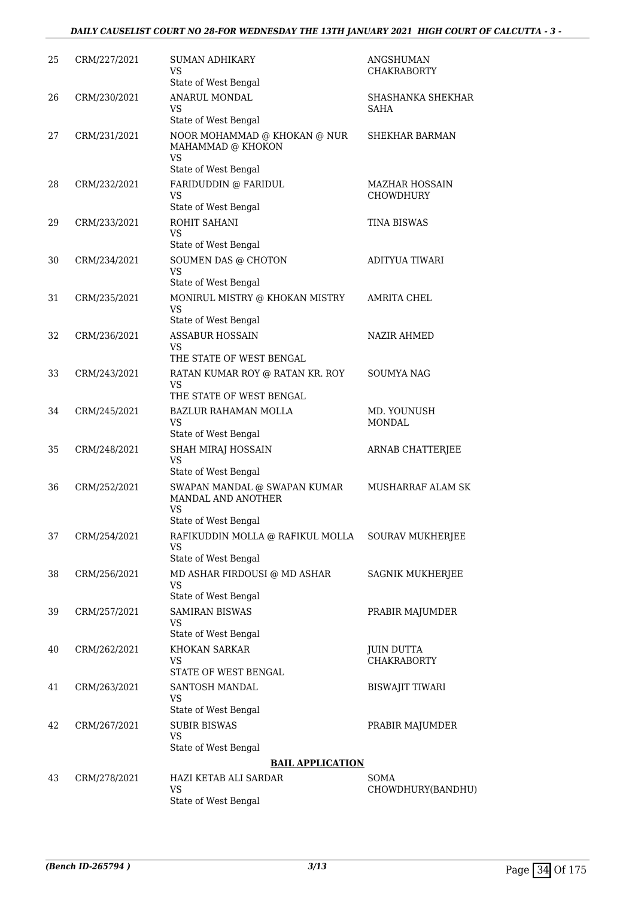| 25 | CRM/227/2021 | <b>SUMAN ADHIKARY</b><br>VS<br>State of West Bengal                                     | ANGSHUMAN<br><b>CHAKRABORTY</b>           |
|----|--------------|-----------------------------------------------------------------------------------------|-------------------------------------------|
| 26 | CRM/230/2021 | ANARUL MONDAL<br><b>VS</b>                                                              | SHASHANKA SHEKHAR<br>SAHA                 |
| 27 | CRM/231/2021 | State of West Bengal<br>NOOR MOHAMMAD @ KHOKAN @ NUR<br>MAHAMMAD @ KHOKON<br><b>VS</b>  | SHEKHAR BARMAN                            |
| 28 | CRM/232/2021 | State of West Bengal<br>FARIDUDDIN @ FARIDUL<br><b>VS</b><br>State of West Bengal       | <b>MAZHAR HOSSAIN</b><br><b>CHOWDHURY</b> |
| 29 | CRM/233/2021 | ROHIT SAHANI<br>VS                                                                      | <b>TINA BISWAS</b>                        |
| 30 | CRM/234/2021 | State of West Bengal<br>SOUMEN DAS @ CHOTON<br><b>VS</b>                                | ADITYUA TIWARI                            |
| 31 | CRM/235/2021 | State of West Bengal<br>MONIRUL MISTRY @ KHOKAN MISTRY<br><b>VS</b>                     | <b>AMRITA CHEL</b>                        |
| 32 | CRM/236/2021 | State of West Bengal<br><b>ASSABUR HOSSAIN</b><br>VS                                    | <b>NAZIR AHMED</b>                        |
| 33 | CRM/243/2021 | THE STATE OF WEST BENGAL<br>RATAN KUMAR ROY @ RATAN KR. ROY<br><b>VS</b>                | <b>SOUMYA NAG</b>                         |
| 34 | CRM/245/2021 | THE STATE OF WEST BENGAL<br>BAZLUR RAHAMAN MOLLA<br><b>VS</b><br>State of West Bengal   | MD. YOUNUSH<br><b>MONDAL</b>              |
| 35 | CRM/248/2021 | SHAH MIRAJ HOSSAIN<br><b>VS</b>                                                         | ARNAB CHATTERJEE                          |
| 36 | CRM/252/2021 | State of West Bengal<br>SWAPAN MANDAL @ SWAPAN KUMAR<br>MANDAL AND ANOTHER<br><b>VS</b> | MUSHARRAF ALAM SK                         |
| 37 | CRM/254/2021 | State of West Bengal<br>RAFIKUDDIN MOLLA @ RAFIKUL MOLLA<br>VS<br>State of West Bengal  | <b>SOURAV MUKHERJEE</b>                   |
| 38 | CRM/256/2021 | MD ASHAR FIRDOUSI @ MD ASHAR<br>VS<br>State of West Bengal                              | <b>SAGNIK MUKHERJEE</b>                   |
| 39 | CRM/257/2021 | <b>SAMIRAN BISWAS</b><br><b>VS</b>                                                      | PRABIR MAJUMDER                           |
| 40 | CRM/262/2021 | State of West Bengal<br>KHOKAN SARKAR<br>VS<br>STATE OF WEST BENGAL                     | <b>JUIN DUTTA</b><br><b>CHAKRABORTY</b>   |
| 41 | CRM/263/2021 | SANTOSH MANDAL<br>VS                                                                    | <b>BISWAJIT TIWARI</b>                    |
| 42 | CRM/267/2021 | State of West Bengal<br><b>SUBIR BISWAS</b><br>VS<br>State of West Bengal               | PRABIR MAJUMDER                           |
|    |              | <b>BAIL APPLICATION</b>                                                                 |                                           |
| 43 | CRM/278/2021 | HAZI KETAB ALI SARDAR<br><b>VS</b><br>State of West Bengal                              | SOMA<br>CHOWDHURY(BANDHU)                 |
|    |              |                                                                                         |                                           |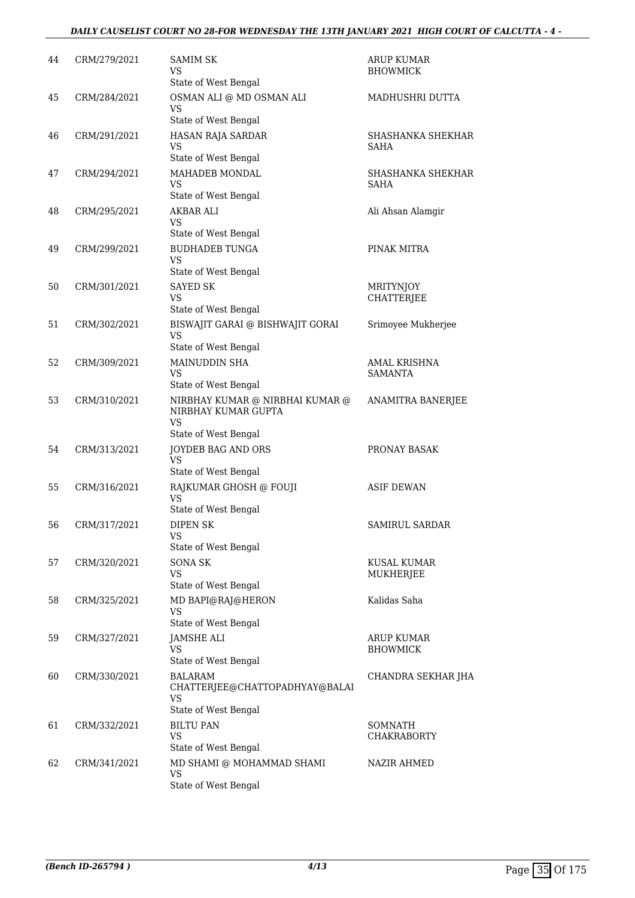## *DAILY CAUSELIST COURT NO 28-FOR WEDNESDAY THE 13TH JANUARY 2021 HIGH COURT OF CALCUTTA - 4 -*

| 44 | CRM/279/2021 | <b>SAMIM SK</b><br>VS<br>State of West Bengal                                         | ARUP KUMAR<br><b>BHOWMICK</b>    |
|----|--------------|---------------------------------------------------------------------------------------|----------------------------------|
| 45 | CRM/284/2021 | OSMAN ALI @ MD OSMAN ALI<br><b>VS</b><br>State of West Bengal                         | MADHUSHRI DUTTA                  |
| 46 | CRM/291/2021 | HASAN RAJA SARDAR<br><b>VS</b><br>State of West Bengal                                | SHASHANKA SHEKHAR<br>SAHA        |
| 47 | CRM/294/2021 | MAHADEB MONDAL<br>VS<br>State of West Bengal                                          | SHASHANKA SHEKHAR<br><b>SAHA</b> |
| 48 | CRM/295/2021 | <b>AKBAR ALI</b><br>VS<br>State of West Bengal                                        | Ali Ahsan Alamgir                |
| 49 | CRM/299/2021 | <b>BUDHADEB TUNGA</b><br>VS<br>State of West Bengal                                   | PINAK MITRA                      |
| 50 | CRM/301/2021 | <b>SAYED SK</b><br>VS<br>State of West Bengal                                         | <b>MRITYNJOY</b><br>CHATTERJEE   |
| 51 | CRM/302/2021 | BISWAJIT GARAI @ BISHWAJIT GORAI<br><b>VS</b><br>State of West Bengal                 | Srimoyee Mukherjee               |
| 52 | CRM/309/2021 | MAINUDDIN SHA<br><b>VS</b><br>State of West Bengal                                    | AMAL KRISHNA<br><b>SAMANTA</b>   |
| 53 | CRM/310/2021 | NIRBHAY KUMAR @ NIRBHAI KUMAR @<br>NIRBHAY KUMAR GUPTA<br>VS                          | ANAMITRA BANERJEE                |
| 54 | CRM/313/2021 | State of West Bengal<br>JOYDEB BAG AND ORS<br><b>VS</b><br>State of West Bengal       | PRONAY BASAK                     |
| 55 | CRM/316/2021 | RAJKUMAR GHOSH @ FOUJI<br><b>VS</b><br>State of West Bengal                           | <b>ASIF DEWAN</b>                |
| 56 | CRM/317/2021 | DIPEN SK<br><b>VS</b><br>State of West Bengal                                         | SAMIRUL SARDAR                   |
| 57 | CRM/320/2021 | <b>SONA SK</b><br><b>VS</b><br>State of West Bengal                                   | <b>KUSAL KUMAR</b><br>MUKHERJEE  |
| 58 | CRM/325/2021 | MD BAPI@RAJ@HERON<br>VS<br>State of West Bengal                                       | Kalidas Saha                     |
| 59 | CRM/327/2021 | <b>JAMSHE ALI</b><br><b>VS</b><br>State of West Bengal                                | ARUP KUMAR<br><b>BHOWMICK</b>    |
| 60 | CRM/330/2021 | <b>BALARAM</b><br>CHATTERJEE@CHATTOPADHYAY@BALAI<br><b>VS</b><br>State of West Bengal | CHANDRA SEKHAR JHA               |
| 61 | CRM/332/2021 | <b>BILTU PAN</b><br>VS<br>State of West Bengal                                        | SOMNATH<br><b>CHAKRABORTY</b>    |
| 62 | CRM/341/2021 | MD SHAMI @ MOHAMMAD SHAMI<br>VS<br>State of West Bengal                               | NAZIR AHMED                      |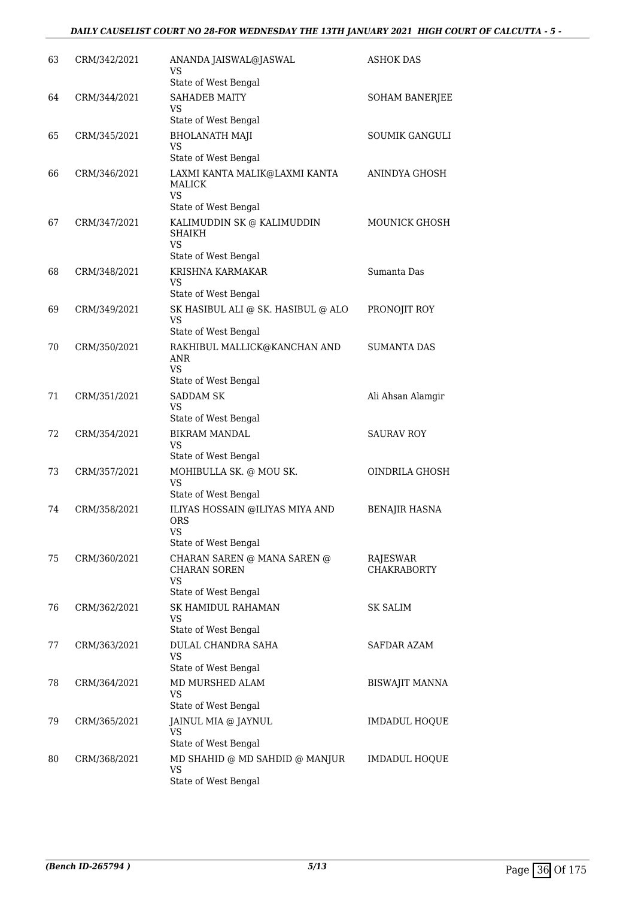| 63 | CRM/342/2021 | ANANDA JAISWAL@JASWAL<br>VS                                  | <b>ASHOK DAS</b>               |
|----|--------------|--------------------------------------------------------------|--------------------------------|
|    |              | State of West Bengal                                         |                                |
| 64 | CRM/344/2021 | <b>SAHADEB MAITY</b><br>VS.                                  | <b>SOHAM BANERJEE</b>          |
|    |              | State of West Bengal                                         |                                |
| 65 | CRM/345/2021 | <b>BHOLANATH MAJI</b><br>VS                                  | SOUMIK GANGULI                 |
|    |              | State of West Bengal                                         |                                |
| 66 | CRM/346/2021 | LAXMI KANTA MALIK@LAXMI KANTA<br>MALICK<br><b>VS</b>         | ANINDYA GHOSH                  |
|    |              | State of West Bengal                                         |                                |
| 67 | CRM/347/2021 | KALIMUDDIN SK @ KALIMUDDIN<br><b>SHAIKH</b><br>VS            | <b>MOUNICK GHOSH</b>           |
|    |              | State of West Bengal                                         |                                |
| 68 | CRM/348/2021 | KRISHNA KARMAKAR<br>VS                                       | Sumanta Das                    |
|    |              | State of West Bengal                                         |                                |
| 69 | CRM/349/2021 | SK HASIBUL ALI @ SK. HASIBUL @ ALO<br>VS                     | PRONOJIT ROY                   |
|    |              | State of West Bengal                                         |                                |
| 70 | CRM/350/2021 | RAKHIBUL MALLICK@KANCHAN AND<br><b>ANR</b><br>VS             | <b>SUMANTA DAS</b>             |
|    |              | State of West Bengal                                         |                                |
| 71 | CRM/351/2021 | <b>SADDAM SK</b><br><b>VS</b>                                | Ali Ahsan Alamgir              |
|    |              | State of West Bengal                                         |                                |
| 72 | CRM/354/2021 | <b>BIKRAM MANDAL</b><br><b>VS</b>                            | <b>SAURAV ROY</b>              |
|    |              | State of West Bengal                                         |                                |
| 73 | CRM/357/2021 | MOHIBULLA SK. @ MOU SK.<br>VS<br>State of West Bengal        | OINDRILA GHOSH                 |
| 74 | CRM/358/2021 | ILIYAS HOSSAIN @ILIYAS MIYA AND                              | <b>BENAJIR HASNA</b>           |
|    |              | <b>ORS</b><br>VS                                             |                                |
|    |              | State of West Bengal                                         |                                |
| 75 | CRM/360/2021 | CHARAN SAREN @ MANA SAREN @<br><b>CHARAN SOREN</b><br>VS     | RAJESWAR<br><b>CHAKRABORTY</b> |
|    |              | State of West Bengal                                         |                                |
| 76 | CRM/362/2021 | SK HAMIDUL RAHAMAN<br>VS                                     | <b>SK SALIM</b>                |
|    |              | State of West Bengal                                         |                                |
| 77 | CRM/363/2021 | DULAL CHANDRA SAHA<br><b>VS</b><br>State of West Bengal      | SAFDAR AZAM                    |
| 78 | CRM/364/2021 | MD MURSHED ALAM                                              | BISWAJIT MANNA                 |
|    |              | VS                                                           |                                |
|    |              | State of West Bengal                                         |                                |
| 79 | CRM/365/2021 | JAINUL MIA @ JAYNUL<br>VS                                    | IMDADUL HOQUE                  |
|    |              | State of West Bengal                                         |                                |
| 80 | CRM/368/2021 | MD SHAHID @ MD SAHDID @ MANJUR<br>VS<br>State of West Bengal | IMDADUL HOQUE                  |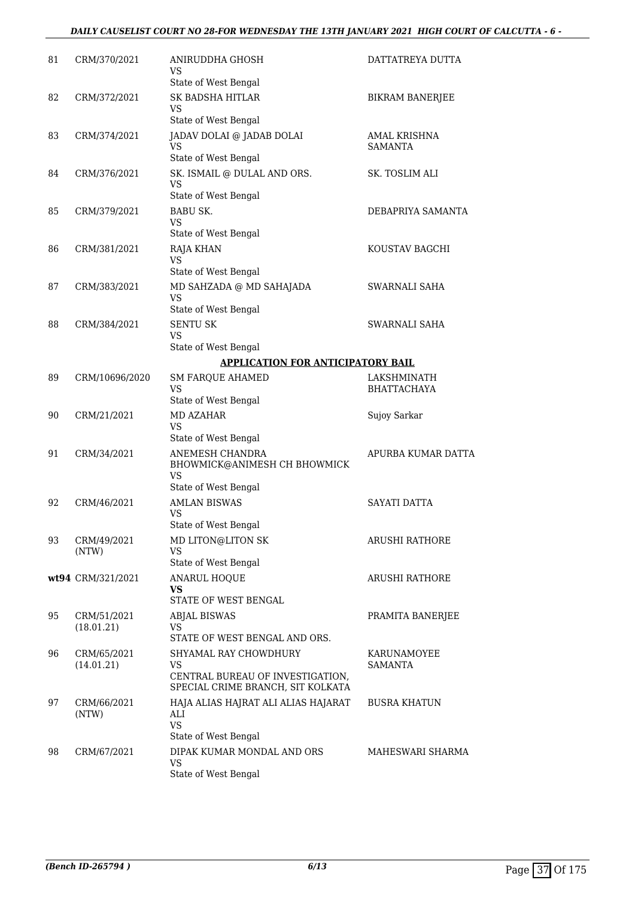# *DAILY CAUSELIST COURT NO 28-FOR WEDNESDAY THE 13TH JANUARY 2021 HIGH COURT OF CALCUTTA - 6 -*

| 81 | CRM/370/2021              | ANIRUDDHA GHOSH<br>VS<br>State of West Bengal                                                        | DATTATREYA DUTTA                  |
|----|---------------------------|------------------------------------------------------------------------------------------------------|-----------------------------------|
| 82 | CRM/372/2021              | SK BADSHA HITLAR<br>VS<br>State of West Bengal                                                       | <b>BIKRAM BANERJEE</b>            |
| 83 | CRM/374/2021              | JADAV DOLAI @ JADAB DOLAI<br>VS<br>State of West Bengal                                              | <b>AMAL KRISHNA</b><br>SAMANTA    |
| 84 | CRM/376/2021              | SK. ISMAIL @ DULAL AND ORS.<br><b>VS</b><br>State of West Bengal                                     | SK. TOSLIM ALI                    |
| 85 | CRM/379/2021              | <b>BABU SK.</b><br><b>VS</b><br>State of West Bengal                                                 | DEBAPRIYA SAMANTA                 |
| 86 | CRM/381/2021              | RAJA KHAN<br><b>VS</b><br>State of West Bengal                                                       | KOUSTAV BAGCHI                    |
| 87 | CRM/383/2021              | MD SAHZADA @ MD SAHAJADA<br><b>VS</b><br>State of West Bengal                                        | SWARNALI SAHA                     |
| 88 | CRM/384/2021              | <b>SENTU SK</b><br>VS<br>State of West Bengal                                                        | SWARNALI SAHA                     |
|    |                           | <b>APPLICATION FOR ANTICIPATORY BAIL</b>                                                             |                                   |
| 89 | CRM/10696/2020            | <b>SM FARQUE AHAMED</b><br><b>VS</b><br>State of West Bengal                                         | LAKSHMINATH<br><b>BHATTACHAYA</b> |
| 90 | CRM/21/2021               | <b>MD AZAHAR</b><br><b>VS</b>                                                                        | Sujoy Sarkar                      |
| 91 | CRM/34/2021               | State of West Bengal<br>ANEMESH CHANDRA<br>BHOWMICK@ANIMESH CH BHOWMICK<br>VS                        | APURBA KUMAR DATTA                |
| 92 | CRM/46/2021               | State of West Bengal<br><b>AMLAN BISWAS</b><br>VS<br>State of West Bengal                            | SAYATI DATTA                      |
| 93 | CRM/49/2021<br>(NTW)      | MD LITON@LITON SK<br><b>VS</b><br>State of West Bengal                                               | ARUSHI RATHORE                    |
|    | wt94 CRM/321/2021         | <b>ANARUL HOQUE</b><br>VS<br>STATE OF WEST BENGAL                                                    | <b>ARUSHI RATHORE</b>             |
| 95 | CRM/51/2021<br>(18.01.21) | <b>ABJAL BISWAS</b><br>VS<br>STATE OF WEST BENGAL AND ORS.                                           | PRAMITA BANERJEE                  |
| 96 | CRM/65/2021<br>(14.01.21) | SHYAMAL RAY CHOWDHURY<br>VS<br>CENTRAL BUREAU OF INVESTIGATION,<br>SPECIAL CRIME BRANCH, SIT KOLKATA | KARUNAMOYEE<br><b>SAMANTA</b>     |
| 97 | CRM/66/2021<br>(NTW)      | HAJA ALIAS HAJRAT ALI ALIAS HAJARAT<br>ALI<br><b>VS</b><br>State of West Bengal                      | <b>BUSRA KHATUN</b>               |
| 98 | CRM/67/2021               | DIPAK KUMAR MONDAL AND ORS<br><b>VS</b><br>State of West Bengal                                      | MAHESWARI SHARMA                  |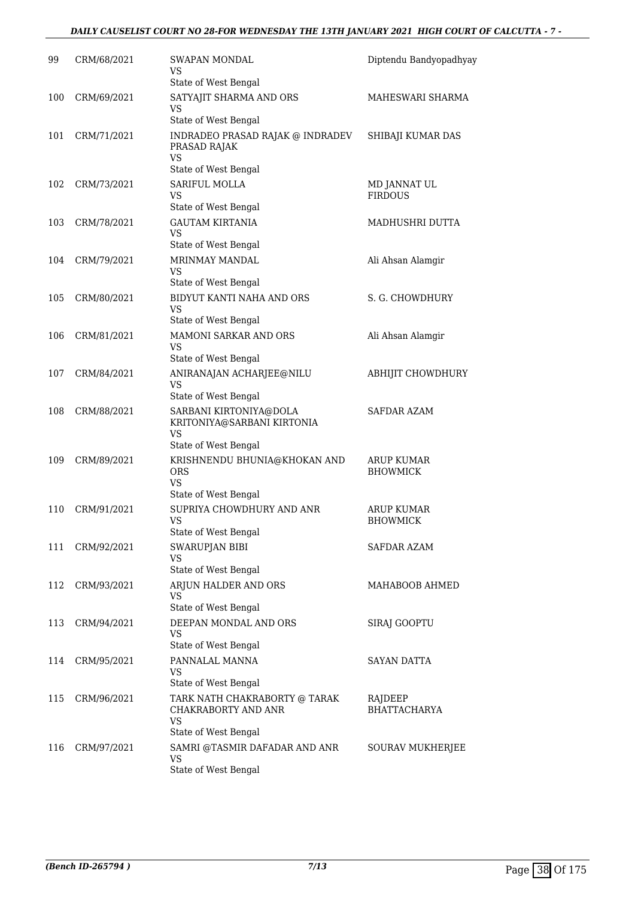| 99  | CRM/68/2021 | <b>SWAPAN MONDAL</b><br>VS<br>State of West Bengal                                        | Diptendu Bandyopadhyay               |
|-----|-------------|-------------------------------------------------------------------------------------------|--------------------------------------|
| 100 | CRM/69/2021 | SATYAJIT SHARMA AND ORS<br>VS                                                             | MAHESWARI SHARMA                     |
| 101 | CRM/71/2021 | State of West Bengal<br>INDRADEO PRASAD RAJAK @ INDRADEV<br>PRASAD RAJAK<br><b>VS</b>     | SHIBAJI KUMAR DAS                    |
| 102 | CRM/73/2021 | State of West Bengal<br>SARIFUL MOLLA<br>VS<br>State of West Bengal                       | MD JANNAT UL<br><b>FIRDOUS</b>       |
| 103 | CRM/78/2021 | <b>GAUTAM KIRTANIA</b><br>VS<br>State of West Bengal                                      | MADHUSHRI DUTTA                      |
| 104 | CRM/79/2021 | <b>MRINMAY MANDAL</b><br>VS<br>State of West Bengal                                       | Ali Ahsan Alamgir                    |
| 105 | CRM/80/2021 | BIDYUT KANTI NAHA AND ORS<br>VS<br>State of West Bengal                                   | S. G. CHOWDHURY                      |
| 106 | CRM/81/2021 | MAMONI SARKAR AND ORS<br>VS<br>State of West Bengal                                       | Ali Ahsan Alamgir                    |
| 107 | CRM/84/2021 | ANIRANAJAN ACHARJEE@NILU<br>VS<br>State of West Bengal                                    | <b>ABHIJIT CHOWDHURY</b>             |
| 108 | CRM/88/2021 | SARBANI KIRTONIYA@DOLA<br>KRITONIYA@SARBANI KIRTONIA<br><b>VS</b><br>State of West Bengal | SAFDAR AZAM                          |
| 109 | CRM/89/2021 | KRISHNENDU BHUNIA@KHOKAN AND<br><b>ORS</b><br><b>VS</b><br>State of West Bengal           | <b>ARUP KUMAR</b><br><b>BHOWMICK</b> |
| 110 | CRM/91/2021 | SUPRIYA CHOWDHURY AND ANR<br>VS<br>State of West Bengal                                   | <b>ARUP KUMAR</b><br><b>BHOWMICK</b> |
| 111 | CRM/92/2021 | SWARUPJAN BIBI<br>VS<br>State of West Bengal                                              | <b>SAFDAR AZAM</b>                   |
| 112 | CRM/93/2021 | ARJUN HALDER AND ORS<br><b>VS</b><br>State of West Bengal                                 | MAHABOOB AHMED                       |
| 113 | CRM/94/2021 | DEEPAN MONDAL AND ORS<br>VS<br>State of West Bengal                                       | SIRAJ GOOPTU                         |
| 114 | CRM/95/2021 | PANNALAL MANNA<br>VS<br>State of West Bengal                                              | SAYAN DATTA                          |
| 115 | CRM/96/2021 | TARK NATH CHAKRABORTY @ TARAK<br>CHAKRABORTY AND ANR<br><b>VS</b><br>State of West Bengal | RAJDEEP<br>BHATTACHARYA              |
| 116 | CRM/97/2021 | SAMRI @TASMIR DAFADAR AND ANR<br>VS<br>State of West Bengal                               | <b>SOURAV MUKHERJEE</b>              |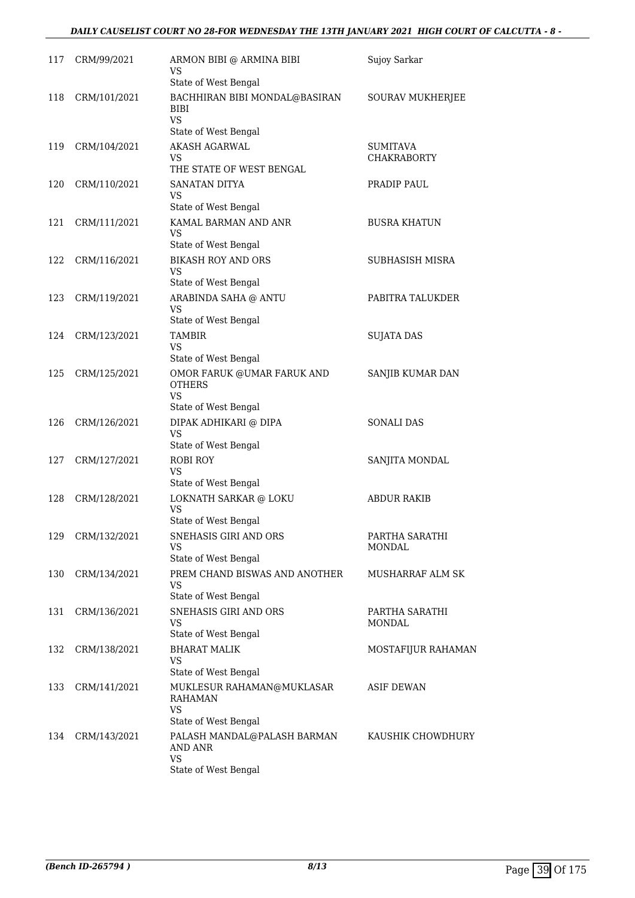| 117 | CRM/99/2021  | ARMON BIBI @ ARMINA BIBI<br>VS<br>State of West Bengal                                                     | Sujoy Sarkar                          |
|-----|--------------|------------------------------------------------------------------------------------------------------------|---------------------------------------|
| 118 | CRM/101/2021 | BACHHIRAN BIBI MONDAL@BASIRAN<br><b>BIBI</b><br><b>VS</b><br>State of West Bengal                          | <b>SOURAV MUKHERJEE</b>               |
| 119 | CRM/104/2021 | <b>AKASH AGARWAL</b><br>VS<br>THE STATE OF WEST BENGAL                                                     | <b>SUMITAVA</b><br><b>CHAKRABORTY</b> |
| 120 | CRM/110/2021 | <b>SANATAN DITYA</b><br><b>VS</b><br>State of West Bengal                                                  | PRADIP PAUL                           |
| 121 | CRM/111/2021 | KAMAL BARMAN AND ANR<br>VS<br>State of West Bengal                                                         | <b>BUSRA KHATUN</b>                   |
| 122 | CRM/116/2021 | <b>BIKASH ROY AND ORS</b><br><b>VS</b><br>State of West Bengal                                             | SUBHASISH MISRA                       |
| 123 | CRM/119/2021 | ARABINDA SAHA @ ANTU<br><b>VS</b>                                                                          | PABITRA TALUKDER                      |
| 124 | CRM/123/2021 | State of West Bengal<br><b>TAMBIR</b><br>VS<br>State of West Bengal                                        | <b>SUJATA DAS</b>                     |
| 125 | CRM/125/2021 | OMOR FARUK @UMAR FARUK AND<br><b>OTHERS</b><br><b>VS</b>                                                   | SANJIB KUMAR DAN                      |
| 126 | CRM/126/2021 | State of West Bengal<br>DIPAK ADHIKARI @ DIPA<br><b>VS</b><br>State of West Bengal                         | <b>SONALI DAS</b>                     |
| 127 | CRM/127/2021 | ROBI ROY<br>VS<br>State of West Bengal                                                                     | SANJITA MONDAL                        |
| 128 | CRM/128/2021 | LOKNATH SARKAR @ LOKU<br><b>VS</b><br>State of West Bengal                                                 | <b>ABDUR RAKIB</b>                    |
| 129 | CRM/132/2021 | SNEHASIS GIRI AND ORS<br><b>VS</b><br>State of West Bengal                                                 | PARTHA SARATHI<br>MONDAL              |
| 130 | CRM/134/2021 | PREM CHAND BISWAS AND ANOTHER<br>VS.<br>State of West Bengal                                               | MUSHARRAF ALM SK                      |
| 131 | CRM/136/2021 | SNEHASIS GIRI AND ORS<br><b>VS</b><br>State of West Bengal                                                 | PARTHA SARATHI<br>MONDAL              |
| 132 | CRM/138/2021 | <b>BHARAT MALIK</b><br>VS<br>State of West Bengal                                                          | MOSTAFIJUR RAHAMAN                    |
| 133 | CRM/141/2021 | MUKLESUR RAHAMAN@MUKLASAR<br><b>RAHAMAN</b><br>VS                                                          | <b>ASIF DEWAN</b>                     |
| 134 | CRM/143/2021 | State of West Bengal<br>PALASH MANDAL@PALASH BARMAN<br><b>AND ANR</b><br><b>VS</b><br>State of West Bengal | KAUSHIK CHOWDHURY                     |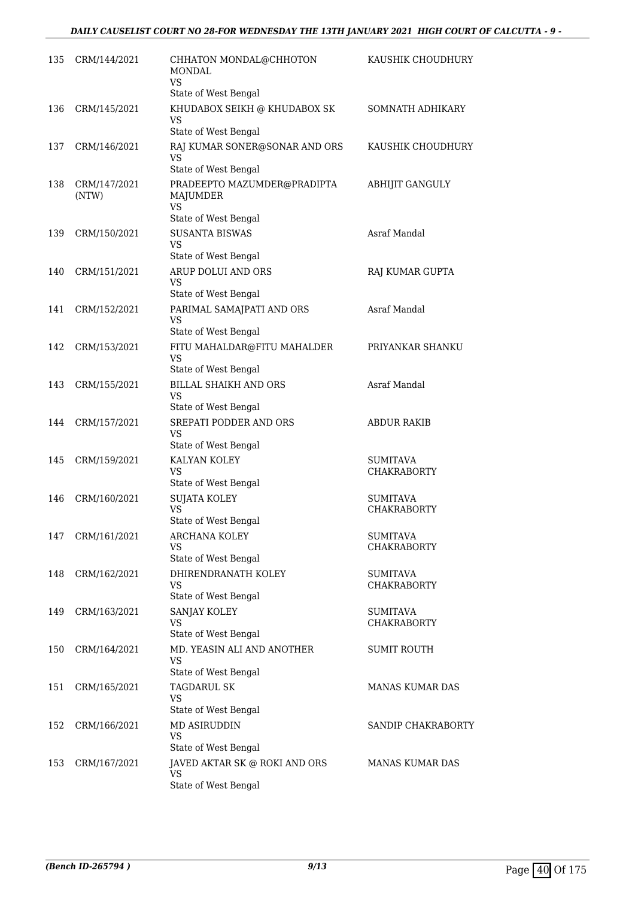| 135 | CRM/144/2021          | CHHATON MONDAL@CHHOTON<br><b>MONDAL</b><br>VS                   | KAUSHIK CHOUDHURY                     |
|-----|-----------------------|-----------------------------------------------------------------|---------------------------------------|
|     |                       | State of West Bengal                                            |                                       |
| 136 | CRM/145/2021          | KHUDABOX SEIKH @ KHUDABOX SK<br><b>VS</b>                       | SOMNATH ADHIKARY                      |
|     |                       | State of West Bengal                                            |                                       |
| 137 | CRM/146/2021          | RAJ KUMAR SONER@SONAR AND ORS<br><b>VS</b>                      | KAUSHIK CHOUDHURY                     |
|     |                       | State of West Bengal                                            |                                       |
| 138 | CRM/147/2021<br>(NTW) | PRADEEPTO MAZUMDER@PRADIPTA<br>MAJUMDER<br><b>VS</b>            | ABHIJIT GANGULY                       |
|     |                       | State of West Bengal                                            |                                       |
| 139 | CRM/150/2021          | <b>SUSANTA BISWAS</b><br>VS<br>State of West Bengal             | Asraf Mandal                          |
| 140 | CRM/151/2021          | ARUP DOLUI AND ORS                                              | RAJ KUMAR GUPTA                       |
|     |                       | VS<br>State of West Bengal                                      |                                       |
| 141 | CRM/152/2021          | PARIMAL SAMAJPATI AND ORS                                       | Asraf Mandal                          |
|     |                       | VS<br>State of West Bengal                                      |                                       |
| 142 | CRM/153/2021          | FITU MAHALDAR@FITU MAHALDER                                     | PRIYANKAR SHANKU                      |
|     |                       | <b>VS</b><br>State of West Bengal                               |                                       |
| 143 | CRM/155/2021          | BILLAL SHAIKH AND ORS                                           | Asraf Mandal                          |
|     |                       | <b>VS</b><br>State of West Bengal                               |                                       |
| 144 | CRM/157/2021          | SREPATI PODDER AND ORS<br>VS                                    | <b>ABDUR RAKIB</b>                    |
|     |                       | State of West Bengal                                            |                                       |
| 145 | CRM/159/2021          | KALYAN KOLEY                                                    | <b>SUMITAVA</b>                       |
|     |                       | VS                                                              | <b>CHAKRABORTY</b>                    |
|     |                       | State of West Bengal                                            |                                       |
| 146 | CRM/160/2021          | SUJATA KOLEY                                                    | <b>SUMITAVA</b>                       |
|     |                       | <b>VS</b><br>State of West Bengal                               | <b>CHAKRABORTY</b>                    |
| 147 | CRM/161/2021          | <b>ARCHANA KOLEY</b>                                            | <b>SUMITAVA</b>                       |
|     |                       | <b>VS</b>                                                       | <b>CHAKRABORTY</b>                    |
|     |                       | State of West Bengal                                            |                                       |
| 148 | CRM/162/2021          | DHIRENDRANATH KOLEY<br><b>VS</b><br>State of West Bengal        | <b>SUMITAVA</b><br><b>CHAKRABORTY</b> |
| 149 | CRM/163/2021          | SANJAY KOLEY                                                    | <b>SUMITAVA</b>                       |
|     |                       | <b>VS</b>                                                       | <b>CHAKRABORTY</b>                    |
|     |                       | State of West Bengal                                            |                                       |
| 150 | CRM/164/2021          | MD. YEASIN ALI AND ANOTHER<br><b>VS</b><br>State of West Bengal | SUMIT ROUTH                           |
| 151 |                       | TAGDARUL SK                                                     | MANAS KUMAR DAS                       |
|     | CRM/165/2021          | VS                                                              |                                       |
|     |                       | State of West Bengal                                            |                                       |
| 152 | CRM/166/2021          | <b>MD ASIRUDDIN</b><br>VS<br>State of West Bengal               | SANDIP CHAKRABORTY                    |
| 153 | CRM/167/2021          | JAVED AKTAR SK @ ROKI AND ORS                                   | MANAS KUMAR DAS                       |
|     |                       | VS<br>State of West Bengal                                      |                                       |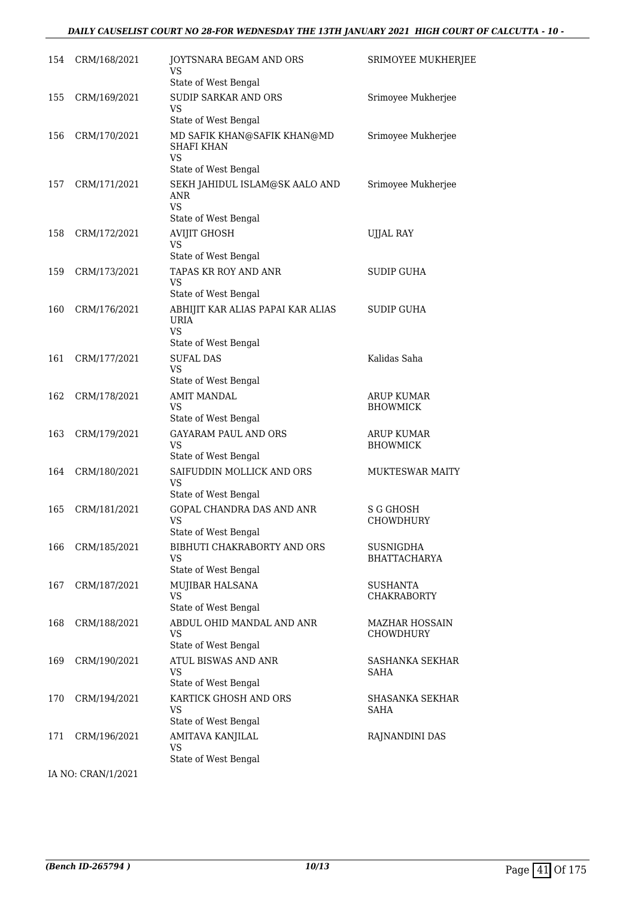| 154 | CRM/168/2021       | JOYTSNARA BEGAM AND ORS<br>VS<br>State of West Bengal            | SRIMOYEE MUKHERJEE                        |
|-----|--------------------|------------------------------------------------------------------|-------------------------------------------|
| 155 | CRM/169/2021       | SUDIP SARKAR AND ORS                                             | Srimoyee Mukherjee                        |
|     |                    | VS<br>State of West Bengal                                       |                                           |
| 156 | CRM/170/2021       | MD SAFIK KHAN@SAFIK KHAN@MD<br>SHAFI KHAN<br>VS.                 | Srimoyee Mukherjee                        |
|     |                    | State of West Bengal                                             |                                           |
| 157 | CRM/171/2021       | SEKH JAHIDUL ISLAM@SK AALO AND<br>ANR<br><b>VS</b>               | Srimoyee Mukherjee                        |
| 158 |                    | State of West Bengal                                             |                                           |
|     | CRM/172/2021       | AVIJIT GHOSH<br><b>VS</b>                                        | <b>UJJAL RAY</b>                          |
|     |                    | State of West Bengal                                             |                                           |
| 159 | CRM/173/2021       | TAPAS KR ROY AND ANR<br>VS<br>State of West Bengal               | SUDIP GUHA                                |
| 160 | CRM/176/2021       | ABHIJIT KAR ALIAS PAPAI KAR ALIAS<br><b>URIA</b><br><b>VS</b>    | <b>SUDIP GUHA</b>                         |
| 161 |                    | State of West Bengal<br><b>SUFAL DAS</b>                         | Kalidas Saha                              |
|     | CRM/177/2021       | <b>VS</b><br>State of West Bengal                                |                                           |
| 162 | CRM/178/2021       | <b>AMIT MANDAL</b><br><b>VS</b><br>State of West Bengal          | ARUP KUMAR<br><b>BHOWMICK</b>             |
| 163 | CRM/179/2021       | GAYARAM PAUL AND ORS<br><b>VS</b>                                | <b>ARUP KUMAR</b><br><b>BHOWMICK</b>      |
|     |                    | State of West Bengal                                             |                                           |
| 164 | CRM/180/2021       | SAIFUDDIN MOLLICK AND ORS<br>VS<br>State of West Bengal          | <b>MUKTESWAR MAITY</b>                    |
| 165 | CRM/181/2021       | GOPAL CHANDRA DAS AND ANR                                        | S G GHOSH                                 |
|     |                    | VS                                                               | <b>CHOWDHURY</b>                          |
|     |                    | State of West Bengal                                             |                                           |
| 166 | CRM/185/2021       | BIBHUTI CHAKRABORTY AND ORS<br><b>VS</b><br>State of West Bengal | SUSNIGDHA<br><b>BHATTACHARYA</b>          |
| 167 | CRM/187/2021       | MUJIBAR HALSANA<br><b>VS</b>                                     | SUSHANTA<br><b>CHAKRABORTY</b>            |
|     |                    | State of West Bengal                                             |                                           |
| 168 | CRM/188/2021       | ABDUL OHID MANDAL AND ANR<br><b>VS</b><br>State of West Bengal   | <b>MAZHAR HOSSAIN</b><br><b>CHOWDHURY</b> |
| 169 |                    | ATUL BISWAS AND ANR                                              | <b>SASHANKA SEKHAR</b>                    |
|     | CRM/190/2021       | <b>VS</b><br>State of West Bengal                                | SAHA                                      |
| 170 | CRM/194/2021       | KARTICK GHOSH AND ORS                                            | SHASANKA SEKHAR                           |
|     |                    | VS<br>State of West Bengal                                       | SAHA                                      |
| 171 | CRM/196/2021       | AMITAVA KANJILAL<br>VS                                           | RAJNANDINI DAS                            |
|     |                    | State of West Bengal                                             |                                           |
|     | IA NO: CRAN/1/2021 |                                                                  |                                           |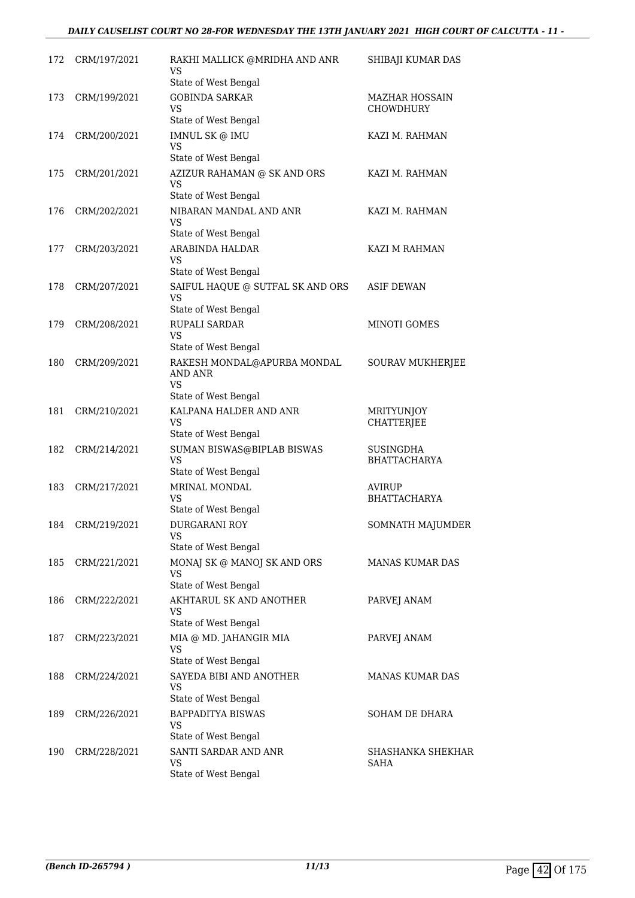# *DAILY CAUSELIST COURT NO 28-FOR WEDNESDAY THE 13TH JANUARY 2021 HIGH COURT OF CALCUTTA - 11 -*

| 172 | CRM/197/2021 | RAKHI MALLICK @MRIDHA AND ANR<br>VS                        | SHIBAJI KUMAR DAS                      |
|-----|--------------|------------------------------------------------------------|----------------------------------------|
|     |              | State of West Bengal                                       |                                        |
| 173 | CRM/199/2021 | <b>GOBINDA SARKAR</b><br>VS                                | MAZHAR HOSSAIN<br>CHOWDHURY            |
|     |              | State of West Bengal                                       |                                        |
| 174 | CRM/200/2021 | IMNUL SK @ IMU<br>VS                                       | KAZI M. RAHMAN                         |
|     |              | State of West Bengal                                       |                                        |
| 175 | CRM/201/2021 | AZIZUR RAHAMAN @ SK AND ORS<br>VS                          | KAZI M. RAHMAN                         |
| 176 | CRM/202/2021 | State of West Bengal<br>NIBARAN MANDAL AND ANR             | KAZI M. RAHMAN                         |
|     |              | VS<br>State of West Bengal                                 |                                        |
| 177 | CRM/203/2021 | ARABINDA HALDAR                                            | KAZI M RAHMAN                          |
|     |              | VS<br>State of West Bengal                                 |                                        |
| 178 | CRM/207/2021 | SAIFUL HAQUE @ SUTFAL SK AND ORS                           | <b>ASIF DEWAN</b>                      |
|     |              | <b>VS</b>                                                  |                                        |
|     |              | State of West Bengal<br><b>RUPALI SARDAR</b>               |                                        |
| 179 | CRM/208/2021 | VS                                                         | <b>MINOTI GOMES</b>                    |
|     |              | State of West Bengal                                       |                                        |
| 180 | CRM/209/2021 | RAKESH MONDAL@APURBA MONDAL<br><b>AND ANR</b><br><b>VS</b> | <b>SOURAV MUKHERJEE</b>                |
|     |              | State of West Bengal                                       |                                        |
| 181 | CRM/210/2021 | KALPANA HALDER AND ANR<br>VS<br>State of West Bengal       | <b>MRITYUNJOY</b><br><b>CHATTERJEE</b> |
| 182 | CRM/214/2021 | SUMAN BISWAS@BIPLAB BISWAS                                 | <b>SUSINGDHA</b>                       |
|     |              | <b>VS</b><br>State of West Bengal                          | <b>BHATTACHARYA</b>                    |
| 183 | CRM/217/2021 | MRINAL MONDAL                                              | <b>AVIRUP</b>                          |
|     |              | VS<br>State of West Bengal                                 | BHATTACHARYA                           |
| 184 | CRM/219/2021 | DURGARANI ROY                                              | SOMNATH MAJUMDER                       |
|     |              | VS<br>State of West Bengal                                 |                                        |
| 185 | CRM/221/2021 | MONAJ SK @ MANOJ SK AND ORS                                | MANAS KUMAR DAS                        |
|     |              | VS.                                                        |                                        |
|     |              | State of West Bengal                                       |                                        |
| 186 | CRM/222/2021 | AKHTARUL SK AND ANOTHER<br>VS                              | PARVEJ ANAM                            |
|     |              | State of West Bengal                                       |                                        |
| 187 | CRM/223/2021 | MIA @ MD. JAHANGIR MIA<br>VS<br>State of West Bengal       | PARVEJ ANAM                            |
| 188 | CRM/224/2021 | SAYEDA BIBI AND ANOTHER                                    | <b>MANAS KUMAR DAS</b>                 |
|     |              | VS.                                                        |                                        |
| 189 |              | State of West Bengal<br><b>BAPPADITYA BISWAS</b>           | SOHAM DE DHARA                         |
|     | CRM/226/2021 | <b>VS</b><br>State of West Bengal                          |                                        |
| 190 | CRM/228/2021 | SANTI SARDAR AND ANR                                       | SHASHANKA SHEKHAR                      |
|     |              | <b>VS</b><br>State of West Bengal                          | SAHA                                   |
|     |              |                                                            |                                        |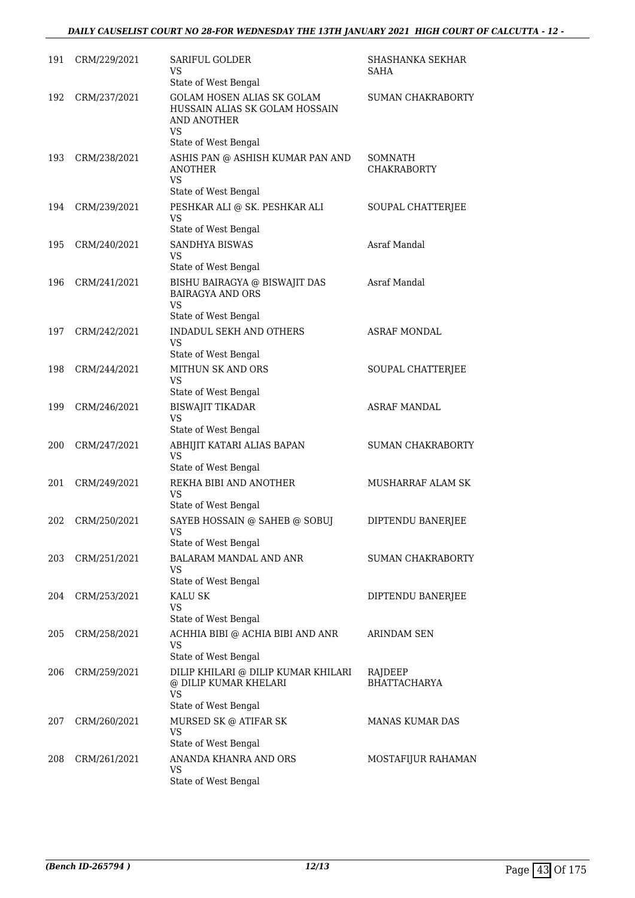## *DAILY CAUSELIST COURT NO 28-FOR WEDNESDAY THE 13TH JANUARY 2021 HIGH COURT OF CALCUTTA - 12 -*

| 191 | CRM/229/2021 | SARIFUL GOLDER<br>VS<br>State of West Bengal                                                                                   | SHASHANKA SEKHAR<br>SAHA       |
|-----|--------------|--------------------------------------------------------------------------------------------------------------------------------|--------------------------------|
| 192 | CRM/237/2021 | <b>GOLAM HOSEN ALIAS SK GOLAM</b><br>HUSSAIN ALIAS SK GOLAM HOSSAIN<br><b>AND ANOTHER</b><br><b>VS</b><br>State of West Bengal | <b>SUMAN CHAKRABORTY</b>       |
| 193 | CRM/238/2021 | ASHIS PAN @ ASHISH KUMAR PAN AND<br><b>ANOTHER</b><br>VS<br>State of West Bengal                                               | SOMNATH<br><b>CHAKRABORTY</b>  |
| 194 | CRM/239/2021 | PESHKAR ALI @ SK. PESHKAR ALI                                                                                                  | SOUPAL CHATTERJEE              |
|     |              | VS<br>State of West Bengal                                                                                                     |                                |
| 195 | CRM/240/2021 | SANDHYA BISWAS<br>VS<br>State of West Bengal                                                                                   | Asraf Mandal                   |
| 196 | CRM/241/2021 | BISHU BAIRAGYA @ BISWAJIT DAS<br><b>BAIRAGYA AND ORS</b><br><b>VS</b>                                                          | Asraf Mandal                   |
|     |              | State of West Bengal                                                                                                           |                                |
| 197 | CRM/242/2021 | INDADUL SEKH AND OTHERS<br>VS                                                                                                  | <b>ASRAF MONDAL</b>            |
|     |              | State of West Bengal                                                                                                           |                                |
| 198 | CRM/244/2021 | MITHUN SK AND ORS<br><b>VS</b>                                                                                                 | SOUPAL CHATTERJEE              |
|     |              | State of West Bengal                                                                                                           |                                |
| 199 | CRM/246/2021 | <b>BISWAJIT TIKADAR</b><br>VS                                                                                                  | <b>ASRAF MANDAL</b>            |
|     |              | State of West Bengal                                                                                                           |                                |
| 200 | CRM/247/2021 | ABHIJIT KATARI ALIAS BAPAN<br>VS<br>State of West Bengal                                                                       | <b>SUMAN CHAKRABORTY</b>       |
| 201 | CRM/249/2021 | REKHA BIBI AND ANOTHER                                                                                                         | MUSHARRAF ALAM SK              |
|     |              | <b>VS</b><br>State of West Bengal                                                                                              |                                |
| 202 | CRM/250/2021 | SAYEB HOSSAIN @ SAHEB @ SOBUJ<br>VS                                                                                            | DIPTENDU BANERJEE              |
|     |              | State of West Bengal                                                                                                           |                                |
| 203 | CRM/251/2021 | BALARAM MANDAL AND ANR<br>VS                                                                                                   | <b>SUMAN CHAKRABORTY</b>       |
|     |              | State of West Bengal                                                                                                           |                                |
| 204 | CRM/253/2021 | KALU SK<br>VS<br>State of West Bengal                                                                                          | DIPTENDU BANERJEE              |
| 205 | CRM/258/2021 | ACHHIA BIBI @ ACHIA BIBI AND ANR                                                                                               | ARINDAM SEN                    |
|     |              | VS<br>State of West Bengal                                                                                                     |                                |
| 206 | CRM/259/2021 | DILIP KHILARI @ DILIP KUMAR KHILARI<br>@ DILIP KUMAR KHELARI<br><b>VS</b><br>State of West Bengal                              | RAJDEEP<br><b>BHATTACHARYA</b> |
| 207 | CRM/260/2021 | MURSED SK @ ATIFAR SK<br>VS                                                                                                    | MANAS KUMAR DAS                |
|     |              | State of West Bengal                                                                                                           |                                |
| 208 | CRM/261/2021 | ANANDA KHANRA AND ORS<br><b>VS</b><br>State of West Bengal                                                                     | MOSTAFIJUR RAHAMAN             |
|     |              |                                                                                                                                |                                |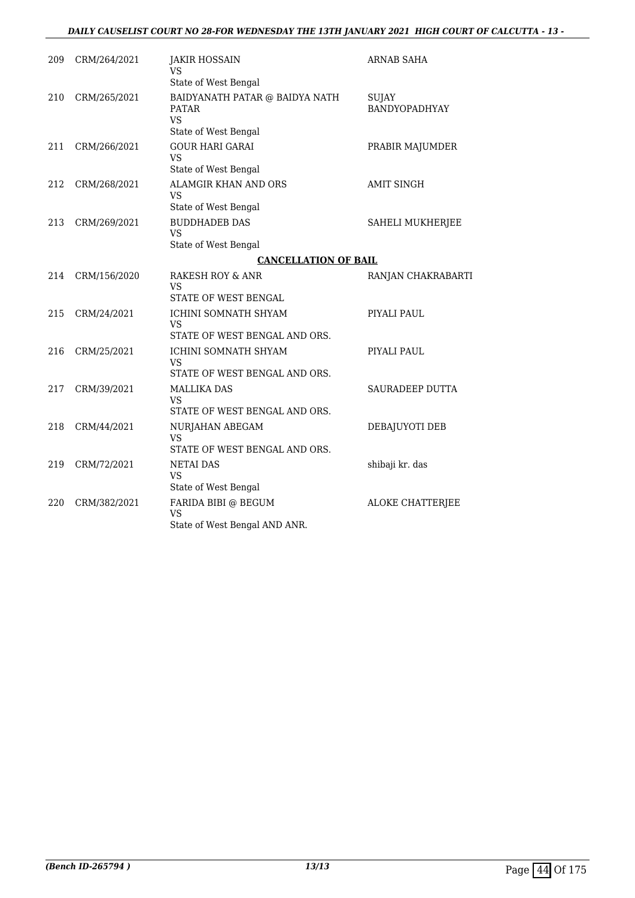#### *DAILY CAUSELIST COURT NO 28-FOR WEDNESDAY THE 13TH JANUARY 2021 HIGH COURT OF CALCUTTA - 13 -*

| 209 | CRM/264/2021 | JAKIR HOSSAIN<br>VS<br>State of West Bengal                                         | ARNAB SAHA             |
|-----|--------------|-------------------------------------------------------------------------------------|------------------------|
| 210 | CRM/265/2021 | BAIDYANATH PATAR @ BAIDYA NATH<br><b>PATAR</b><br><b>VS</b><br>State of West Bengal | SUJAY<br>BANDYOPADHYAY |
| 211 | CRM/266/2021 | <b>GOUR HARI GARAI</b><br><b>VS</b><br>State of West Bengal                         | PRABIR MAJUMDER        |
| 212 | CRM/268/2021 | ALAMGIR KHAN AND ORS<br><b>VS</b><br>State of West Bengal                           | <b>AMIT SINGH</b>      |
| 213 | CRM/269/2021 | <b>BUDDHADEB DAS</b><br><b>VS</b><br>State of West Bengal                           | SAHELI MUKHERJEE       |
|     |              | <b>CANCELLATION OF BAIL</b>                                                         |                        |
| 214 | CRM/156/2020 | <b>RAKESH ROY &amp; ANR</b><br>VS<br>STATE OF WEST BENGAL                           | RANJAN CHAKRABARTI     |
| 215 | CRM/24/2021  | ICHINI SOMNATH SHYAM<br>VS<br>STATE OF WEST BENGAL AND ORS.                         | PIYALI PAUL            |
| 216 | CRM/25/2021  | ICHINI SOMNATH SHYAM<br><b>VS</b><br>STATE OF WEST BENGAL AND ORS.                  | PIYALI PAUL            |
| 217 | CRM/39/2021  | <b>MALLIKA DAS</b><br>VS<br>STATE OF WEST BENGAL AND ORS.                           | <b>SAURADEEP DUTTA</b> |
| 218 | CRM/44/2021  | NURJAHAN ABEGAM<br><b>VS</b><br>STATE OF WEST BENGAL AND ORS.                       | DEBAJUYOTI DEB         |
| 219 | CRM/72/2021  | <b>NETAI DAS</b><br>VS<br>State of West Bengal                                      | shibaji kr. das        |
| 220 | CRM/382/2021 | FARIDA BIBI @ BEGUM<br>VS<br>State of West Bengal AND ANR.                          | ALOKE CHATTERJEE       |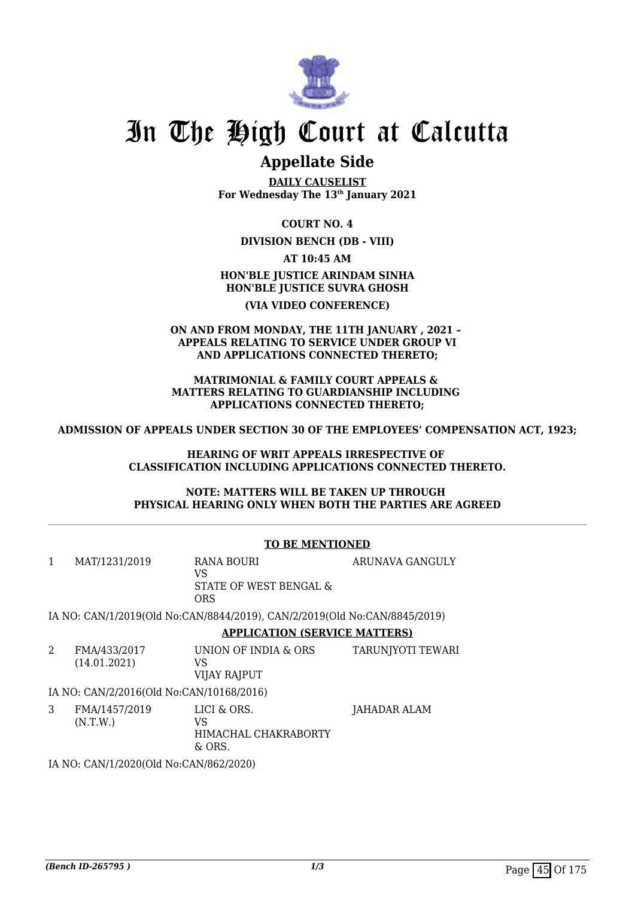

# **Appellate Side**

**DAILY CAUSELIST For Wednesday The 13th January 2021**

## **COURT NO. 4**

**DIVISION BENCH (DB - VIII)**

#### **AT 10:45 AM**

# **HON'BLE JUSTICE ARINDAM SINHA HON'BLE JUSTICE SUVRA GHOSH (VIA VIDEO CONFERENCE)**

#### **ON AND FROM MONDAY, THE 11TH JANUARY , 2021 – APPEALS RELATING TO SERVICE UNDER GROUP VI AND APPLICATIONS CONNECTED THERETO;**

#### **MATRIMONIAL & FAMILY COURT APPEALS & MATTERS RELATING TO GUARDIANSHIP INCLUDING APPLICATIONS CONNECTED THERETO;**

**ADMISSION OF APPEALS UNDER SECTION 30 OF THE EMPLOYEES' COMPENSATION ACT, 1923;**

#### **HEARING OF WRIT APPEALS IRRESPECTIVE OF CLASSIFICATION INCLUDING APPLICATIONS CONNECTED THERETO.**

#### **NOTE: MATTERS WILL BE TAKEN UP THROUGH PHYSICAL HEARING ONLY WHEN BOTH THE PARTIES ARE AGREED**

|                | <b>TO BE MENTIONED</b>                   |                                                                           |                   |  |  |
|----------------|------------------------------------------|---------------------------------------------------------------------------|-------------------|--|--|
| $\mathbf{1}$   | MAT/1231/2019                            | RANA BOURI<br>VS<br>STATE OF WEST BENGAL &<br><b>ORS</b>                  | ARUNAVA GANGULY   |  |  |
|                |                                          | IA NO: CAN/1/2019(Old No:CAN/8844/2019), CAN/2/2019(Old No:CAN/8845/2019) |                   |  |  |
|                |                                          | <b>APPLICATION (SERVICE MATTERS)</b>                                      |                   |  |  |
| $\overline{2}$ | FMA/433/2017<br>(14.01.2021)             | UNION OF INDIA & ORS<br>VS.<br><b>VIJAY RAJPUT</b>                        | TARUNJYOTI TEWARI |  |  |
|                | IA NO: CAN/2/2016(Old No:CAN/10168/2016) |                                                                           |                   |  |  |
| 3              | FMA/1457/2019<br>(N.T.W.)                | LICI & ORS.<br>VS<br>HIMACHAL CHAKRABORTY<br>& ORS.                       | JAHADAR ALAM      |  |  |
|                | IA NO: CAN/1/2020(Old No:CAN/862/2020)   |                                                                           |                   |  |  |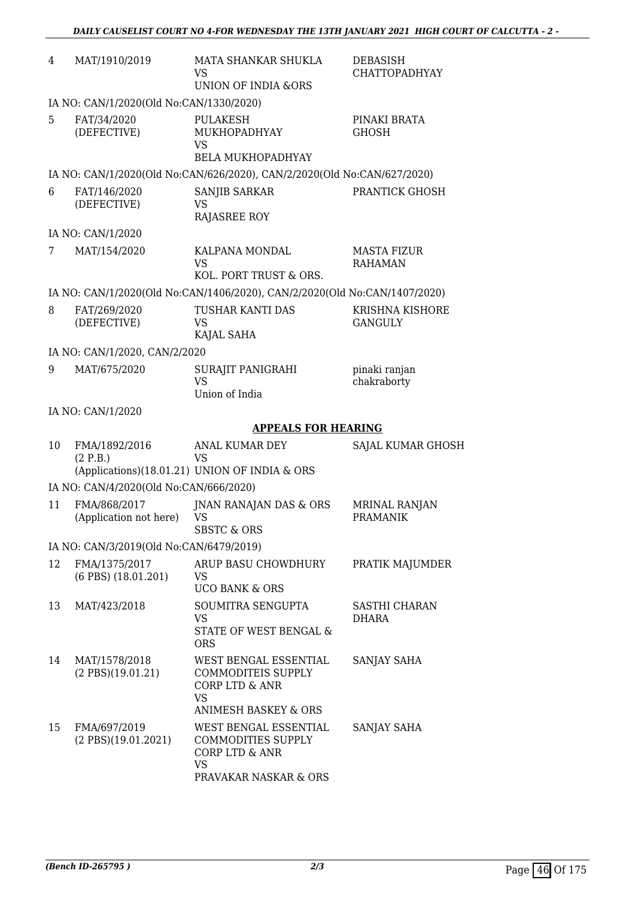| 4  | MAT/1910/2019                                          | MATA SHANKAR SHUKLA<br>VS<br>UNION OF INDIA &ORS                                                                     | <b>DEBASISH</b><br><b>CHATTOPADHYAY</b>  |
|----|--------------------------------------------------------|----------------------------------------------------------------------------------------------------------------------|------------------------------------------|
|    | IA NO: CAN/1/2020(Old No:CAN/1330/2020)                |                                                                                                                      |                                          |
| 5  | FAT/34/2020<br>(DEFECTIVE)                             | PULAKESH<br>MUKHOPADHYAY<br>VS<br><b>BELA MUKHOPADHYAY</b>                                                           | PINAKI BRATA<br><b>GHOSH</b>             |
|    |                                                        | IA NO: CAN/1/2020(Old No:CAN/626/2020), CAN/2/2020(Old No:CAN/627/2020)                                              |                                          |
| 6  | FAT/146/2020<br>(DEFECTIVE)                            | SANJIB SARKAR<br>VS<br>RAJASREE ROY                                                                                  | PRANTICK GHOSH                           |
|    | IA NO: CAN/1/2020                                      |                                                                                                                      |                                          |
| 7  | MAT/154/2020                                           | KALPANA MONDAL<br>VS<br>KOL. PORT TRUST & ORS.                                                                       | MASTA FIZUR<br><b>RAHAMAN</b>            |
|    |                                                        | IA NO: CAN/1/2020(Old No:CAN/1406/2020), CAN/2/2020(Old No:CAN/1407/2020)                                            |                                          |
| 8  | FAT/269/2020<br>(DEFECTIVE)                            | TUSHAR KANTI DAS<br><b>VS</b><br>KAJAL SAHA                                                                          | <b>KRISHNA KISHORE</b><br><b>GANGULY</b> |
|    | IA NO: CAN/1/2020, CAN/2/2020                          |                                                                                                                      |                                          |
| 9  | MAT/675/2020                                           | SURAJIT PANIGRAHI<br><b>VS</b><br>Union of India                                                                     | pinaki ranjan<br>chakraborty             |
|    | IA NO: CAN/1/2020                                      |                                                                                                                      |                                          |
|    |                                                        | <b>APPEALS FOR HEARING</b>                                                                                           |                                          |
| 10 | FMA/1892/2016<br>(2 P.B.)                              | ANAL KUMAR DEY<br><b>VS</b>                                                                                          | SAJAL KUMAR GHOSH                        |
|    |                                                        | (Applications)(18.01.21) UNION OF INDIA & ORS                                                                        |                                          |
| 11 | IA NO: CAN/4/2020(Old No:CAN/666/2020)<br>FMA/868/2017 | JNAN RANAJAN DAS & ORS                                                                                               | <b>MRINAL RANJAN</b>                     |
|    | (Application not here)                                 | VS<br><b>SBSTC &amp; ORS</b>                                                                                         | <b>PRAMANIK</b>                          |
|    | IA NO: CAN/3/2019(Old No:CAN/6479/2019)                |                                                                                                                      |                                          |
| 12 | FMA/1375/2017<br>$(6$ PBS $)$ $(18.01.201)$            | ARUP BASU CHOWDHURY<br>VS<br><b>UCO BANK &amp; ORS</b>                                                               | PRATIK MAJUMDER                          |
| 13 | MAT/423/2018                                           | SOUMITRA SENGUPTA<br>VS.<br>STATE OF WEST BENGAL &<br><b>ORS</b>                                                     | SASTHI CHARAN<br>DHARA                   |
| 14 | MAT/1578/2018<br>$(2$ PBS $)(19.01.21)$                | WEST BENGAL ESSENTIAL<br><b>COMMODITEIS SUPPLY</b><br>CORP LTD & ANR<br><b>VS</b><br><b>ANIMESH BASKEY &amp; ORS</b> | SANJAY SAHA                              |
| 15 | FMA/697/2019<br>$(2$ PBS $)(19.01.2021)$               | WEST BENGAL ESSENTIAL<br><b>COMMODITIES SUPPLY</b><br>CORP LTD & ANR                                                 | SANJAY SAHA                              |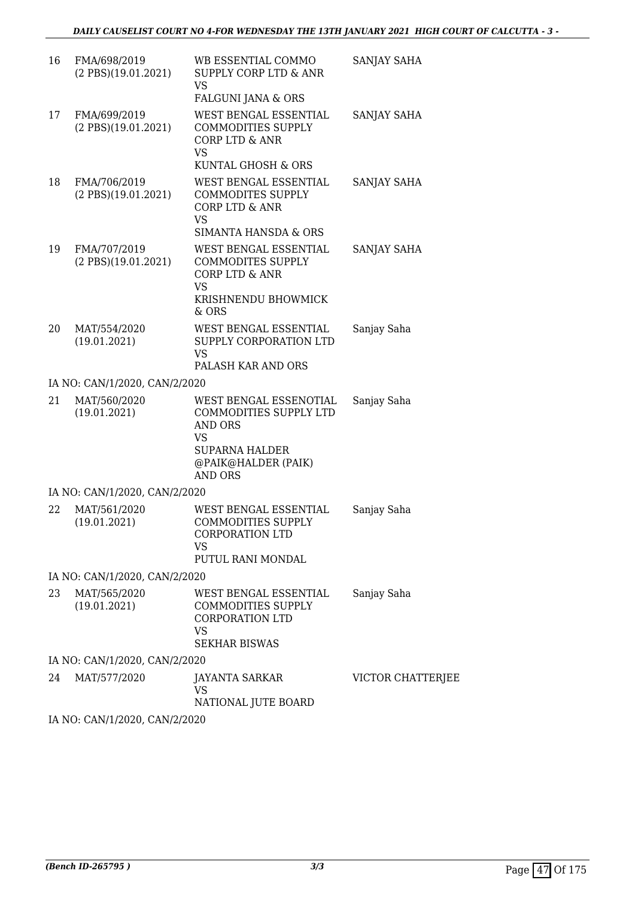| 16 | FMA/698/2019<br>$(2$ PBS $)(19.01.2021)$ | WB ESSENTIAL COMMO<br>SUPPLY CORP LTD & ANR<br>VS<br>FALGUNI JANA & ORS                                                                    | SANJAY SAHA       |
|----|------------------------------------------|--------------------------------------------------------------------------------------------------------------------------------------------|-------------------|
| 17 | FMA/699/2019<br>$(2$ PBS $)(19.01.2021)$ | WEST BENGAL ESSENTIAL<br><b>COMMODITIES SUPPLY</b><br>CORP LTD & ANR<br><b>VS</b><br>KUNTAL GHOSH & ORS                                    | SANJAY SAHA       |
| 18 | FMA/706/2019<br>$(2$ PBS $)(19.01.2021)$ | WEST BENGAL ESSENTIAL<br><b>COMMODITES SUPPLY</b><br>CORP LTD & ANR<br><b>VS</b><br>SIMANTA HANSDA & ORS                                   | SANJAY SAHA       |
| 19 | FMA/707/2019<br>$(2$ PBS $)(19.01.2021)$ | WEST BENGAL ESSENTIAL<br><b>COMMODITES SUPPLY</b><br>CORP LTD & ANR<br><b>VS</b><br>KRISHNENDU BHOWMICK<br>& ORS                           | SANJAY SAHA       |
| 20 | MAT/554/2020<br>(19.01.2021)             | WEST BENGAL ESSENTIAL<br>SUPPLY CORPORATION LTD<br><b>VS</b><br>PALASH KAR AND ORS                                                         | Sanjay Saha       |
|    | IA NO: CAN/1/2020, CAN/2/2020            |                                                                                                                                            |                   |
| 21 | MAT/560/2020<br>(19.01.2021)             | WEST BENGAL ESSENOTIAL<br>COMMODITIES SUPPLY LTD<br><b>AND ORS</b><br><b>VS</b><br><b>SUPARNA HALDER</b><br>@PAIK@HALDER (PAIK)<br>AND ORS | Sanjay Saha       |
|    | IA NO: CAN/1/2020, CAN/2/2020            |                                                                                                                                            |                   |
| 22 | MAT/561/2020<br>(19.01.2021)             | WEST BENGAL ESSENTIAL<br><b>COMMODITIES SUPPLY</b><br><b>CORPORATION LTD</b><br><b>VS</b><br>PUTUL RANI MONDAL                             | Sanjay Saha       |
|    | IA NO: CAN/1/2020, CAN/2/2020            |                                                                                                                                            |                   |
| 23 | MAT/565/2020<br>(19.01.2021)             | WEST BENGAL ESSENTIAL<br>COMMODITIES SUPPLY<br><b>CORPORATION LTD</b><br>VS<br><b>SEKHAR BISWAS</b>                                        | Sanjay Saha       |
|    | IA NO: CAN/1/2020, CAN/2/2020            |                                                                                                                                            |                   |
| 24 | MAT/577/2020                             | JAYANTA SARKAR<br><b>VS</b><br>NATIONAL JUTE BOARD                                                                                         | VICTOR CHATTERJEE |

IA NO: CAN/1/2020, CAN/2/2020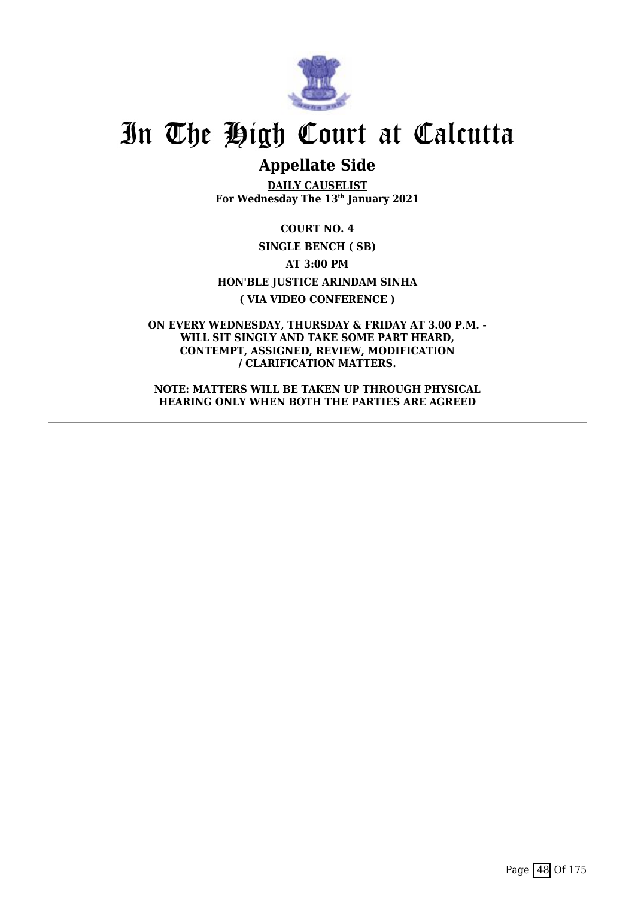

# **Appellate Side**

**DAILY CAUSELIST For Wednesday The 13th January 2021**

**COURT NO. 4 SINGLE BENCH ( SB) AT 3:00 PM HON'BLE JUSTICE ARINDAM SINHA ( VIA VIDEO CONFERENCE )**

**ON EVERY WEDNESDAY, THURSDAY & FRIDAY AT 3.00 P.M. - WILL SIT SINGLY AND TAKE SOME PART HEARD, CONTEMPT, ASSIGNED, REVIEW, MODIFICATION / CLARIFICATION MATTERS.**

**NOTE: MATTERS WILL BE TAKEN UP THROUGH PHYSICAL HEARING ONLY WHEN BOTH THE PARTIES ARE AGREED**

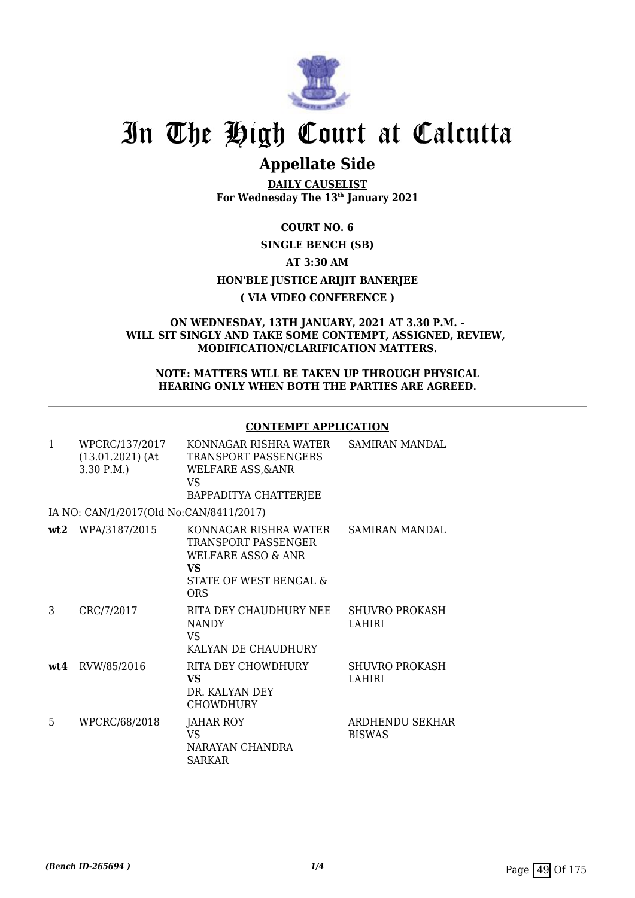

# **Appellate Side**

**DAILY CAUSELIST For Wednesday The 13th January 2021**

## **COURT NO. 6**

#### **SINGLE BENCH (SB)**

# **AT 3:30 AM**

# **HON'BLE JUSTICE ARIJIT BANERJEE**

# **( VIA VIDEO CONFERENCE )**

#### **ON WEDNESDAY, 13TH JANUARY, 2021 AT 3.30 P.M. - WILL SIT SINGLY AND TAKE SOME CONTEMPT, ASSIGNED, REVIEW, MODIFICATION/CLARIFICATION MATTERS.**

#### **NOTE: MATTERS WILL BE TAKEN UP THROUGH PHYSICAL HEARING ONLY WHEN BOTH THE PARTIES ARE AGREED.**

### **CONTEMPT APPLICATION**

| $\mathbf{1}$ | WPCRC/137/2017<br>$(13.01.2021)$ (At<br>3.30 P.M.) | KONNAGAR RISHRA WATER<br><b>TRANSPORT PASSENGERS</b><br><b>WELFARE ASS, &amp; ANR</b><br>VS.<br>BAPPADITYA CHATTERJEE | <b>SAMIRAN MANDAL</b>                   |
|--------------|----------------------------------------------------|-----------------------------------------------------------------------------------------------------------------------|-----------------------------------------|
|              | IA NO: CAN/1/2017(Old No:CAN/8411/2017)            |                                                                                                                       |                                         |
|              | wt2 WPA/3187/2015                                  | KONNAGAR RISHRA WATER<br>TRANSPORT PASSENGER<br>WELFARE ASSO & ANR<br>VS.<br>STATE OF WEST BENGAL &<br><b>ORS</b>     | SAMIRAN MANDAL                          |
| 3            | CRC/7/2017                                         | RITA DEY CHAUDHURY NEE<br><b>NANDY</b><br>VS.<br>KALYAN DE CHAUDHURY                                                  | SHUVRO PROKASH<br><b>LAHIRI</b>         |
| wt4          | RVW/85/2016                                        | RITA DEY CHOWDHURY<br>VS.<br>DR. KALYAN DEY<br><b>CHOWDHURY</b>                                                       | <b>SHUVRO PROKASH</b><br><b>LAHIRI</b>  |
| 5            | WPCRC/68/2018                                      | JAHAR ROY<br><b>VS</b><br>NARAYAN CHANDRA<br><b>SARKAR</b>                                                            | <b>ARDHENDU SEKHAR</b><br><b>BISWAS</b> |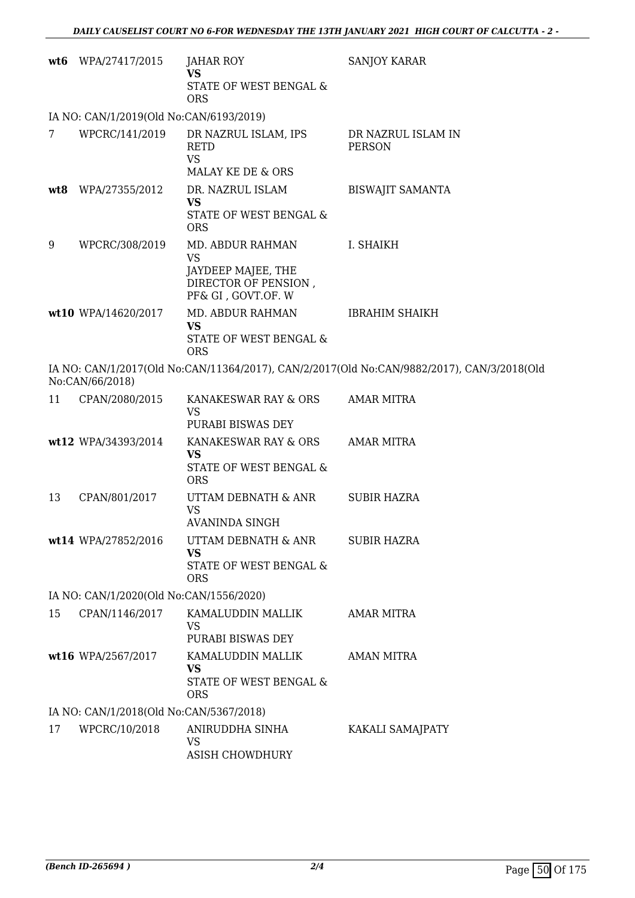|    | wt6 WPA/27417/2015                      | <b>JAHAR ROY</b><br><b>VS</b>                                                                     | <b>SANJOY KARAR</b>                                                                        |
|----|-----------------------------------------|---------------------------------------------------------------------------------------------------|--------------------------------------------------------------------------------------------|
|    |                                         | STATE OF WEST BENGAL &<br><b>ORS</b>                                                              |                                                                                            |
|    | IA NO: CAN/1/2019(Old No:CAN/6193/2019) |                                                                                                   |                                                                                            |
| 7  | WPCRC/141/2019                          | DR NAZRUL ISLAM, IPS<br><b>RETD</b><br><b>VS</b><br>MALAY KE DE & ORS                             | DR NAZRUL ISLAM IN<br><b>PERSON</b>                                                        |
|    | wt8 WPA/27355/2012                      | DR. NAZRUL ISLAM<br><b>VS</b><br>STATE OF WEST BENGAL &<br><b>ORS</b>                             | <b>BISWAJIT SAMANTA</b>                                                                    |
| 9  | WPCRC/308/2019                          | MD. ABDUR RAHMAN<br><b>VS</b><br>JAYDEEP MAJEE, THE<br>DIRECTOR OF PENSION,<br>PF& GI, GOVT.OF. W | I. SHAIKH                                                                                  |
|    | wt10 WPA/14620/2017                     | MD. ABDUR RAHMAN<br><b>VS</b><br>STATE OF WEST BENGAL &<br><b>ORS</b>                             | <b>IBRAHIM SHAIKH</b>                                                                      |
|    | No:CAN/66/2018)                         |                                                                                                   | IA NO: CAN/1/2017(Old No:CAN/11364/2017), CAN/2/2017(Old No:CAN/9882/2017), CAN/3/2018(Old |
| 11 | CPAN/2080/2015                          | KANAKESWAR RAY & ORS<br><b>VS</b><br>PURABI BISWAS DEY                                            | <b>AMAR MITRA</b>                                                                          |
|    | wt12 WPA/34393/2014                     | KANAKESWAR RAY & ORS<br><b>VS</b><br>STATE OF WEST BENGAL &<br><b>ORS</b>                         | <b>AMAR MITRA</b>                                                                          |
| 13 | CPAN/801/2017                           | UTTAM DEBNATH & ANR<br><b>VS</b><br>AVANINDA SINGH                                                | <b>SUBIR HAZRA</b>                                                                         |
|    | wt14 WPA/27852/2016                     | UTTAM DEBNATH & ANR<br>VS<br>STATE OF WEST BENGAL &<br><b>ORS</b>                                 | <b>SUBIR HAZRA</b>                                                                         |
|    | IA NO: CAN/1/2020(Old No:CAN/1556/2020) |                                                                                                   |                                                                                            |
| 15 | CPAN/1146/2017                          | KAMALUDDIN MALLIK<br><b>VS</b><br>PURABI BISWAS DEY                                               | <b>AMAR MITRA</b>                                                                          |
|    | wt16 WPA/2567/2017                      | KAMALUDDIN MALLIK<br><b>VS</b><br>STATE OF WEST BENGAL &<br><b>ORS</b>                            | <b>AMAN MITRA</b>                                                                          |
|    | IA NO: CAN/1/2018(Old No:CAN/5367/2018) |                                                                                                   |                                                                                            |
| 17 | WPCRC/10/2018                           | ANIRUDDHA SINHA<br>VS<br><b>ASISH CHOWDHURY</b>                                                   | KAKALI SAMAJPATY                                                                           |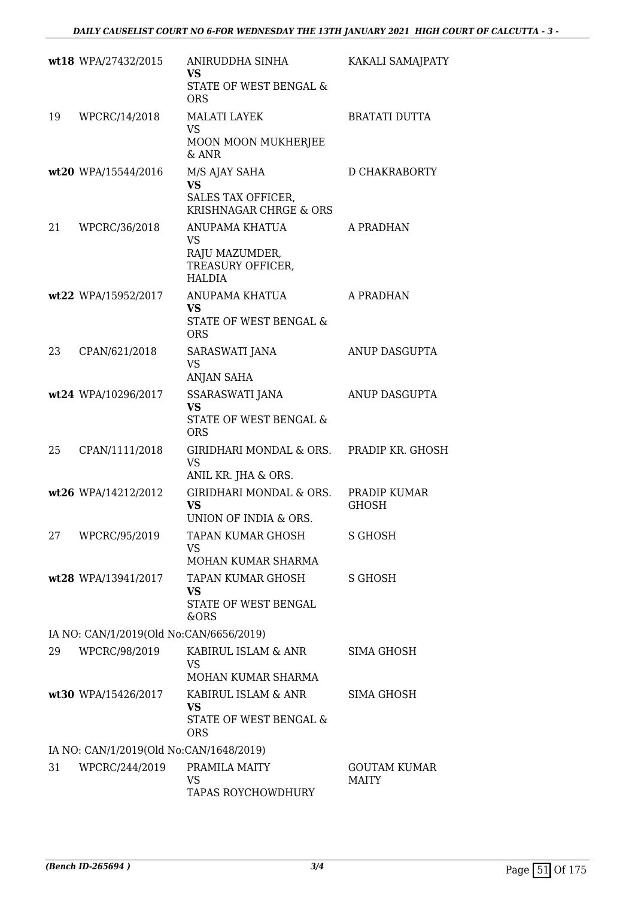|    | wt18 WPA/27432/2015                     | ANIRUDDHA SINHA<br>VS                                                          | KAKALI SAMAJPATY                    |
|----|-----------------------------------------|--------------------------------------------------------------------------------|-------------------------------------|
|    |                                         | STATE OF WEST BENGAL &<br><b>ORS</b>                                           |                                     |
| 19 | WPCRC/14/2018                           | <b>MALATI LAYEK</b><br><b>VS</b><br><b>MOON MOON MUKHERJEE</b><br>$&$ ANR      | <b>BRATATI DUTTA</b>                |
|    | wt20 WPA/15544/2016                     | M/S AJAY SAHA<br><b>VS</b><br>SALES TAX OFFICER,<br>KRISHNAGAR CHRGE & ORS     | D CHAKRABORTY                       |
| 21 | WPCRC/36/2018                           | ANUPAMA KHATUA<br>VS<br>RAJU MAZUMDER,<br>TREASURY OFFICER,<br>HALDIA          | A PRADHAN                           |
|    | wt22 WPA/15952/2017                     | ANUPAMA KHATUA<br><b>VS</b><br><b>STATE OF WEST BENGAL &amp;</b><br><b>ORS</b> | A PRADHAN                           |
| 23 | CPAN/621/2018                           | SARASWATI JANA<br><b>VS</b><br><b>ANJAN SAHA</b>                               | ANUP DASGUPTA                       |
|    | wt24 WPA/10296/2017                     | SSARASWATI JANA<br><b>VS</b><br>STATE OF WEST BENGAL &<br><b>ORS</b>           | ANUP DASGUPTA                       |
| 25 | CPAN/1111/2018                          | GIRIDHARI MONDAL & ORS.<br><b>VS</b><br>ANIL KR. JHA & ORS.                    | PRADIP KR. GHOSH                    |
|    | wt26 WPA/14212/2012                     | GIRIDHARI MONDAL & ORS.<br>VS<br>UNION OF INDIA & ORS.                         | PRADIP KUMAR<br><b>GHOSH</b>        |
| 27 | WPCRC/95/2019                           | TAPAN KUMAR GHOSH<br><b>VS</b><br>MOHAN KUMAR SHARMA                           | S GHOSH                             |
|    | wt28 WPA/13941/2017                     | TAPAN KUMAR GHOSH<br>VS<br>STATE OF WEST BENGAL<br>&ORS                        | S GHOSH                             |
|    | IA NO: CAN/1/2019(Old No:CAN/6656/2019) |                                                                                |                                     |
| 29 | WPCRC/98/2019                           | KABIRUL ISLAM & ANR<br><b>VS</b><br>MOHAN KUMAR SHARMA                         | SIMA GHOSH                          |
|    | wt30 WPA/15426/2017                     | KABIRUL ISLAM & ANR<br>VS<br>STATE OF WEST BENGAL &<br><b>ORS</b>              | SIMA GHOSH                          |
|    | IA NO: CAN/1/2019(Old No:CAN/1648/2019) |                                                                                |                                     |
| 31 | WPCRC/244/2019                          | PRAMILA MAITY<br><b>VS</b><br>TAPAS ROYCHOWDHURY                               | <b>GOUTAM KUMAR</b><br><b>MAITY</b> |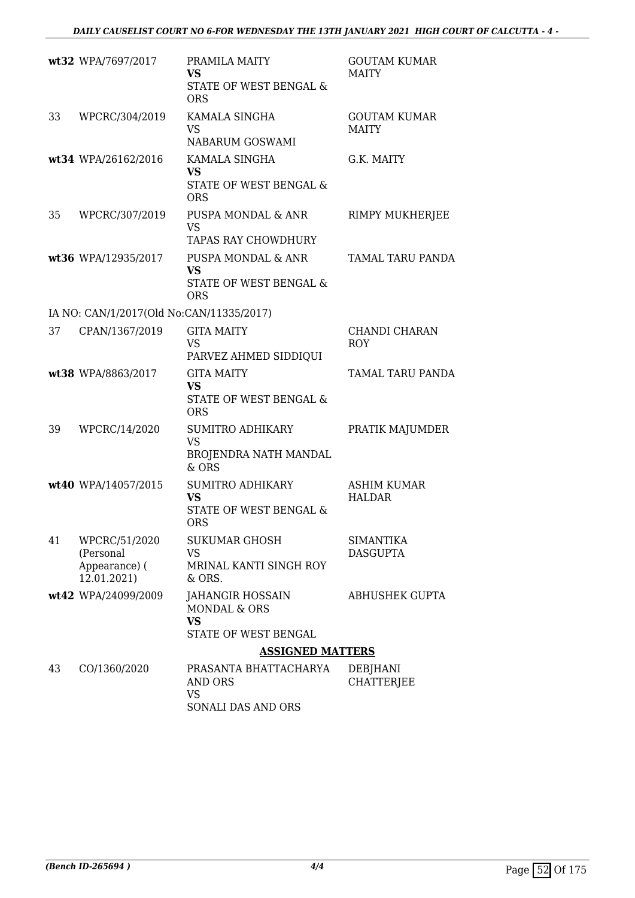|    | wt32 WPA/7697/2017                                         | PRAMILA MAITY<br><b>VS</b><br>STATE OF WEST BENGAL &<br><b>ORS</b>                             | <b>GOUTAM KUMAR</b><br><b>MAITY</b> |
|----|------------------------------------------------------------|------------------------------------------------------------------------------------------------|-------------------------------------|
| 33 | WPCRC/304/2019                                             | KAMALA SINGHA<br><b>VS</b><br>NABARUM GOSWAMI                                                  | <b>GOUTAM KUMAR</b><br><b>MAITY</b> |
|    | wt34 WPA/26162/2016                                        | KAMALA SINGHA<br><b>VS</b><br>STATE OF WEST BENGAL &<br><b>ORS</b>                             | G.K. MAITY                          |
| 35 | WPCRC/307/2019                                             | PUSPA MONDAL & ANR<br><b>VS</b>                                                                | RIMPY MUKHERJEE                     |
|    | wt36 WPA/12935/2017                                        | TAPAS RAY CHOWDHURY<br>PUSPA MONDAL & ANR<br><b>VS</b><br>STATE OF WEST BENGAL &<br><b>ORS</b> | TAMAL TARU PANDA                    |
|    | IA NO: CAN/1/2017(Old No:CAN/11335/2017)                   |                                                                                                |                                     |
| 37 | CPAN/1367/2019                                             | <b>GITA MAITY</b><br><b>VS</b><br>PARVEZ AHMED SIDDIQUI                                        | CHANDI CHARAN<br><b>ROY</b>         |
|    | wt38 WPA/8863/2017                                         | <b>GITA MAITY</b><br><b>VS</b><br>STATE OF WEST BENGAL &<br><b>ORS</b>                         | TAMAL TARU PANDA                    |
| 39 | WPCRC/14/2020                                              | <b>SUMITRO ADHIKARY</b><br>VS<br>BROJENDRA NATH MANDAL<br>$&$ ORS                              | PRATIK MAJUMDER                     |
|    | wt40 WPA/14057/2015                                        | <b>SUMITRO ADHIKARY</b><br><b>VS</b><br>STATE OF WEST BENGAL &<br><b>ORS</b>                   | <b>ASHIM KUMAR</b><br><b>HALDAR</b> |
| 41 | WPCRC/51/2020<br>(Personal<br>Appearance) (<br>12.01.2021) | <b>SUKUMAR GHOSH</b><br>VS<br>MRINAL KANTI SINGH ROY<br>& ORS.                                 | <b>SIMANTIKA</b><br><b>DASGUPTA</b> |
|    | wt42 WPA/24099/2009                                        | <b>JAHANGIR HOSSAIN</b><br><b>MONDAL &amp; ORS</b><br><b>VS</b><br>STATE OF WEST BENGAL        | <b>ABHUSHEK GUPTA</b>               |
|    |                                                            | <b>ASSIGNED MATTERS</b>                                                                        |                                     |
| 43 | CO/1360/2020                                               | PRASANTA BHATTACHARYA<br>AND ORS<br><b>VS</b><br>SONALI DAS AND ORS                            | DEBJHANI<br><b>CHATTERJEE</b>       |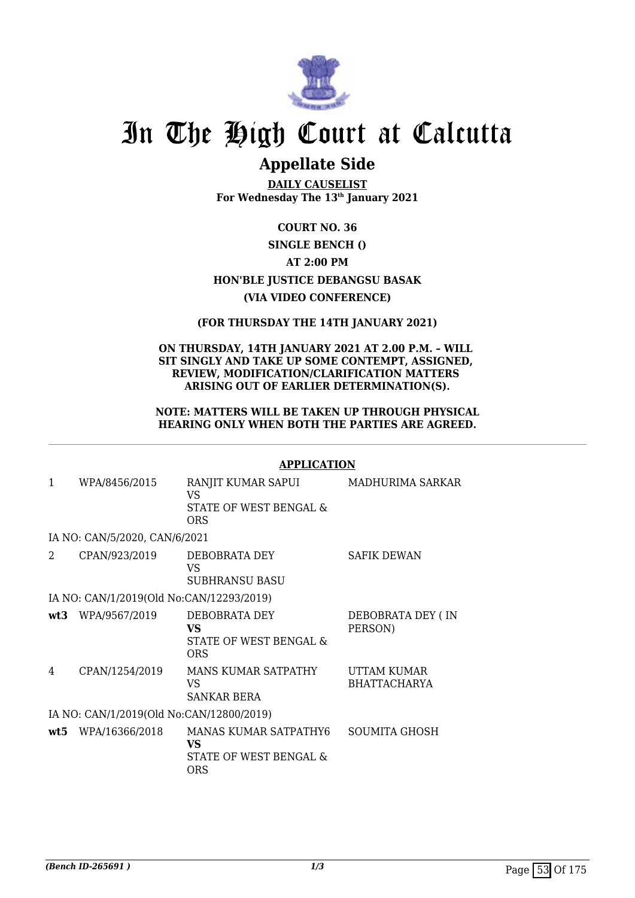

# **Appellate Side**

**DAILY CAUSELIST For Wednesday The 13th January 2021**

# **COURT NO. 36**

# **SINGLE BENCH () AT 2:00 PM HON'BLE JUSTICE DEBANGSU BASAK (VIA VIDEO CONFERENCE)**

### **(FOR THURSDAY THE 14TH JANUARY 2021)**

#### **ON THURSDAY, 14TH JANUARY 2021 AT 2.00 P.M. – WILL SIT SINGLY AND TAKE UP SOME CONTEMPT, ASSIGNED, REVIEW, MODIFICATION/CLARIFICATION MATTERS ARISING OUT OF EARLIER DETERMINATION(S).**

#### **NOTE: MATTERS WILL BE TAKEN UP THROUGH PHYSICAL HEARING ONLY WHEN BOTH THE PARTIES ARE AGREED.**

#### **APPLICATION**

| 1                                        | WPA/8456/2015                            | RANJIT KUMAR SAPUI<br>VS.<br>STATE OF WEST BENGAL &<br><b>ORS</b> | MADHURIMA SARKAR                   |  |  |
|------------------------------------------|------------------------------------------|-------------------------------------------------------------------|------------------------------------|--|--|
|                                          | IA NO: CAN/5/2020, CAN/6/2021            |                                                                   |                                    |  |  |
| 2                                        | CPAN/923/2019                            | DEBOBRATA DEY<br>VS.<br>SUBHRANSU BASU                            | <b>SAFIK DEWAN</b>                 |  |  |
|                                          | IA NO: CAN/1/2019(Old No:CAN/12293/2019) |                                                                   |                                    |  |  |
| wt3                                      | WPA/9567/2019                            | DEBOBRATA DEY<br>VS<br>STATE OF WEST BENGAL &<br>ORS              | DEBOBRATA DEY (IN<br>PERSON)       |  |  |
| 4                                        | CPAN/1254/2019                           | MANS KUMAR SATPATHY<br>VS<br>SANKAR BERA                          | UTTAM KUMAR<br><b>BHATTACHARYA</b> |  |  |
| IA NO: CAN/1/2019(Old No:CAN/12800/2019) |                                          |                                                                   |                                    |  |  |
| wt5                                      | WPA/16366/2018                           | MANAS KUMAR SATPATHY6<br>VS<br>STATE OF WEST BENGAL &<br>ORS      | SOUMITA GHOSH                      |  |  |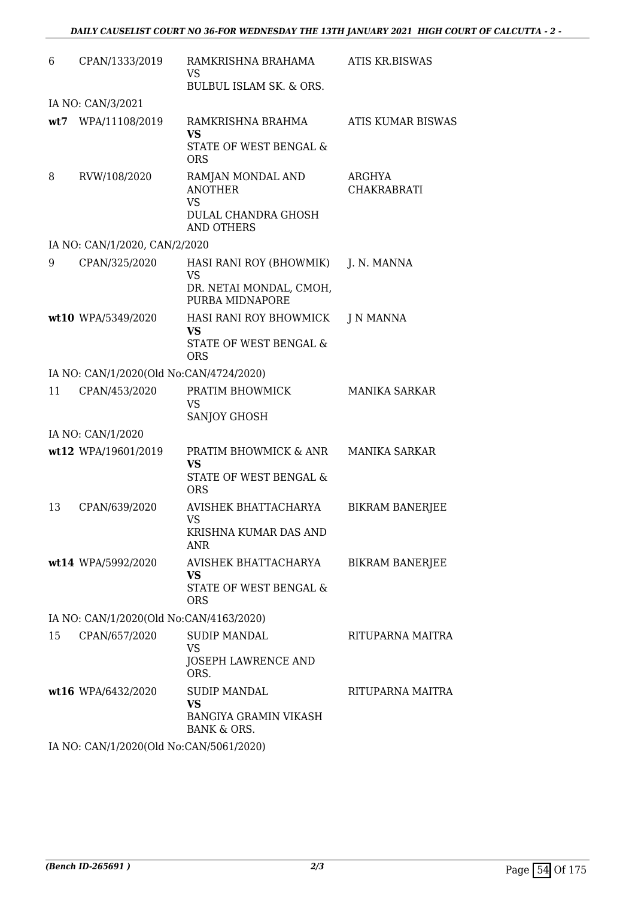| 6  | CPAN/1333/2019                            | RAMKRISHNA BRAHAMA<br><b>VS</b><br><b>BULBUL ISLAM SK. &amp; ORS.</b>                        | <b>ATIS KR.BISWAS</b>        |
|----|-------------------------------------------|----------------------------------------------------------------------------------------------|------------------------------|
|    | IA NO: CAN/3/2021                         |                                                                                              |                              |
|    | wt7 WPA/11108/2019                        | RAMKRISHNA BRAHMA<br><b>VS</b><br>STATE OF WEST BENGAL &<br><b>ORS</b>                       | ATIS KUMAR BISWAS            |
| 8  | RVW/108/2020                              | RAMJAN MONDAL AND<br><b>ANOTHER</b><br><b>VS</b><br>DULAL CHANDRA GHOSH<br><b>AND OTHERS</b> | ARGHYA<br><b>CHAKRABRATI</b> |
|    | IA NO: CAN/1/2020, CAN/2/2020             |                                                                                              |                              |
| 9  | CPAN/325/2020                             | HASI RANI ROY (BHOWMIK)<br><b>VS</b><br>DR. NETAI MONDAL, CMOH,<br>PURBA MIDNAPORE           | J. N. MANNA                  |
|    | wt10 WPA/5349/2020                        | HASI RANI ROY BHOWMICK<br><b>VS</b><br>STATE OF WEST BENGAL &<br><b>ORS</b>                  | J N MANNA                    |
|    | IA NO: CAN/1/2020(Old No:CAN/4724/2020)   |                                                                                              |                              |
| 11 | CPAN/453/2020                             | PRATIM BHOWMICK<br><b>VS</b><br>SANJOY GHOSH                                                 | <b>MANIKA SARKAR</b>         |
|    | IA NO: CAN/1/2020                         |                                                                                              |                              |
|    | wt12 WPA/19601/2019                       | PRATIM BHOWMICK & ANR<br><b>VS</b><br><b>STATE OF WEST BENGAL &amp;</b><br><b>ORS</b>        | <b>MANIKA SARKAR</b>         |
| 13 | CPAN/639/2020                             | <b>AVISHEK BHATTACHARYA</b><br>VS<br>KRISHNA KUMAR DAS AND<br><b>ANR</b>                     | <b>BIKRAM BANERJEE</b>       |
|    | wt14 WPA/5992/2020                        | AVISHEK BHATTACHARYA<br><b>VS</b><br>STATE OF WEST BENGAL &<br><b>ORS</b>                    | <b>BIKRAM BANERJEE</b>       |
|    | IA NO: CAN/1/2020(Old No:CAN/4163/2020)   |                                                                                              |                              |
| 15 | CPAN/657/2020                             | <b>SUDIP MANDAL</b><br><b>VS</b><br><b>JOSEPH LAWRENCE AND</b><br>ORS.                       | RITUPARNA MAITRA             |
|    | wt16 WPA/6432/2020                        | <b>SUDIP MANDAL</b><br><b>VS</b><br>BANGIYA GRAMIN VIKASH<br>BANK & ORS.                     | RITUPARNA MAITRA             |
|    | IA NO: $CAN/1/2020(OMN_0; CAN/5061/2020)$ |                                                                                              |                              |

IA NO: CAN/1/2020(Old No:CAN/5061/2020)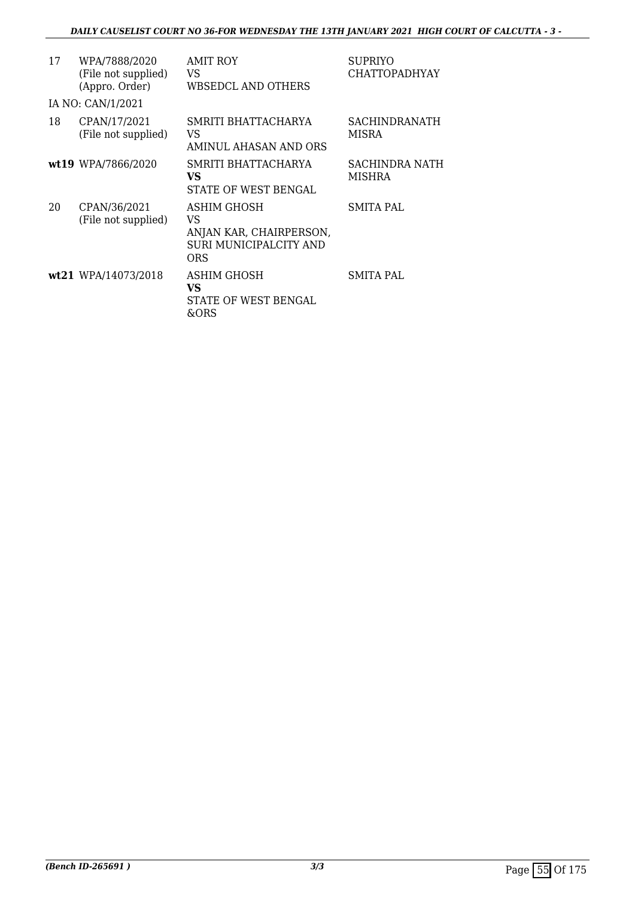| 17 | WPA/7888/2020<br>(File not supplied)<br>(Appro. Order) | <b>AMIT ROY</b><br>VS<br>WBSEDCL AND OTHERS                                          | SUPRIYO<br>CHATTOPADHYAY        |
|----|--------------------------------------------------------|--------------------------------------------------------------------------------------|---------------------------------|
|    | IA NO: CAN/1/2021                                      |                                                                                      |                                 |
| 18 | CPAN/17/2021<br>(File not supplied)                    | SMRITI BHATTACHARYA<br>VS<br>AMINUL AHASAN AND ORS                                   | SACHINDRANATH<br>MISRA          |
|    | wt19 WPA/7866/2020                                     | SMRITI BHATTACHARYA<br>VS<br>STATE OF WEST BENGAL                                    | SACHINDRA NATH<br><b>MISHRA</b> |
| 20 | CPAN/36/2021<br>(File not supplied)                    | ASHIM GHOSH<br>VS<br>ANJAN KAR, CHAIRPERSON,<br>SURI MUNICIPALCITY AND<br><b>ORS</b> | SMITA PAL                       |
|    | wt21 WPA/14073/2018                                    | ASHIM GHOSH<br>VS<br>STATE OF WEST BENGAL<br>&ORS                                    | SMITA PAL                       |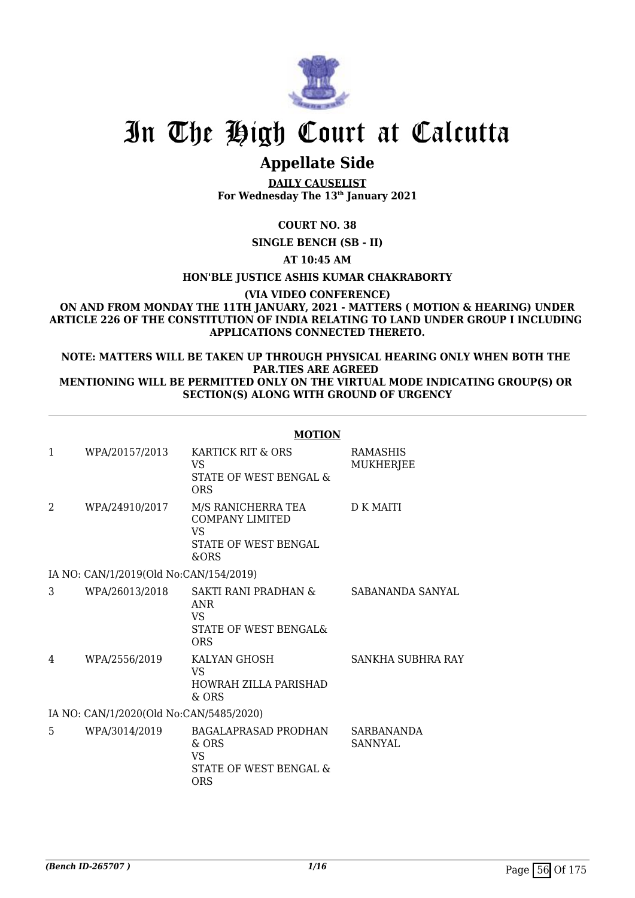

# **Appellate Side**

**DAILY CAUSELIST For Wednesday The 13th January 2021**

# **COURT NO. 38**

### **SINGLE BENCH (SB - II)**

**AT 10:45 AM**

#### **HON'BLE JUSTICE ASHIS KUMAR CHAKRABORTY**

**(VIA VIDEO CONFERENCE)**

**ON AND FROM MONDAY THE 11TH JANUARY, 2021 - MATTERS ( MOTION & HEARING) UNDER ARTICLE 226 OF THE CONSTITUTION OF INDIA RELATING TO LAND UNDER GROUP I INCLUDING APPLICATIONS CONNECTED THERETO.**

**NOTE: MATTERS WILL BE TAKEN UP THROUGH PHYSICAL HEARING ONLY WHEN BOTH THE PAR.TIES ARE AGREED** 

### **MENTIONING WILL BE PERMITTED ONLY ON THE VIRTUAL MODE INDICATING GROUP(S) OR SECTION(S) ALONG WITH GROUND OF URGENCY**

|              |                                         | <b>MOTION</b>                                                                          |                                     |  |  |
|--------------|-----------------------------------------|----------------------------------------------------------------------------------------|-------------------------------------|--|--|
| $\mathbf{1}$ | WPA/20157/2013                          | KARTICK RIT & ORS<br>VS.<br>STATE OF WEST BENGAL &<br><b>ORS</b>                       | <b>RAMASHIS</b><br><b>MUKHERJEE</b> |  |  |
| 2            | WPA/24910/2017                          | M/S RANICHERRA TEA<br><b>COMPANY LIMITED</b><br>VS.<br>STATE OF WEST BENGAL<br>&ORS    | <b>D K MAITI</b>                    |  |  |
|              | IA NO: CAN/1/2019(Old No:CAN/154/2019)  |                                                                                        |                                     |  |  |
| 3            | WPA/26013/2018                          | SAKTI RANI PRADHAN &<br><b>ANR</b><br><b>VS</b><br>STATE OF WEST BENGALS<br><b>ORS</b> | SABANANDA SANYAL                    |  |  |
| 4            | WPA/2556/2019                           | KALYAN GHOSH<br>VS<br>HOWRAH ZILLA PARISHAD<br>$&$ ORS                                 | SANKHA SUBHRA RAY                   |  |  |
|              | IA NO: CAN/1/2020(Old No:CAN/5485/2020) |                                                                                        |                                     |  |  |
| 5            | WPA/3014/2019                           | <b>BAGALAPRASAD PRODHAN</b><br>& ORS<br><b>VS</b><br>STATE OF WEST BENGAL &<br>ORS     | SARBANANDA<br><b>SANNYAL</b>        |  |  |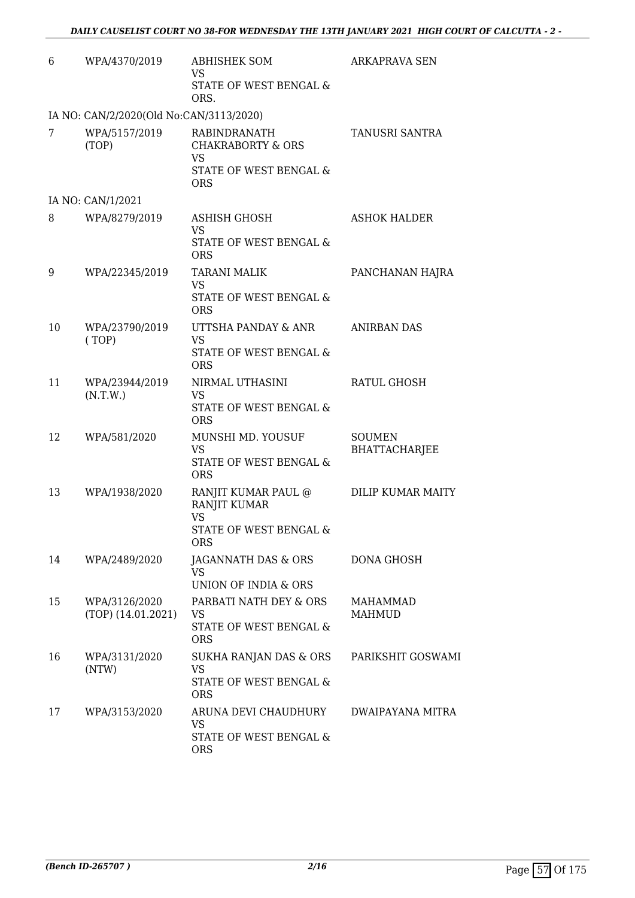| 6  | WPA/4370/2019                           | <b>ABHISHEK SOM</b><br><b>VS</b><br>STATE OF WEST BENGAL &                                        | <b>ARKAPRAVA SEN</b>                  |
|----|-----------------------------------------|---------------------------------------------------------------------------------------------------|---------------------------------------|
|    |                                         | ORS.                                                                                              |                                       |
|    | IA NO: CAN/2/2020(Old No:CAN/3113/2020) |                                                                                                   |                                       |
| 7  | WPA/5157/2019<br>(TOP)                  | RABINDRANATH<br><b>CHAKRABORTY &amp; ORS</b><br><b>VS</b><br>STATE OF WEST BENGAL &<br><b>ORS</b> | <b>TANUSRI SANTRA</b>                 |
|    | IA NO: CAN/1/2021                       |                                                                                                   |                                       |
| 8  | WPA/8279/2019                           | <b>ASHISH GHOSH</b><br><b>VS</b><br>STATE OF WEST BENGAL &<br><b>ORS</b>                          | <b>ASHOK HALDER</b>                   |
| 9  | WPA/22345/2019                          | <b>TARANI MALIK</b><br>VS<br>STATE OF WEST BENGAL &                                               | PANCHANAN HAJRA                       |
| 10 | WPA/23790/2019<br>(TOP)                 | <b>ORS</b><br>UTTSHA PANDAY & ANR<br><b>VS</b><br>STATE OF WEST BENGAL &                          | <b>ANIRBAN DAS</b>                    |
| 11 | WPA/23944/2019<br>(N.T.W.)              | <b>ORS</b><br>NIRMAL UTHASINI<br>VS.<br>STATE OF WEST BENGAL &<br><b>ORS</b>                      | RATUL GHOSH                           |
| 12 | WPA/581/2020                            | MUNSHI MD. YOUSUF<br><b>VS</b><br>STATE OF WEST BENGAL &<br><b>ORS</b>                            | <b>SOUMEN</b><br><b>BHATTACHARJEE</b> |
| 13 | WPA/1938/2020                           | RANJIT KUMAR PAUL @<br>RANJIT KUMAR<br>VS<br>STATE OF WEST BENGAL &<br><b>ORS</b>                 | DILIP KUMAR MAITY                     |
| 14 | WPA/2489/2020                           | JAGANNATH DAS & ORS<br>VS<br>UNION OF INDIA & ORS                                                 | DONA GHOSH                            |
| 15 | WPA/3126/2020<br>$(TOP)$ (14.01.2021)   | PARBATI NATH DEY & ORS<br>VS<br>STATE OF WEST BENGAL &<br><b>ORS</b>                              | <b>MAHAMMAD</b><br><b>MAHMUD</b>      |
| 16 | WPA/3131/2020<br>(NTW)                  | SUKHA RANJAN DAS & ORS<br>VS<br>STATE OF WEST BENGAL &<br><b>ORS</b>                              | PARIKSHIT GOSWAMI                     |
| 17 | WPA/3153/2020                           | ARUNA DEVI CHAUDHURY<br>VS<br>STATE OF WEST BENGAL &<br><b>ORS</b>                                | DWAIPAYANA MITRA                      |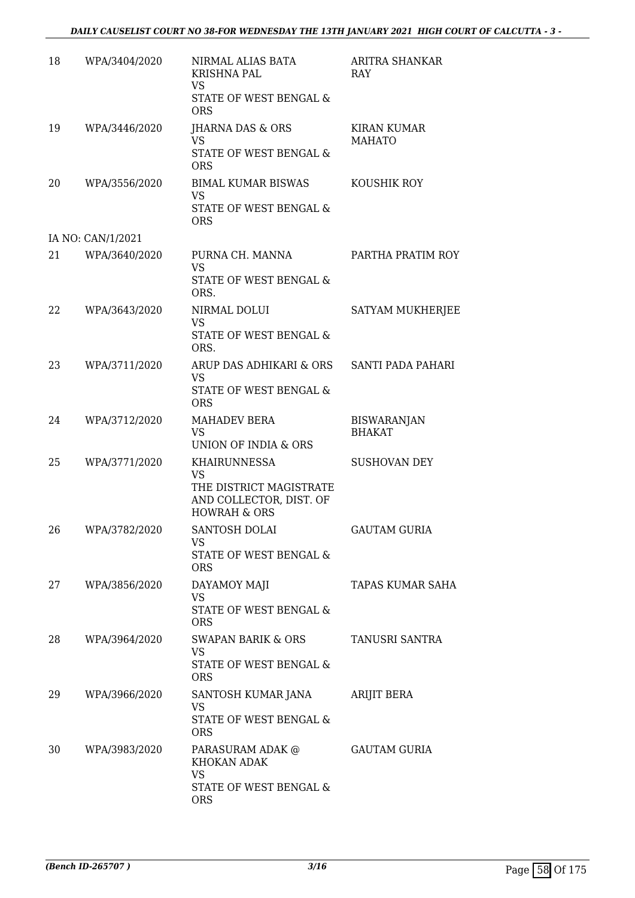| 18 | WPA/3404/2020     | NIRMAL ALIAS BATA<br><b>KRISHNA PAL</b><br><b>VS</b><br>STATE OF WEST BENGAL &<br><b>ORS</b>               | ARITRA SHANKAR<br><b>RAY</b>        |
|----|-------------------|------------------------------------------------------------------------------------------------------------|-------------------------------------|
| 19 | WPA/3446/2020     | JHARNA DAS & ORS<br><b>VS</b><br>STATE OF WEST BENGAL &<br><b>ORS</b>                                      | <b>KIRAN KUMAR</b><br><b>MAHATO</b> |
| 20 | WPA/3556/2020     | <b>BIMAL KUMAR BISWAS</b><br><b>VS</b><br>STATE OF WEST BENGAL &<br><b>ORS</b>                             | KOUSHIK ROY                         |
|    | IA NO: CAN/1/2021 |                                                                                                            |                                     |
| 21 | WPA/3640/2020     | PURNA CH. MANNA<br><b>VS</b><br>STATE OF WEST BENGAL &<br>ORS.                                             | PARTHA PRATIM ROY                   |
| 22 | WPA/3643/2020     | NIRMAL DOLUI<br><b>VS</b><br>STATE OF WEST BENGAL &<br>ORS.                                                | SATYAM MUKHERJEE                    |
| 23 | WPA/3711/2020     | ARUP DAS ADHIKARI & ORS<br><b>VS</b><br>STATE OF WEST BENGAL &<br><b>ORS</b>                               | SANTI PADA PAHARI                   |
| 24 | WPA/3712/2020     | <b>MAHADEV BERA</b><br><b>VS</b><br>UNION OF INDIA & ORS                                                   | <b>BISWARANJAN</b><br><b>BHAKAT</b> |
| 25 | WPA/3771/2020     | KHAIRUNNESSA<br><b>VS</b><br>THE DISTRICT MAGISTRATE<br>AND COLLECTOR, DIST. OF<br><b>HOWRAH &amp; ORS</b> | <b>SUSHOVAN DEY</b>                 |
| 26 | WPA/3782/2020     | SANTOSH DOLAI<br>VS<br>STATE OF WEST BENGAL &<br><b>ORS</b>                                                | <b>GAUTAM GURIA</b>                 |
| 27 | WPA/3856/2020     | DAYAMOY MAJI<br>VS<br>STATE OF WEST BENGAL &<br><b>ORS</b>                                                 | TAPAS KUMAR SAHA                    |
| 28 | WPA/3964/2020     | SWAPAN BARIK & ORS<br><b>VS</b><br>STATE OF WEST BENGAL &<br><b>ORS</b>                                    | TANUSRI SANTRA                      |
| 29 | WPA/3966/2020     | SANTOSH KUMAR JANA<br>VS<br>STATE OF WEST BENGAL &<br><b>ORS</b>                                           | ARIJIT BERA                         |
| 30 | WPA/3983/2020     | PARASURAM ADAK @<br>KHOKAN ADAK<br>VS<br>STATE OF WEST BENGAL &<br><b>ORS</b>                              | <b>GAUTAM GURIA</b>                 |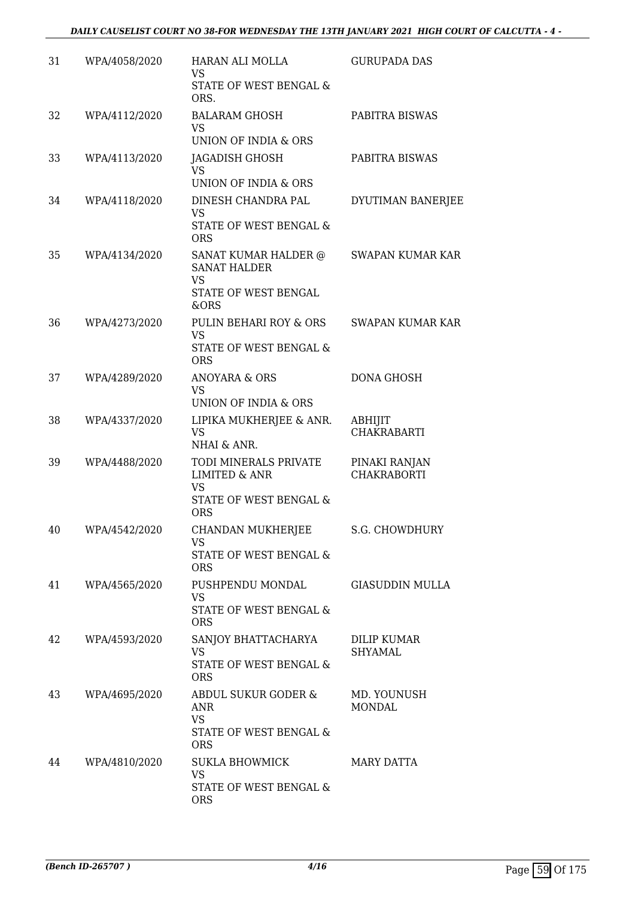| 31 | WPA/4058/2020 | HARAN ALI MOLLA<br>VS.<br>STATE OF WEST BENGAL &                                                       | <b>GURUPADA DAS</b>                 |
|----|---------------|--------------------------------------------------------------------------------------------------------|-------------------------------------|
| 32 | WPA/4112/2020 | ORS.<br><b>BALARAM GHOSH</b><br><b>VS</b><br>UNION OF INDIA & ORS                                      | PABITRA BISWAS                      |
| 33 | WPA/4113/2020 | <b>JAGADISH GHOSH</b><br><b>VS</b>                                                                     | PABITRA BISWAS                      |
| 34 | WPA/4118/2020 | UNION OF INDIA & ORS<br>DINESH CHANDRA PAL<br><b>VS</b><br>STATE OF WEST BENGAL &<br><b>ORS</b>        | DYUTIMAN BANERJEE                   |
| 35 | WPA/4134/2020 | SANAT KUMAR HALDER @<br><b>SANAT HALDER</b><br><b>VS</b><br>STATE OF WEST BENGAL<br>&ORS               | <b>SWAPAN KUMAR KAR</b>             |
| 36 | WPA/4273/2020 | PULIN BEHARI ROY & ORS<br><b>VS</b><br>STATE OF WEST BENGAL &<br><b>ORS</b>                            | <b>SWAPAN KUMAR KAR</b>             |
| 37 | WPA/4289/2020 | <b>ANOYARA &amp; ORS</b><br><b>VS</b><br>UNION OF INDIA & ORS                                          | DONA GHOSH                          |
| 38 | WPA/4337/2020 | LIPIKA MUKHERJEE & ANR.<br><b>VS</b><br>NHAI & ANR.                                                    | ABHIJIT<br>CHAKRABARTI              |
| 39 | WPA/4488/2020 | TODI MINERALS PRIVATE<br><b>LIMITED &amp; ANR</b><br><b>VS</b><br>STATE OF WEST BENGAL &<br><b>ORS</b> | PINAKI RANJAN<br><b>CHAKRABORTI</b> |
| 40 | WPA/4542/2020 | <b>CHANDAN MUKHERJEE</b><br>VS<br>STATE OF WEST BENGAL &<br><b>ORS</b>                                 | S.G. CHOWDHURY                      |
| 41 | WPA/4565/2020 | PUSHPENDU MONDAL<br>VS<br>STATE OF WEST BENGAL &<br><b>ORS</b>                                         | <b>GIASUDDIN MULLA</b>              |
| 42 | WPA/4593/2020 | SANJOY BHATTACHARYA<br><b>VS</b><br>STATE OF WEST BENGAL &<br><b>ORS</b>                               | <b>DILIP KUMAR</b><br>SHYAMAL       |
| 43 | WPA/4695/2020 | ABDUL SUKUR GODER &<br>ANR<br><b>VS</b><br>STATE OF WEST BENGAL &<br><b>ORS</b>                        | MD. YOUNUSH<br>MONDAL               |
| 44 | WPA/4810/2020 | SUKLA BHOWMICK<br>VS<br>STATE OF WEST BENGAL &<br><b>ORS</b>                                           | MARY DATTA                          |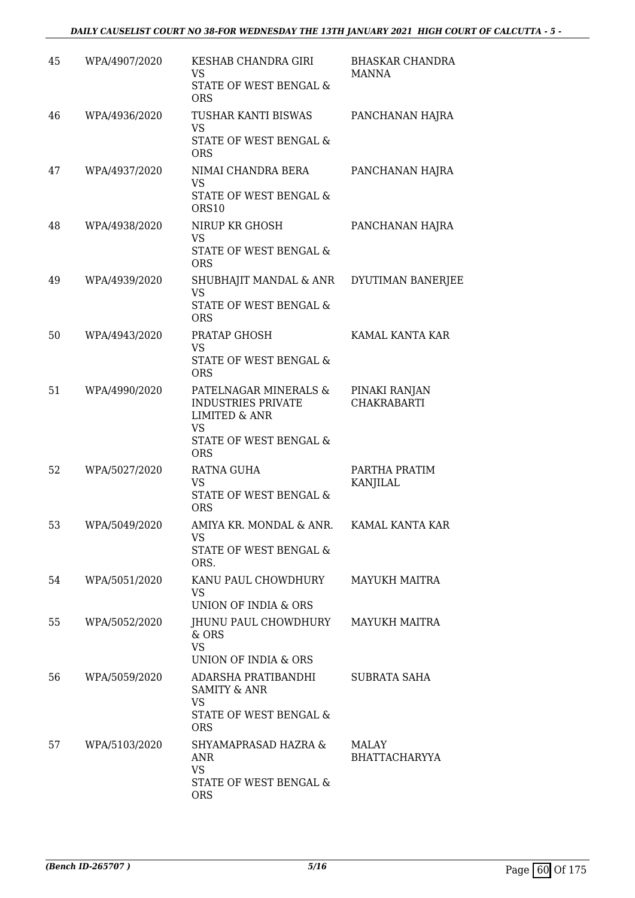| 45 | WPA/4907/2020 | KESHAB CHANDRA GIRI<br>VS<br>STATE OF WEST BENGAL &<br><b>ORS</b>                                                                   | <b>BHASKAR CHANDRA</b><br>MANNA     |
|----|---------------|-------------------------------------------------------------------------------------------------------------------------------------|-------------------------------------|
| 46 | WPA/4936/2020 | TUSHAR KANTI BISWAS<br><b>VS</b><br>STATE OF WEST BENGAL &<br><b>ORS</b>                                                            | PANCHANAN HAJRA                     |
| 47 | WPA/4937/2020 | NIMAI CHANDRA BERA<br><b>VS</b><br>STATE OF WEST BENGAL &<br>ORS10                                                                  | PANCHANAN HAJRA                     |
| 48 | WPA/4938/2020 | NIRUP KR GHOSH<br><b>VS</b><br>STATE OF WEST BENGAL &<br><b>ORS</b>                                                                 | PANCHANAN HAJRA                     |
| 49 | WPA/4939/2020 | SHUBHAJIT MANDAL & ANR DYUTIMAN BANERJEE<br><b>VS</b><br><b>STATE OF WEST BENGAL &amp;</b><br><b>ORS</b>                            |                                     |
| 50 | WPA/4943/2020 | PRATAP GHOSH<br><b>VS</b><br>STATE OF WEST BENGAL &<br><b>ORS</b>                                                                   | KAMAL KANTA KAR                     |
| 51 | WPA/4990/2020 | PATELNAGAR MINERALS &<br><b>INDUSTRIES PRIVATE</b><br><b>LIMITED &amp; ANR</b><br><b>VS</b><br>STATE OF WEST BENGAL &<br><b>ORS</b> | PINAKI RANJAN<br><b>CHAKRABARTI</b> |
| 52 | WPA/5027/2020 | <b>RATNA GUHA</b><br><b>VS</b><br>STATE OF WEST BENGAL &<br><b>ORS</b>                                                              | PARTHA PRATIM<br><b>KANJILAL</b>    |
| 53 | WPA/5049/2020 | AMIYA KR. MONDAL & ANR.<br>VS<br>STATE OF WEST BENGAL &<br>ORS.                                                                     | KAMAL KANTA KAR                     |
| 54 | WPA/5051/2020 | KANU PAUL CHOWDHURY<br>VS.<br>UNION OF INDIA & ORS                                                                                  | <b>MAYUKH MAITRA</b>                |
| 55 | WPA/5052/2020 | JHUNU PAUL CHOWDHURY<br>$&$ ORS<br><b>VS</b><br>UNION OF INDIA & ORS                                                                | MAYUKH MAITRA                       |
| 56 | WPA/5059/2020 | ADARSHA PRATIBANDHI<br><b>SAMITY &amp; ANR</b><br><b>VS</b><br>STATE OF WEST BENGAL &<br><b>ORS</b>                                 | SUBRATA SAHA                        |
| 57 | WPA/5103/2020 | SHYAMAPRASAD HAZRA &<br><b>ANR</b><br><b>VS</b><br>STATE OF WEST BENGAL &<br><b>ORS</b>                                             | MALAY<br><b>BHATTACHARYYA</b>       |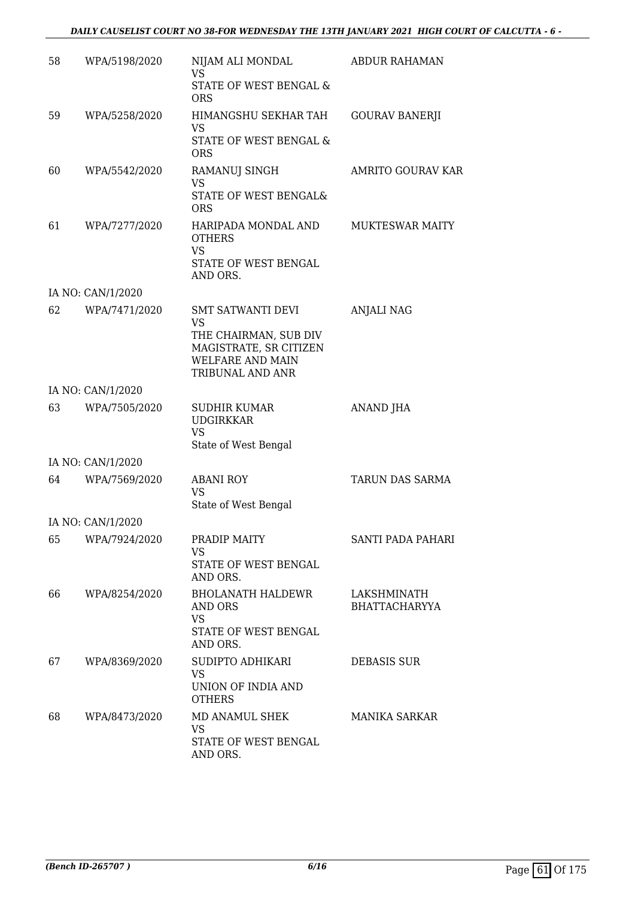| 58 | WPA/5198/2020                      | NIJAM ALI MONDAL<br>VS.                                                                        | <b>ABDUR RAHAMAN</b>                |
|----|------------------------------------|------------------------------------------------------------------------------------------------|-------------------------------------|
|    |                                    | <b>STATE OF WEST BENGAL &amp;</b><br><b>ORS</b>                                                |                                     |
| 59 | WPA/5258/2020                      | HIMANGSHU SEKHAR TAH<br>VS.                                                                    | <b>GOURAV BANERJI</b>               |
|    |                                    | STATE OF WEST BENGAL &<br><b>ORS</b>                                                           |                                     |
| 60 | WPA/5542/2020                      | RAMANUJ SINGH<br><b>VS</b>                                                                     | <b>AMRITO GOURAV KAR</b>            |
|    |                                    | STATE OF WEST BENGAL&<br><b>ORS</b>                                                            |                                     |
| 61 | WPA/7277/2020                      | HARIPADA MONDAL AND<br><b>OTHERS</b><br><b>VS</b>                                              | MUKTESWAR MAITY                     |
|    |                                    | STATE OF WEST BENGAL<br>AND ORS.                                                               |                                     |
|    | IA NO: CAN/1/2020                  |                                                                                                |                                     |
| 62 | WPA/7471/2020                      | <b>SMT SATWANTI DEVI</b><br><b>VS</b>                                                          | <b>ANJALI NAG</b>                   |
|    |                                    | THE CHAIRMAN, SUB DIV<br>MAGISTRATE, SR CITIZEN<br><b>WELFARE AND MAIN</b><br>TRIBUNAL AND ANR |                                     |
|    | IA NO: CAN/1/2020                  |                                                                                                |                                     |
| 63 | WPA/7505/2020                      | SUDHIR KUMAR<br><b>UDGIRKKAR</b><br><b>VS</b>                                                  | <b>ANAND JHA</b>                    |
|    |                                    | State of West Bengal                                                                           |                                     |
| 64 | IA NO: CAN/1/2020<br>WPA/7569/2020 | <b>ABANI ROY</b>                                                                               | TARUN DAS SARMA                     |
|    |                                    | <b>VS</b><br>State of West Bengal                                                              |                                     |
|    | IA NO: CAN/1/2020                  |                                                                                                |                                     |
| 65 | WPA/7924/2020                      | PRADIP MAITY<br><b>VS</b>                                                                      | SANTI PADA PAHARI                   |
|    |                                    | STATE OF WEST BENGAL<br>AND ORS.                                                               |                                     |
| 66 | WPA/8254/2020                      | <b>BHOLANATH HALDEWR</b><br>AND ORS<br><b>VS</b><br>STATE OF WEST BENGAL                       | LAKSHMINATH<br><b>BHATTACHARYYA</b> |
| 67 | WPA/8369/2020                      | AND ORS.<br>SUDIPTO ADHIKARI                                                                   | <b>DEBASIS SUR</b>                  |
|    |                                    | <b>VS</b><br>UNION OF INDIA AND<br><b>OTHERS</b>                                               |                                     |
| 68 | WPA/8473/2020                      | MD ANAMUL SHEK<br>VS                                                                           | MANIKA SARKAR                       |
|    |                                    | STATE OF WEST BENGAL<br>AND ORS.                                                               |                                     |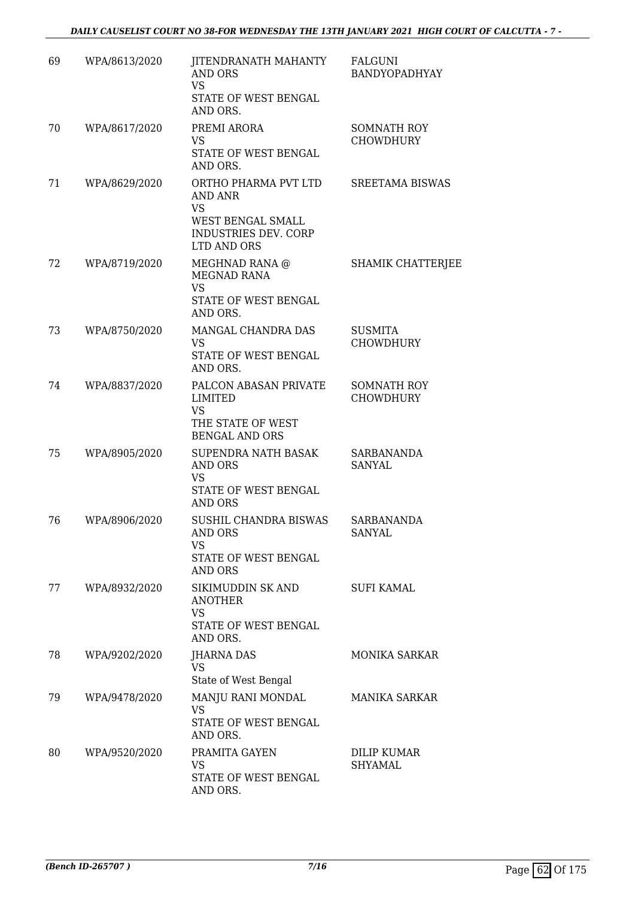## *DAILY CAUSELIST COURT NO 38-FOR WEDNESDAY THE 13TH JANUARY 2021 HIGH COURT OF CALCUTTA - 7 -*

| 69 | WPA/8613/2020 | <b>JITENDRANATH MAHANTY</b><br><b>AND ORS</b><br><b>VS</b><br>STATE OF WEST BENGAL<br>AND ORS.                         | <b>FALGUNI</b><br>BANDYOPADHYAY        |
|----|---------------|------------------------------------------------------------------------------------------------------------------------|----------------------------------------|
| 70 | WPA/8617/2020 | PREMI ARORA<br>VS<br>STATE OF WEST BENGAL<br>AND ORS.                                                                  | <b>SOMNATH ROY</b><br><b>CHOWDHURY</b> |
| 71 | WPA/8629/2020 | ORTHO PHARMA PVT LTD<br><b>AND ANR</b><br><b>VS</b><br>WEST BENGAL SMALL<br><b>INDUSTRIES DEV. CORP</b><br>LTD AND ORS | <b>SREETAMA BISWAS</b>                 |
| 72 | WPA/8719/2020 | MEGHNAD RANA @<br><b>MEGNAD RANA</b><br><b>VS</b><br>STATE OF WEST BENGAL<br>AND ORS.                                  | <b>SHAMIK CHATTERJEE</b>               |
| 73 | WPA/8750/2020 | MANGAL CHANDRA DAS<br><b>VS</b><br>STATE OF WEST BENGAL<br>AND ORS.                                                    | <b>SUSMITA</b><br><b>CHOWDHURY</b>     |
| 74 | WPA/8837/2020 | PALCON ABASAN PRIVATE<br>LIMITED<br><b>VS</b><br>THE STATE OF WEST<br><b>BENGAL AND ORS</b>                            | <b>SOMNATH ROY</b><br><b>CHOWDHURY</b> |
| 75 | WPA/8905/2020 | SUPENDRA NATH BASAK<br>AND ORS<br><b>VS</b><br>STATE OF WEST BENGAL<br>AND ORS                                         | SARBANANDA<br>SANYAL                   |
| 76 | WPA/8906/2020 | SUSHIL CHANDRA BISWAS<br><b>AND ORS</b><br>VS<br>STATE OF WEST BENGAL<br>AND ORS                                       | SARBANANDA<br><b>SANYAL</b>            |
| 77 | WPA/8932/2020 | SIKIMUDDIN SK AND<br><b>ANOTHER</b><br><b>VS</b><br>STATE OF WEST BENGAL<br>AND ORS.                                   | <b>SUFI KAMAL</b>                      |
| 78 | WPA/9202/2020 | JHARNA DAS<br><b>VS</b><br>State of West Bengal                                                                        | MONIKA SARKAR                          |
| 79 | WPA/9478/2020 | MANJU RANI MONDAL<br>VS<br>STATE OF WEST BENGAL<br>AND ORS.                                                            | <b>MANIKA SARKAR</b>                   |
| 80 | WPA/9520/2020 | PRAMITA GAYEN<br><b>VS</b><br>STATE OF WEST BENGAL<br>AND ORS.                                                         | <b>DILIP KUMAR</b><br>SHYAMAL          |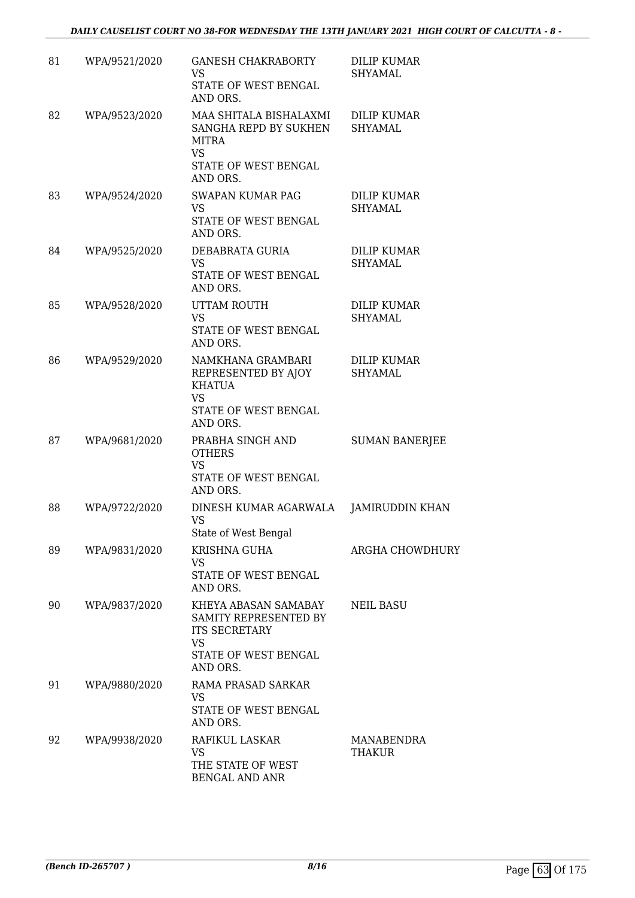| 81 | WPA/9521/2020 | <b>GANESH CHAKRABORTY</b><br>VS<br>STATE OF WEST BENGAL<br>AND ORS.                                             | <b>DILIP KUMAR</b><br>SHYAMAL        |
|----|---------------|-----------------------------------------------------------------------------------------------------------------|--------------------------------------|
| 82 | WPA/9523/2020 | MAA SHITALA BISHALAXMI<br>SANGHA REPD BY SUKHEN<br>MITRA<br>VS<br>STATE OF WEST BENGAL<br>AND ORS.              | DILIP KUMAR<br><b>SHYAMAL</b>        |
| 83 | WPA/9524/2020 | <b>SWAPAN KUMAR PAG</b><br><b>VS</b><br>STATE OF WEST BENGAL<br>AND ORS.                                        | DILIP KUMAR<br><b>SHYAMAL</b>        |
| 84 | WPA/9525/2020 | DEBABRATA GURIA<br><b>VS</b><br>STATE OF WEST BENGAL<br>AND ORS.                                                | <b>DILIP KUMAR</b><br>SHYAMAL        |
| 85 | WPA/9528/2020 | UTTAM ROUTH<br>VS<br>STATE OF WEST BENGAL<br>AND ORS.                                                           | <b>DILIP KUMAR</b><br><b>SHYAMAL</b> |
| 86 | WPA/9529/2020 | NAMKHANA GRAMBARI<br>REPRESENTED BY AJOY<br><b>KHATUA</b><br><b>VS</b><br>STATE OF WEST BENGAL<br>AND ORS.      | <b>DILIP KUMAR</b><br>SHYAMAL        |
| 87 | WPA/9681/2020 | PRABHA SINGH AND<br><b>OTHERS</b><br><b>VS</b><br>STATE OF WEST BENGAL<br>AND ORS.                              | <b>SUMAN BANERJEE</b>                |
| 88 | WPA/9722/2020 | DINESH KUMAR AGARWALA<br><b>VS</b><br>State of West Bengal                                                      | JAMIRUDDIN KHAN                      |
| 89 | WPA/9831/2020 | KRISHNA GUHA<br>VS<br>STATE OF WEST BENGAL<br>AND ORS.                                                          | ARGHA CHOWDHURY                      |
| 90 | WPA/9837/2020 | KHEYA ABASAN SAMABAY<br>SAMITY REPRESENTED BY<br><b>ITS SECRETARY</b><br>VS<br>STATE OF WEST BENGAL<br>AND ORS. | <b>NEIL BASU</b>                     |
| 91 | WPA/9880/2020 | RAMA PRASAD SARKAR<br>VS.<br>STATE OF WEST BENGAL<br>AND ORS.                                                   |                                      |
| 92 | WPA/9938/2020 | RAFIKUL LASKAR<br><b>VS</b><br>THE STATE OF WEST<br>BENGAL AND ANR                                              | MANABENDRA<br><b>THAKUR</b>          |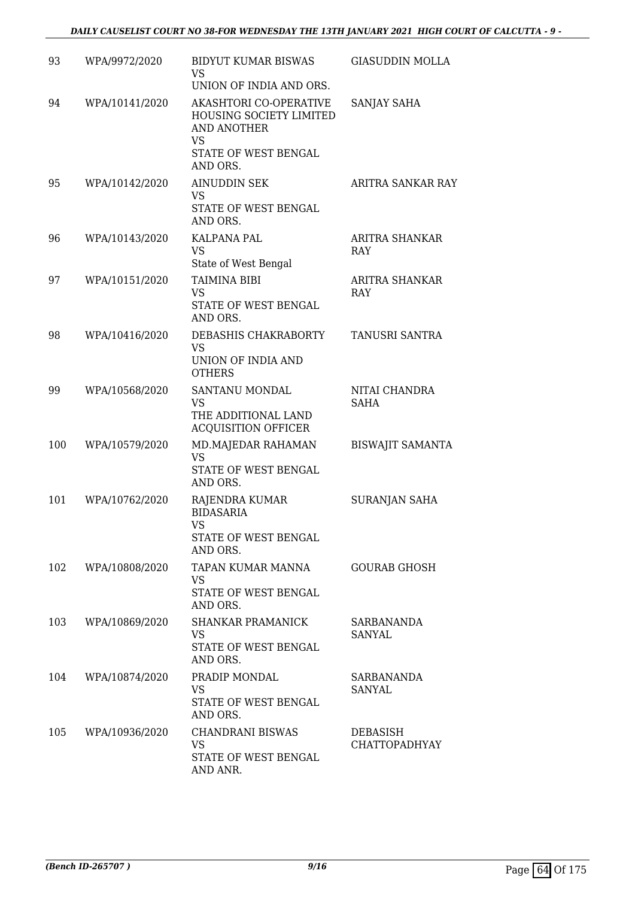| 93  | WPA/9972/2020  | <b>BIDYUT KUMAR BISWAS</b><br>VS<br>UNION OF INDIA AND ORS.                                           | <b>GIASUDDIN MOLLA</b>             |
|-----|----------------|-------------------------------------------------------------------------------------------------------|------------------------------------|
| 94  | WPA/10141/2020 | AKASHTORI CO-OPERATIVE<br>HOUSING SOCIETY LIMITED<br><b>AND ANOTHER</b><br>VS<br>STATE OF WEST BENGAL | SANJAY SAHA                        |
| 95  | WPA/10142/2020 | AND ORS.<br><b>AINUDDIN SEK</b>                                                                       | ARITRA SANKAR RAY                  |
|     |                | <b>VS</b><br>STATE OF WEST BENGAL<br>AND ORS.                                                         |                                    |
| 96  | WPA/10143/2020 | KALPANA PAL<br><b>VS</b><br>State of West Bengal                                                      | ARITRA SHANKAR<br>RAY              |
| 97  | WPA/10151/2020 | <b>TAIMINA BIBI</b><br><b>VS</b><br>STATE OF WEST BENGAL<br>AND ORS.                                  | <b>ARITRA SHANKAR</b><br>RAY       |
| 98  | WPA/10416/2020 | DEBASHIS CHAKRABORTY<br><b>VS</b><br>UNION OF INDIA AND<br><b>OTHERS</b>                              | TANUSRI SANTRA                     |
| 99  | WPA/10568/2020 | SANTANU MONDAL<br>VS<br>THE ADDITIONAL LAND<br><b>ACQUISITION OFFICER</b>                             | NITAI CHANDRA<br>SAHA              |
| 100 | WPA/10579/2020 | MD.MAJEDAR RAHAMAN<br><b>VS</b><br>STATE OF WEST BENGAL<br>AND ORS.                                   | <b>BISWAJIT SAMANTA</b>            |
| 101 | WPA/10762/2020 | RAJENDRA KUMAR<br><b>BIDASARIA</b><br>VS.<br>STATE OF WEST BENGAL<br>AND ORS.                         | <b>SURANJAN SAHA</b>               |
| 102 | WPA/10808/2020 | TAPAN KUMAR MANNA<br>VS<br>STATE OF WEST BENGAL<br>AND ORS.                                           | <b>GOURAB GHOSH</b>                |
| 103 | WPA/10869/2020 | <b>SHANKAR PRAMANICK</b><br><b>VS</b><br>STATE OF WEST BENGAL<br>AND ORS.                             | <b>SARBANANDA</b><br><b>SANYAL</b> |
| 104 | WPA/10874/2020 | PRADIP MONDAL<br>VS<br>STATE OF WEST BENGAL<br>AND ORS.                                               | SARBANANDA<br>SANYAL               |
| 105 | WPA/10936/2020 | <b>CHANDRANI BISWAS</b><br>VS<br>STATE OF WEST BENGAL<br>AND ANR.                                     | DEBASISH<br>CHATTOPADHYAY          |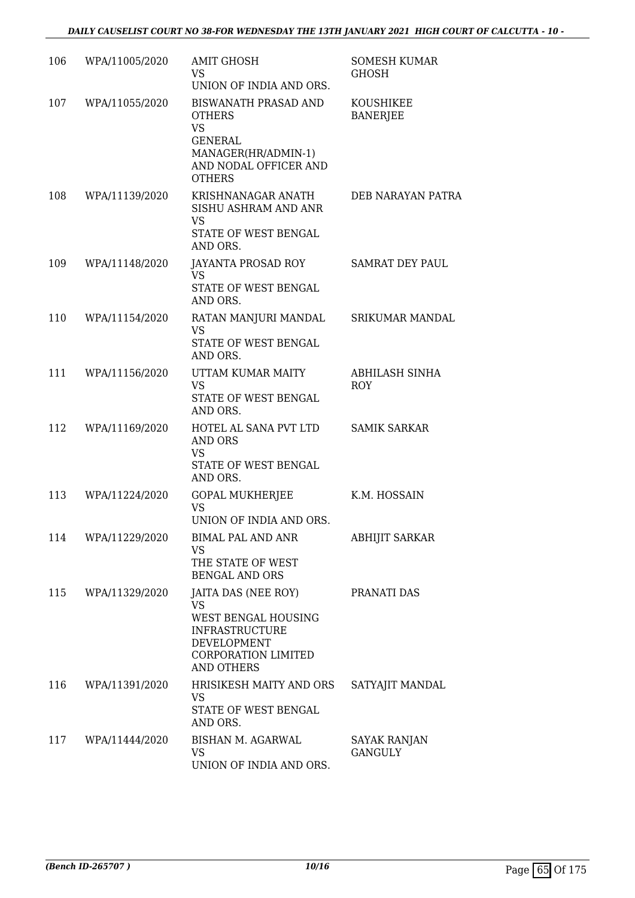| 106 | WPA/11005/2020 | <b>AMIT GHOSH</b><br>VS.<br>UNION OF INDIA AND ORS.                                                                                         | <b>SOMESH KUMAR</b><br><b>GHOSH</b>   |
|-----|----------------|---------------------------------------------------------------------------------------------------------------------------------------------|---------------------------------------|
| 107 | WPA/11055/2020 | BISWANATH PRASAD AND<br><b>OTHERS</b><br><b>VS</b><br><b>GENERAL</b><br>MANAGER(HR/ADMIN-1)<br>AND NODAL OFFICER AND<br><b>OTHERS</b>       | KOUSHIKEE<br><b>BANERJEE</b>          |
| 108 | WPA/11139/2020 | KRISHNANAGAR ANATH<br>SISHU ASHRAM AND ANR<br><b>VS</b><br>STATE OF WEST BENGAL<br>AND ORS.                                                 | DEB NARAYAN PATRA                     |
| 109 | WPA/11148/2020 | JAYANTA PROSAD ROY<br>VS<br>STATE OF WEST BENGAL<br>AND ORS.                                                                                | <b>SAMRAT DEY PAUL</b>                |
| 110 | WPA/11154/2020 | RATAN MANJURI MANDAL<br><b>VS</b><br>STATE OF WEST BENGAL<br>AND ORS.                                                                       | <b>SRIKUMAR MANDAL</b>                |
| 111 | WPA/11156/2020 | UTTAM KUMAR MAITY<br><b>VS</b><br>STATE OF WEST BENGAL<br>AND ORS.                                                                          | ABHILASH SINHA<br><b>ROY</b>          |
| 112 | WPA/11169/2020 | HOTEL AL SANA PVT LTD<br><b>AND ORS</b><br><b>VS</b><br>STATE OF WEST BENGAL<br>AND ORS.                                                    | <b>SAMIK SARKAR</b>                   |
| 113 | WPA/11224/2020 | <b>GOPAL MUKHERJEE</b><br>VS<br>UNION OF INDIA AND ORS.                                                                                     | K.M. HOSSAIN                          |
| 114 | WPA/11229/2020 | <b>BIMAL PAL AND ANR</b><br><b>VS</b><br>THE STATE OF WEST<br><b>BENGAL AND ORS</b>                                                         | <b>ABHIJIT SARKAR</b>                 |
| 115 | WPA/11329/2020 | JAITA DAS (NEE ROY)<br>VS<br>WEST BENGAL HOUSING<br><b>INFRASTRUCTURE</b><br>DEVELOPMENT<br><b>CORPORATION LIMITED</b><br><b>AND OTHERS</b> | PRANATI DAS                           |
| 116 | WPA/11391/2020 | HRISIKESH MAITY AND ORS<br>VS<br>STATE OF WEST BENGAL<br>AND ORS.                                                                           | SATYAJIT MANDAL                       |
| 117 | WPA/11444/2020 | BISHAN M. AGARWAL<br><b>VS</b><br>UNION OF INDIA AND ORS.                                                                                   | <b>SAYAK RANJAN</b><br><b>GANGULY</b> |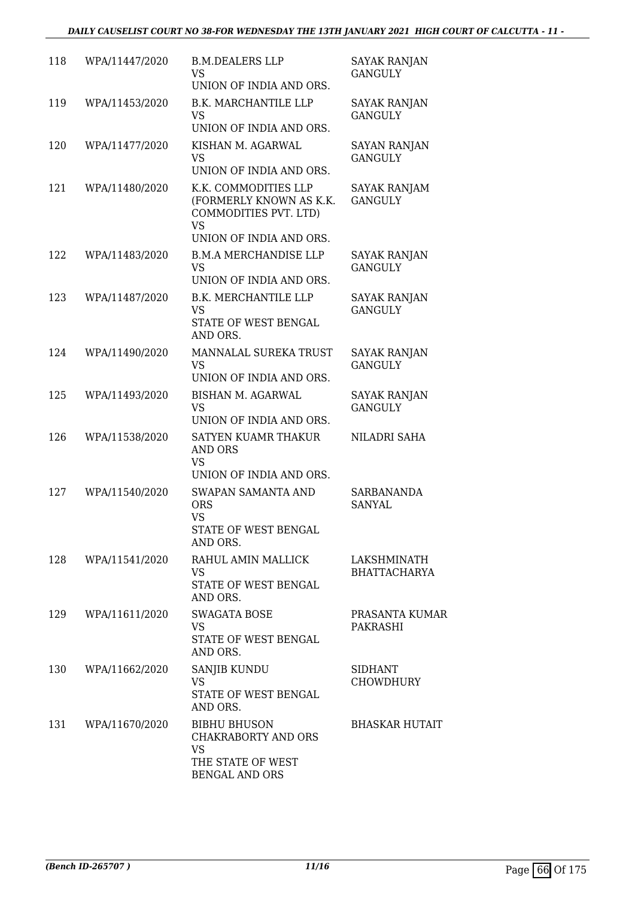| 118 | WPA/11447/2020 | <b>B.M.DEALERS LLP</b><br><b>VS</b><br>UNION OF INDIA AND ORS.                                                   | <b>SAYAK RANJAN</b><br><b>GANGULY</b> |
|-----|----------------|------------------------------------------------------------------------------------------------------------------|---------------------------------------|
| 119 | WPA/11453/2020 | <b>B.K. MARCHANTILE LLP</b><br><b>VS</b><br>UNION OF INDIA AND ORS.                                              | <b>SAYAK RANJAN</b><br><b>GANGULY</b> |
| 120 | WPA/11477/2020 | KISHAN M. AGARWAL<br><b>VS</b><br>UNION OF INDIA AND ORS.                                                        | <b>SAYAN RANJAN</b><br><b>GANGULY</b> |
| 121 | WPA/11480/2020 | K.K. COMMODITIES LLP<br>(FORMERLY KNOWN AS K.K.<br>COMMODITIES PVT. LTD)<br><b>VS</b><br>UNION OF INDIA AND ORS. | SAYAK RANJAM<br><b>GANGULY</b>        |
| 122 | WPA/11483/2020 | <b>B.M.A MERCHANDISE LLP</b><br><b>VS</b><br>UNION OF INDIA AND ORS.                                             | SAYAK RANJAN<br><b>GANGULY</b>        |
| 123 | WPA/11487/2020 | <b>B.K. MERCHANTILE LLP</b><br><b>VS</b><br>STATE OF WEST BENGAL<br>AND ORS.                                     | SAYAK RANJAN<br><b>GANGULY</b>        |
| 124 | WPA/11490/2020 | MANNALAL SUREKA TRUST<br><b>VS</b><br>UNION OF INDIA AND ORS.                                                    | <b>SAYAK RANJAN</b><br><b>GANGULY</b> |
| 125 | WPA/11493/2020 | BISHAN M. AGARWAL<br><b>VS</b><br>UNION OF INDIA AND ORS.                                                        | SAYAK RANJAN<br><b>GANGULY</b>        |
| 126 | WPA/11538/2020 | SATYEN KUAMR THAKUR<br><b>AND ORS</b><br><b>VS</b><br>UNION OF INDIA AND ORS.                                    | NILADRI SAHA                          |
| 127 | WPA/11540/2020 | <b>SWAPAN SAMANTA AND</b><br><b>ORS</b><br><b>VS</b><br>STATE OF WEST BENGAL<br>AND ORS.                         | SARBANANDA<br>SANYAL                  |
| 128 | WPA/11541/2020 | RAHUL AMIN MALLICK<br><b>VS</b><br>STATE OF WEST BENGAL<br>AND ORS.                                              | LAKSHMINATH<br><b>BHATTACHARYA</b>    |
| 129 | WPA/11611/2020 | <b>SWAGATA BOSE</b><br>VS<br>STATE OF WEST BENGAL<br>AND ORS.                                                    | PRASANTA KUMAR<br>PAKRASHI            |
| 130 | WPA/11662/2020 | SANJIB KUNDU<br><b>VS</b><br>STATE OF WEST BENGAL<br>AND ORS.                                                    | <b>SIDHANT</b><br><b>CHOWDHURY</b>    |
| 131 | WPA/11670/2020 | <b>BIBHU BHUSON</b><br>CHAKRABORTY AND ORS<br><b>VS</b><br>THE STATE OF WEST<br><b>BENGAL AND ORS</b>            | <b>BHASKAR HUTAIT</b>                 |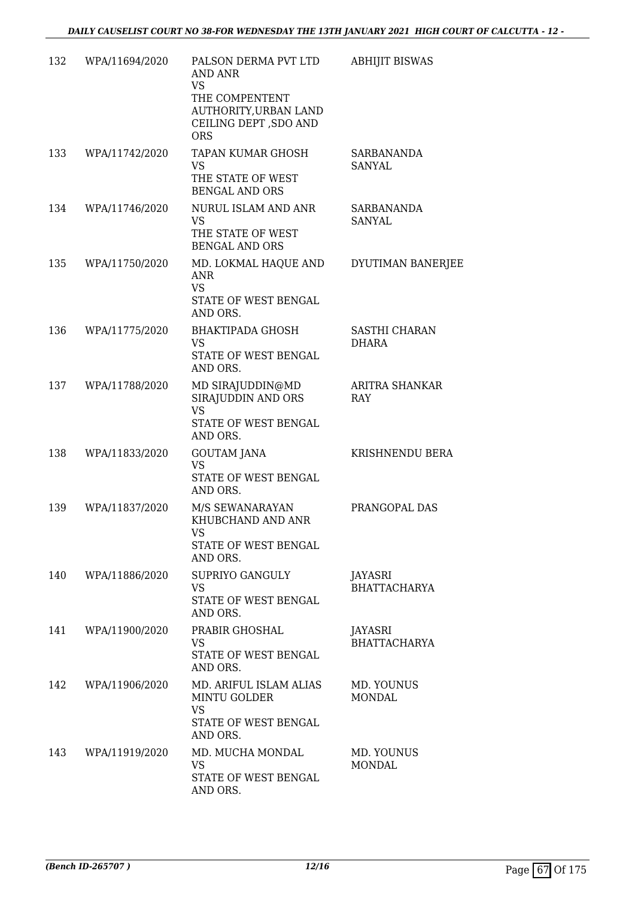| 132 | WPA/11694/2020 | PALSON DERMA PVT LTD<br>AND ANR<br><b>VS</b><br>THE COMPENTENT<br>AUTHORITY, URBAN LAND<br>CEILING DEPT, SDO AND<br><b>ORS</b> | <b>ABHIJIT BISWAS</b>          |
|-----|----------------|--------------------------------------------------------------------------------------------------------------------------------|--------------------------------|
| 133 | WPA/11742/2020 | TAPAN KUMAR GHOSH<br><b>VS</b><br>THE STATE OF WEST<br><b>BENGAL AND ORS</b>                                                   | SARBANANDA<br><b>SANYAL</b>    |
| 134 | WPA/11746/2020 | <b>NURUL ISLAM AND ANR</b><br><b>VS</b><br>THE STATE OF WEST<br><b>BENGAL AND ORS</b>                                          | SARBANANDA<br>SANYAL           |
| 135 | WPA/11750/2020 | MD. LOKMAL HAQUE AND<br><b>ANR</b><br><b>VS</b><br>STATE OF WEST BENGAL<br>AND ORS.                                            | DYUTIMAN BANERJEE              |
| 136 | WPA/11775/2020 | <b>BHAKTIPADA GHOSH</b><br>VS<br>STATE OF WEST BENGAL<br>AND ORS.                                                              | SASTHI CHARAN<br>DHARA         |
| 137 | WPA/11788/2020 | MD SIRAJUDDIN@MD<br>SIRAJUDDIN AND ORS<br><b>VS</b><br>STATE OF WEST BENGAL<br>AND ORS.                                        | ARITRA SHANKAR<br>RAY          |
| 138 | WPA/11833/2020 | GOUTAM JANA<br><b>VS</b><br>STATE OF WEST BENGAL<br>AND ORS.                                                                   | KRISHNENDU BERA                |
| 139 | WPA/11837/2020 | M/S SEWANARAYAN<br>KHUBCHAND AND ANR<br><b>VS</b><br>STATE OF WEST BENGAL<br>AND ORS.                                          | PRANGOPAL DAS                  |
| 140 | WPA/11886/2020 | SUPRIYO GANGULY<br>VS<br>STATE OF WEST BENGAL<br>AND ORS.                                                                      | JAYASRI<br><b>BHATTACHARYA</b> |
| 141 | WPA/11900/2020 | PRABIR GHOSHAL<br>VS<br>STATE OF WEST BENGAL<br>AND ORS.                                                                       | JAYASRI<br><b>BHATTACHARYA</b> |
| 142 | WPA/11906/2020 | MD. ARIFUL ISLAM ALIAS<br><b>MINTU GOLDER</b><br><b>VS</b><br>STATE OF WEST BENGAL<br>AND ORS.                                 | MD. YOUNUS<br><b>MONDAL</b>    |
| 143 | WPA/11919/2020 | MD. MUCHA MONDAL<br>VS<br>STATE OF WEST BENGAL<br>AND ORS.                                                                     | MD. YOUNUS<br><b>MONDAL</b>    |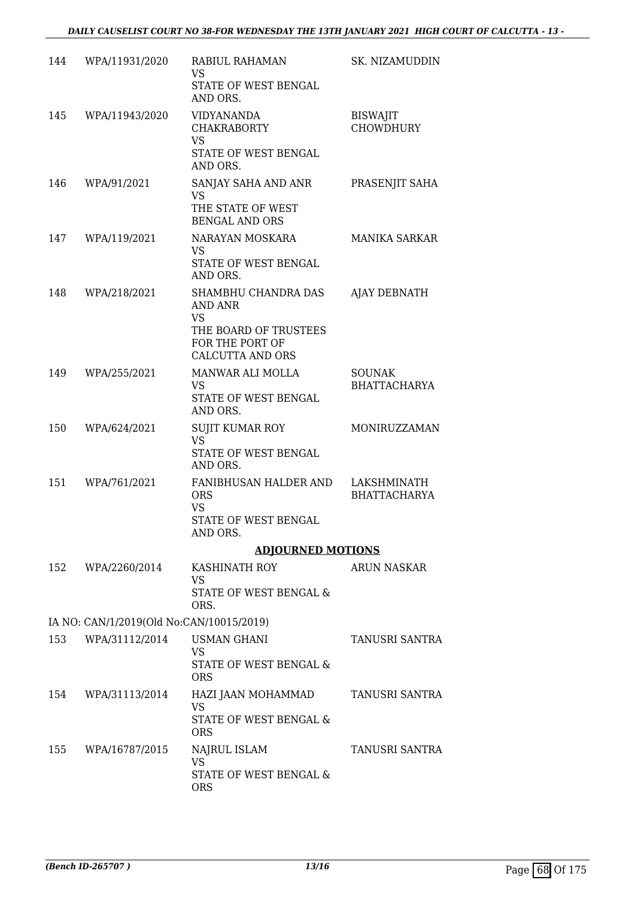| 144 | WPA/11931/2020                           | RABIUL RAHAMAN<br><b>VS</b><br>STATE OF WEST BENGAL<br>AND ORS.                      | SK. NIZAMUDDIN                       |
|-----|------------------------------------------|--------------------------------------------------------------------------------------|--------------------------------------|
| 145 | WPA/11943/2020                           | <b>VIDYANANDA</b><br><b>CHAKRABORTY</b><br><b>VS</b><br>STATE OF WEST BENGAL         | <b>BISWAJIT</b><br><b>CHOWDHURY</b>  |
| 146 | WPA/91/2021                              | AND ORS.<br>SANJAY SAHA AND ANR                                                      | PRASENJIT SAHA                       |
|     |                                          | <b>VS</b><br>THE STATE OF WEST<br><b>BENGAL AND ORS</b>                              |                                      |
| 147 | WPA/119/2021                             | NARAYAN MOSKARA<br><b>VS</b><br>STATE OF WEST BENGAL                                 | <b>MANIKA SARKAR</b>                 |
| 148 | WPA/218/2021                             | AND ORS.<br>SHAMBHU CHANDRA DAS<br>AND ANR<br><b>VS</b>                              | <b>AJAY DEBNATH</b>                  |
|     |                                          | THE BOARD OF TRUSTEES<br>FOR THE PORT OF<br>CALCUTTA AND ORS                         |                                      |
| 149 | WPA/255/2021                             | MANWAR ALI MOLLA<br><b>VS</b><br>STATE OF WEST BENGAL                                | <b>SOUNAK</b><br><b>BHATTACHARYA</b> |
|     |                                          | AND ORS.                                                                             |                                      |
| 150 | WPA/624/2021                             | SUJIT KUMAR ROY<br><b>VS</b><br>STATE OF WEST BENGAL<br>AND ORS.                     | MONIRUZZAMAN                         |
| 151 | WPA/761/2021                             | FANIBHUSAN HALDER AND<br><b>ORS</b><br><b>VS</b><br>STATE OF WEST BENGAL<br>AND ORS. | LAKSHMINATH<br><b>BHATTACHARYA</b>   |
|     |                                          | <b>ADJOURNED MOTIONS</b>                                                             |                                      |
|     | 152 WPA/2260/2014                        | KASHINATH ROY<br><b>VS</b>                                                           | ARUN NASKAR                          |
|     |                                          | STATE OF WEST BENGAL &<br>ORS.                                                       |                                      |
|     | IA NO: CAN/1/2019(Old No:CAN/10015/2019) |                                                                                      |                                      |
| 153 | WPA/31112/2014                           | <b>USMAN GHANI</b><br><b>VS</b><br><b>STATE OF WEST BENGAL &amp;</b><br><b>ORS</b>   | TANUSRI SANTRA                       |
| 154 | WPA/31113/2014                           | HAZI JAAN MOHAMMAD<br><b>VS</b><br>STATE OF WEST BENGAL &                            | TANUSRI SANTRA                       |
| 155 | WPA/16787/2015                           | <b>ORS</b><br>NAJRUL ISLAM<br><b>VS</b><br>STATE OF WEST BENGAL &<br><b>ORS</b>      | TANUSRI SANTRA                       |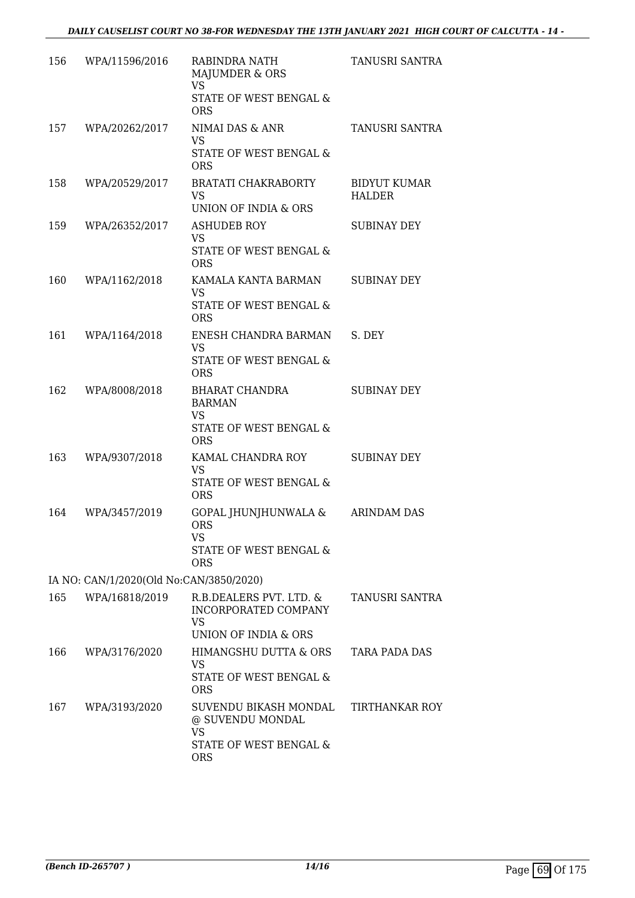| 156 | WPA/11596/2016                          | RABINDRA NATH<br>MAJUMDER & ORS<br><b>VS</b><br>STATE OF WEST BENGAL &<br><b>ORS</b>           | TANUSRI SANTRA                       |
|-----|-----------------------------------------|------------------------------------------------------------------------------------------------|--------------------------------------|
| 157 | WPA/20262/2017                          | NIMAI DAS & ANR<br><b>VS</b><br>STATE OF WEST BENGAL &<br><b>ORS</b>                           | TANUSRI SANTRA                       |
| 158 | WPA/20529/2017                          | BRATATI CHAKRABORTY<br><b>VS</b><br>UNION OF INDIA & ORS                                       | <b>BIDYUT KUMAR</b><br><b>HALDER</b> |
| 159 | WPA/26352/2017                          | <b>ASHUDEB ROY</b><br><b>VS</b><br>STATE OF WEST BENGAL &<br><b>ORS</b>                        | <b>SUBINAY DEY</b>                   |
| 160 | WPA/1162/2018                           | KAMALA KANTA BARMAN<br><b>VS</b><br>STATE OF WEST BENGAL &<br><b>ORS</b>                       | <b>SUBINAY DEY</b>                   |
| 161 | WPA/1164/2018                           | ENESH CHANDRA BARMAN<br><b>VS</b><br>STATE OF WEST BENGAL &<br><b>ORS</b>                      | S. DEY                               |
| 162 | WPA/8008/2018                           | <b>BHARAT CHANDRA</b><br><b>BARMAN</b><br><b>VS</b><br>STATE OF WEST BENGAL &<br><b>ORS</b>    | <b>SUBINAY DEY</b>                   |
| 163 | WPA/9307/2018                           | KAMAL CHANDRA ROY<br><b>VS</b><br>STATE OF WEST BENGAL &<br><b>ORS</b>                         | <b>SUBINAY DEY</b>                   |
| 164 | WPA/3457/2019                           | GOPAL JHUNJHUNWALA &<br><b>ORS</b><br>VS<br>STATE OF WEST BENGAL &<br><b>ORS</b>               | <b>ARINDAM DAS</b>                   |
|     | IA NO: CAN/1/2020(Old No:CAN/3850/2020) |                                                                                                |                                      |
| 165 | WPA/16818/2019                          | R.B.DEALERS PVT. LTD. &<br>INCORPORATED COMPANY<br><b>VS</b><br>UNION OF INDIA & ORS           | TANUSRI SANTRA                       |
| 166 | WPA/3176/2020                           | HIMANGSHU DUTTA & ORS<br>VS<br>STATE OF WEST BENGAL &<br><b>ORS</b>                            | TARA PADA DAS                        |
| 167 | WPA/3193/2020                           | SUVENDU BIKASH MONDAL<br>@ SUVENDU MONDAL<br><b>VS</b><br>STATE OF WEST BENGAL &<br><b>ORS</b> | TIRTHANKAR ROY                       |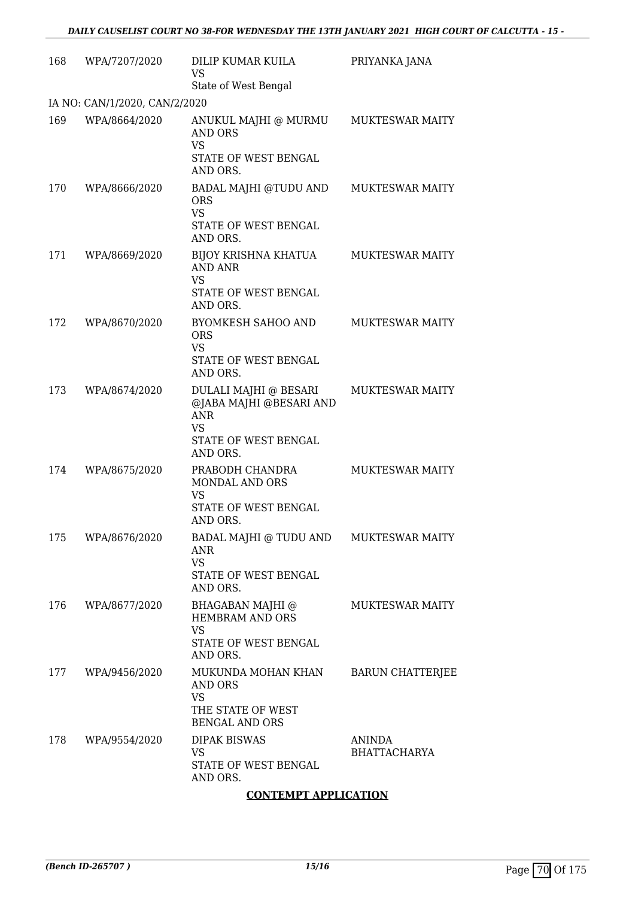| 168 | WPA/7207/2020                 | DILIP KUMAR KUILA<br><b>VS</b><br>State of West Bengal                                                          | PRIYANKA JANA                 |
|-----|-------------------------------|-----------------------------------------------------------------------------------------------------------------|-------------------------------|
|     | IA NO: CAN/1/2020, CAN/2/2020 |                                                                                                                 |                               |
| 169 | WPA/8664/2020                 | ANUKUL MAJHI @ MURMU<br><b>AND ORS</b><br>VS<br>STATE OF WEST BENGAL<br>AND ORS.                                | <b>MUKTESWAR MAITY</b>        |
| 170 | WPA/8666/2020                 | BADAL MAJHI @TUDU AND<br><b>ORS</b><br><b>VS</b><br>STATE OF WEST BENGAL<br>AND ORS.                            | <b>MUKTESWAR MAITY</b>        |
| 171 | WPA/8669/2020                 | BIJOY KRISHNA KHATUA<br><b>AND ANR</b><br><b>VS</b><br>STATE OF WEST BENGAL<br>AND ORS.                         | <b>MUKTESWAR MAITY</b>        |
| 172 | WPA/8670/2020                 | <b>BYOMKESH SAHOO AND</b><br><b>ORS</b><br><b>VS</b><br>STATE OF WEST BENGAL<br>AND ORS.                        | <b>MUKTESWAR MAITY</b>        |
| 173 | WPA/8674/2020                 | DULALI MAJHI @ BESARI<br>@JABA MAJHI @BESARI AND<br><b>ANR</b><br><b>VS</b><br>STATE OF WEST BENGAL<br>AND ORS. | <b>MUKTESWAR MAITY</b>        |
| 174 | WPA/8675/2020                 | PRABODH CHANDRA<br><b>MONDAL AND ORS</b><br>VS<br>STATE OF WEST BENGAL<br>AND ORS.                              | <b>MUKTESWAR MAITY</b>        |
| 175 | WPA/8676/2020                 | BADAL MAJHI @ TUDU AND<br><b>ANR</b><br><b>VS</b><br>STATE OF WEST BENGAL<br>AND ORS.                           | <b>MUKTESWAR MAITY</b>        |
| 176 | WPA/8677/2020                 | BHAGABAN MAJHI @<br>HEMBRAM AND ORS<br><b>VS</b><br>STATE OF WEST BENGAL<br>AND ORS.                            | <b>MUKTESWAR MAITY</b>        |
| 177 | WPA/9456/2020                 | MUKUNDA MOHAN KHAN<br>AND ORS<br>VS<br>THE STATE OF WEST<br>BENGAL AND ORS                                      | <b>BARUN CHATTERJEE</b>       |
| 178 | WPA/9554/2020                 | <b>DIPAK BISWAS</b><br><b>VS</b><br>STATE OF WEST BENGAL<br>AND ORS.                                            | ANINDA<br><b>BHATTACHARYA</b> |

### **CONTEMPT APPLICATION**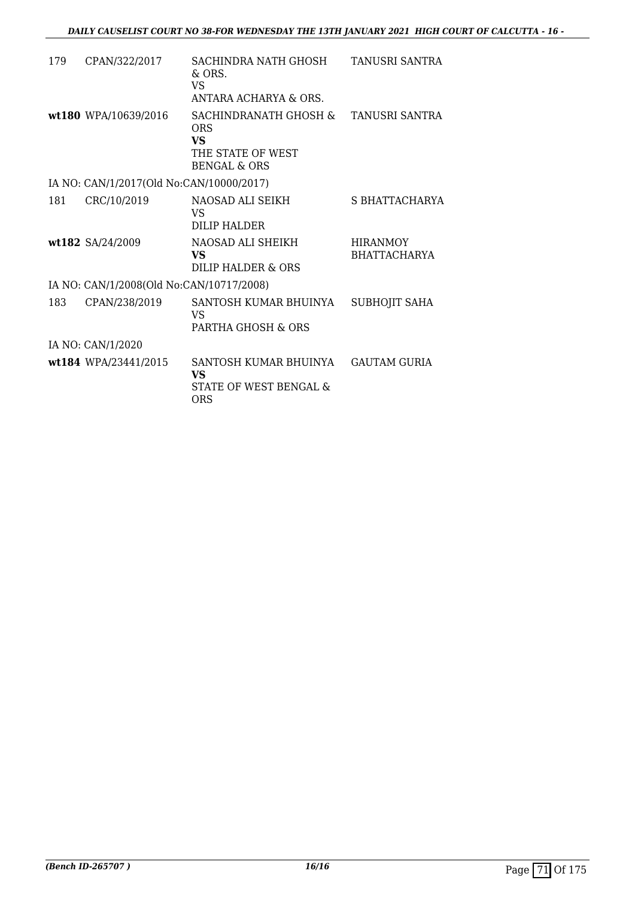| 179 | CPAN/322/2017                            | SACHINDRA NATH GHOSH                                                                      | <b>TANUSRI SANTRA</b> |
|-----|------------------------------------------|-------------------------------------------------------------------------------------------|-----------------------|
|     |                                          | $\&$ ORS.                                                                                 |                       |
|     |                                          | VS.<br>ANTARA ACHARYA & ORS.                                                              |                       |
|     | wt180 WPA/10639/2016                     | SACHINDRANATH GHOSH &<br><b>ORS</b><br>VS<br>THE STATE OF WEST<br><b>BENGAL &amp; ORS</b> | TANUSRI SANTRA        |
|     | IA NO: CAN/1/2017(Old No:CAN/10000/2017) |                                                                                           |                       |
| 181 | CRC/10/2019                              | NAOSAD ALI SEIKH                                                                          | S BHATTACHARYA        |
|     |                                          | <b>VS</b><br>DILIP HALDER                                                                 |                       |
|     | wt182 SA/24/2009                         | NAOSAD ALI SHEIKH                                                                         | <b>HIRANMOY</b>       |
|     |                                          | <b>VS</b><br>DILIP HALDER & ORS                                                           | <b>BHATTACHARYA</b>   |
|     | IA NO: CAN/1/2008(Old No:CAN/10717/2008) |                                                                                           |                       |
| 183 | CPAN/238/2019                            | SANTOSH KUMAR BHUINYA                                                                     | SUBHOJIT SAHA         |
|     |                                          | VS<br>PARTHA GHOSH & ORS                                                                  |                       |
|     | IA NO: CAN/1/2020                        |                                                                                           |                       |
|     | wt184 WPA/23441/2015                     | SANTOSH KUMAR BHUINYA<br>VS                                                               | <b>GAUTAM GURIA</b>   |
|     |                                          | STATE OF WEST BENGAL &<br><b>ORS</b>                                                      |                       |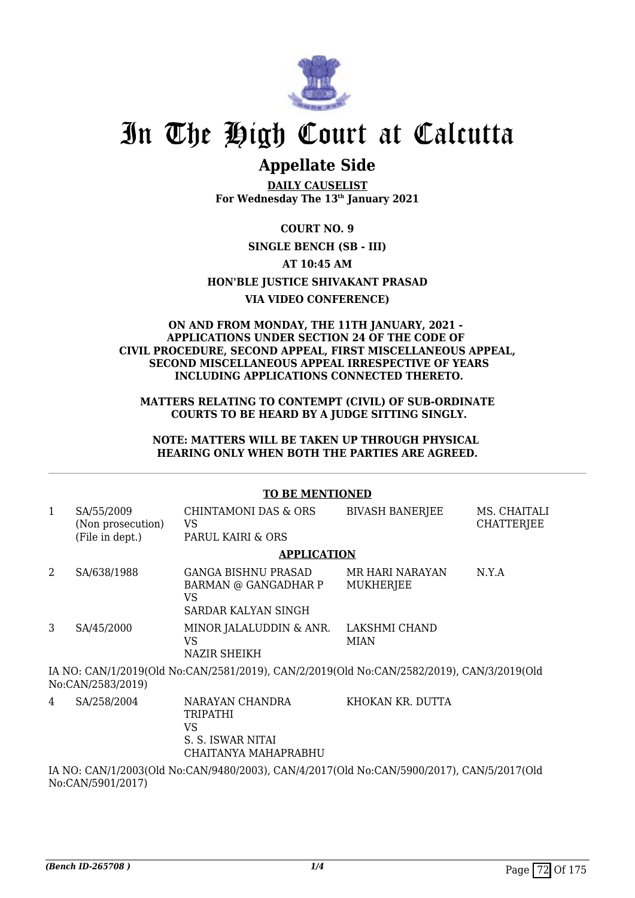

## **Appellate Side**

**DAILY CAUSELIST For Wednesday The 13th January 2021**

**COURT NO. 9**

#### **SINGLE BENCH (SB - III)**

**AT 10:45 AM**

**HON'BLE JUSTICE SHIVAKANT PRASAD**

#### **VIA VIDEO CONFERENCE)**

#### **ON AND FROM MONDAY, THE 11TH JANUARY, 2021 - APPLICATIONS UNDER SECTION 24 OF THE CODE OF CIVIL PROCEDURE, SECOND APPEAL, FIRST MISCELLANEOUS APPEAL, SECOND MISCELLANEOUS APPEAL IRRESPECTIVE OF YEARS INCLUDING APPLICATIONS CONNECTED THERETO.**

#### **MATTERS RELATING TO CONTEMPT (CIVIL) OF SUB-ORDINATE COURTS TO BE HEARD BY A JUDGE SITTING SINGLY.**

#### **NOTE: MATTERS WILL BE TAKEN UP THROUGH PHYSICAL HEARING ONLY WHEN BOTH THE PARTIES ARE AGREED.**

#### **TO BE MENTIONED**

| 1                                                                                                              | SA/55/2009<br>(Non prosecution)<br>(File in dept.) | CHINTAMONI DAS & ORS<br>VS<br>PARUL KAIRI & ORS                                           | <b>BIVASH BANERJEE</b>              | MS. CHAITALI<br><b>CHATTERJEE</b> |  |
|----------------------------------------------------------------------------------------------------------------|----------------------------------------------------|-------------------------------------------------------------------------------------------|-------------------------------------|-----------------------------------|--|
|                                                                                                                |                                                    | <b>APPLICATION</b>                                                                        |                                     |                                   |  |
| 2                                                                                                              | SA/638/1988                                        | GANGA BISHNU PRASAD<br>BARMAN @ GANGADHAR P<br><b>VS</b><br>SARDAR KALYAN SINGH           | MR HARI NARAYAN<br><b>MUKHERJEE</b> | N.Y.A                             |  |
| 3                                                                                                              | SA/45/2000                                         | MINOR JALALUDDIN & ANR.<br>VS<br>NAZIR SHEIKH                                             | LAKSHMI CHAND<br><b>MIAN</b>        |                                   |  |
|                                                                                                                | No:CAN/2583/2019)                                  | IA NO: CAN/1/2019(Old No:CAN/2581/2019), CAN/2/2019(Old No:CAN/2582/2019), CAN/3/2019(Old |                                     |                                   |  |
| 4                                                                                                              | SA/258/2004                                        | NARAYAN CHANDRA<br><b>TRIPATHI</b><br>VS<br>S. S. ISWAR NITAI<br>CHAITANYA MAHAPRABHU     | KHOKAN KR. DUTTA                    |                                   |  |
| IA NO: CAN/1/2003(Old No:CAN/9480/2003), CAN/4/2017(Old No:CAN/5900/2017), CAN/5/2017(Old<br>No:CAN/5901/2017) |                                                    |                                                                                           |                                     |                                   |  |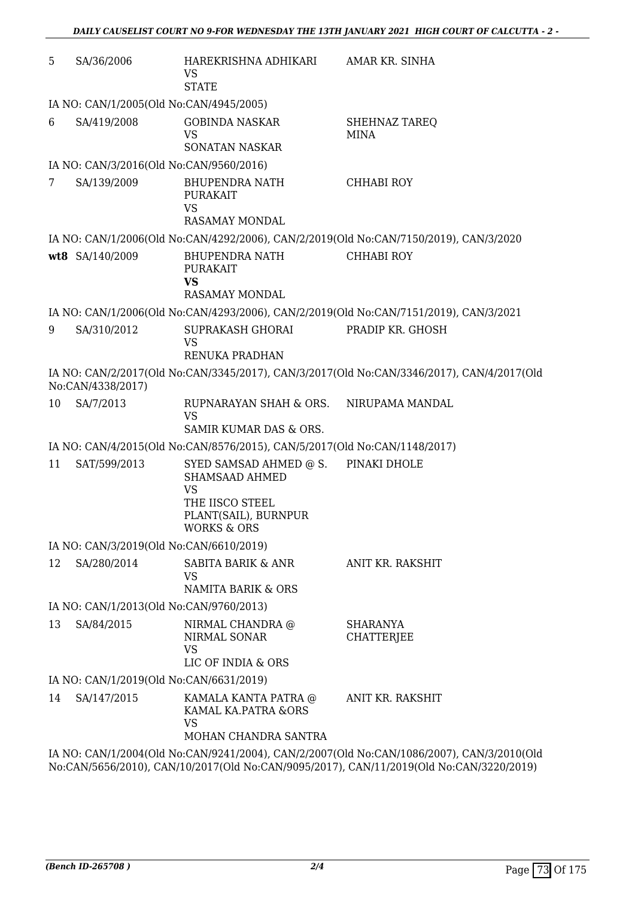| 5  | SA/36/2006                              | HAREKRISHNA ADHIKARI<br>VS<br><b>STATE</b>                                       | AMAR KR. SINHA                                                                            |  |  |  |
|----|-----------------------------------------|----------------------------------------------------------------------------------|-------------------------------------------------------------------------------------------|--|--|--|
|    | IA NO: CAN/1/2005(Old No:CAN/4945/2005) |                                                                                  |                                                                                           |  |  |  |
| 6  | SA/419/2008                             | <b>GOBINDA NASKAR</b><br><b>VS</b><br>SONATAN NASKAR                             | <b>SHEHNAZ TAREQ</b><br><b>MINA</b>                                                       |  |  |  |
|    | IA NO: CAN/3/2016(Old No:CAN/9560/2016) |                                                                                  |                                                                                           |  |  |  |
| 7  | SA/139/2009                             | BHUPENDRA NATH                                                                   | CHHABI ROY                                                                                |  |  |  |
|    |                                         | <b>PURAKAIT</b><br><b>VS</b>                                                     |                                                                                           |  |  |  |
|    |                                         | <b>RASAMAY MONDAL</b>                                                            |                                                                                           |  |  |  |
|    |                                         |                                                                                  | IA NO: CAN/1/2006(Old No:CAN/4292/2006), CAN/2/2019(Old No:CAN/7150/2019), CAN/3/2020     |  |  |  |
|    | wt8 SA/140/2009                         | <b>BHUPENDRA NATH</b><br><b>PURAKAIT</b><br><b>VS</b>                            | <b>CHHABI ROY</b>                                                                         |  |  |  |
|    |                                         | <b>RASAMAY MONDAL</b>                                                            |                                                                                           |  |  |  |
|    |                                         |                                                                                  | IA NO: CAN/1/2006(Old No:CAN/4293/2006), CAN/2/2019(Old No:CAN/7151/2019), CAN/3/2021     |  |  |  |
| 9  | SA/310/2012                             | SUPRAKASH GHORAI                                                                 | PRADIP KR. GHOSH                                                                          |  |  |  |
|    |                                         | <b>VS</b><br>RENUKA PRADHAN                                                      |                                                                                           |  |  |  |
|    |                                         |                                                                                  | IA NO: CAN/2/2017(Old No:CAN/3345/2017), CAN/3/2017(Old No:CAN/3346/2017), CAN/4/2017(Old |  |  |  |
|    | No:CAN/4338/2017)                       |                                                                                  |                                                                                           |  |  |  |
| 10 | SA/7/2013                               | RUPNARAYAN SHAH & ORS.<br><b>VS</b>                                              | NIRUPAMA MANDAL                                                                           |  |  |  |
|    |                                         | SAMIR KUMAR DAS & ORS.                                                           |                                                                                           |  |  |  |
|    |                                         | IA NO: CAN/4/2015(Old No:CAN/8576/2015), CAN/5/2017(Old No:CAN/1148/2017)        |                                                                                           |  |  |  |
| 11 | SAT/599/2013                            | SYED SAMSAD AHMED @ S.<br>SHAMSAAD AHMED<br><b>VS</b>                            | PINAKI DHOLE                                                                              |  |  |  |
|    |                                         | THE IISCO STEEL<br>PLANT(SAIL), BURNPUR<br><b>WORKS &amp; ORS</b>                |                                                                                           |  |  |  |
|    | IA NO: CAN/3/2019(Old No:CAN/6610/2019) |                                                                                  |                                                                                           |  |  |  |
| 12 | SA/280/2014                             | <b>SABITA BARIK &amp; ANR</b>                                                    | ANIT KR. RAKSHIT                                                                          |  |  |  |
|    |                                         | <b>VS</b>                                                                        |                                                                                           |  |  |  |
|    |                                         | <b>NAMITA BARIK &amp; ORS</b>                                                    |                                                                                           |  |  |  |
|    | IA NO: CAN/1/2013(Old No:CAN/9760/2013) |                                                                                  |                                                                                           |  |  |  |
| 13 | SA/84/2015                              | NIRMAL CHANDRA @<br>NIRMAL SONAR<br><b>VS</b>                                    | <b>SHARANYA</b><br><b>CHATTERJEE</b>                                                      |  |  |  |
|    |                                         | LIC OF INDIA & ORS                                                               |                                                                                           |  |  |  |
|    | IA NO: CAN/1/2019(Old No:CAN/6631/2019) |                                                                                  |                                                                                           |  |  |  |
| 14 | SA/147/2015                             | KAMALA KANTA PATRA @<br>KAMAL KA.PATRA &ORS<br><b>VS</b><br>MOHAN CHANDRA SANTRA | ANIT KR. RAKSHIT                                                                          |  |  |  |
|    |                                         |                                                                                  | IA NO: CAN/1/2004(Old No:CAN/9241/2004) CAN/2/2007(Old No:CAN/1086/2007) CAN/3/2010(Old   |  |  |  |

IA NO: CAN/1/2004(Old No:CAN/9241/2004), CAN/2/2007(Old No:CAN/1086/2007), CAN/3/2010(Old No:CAN/5656/2010), CAN/10/2017(Old No:CAN/9095/2017), CAN/11/2019(Old No:CAN/3220/2019)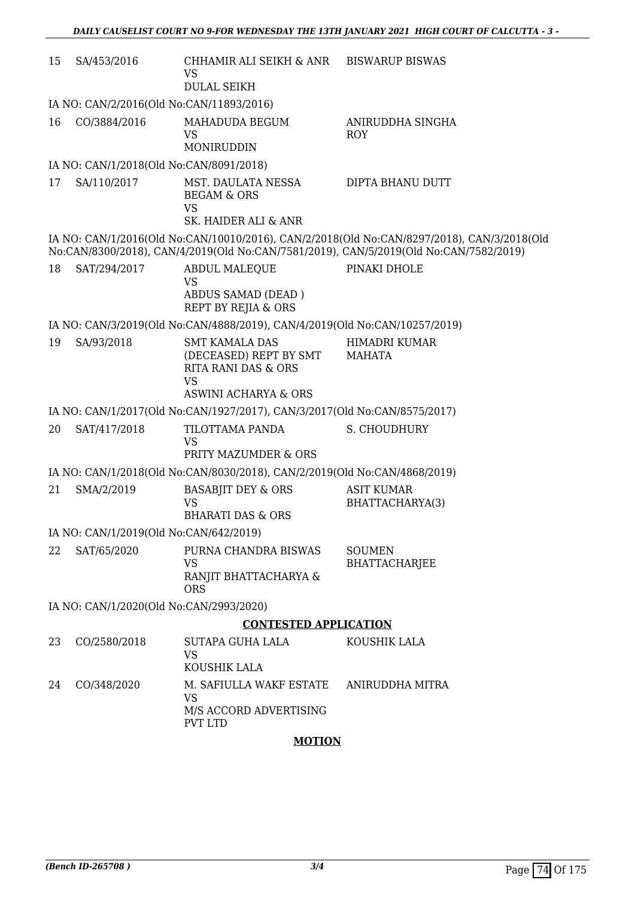| 15 | SA/453/2016                              | CHHAMIR ALI SEIKH & ANR<br>VS<br><b>DULAL SEIKH</b>                                            | <b>BISWARUP BISWAS</b>                                                                                                                                                              |
|----|------------------------------------------|------------------------------------------------------------------------------------------------|-------------------------------------------------------------------------------------------------------------------------------------------------------------------------------------|
|    | IA NO: CAN/2/2016(Old No:CAN/11893/2016) |                                                                                                |                                                                                                                                                                                     |
|    |                                          |                                                                                                |                                                                                                                                                                                     |
| 16 | CO/3884/2016                             | MAHADUDA BEGUM<br>VS<br>MONIRUDDIN                                                             | ANIRUDDHA SINGHA<br><b>ROY</b>                                                                                                                                                      |
|    | IA NO: CAN/1/2018(Old No:CAN/8091/2018)  |                                                                                                |                                                                                                                                                                                     |
|    |                                          | MST. DAULATA NESSA                                                                             |                                                                                                                                                                                     |
| 17 | SA/110/2017                              | <b>BEGAM &amp; ORS</b><br><b>VS</b>                                                            | DIPTA BHANU DUTT                                                                                                                                                                    |
|    |                                          | SK. HAIDER ALI & ANR                                                                           |                                                                                                                                                                                     |
|    |                                          |                                                                                                | IA NO: CAN/1/2016(Old No:CAN/10010/2016), CAN/2/2018(Old No:CAN/8297/2018), CAN/3/2018(Old<br>No:CAN/8300/2018), CAN/4/2019(Old No:CAN/7581/2019), CAN/5/2019(Old No:CAN/7582/2019) |
| 18 | SAT/294/2017                             | ABDUL MALEQUE                                                                                  | PINAKI DHOLE                                                                                                                                                                        |
|    |                                          | <b>VS</b>                                                                                      |                                                                                                                                                                                     |
|    |                                          | ABDUS SAMAD (DEAD)<br>REPT BY REJIA & ORS                                                      |                                                                                                                                                                                     |
|    |                                          | IA NO: CAN/3/2019(Old No:CAN/4888/2019), CAN/4/2019(Old No:CAN/10257/2019)                     |                                                                                                                                                                                     |
| 19 | SA/93/2018                               | <b>SMT KAMALA DAS</b><br>(DECEASED) REPT BY SMT<br><b>RITA RANI DAS &amp; ORS</b><br><b>VS</b> | <b>HIMADRI KUMAR</b><br>MAHATA                                                                                                                                                      |
|    |                                          | <b>ASWINI ACHARYA &amp; ORS</b>                                                                |                                                                                                                                                                                     |
|    |                                          | IA NO: CAN/1/2017(Old No:CAN/1927/2017), CAN/3/2017(Old No:CAN/8575/2017)                      |                                                                                                                                                                                     |
| 20 | SAT/417/2018                             | TILOTTAMA PANDA                                                                                | S. CHOUDHURY                                                                                                                                                                        |
|    |                                          | <b>VS</b><br>PRITY MAZUMDER & ORS                                                              |                                                                                                                                                                                     |
|    |                                          | IA NO: CAN/1/2018(Old No:CAN/8030/2018), CAN/2/2019(Old No:CAN/4868/2019)                      |                                                                                                                                                                                     |
| 21 | SMA/2/2019                               | <b>BASABJIT DEY &amp; ORS</b>                                                                  | <b>ASIT KUMAR</b>                                                                                                                                                                   |
|    |                                          | <b>VS</b>                                                                                      | BHATTACHARYA(3)                                                                                                                                                                     |
|    |                                          | <b>BHARATI DAS &amp; ORS</b>                                                                   |                                                                                                                                                                                     |
|    | IA NO: CAN/1/2019(Old No:CAN/642/2019)   |                                                                                                |                                                                                                                                                                                     |
| 22 | SAT/65/2020                              | PURNA CHANDRA BISWAS                                                                           | <b>SOUMEN</b>                                                                                                                                                                       |
|    |                                          | <b>VS</b>                                                                                      | <b>BHATTACHARJEE</b>                                                                                                                                                                |
|    |                                          | RANJIT BHATTACHARYA &<br><b>ORS</b>                                                            |                                                                                                                                                                                     |
|    |                                          |                                                                                                |                                                                                                                                                                                     |
|    | IA NO: CAN/1/2020(Old No:CAN/2993/2020)  |                                                                                                |                                                                                                                                                                                     |
|    |                                          | <b>CONTESTED APPLICATION</b>                                                                   |                                                                                                                                                                                     |
| 23 | CO/2580/2018                             | SUTAPA GUHA LALA                                                                               | KOUSHIK LALA                                                                                                                                                                        |
|    |                                          | <b>VS</b><br>KOUSHIK LALA                                                                      |                                                                                                                                                                                     |
| 24 | CO/348/2020                              | M. SAFIULLA WAKF ESTATE                                                                        | ANIRUDDHA MITRA                                                                                                                                                                     |
|    |                                          | <b>VS</b>                                                                                      |                                                                                                                                                                                     |
|    |                                          | M/S ACCORD ADVERTISING                                                                         |                                                                                                                                                                                     |
|    |                                          | PVT LTD                                                                                        |                                                                                                                                                                                     |
|    |                                          | <b>MOTION</b>                                                                                  |                                                                                                                                                                                     |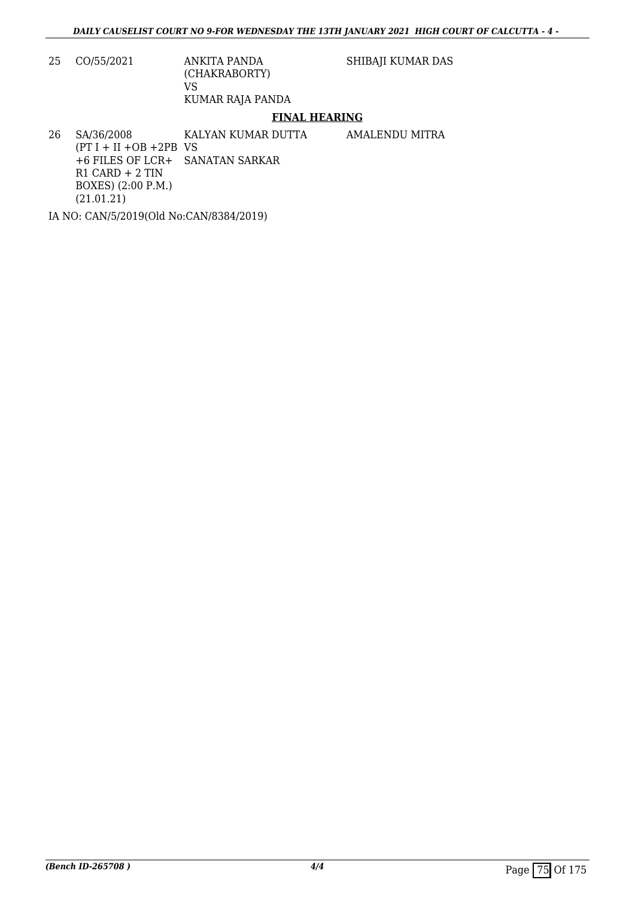25 CO/55/2021 ANKITA PANDA (CHAKRABORTY) VS KUMAR RAJA PANDA SHIBAJI KUMAR DAS

### **FINAL HEARING**

26 SA/36/2008  $(PT I + II + OB + 2PB$  VS +6 FILES OF LCR+ SANATAN SARKAR R1 CARD + 2 TIN BOXES) (2:00 P.M.) (21.01.21) KALYAN KUMAR DUTTA AMALENDU MITRA

IA NO: CAN/5/2019(Old No:CAN/8384/2019)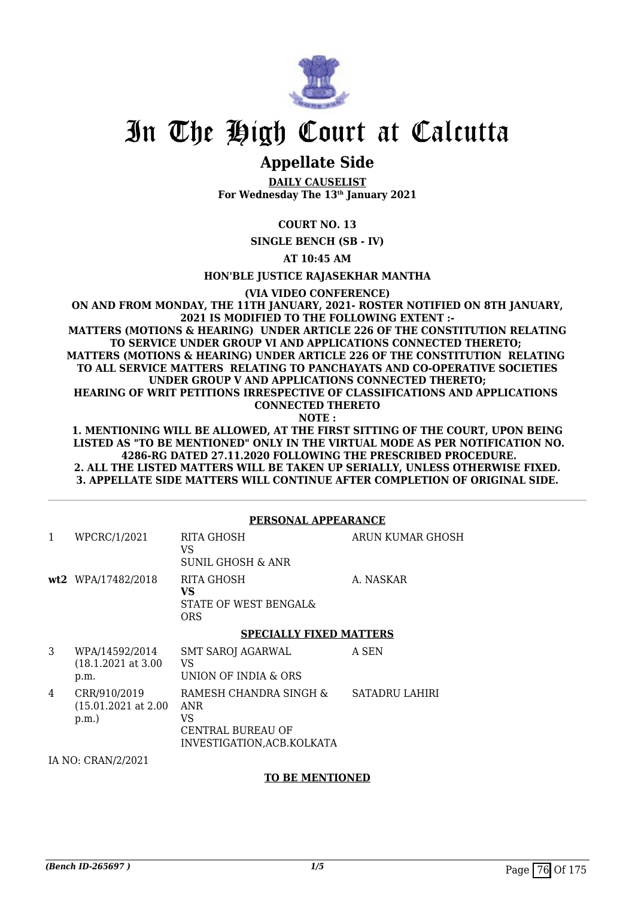

### **Appellate Side**

**DAILY CAUSELIST For Wednesday The 13th January 2021**

#### **COURT NO. 13**

**SINGLE BENCH (SB - IV)**

**AT 10:45 AM**

#### **HON'BLE JUSTICE RAJASEKHAR MANTHA**

**(VIA VIDEO CONFERENCE)**

**ON AND FROM MONDAY, THE 11TH JANUARY, 2021- ROSTER NOTIFIED ON 8TH JANUARY, 2021 IS MODIFIED TO THE FOLLOWING EXTENT :- MATTERS (MOTIONS & HEARING) UNDER ARTICLE 226 OF THE CONSTITUTION RELATING**

**TO SERVICE UNDER GROUP VI AND APPLICATIONS CONNECTED THERETO; MATTERS (MOTIONS & HEARING) UNDER ARTICLE 226 OF THE CONSTITUTION RELATING TO ALL SERVICE MATTERS RELATING TO PANCHAYATS AND CO-OPERATIVE SOCIETIES UNDER GROUP V AND APPLICATIONS CONNECTED THERETO;**

**HEARING OF WRIT PETITIONS IRRESPECTIVE OF CLASSIFICATIONS AND APPLICATIONS CONNECTED THERETO**

**NOTE :**

**1. MENTIONING WILL BE ALLOWED, AT THE FIRST SITTING OF THE COURT, UPON BEING LISTED AS "TO BE MENTIONED" ONLY IN THE VIRTUAL MODE AS PER NOTIFICATION NO. 4286-RG DATED 27.11.2020 FOLLOWING THE PRESCRIBED PROCEDURE. 2. ALL THE LISTED MATTERS WILL BE TAKEN UP SERIALLY, UNLESS OTHERWISE FIXED. 3. APPELLATE SIDE MATTERS WILL CONTINUE AFTER COMPLETION OF ORIGINAL SIDE.**

#### **PERSONAL APPEARANCE** 1 WPCRC/1/2021 RITA GHOSH VS SUNIL GHOSH & ANR ARUN KUMAR GHOSH **wt2** WPA/17482/2018 RITA GHOSH **VS** STATE OF WEST BENGAL& ORS A. NASKAR **SPECIALLY FIXED MATTERS** 3 WPA/14592/2014 (18.1.2021 at 3.00 p.m. SMT SAROJ AGARWAL VS UNION OF INDIA & ORS A SEN 4 CRR/910/2019 (15.01.2021 at 2.00 p.m.) RAMESH CHANDRA SINGH & ANR VS CENTRAL BUREAU OF INVESTIGATION,ACB.KOLKATA SATADRU LAHIRI IA NO: CRAN/2/2021

**TO BE MENTIONED**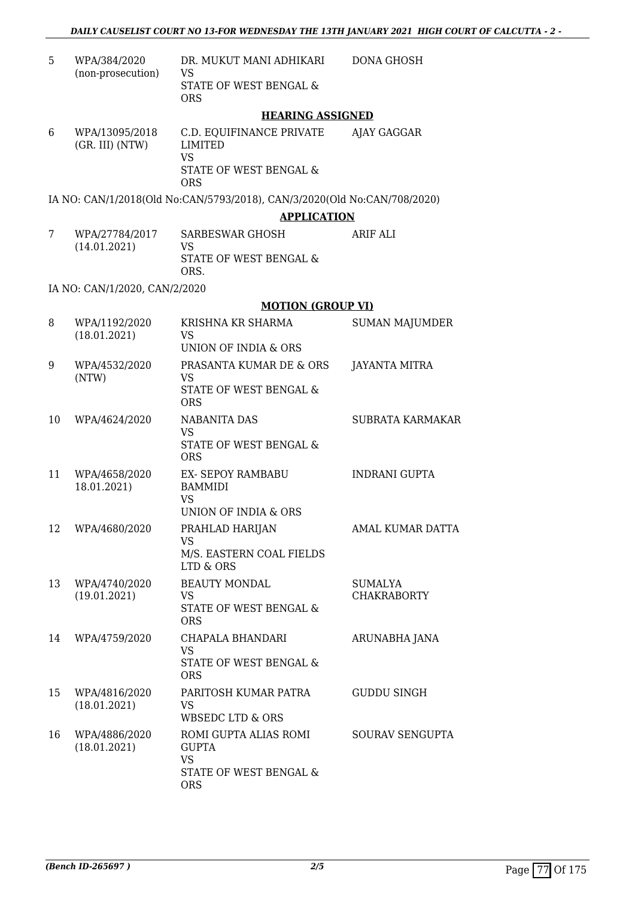| 5. | WPA/384/2020<br>(non-prosecution) | DR. MUKUT MANI ADHIKARI<br>VS<br>STATE OF WEST BENGAL & | DONA GHOSH |
|----|-----------------------------------|---------------------------------------------------------|------------|
|    |                                   | ORS                                                     |            |

#### **HEARING ASSIGNED**

6 WPA/13095/2018 (GR. III) (NTW) C.D. EQUIFINANCE PRIVATE LIMITED VS STATE OF WEST BENGAL & ORS AJAY GAGGAR

IA NO: CAN/1/2018(Old No:CAN/5793/2018), CAN/3/2020(Old No:CAN/708/2020)

#### **APPLICATION**

7 WPA/27784/2017 (14.01.2021) SARBESWAR GHOSH VS STATE OF WEST BENGAL & ORS. ARIF ALI

IA NO: CAN/1/2020, CAN/2/2020

#### **MOTION (GROUP VI)**

| 8  | WPA/1192/2020<br>(18.01.2021) | KRISHNA KR SHARMA<br><b>VS</b><br><b>UNION OF INDIA &amp; ORS</b>                          | <b>SUMAN MAJUMDER</b>                |
|----|-------------------------------|--------------------------------------------------------------------------------------------|--------------------------------------|
| 9  | WPA/4532/2020<br>(NTW)        | PRASANTA KUMAR DE & ORS<br><b>VS</b><br>STATE OF WEST BENGAL &<br><b>ORS</b>               | JAYANTA MITRA                        |
| 10 | WPA/4624/2020                 | NABANITA DAS<br><b>VS</b><br>STATE OF WEST BENGAL &<br><b>ORS</b>                          | <b>SUBRATA KARMAKAR</b>              |
| 11 | WPA/4658/2020<br>18.01.2021)  | <b>EX- SEPOY RAMBABU</b><br><b>BAMMIDI</b><br><b>VS</b><br>UNION OF INDIA & ORS            | <b>INDRANI GUPTA</b>                 |
| 12 | WPA/4680/2020                 | PRAHLAD HARIJAN<br><b>VS</b><br>M/S. EASTERN COAL FIELDS<br>LTD & ORS                      | AMAL KUMAR DATTA                     |
| 13 | WPA/4740/2020<br>(19.01.2021) | <b>BEAUTY MONDAL</b><br><b>VS</b><br>STATE OF WEST BENGAL &<br><b>ORS</b>                  | <b>SUMALYA</b><br><b>CHAKRABORTY</b> |
| 14 | WPA/4759/2020                 | CHAPALA BHANDARI<br><b>VS</b><br>STATE OF WEST BENGAL &<br><b>ORS</b>                      | ARUNABHA JANA                        |
| 15 | WPA/4816/2020<br>(18.01.2021) | PARITOSH KUMAR PATRA<br>VS<br><b>WBSEDC LTD &amp; ORS</b>                                  | <b>GUDDU SINGH</b>                   |
| 16 | WPA/4886/2020<br>(18.01.2021) | ROMI GUPTA ALIAS ROMI<br><b>GUPTA</b><br><b>VS</b><br>STATE OF WEST BENGAL &<br><b>ORS</b> | <b>SOURAV SENGUPTA</b>               |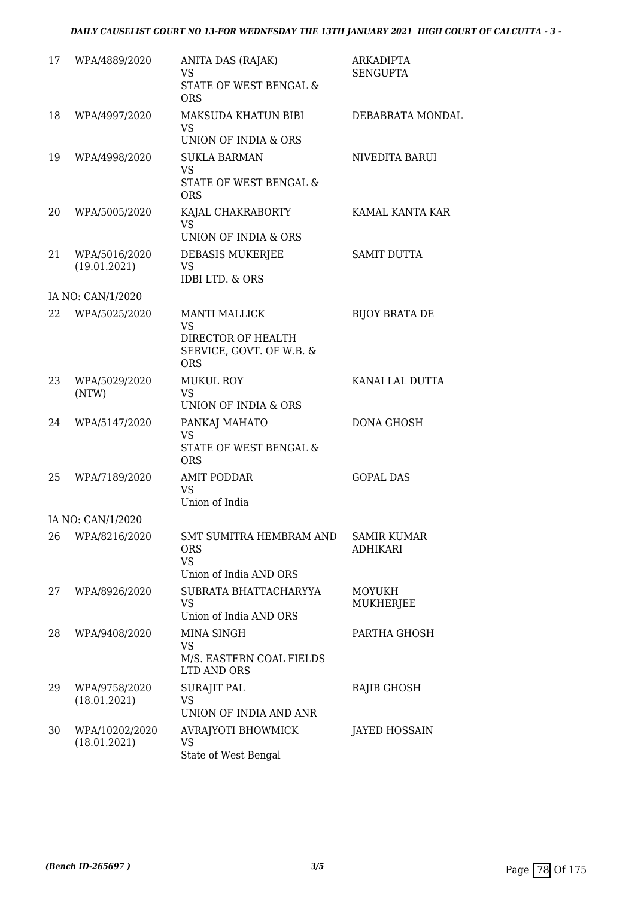| 17 | WPA/4889/2020                  | ANITA DAS (RAJAK)<br><b>VS</b><br>STATE OF WEST BENGAL &<br><b>ORS</b>                            | <b>ARKADIPTA</b><br>SENGUPTA   |
|----|--------------------------------|---------------------------------------------------------------------------------------------------|--------------------------------|
| 18 | WPA/4997/2020                  | MAKSUDA KHATUN BIBI<br><b>VS</b><br>UNION OF INDIA & ORS                                          | DEBABRATA MONDAL               |
| 19 | WPA/4998/2020                  | <b>SUKLA BARMAN</b><br><b>VS</b><br>STATE OF WEST BENGAL &<br><b>ORS</b>                          | NIVEDITA BARUI                 |
| 20 | WPA/5005/2020                  | KAJAL CHAKRABORTY<br>VS<br>UNION OF INDIA & ORS                                                   | KAMAL KANTA KAR                |
| 21 | WPA/5016/2020<br>(19.01.2021)  | DEBASIS MUKERJEE<br><b>VS</b><br><b>IDBI LTD. &amp; ORS</b>                                       | <b>SAMIT DUTTA</b>             |
|    | IA NO: CAN/1/2020              |                                                                                                   |                                |
| 22 | WPA/5025/2020                  | <b>MANTI MALLICK</b><br><b>VS</b><br>DIRECTOR OF HEALTH<br>SERVICE, GOVT. OF W.B. &<br><b>ORS</b> | <b>BIJOY BRATA DE</b>          |
| 23 | WPA/5029/2020<br>(NTW)         | <b>MUKUL ROY</b><br><b>VS</b><br>UNION OF INDIA & ORS                                             | KANAI LAL DUTTA                |
| 24 | WPA/5147/2020                  | PANKAJ MAHATO<br><b>VS</b><br>STATE OF WEST BENGAL &<br><b>ORS</b>                                | DONA GHOSH                     |
| 25 | WPA/7189/2020                  | <b>AMIT PODDAR</b><br>VS<br>Union of India                                                        | <b>GOPAL DAS</b>               |
|    | IA NO: CAN/1/2020              |                                                                                                   |                                |
| 26 | WPA/8216/2020                  | <b>SMT SUMITRA HEMBRAM AND</b><br><b>ORS</b><br>VS<br>Union of India AND ORS                      | <b>SAMIR KUMAR</b><br>ADHIKARI |
| 27 | WPA/8926/2020                  | SUBRATA BHATTACHARYYA<br>VS.<br>Union of India AND ORS                                            | <b>MOYUKH</b><br>MUKHERJEE     |
| 28 | WPA/9408/2020                  | MINA SINGH<br>VS<br>M/S. EASTERN COAL FIELDS<br>LTD AND ORS                                       | PARTHA GHOSH                   |
| 29 | WPA/9758/2020<br>(18.01.2021)  | <b>SURAJIT PAL</b><br><b>VS</b><br>UNION OF INDIA AND ANR                                         | RAJIB GHOSH                    |
| 30 | WPA/10202/2020<br>(18.01.2021) | AVRAJYOTI BHOWMICK<br>VS<br>State of West Bengal                                                  | JAYED HOSSAIN                  |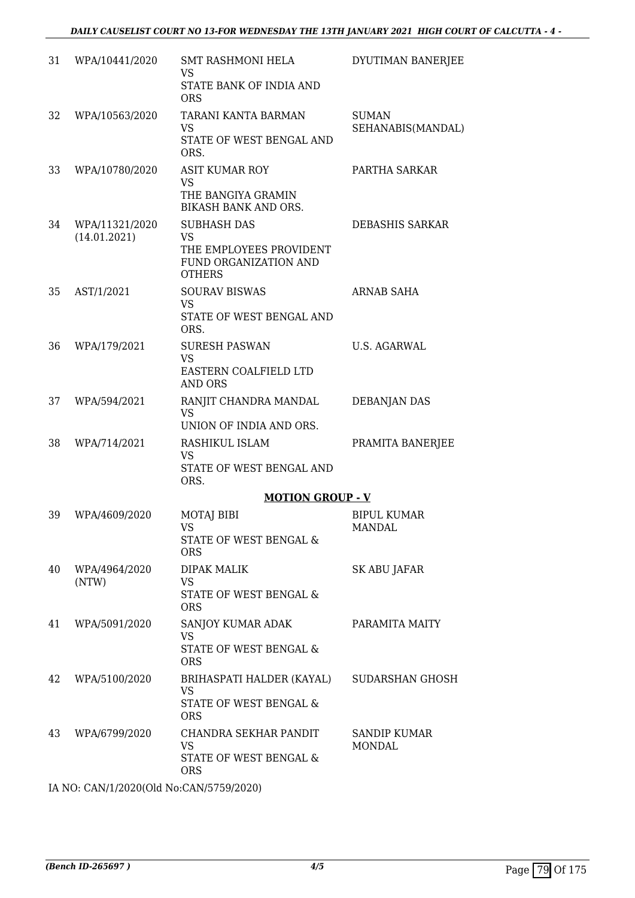| 31 | WPA/10441/2020                 | <b>SMT RASHMONI HELA</b><br>VS.<br>STATE BANK OF INDIA AND<br><b>ORS</b>                             | DYUTIMAN BANERJEE                   |
|----|--------------------------------|------------------------------------------------------------------------------------------------------|-------------------------------------|
| 32 | WPA/10563/2020                 | TARANI KANTA BARMAN<br>VS<br>STATE OF WEST BENGAL AND<br>ORS.                                        | <b>SUMAN</b><br>SEHANABIS(MANDAL)   |
| 33 | WPA/10780/2020                 | <b>ASIT KUMAR ROY</b><br><b>VS</b><br>THE BANGIYA GRAMIN<br>BIKASH BANK AND ORS.                     | PARTHA SARKAR                       |
| 34 | WPA/11321/2020<br>(14.01.2021) | <b>SUBHASH DAS</b><br><b>VS</b><br>THE EMPLOYEES PROVIDENT<br>FUND ORGANIZATION AND<br><b>OTHERS</b> | DEBASHIS SARKAR                     |
| 35 | AST/1/2021                     | <b>SOURAV BISWAS</b><br><b>VS</b><br>STATE OF WEST BENGAL AND<br>ORS.                                | ARNAB SAHA                          |
| 36 | WPA/179/2021                   | <b>SURESH PASWAN</b><br><b>VS</b><br>EASTERN COALFIELD LTD<br>AND ORS                                | <b>U.S. AGARWAL</b>                 |
| 37 | WPA/594/2021                   | RANJIT CHANDRA MANDAL<br><b>VS</b><br>UNION OF INDIA AND ORS.                                        | <b>DEBANJAN DAS</b>                 |
| 38 | WPA/714/2021                   | RASHIKUL ISLAM<br>VS<br>STATE OF WEST BENGAL AND<br>ORS.                                             | PRAMITA BANERJEE                    |
|    |                                | <b>MOTION GROUP - V</b>                                                                              |                                     |
| 39 | WPA/4609/2020                  | <b>MOTAJ BIBI</b><br>VS<br>STATE OF WEST BENGAL &<br><b>ORS</b>                                      | <b>BIPUL KUMAR</b><br><b>MANDAL</b> |
| 40 | WPA/4964/2020<br>(NTW)         | DIPAK MALIK<br>VS<br>STATE OF WEST BENGAL &<br><b>ORS</b>                                            | SK ABU JAFAR                        |
| 41 | WPA/5091/2020                  | SANJOY KUMAR ADAK<br><b>VS</b><br>STATE OF WEST BENGAL &<br><b>ORS</b>                               | PARAMITA MAITY                      |
| 42 | WPA/5100/2020                  | BRIHASPATI HALDER (KAYAL)<br><b>VS</b><br>STATE OF WEST BENGAL &<br><b>ORS</b>                       | SUDARSHAN GHOSH                     |
| 43 | WPA/6799/2020                  | CHANDRA SEKHAR PANDIT<br>VS<br>STATE OF WEST BENGAL &<br><b>ORS</b>                                  | SANDIP KUMAR<br><b>MONDAL</b>       |

IA NO: CAN/1/2020(Old No:CAN/5759/2020)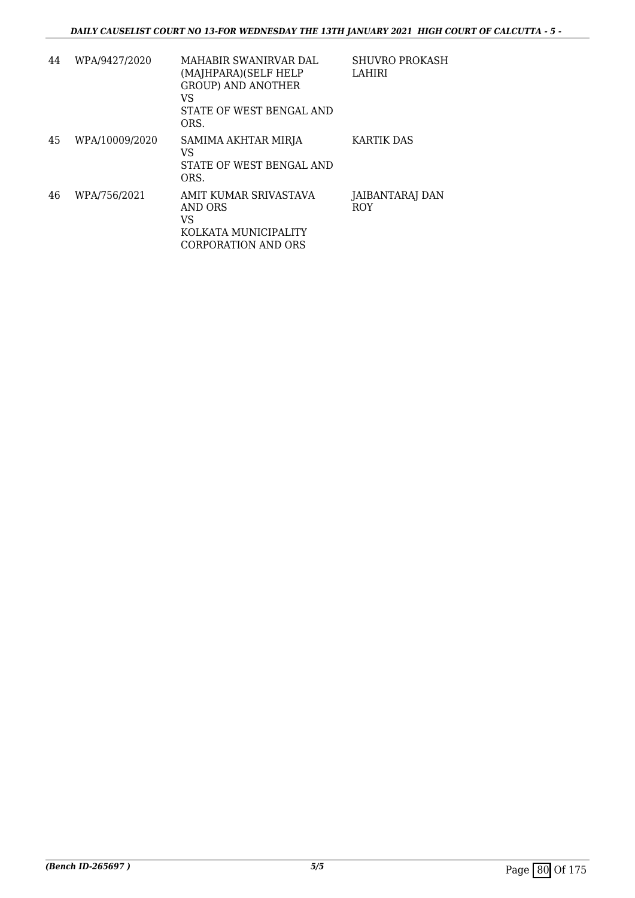| 44 | WPA/9427/2020  | MAHABIR SWANIRVAR DAL<br>(MAJHPARA)(SELF HELP<br><b>GROUP) AND ANOTHER</b><br>VS<br>STATE OF WEST BENGAL AND<br>ORS. | <b>SHUVRO PROKASH</b><br>LAHIRI |
|----|----------------|----------------------------------------------------------------------------------------------------------------------|---------------------------------|
| 45 | WPA/10009/2020 | SAMIMA AKHTAR MIRJA<br>VS<br>STATE OF WEST BENGAL AND<br>ORS.                                                        | KARTIK DAS                      |
| 46 | WPA/756/2021   | AMIT KUMAR SRIVASTAVA<br>AND ORS<br>VS<br>KOLKATA MUNICIPALITY<br>CORPORATION AND ORS                                | JAIBANTARAJ DAN<br>ROY          |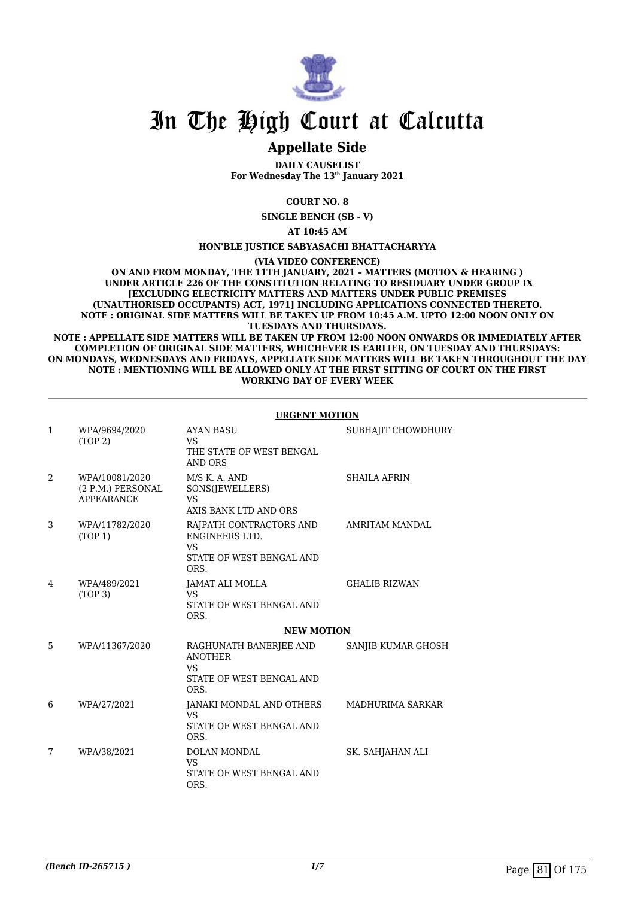

### **Appellate Side**

**DAILY CAUSELIST For Wednesday The 13th January 2021**

**COURT NO. 8**

**SINGLE BENCH (SB - V)**

**AT 10:45 AM**

#### **HON'BLE JUSTICE SABYASACHI BHATTACHARYYA**

**(VIA VIDEO CONFERENCE)**

**ON AND FROM MONDAY, THE 11TH JANUARY, 2021 – MATTERS (MOTION & HEARING ) UNDER ARTICLE 226 OF THE CONSTITUTION RELATING TO RESIDUARY UNDER GROUP IX [EXCLUDING ELECTRICITY MATTERS AND MATTERS UNDER PUBLIC PREMISES (UNAUTHORISED OCCUPANTS) ACT, 1971] INCLUDING APPLICATIONS CONNECTED THERETO. NOTE : ORIGINAL SIDE MATTERS WILL BE TAKEN UP FROM 10:45 A.M. UPTO 12:00 NOON ONLY ON TUESDAYS AND THURSDAYS.**

**NOTE : APPELLATE SIDE MATTERS WILL BE TAKEN UP FROM 12:00 NOON ONWARDS OR IMMEDIATELY AFTER COMPLETION OF ORIGINAL SIDE MATTERS, WHICHEVER IS EARLIER, ON TUESDAY AND THURSDAYS: ON MONDAYS, WEDNESDAYS AND FRIDAYS, APPELLATE SIDE MATTERS WILL BE TAKEN THROUGHOUT THE DAY NOTE : MENTIONING WILL BE ALLOWED ONLY AT THE FIRST SITTING OF COURT ON THE FIRST WORKING DAY OF EVERY WEEK**

|              |                                                          | <b>URGENT MOTION</b>                                                                              |                      |
|--------------|----------------------------------------------------------|---------------------------------------------------------------------------------------------------|----------------------|
| $\mathbf{1}$ | WPA/9694/2020<br>(TOP <sub>2</sub> )                     | <b>AYAN BASU</b><br><b>VS</b><br>THE STATE OF WEST BENGAL<br>AND ORS                              | SUBHAJIT CHOWDHURY   |
| 2            | WPA/10081/2020<br>(2 P.M.) PERSONAL<br><b>APPEARANCE</b> | M/S K. A. AND<br>SONS(JEWELLERS)<br><b>VS</b><br>AXIS BANK LTD AND ORS                            | <b>SHAILA AFRIN</b>  |
| 3            | WPA/11782/2020<br>(TOP 1)                                | RAJPATH CONTRACTORS AND<br><b>ENGINEERS LTD.</b><br><b>VS</b><br>STATE OF WEST BENGAL AND<br>ORS. | AMRITAM MANDAL       |
| 4            | WPA/489/2021<br>(TOP <sub>3</sub> )                      | JAMAT ALI MOLLA<br><b>VS</b><br>STATE OF WEST BENGAL AND<br>ORS.                                  | <b>GHALIB RIZWAN</b> |
|              |                                                          | <b>NEW MOTION</b>                                                                                 |                      |
| 5            | WPA/11367/2020                                           | RAGHUNATH BANERJEE AND<br><b>ANOTHER</b><br><b>VS</b><br>STATE OF WEST BENGAL AND<br>ORS.         | SANJIB KUMAR GHOSH   |
| 6            | WPA/27/2021                                              | JANAKI MONDAL AND OTHERS<br>VS.<br>STATE OF WEST BENGAL AND<br>ORS.                               | MADHURIMA SARKAR     |
| 7            | WPA/38/2021                                              | <b>DOLAN MONDAL</b><br><b>VS</b><br>STATE OF WEST BENGAL AND<br>ORS.                              | SK. SAHJAHAN ALI     |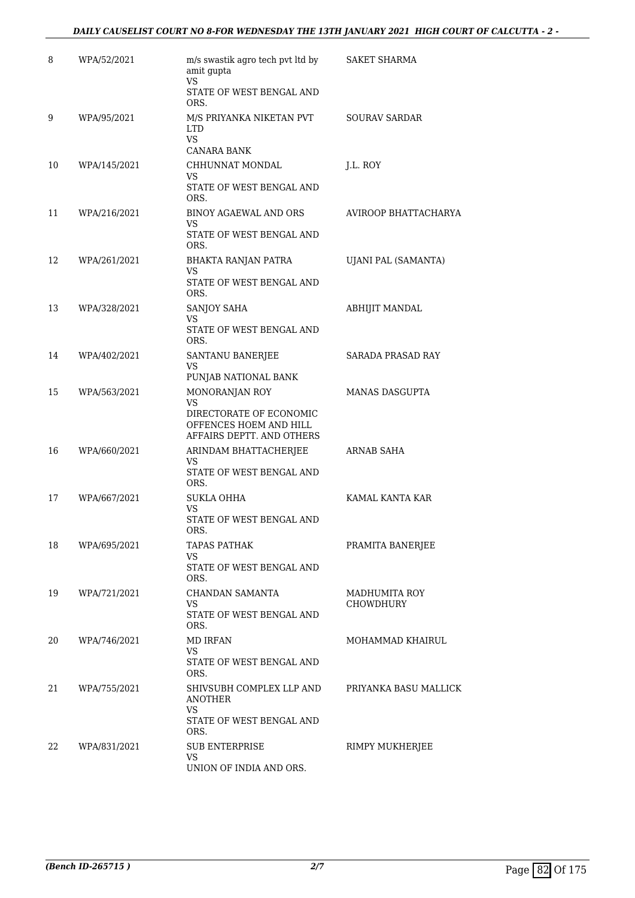#### *DAILY CAUSELIST COURT NO 8-FOR WEDNESDAY THE 13TH JANUARY 2021 HIGH COURT OF CALCUTTA - 2 -*

| 8  | WPA/52/2021  | m/s swastik agro tech pvt ltd by<br>amit gupta<br><b>VS</b>                                                   | SAKET SHARMA                             |
|----|--------------|---------------------------------------------------------------------------------------------------------------|------------------------------------------|
|    |              | STATE OF WEST BENGAL AND<br>ORS.                                                                              |                                          |
| 9  | WPA/95/2021  | M/S PRIYANKA NIKETAN PVT<br><b>LTD</b><br>VS.<br>CANARA BANK                                                  | <b>SOURAV SARDAR</b>                     |
| 10 | WPA/145/2021 | CHHUNNAT MONDAL<br>VS.<br>STATE OF WEST BENGAL AND<br>ORS.                                                    | J.L. ROY                                 |
| 11 | WPA/216/2021 | <b>BINOY AGAEWAL AND ORS</b><br>VS.<br>STATE OF WEST BENGAL AND<br>ORS.                                       | AVIROOP BHATTACHARYA                     |
| 12 | WPA/261/2021 | <b>BHAKTA RANJAN PATRA</b><br>VS.<br>STATE OF WEST BENGAL AND<br>ORS.                                         | <b>UJANI PAL (SAMANTA)</b>               |
| 13 | WPA/328/2021 | SANJOY SAHA<br>VS.<br>STATE OF WEST BENGAL AND<br>ORS.                                                        | ABHIJIT MANDAL                           |
| 14 | WPA/402/2021 | SANTANU BANERJEE<br>VS<br>PUNJAB NATIONAL BANK                                                                | SARADA PRASAD RAY                        |
| 15 | WPA/563/2021 | MONORANJAN ROY<br><b>VS</b><br>DIRECTORATE OF ECONOMIC<br>OFFENCES HOEM AND HILL<br>AFFAIRS DEPTT. AND OTHERS | <b>MANAS DASGUPTA</b>                    |
| 16 | WPA/660/2021 | ARINDAM BHATTACHERJEE<br>VS.<br>STATE OF WEST BENGAL AND<br>ORS.                                              | <b>ARNAB SAHA</b>                        |
| 17 | WPA/667/2021 | <b>SUKLA OHHA</b><br>VS<br>STATE OF WEST BENGAL AND<br>ORS.                                                   | KAMAL KANTA KAR                          |
| 18 | WPA/695/2021 | TAPAS PATHAK<br>VS<br>STATE OF WEST BENGAL AND<br>ORS.                                                        | PRAMITA BANERJEE                         |
| 19 | WPA/721/2021 | CHANDAN SAMANTA<br>VS.<br>STATE OF WEST BENGAL AND<br>ORS.                                                    | <b>MADHUMITA ROY</b><br><b>CHOWDHURY</b> |
| 20 | WPA/746/2021 | <b>MD IRFAN</b><br>VS<br>STATE OF WEST BENGAL AND<br>ORS.                                                     | MOHAMMAD KHAIRUL                         |
| 21 | WPA/755/2021 | SHIVSUBH COMPLEX LLP AND<br><b>ANOTHER</b><br><b>VS</b><br>STATE OF WEST BENGAL AND<br>ORS.                   | PRIYANKA BASU MALLICK                    |
| 22 | WPA/831/2021 | <b>SUB ENTERPRISE</b><br>VS<br>UNION OF INDIA AND ORS.                                                        | RIMPY MUKHERJEE                          |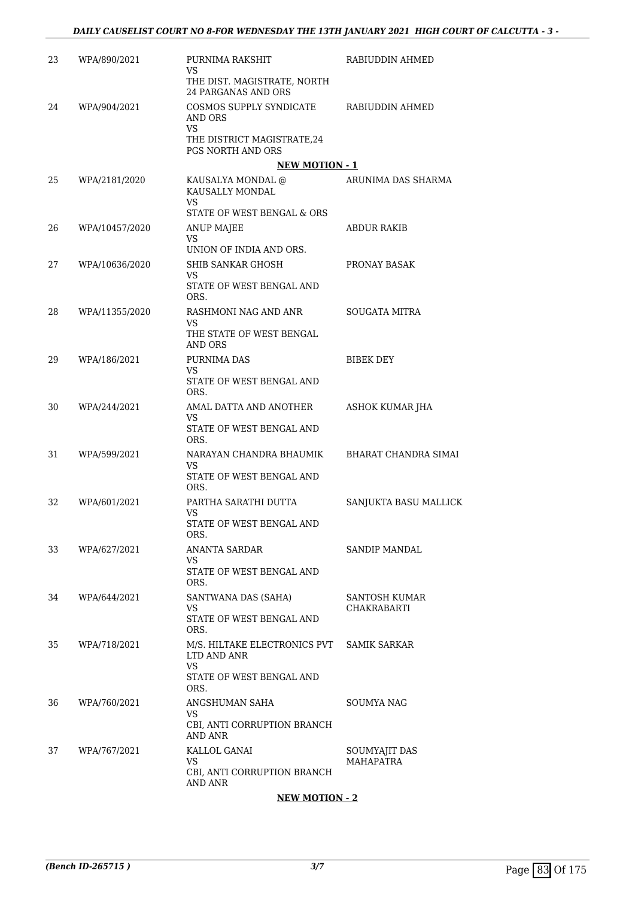| 23 | WPA/890/2021   | PURNIMA RAKSHIT<br>VS.<br>THE DIST. MAGISTRATE, NORTH            | RABIUDDIN AHMED       |
|----|----------------|------------------------------------------------------------------|-----------------------|
| 24 | WPA/904/2021   | <b>24 PARGANAS AND ORS</b><br>COSMOS SUPPLY SYNDICATE<br>AND ORS | RABIUDDIN AHMED       |
|    |                | <b>VS</b><br>THE DISTRICT MAGISTRATE, 24<br>PGS NORTH AND ORS    |                       |
|    |                | <b>NEW MOTION - 1</b>                                            |                       |
| 25 | WPA/2181/2020  | KAUSALYA MONDAL @<br>KAUSALLY MONDAL<br><b>VS</b>                | ARUNIMA DAS SHARMA    |
|    |                | STATE OF WEST BENGAL & ORS                                       |                       |
| 26 | WPA/10457/2020 | ANUP MAJEE<br><b>VS</b><br>UNION OF INDIA AND ORS.               | ABDUR RAKIB           |
| 27 | WPA/10636/2020 | SHIB SANKAR GHOSH<br><b>VS</b><br>STATE OF WEST BENGAL AND       | PRONAY BASAK          |
|    |                | ORS.                                                             |                       |
| 28 | WPA/11355/2020 | RASHMONI NAG AND ANR<br><b>VS</b><br>THE STATE OF WEST BENGAL    | <b>SOUGATA MITRA</b>  |
|    |                | <b>AND ORS</b>                                                   |                       |
| 29 | WPA/186/2021   | PURNIMA DAS<br><b>VS</b><br>STATE OF WEST BENGAL AND<br>ORS.     | <b>BIBEK DEY</b>      |
| 30 | WPA/244/2021   | AMAL DATTA AND ANOTHER                                           | ASHOK KUMAR JHA       |
|    |                | VS<br>STATE OF WEST BENGAL AND<br>ORS.                           |                       |
| 31 | WPA/599/2021   | NARAYAN CHANDRA BHAUMIK<br>VS.                                   | BHARAT CHANDRA SIMAI  |
|    |                | STATE OF WEST BENGAL AND<br>ORS.                                 |                       |
| 32 | WPA/601/2021   | PARTHA SARATHI DUTTA<br>VS                                       | SANJUKTA BASU MALLICK |
|    |                | STATE OF WEST BENGAL AND<br>ORS.                                 |                       |
| 33 | WPA/627/2021   | ANANTA SARDAR                                                    | SANDIP MANDAL         |
|    |                | <b>VS</b><br>STATE OF WEST BENGAL AND<br>ORS.                    |                       |
| 34 | WPA/644/2021   | SANTWANA DAS (SAHA)                                              | SANTOSH KUMAR         |
|    |                | VS<br>STATE OF WEST BENGAL AND<br>ORS.                           | CHAKRABARTI           |
| 35 | WPA/718/2021   | M/S. HILTAKE ELECTRONICS PVT<br>LTD AND ANR<br><b>VS</b>         | SAMIK SARKAR          |
|    |                | STATE OF WEST BENGAL AND<br>ORS.                                 |                       |
| 36 | WPA/760/2021   | ANGSHUMAN SAHA                                                   | SOUMYA NAG            |
|    |                | <b>VS</b><br>CBI, ANTI CORRUPTION BRANCH<br><b>AND ANR</b>       |                       |
| 37 | WPA/767/2021   | KALLOL GANAI                                                     | SOUMYAJIT DAS         |
|    |                | VS.<br>CBI, ANTI CORRUPTION BRANCH<br>AND ANR                    | MAHAPATRA             |

#### **NEW MOTION - 2**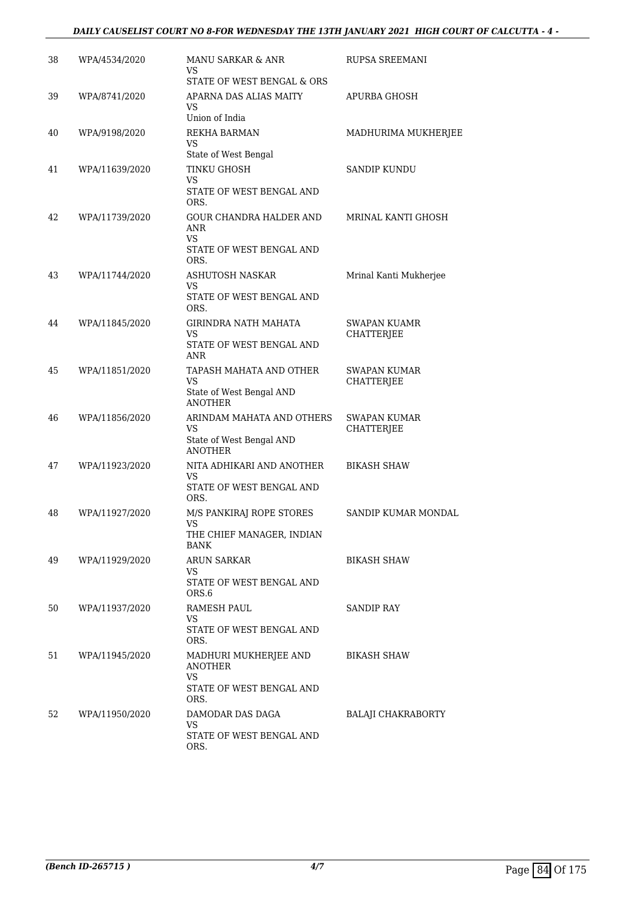#### *DAILY CAUSELIST COURT NO 8-FOR WEDNESDAY THE 13TH JANUARY 2021 HIGH COURT OF CALCUTTA - 4 -*

| 38 | WPA/4534/2020  | MANU SARKAR & ANR<br>VS<br>STATE OF WEST BENGAL & ORS                              | RUPSA SREEMANI                           |
|----|----------------|------------------------------------------------------------------------------------|------------------------------------------|
| 39 | WPA/8741/2020  | APARNA DAS ALIAS MAITY<br>VS<br>Union of India                                     | APURBA GHOSH                             |
| 40 | WPA/9198/2020  | REKHA BARMAN<br>VS<br>State of West Bengal                                         | MADHURIMA MUKHERJEE                      |
| 41 | WPA/11639/2020 | TINKU GHOSH<br>VS<br>STATE OF WEST BENGAL AND<br>ORS.                              | <b>SANDIP KUNDU</b>                      |
| 42 | WPA/11739/2020 | GOUR CHANDRA HALDER AND<br>ANR<br>VS.<br>STATE OF WEST BENGAL AND<br>ORS.          | MRINAL KANTI GHOSH                       |
| 43 | WPA/11744/2020 | ASHUTOSH NASKAR<br>VS<br>STATE OF WEST BENGAL AND<br>ORS.                          | Mrinal Kanti Mukherjee                   |
| 44 | WPA/11845/2020 | GIRINDRA NATH MAHATA<br>VS<br>STATE OF WEST BENGAL AND<br>ANR                      | <b>SWAPAN KUAMR</b><br><b>CHATTERJEE</b> |
| 45 | WPA/11851/2020 | TAPASH MAHATA AND OTHER<br>VS<br>State of West Bengal AND<br><b>ANOTHER</b>        | SWAPAN KUMAR<br><b>CHATTERJEE</b>        |
| 46 | WPA/11856/2020 | ARINDAM MAHATA AND OTHERS<br>VS<br>State of West Bengal AND<br><b>ANOTHER</b>      | SWAPAN KUMAR<br><b>CHATTERJEE</b>        |
| 47 | WPA/11923/2020 | NITA ADHIKARI AND ANOTHER<br>VS<br>STATE OF WEST BENGAL AND<br>ORS.                | <b>BIKASH SHAW</b>                       |
| 48 | WPA/11927/2020 | M/S PANKIRAJ ROPE STORES<br>VS.<br>THE CHIEF MANAGER, INDIAN<br>BANK               | SANDIP KUMAR MONDAL                      |
| 49 | WPA/11929/2020 | <b>ARUN SARKAR</b><br><b>VS</b><br>STATE OF WEST BENGAL AND<br>ORS.6               | BIKASH SHAW                              |
| 50 | WPA/11937/2020 | RAMESH PAUL<br>VS<br>STATE OF WEST BENGAL AND<br>ORS.                              | SANDIP RAY                               |
| 51 | WPA/11945/2020 | MADHURI MUKHERJEE AND<br><b>ANOTHER</b><br>VS.<br>STATE OF WEST BENGAL AND<br>ORS. | <b>BIKASH SHAW</b>                       |
| 52 | WPA/11950/2020 | DAMODAR DAS DAGA<br><b>VS</b><br>STATE OF WEST BENGAL AND<br>ORS.                  | BALAJI CHAKRABORTY                       |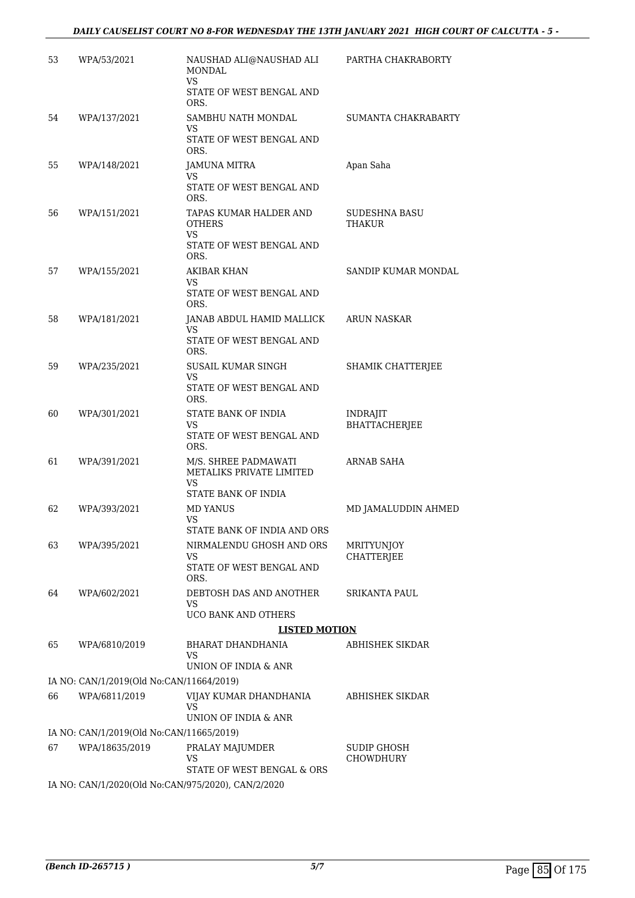#### *DAILY CAUSELIST COURT NO 8-FOR WEDNESDAY THE 13TH JANUARY 2021 HIGH COURT OF CALCUTTA - 5 -*

| 53 | WPA/53/2021                                        | NAUSHAD ALI@NAUSHAD ALI<br><b>MONDAL</b><br>VS.               | PARTHA CHAKRABORTY                      |
|----|----------------------------------------------------|---------------------------------------------------------------|-----------------------------------------|
|    |                                                    | STATE OF WEST BENGAL AND<br>ORS.                              |                                         |
| 54 | WPA/137/2021                                       | SAMBHU NATH MONDAL<br><b>VS</b>                               | SUMANTA CHAKRABARTY                     |
|    |                                                    | STATE OF WEST BENGAL AND<br>ORS.                              |                                         |
| 55 | WPA/148/2021                                       | <b>JAMUNA MITRA</b><br>VS.                                    | Apan Saha                               |
|    |                                                    | STATE OF WEST BENGAL AND<br>ORS.                              |                                         |
| 56 | WPA/151/2021                                       | TAPAS KUMAR HALDER AND<br><b>OTHERS</b><br>VS.                | <b>SUDESHNA BASU</b><br>THAKUR          |
|    |                                                    | STATE OF WEST BENGAL AND<br>ORS.                              |                                         |
| 57 | WPA/155/2021                                       | AKIBAR KHAN<br>VS.                                            | SANDIP KUMAR MONDAL                     |
|    |                                                    | STATE OF WEST BENGAL AND<br>ORS.                              |                                         |
| 58 | WPA/181/2021                                       | JANAB ABDUL HAMID MALLICK<br>VS.                              | <b>ARUN NASKAR</b>                      |
|    |                                                    | STATE OF WEST BENGAL AND<br>ORS.                              |                                         |
| 59 | WPA/235/2021                                       | <b>SUSAIL KUMAR SINGH</b><br>VS                               | SHAMIK CHATTERJEE                       |
|    |                                                    | STATE OF WEST BENGAL AND<br>ORS.                              |                                         |
| 60 | WPA/301/2021                                       | STATE BANK OF INDIA<br>VS<br>STATE OF WEST BENGAL AND<br>ORS. | <b>INDRAJIT</b><br><b>BHATTACHERJEE</b> |
| 61 | WPA/391/2021                                       | M/S. SHREE PADMAWATI<br>METALIKS PRIVATE LIMITED<br><b>VS</b> | ARNAB SAHA                              |
|    |                                                    | STATE BANK OF INDIA                                           |                                         |
| 62 | WPA/393/2021                                       | <b>MD YANUS</b><br>VS<br>STATE BANK OF INDIA AND ORS          | MD JAMALUDDIN AHMED                     |
| 63 | WPA/395/2021                                       | NIRMALENDU GHOSH AND ORS                                      | <b>MRITYUNJOY</b>                       |
|    |                                                    | VS<br>STATE OF WEST BENGAL AND<br>ORS.                        | <b>CHATTERJEE</b>                       |
| 64 | WPA/602/2021                                       | DEBTOSH DAS AND ANOTHER<br>VS                                 | <b>SRIKANTA PAUL</b>                    |
|    |                                                    | UCO BANK AND OTHERS<br><b>LISTED MOTION</b>                   |                                         |
| 65 | WPA/6810/2019                                      | BHARAT DHANDHANIA                                             | ABHISHEK SIKDAR                         |
|    |                                                    | VS<br>UNION OF INDIA & ANR                                    |                                         |
|    | IA NO: CAN/1/2019(Old No:CAN/11664/2019)           |                                                               |                                         |
| 66 | WPA/6811/2019                                      | VIJAY KUMAR DHANDHANIA<br>VS<br>UNION OF INDIA & ANR          | ABHISHEK SIKDAR                         |
|    | IA NO: CAN/1/2019(Old No:CAN/11665/2019)           |                                                               |                                         |
| 67 | WPA/18635/2019                                     | PRALAY MAJUMDER<br>VS<br>STATE OF WEST BENGAL & ORS           | SUDIP GHOSH<br><b>CHOWDHURY</b>         |
|    | IA NO: CAN/1/2020(Old No:CAN/975/2020), CAN/2/2020 |                                                               |                                         |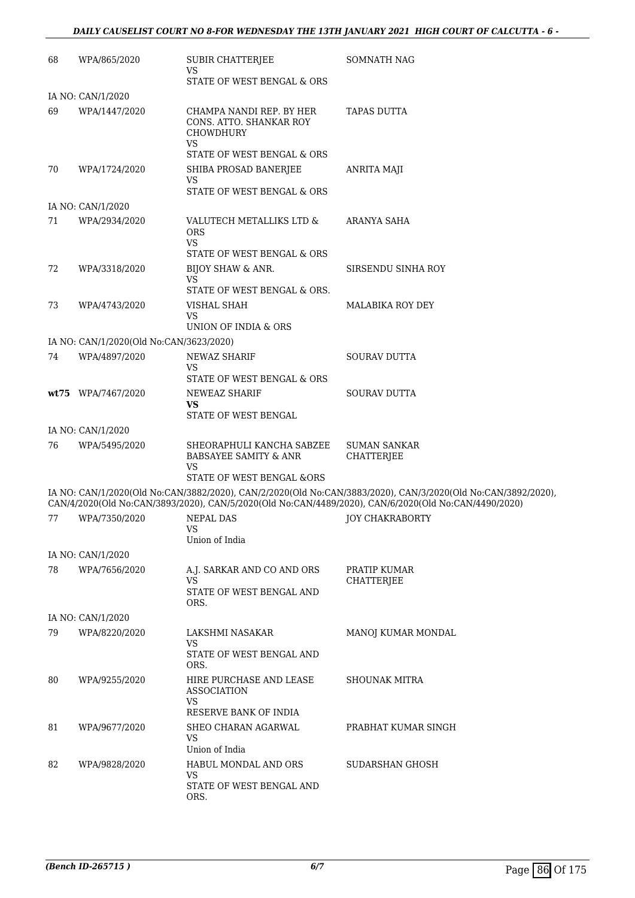| 68 | WPA/865/2020                            | SUBIR CHATTERJEE<br>VS                                                 | <b>SOMNATH NAG</b>                                                                                           |
|----|-----------------------------------------|------------------------------------------------------------------------|--------------------------------------------------------------------------------------------------------------|
|    |                                         | STATE OF WEST BENGAL & ORS                                             |                                                                                                              |
|    | IA NO: CAN/1/2020                       |                                                                        |                                                                                                              |
| 69 | WPA/1447/2020                           | CHAMPA NANDI REP. BY HER<br>CONS. ATTO. SHANKAR ROY<br>CHOWDHURY<br>VS | <b>TAPAS DUTTA</b>                                                                                           |
|    |                                         | STATE OF WEST BENGAL & ORS                                             |                                                                                                              |
| 70 | WPA/1724/2020                           | SHIBA PROSAD BANERJEE<br>VS<br>STATE OF WEST BENGAL & ORS              | ANRITA MAJI                                                                                                  |
|    | IA NO: CAN/1/2020                       |                                                                        |                                                                                                              |
| 71 | WPA/2934/2020                           | VALUTECH METALLIKS LTD &<br><b>ORS</b><br><b>VS</b>                    | ARANYA SAHA                                                                                                  |
|    |                                         | STATE OF WEST BENGAL & ORS                                             |                                                                                                              |
| 72 | WPA/3318/2020                           | BIJOY SHAW & ANR.<br>VS                                                | SIRSENDU SINHA ROY                                                                                           |
|    |                                         | STATE OF WEST BENGAL & ORS.                                            |                                                                                                              |
| 73 | WPA/4743/2020                           | VISHAL SHAH<br>VS                                                      | <b>MALABIKA ROY DEY</b>                                                                                      |
|    |                                         | UNION OF INDIA & ORS                                                   |                                                                                                              |
|    | IA NO: CAN/1/2020(Old No:CAN/3623/2020) |                                                                        |                                                                                                              |
| 74 | WPA/4897/2020                           | NEWAZ SHARIF<br><b>VS</b><br>STATE OF WEST BENGAL & ORS                | <b>SOURAV DUTTA</b>                                                                                          |
|    | wt75 WPA/7467/2020                      | NEWEAZ SHARIF<br>VS<br>STATE OF WEST BENGAL                            | <b>SOURAV DUTTA</b>                                                                                          |
|    | IA NO: CAN/1/2020                       |                                                                        |                                                                                                              |
| 76 | WPA/5495/2020                           | SHEORAPHULI KANCHA SABZEE                                              | <b>SUMAN SANKAR</b>                                                                                          |
|    |                                         | BABSAYEE SAMITY & ANR<br>VS<br>STATE OF WEST BENGAL &ORS               | CHATTERJEE                                                                                                   |
|    |                                         |                                                                        | IA NO: CAN/1/2020(Old No:CAN/3882/2020), CAN/2/2020(Old No:CAN/3883/2020), CAN/3/2020(Old No:CAN/3892/2020), |
|    |                                         |                                                                        | CAN/4/2020(Old No:CAN/3893/2020), CAN/5/2020(Old No:CAN/4489/2020), CAN/6/2020(Old No:CAN/4490/2020)         |
| 77 | WPA/7350/2020                           | <b>NEPAL DAS</b><br>VS<br>Union of India                               | <b>JOY CHAKRABORTY</b>                                                                                       |
|    | IA NO: CAN/1/2020                       |                                                                        |                                                                                                              |
| 78 | WPA/7656/2020                           | A.J. SARKAR AND CO AND ORS<br>VS                                       | PRATIP KUMAR<br>CHATTERJEE                                                                                   |
|    |                                         | STATE OF WEST BENGAL AND<br>ORS.                                       |                                                                                                              |
|    | IA NO: CAN/1/2020                       |                                                                        |                                                                                                              |
| 79 | WPA/8220/2020                           | LAKSHMI NASAKAR<br><b>VS</b>                                           | MANOJ KUMAR MONDAL                                                                                           |
|    |                                         | STATE OF WEST BENGAL AND<br>ORS.                                       |                                                                                                              |
| 80 | WPA/9255/2020                           | HIRE PURCHASE AND LEASE<br><b>ASSOCIATION</b><br>VS                    | <b>SHOUNAK MITRA</b>                                                                                         |
|    |                                         | RESERVE BANK OF INDIA                                                  |                                                                                                              |
| 81 | WPA/9677/2020                           | SHEO CHARAN AGARWAL<br>VS<br>Union of India                            | PRABHAT KUMAR SINGH                                                                                          |
| 82 | WPA/9828/2020                           | HABUL MONDAL AND ORS<br>VS                                             | SUDARSHAN GHOSH                                                                                              |
|    |                                         | STATE OF WEST BENGAL AND<br>ORS.                                       |                                                                                                              |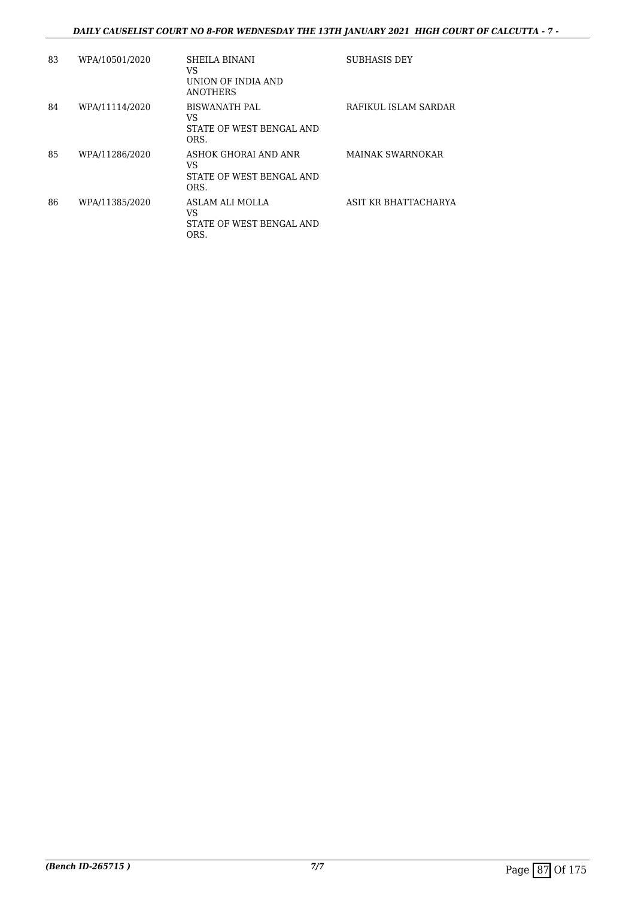#### *DAILY CAUSELIST COURT NO 8-FOR WEDNESDAY THE 13TH JANUARY 2021 HIGH COURT OF CALCUTTA - 7 -*

| 83 | WPA/10501/2020 | SHEILA BINANI<br>VS<br>UNION OF INDIA AND<br><b>ANOTHERS</b>   | <b>SUBHASIS DEY</b>  |
|----|----------------|----------------------------------------------------------------|----------------------|
| 84 | WPA/11114/2020 | <b>BISWANATH PAL</b><br>VS<br>STATE OF WEST BENGAL AND<br>ORS. | RAFIKUL ISLAM SARDAR |
| 85 | WPA/11286/2020 | ASHOK GHORAI AND ANR<br>VS<br>STATE OF WEST BENGAL AND<br>ORS. | MAINAK SWARNOKAR     |
| 86 | WPA/11385/2020 | ASLAM ALI MOLLA<br>VS<br>STATE OF WEST BENGAL AND<br>ORS.      | ASIT KR BHATTACHARYA |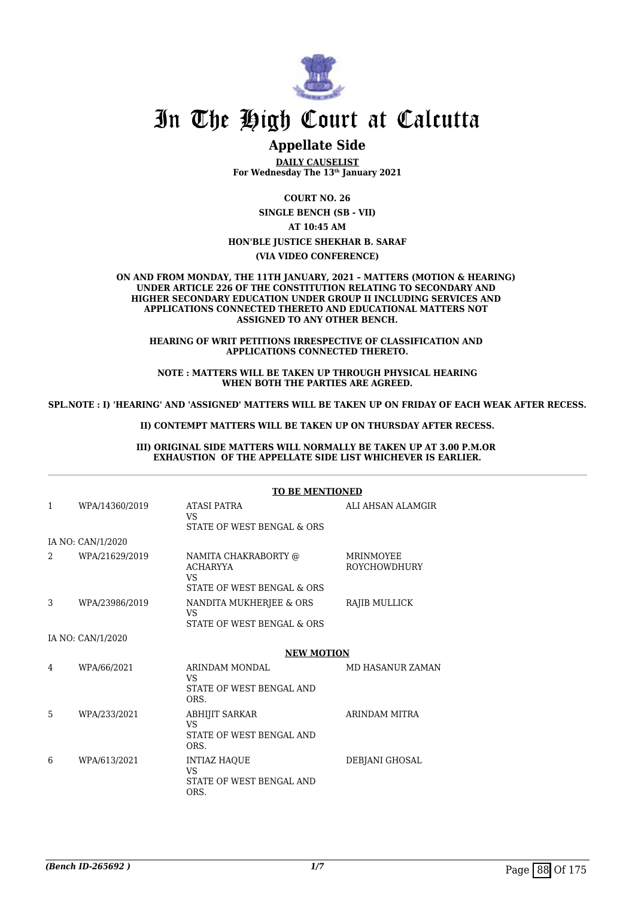

### **Appellate Side**

**DAILY CAUSELIST For Wednesday The 13th January 2021**

**COURT NO. 26 SINGLE BENCH (SB - VII) AT 10:45 AM HON'BLE JUSTICE SHEKHAR B. SARAF (VIA VIDEO CONFERENCE)**

**ON AND FROM MONDAY, THE 11TH JANUARY, 2021 – MATTERS (MOTION & HEARING) UNDER ARTICLE 226 OF THE CONSTITUTION RELATING TO SECONDARY AND HIGHER SECONDARY EDUCATION UNDER GROUP II INCLUDING SERVICES AND APPLICATIONS CONNECTED THERETO AND EDUCATIONAL MATTERS NOT ASSIGNED TO ANY OTHER BENCH.**

**HEARING OF WRIT PETITIONS IRRESPECTIVE OF CLASSIFICATION AND APPLICATIONS CONNECTED THERETO.**

**NOTE : MATTERS WILL BE TAKEN UP THROUGH PHYSICAL HEARING WHEN BOTH THE PARTIES ARE AGREED.**

**SPL.NOTE : I) 'HEARING' AND 'ASSIGNED' MATTERS WILL BE TAKEN UP ON FRIDAY OF EACH WEAK AFTER RECESS.**

**II) CONTEMPT MATTERS WILL BE TAKEN UP ON THURSDAY AFTER RECESS.**

**III) ORIGINAL SIDE MATTERS WILL NORMALLY BE TAKEN UP AT 3.00 P.M.OR EXHAUSTION OF THE APPELLATE SIDE LIST WHICHEVER IS EARLIER.**

|   | <b>TO BE MENTIONED</b> |                                                                                    |                                  |  |
|---|------------------------|------------------------------------------------------------------------------------|----------------------------------|--|
| 1 | WPA/14360/2019         | ATASI PATRA<br><b>VS</b><br>STATE OF WEST BENGAL & ORS                             | ALI AHSAN ALAMGIR                |  |
|   | IA NO: CAN/1/2020      |                                                                                    |                                  |  |
| 2 | WPA/21629/2019         | NAMITA CHAKRABORTY @<br><b>ACHARYYA</b><br><b>VS</b><br>STATE OF WEST BENGAL & ORS | MRINMOYEE<br><b>ROYCHOWDHURY</b> |  |
| 3 | WPA/23986/2019         | NANDITA MUKHERJEE & ORS<br><b>VS</b><br>STATE OF WEST BENGAL & ORS                 | RAJIB MULLICK                    |  |
|   | IA NO: CAN/1/2020      |                                                                                    |                                  |  |
|   |                        | <b>NEW MOTION</b>                                                                  |                                  |  |
| 4 | WPA/66/2021            | ARINDAM MONDAL<br><b>VS</b><br>STATE OF WEST BENGAL AND<br>ORS.                    | <b>MD HASANUR ZAMAN</b>          |  |
| 5 | WPA/233/2021           | <b>ABHIJIT SARKAR</b><br><b>VS</b><br>STATE OF WEST BENGAL AND<br>ORS.             | <b>ARINDAM MITRA</b>             |  |
| 6 | WPA/613/2021           | <b>INTIAZ HAQUE</b><br><b>VS</b><br>STATE OF WEST BENGAL AND<br>ORS.               | DEBJANI GHOSAL                   |  |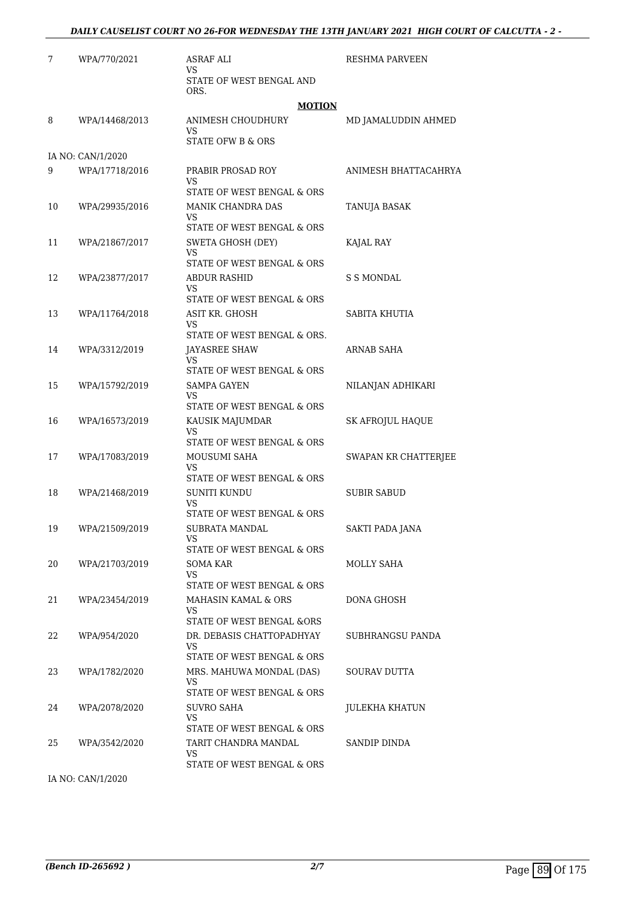| 7  | WPA/770/2021      | <b>ASRAF ALI</b><br>VS                                | <b>RESHMA PARVEEN</b> |
|----|-------------------|-------------------------------------------------------|-----------------------|
|    |                   | STATE OF WEST BENGAL AND<br>ORS.                      |                       |
|    |                   | <b>MOTION</b>                                         |                       |
| 8  | WPA/14468/2013    | ANIMESH CHOUDHURY<br><b>VS</b>                        | MD JAMALUDDIN AHMED   |
|    |                   | STATE OFW B & ORS                                     |                       |
|    | IA NO: CAN/1/2020 |                                                       |                       |
| 9  | WPA/17718/2016    | PRABIR PROSAD ROY<br>VS<br>STATE OF WEST BENGAL & ORS | ANIMESH BHATTACAHRYA  |
| 10 | WPA/29935/2016    | MANIK CHANDRA DAS<br>VS                               | TANUJA BASAK          |
|    |                   | STATE OF WEST BENGAL & ORS                            |                       |
| 11 | WPA/21867/2017    | <b>SWETA GHOSH (DEY)</b><br>VS                        | KAJAL RAY             |
|    | WPA/23877/2017    | STATE OF WEST BENGAL & ORS                            | S S MONDAL            |
| 12 |                   | ABDUR RASHID<br>VS<br>STATE OF WEST BENGAL & ORS      |                       |
| 13 | WPA/11764/2018    | ASIT KR. GHOSH                                        | SABITA KHUTIA         |
|    |                   | VS                                                    |                       |
|    |                   | STATE OF WEST BENGAL & ORS.                           |                       |
| 14 | WPA/3312/2019     | JAYASREE SHAW<br>VS<br>STATE OF WEST BENGAL & ORS     | ARNAB SAHA            |
| 15 | WPA/15792/2019    | SAMPA GAYEN                                           | NILANJAN ADHIKARI     |
|    |                   | VS<br>STATE OF WEST BENGAL & ORS                      |                       |
| 16 | WPA/16573/2019    | KAUSIK MAJUMDAR<br>VS                                 | SK AFROJUL HAQUE      |
|    |                   | STATE OF WEST BENGAL & ORS                            |                       |
| 17 | WPA/17083/2019    | MOUSUMI SAHA<br>VS                                    | SWAPAN KR CHATTERJEE  |
|    |                   | STATE OF WEST BENGAL & ORS                            |                       |
| 18 | WPA/21468/2019    | SUNITI KUNDU<br>VS<br>STATE OF WEST BENGAL & ORS      | SUBIR SABUD           |
| 19 | WPA/21509/2019    | SUBRATA MANDAL                                        | SAKTI PADA JANA       |
|    |                   | VS                                                    |                       |
|    |                   | STATE OF WEST BENGAL & ORS                            |                       |
| 20 | WPA/21703/2019    | SOMA KAR<br>VS.<br>STATE OF WEST BENGAL & ORS         | MOLLY SAHA            |
| 21 | WPA/23454/2019    | MAHASIN KAMAL & ORS                                   | DONA GHOSH            |
|    |                   | VS<br>STATE OF WEST BENGAL &ORS                       |                       |
| 22 | WPA/954/2020      | DR. DEBASIS CHATTOPADHYAY                             | SUBHRANGSU PANDA      |
|    |                   | VS.<br>STATE OF WEST BENGAL & ORS                     |                       |
| 23 | WPA/1782/2020     | MRS. MAHUWA MONDAL (DAS)<br>VS.                       | SOURAV DUTTA          |
|    |                   | STATE OF WEST BENGAL & ORS                            |                       |
| 24 | WPA/2078/2020     | SUVRO SAHA<br>VS.                                     | <b>JULEKHA KHATUN</b> |
|    |                   | STATE OF WEST BENGAL & ORS                            |                       |
| 25 | WPA/3542/2020     | TARIT CHANDRA MANDAL<br>VS.                           | SANDIP DINDA          |
|    |                   | STATE OF WEST BENGAL & ORS                            |                       |
|    | IA NO: CAN/1/2020 |                                                       |                       |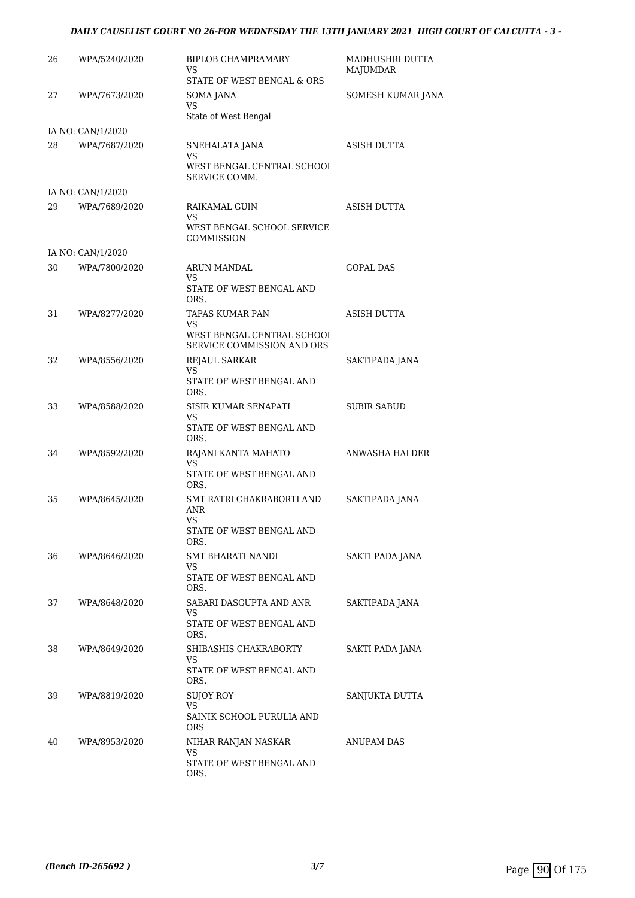#### *DAILY CAUSELIST COURT NO 26-FOR WEDNESDAY THE 13TH JANUARY 2021 HIGH COURT OF CALCUTTA - 3 -*

| 26 | WPA/5240/2020     | BIPLOB CHAMPRAMARY<br>VS<br>STATE OF WEST BENGAL & ORS             | MADHUSHRI DUTTA<br><b>MAJUMDAR</b> |
|----|-------------------|--------------------------------------------------------------------|------------------------------------|
| 27 | WPA/7673/2020     | SOMA JANA<br>VS<br>State of West Bengal                            | SOMESH KUMAR JANA                  |
|    | IA NO: CAN/1/2020 |                                                                    |                                    |
| 28 | WPA/7687/2020     | SNEHALATA JANA<br>VS.<br>WEST BENGAL CENTRAL SCHOOL                | ASISH DUTTA                        |
|    |                   | SERVICE COMM.                                                      |                                    |
|    | IA NO: CAN/1/2020 |                                                                    |                                    |
| 29 | WPA/7689/2020     | RAIKAMAL GUIN<br>VS<br>WEST BENGAL SCHOOL SERVICE<br>COMMISSION    | ASISH DUTTA                        |
|    | IA NO: CAN/1/2020 |                                                                    |                                    |
| 30 | WPA/7800/2020     | ARUN MANDAL<br>VS.                                                 | <b>GOPAL DAS</b>                   |
|    |                   | STATE OF WEST BENGAL AND<br>ORS.                                   |                                    |
| 31 | WPA/8277/2020     | TAPAS KUMAR PAN<br>VS                                              | <b>ASISH DUTTA</b>                 |
|    |                   | WEST BENGAL CENTRAL SCHOOL<br>SERVICE COMMISSION AND ORS           |                                    |
| 32 | WPA/8556/2020     | <b>REJAUL SARKAR</b><br>VS.<br>STATE OF WEST BENGAL AND<br>ORS.    | SAKTIPADA JANA                     |
| 33 | WPA/8588/2020     | SISIR KUMAR SENAPATI<br>VS<br>STATE OF WEST BENGAL AND<br>ORS.     | <b>SUBIR SABUD</b>                 |
| 34 | WPA/8592/2020     | RAJANI KANTA MAHATO<br>VS.<br>STATE OF WEST BENGAL AND<br>ORS.     | ANWASHA HALDER                     |
| 35 | WPA/8645/2020     | SMT RATRI CHAKRABORTI AND<br>ANR<br>VS<br>STATE OF WEST BENGAL AND | SAKTIPADA JANA                     |
|    |                   | ORS.                                                               |                                    |
| 36 | WPA/8646/2020     | <b>SMT BHARATI NANDI</b><br>VS                                     | SAKTI PADA JANA                    |
|    |                   | STATE OF WEST BENGAL AND<br>ORS.                                   |                                    |
| 37 | WPA/8648/2020     | SABARI DASGUPTA AND ANR<br>VS<br>STATE OF WEST BENGAL AND          | SAKTIPADA JANA                     |
| 38 | WPA/8649/2020     | ORS.<br>SHIBASHIS CHAKRABORTY                                      | SAKTI PADA JANA                    |
|    |                   | VS<br>STATE OF WEST BENGAL AND<br>ORS.                             |                                    |
| 39 | WPA/8819/2020     | <b>SUJOY ROY</b>                                                   | SANJUKTA DUTTA                     |
|    |                   | VS<br>SAINIK SCHOOL PURULIA AND<br><b>ORS</b>                      |                                    |
| 40 | WPA/8953/2020     | NIHAR RANJAN NASKAR<br>VS<br>STATE OF WEST BENGAL AND<br>ORS.      | ANUPAM DAS                         |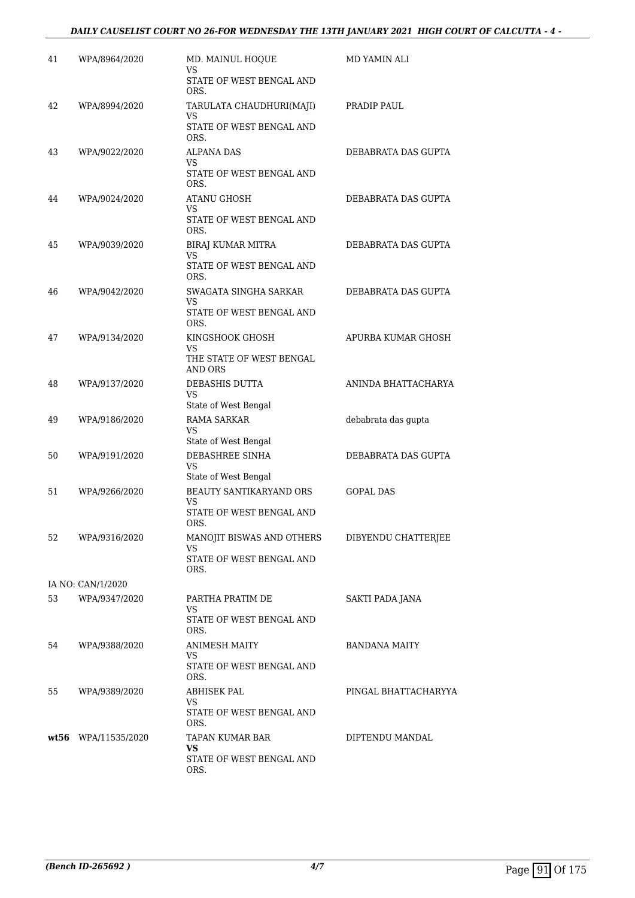#### *DAILY CAUSELIST COURT NO 26-FOR WEDNESDAY THE 13TH JANUARY 2021 HIGH COURT OF CALCUTTA - 4 -*

| 41 | WPA/8964/2020       | MD. MAINUL HOQUE<br>VS                        | MD YAMIN ALI         |
|----|---------------------|-----------------------------------------------|----------------------|
|    |                     | STATE OF WEST BENGAL AND<br>ORS.              |                      |
| 42 | WPA/8994/2020       | TARULATA CHAUDHURI(MAJI)<br>VS                | PRADIP PAUL          |
|    |                     | STATE OF WEST BENGAL AND<br>ORS.              |                      |
| 43 | WPA/9022/2020       | ALPANA DAS<br>VS                              | DEBABRATA DAS GUPTA  |
|    |                     | STATE OF WEST BENGAL AND<br>ORS.              |                      |
| 44 | WPA/9024/2020       | <b>ATANU GHOSH</b><br>VS                      | DEBABRATA DAS GUPTA  |
|    |                     | STATE OF WEST BENGAL AND<br>ORS.              |                      |
| 45 | WPA/9039/2020       | BIRAJ KUMAR MITRA<br>VS                       | DEBABRATA DAS GUPTA  |
|    |                     | STATE OF WEST BENGAL AND<br>ORS.              |                      |
| 46 | WPA/9042/2020       | SWAGATA SINGHA SARKAR<br>VS                   | DEBABRATA DAS GUPTA  |
|    |                     | STATE OF WEST BENGAL AND<br>ORS.              |                      |
| 47 | WPA/9134/2020       | KINGSHOOK GHOSH<br>VS                         | APURBA KUMAR GHOSH   |
|    |                     | THE STATE OF WEST BENGAL<br>AND ORS           |                      |
| 48 | WPA/9137/2020       | DEBASHIS DUTTA<br>VS                          | ANINDA BHATTACHARYA  |
|    |                     | State of West Bengal                          |                      |
| 49 | WPA/9186/2020       | <b>RAMA SARKAR</b><br>VS                      | debabrata das gupta  |
|    |                     | State of West Bengal                          |                      |
| 50 | WPA/9191/2020       | DEBASHREE SINHA<br>VS<br>State of West Bengal | DEBABRATA DAS GUPTA  |
|    | WPA/9266/2020       | BEAUTY SANTIKARYAND ORS                       | <b>GOPAL DAS</b>     |
| 51 |                     | VS<br>STATE OF WEST BENGAL AND<br>ORS.        |                      |
| 52 | WPA/9316/2020       | MANOJIT BISWAS AND OTHERS                     | DIBYENDU CHATTERJEE  |
|    |                     | VS<br>STATE OF WEST BENGAL AND<br>ORS.        |                      |
|    | IA NO: CAN/1/2020   |                                               |                      |
| 53 | WPA/9347/2020       | PARTHA PRATIM DE<br>VS                        | SAKTI PADA JANA      |
|    |                     | STATE OF WEST BENGAL AND<br>ORS.              |                      |
| 54 | WPA/9388/2020       | ANIMESH MAITY                                 | <b>BANDANA MAITY</b> |
|    |                     | VS<br>STATE OF WEST BENGAL AND<br>ORS.        |                      |
| 55 | WPA/9389/2020       | ABHISEK PAL                                   | PINGAL BHATTACHARYYA |
|    |                     | VS<br>STATE OF WEST BENGAL AND<br>ORS.        |                      |
|    | wt56 WPA/11535/2020 | TAPAN KUMAR BAR<br>VS                         | DIPTENDU MANDAL      |
|    |                     | STATE OF WEST BENGAL AND<br>ORS.              |                      |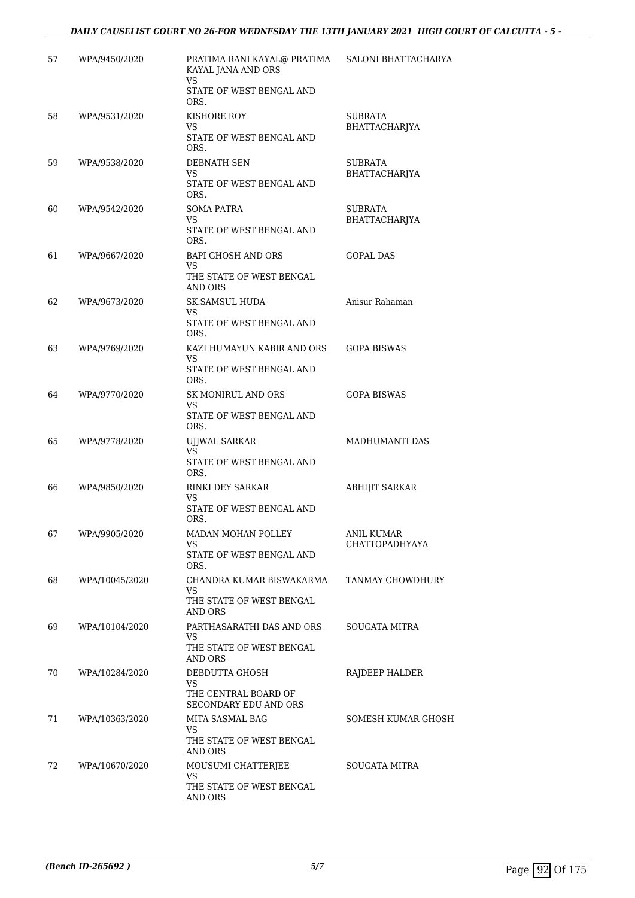| 57 | WPA/9450/2020  | PRATIMA RANI KAYAL@ PRATIMA<br>KAYAL JANA AND ORS<br>VS.<br>STATE OF WEST BENGAL AND<br>ORS. | SALONI BHATTACHARYA                 |
|----|----------------|----------------------------------------------------------------------------------------------|-------------------------------------|
| 58 | WPA/9531/2020  | KISHORE ROY<br>VS<br>STATE OF WEST BENGAL AND<br>ORS.                                        | <b>SUBRATA</b><br>BHATTACHARJYA     |
| 59 | WPA/9538/2020  | <b>DEBNATH SEN</b><br>VS.<br>STATE OF WEST BENGAL AND<br>ORS.                                | <b>SUBRATA</b><br>BHATTACHARJYA     |
| 60 | WPA/9542/2020  | <b>SOMA PATRA</b><br>VS<br>STATE OF WEST BENGAL AND<br>ORS.                                  | <b>SUBRATA</b><br>BHATTACHARJYA     |
| 61 | WPA/9667/2020  | BAPI GHOSH AND ORS<br>VS.<br>THE STATE OF WEST BENGAL<br>AND ORS                             | <b>GOPAL DAS</b>                    |
| 62 | WPA/9673/2020  | <b>SK.SAMSUL HUDA</b><br>VS.<br>STATE OF WEST BENGAL AND<br>ORS.                             | Anisur Rahaman                      |
| 63 | WPA/9769/2020  | KAZI HUMAYUN KABIR AND ORS<br>VS.<br>STATE OF WEST BENGAL AND<br>ORS.                        | <b>GOPA BISWAS</b>                  |
| 64 | WPA/9770/2020  | SK MONIRUL AND ORS<br>VS<br>STATE OF WEST BENGAL AND                                         | <b>GOPA BISWAS</b>                  |
| 65 | WPA/9778/2020  | ORS.<br><b>UJJWAL SARKAR</b><br>VS.<br>STATE OF WEST BENGAL AND                              | MADHUMANTI DAS                      |
| 66 | WPA/9850/2020  | ORS.<br>RINKI DEY SARKAR<br>VS<br>STATE OF WEST BENGAL AND                                   | ABHIJIT SARKAR                      |
| 67 | WPA/9905/2020  | ORS.<br>MADAN MOHAN POLLEY<br>VS.<br>STATE OF WEST BENGAL AND                                | <b>ANIL KUMAR</b><br>CHATTOPADHYAYA |
| 68 | WPA/10045/2020 | ORS.<br>CHANDRA KUMAR BISWAKARMA<br>VS.<br>THE STATE OF WEST BENGAL<br>AND ORS               | TANMAY CHOWDHURY                    |
| 69 | WPA/10104/2020 | PARTHASARATHI DAS AND ORS<br>VS.<br>THE STATE OF WEST BENGAL<br>AND ORS                      | SOUGATA MITRA                       |
| 70 | WPA/10284/2020 | DEBDUTTA GHOSH<br>VS.<br>THE CENTRAL BOARD OF<br>SECONDARY EDU AND ORS                       | RAJDEEP HALDER                      |
| 71 | WPA/10363/2020 | MITA SASMAL BAG<br>VS.<br>THE STATE OF WEST BENGAL<br>AND ORS                                | SOMESH KUMAR GHOSH                  |
| 72 | WPA/10670/2020 | MOUSUMI CHATTERJEE<br>VS.<br>THE STATE OF WEST BENGAL<br>AND ORS                             | SOUGATA MITRA                       |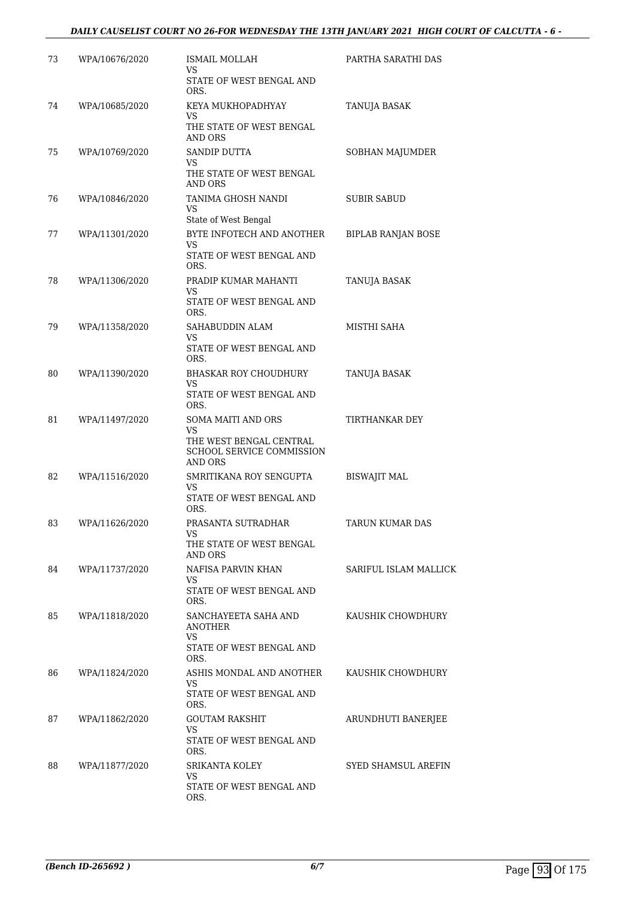#### *DAILY CAUSELIST COURT NO 26-FOR WEDNESDAY THE 13TH JANUARY 2021 HIGH COURT OF CALCUTTA - 6 -*

| 73 | WPA/10676/2020 | <b>ISMAIL MOLLAH</b><br>VS.                                                                        | PARTHA SARATHI DAS        |
|----|----------------|----------------------------------------------------------------------------------------------------|---------------------------|
|    |                | STATE OF WEST BENGAL AND<br>ORS.                                                                   |                           |
| 74 | WPA/10685/2020 | KEYA MUKHOPADHYAY<br>VS<br>THE STATE OF WEST BENGAL<br>AND ORS                                     | TANUJA BASAK              |
| 75 | WPA/10769/2020 | <b>SANDIP DUTTA</b><br>VS<br>THE STATE OF WEST BENGAL<br>AND ORS                                   | SOBHAN MAJUMDER           |
| 76 | WPA/10846/2020 | TANIMA GHOSH NANDI<br>VS.<br>State of West Bengal                                                  | <b>SUBIR SABUD</b>        |
| 77 | WPA/11301/2020 | BYTE INFOTECH AND ANOTHER<br>VS<br>STATE OF WEST BENGAL AND<br>ORS.                                | <b>BIPLAB RANJAN BOSE</b> |
| 78 | WPA/11306/2020 | PRADIP KUMAR MAHANTI<br>VS<br>STATE OF WEST BENGAL AND<br>ORS.                                     | TANUJA BASAK              |
| 79 | WPA/11358/2020 | SAHABUDDIN ALAM<br>VS<br>STATE OF WEST BENGAL AND<br>ORS.                                          | MISTHI SAHA               |
| 80 | WPA/11390/2020 | <b>BHASKAR ROY CHOUDHURY</b><br>VS<br>STATE OF WEST BENGAL AND<br>ORS.                             | TANUJA BASAK              |
| 81 | WPA/11497/2020 | SOMA MAITI AND ORS<br>VS<br>THE WEST BENGAL CENTRAL<br>SCHOOL SERVICE COMMISSION<br><b>AND ORS</b> | TIRTHANKAR DEY            |
| 82 | WPA/11516/2020 | SMRITIKANA ROY SENGUPTA<br>VS<br>STATE OF WEST BENGAL AND<br>ORS.                                  | <b>BISWAJIT MAL</b>       |
| 83 | WPA/11626/2020 | PRASANTA SUTRADHAR<br>VS<br>THE STATE OF WEST BENGAL<br>AND ORS                                    | TARUN KUMAR DAS           |
| 84 | WPA/11737/2020 | NAFISA PARVIN KHAN<br>VS<br>STATE OF WEST BENGAL AND<br>ORS.                                       | SARIFUL ISLAM MALLICK     |
| 85 | WPA/11818/2020 | SANCHAYEETA SAHA AND<br>ANOTHER<br>VS.<br>STATE OF WEST BENGAL AND<br>ORS.                         | KAUSHIK CHOWDHURY         |
| 86 | WPA/11824/2020 | ASHIS MONDAL AND ANOTHER<br>VS.<br>STATE OF WEST BENGAL AND<br>ORS.                                | KAUSHIK CHOWDHURY         |
| 87 | WPA/11862/2020 | <b>GOUTAM RAKSHIT</b><br>VS<br>STATE OF WEST BENGAL AND<br>ORS.                                    | ARUNDHUTI BANERJEE        |
| 88 | WPA/11877/2020 | <b>SRIKANTA KOLEY</b><br>VS.<br>STATE OF WEST BENGAL AND<br>ORS.                                   | SYED SHAMSUL AREFIN       |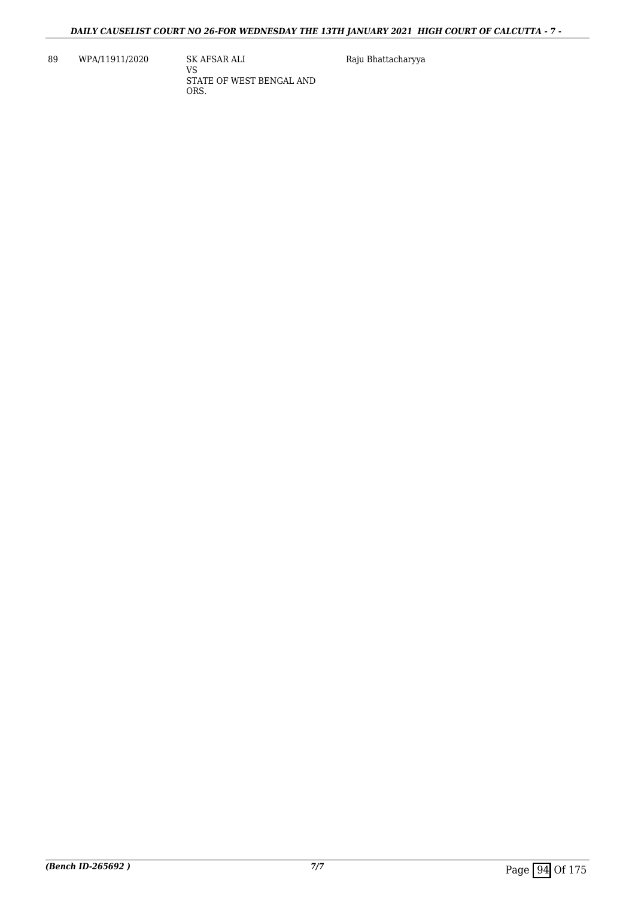89 WPA/11911/2020 SK AFSAR ALI

VS STATE OF WEST BENGAL AND ORS.

Raju Bhattacharyya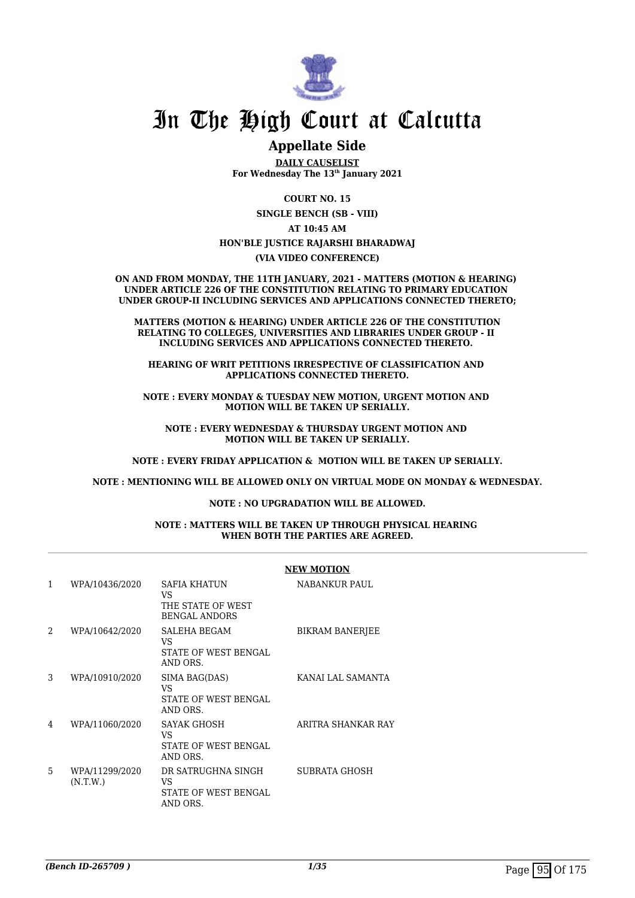

### **Appellate Side**

**DAILY CAUSELIST For Wednesday The 13th January 2021**

**COURT NO. 15**

**SINGLE BENCH (SB - VIII)**

**AT 10:45 AM**

#### **HON'BLE JUSTICE RAJARSHI BHARADWAJ**

#### **(VIA VIDEO CONFERENCE)**

**ON AND FROM MONDAY, THE 11TH JANUARY, 2021 - MATTERS (MOTION & HEARING) UNDER ARTICLE 226 OF THE CONSTITUTION RELATING TO PRIMARY EDUCATION UNDER GROUP-II INCLUDING SERVICES AND APPLICATIONS CONNECTED THERETO;**

**MATTERS (MOTION & HEARING) UNDER ARTICLE 226 OF THE CONSTITUTION RELATING TO COLLEGES, UNIVERSITIES AND LIBRARIES UNDER GROUP - II INCLUDING SERVICES AND APPLICATIONS CONNECTED THERETO.** 

**HEARING OF WRIT PETITIONS IRRESPECTIVE OF CLASSIFICATION AND APPLICATIONS CONNECTED THERETO.**

**NOTE : EVERY MONDAY & TUESDAY NEW MOTION, URGENT MOTION AND MOTION WILL BE TAKEN UP SERIALLY.**

**NOTE : EVERY WEDNESDAY & THURSDAY URGENT MOTION AND MOTION WILL BE TAKEN UP SERIALLY.**

**NOTE : EVERY FRIDAY APPLICATION & MOTION WILL BE TAKEN UP SERIALLY.**

**NOTE : MENTIONING WILL BE ALLOWED ONLY ON VIRTUAL MODE ON MONDAY & WEDNESDAY.**

#### **NOTE : NO UPGRADATION WILL BE ALLOWED.**

#### **NOTE : MATTERS WILL BE TAKEN UP THROUGH PHYSICAL HEARING WHEN BOTH THE PARTIES ARE AGREED.**

|   |                            |                                                                  | <b>NEW MOTION</b>    |
|---|----------------------------|------------------------------------------------------------------|----------------------|
| 1 | WPA/10436/2020             | SAFIA KHATUN<br>VS.<br>THE STATE OF WEST<br><b>BENGAL ANDORS</b> | NABANKUR PAUL        |
| 2 | WPA/10642/2020             | SALEHA BEGAM<br>VS.<br>STATE OF WEST BENGAL<br>AND ORS.          | BIKRAM BANERJEE      |
| 3 | WPA/10910/2020             | SIMA BAG(DAS)<br>VS.<br>STATE OF WEST BENGAL<br>AND ORS.         | KANAI LAL SAMANTA    |
| 4 | WPA/11060/2020             | SAYAK GHOSH<br>VS<br>STATE OF WEST BENGAL<br>AND ORS.            | ARITRA SHANKAR RAY   |
| 5 | WPA/11299/2020<br>(N.T.W.) | DR SATRUGHNA SINGH<br>VS.<br>STATE OF WEST BENGAL<br>AND ORS.    | <b>SUBRATA GHOSH</b> |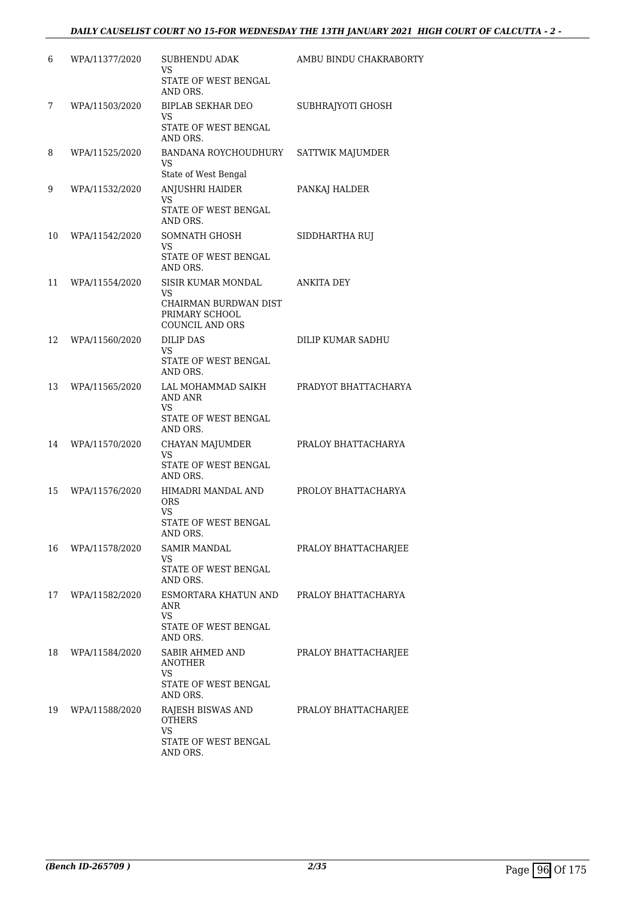| 6  | WPA/11377/2020 | SUBHENDU ADAK<br><b>VS</b>                                                             | AMBU BINDU CHAKRABORTY |
|----|----------------|----------------------------------------------------------------------------------------|------------------------|
|    |                | STATE OF WEST BENGAL<br>AND ORS.                                                       |                        |
| 7  | WPA/11503/2020 | <b>BIPLAB SEKHAR DEO</b><br>VS<br>STATE OF WEST BENGAL<br>AND ORS.                     | SUBHRAJYOTI GHOSH      |
| 8  | WPA/11525/2020 | BANDANA ROYCHOUDHURY<br>VS<br>State of West Bengal                                     | SATTWIK MAJUMDER       |
| 9  | WPA/11532/2020 | ANJUSHRI HAIDER<br><b>VS</b><br>STATE OF WEST BENGAL<br>AND ORS.                       | PANKAJ HALDER          |
| 10 | WPA/11542/2020 | SOMNATH GHOSH<br>VS<br>STATE OF WEST BENGAL<br>AND ORS.                                | SIDDHARTHA RUJ         |
| 11 | WPA/11554/2020 | SISIR KUMAR MONDAL<br>VS<br>CHAIRMAN BURDWAN DIST<br>PRIMARY SCHOOL<br>COUNCIL AND ORS | <b>ANKITA DEY</b>      |
| 12 | WPA/11560/2020 | <b>DILIP DAS</b><br><b>VS</b><br>STATE OF WEST BENGAL<br>AND ORS.                      | DILIP KUMAR SADHU      |
| 13 | WPA/11565/2020 | LAL MOHAMMAD SAIKH<br>AND ANR<br><b>VS</b><br>STATE OF WEST BENGAL<br>AND ORS.         | PRADYOT BHATTACHARYA   |
| 14 | WPA/11570/2020 | CHAYAN MAJUMDER<br>VS<br>STATE OF WEST BENGAL<br>AND ORS.                              | PRALOY BHATTACHARYA    |
| 15 | WPA/11576/2020 | HIMADRI MANDAL AND<br><b>ORS</b><br>VS<br>STATE OF WEST BENGAL<br>AND ORS.             | PROLOY BHATTACHARYA    |
| 16 | WPA/11578/2020 | <b>SAMIR MANDAL</b><br><b>VS</b><br>STATE OF WEST BENGAL<br>AND ORS.                   | PRALOY BHATTACHARJEE   |
| 17 | WPA/11582/2020 | ESMORTARA KHATUN AND<br>ANR<br><b>VS</b><br>STATE OF WEST BENGAL<br>AND ORS.           | PRALOY BHATTACHARYA    |
| 18 | WPA/11584/2020 | SABIR AHMED AND<br><b>ANOTHER</b><br>VS<br>STATE OF WEST BENGAL<br>AND ORS.            | PRALOY BHATTACHARJEE   |
| 19 | WPA/11588/2020 | RAJESH BISWAS AND<br><b>OTHERS</b><br>VS<br>STATE OF WEST BENGAL<br>AND ORS.           | PRALOY BHATTACHARJEE   |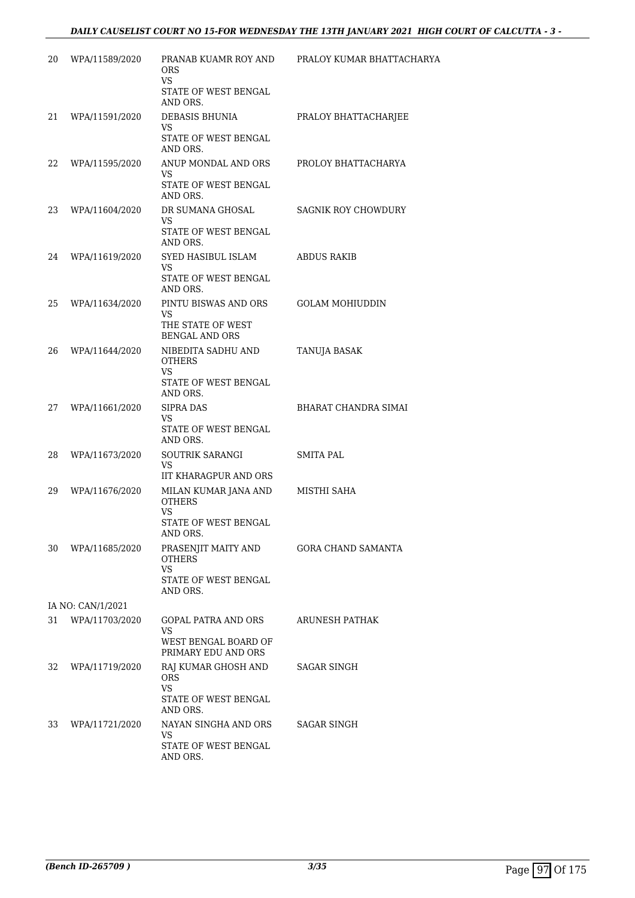| 20 | WPA/11589/2020    | PRANAB KUAMR ROY AND<br><b>ORS</b><br><b>VS</b><br>STATE OF WEST BENGAL | PRALOY KUMAR BHATTACHARYA  |
|----|-------------------|-------------------------------------------------------------------------|----------------------------|
|    |                   | AND ORS.                                                                |                            |
| 21 | WPA/11591/2020    | DEBASIS BHUNIA<br>VS<br>STATE OF WEST BENGAL                            | PRALOY BHATTACHARJEE       |
| 22 |                   | AND ORS.<br>ANUP MONDAL AND ORS                                         |                            |
|    | WPA/11595/2020    | VS<br>STATE OF WEST BENGAL<br>AND ORS.                                  | PROLOY BHATTACHARYA        |
| 23 | WPA/11604/2020    | DR SUMANA GHOSAL                                                        | <b>SAGNIK ROY CHOWDURY</b> |
|    |                   | VS.<br>STATE OF WEST BENGAL<br>AND ORS.                                 |                            |
| 24 | WPA/11619/2020    | SYED HASIBUL ISLAM                                                      | ABDUS RAKIB                |
|    |                   | VS<br>STATE OF WEST BENGAL<br>AND ORS.                                  |                            |
| 25 | WPA/11634/2020    | PINTU BISWAS AND ORS                                                    | <b>GOLAM MOHIUDDIN</b>     |
|    |                   | VS<br>THE STATE OF WEST<br><b>BENGAL AND ORS</b>                        |                            |
| 26 | WPA/11644/2020    | NIBEDITA SADHU AND<br><b>OTHERS</b><br>VS                               | TANUJA BASAK               |
|    |                   | STATE OF WEST BENGAL<br>AND ORS.                                        |                            |
| 27 | WPA/11661/2020    | <b>SIPRA DAS</b><br>VS                                                  | BHARAT CHANDRA SIMAI       |
|    |                   | STATE OF WEST BENGAL<br>AND ORS.                                        |                            |
| 28 | WPA/11673/2020    | SOUTRIK SARANGI<br>VS                                                   | <b>SMITA PAL</b>           |
|    |                   | <b>IIT KHARAGPUR AND ORS</b>                                            |                            |
| 29 | WPA/11676/2020    | MILAN KUMAR JANA AND<br><b>OTHERS</b><br>VS                             | MISTHI SAHA                |
|    |                   | STATE OF WEST BENGAL<br>AND ORS.                                        |                            |
| 30 | WPA/11685/2020    | PRASENJIT MAITY AND<br><b>OTHERS</b><br><b>VS</b>                       | GORA CHAND SAMANTA         |
|    |                   | STATE OF WEST BENGAL<br>AND ORS.                                        |                            |
|    | IA NO: CAN/1/2021 |                                                                         |                            |
| 31 | WPA/11703/2020    | GOPAL PATRA AND ORS<br>VS.                                              | ARUNESH PATHAK             |
|    |                   | WEST BENGAL BOARD OF<br>PRIMARY EDU AND ORS                             |                            |
| 32 | WPA/11719/2020    | RAJ KUMAR GHOSH AND<br><b>ORS</b><br>VS.                                | SAGAR SINGH                |
|    |                   | STATE OF WEST BENGAL<br>AND ORS.                                        |                            |
| 33 | WPA/11721/2020    | NAYAN SINGHA AND ORS<br><b>VS</b>                                       | SAGAR SINGH                |
|    |                   | STATE OF WEST BENGAL<br>AND ORS.                                        |                            |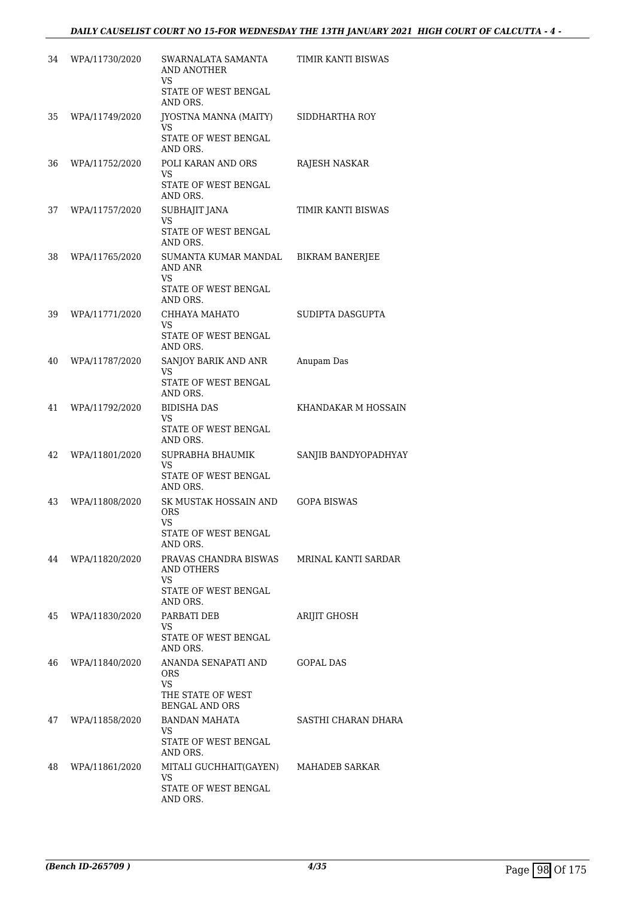| 34 | WPA/11730/2020 | SWARNALATA SAMANTA<br>AND ANOTHER<br>VS<br>STATE OF WEST BENGAL                       | TIMIR KANTI BISWAS     |
|----|----------------|---------------------------------------------------------------------------------------|------------------------|
| 35 | WPA/11749/2020 | AND ORS.<br><b>JYOSTNA MANNA (MAITY)</b><br>VS                                        | SIDDHARTHA ROY         |
|    |                | STATE OF WEST BENGAL<br>AND ORS.                                                      |                        |
| 36 | WPA/11752/2020 | POLI KARAN AND ORS<br>VS<br>STATE OF WEST BENGAL                                      | RAJESH NASKAR          |
|    |                | AND ORS.                                                                              |                        |
| 37 | WPA/11757/2020 | SUBHAJIT JANA<br><b>VS</b>                                                            | TIMIR KANTI BISWAS     |
|    |                | STATE OF WEST BENGAL<br>AND ORS.                                                      |                        |
| 38 | WPA/11765/2020 | SUMANTA KUMAR MANDAL<br>AND ANR<br>VS<br>STATE OF WEST BENGAL<br>AND ORS.             | <b>BIKRAM BANERJEE</b> |
| 39 | WPA/11771/2020 | CHHAYA MAHATO                                                                         | SUDIPTA DASGUPTA       |
|    |                | <b>VS</b><br>STATE OF WEST BENGAL<br>AND ORS.                                         |                        |
| 40 | WPA/11787/2020 | SANJOY BARIK AND ANR<br>VS                                                            | Anupam Das             |
|    |                | STATE OF WEST BENGAL<br>AND ORS.                                                      |                        |
| 41 | WPA/11792/2020 | <b>BIDISHA DAS</b><br>VS<br>STATE OF WEST BENGAL<br>AND ORS.                          | KHANDAKAR M HOSSAIN    |
| 42 | WPA/11801/2020 | SUPRABHA BHAUMIK<br>VS<br>STATE OF WEST BENGAL                                        | SANJIB BANDYOPADHYAY   |
| 43 | WPA/11808/2020 | AND ORS.<br>SK MUSTAK HOSSAIN AND                                                     | <b>GOPA BISWAS</b>     |
|    |                | <b>ORS</b><br>VS<br>STATE OF WEST BENGAL                                              |                        |
| 44 | WPA/11820/2020 | AND ORS.<br>PRAVAS CHANDRA BISWAS                                                     | MRINAL KANTI SARDAR    |
|    |                | AND OTHERS<br>VS.                                                                     |                        |
|    |                | STATE OF WEST BENGAL<br>AND ORS.                                                      |                        |
| 45 | WPA/11830/2020 | PARBATI DEB<br>VS                                                                     | <b>ARIJIT GHOSH</b>    |
|    |                | STATE OF WEST BENGAL<br>AND ORS.                                                      |                        |
| 46 | WPA/11840/2020 | ANANDA SENAPATI AND<br>ORS<br><b>VS</b><br>THE STATE OF WEST<br><b>BENGAL AND ORS</b> | GOPAL DAS              |
| 47 | WPA/11858/2020 | <b>BANDAN MAHATA</b>                                                                  | SASTHI CHARAN DHARA    |
|    |                | VS.<br>STATE OF WEST BENGAL<br>AND ORS.                                               |                        |
| 48 | WPA/11861/2020 | MITALI GUCHHAIT(GAYEN)<br>VS                                                          | MAHADEB SARKAR         |
|    |                | STATE OF WEST BENGAL<br>AND ORS.                                                      |                        |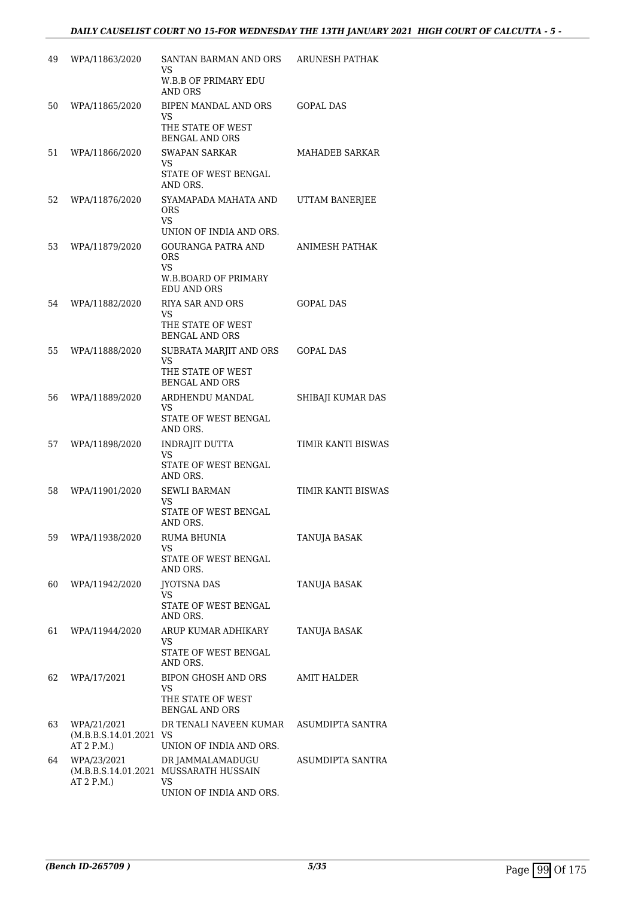| 49 | WPA/11863/2020                                      | SANTAN BARMAN AND ORS<br>VS<br><b>W.B.B OF PRIMARY EDU</b>                                 | ARUNESH PATHAK     |
|----|-----------------------------------------------------|--------------------------------------------------------------------------------------------|--------------------|
| 50 | WPA/11865/2020                                      | AND ORS<br>BIPEN MANDAL AND ORS<br>VS<br>THE STATE OF WEST                                 | <b>GOPAL DAS</b>   |
| 51 | WPA/11866/2020                                      | <b>BENGAL AND ORS</b><br><b>SWAPAN SARKAR</b><br>VS<br>STATE OF WEST BENGAL<br>AND ORS.    | MAHADEB SARKAR     |
| 52 | WPA/11876/2020                                      | SYAMAPADA MAHATA AND<br><b>ORS</b><br>VS                                                   | UTTAM BANERJEE     |
| 53 | WPA/11879/2020                                      | UNION OF INDIA AND ORS.<br>GOURANGA PATRA AND<br><b>ORS</b><br><b>VS</b>                   | ANIMESH PATHAK     |
| 54 | WPA/11882/2020                                      | W.B.BOARD OF PRIMARY<br><b>EDU AND ORS</b><br>RIYA SAR AND ORS<br>VS                       | GOPAL DAS          |
| 55 | WPA/11888/2020                                      | THE STATE OF WEST<br><b>BENGAL AND ORS</b><br>SUBRATA MARJIT AND ORS                       | GOPAL DAS          |
|    |                                                     | <b>VS</b><br>THE STATE OF WEST<br><b>BENGAL AND ORS</b>                                    |                    |
| 56 | WPA/11889/2020                                      | ARDHENDU MANDAL<br>VS.<br>STATE OF WEST BENGAL<br>AND ORS.                                 | SHIBAJI KUMAR DAS  |
| 57 | WPA/11898/2020                                      | <b>INDRAJIT DUTTA</b><br>VS<br>STATE OF WEST BENGAL                                        | TIMIR KANTI BISWAS |
| 58 | WPA/11901/2020                                      | AND ORS.<br><b>SEWLI BARMAN</b><br>VS<br>STATE OF WEST BENGAL                              | TIMIR KANTI BISWAS |
| 59 | WPA/11938/2020                                      | AND ORS.<br><b>RUMA BHUNIA</b><br>VS                                                       | TANUJA BASAK       |
| 60 | WPA/11942/2020                                      | STATE OF WEST BENGAL<br>AND ORS.<br><b>JYOTSNA DAS</b><br>VS                               | TANUJA BASAK       |
| 61 | WPA/11944/2020                                      | STATE OF WEST BENGAL<br>AND ORS.<br>ARUP KUMAR ADHIKARY                                    | TANUJA BASAK       |
|    |                                                     | VS<br>STATE OF WEST BENGAL<br>AND ORS.                                                     |                    |
| 62 | WPA/17/2021                                         | <b>BIPON GHOSH AND ORS</b><br>VS<br>THE STATE OF WEST<br><b>BENGAL AND ORS</b>             | AMIT HALDER        |
| 63 | WPA/21/2021<br>(M.B.B.S.14.01.2021 VS<br>AT 2 P.M.) | DR TENALI NAVEEN KUMAR<br>UNION OF INDIA AND ORS.                                          | ASUMDIPTA SANTRA   |
| 64 | WPA/23/2021<br>AT 2 P.M.)                           | DR JAMMALAMADUGU<br>(M.B.B.S.14.01.2021 MUSSARATH HUSSAIN<br>VS<br>UNION OF INDIA AND ORS. | ASUMDIPTA SANTRA   |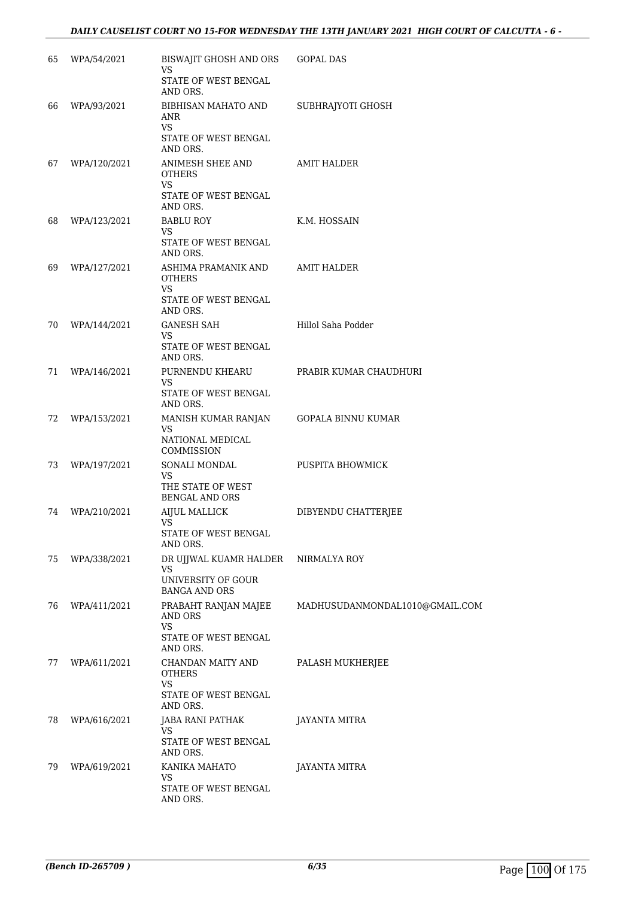| 65 | WPA/54/2021  | BISWAJIT GHOSH AND ORS<br>VS                                                      | <b>GOPAL DAS</b>               |
|----|--------------|-----------------------------------------------------------------------------------|--------------------------------|
|    |              | STATE OF WEST BENGAL<br>AND ORS.                                                  |                                |
| 66 | WPA/93/2021  | BIBHISAN MAHATO AND<br>ANR<br>VS.                                                 | SUBHRAJYOTI GHOSH              |
|    |              | STATE OF WEST BENGAL<br>AND ORS.                                                  |                                |
| 67 | WPA/120/2021 | ANIMESH SHEE AND<br><b>OTHERS</b><br>VS.<br>STATE OF WEST BENGAL<br>AND ORS.      | <b>AMIT HALDER</b>             |
| 68 | WPA/123/2021 | <b>BABLU ROY</b><br>VS.<br>STATE OF WEST BENGAL<br>AND ORS.                       | K.M. HOSSAIN                   |
| 69 | WPA/127/2021 | ASHIMA PRAMANIK AND<br><b>OTHERS</b><br>VS.<br>STATE OF WEST BENGAL<br>AND ORS.   | <b>AMIT HALDER</b>             |
| 70 | WPA/144/2021 | <b>GANESH SAH</b>                                                                 | Hillol Saha Podder             |
|    |              | VS.<br>STATE OF WEST BENGAL<br>AND ORS.                                           |                                |
| 71 | WPA/146/2021 | PURNENDU KHEARU                                                                   | PRABIR KUMAR CHAUDHURI         |
|    |              | VS.<br>STATE OF WEST BENGAL<br>AND ORS.                                           |                                |
| 72 | WPA/153/2021 | MANISH KUMAR RANJAN<br>VS<br>NATIONAL MEDICAL                                     | GOPALA BINNU KUMAR             |
| 73 |              | COMMISSION                                                                        | PUSPITA BHOWMICK               |
|    | WPA/197/2021 | SONALI MONDAL<br>VS<br>THE STATE OF WEST<br><b>BENGAL AND ORS</b>                 |                                |
| 74 | WPA/210/2021 | AIJUL MALLICK                                                                     | DIBYENDU CHATTERJEE            |
|    |              | VS<br>STATE OF WEST BENGAL<br>AND ORS.                                            |                                |
| 75 | WPA/338/2021 | DR UJJWAL KUAMR HALDER NIRMALYA ROY<br>VS                                         |                                |
|    |              | UNIVERSITY OF GOUR<br><b>BANGA AND ORS</b>                                        |                                |
| 76 | WPA/411/2021 | PRABAHT RANJAN MAJEE<br><b>AND ORS</b><br>VS.<br>STATE OF WEST BENGAL<br>AND ORS. | MADHUSUDANMONDAL1010@GMAIL.COM |
| 77 | WPA/611/2021 | CHANDAN MAITY AND<br><b>OTHERS</b><br>VS<br>STATE OF WEST BENGAL<br>AND ORS.      | PALASH MUKHERJEE               |
| 78 | WPA/616/2021 | JABA RANI PATHAK                                                                  | JAYANTA MITRA                  |
|    |              | VS<br>STATE OF WEST BENGAL<br>AND ORS.                                            |                                |
| 79 | WPA/619/2021 | KANIKA MAHATO<br>VS.                                                              | JAYANTA MITRA                  |
|    |              | STATE OF WEST BENGAL<br>AND ORS.                                                  |                                |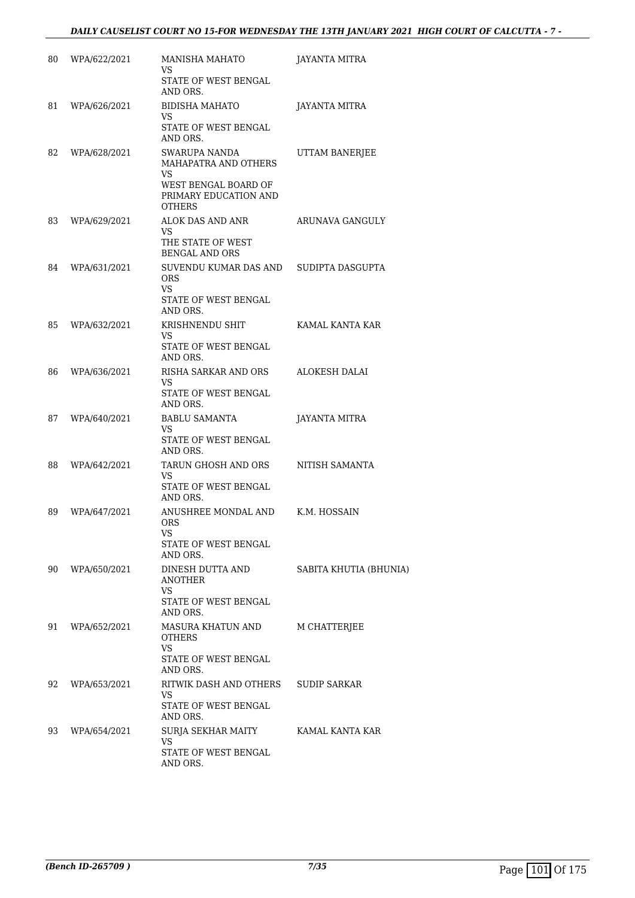| 80 | WPA/622/2021 | MANISHA MAHATO<br>VS<br>STATE OF WEST BENGAL                                                                   | JAYANTA MITRA          |
|----|--------------|----------------------------------------------------------------------------------------------------------------|------------------------|
| 81 | WPA/626/2021 | AND ORS.<br><b>BIDISHA MAHATO</b><br>VS                                                                        | <b>JAYANTA MITRA</b>   |
|    |              | STATE OF WEST BENGAL<br>AND ORS.                                                                               |                        |
| 82 | WPA/628/2021 | SWARUPA NANDA<br>MAHAPATRA AND OTHERS<br>VS.<br>WEST BENGAL BOARD OF<br>PRIMARY EDUCATION AND<br><b>OTHERS</b> | UTTAM BANERJEE         |
| 83 | WPA/629/2021 | ALOK DAS AND ANR<br>VS.<br>THE STATE OF WEST<br><b>BENGAL AND ORS</b>                                          | ARUNAVA GANGULY        |
| 84 | WPA/631/2021 | SUVENDU KUMAR DAS AND<br><b>ORS</b><br>VS<br>STATE OF WEST BENGAL                                              | SUDIPTA DASGUPTA       |
| 85 | WPA/632/2021 | AND ORS.<br>KRISHNENDU SHIT                                                                                    | KAMAL KANTA KAR        |
|    |              | VS.<br>STATE OF WEST BENGAL<br>AND ORS.                                                                        |                        |
| 86 | WPA/636/2021 | RISHA SARKAR AND ORS<br>VS<br>STATE OF WEST BENGAL<br>AND ORS.                                                 | ALOKESH DALAI          |
| 87 | WPA/640/2021 | <b>BABLU SAMANTA</b><br>VS<br>STATE OF WEST BENGAL<br>AND ORS.                                                 | JAYANTA MITRA          |
| 88 | WPA/642/2021 | TARUN GHOSH AND ORS<br>VS<br>STATE OF WEST BENGAL<br>AND ORS.                                                  | NITISH SAMANTA         |
| 89 | WPA/647/2021 | ANUSHREE MONDAL AND<br>ORS<br>VS<br>STATE OF WEST BENGAL<br>AND ORS.                                           | K.M. HOSSAIN           |
| 90 | WPA/650/2021 | DINESH DUTTA AND<br>ANOTHER<br>VS.<br>STATE OF WEST BENGAL<br>AND ORS.                                         | SABITA KHUTIA (BHUNIA) |
| 91 | WPA/652/2021 | MASURA KHATUN AND<br><b>OTHERS</b><br>VS<br>STATE OF WEST BENGAL                                               | M CHATTERJEE           |
|    |              | AND ORS.                                                                                                       |                        |
| 92 | WPA/653/2021 | RITWIK DASH AND OTHERS<br>VS<br>STATE OF WEST BENGAL<br>AND ORS.                                               | <b>SUDIP SARKAR</b>    |
| 93 | WPA/654/2021 | SURJA SEKHAR MAITY                                                                                             | KAMAL KANTA KAR        |
|    |              | VS.<br>STATE OF WEST BENGAL<br>AND ORS.                                                                        |                        |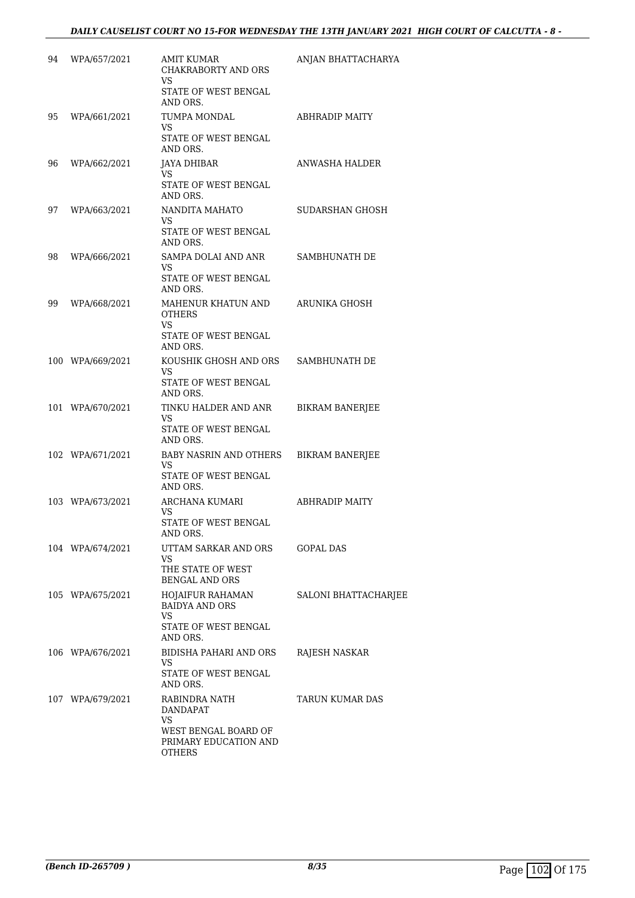| 94 | WPA/657/2021     | AMIT KUMAR<br><b>CHAKRABORTY AND ORS</b><br>VS                                                    | ANJAN BHATTACHARYA     |
|----|------------------|---------------------------------------------------------------------------------------------------|------------------------|
|    |                  | STATE OF WEST BENGAL<br>AND ORS.                                                                  |                        |
| 95 | WPA/661/2021     | TUMPA MONDAL<br>VS<br>STATE OF WEST BENGAL<br>AND ORS.                                            | ABHRADIP MAITY         |
| 96 | WPA/662/2021     | JAYA DHIBAR<br>VS<br>STATE OF WEST BENGAL<br>AND ORS.                                             | ANWASHA HALDER         |
| 97 | WPA/663/2021     | NANDITA MAHATO<br>VS.<br>STATE OF WEST BENGAL<br>AND ORS.                                         | SUDARSHAN GHOSH        |
| 98 | WPA/666/2021     | SAMPA DOLAI AND ANR<br>VS<br>STATE OF WEST BENGAL<br>AND ORS.                                     | SAMBHUNATH DE          |
| 99 | WPA/668/2021     | MAHENUR KHATUN AND<br><b>OTHERS</b><br>VS.<br>STATE OF WEST BENGAL<br>AND ORS.                    | <b>ARUNIKA GHOSH</b>   |
|    | 100 WPA/669/2021 | KOUSHIK GHOSH AND ORS<br>VS<br>STATE OF WEST BENGAL<br>AND ORS.                                   | SAMBHUNATH DE          |
|    | 101 WPA/670/2021 | TINKU HALDER AND ANR<br>VS<br>STATE OF WEST BENGAL<br>AND ORS.                                    | <b>BIKRAM BANERJEE</b> |
|    | 102 WPA/671/2021 | BABY NASRIN AND OTHERS<br>VS.<br>STATE OF WEST BENGAL<br>AND ORS.                                 | BIKRAM BANERJEE        |
|    | 103 WPA/673/2021 | ARCHANA KUMARI<br>VS<br>STATE OF WEST BENGAL<br>AND ORS.                                          | <b>ABHRADIP MAITY</b>  |
|    | 104 WPA/674/2021 | UTTAM SARKAR AND ORS<br>VS<br>THE STATE OF WEST<br><b>BENGAL AND ORS</b>                          | <b>GOPAL DAS</b>       |
|    | 105 WPA/675/2021 | HOJAIFUR RAHAMAN<br><b>BAIDYA AND ORS</b><br>VS<br>STATE OF WEST BENGAL<br>AND ORS.               | SALONI BHATTACHARJEE   |
|    | 106 WPA/676/2021 | BIDISHA PAHARI AND ORS<br>VS.<br>STATE OF WEST BENGAL<br>AND ORS.                                 | RAJESH NASKAR          |
|    | 107 WPA/679/2021 | RABINDRA NATH<br>DANDAPAT<br>VS<br>WEST BENGAL BOARD OF<br>PRIMARY EDUCATION AND<br><b>OTHERS</b> | TARUN KUMAR DAS        |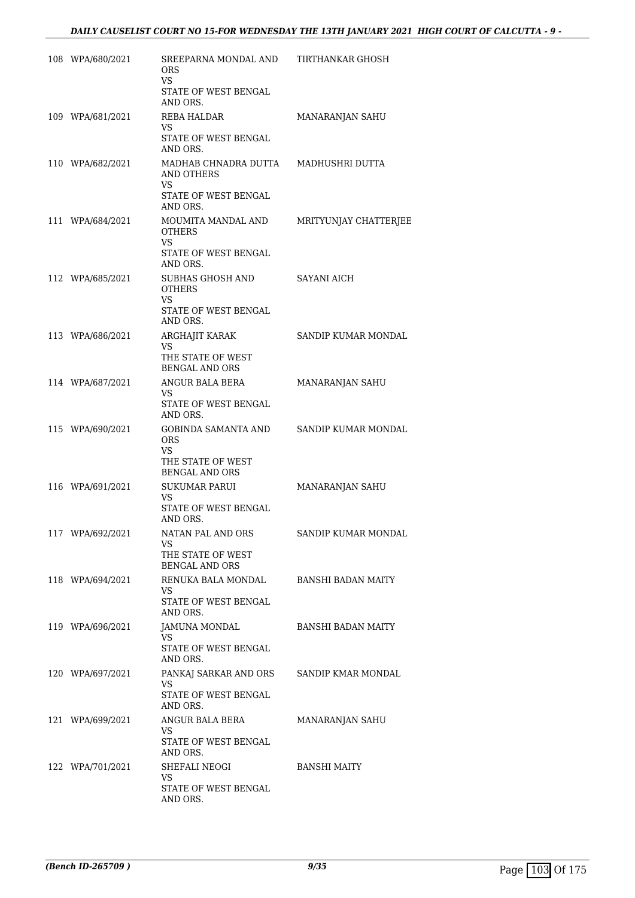| 108 WPA/680/2021 | SREEPARNA MONDAL AND<br>ORS.<br>VS<br>STATE OF WEST BENGAL                                          | TIRTHANKAR GHOSH      |
|------------------|-----------------------------------------------------------------------------------------------------|-----------------------|
|                  | AND ORS.                                                                                            |                       |
| 109 WPA/681/2021 | REBA HALDAR<br>VS.                                                                                  | MANARANJAN SAHU       |
|                  | STATE OF WEST BENGAL<br>AND ORS.                                                                    |                       |
| 110 WPA/682/2021 | MADHAB CHNADRA DUTTA<br>AND OTHERS<br>VS.<br>STATE OF WEST BENGAL                                   | MADHUSHRI DUTTA       |
| 111 WPA/684/2021 | AND ORS.<br>MOUMITA MANDAL AND                                                                      | MRITYUNJAY CHATTERJEE |
|                  | <b>OTHERS</b><br>VS<br>STATE OF WEST BENGAL<br>AND ORS.                                             |                       |
| 112 WPA/685/2021 | SUBHAS GHOSH AND<br><b>OTHERS</b><br>VS.                                                            | SAYANI AICH           |
|                  | STATE OF WEST BENGAL<br>AND ORS.                                                                    |                       |
| 113 WPA/686/2021 | ARGHAJIT KARAK<br><b>VS</b>                                                                         | SANDIP KUMAR MONDAL   |
|                  | THE STATE OF WEST<br><b>BENGAL AND ORS</b>                                                          |                       |
| 114 WPA/687/2021 | ANGUR BALA BERA<br><b>VS</b>                                                                        | MANARANJAN SAHU       |
|                  | STATE OF WEST BENGAL<br>AND ORS.                                                                    |                       |
| 115 WPA/690/2021 | <b>GOBINDA SAMANTA AND</b><br><b>ORS</b><br><b>VS</b><br>THE STATE OF WEST<br><b>BENGAL AND ORS</b> | SANDIP KUMAR MONDAL   |
| 116 WPA/691/2021 | <b>SUKUMAR PARUI</b><br>VS.<br>STATE OF WEST BENGAL<br>AND ORS.                                     | MANARANJAN SAHU       |
| 117 WPA/692/2021 | NATAN PAL AND ORS<br>VS.<br>THE STATE OF WEST<br><b>BENGAL AND ORS</b>                              | SANDIP KUMAR MONDAL   |
| 118 WPA/694/2021 | RENUKA BALA MONDAL<br>VS.<br>STATE OF WEST BENGAL<br>AND ORS.                                       | BANSHI BADAN MAITY    |
| 119 WPA/696/2021 | JAMUNA MONDAL<br>VS.<br>STATE OF WEST BENGAL<br>AND ORS.                                            | BANSHI BADAN MAITY    |
| 120 WPA/697/2021 | PANKAJ SARKAR AND ORS<br>VS.<br>STATE OF WEST BENGAL<br>AND ORS.                                    | SANDIP KMAR MONDAL    |
| 121 WPA/699/2021 | ANGUR BALA BERA<br>VS<br>STATE OF WEST BENGAL<br>AND ORS.                                           | MANARANJAN SAHU       |
| 122 WPA/701/2021 | SHEFALI NEOGI<br>VS.<br>STATE OF WEST BENGAL<br>AND ORS.                                            | <b>BANSHI MAITY</b>   |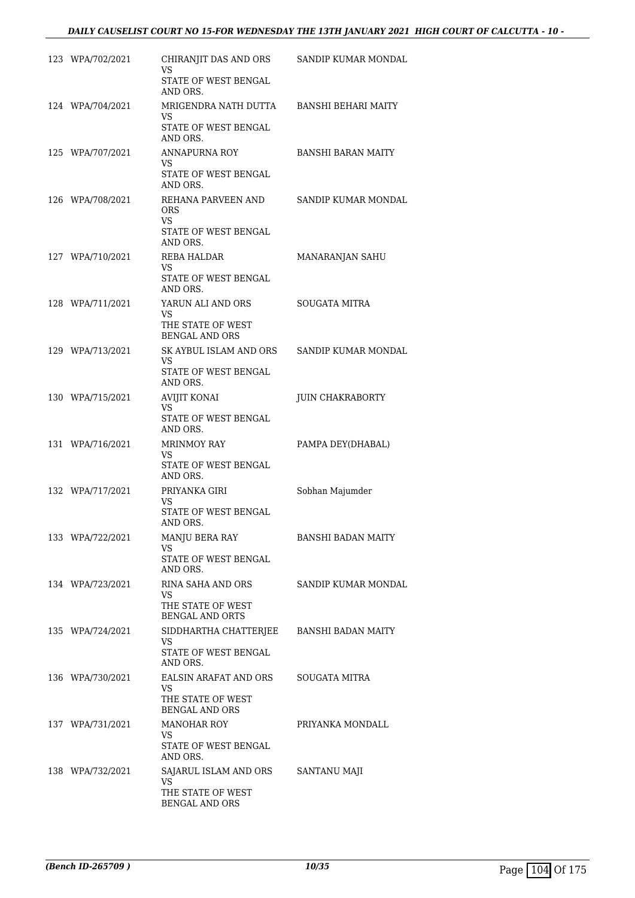| 123 WPA/702/2021 | CHIRANJIT DAS AND ORS<br>VS<br>STATE OF WEST BENGAL<br>AND ORS.                | SANDIP KUMAR MONDAL       |
|------------------|--------------------------------------------------------------------------------|---------------------------|
| 124 WPA/704/2021 | MRIGENDRA NATH DUTTA<br>VS<br>STATE OF WEST BENGAL<br>AND ORS.                 | BANSHI BEHARI MAITY       |
| 125 WPA/707/2021 | <b>ANNAPURNA ROY</b><br>VS.<br>STATE OF WEST BENGAL<br>AND ORS.                | <b>BANSHI BARAN MAITY</b> |
| 126 WPA/708/2021 | REHANA PARVEEN AND<br><b>ORS</b><br>VS.<br>STATE OF WEST BENGAL<br>AND ORS.    | SANDIP KUMAR MONDAL       |
| 127 WPA/710/2021 | REBA HALDAR<br>VS<br>STATE OF WEST BENGAL<br>AND ORS.                          | MANARANJAN SAHU           |
| 128 WPA/711/2021 | YARUN ALI AND ORS<br>VS<br>THE STATE OF WEST                                   | SOUGATA MITRA             |
| 129 WPA/713/2021 | <b>BENGAL AND ORS</b><br>SK AYBUL ISLAM AND ORS<br>VS.<br>STATE OF WEST BENGAL | SANDIP KUMAR MONDAL       |
| 130 WPA/715/2021 | AND ORS.<br><b>AVIJIT KONAI</b><br>VS.<br>STATE OF WEST BENGAL                 | <b>JUIN CHAKRABORTY</b>   |
| 131 WPA/716/2021 | AND ORS.<br>MRINMOY RAY<br>VS<br>STATE OF WEST BENGAL<br>AND ORS.              | PAMPA DEY(DHABAL)         |
| 132 WPA/717/2021 | PRIYANKA GIRI<br>VS.<br>STATE OF WEST BENGAL<br>AND ORS.                       | Sobhan Majumder           |
| 133 WPA/722/2021 | MANJU BERA RAY<br>VS.<br>STATE OF WEST BENGAL<br>AND ORS.                      | <b>BANSHI BADAN MAITY</b> |
| 134 WPA/723/2021 | RINA SAHA AND ORS<br>VS<br>THE STATE OF WEST<br><b>BENGAL AND ORTS</b>         | SANDIP KUMAR MONDAL       |
| 135 WPA/724/2021 | SIDDHARTHA CHATTERJEE<br>VS<br>STATE OF WEST BENGAL<br>AND ORS.                | <b>BANSHI BADAN MAITY</b> |
| 136 WPA/730/2021 | EALSIN ARAFAT AND ORS<br>VS<br>THE STATE OF WEST<br><b>BENGAL AND ORS</b>      | SOUGATA MITRA             |
| 137 WPA/731/2021 | MANOHAR ROY<br>VS.<br>STATE OF WEST BENGAL<br>AND ORS.                         | PRIYANKA MONDALL          |
| 138 WPA/732/2021 | SAJARUL ISLAM AND ORS<br>VS<br>THE STATE OF WEST<br>BENGAL AND ORS             | SANTANU MAJI              |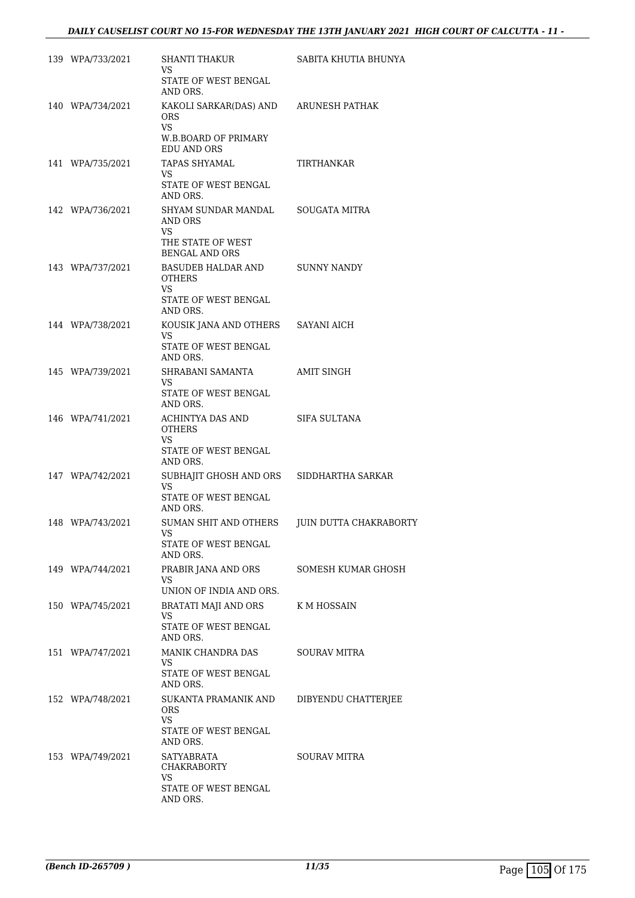| 139 WPA/733/2021 | <b>SHANTI THAKUR</b><br><b>VS</b><br>STATE OF WEST BENGAL<br>AND ORS.                     | SABITA KHUTIA BHUNYA          |
|------------------|-------------------------------------------------------------------------------------------|-------------------------------|
| 140 WPA/734/2021 | KAKOLI SARKAR(DAS) AND ARUNESH PATHAK<br><b>ORS</b><br>VS.                                |                               |
|                  | W.B.BOARD OF PRIMARY<br>EDU AND ORS                                                       |                               |
| 141 WPA/735/2021 | TAPAS SHYAMAL<br>VS.                                                                      | TIRTHANKAR                    |
|                  | STATE OF WEST BENGAL<br>AND ORS.                                                          |                               |
| 142 WPA/736/2021 | SHYAM SUNDAR MANDAL<br>AND ORS<br><b>VS</b><br>THE STATE OF WEST<br><b>BENGAL AND ORS</b> | SOUGATA MITRA                 |
| 143 WPA/737/2021 | BASUDEB HALDAR AND<br><b>OTHERS</b><br><b>VS</b><br>STATE OF WEST BENGAL                  | SUNNY NANDY                   |
| 144 WPA/738/2021 | AND ORS.<br>KOUSIK JANA AND OTHERS SAYANI AICH                                            |                               |
|                  | <b>VS</b><br>STATE OF WEST BENGAL<br>AND ORS.                                             |                               |
| 145 WPA/739/2021 | SHRABANI SAMANTA<br>VS<br>STATE OF WEST BENGAL<br>AND ORS.                                | AMIT SINGH                    |
| 146 WPA/741/2021 | ACHINTYA DAS AND<br><b>OTHERS</b><br><b>VS</b><br>STATE OF WEST BENGAL<br>AND ORS.        | SIFA SULTANA                  |
| 147 WPA/742/2021 | SUBHAJIT GHOSH AND ORS<br>VS<br>STATE OF WEST BENGAL<br>AND ORS.                          | SIDDHARTHA SARKAR             |
| 148 WPA/743/2021 | <b>SUMAN SHIT AND OTHERS</b><br>VS<br>STATE OF WEST BENGAL<br>AND ORS.                    | <b>JUIN DUTTA CHAKRABORTY</b> |
| 149 WPA/744/2021 | PRABIR JANA AND ORS<br>VS<br>UNION OF INDIA AND ORS.                                      | SOMESH KUMAR GHOSH            |
| 150 WPA/745/2021 | BRATATI MAJI AND ORS<br><b>VS</b>                                                         | K M HOSSAIN                   |
|                  | STATE OF WEST BENGAL<br>AND ORS.                                                          |                               |
| 151 WPA/747/2021 | MANIK CHANDRA DAS<br>VS.<br>STATE OF WEST BENGAL<br>AND ORS.                              | SOURAV MITRA                  |
| 152 WPA/748/2021 | SUKANTA PRAMANIK AND<br><b>ORS</b><br>VS.<br>STATE OF WEST BENGAL<br>AND ORS.             | DIBYENDU CHATTERJEE           |
| 153 WPA/749/2021 | SATYABRATA<br><b>CHAKRABORTY</b><br>VS.<br>STATE OF WEST BENGAL<br>AND ORS.               | <b>SOURAV MITRA</b>           |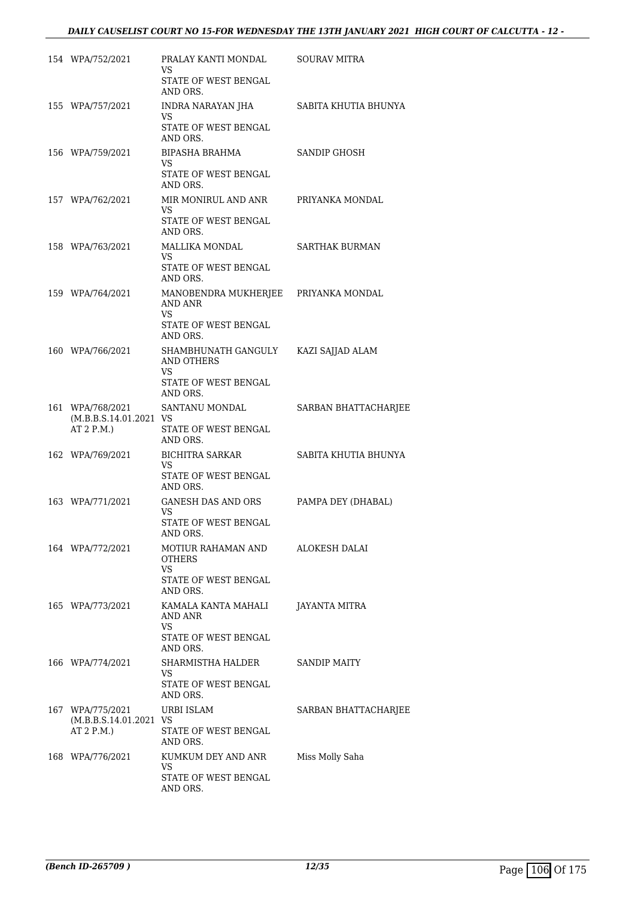| 154 WPA/752/2021                           | PRALAY KANTI MONDAL<br>VS<br>STATE OF WEST BENGAL               | <b>SOURAV MITRA</b>   |
|--------------------------------------------|-----------------------------------------------------------------|-----------------------|
| 155 WPA/757/2021                           | AND ORS.<br>INDRA NARAYAN JHA<br><b>VS</b>                      | SABITA KHUTIA BHUNYA  |
|                                            | STATE OF WEST BENGAL<br>AND ORS.                                |                       |
| 156 WPA/759/2021                           | <b>BIPASHA BRAHMA</b><br>VS<br>STATE OF WEST BENGAL<br>AND ORS. | SANDIP GHOSH          |
| 157 WPA/762/2021                           | MIR MONIRUL AND ANR<br>VS<br>STATE OF WEST BENGAL<br>AND ORS.   | PRIYANKA MONDAL       |
| 158 WPA/763/2021                           | MALLIKA MONDAL<br><b>VS</b><br>STATE OF WEST BENGAL<br>AND ORS. | <b>SARTHAK BURMAN</b> |
| 159 WPA/764/2021                           | MANOBENDRA MUKHERJEE<br>AND ANR<br><b>VS</b>                    | PRIYANKA MONDAL       |
|                                            | STATE OF WEST BENGAL<br>AND ORS.                                |                       |
| 160 WPA/766/2021                           | SHAMBHUNATH GANGULY<br><b>AND OTHERS</b><br>VS                  | KAZI SAJJAD ALAM      |
|                                            | STATE OF WEST BENGAL<br>AND ORS.                                |                       |
| 161 WPA/768/2021<br>(M.B.B.S.14.01.2021 VS | SANTANU MONDAL                                                  | SARBAN BHATTACHARJEE  |
| AT 2 P.M.)                                 | STATE OF WEST BENGAL<br>AND ORS.                                |                       |
| 162 WPA/769/2021                           | <b>BICHITRA SARKAR</b><br>VS                                    | SABITA KHUTIA BHUNYA  |
|                                            | STATE OF WEST BENGAL<br>AND ORS.                                |                       |
| 163 WPA/771/2021                           | GANESH DAS AND ORS<br>VS                                        | PAMPA DEY (DHABAL)    |
|                                            | STATE OF WEST BENGAL<br>AND ORS.                                |                       |
| 164 WPA/772/2021                           | MOTIUR RAHAMAN AND<br><b>OTHERS</b><br>VS                       | ALOKESH DALAI         |
|                                            | STATE OF WEST BENGAL<br>AND ORS.                                |                       |
| 165 WPA/773/2021                           | KAMALA KANTA MAHALI<br>AND ANR<br>VS                            | JAYANTA MITRA         |
|                                            | STATE OF WEST BENGAL<br>AND ORS.                                |                       |
| 166 WPA/774/2021                           | SHARMISTHA HALDER<br>VS<br>STATE OF WEST BENGAL                 | <b>SANDIP MAITY</b>   |
| 167 WPA/775/2021                           | AND ORS.<br>URBI ISLAM                                          | SARBAN BHATTACHARJEE  |
| (M.B.B.S.14.01.2021 VS<br>AT 2 P.M.)       | STATE OF WEST BENGAL<br>AND ORS.                                |                       |
| 168 WPA/776/2021                           | KUMKUM DEY AND ANR<br>VS<br>STATE OF WEST BENGAL<br>AND ORS.    | Miss Molly Saha       |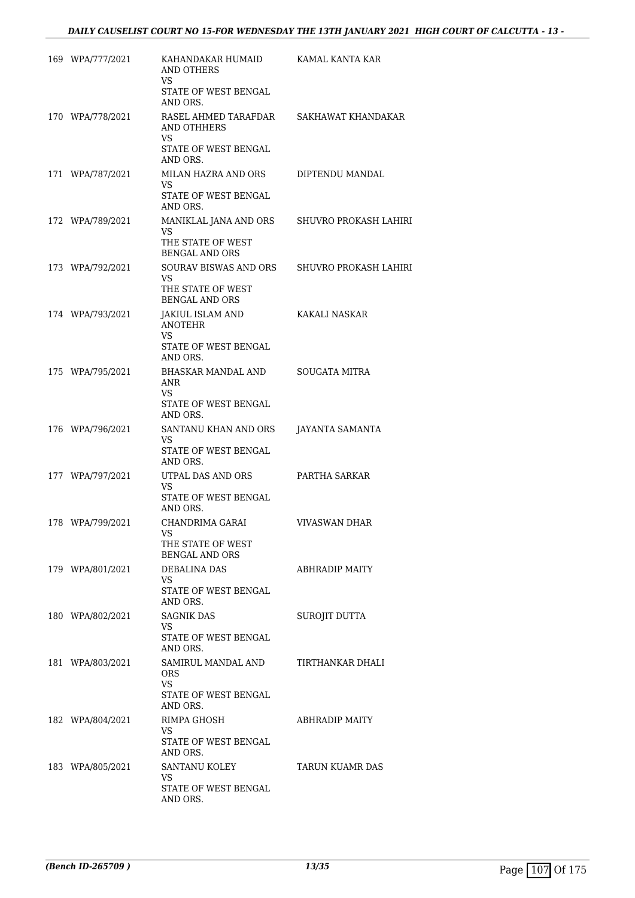| 169 WPA/777/2021 | KAHANDAKAR HUMAID<br>AND OTHERS<br><b>VS</b><br>STATE OF WEST BENGAL                  | KAMAL KANTA KAR       |
|------------------|---------------------------------------------------------------------------------------|-----------------------|
| 170 WPA/778/2021 | AND ORS.<br>RASEL AHMED TARAFDAR<br>AND OTHHERS<br><b>VS</b><br>STATE OF WEST BENGAL  | SAKHAWAT KHANDAKAR    |
| 171 WPA/787/2021 | AND ORS.<br>MILAN HAZRA AND ORS<br>VS.<br>STATE OF WEST BENGAL                        | DIPTENDU MANDAL       |
| 172 WPA/789/2021 | AND ORS.<br>MANIKLAL JANA AND ORS<br>VS<br>THE STATE OF WEST<br><b>BENGAL AND ORS</b> | SHUVRO PROKASH LAHIRI |
| 173 WPA/792/2021 | SOURAV BISWAS AND ORS<br>VS.<br>THE STATE OF WEST<br><b>BENGAL AND ORS</b>            | SHUVRO PROKASH LAHIRI |
| 174 WPA/793/2021 | JAKIUL ISLAM AND<br><b>ANOTEHR</b><br><b>VS</b><br>STATE OF WEST BENGAL               | KAKALI NASKAR         |
| 175 WPA/795/2021 | AND ORS.<br>BHASKAR MANDAL AND<br>ANR<br>VS.<br>STATE OF WEST BENGAL                  | <b>SOUGATA MITRA</b>  |
| 176 WPA/796/2021 | AND ORS.<br>SANTANU KHAN AND ORS<br>VS.<br>STATE OF WEST BENGAL                       | JAYANTA SAMANTA       |
| 177 WPA/797/2021 | AND ORS.<br>UTPAL DAS AND ORS<br>VS.<br>STATE OF WEST BENGAL<br>AND ORS.              | PARTHA SARKAR         |
| 178 WPA/799/2021 | CHANDRIMA GARAI<br>VS<br>THE STATE OF WEST<br><b>BENGAL AND ORS</b>                   | VIVASWAN DHAR         |
| 179 WPA/801/2021 | DEBALINA DAS<br>VS.<br>STATE OF WEST BENGAL<br>AND ORS.                               | ABHRADIP MAITY        |
| 180 WPA/802/2021 | <b>SAGNIK DAS</b><br>VS<br>STATE OF WEST BENGAL<br>AND ORS.                           | SUROJIT DUTTA         |
| 181 WPA/803/2021 | SAMIRUL MANDAL AND<br>ORS.<br>VS<br>STATE OF WEST BENGAL<br>AND ORS.                  | TIRTHANKAR DHALI      |
| 182 WPA/804/2021 | RIMPA GHOSH<br>VS<br>STATE OF WEST BENGAL<br>AND ORS.                                 | ABHRADIP MAITY        |
| 183 WPA/805/2021 | SANTANU KOLEY<br>VS.<br>STATE OF WEST BENGAL<br>AND ORS.                              | TARUN KUAMR DAS       |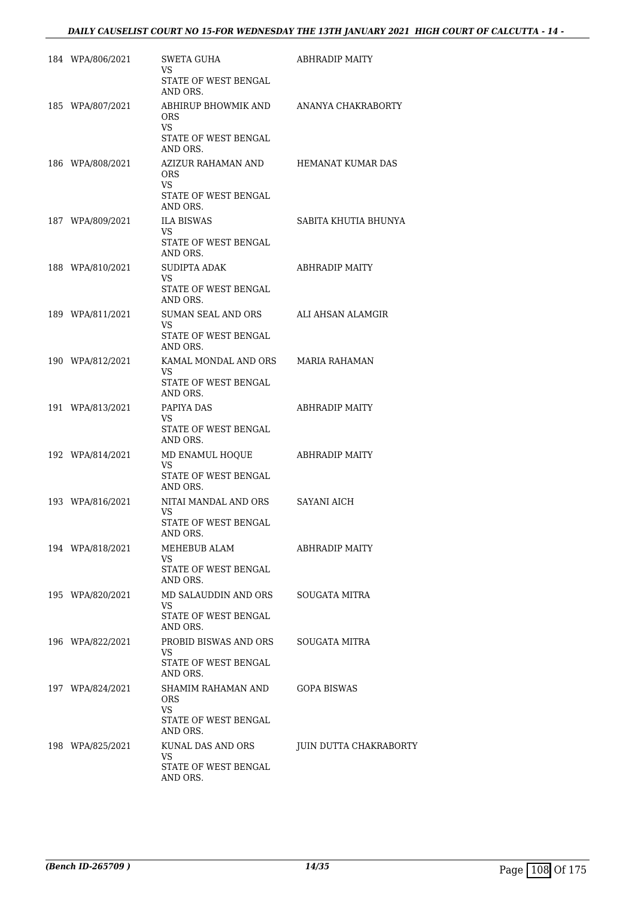| 184 WPA/806/2021 | SWETA GUHA<br>VS                        | <b>ABHRADIP MAITY</b>  |
|------------------|-----------------------------------------|------------------------|
|                  | STATE OF WEST BENGAL<br>AND ORS.        |                        |
| 185 WPA/807/2021 | ABHIRUP BHOWMIK AND<br>ORS.<br>VS       | ANANYA CHAKRABORTY     |
|                  | STATE OF WEST BENGAL<br>AND ORS.        |                        |
| 186 WPA/808/2021 | AZIZUR RAHAMAN AND<br><b>ORS</b><br>VS. | HEMANAT KUMAR DAS      |
|                  | <b>STATE OF WEST BENGAL</b><br>AND ORS. |                        |
| 187 WPA/809/2021 | <b>ILA BISWAS</b><br>VS.                | SABITA KHUTIA BHUNYA   |
|                  | STATE OF WEST BENGAL<br>AND ORS.        |                        |
| 188 WPA/810/2021 | SUDIPTA ADAK<br>VS.                     | <b>ABHRADIP MAITY</b>  |
|                  | STATE OF WEST BENGAL<br>AND ORS.        |                        |
| 189 WPA/811/2021 | SUMAN SEAL AND ORS<br>VS.               | ALI AHSAN ALAMGIR      |
|                  | STATE OF WEST BENGAL<br>AND ORS.        |                        |
| 190 WPA/812/2021 | KAMAL MONDAL AND ORS<br>VS.             | MARIA RAHAMAN          |
|                  | STATE OF WEST BENGAL<br>AND ORS.        |                        |
| 191 WPA/813/2021 | PAPIYA DAS<br>VS                        | <b>ABHRADIP MAITY</b>  |
|                  | STATE OF WEST BENGAL<br>AND ORS.        |                        |
| 192 WPA/814/2021 | MD ENAMUL HOQUE<br>VS.                  | ABHRADIP MAITY         |
|                  | STATE OF WEST BENGAL<br>AND ORS.        |                        |
| 193 WPA/816/2021 | NITAI MANDAL AND ORS<br>VS              | SAYANI AICH            |
|                  | STATE OF WEST BENGAL<br>AND ORS.        |                        |
| 194 WPA/818/2021 | MEHEBUB ALAM<br>VS.                     | ABHRADIP MAITY         |
|                  | STATE OF WEST BENGAL<br>AND ORS.        |                        |
| 195 WPA/820/2021 | MD SALAUDDIN AND ORS<br>VS              | <b>SOUGATA MITRA</b>   |
|                  | STATE OF WEST BENGAL<br>AND ORS.        |                        |
| 196 WPA/822/2021 | PROBID BISWAS AND ORS<br>VS             | SOUGATA MITRA          |
|                  | STATE OF WEST BENGAL<br>AND ORS.        |                        |
| 197 WPA/824/2021 | SHAMIM RAHAMAN AND<br><b>ORS</b><br>VS  | GOPA BISWAS            |
|                  | STATE OF WEST BENGAL<br>AND ORS.        |                        |
| 198 WPA/825/2021 | KUNAL DAS AND ORS<br>VS                 | JUIN DUTTA CHAKRABORTY |
|                  | STATE OF WEST BENGAL<br>AND ORS.        |                        |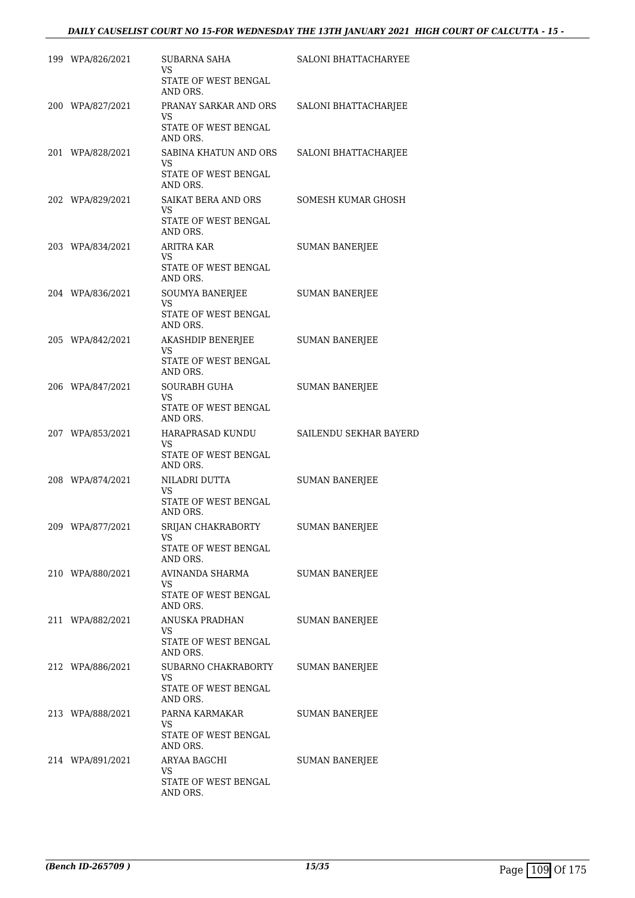| 199 WPA/826/2021 | SUBARNA SAHA<br>VS<br>STATE OF WEST BENGAL<br>AND ORS.               | SALONI BHATTACHARYEE   |
|------------------|----------------------------------------------------------------------|------------------------|
| 200 WPA/827/2021 | PRANAY SARKAR AND ORS<br>VS.<br>STATE OF WEST BENGAL<br>AND ORS.     | SALONI BHATTACHARJEE   |
| 201 WPA/828/2021 | SABINA KHATUN AND ORS<br>VS<br>STATE OF WEST BENGAL<br>AND ORS.      | SALONI BHATTACHARJEE   |
| 202 WPA/829/2021 | SAIKAT BERA AND ORS<br>VS<br>STATE OF WEST BENGAL<br>AND ORS.        | SOMESH KUMAR GHOSH     |
| 203 WPA/834/2021 | ARITRA KAR<br><b>VS</b><br>STATE OF WEST BENGAL<br>AND ORS.          | <b>SUMAN BANERJEE</b>  |
| 204 WPA/836/2021 | SOUMYA BANERJEE<br>VS.<br>STATE OF WEST BENGAL<br>AND ORS.           | <b>SUMAN BANERJEE</b>  |
| 205 WPA/842/2021 | AKASHDIP BENERJEE<br>VS<br>STATE OF WEST BENGAL<br>AND ORS.          | <b>SUMAN BANERIEE</b>  |
| 206 WPA/847/2021 | <b>SOURABH GUHA</b><br><b>VS</b><br>STATE OF WEST BENGAL<br>AND ORS. | <b>SUMAN BANERJEE</b>  |
| 207 WPA/853/2021 | HARAPRASAD KUNDU<br>VS.<br>STATE OF WEST BENGAL<br>AND ORS.          | SAILENDU SEKHAR BAYERD |
| 208 WPA/874/2021 | NILADRI DUTTA<br>VS<br>STATE OF WEST BENGAL<br>AND ORS.              | <b>SUMAN BANERJEE</b>  |
| 209 WPA/877/2021 | SRIJAN CHAKRABORTY<br><b>VS</b><br>STATE OF WEST BENGAL<br>AND ORS.  | SUMAN BANERJEE         |
| 210 WPA/880/2021 | AVINANDA SHARMA<br>VS.<br>STATE OF WEST BENGAL<br>AND ORS.           | <b>SUMAN BANERJEE</b>  |
| 211 WPA/882/2021 | ANUSKA PRADHAN<br>VS.<br>STATE OF WEST BENGAL<br>AND ORS.            | <b>SUMAN BANERJEE</b>  |
| 212 WPA/886/2021 | SUBARNO CHAKRABORTY<br>VS<br>STATE OF WEST BENGAL<br>AND ORS.        | <b>SUMAN BANERJEE</b>  |
| 213 WPA/888/2021 | PARNA KARMAKAR<br>VS.<br>STATE OF WEST BENGAL<br>AND ORS.            | <b>SUMAN BANERJEE</b>  |
| 214 WPA/891/2021 | ARYAA BAGCHI<br>VS.<br>STATE OF WEST BENGAL<br>AND ORS.              | <b>SUMAN BANERJEE</b>  |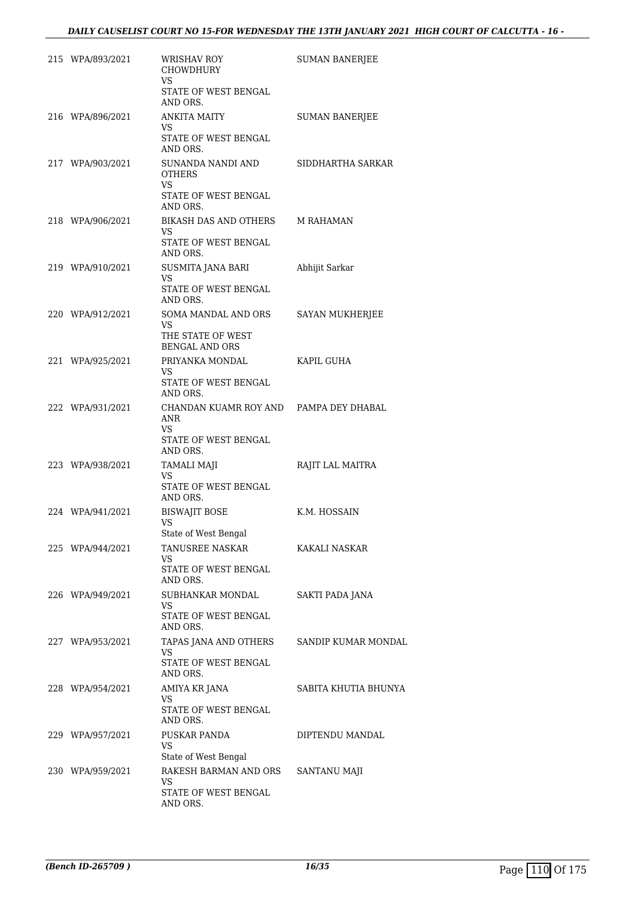| 215 WPA/893/2021 | WRISHAV ROY<br><b>CHOWDHURY</b><br>VS<br>STATE OF WEST BENGAL<br>AND ORS.                | <b>SUMAN BANERJEE</b> |
|------------------|------------------------------------------------------------------------------------------|-----------------------|
| 216 WPA/896/2021 | <b>ANKITA MAITY</b><br>VS.                                                               | <b>SUMAN BANERJEE</b> |
|                  | STATE OF WEST BENGAL<br>AND ORS.                                                         |                       |
| 217 WPA/903/2021 | SUNANDA NANDI AND<br><b>OTHERS</b><br><b>VS</b><br>STATE OF WEST BENGAL<br>AND ORS.      | SIDDHARTHA SARKAR     |
| 218 WPA/906/2021 | BIKASH DAS AND OTHERS<br>VS<br>STATE OF WEST BENGAL<br>AND ORS.                          | <b>M RAHAMAN</b>      |
| 219 WPA/910/2021 | SUSMITA JANA BARI<br>VS<br>STATE OF WEST BENGAL<br>AND ORS.                              | Abhijit Sarkar        |
| 220 WPA/912/2021 | SOMA MANDAL AND ORS<br>VS.<br>THE STATE OF WEST<br>BENGAL AND ORS                        | SAYAN MUKHERJEE       |
| 221 WPA/925/2021 | PRIYANKA MONDAL<br>VS<br>STATE OF WEST BENGAL<br>AND ORS.                                | KAPIL GUHA            |
| 222 WPA/931/2021 | CHANDAN KUAMR ROY AND PAMPA DEY DHABAL<br>ANR<br>VS.<br>STATE OF WEST BENGAL<br>AND ORS. |                       |
| 223 WPA/938/2021 | TAMALI MAJI<br><b>VS</b><br>STATE OF WEST BENGAL<br>AND ORS.                             | RAJIT LAL MAITRA      |
| 224 WPA/941/2021 | <b>BISWAJIT BOSE</b><br>VS                                                               | K.M. HOSSAIN          |
| 225 WPA/944/2021 | State of West Bengal<br>TANUSREE NASKAR<br>VS<br>STATE OF WEST BENGAL<br>AND ORS.        | KAKALI NASKAR         |
| 226 WPA/949/2021 | SUBHANKAR MONDAL<br>VS.<br>STATE OF WEST BENGAL<br>AND ORS.                              | SAKTI PADA JANA       |
| 227 WPA/953/2021 | TAPAS JANA AND OTHERS<br>VS<br>STATE OF WEST BENGAL<br>AND ORS.                          | SANDIP KUMAR MONDAL   |
| 228 WPA/954/2021 | AMIYA KR JANA<br>VS<br>STATE OF WEST BENGAL<br>AND ORS.                                  | SABITA KHUTIA BHUNYA  |
| 229 WPA/957/2021 | PUSKAR PANDA<br>VS.<br>State of West Bengal                                              | DIPTENDU MANDAL       |
| 230 WPA/959/2021 | RAKESH BARMAN AND ORS<br>VS.<br>STATE OF WEST BENGAL<br>AND ORS.                         | SANTANU MAJI          |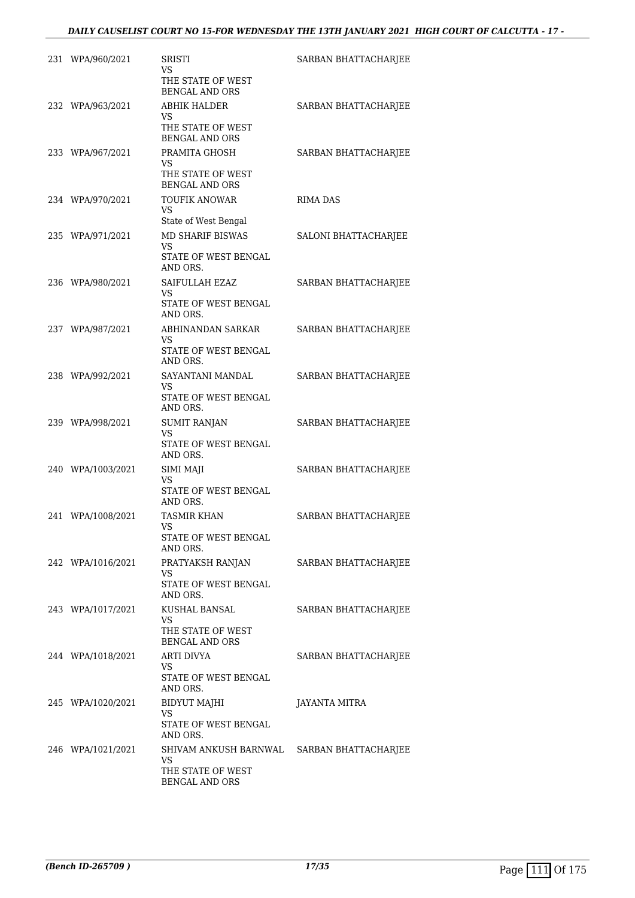## *DAILY CAUSELIST COURT NO 15-FOR WEDNESDAY THE 13TH JANUARY 2021 HIGH COURT OF CALCUTTA - 17 -*

| 231 WPA/960/2021  | SRISTI<br>VS<br>THE STATE OF WEST<br><b>BENGAL AND ORS</b>                | SARBAN BHATTACHARJEE |
|-------------------|---------------------------------------------------------------------------|----------------------|
| 232 WPA/963/2021  | <b>ABHIK HALDER</b><br>VS.<br>THE STATE OF WEST<br><b>BENGAL AND ORS</b>  | SARBAN BHATTACHARJEE |
| 233 WPA/967/2021  | PRAMITA GHOSH<br>VS<br>THE STATE OF WEST<br><b>BENGAL AND ORS</b>         | SARBAN BHATTACHARJEE |
| 234 WPA/970/2021  | <b>TOUFIK ANOWAR</b><br>VS<br>State of West Bengal                        | <b>RIMA DAS</b>      |
| 235 WPA/971/2021  | MD SHARIF BISWAS<br>VS<br>STATE OF WEST BENGAL<br>AND ORS.                | SALONI BHATTACHARJEE |
| 236 WPA/980/2021  | SAIFULLAH EZAZ<br>VS.<br>STATE OF WEST BENGAL<br>AND ORS.                 | SARBAN BHATTACHARJEE |
| 237 WPA/987/2021  | ABHINANDAN SARKAR<br>VS<br>STATE OF WEST BENGAL<br>AND ORS.               | SARBAN BHATTACHARJEE |
| 238 WPA/992/2021  | SAYANTANI MANDAL<br>VS<br>STATE OF WEST BENGAL<br>AND ORS.                | SARBAN BHATTACHARJEE |
| 239 WPA/998/2021  | <b>SUMIT RANJAN</b><br>VS<br>STATE OF WEST BENGAL<br>AND ORS.             | SARBAN BHATTACHARJEE |
| 240 WPA/1003/2021 | SIMI MAJI<br>VS<br>STATE OF WEST BENGAL<br>AND ORS.                       | SARBAN BHATTACHARJEE |
| 241 WPA/1008/2021 | TASMIR KHAN<br>VS FOR THE STREET<br>STATE OF WEST BENGAL<br>AND ORS.      | SARBAN BHATTACHARJEE |
| 242 WPA/1016/2021 | PRATYAKSH RANJAN<br>VS<br>STATE OF WEST BENGAL<br>AND ORS.                | SARBAN BHATTACHARJEE |
| 243 WPA/1017/2021 | KUSHAL BANSAL<br>VS<br>THE STATE OF WEST<br><b>BENGAL AND ORS</b>         | SARBAN BHATTACHARJEE |
| 244 WPA/1018/2021 | ARTI DIVYA<br>VS.<br>STATE OF WEST BENGAL<br>AND ORS.                     | SARBAN BHATTACHARJEE |
| 245 WPA/1020/2021 | BIDYUT MAJHI<br>VS<br>STATE OF WEST BENGAL<br>AND ORS.                    | JAYANTA MITRA        |
| 246 WPA/1021/2021 | SHIVAM ANKUSH BARNWAL<br>VS<br>THE STATE OF WEST<br><b>BENGAL AND ORS</b> | SARBAN BHATTACHARJEE |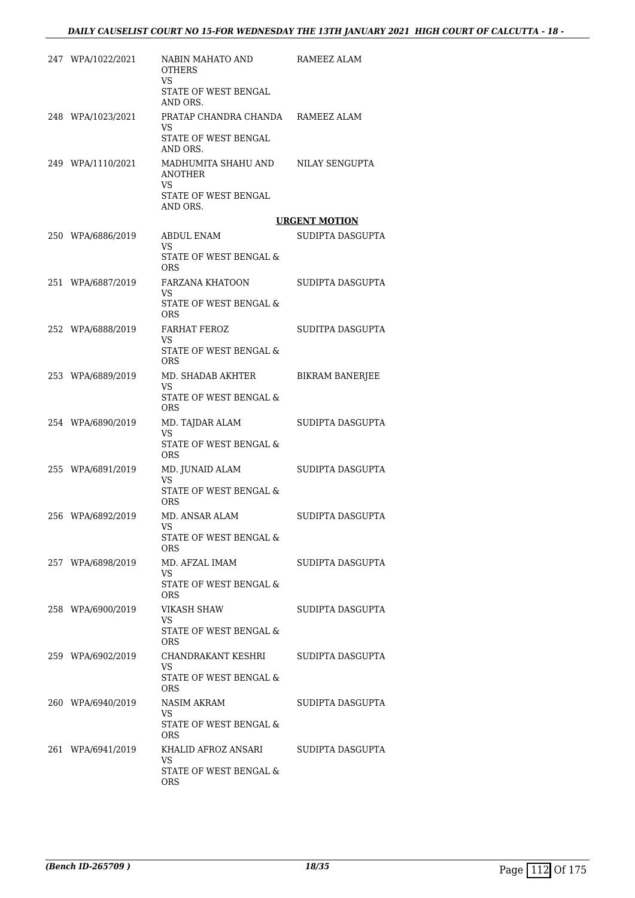| 247 WPA/1022/2021 | NABIN MAHATO AND<br><b>OTHERS</b><br>VS.             | RAMEEZ ALAM            |
|-------------------|------------------------------------------------------|------------------------|
|                   | STATE OF WEST BENGAL<br>AND ORS.                     |                        |
| 248 WPA/1023/2021 | PRATAP CHANDRA CHANDA RAMEEZ ALAM<br>VS.             |                        |
|                   | STATE OF WEST BENGAL<br>AND ORS.                     |                        |
| 249 WPA/1110/2021 | MADHUMITA SHAHU AND NILAY SENGUPTA<br><b>ANOTHER</b> |                        |
|                   | VS.<br>STATE OF WEST BENGAL<br>AND ORS.              |                        |
|                   |                                                      | <b>URGENT MOTION</b>   |
| 250 WPA/6886/2019 | ABDUL ENAM<br>VS.                                    | SUDIPTA DASGUPTA       |
|                   | STATE OF WEST BENGAL &<br>ORS.                       |                        |
| 251 WPA/6887/2019 | FARZANA KHATOON<br>VS.                               | SUDIPTA DASGUPTA       |
|                   | STATE OF WEST BENGAL &<br><b>ORS</b>                 |                        |
| 252 WPA/6888/2019 | <b>FARHAT FEROZ</b><br>VS.                           | SUDITPA DASGUPTA       |
|                   | STATE OF WEST BENGAL &<br><b>ORS</b>                 |                        |
| 253 WPA/6889/2019 | MD. SHADAB AKHTER<br>VS.                             | <b>BIKRAM BANERJEE</b> |
|                   | STATE OF WEST BENGAL &<br>ORS.                       |                        |
| 254 WPA/6890/2019 | MD. TAJDAR ALAM<br>VS.                               | SUDIPTA DASGUPTA       |
|                   | STATE OF WEST BENGAL &<br>ORS.                       |                        |
| 255 WPA/6891/2019 | MD. JUNAID ALAM<br>VS.                               | SUDIPTA DASGUPTA       |
|                   | STATE OF WEST BENGAL &<br>ORS.                       |                        |
| 256 WPA/6892/2019 | MD. ANSAR ALAM<br>VS                                 | SUDIPTA DASGUPTA       |
|                   | STATE OF WEST BENGAL &<br>ORS.                       |                        |
| 257 WPA/6898/2019 | MD. AFZAL IMAM<br>VS.                                | SUDIPTA DASGUPTA       |
|                   | STATE OF WEST BENGAL &<br>ORS.                       |                        |
| 258 WPA/6900/2019 | VIKASH SHAW<br>VS.                                   | SUDIPTA DASGUPTA       |
|                   | STATE OF WEST BENGAL &<br>ORS                        |                        |
| 259 WPA/6902/2019 | CHANDRAKANT KESHRI<br>VS                             | SUDIPTA DASGUPTA       |
|                   | STATE OF WEST BENGAL &<br><b>ORS</b>                 |                        |
| 260 WPA/6940/2019 | NASIM AKRAM<br><b>VS</b>                             | SUDIPTA DASGUPTA       |
|                   | STATE OF WEST BENGAL &<br>ORS.                       |                        |
| 261 WPA/6941/2019 | KHALID AFROZ ANSARI<br>VS.                           | SUDIPTA DASGUPTA       |
|                   | STATE OF WEST BENGAL &<br>ORS                        |                        |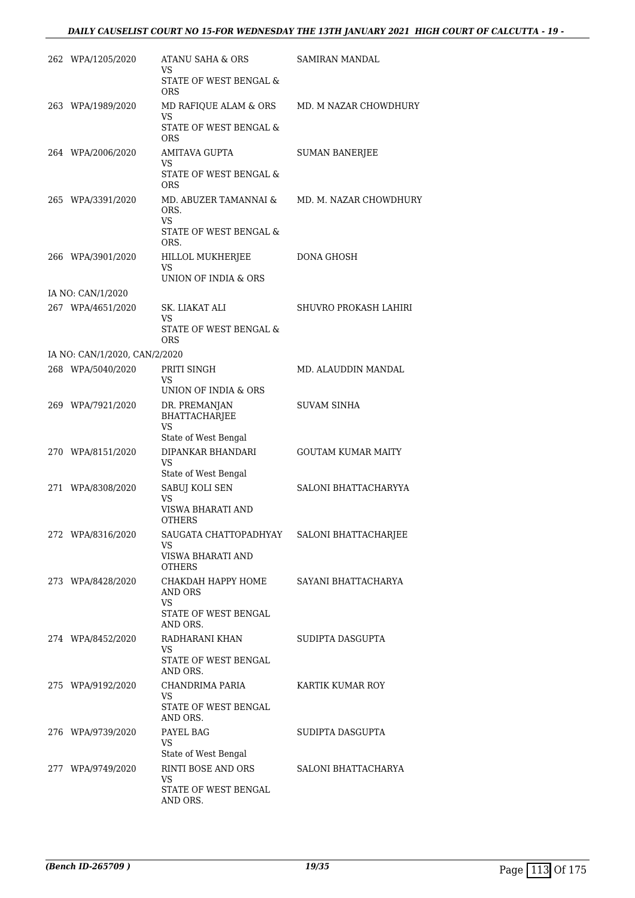| 262 WPA/1205/2020             | ATANU SAHA & ORS<br>VS                             | SAMIRAN MANDAL            |
|-------------------------------|----------------------------------------------------|---------------------------|
|                               | STATE OF WEST BENGAL &<br><b>ORS</b>               |                           |
| 263 WPA/1989/2020             | MD RAFIOUE ALAM & ORS<br>VS                        | MD. M NAZAR CHOWDHURY     |
|                               | STATE OF WEST BENGAL &<br><b>ORS</b>               |                           |
| 264 WPA/2006/2020             | AMITAVA GUPTA<br>VS                                | <b>SUMAN BANERJEE</b>     |
|                               | STATE OF WEST BENGAL &<br><b>ORS</b>               |                           |
| 265 WPA/3391/2020             | MD. ABUZER TAMANNAI &<br>ORS.<br><b>VS</b>         | MD. M. NAZAR CHOWDHURY    |
|                               | STATE OF WEST BENGAL &<br>ORS.                     |                           |
| 266 WPA/3901/2020             | HILLOL MUKHERJEE<br><b>VS</b>                      | DONA GHOSH                |
|                               | UNION OF INDIA & ORS                               |                           |
| IA NO: CAN/1/2020             |                                                    |                           |
| 267 WPA/4651/2020             | SK. LIAKAT ALI<br>VS                               | SHUVRO PROKASH LAHIRI     |
|                               | STATE OF WEST BENGAL &<br><b>ORS</b>               |                           |
| IA NO: CAN/1/2020, CAN/2/2020 |                                                    |                           |
| 268 WPA/5040/2020             | PRITI SINGH<br>VS                                  | MD. ALAUDDIN MANDAL       |
|                               | UNION OF INDIA & ORS                               |                           |
| 269 WPA/7921/2020             | DR. PREMANJAN<br><b>BHATTACHARJEE</b><br><b>VS</b> | <b>SUVAM SINHA</b>        |
|                               | State of West Bengal                               |                           |
| 270 WPA/8151/2020             | DIPANKAR BHANDARI<br>VS                            | <b>GOUTAM KUMAR MAITY</b> |
|                               | State of West Bengal                               |                           |
| 271 WPA/8308/2020             | SABUJ KOLI SEN<br><b>VS</b><br>VISWA BHARATI AND   | SALONI BHATTACHARYYA      |
|                               | OTHERS                                             |                           |
| 272 WPA/8316/2020             | SAUGATA CHATTOPADHYAY<br>VS                        | SALONI BHATTACHARJEE      |
|                               | VISWA BHARATI AND<br><b>OTHERS</b>                 |                           |
| 273 WPA/8428/2020             | СНАКДАН НАРРҮ НОМЕ<br>AND ORS                      | SAYANI BHATTACHARYA       |
|                               | VS<br>STATE OF WEST BENGAL<br>AND ORS.             |                           |
| 274 WPA/8452/2020             | RADHARANI KHAN<br>VS.                              | SUDIPTA DASGUPTA          |
|                               | STATE OF WEST BENGAL<br>AND ORS.                   |                           |
| 275 WPA/9192/2020             | CHANDRIMA PARIA<br>VS.                             | KARTIK KUMAR ROY          |
|                               | STATE OF WEST BENGAL<br>AND ORS.                   |                           |
| 276 WPA/9739/2020             | PAYEL BAG<br>VS                                    | SUDIPTA DASGUPTA          |
|                               | State of West Bengal                               |                           |
| 277 WPA/9749/2020             | RINTI BOSE AND ORS<br>VS                           | SALONI BHATTACHARYA       |
|                               | STATE OF WEST BENGAL<br>AND ORS.                   |                           |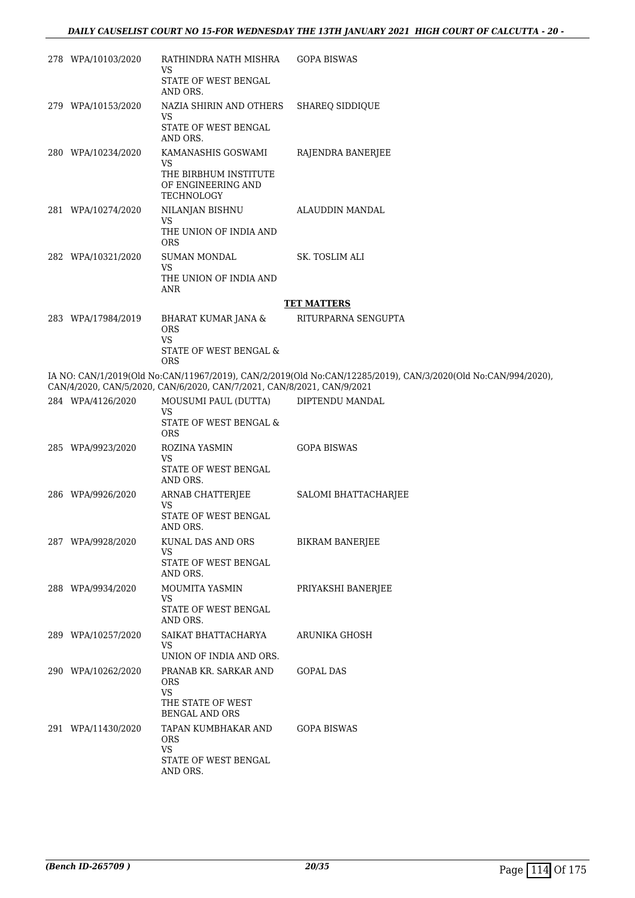| 278 WPA/10103/2020 | RATHINDRA NATH MISHRA<br>VS                                            | <b>GOPA BISWAS</b>                                                                                            |
|--------------------|------------------------------------------------------------------------|---------------------------------------------------------------------------------------------------------------|
|                    | STATE OF WEST BENGAL<br>AND ORS.                                       |                                                                                                               |
| 279 WPA/10153/2020 | NAZIA SHIRIN AND OTHERS<br>VS                                          | <b>SHAREQ SIDDIQUE</b>                                                                                        |
|                    | <b>STATE OF WEST BENGAL</b><br>AND ORS.                                |                                                                                                               |
| 280 WPA/10234/2020 | KAMANASHIS GOSWAMI<br>VS                                               | RAJENDRA BANERJEE                                                                                             |
|                    | THE BIRBHUM INSTITUTE<br>OF ENGINEERING AND<br>TECHNOLOGY              |                                                                                                               |
| 281 WPA/10274/2020 | NILANJAN BISHNU<br><b>VS</b>                                           | ALAUDDIN MANDAL                                                                                               |
|                    | THE UNION OF INDIA AND<br><b>ORS</b>                                   |                                                                                                               |
| 282 WPA/10321/2020 | <b>SUMAN MONDAL</b><br><b>VS</b>                                       | SK. TOSLIM ALI                                                                                                |
|                    | THE UNION OF INDIA AND<br>ANR                                          |                                                                                                               |
|                    |                                                                        | <b>TET MATTERS</b>                                                                                            |
| 283 WPA/17984/2019 | BHARAT KUMAR JANA &<br><b>ORS</b><br><b>VS</b>                         | RITURPARNA SENGUPTA                                                                                           |
|                    | STATE OF WEST BENGAL &<br><b>ORS</b>                                   |                                                                                                               |
|                    | CAN/4/2020, CAN/5/2020, CAN/6/2020, CAN/7/2021, CAN/8/2021, CAN/9/2021 | IA NO: CAN/1/2019(Old No:CAN/11967/2019), CAN/2/2019(Old No:CAN/12285/2019), CAN/3/2020(Old No:CAN/994/2020), |
| 284 WPA/4126/2020  | MOUSUMI PAUL (DUTTA)                                                   | DIPTENDU MANDAL                                                                                               |
|                    | <b>VS</b><br>STATE OF WEST BENGAL &<br><b>ORS</b>                      |                                                                                                               |
| 285 WPA/9923/2020  | ROZINA YASMIN<br>VS                                                    | <b>GOPA BISWAS</b>                                                                                            |
|                    | STATE OF WEST BENGAL<br>AND ORS.                                       |                                                                                                               |
| 286 WPA/9926/2020  | ARNAB CHATTERJEE<br>VS                                                 | SALOMI BHATTACHARJEE                                                                                          |
|                    | STATE OF WEST BENGAL<br>AND ORS.                                       |                                                                                                               |
| 287 WPA/9928/2020  | KUNAL DAS AND ORS<br>VS                                                | <b>BIKRAM BANERJEE</b>                                                                                        |
|                    | STATE OF WEST BENGAL<br>AND ORS.                                       |                                                                                                               |
| 288 WPA/9934/2020  | MOUMITA YASMIN<br><b>VS</b>                                            | PRIYAKSHI BANERJEE                                                                                            |
|                    | STATE OF WEST BENGAL<br>AND ORS.                                       |                                                                                                               |
| 289 WPA/10257/2020 | SAIKAT BHATTACHARYA<br>VS                                              | ARUNIKA GHOSH                                                                                                 |
|                    | UNION OF INDIA AND ORS.                                                |                                                                                                               |
| 290 WPA/10262/2020 | PRANAB KR. SARKAR AND<br><b>ORS</b><br><b>VS</b>                       | GOPAL DAS                                                                                                     |
|                    | THE STATE OF WEST<br><b>BENGAL AND ORS</b>                             |                                                                                                               |
| 291 WPA/11430/2020 | TAPAN KUMBHAKAR AND<br><b>ORS</b><br><b>VS</b>                         | GOPA BISWAS                                                                                                   |
|                    | STATE OF WEST BENGAL<br>AND ORS.                                       |                                                                                                               |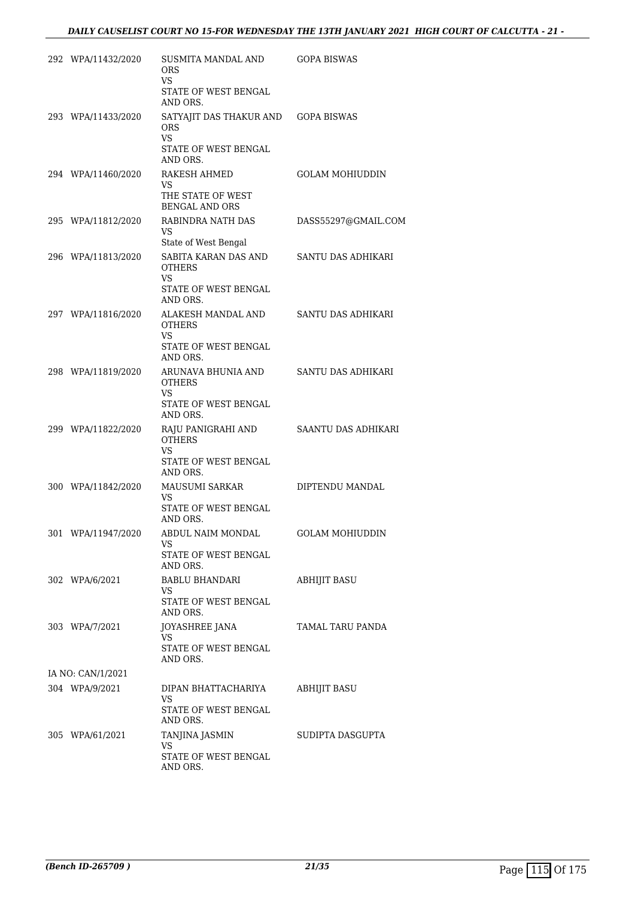| 292 WPA/11432/2020 | SUSMITA MANDAL AND<br>ORS.<br>VS                 | <b>GOPA BISWAS</b>     |
|--------------------|--------------------------------------------------|------------------------|
|                    | STATE OF WEST BENGAL<br>AND ORS.                 |                        |
| 293 WPA/11433/2020 | SATYAJIT DAS THAKUR AND<br>ORS.<br><b>VS</b>     | <b>GOPA BISWAS</b>     |
|                    | STATE OF WEST BENGAL<br>AND ORS.                 |                        |
| 294 WPA/11460/2020 | <b>RAKESH AHMED</b><br>VS.                       | GOLAM MOHIUDDIN        |
|                    | THE STATE OF WEST<br><b>BENGAL AND ORS</b>       |                        |
| 295 WPA/11812/2020 | RABINDRA NATH DAS<br>VS                          | DASS55297@GMAIL.COM    |
|                    | State of West Bengal                             |                        |
| 296 WPA/11813/2020 | SABITA KARAN DAS AND<br>OTHERS<br>VS             | SANTU DAS ADHIKARI     |
|                    | STATE OF WEST BENGAL<br>AND ORS.                 |                        |
| 297 WPA/11816/2020 | ALAKESH MANDAL AND<br><b>OTHERS</b>              | SANTU DAS ADHIKARI     |
|                    | VS<br>STATE OF WEST BENGAL<br>AND ORS.           |                        |
| 298 WPA/11819/2020 | ARUNAVA BHUNIA AND<br><b>OTHERS</b>              | SANTU DAS ADHIKARI     |
|                    | VS.<br>STATE OF WEST BENGAL<br>AND ORS.          |                        |
| 299 WPA/11822/2020 | RAJU PANIGRAHI AND<br><b>OTHERS</b><br><b>VS</b> | SAANTU DAS ADHIKARI    |
|                    | STATE OF WEST BENGAL<br>AND ORS.                 |                        |
| 300 WPA/11842/2020 | MAUSUMI SARKAR<br>VS                             | DIPTENDU MANDAL        |
|                    | STATE OF WEST BENGAL<br>AND ORS.                 |                        |
| 301 WPA/11947/2020 | ABDUL NAIM MONDAL<br>VS                          | <b>GOLAM MOHIUDDIN</b> |
|                    | STATE OF WEST BENGAL<br>AND ORS.                 |                        |
| 302 WPA/6/2021     | BABLU BHANDARI<br>VS.                            | ABHIJIT BASU           |
|                    | STATE OF WEST BENGAL<br>AND ORS.                 |                        |
| 303 WPA/7/2021     | JOYASHREE JANA<br><b>VS</b>                      | TAMAL TARU PANDA       |
|                    | STATE OF WEST BENGAL<br>AND ORS.                 |                        |
| IA NO: CAN/1/2021  |                                                  |                        |
| 304 WPA/9/2021     | DIPAN BHATTACHARIYA<br>VS                        | ABHIJIT BASU           |
|                    | STATE OF WEST BENGAL<br>AND ORS.                 |                        |
| 305 WPA/61/2021    | TANJINA JASMIN<br>VS.                            | SUDIPTA DASGUPTA       |
|                    | STATE OF WEST BENGAL<br>AND ORS.                 |                        |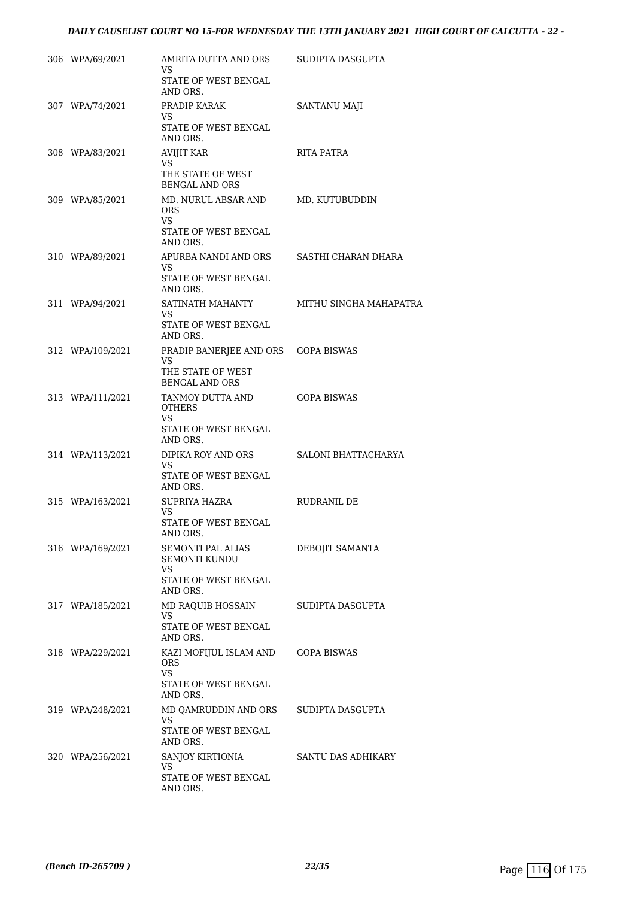## *DAILY CAUSELIST COURT NO 15-FOR WEDNESDAY THE 13TH JANUARY 2021 HIGH COURT OF CALCUTTA - 22 -*

| 306 WPA/69/2021  | AMRITA DUTTA AND ORS<br>VS                                                         | SUDIPTA DASGUPTA       |
|------------------|------------------------------------------------------------------------------------|------------------------|
|                  | STATE OF WEST BENGAL<br>AND ORS.                                                   |                        |
| 307 WPA/74/2021  | PRADIP KARAK<br>VS.<br>STATE OF WEST BENGAL<br>AND ORS.                            | <b>SANTANU MAJI</b>    |
| 308 WPA/83/2021  | AVIJIT KAR<br>VS.<br>THE STATE OF WEST<br><b>BENGAL AND ORS</b>                    | RITA PATRA             |
| 309 WPA/85/2021  | MD. NURUL ABSAR AND<br><b>ORS</b><br>VS.<br>STATE OF WEST BENGAL<br>AND ORS.       | MD. KUTUBUDDIN         |
| 310 WPA/89/2021  | APURBA NANDI AND ORS<br>VS.<br>STATE OF WEST BENGAL<br>AND ORS.                    | SASTHI CHARAN DHARA    |
| 311 WPA/94/2021  | SATINATH MAHANTY<br>VS.<br>STATE OF WEST BENGAL<br>AND ORS.                        | MITHU SINGHA MAHAPATRA |
| 312 WPA/109/2021 | PRADIP BANERJEE AND ORS<br><b>VS</b><br>THE STATE OF WEST<br><b>BENGAL AND ORS</b> | <b>GOPA BISWAS</b>     |
| 313 WPA/111/2021 | TANMOY DUTTA AND<br><b>OTHERS</b><br>VS<br>STATE OF WEST BENGAL<br>AND ORS.        | <b>GOPA BISWAS</b>     |
| 314 WPA/113/2021 | DIPIKA ROY AND ORS<br>VS<br>STATE OF WEST BENGAL<br>AND ORS.                       | SALONI BHATTACHARYA    |
| 315 WPA/163/2021 | SUPRIYA HAZRA<br>VS.<br>STATE OF WEST BENGAL<br>AND ORS.                           | RUDRANIL DE            |
| 316 WPA/169/2021 | SEMONTI PAL ALIAS<br>SEMONTI KUNDU<br>VS<br>STATE OF WEST BENGAL<br>AND ORS.       | DEBOJIT SAMANTA        |
| 317 WPA/185/2021 | MD RAQUIB HOSSAIN<br>VS<br>STATE OF WEST BENGAL<br>AND ORS.                        | SUDIPTA DASGUPTA       |
| 318 WPA/229/2021 | KAZI MOFIJUL ISLAM AND<br>ORS<br>VS.<br>STATE OF WEST BENGAL                       | <b>GOPA BISWAS</b>     |
| 319 WPA/248/2021 | AND ORS.<br>MD QAMRUDDIN AND ORS<br>VS<br>STATE OF WEST BENGAL<br>AND ORS.         | SUDIPTA DASGUPTA       |
| 320 WPA/256/2021 | SANJOY KIRTIONIA<br>VS<br>STATE OF WEST BENGAL<br>AND ORS.                         | SANTU DAS ADHIKARY     |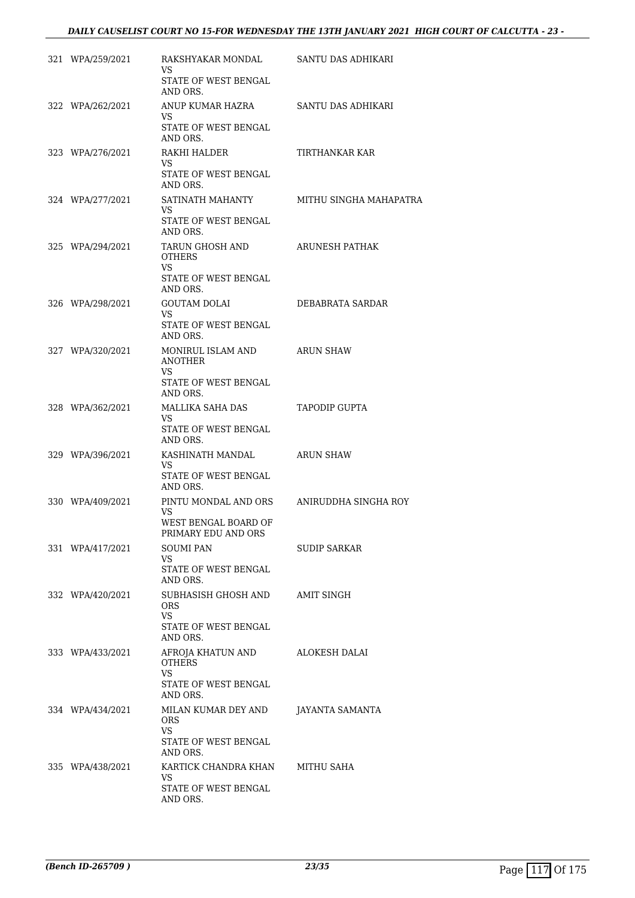## *DAILY CAUSELIST COURT NO 15-FOR WEDNESDAY THE 13TH JANUARY 2021 HIGH COURT OF CALCUTTA - 23 -*

| 321 WPA/259/2021 | RAKSHYAKAR MONDAL<br><b>VS</b>                                                | SANTU DAS ADHIKARI     |
|------------------|-------------------------------------------------------------------------------|------------------------|
|                  | STATE OF WEST BENGAL<br>AND ORS.                                              |                        |
| 322 WPA/262/2021 | ANUP KUMAR HAZRA<br><b>VS</b><br>STATE OF WEST BENGAL                         | SANTU DAS ADHIKARI     |
| 323 WPA/276/2021 | AND ORS.<br>RAKHI HALDER                                                      | TIRTHANKAR KAR         |
|                  | VS.<br>STATE OF WEST BENGAL<br>AND ORS.                                       |                        |
| 324 WPA/277/2021 | SATINATH MAHANTY<br><b>VS</b><br>STATE OF WEST BENGAL                         | MITHU SINGHA MAHAPATRA |
|                  | AND ORS.                                                                      |                        |
| 325 WPA/294/2021 | TARUN GHOSH AND<br><b>OTHERS</b><br><b>VS</b>                                 | ARUNESH PATHAK         |
|                  | STATE OF WEST BENGAL<br>AND ORS.                                              |                        |
| 326 WPA/298/2021 | GOUTAM DOLAI<br>VS.                                                           | DEBABRATA SARDAR       |
|                  | STATE OF WEST BENGAL<br>AND ORS.                                              |                        |
| 327 WPA/320/2021 | MONIRUL ISLAM AND<br><b>ANOTHER</b><br>VS.                                    | ARUN SHAW              |
|                  | STATE OF WEST BENGAL<br>AND ORS.                                              |                        |
| 328 WPA/362/2021 | MALLIKA SAHA DAS<br>VS.<br>STATE OF WEST BENGAL<br>AND ORS.                   | <b>TAPODIP GUPTA</b>   |
| 329 WPA/396/2021 | KASHINATH MANDAL<br><b>VS</b><br><b>STATE OF WEST BENGAL</b><br>AND ORS.      | ARUN SHAW              |
| 330 WPA/409/2021 | PINTU MONDAL AND ORS<br>VS.<br>WEST BENGAL BOARD OF<br>PRIMARY EDU AND ORS    | ANIRUDDHA SINGHA ROY   |
| 331 WPA/417/2021 | <b>SOUMI PAN</b><br>VS<br>STATE OF WEST BENGAL<br>AND ORS.                    | <b>SUDIP SARKAR</b>    |
| 332 WPA/420/2021 | SUBHASISH GHOSH AND<br><b>ORS</b>                                             | AMIT SINGH             |
|                  | VS.<br>STATE OF WEST BENGAL<br>AND ORS.                                       |                        |
| 333 WPA/433/2021 | AFROJA KHATUN AND<br><b>OTHERS</b><br>VS.<br>STATE OF WEST BENGAL<br>AND ORS. | ALOKESH DALAI          |
| 334 WPA/434/2021 | MILAN KUMAR DEY AND<br><b>ORS</b><br>VS<br>STATE OF WEST BENGAL               | JAYANTA SAMANTA        |
| 335 WPA/438/2021 | AND ORS.<br>KARTICK CHANDRA KHAN                                              | MITHU SAHA             |
|                  | VS.<br>STATE OF WEST BENGAL<br>AND ORS.                                       |                        |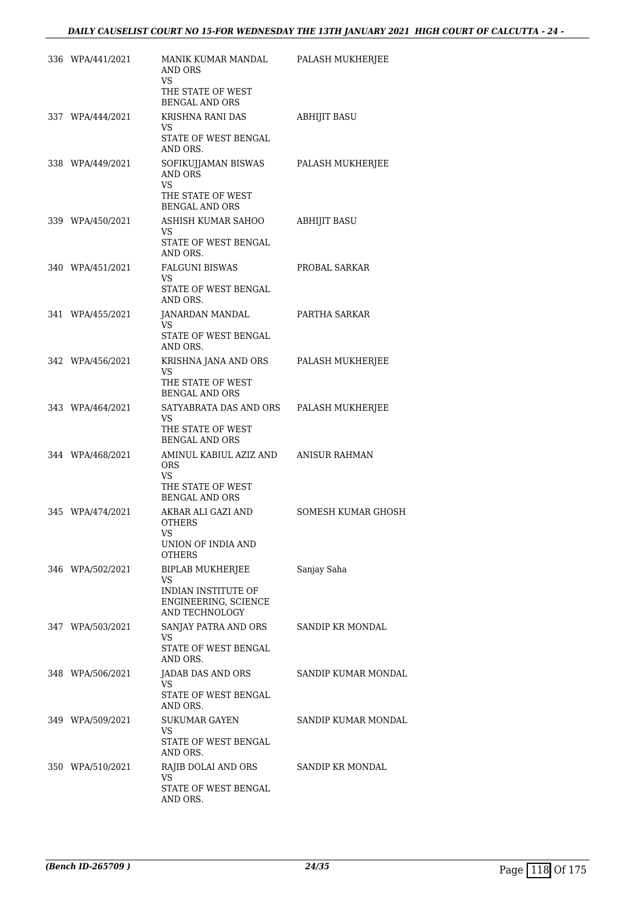| 336 WPA/441/2021 | MANIK KUMAR MANDAL<br>AND ORS<br>VS                                                      | PALASH MUKHERJEE    |
|------------------|------------------------------------------------------------------------------------------|---------------------|
|                  | THE STATE OF WEST<br><b>BENGAL AND ORS</b>                                               |                     |
| 337 WPA/444/2021 | KRISHNA RANI DAS                                                                         | <b>ABHIJIT BASU</b> |
|                  | VS.<br>STATE OF WEST BENGAL<br>AND ORS.                                                  |                     |
| 338 WPA/449/2021 | SOFIKUJJAMAN BISWAS<br>AND ORS<br><b>VS</b><br>THE STATE OF WEST                         | PALASH MUKHERJEE    |
| 339 WPA/450/2021 | <b>BENGAL AND ORS</b><br>ASHISH KUMAR SAHOO<br>VS<br>STATE OF WEST BENGAL<br>AND ORS.    | <b>ABHIJIT BASU</b> |
| 340 WPA/451/2021 | <b>FALGUNI BISWAS</b><br>VS<br>STATE OF WEST BENGAL<br>AND ORS.                          | PROBAL SARKAR       |
| 341 WPA/455/2021 | JANARDAN MANDAL<br>VS<br><b>STATE OF WEST BENGAL</b><br>AND ORS.                         | PARTHA SARKAR       |
| 342 WPA/456/2021 | KRISHNA JANA AND ORS<br>VS<br>THE STATE OF WEST<br><b>BENGAL AND ORS</b>                 | PALASH MUKHERJEE    |
| 343 WPA/464/2021 | SATYABRATA DAS AND ORS<br>VS.<br>THE STATE OF WEST<br><b>BENGAL AND ORS</b>              | PALASH MUKHERJEE    |
| 344 WPA/468/2021 | AMINUL KABIUL AZIZ AND<br><b>ORS</b><br>VS<br>THE STATE OF WEST<br><b>BENGAL AND ORS</b> | ANISUR RAHMAN       |
| 345 WPA/474/2021 | AKBAR ALI GAZI AND<br>OTHERS<br>VS<br>UNION OF INDIA AND<br><b>OTHERS</b>                | SOMESH KUMAR GHOSH  |
| 346 WPA/502/2021 | BIPLAB MUKHERJEE<br>VS<br>INDIAN INSTITUTE OF<br>ENGINEERING, SCIENCE<br>AND TECHNOLOGY  | Sanjay Saha         |
| 347 WPA/503/2021 | SANJAY PATRA AND ORS<br>VS<br>STATE OF WEST BENGAL<br>AND ORS.                           | SANDIP KR MONDAL    |
| 348 WPA/506/2021 | JADAB DAS AND ORS<br>VS<br>STATE OF WEST BENGAL<br>AND ORS.                              | SANDIP KUMAR MONDAL |
| 349 WPA/509/2021 | SUKUMAR GAYEN<br>VS<br>STATE OF WEST BENGAL<br>AND ORS.                                  | SANDIP KUMAR MONDAL |
| 350 WPA/510/2021 | RAJIB DOLAI AND ORS<br><b>VS</b><br>STATE OF WEST BENGAL<br>AND ORS.                     | SANDIP KR MONDAL    |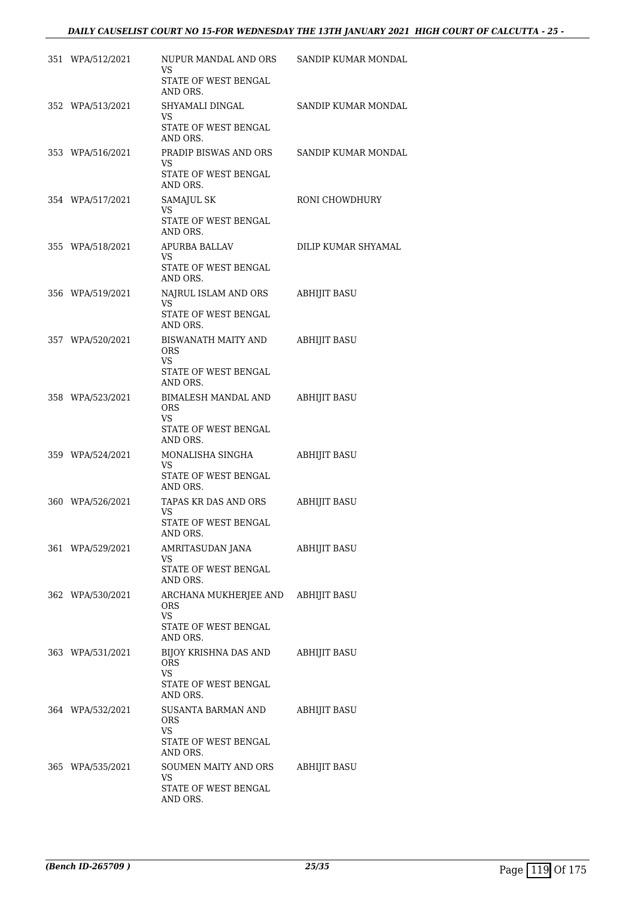| 351 WPA/512/2021 | NUPUR MANDAL AND ORS<br>VS<br>STATE OF WEST BENGAL                                                | SANDIP KUMAR MONDAL |
|------------------|---------------------------------------------------------------------------------------------------|---------------------|
| 352 WPA/513/2021 | AND ORS.<br>SHYAMALI DINGAL<br>VS.                                                                | SANDIP KUMAR MONDAL |
|                  | STATE OF WEST BENGAL<br>AND ORS.                                                                  |                     |
| 353 WPA/516/2021 | PRADIP BISWAS AND ORS<br>VS<br>STATE OF WEST BENGAL<br>AND ORS.                                   | SANDIP KUMAR MONDAL |
| 354 WPA/517/2021 | SAMAJUL SK<br>VS<br>STATE OF WEST BENGAL<br>AND ORS.                                              | RONI CHOWDHURY      |
| 355 WPA/518/2021 | APURBA BALLAV<br>VS.<br>STATE OF WEST BENGAL<br>AND ORS.                                          | DILIP KUMAR SHYAMAL |
| 356 WPA/519/2021 | NAJRUL ISLAM AND ORS<br>VS<br>STATE OF WEST BENGAL<br>AND ORS.                                    | <b>ABHIJIT BASU</b> |
| 357 WPA/520/2021 | <b>BISWANATH MAITY AND</b><br><b>ORS</b><br>VS.<br>STATE OF WEST BENGAL                           | <b>ABHIJIT BASU</b> |
| 358 WPA/523/2021 | AND ORS.<br>BIMALESH MANDAL AND<br><b>ORS</b><br>VS<br>STATE OF WEST BENGAL<br>AND ORS.           | ABHIJIT BASU        |
| 359 WPA/524/2021 | MONALISHA SINGHA<br>VS<br>STATE OF WEST BENGAL<br>AND ORS.                                        | ABHIJIT BASU        |
| 360 WPA/526/2021 | TAPAS KR DAS AND ORS<br><b>VS</b><br>STATE OF WEST BENGAL<br>AND ORS.                             | <b>ABHIJIT BASU</b> |
| 361 WPA/529/2021 | AMRITASUDAN JANA<br>VS<br>STATE OF WEST BENGAL<br>AND ORS.                                        | ABHIJIT BASU        |
| 362 WPA/530/2021 | ARCHANA MUKHERJEE AND ABHIJIT BASU<br><b>ORS</b><br><b>VS</b><br>STATE OF WEST BENGAL<br>AND ORS. |                     |
| 363 WPA/531/2021 | BIJOY KRISHNA DAS AND<br><b>ORS</b><br><b>VS</b><br>STATE OF WEST BENGAL<br>AND ORS.              | ABHIJIT BASU        |
| 364 WPA/532/2021 | SUSANTA BARMAN AND<br>ORS.<br><b>VS</b><br>STATE OF WEST BENGAL<br>AND ORS.                       | <b>ABHIJIT BASU</b> |
| 365 WPA/535/2021 | SOUMEN MAITY AND ORS<br>VS<br>STATE OF WEST BENGAL<br>AND ORS.                                    | <b>ABHIJIT BASU</b> |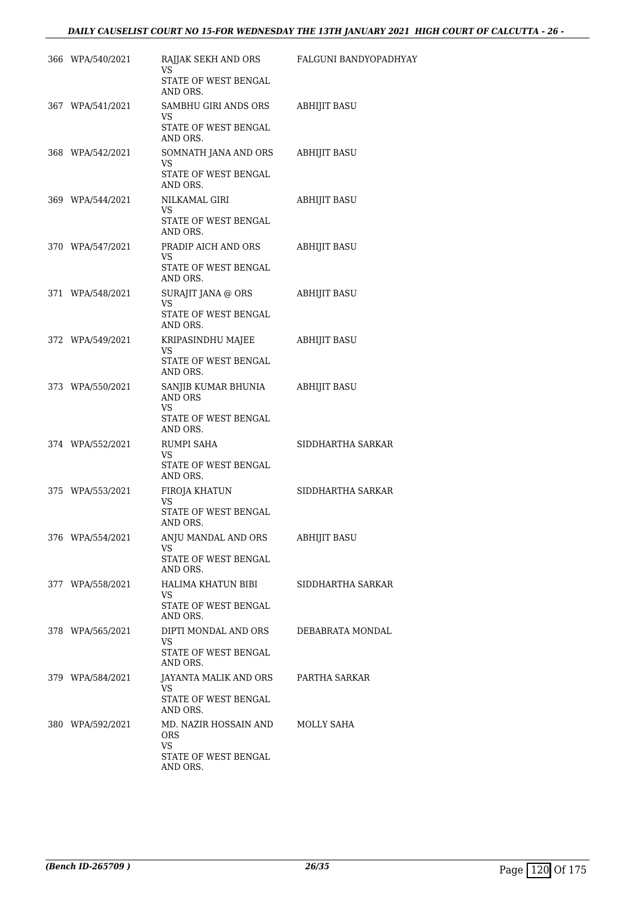| 366 WPA/540/2021 | RAJJAK SEKH AND ORS FALGUNI BANDYOPADHYAY<br>VS.<br>STATE OF WEST BENGAL      |                     |
|------------------|-------------------------------------------------------------------------------|---------------------|
| 367 WPA/541/2021 | AND ORS.<br>SAMBHU GIRI ANDS ORS<br>VS<br>STATE OF WEST BENGAL<br>AND ORS.    | ABHIJIT BASU        |
| 368 WPA/542/2021 | SOMNATH JANA AND ORS<br>VS<br>STATE OF WEST BENGAL<br>AND ORS.                | <b>ABHIJIT BASU</b> |
| 369 WPA/544/2021 | NILKAMAL GIRI<br>VS<br>STATE OF WEST BENGAL                                   | ABHIJIT BASU        |
| 370 WPA/547/2021 | AND ORS.<br>PRADIP AICH AND ORS<br><b>VS</b><br>STATE OF WEST BENGAL          | <b>ABHIJIT BASU</b> |
| 371 WPA/548/2021 | AND ORS.<br>SURAJIT JANA @ ORS<br>VS<br>STATE OF WEST BENGAL                  | <b>ABHIJIT BASU</b> |
| 372 WPA/549/2021 | AND ORS.<br>KRIPASINDHU MAJEE<br>VS<br>STATE OF WEST BENGAL                   | <b>ABHIJIT BASU</b> |
| 373 WPA/550/2021 | AND ORS.<br>SANJIB KUMAR BHUNIA<br>AND ORS                                    | <b>ABHIJIT BASU</b> |
|                  | VS<br>STATE OF WEST BENGAL<br>AND ORS.<br>RUMPI SAHA                          |                     |
| 374 WPA/552/2021 | VS.<br>STATE OF WEST BENGAL<br>AND ORS.                                       | SIDDHARTHA SARKAR   |
| 375 WPA/553/2021 | FIROJA KHATUN<br>VS<br>STATE OF WEST BENGAL                                   | SIDDHARTHA SARKAR   |
| 376 WPA/554/2021 | AND ORS.<br>ANJU MANDAL AND ORS<br>VS.<br>STATE OF WEST BENGAL<br>AND ORS.    | ABHIJIT BASU        |
| 377 WPA/558/2021 | HALIMA KHATUN BIBI<br>VS<br>STATE OF WEST BENGAL<br>AND ORS.                  | SIDDHARTHA SARKAR   |
| 378 WPA/565/2021 | DIPTI MONDAL AND ORS<br>VS<br>STATE OF WEST BENGAL<br>AND ORS.                | DEBABRATA MONDAL    |
| 379 WPA/584/2021 | JAYANTA MALIK AND ORS<br>VS<br>STATE OF WEST BENGAL<br>AND ORS.               | PARTHA SARKAR       |
| 380 WPA/592/2021 | MD. NAZIR HOSSAIN AND<br><b>ORS</b><br>VS<br>STATE OF WEST BENGAL<br>AND ORS. | MOLLY SAHA          |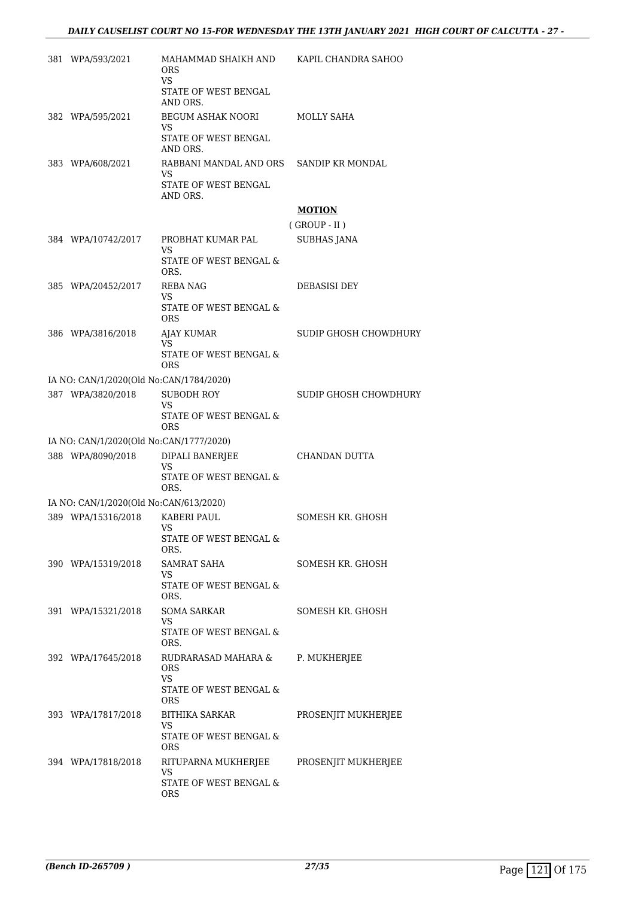| 381 WPA/593/2021                        | MAHAMMAD SHAIKH AND<br>ORS.<br>VS             | KAPIL CHANDRA SAHOO   |
|-----------------------------------------|-----------------------------------------------|-----------------------|
|                                         | STATE OF WEST BENGAL<br>AND ORS.              |                       |
| 382 WPA/595/2021                        | BEGUM ASHAK NOORI<br>VS                       | MOLLY SAHA            |
|                                         | STATE OF WEST BENGAL<br>AND ORS.              |                       |
| 383 WPA/608/2021                        | RABBANI MANDAL AND ORS SANDIP KR MONDAL<br>VS |                       |
|                                         | STATE OF WEST BENGAL<br>AND ORS.              |                       |
|                                         |                                               | <b>MOTION</b>         |
|                                         |                                               | $($ GROUP - II $)$    |
| 384 WPA/10742/2017                      | PROBHAT KUMAR PAL<br>VS                       | SUBHAS JANA           |
|                                         | STATE OF WEST BENGAL &<br>ORS.                |                       |
| 385 WPA/20452/2017                      | REBA NAG<br><b>VS</b>                         | DEBASISI DEY          |
|                                         | STATE OF WEST BENGAL &<br><b>ORS</b>          |                       |
| 386 WPA/3816/2018                       | <b>AJAY KUMAR</b><br>VS.                      | SUDIP GHOSH CHOWDHURY |
|                                         | STATE OF WEST BENGAL &<br><b>ORS</b>          |                       |
| IA NO: CAN/1/2020(Old No:CAN/1784/2020) |                                               |                       |
| 387 WPA/3820/2018                       | <b>SUBODH ROY</b><br>VS                       | SUDIP GHOSH CHOWDHURY |
|                                         | STATE OF WEST BENGAL &<br><b>ORS</b>          |                       |
| IA NO: CAN/1/2020(Old No:CAN/1777/2020) |                                               |                       |
| 388 WPA/8090/2018                       | DIPALI BANERJEE<br>VS                         | CHANDAN DUTTA         |
|                                         | STATE OF WEST BENGAL &<br>ORS.                |                       |
| IA NO: CAN/1/2020(Old No:CAN/613/2020)  |                                               |                       |
| 389 WPA/15316/2018                      | KABERI PAUL                                   | SOMESH KR. GHOSH      |
|                                         | VS.<br>STATE OF WEST BENGAL &<br>ORS.         |                       |
| 390 WPA/15319/2018                      | <b>SAMRAT SAHA</b>                            | SOMESH KR. GHOSH      |
|                                         | VS<br>STATE OF WEST BENGAL &<br>ORS.          |                       |
| 391 WPA/15321/2018                      | SOMA SARKAR                                   | SOMESH KR. GHOSH      |
|                                         | VS<br>STATE OF WEST BENGAL &<br>ORS.          |                       |
| 392 WPA/17645/2018                      | RUDRARASAD MAHARA &<br>ORS.                   | P. MUKHERJEE          |
|                                         | VS.<br>STATE OF WEST BENGAL &<br><b>ORS</b>   |                       |
| 393 WPA/17817/2018                      | BITHIKA SARKAR                                | PROSENJIT MUKHERJEE   |
|                                         | VS<br>STATE OF WEST BENGAL &<br>ORS.          |                       |
| 394 WPA/17818/2018                      | RITUPARNA MUKHERJEE<br>VS                     | PROSENJIT MUKHERJEE   |
|                                         | STATE OF WEST BENGAL &<br>ORS.                |                       |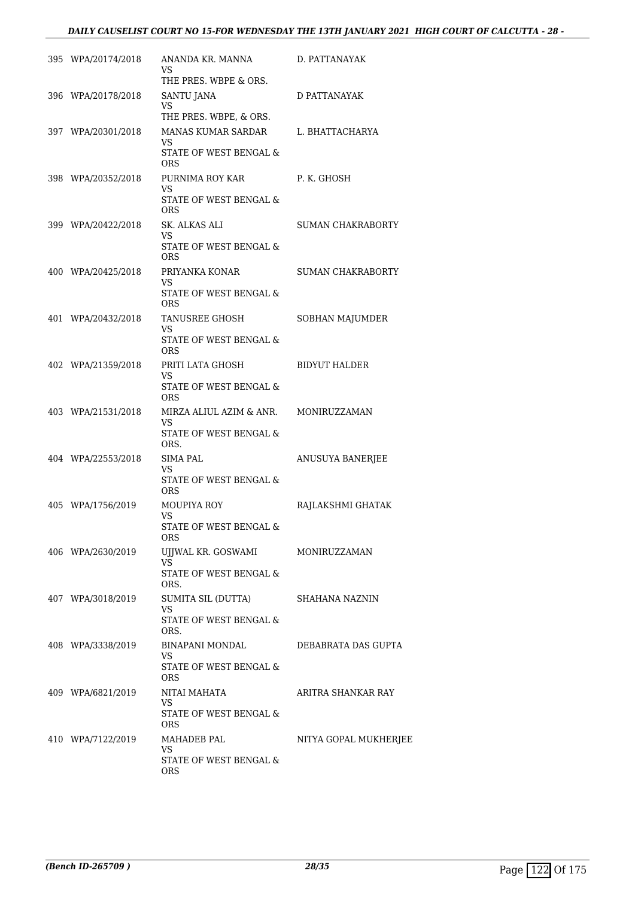## *DAILY CAUSELIST COURT NO 15-FOR WEDNESDAY THE 13TH JANUARY 2021 HIGH COURT OF CALCUTTA - 28 -*

| 395 WPA/20174/2018 | ANANDA KR. MANNA<br><b>VS</b><br>THE PRES. WBPE & ORS.                                       | D. PATTANAYAK         |
|--------------------|----------------------------------------------------------------------------------------------|-----------------------|
| 396 WPA/20178/2018 | SANTU JANA<br>VS                                                                             | D PATTANAYAK          |
| 397 WPA/20301/2018 | THE PRES. WBPE, & ORS.<br>MANAS KUMAR SARDAR L. BHATTACHARYA<br>VS<br>STATE OF WEST BENGAL & |                       |
| 398 WPA/20352/2018 | <b>ORS</b><br>PURNIMA ROY KAR P. K. GHOSH<br>VS<br>STATE OF WEST BENGAL &                    |                       |
| 399 WPA/20422/2018 | ORS.<br>SK. ALKAS ALI<br>VS<br>STATE OF WEST BENGAL &<br>ORS.                                | SUMAN CHAKRABORTY     |
| 400 WPA/20425/2018 | PRIYANKA KONAR<br>VS<br>STATE OF WEST BENGAL &<br><b>ORS</b>                                 | SUMAN CHAKRABORTY     |
| 401 WPA/20432/2018 | TANUSREE GHOSH<br>VS<br>STATE OF WEST BENGAL &<br><b>ORS</b>                                 | SOBHAN MAJUMDER       |
| 402 WPA/21359/2018 | PRITI LATA GHOSH<br>VS<br>STATE OF WEST BENGAL &<br><b>ORS</b>                               | <b>BIDYUT HALDER</b>  |
| 403 WPA/21531/2018 | MIRZA ALIUL AZIM & ANR. MONIRUZZAMAN<br><b>VS</b><br>STATE OF WEST BENGAL &<br>ORS.          |                       |
| 404 WPA/22553/2018 | SIMA PAL<br>VS<br>STATE OF WEST BENGAL &<br><b>ORS</b>                                       | ANUSUYA BANERJEE      |
| 405 WPA/1756/2019  | MOUPIYA ROY<br>VS<br>STATE OF WEST BENGAL $\&$<br>ORS                                        | RAJLAKSHMI GHATAK     |
| 406 WPA/2630/2019  | UIJWAL KR. GOSWAMI MONIRUZZAMAN<br>VS<br>STATE OF WEST BENGAL &<br>ORS.                      |                       |
| 407 WPA/3018/2019  | SUMITA SIL (DUTTA)<br>VS<br>STATE OF WEST BENGAL &<br>ORS.                                   | SHAHANA NAZNIN        |
| 408 WPA/3338/2019  | BINAPANI MONDAL<br>VS<br>STATE OF WEST BENGAL &<br>ORS.                                      | DEBABRATA DAS GUPTA   |
| 409 WPA/6821/2019  | NITAI MAHATA<br>VS.<br>STATE OF WEST BENGAL &<br><b>ORS</b>                                  | ARITRA SHANKAR RAY    |
| 410 WPA/7122/2019  | MAHADEB PAL<br>VS<br>STATE OF WEST BENGAL &<br><b>ORS</b>                                    | NITYA GOPAL MUKHERJEE |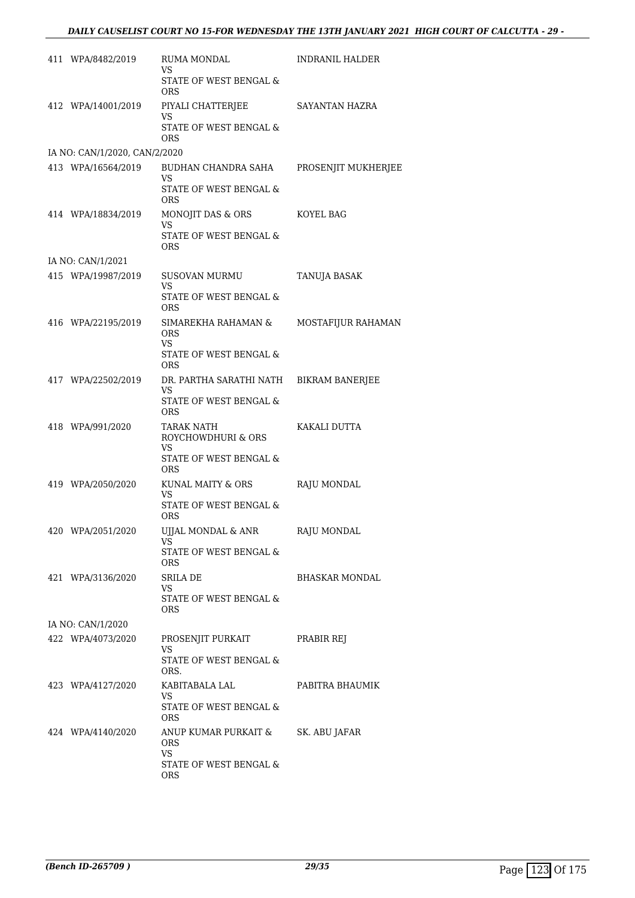| 411 WPA/8482/2019             | RUMA MONDAL<br>VS.                               | INDRANIL HALDER     |
|-------------------------------|--------------------------------------------------|---------------------|
|                               | STATE OF WEST BENGAL &<br><b>ORS</b>             |                     |
| 412 WPA/14001/2019            | PIYALI CHATTERJEE SAYANTAN HAZRA<br><b>VS</b>    |                     |
|                               | STATE OF WEST BENGAL &<br><b>ORS</b>             |                     |
| IA NO: CAN/1/2020, CAN/2/2020 |                                                  |                     |
| 413 WPA/16564/2019            | BUDHAN CHANDRA SAHA<br>VS                        | PROSENJIT MUKHERJEE |
|                               | STATE OF WEST BENGAL &<br>ORS                    |                     |
| 414 WPA/18834/2019            | MONOJIT DAS & ORS<br>VS                          | KOYEL BAG           |
|                               | STATE OF WEST BENGAL &<br><b>ORS</b>             |                     |
| IA NO: CAN/1/2021             |                                                  |                     |
| 415 WPA/19987/2019            | SUSOVAN MURMU<br>VS.                             | <b>TANUJA BASAK</b> |
|                               | STATE OF WEST BENGAL &<br><b>ORS</b>             |                     |
| 416 WPA/22195/2019            | SIMAREKHA RAHAMAN &<br><b>ORS</b>                | MOSTAFIJUR RAHAMAN  |
|                               | VS.<br>STATE OF WEST BENGAL &<br>ORS             |                     |
| 417 WPA/22502/2019            | DR. PARTHA SARATHI NATH BIKRAM BANERJEE<br>VS    |                     |
|                               | STATE OF WEST BENGAL &<br><b>ORS</b>             |                     |
| 418 WPA/991/2020              | TARAK NATH<br>ROYCHOWDHURI & ORS<br>VS.          | KAKALI DUTTA        |
|                               | STATE OF WEST BENGAL &<br><b>ORS</b>             |                     |
| 419 WPA/2050/2020             | KUNAL MAITY & ORS<br>VS                          | RAJU MONDAL         |
|                               | STATE OF WEST BENGAL &<br>ORS                    |                     |
| 420 WPA/2051/2020             | UJJAL MONDAL & ANR<br>VS.                        | RAJU MONDAL         |
|                               | STATE OF WEST BENGAL &<br>ORS                    |                     |
| 421 WPA/3136/2020             | SRILA DE<br>VS.                                  | BHASKAR MONDAL      |
|                               | STATE OF WEST BENGAL &<br><b>ORS</b>             |                     |
| IA NO: CAN/1/2020             |                                                  |                     |
| 422 WPA/4073/2020             | PROSENJIT PURKAIT<br>VS.                         | PRABIR REJ          |
|                               | STATE OF WEST BENGAL &<br>ORS.                   |                     |
| 423 WPA/4127/2020             | KABITABALA LAL<br>VS                             | PABITRA BHAUMIK     |
|                               | STATE OF WEST BENGAL &<br><b>ORS</b>             |                     |
| 424 WPA/4140/2020             | ANUP KUMAR PURKAIT & SK. ABU JAFAR<br><b>ORS</b> |                     |
|                               | VS.<br>STATE OF WEST BENGAL &<br><b>ORS</b>      |                     |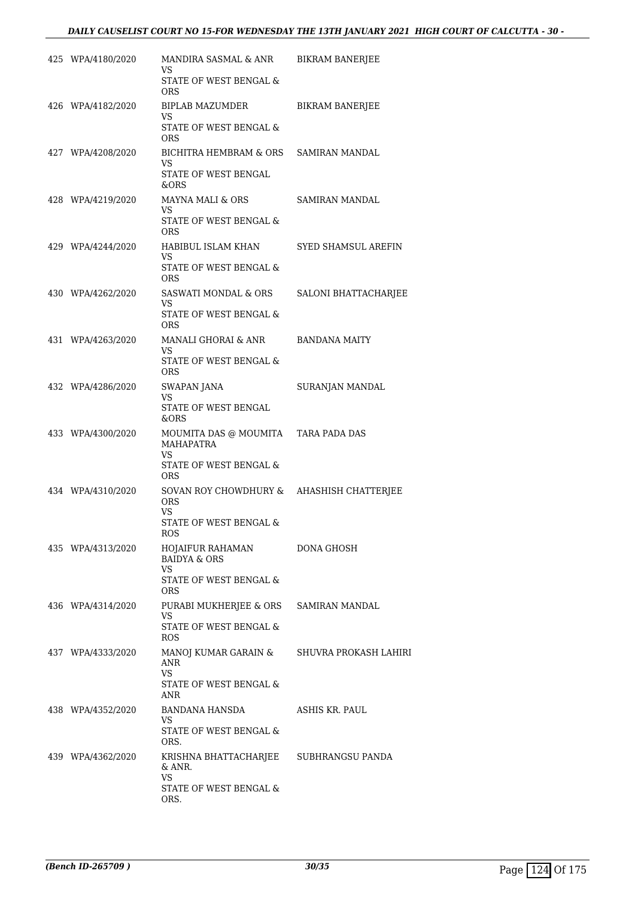| 425 WPA/4180/2020 | MANDIRA SASMAL & ANR<br>VS                              | <b>BIKRAM BANERJEE</b> |
|-------------------|---------------------------------------------------------|------------------------|
|                   | STATE OF WEST BENGAL &<br>ORS                           |                        |
| 426 WPA/4182/2020 | BIPLAB MAZUMDER<br>VS                                   | <b>BIKRAM BANERJEE</b> |
|                   | STATE OF WEST BENGAL &<br>ORS                           |                        |
| 427 WPA/4208/2020 | BICHITRA HEMBRAM & ORS<br>VS                            | <b>SAMIRAN MANDAL</b>  |
|                   | STATE OF WEST BENGAL<br>&ORS.                           |                        |
| 428 WPA/4219/2020 | MAYNA MALI & ORS<br>VS                                  | SAMIRAN MANDAL         |
|                   | STATE OF WEST BENGAL &<br>ORS.                          |                        |
| 429 WPA/4244/2020 | HABIBUL ISLAM KHAN<br>VS                                | SYED SHAMSUL AREFIN    |
|                   | STATE OF WEST BENGAL &<br>ORS                           |                        |
| 430 WPA/4262/2020 | SASWATI MONDAL & ORS<br>VS                              | SALONI BHATTACHARJEE   |
|                   | STATE OF WEST BENGAL &<br>ORS                           |                        |
| 431 WPA/4263/2020 | MANALI GHORAI & ANR<br>VS                               | <b>BANDANA MAITY</b>   |
|                   | STATE OF WEST BENGAL &<br><b>ORS</b>                    |                        |
| 432 WPA/4286/2020 | SWAPAN JANA<br>VS                                       | SURANJAN MANDAL        |
|                   | STATE OF WEST BENGAL<br>&ORS                            |                        |
| 433 WPA/4300/2020 | MOUMITA DAS @ MOUMITA TARA PADA DAS<br>MAHAPATRA<br>VS. |                        |
|                   | STATE OF WEST BENGAL &<br>ORS                           |                        |
| 434 WPA/4310/2020 | SOVAN ROY CHOWDHURY &<br>ORS                            | AHASHISH CHATTERJEE    |
|                   | VS<br>STATE OF WEST BENGAL &<br>ROS                     |                        |
| 435 WPA/4313/2020 | HOJAIFUR RAHAMAN<br><b>BAIDYA &amp; ORS</b>             | DONA GHOSH             |
|                   | VS<br>STATE OF WEST BENGAL &                            |                        |
|                   | ORS                                                     |                        |
| 436 WPA/4314/2020 | PURABI MUKHERJEE & ORS<br>VS                            | SAMIRAN MANDAL         |
|                   | STATE OF WEST BENGAL &<br><b>ROS</b>                    |                        |
| 437 WPA/4333/2020 | MANOJ KUMAR GARAIN &<br>ANR<br><b>VS</b>                | SHUVRA PROKASH LAHIRI  |
|                   | STATE OF WEST BENGAL &<br>ANR                           |                        |
| 438 WPA/4352/2020 | BANDANA HANSDA<br>VS                                    | ASHIS KR. PAUL         |
|                   | STATE OF WEST BENGAL &<br>ORS.                          |                        |
| 439 WPA/4362/2020 | KRISHNA BHATTACHARJEE<br>& ANR.                         | SUBHRANGSU PANDA       |
|                   | VS.<br>STATE OF WEST BENGAL &<br>ORS.                   |                        |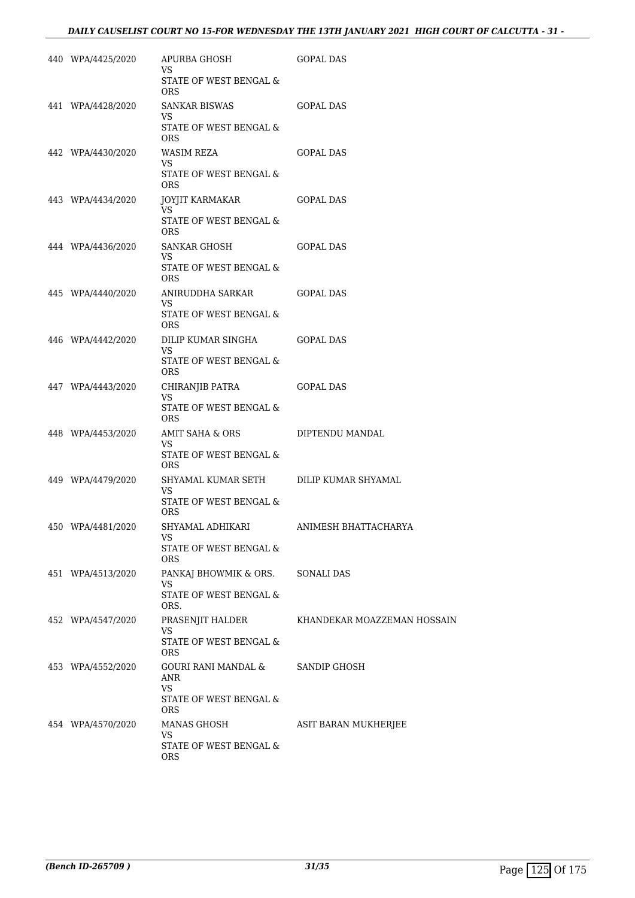| 440 WPA/4425/2020 | APURBA GHOSH<br><b>VS</b>                         | GOPAL DAS                   |
|-------------------|---------------------------------------------------|-----------------------------|
|                   | STATE OF WEST BENGAL &<br><b>ORS</b>              |                             |
| 441 WPA/4428/2020 | SANKAR BISWAS<br>VS.                              | <b>GOPAL DAS</b>            |
|                   | STATE OF WEST BENGAL &<br><b>ORS</b>              |                             |
| 442 WPA/4430/2020 | WASIM REZA<br>VS                                  | <b>GOPAL DAS</b>            |
|                   | STATE OF WEST BENGAL &<br><b>ORS</b>              |                             |
| 443 WPA/4434/2020 | JOYJIT KARMAKAR<br>VS                             | GOPAL DAS                   |
|                   | STATE OF WEST BENGAL &<br><b>ORS</b>              |                             |
| 444 WPA/4436/2020 | SANKAR GHOSH<br><b>VS</b>                         | GOPAL DAS                   |
|                   | STATE OF WEST BENGAL &<br><b>ORS</b>              |                             |
| 445 WPA/4440/2020 | ANIRUDDHA SARKAR<br>VS                            | GOPAL DAS                   |
|                   | STATE OF WEST BENGAL &<br>ORS                     |                             |
| 446 WPA/4442/2020 | DILIP KUMAR SINGHA<br>VS.                         | <b>GOPAL DAS</b>            |
|                   | STATE OF WEST BENGAL &<br><b>ORS</b>              |                             |
| 447 WPA/4443/2020 | CHIRANJIB PATRA<br>VS                             | <b>GOPAL DAS</b>            |
|                   | STATE OF WEST BENGAL &<br><b>ORS</b>              |                             |
| 448 WPA/4453/2020 | AMIT SAHA & ORS<br><b>VS</b>                      | DIPTENDU MANDAL             |
|                   | STATE OF WEST BENGAL &<br>ORS                     |                             |
| 449 WPA/4479/2020 | SHYAMAL KUMAR SETH<br>VS                          | DILIP KUMAR SHYAMAL         |
|                   | STATE OF WEST BENGAL &<br><b>ORS</b>              |                             |
| 450 WPA/4481/2020 | SHYAMAL ADHIKARI<br>VS                            | ANIMESH BHATTACHARYA        |
|                   | STATE OF WEST BENGAL &<br><b>ORS</b>              |                             |
| 451 WPA/4513/2020 | PANKAJ BHOWMIK & ORS. SONALI DAS<br>VS            |                             |
|                   | STATE OF WEST BENGAL &<br>ORS.                    |                             |
| 452 WPA/4547/2020 | PRASENJIT HALDER<br>VS                            | KHANDEKAR MOAZZEMAN HOSSAIN |
|                   | STATE OF WEST BENGAL $\&$<br><b>ORS</b>           |                             |
| 453 WPA/4552/2020 | GOURI RANI MANDAL &<br><b>ANR</b>                 | SANDIP GHOSH                |
|                   | <b>VS</b><br>STATE OF WEST BENGAL &<br><b>ORS</b> |                             |
| 454 WPA/4570/2020 | MANAS GHOSH                                       | ASIT BARAN MUKHERJEE        |
|                   | <b>VS</b><br>STATE OF WEST BENGAL &<br><b>ORS</b> |                             |
|                   |                                                   |                             |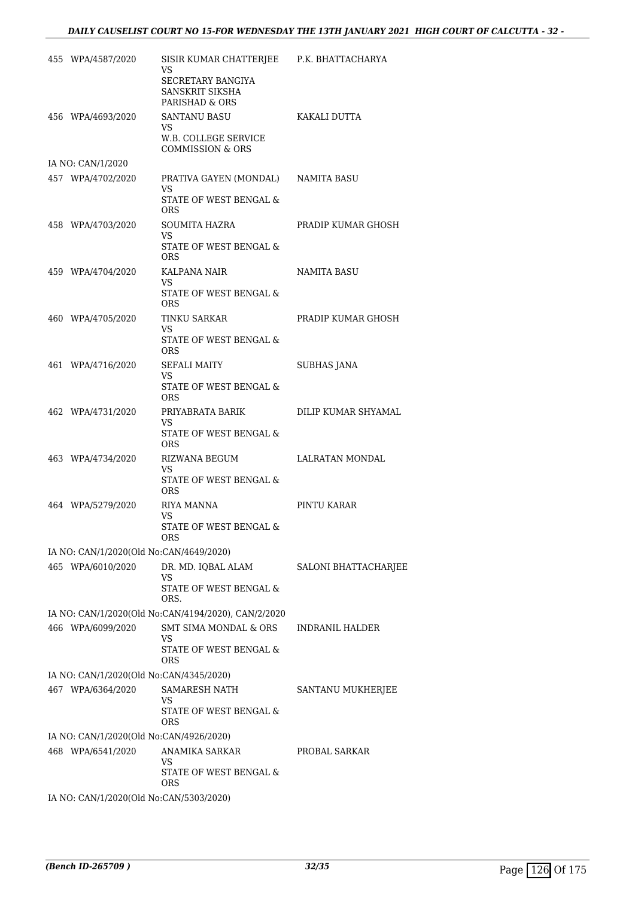| 455 WPA/4587/2020                       | SISIR KUMAR CHATTERJEE P.K. BHATTACHARYA<br>VS<br>SECRETARY BANGIYA<br>SANSKRIT SIKSHA<br>PARISHAD & ORS |                        |  |
|-----------------------------------------|----------------------------------------------------------------------------------------------------------|------------------------|--|
| 456 WPA/4693/2020                       | <b>SANTANU BASU</b><br>VS<br>W.B. COLLEGE SERVICE                                                        | KAKALI DUTTA           |  |
|                                         | <b>COMMISSION &amp; ORS</b>                                                                              |                        |  |
| IA NO: CAN/1/2020                       |                                                                                                          |                        |  |
| 457 WPA/4702/2020                       | PRATIVA GAYEN (MONDAL) NAMITA BASU<br>VS<br>STATE OF WEST BENGAL &<br><b>ORS</b>                         |                        |  |
| 458 WPA/4703/2020                       | SOUMITA HAZRA<br>VS.                                                                                     | PRADIP KUMAR GHOSH     |  |
|                                         | STATE OF WEST BENGAL &<br><b>ORS</b>                                                                     |                        |  |
| 459 WPA/4704/2020                       | KALPANA NAIR<br>VS                                                                                       | NAMITA BASU            |  |
|                                         | STATE OF WEST BENGAL &<br>ORS.                                                                           |                        |  |
| 460 WPA/4705/2020                       | TINKU SARKAR<br>VS                                                                                       | PRADIP KUMAR GHOSH     |  |
|                                         | STATE OF WEST BENGAL &<br>ORS                                                                            |                        |  |
| 461 WPA/4716/2020                       | <b>SEFALI MAITY</b><br>VS.                                                                               | <b>SUBHAS JANA</b>     |  |
|                                         | STATE OF WEST BENGAL &<br>ORS.                                                                           |                        |  |
| 462 WPA/4731/2020                       | PRIYABRATA BARIK<br>VS<br>STATE OF WEST BENGAL &<br>ORS.                                                 | DILIP KUMAR SHYAMAL    |  |
| 463 WPA/4734/2020                       | RIZWANA BEGUM<br>VS.                                                                                     | LALRATAN MONDAL        |  |
|                                         | STATE OF WEST BENGAL &<br><b>ORS</b>                                                                     |                        |  |
| 464 WPA/5279/2020                       | RIYA MANNA<br>VS                                                                                         | PINTU KARAR            |  |
|                                         | STATE OF WEST BENGAL &<br>ORS                                                                            |                        |  |
| IA NO: CAN/1/2020(Old No:CAN/4649/2020) |                                                                                                          |                        |  |
| 465 WPA/6010/2020                       | DR. MD. IQBAL ALAM<br>VS<br>STATE OF WEST BENGAL &                                                       | SALONI BHATTACHARJEE   |  |
|                                         | ORS.                                                                                                     |                        |  |
|                                         | IA NO: CAN/1/2020(Old No:CAN/4194/2020), CAN/2/2020                                                      |                        |  |
| 466 WPA/6099/2020                       | <b>SMT SIMA MONDAL &amp; ORS</b><br>VS                                                                   | <b>INDRANIL HALDER</b> |  |
|                                         | STATE OF WEST BENGAL &<br><b>ORS</b>                                                                     |                        |  |
| IA NO: CAN/1/2020(Old No:CAN/4345/2020) |                                                                                                          |                        |  |
| 467 WPA/6364/2020                       | <b>SAMARESH NATH</b><br>VS                                                                               | SANTANU MUKHERJEE      |  |
|                                         | STATE OF WEST BENGAL &<br>ORS                                                                            |                        |  |
| IA NO: CAN/1/2020(Old No:CAN/4926/2020) |                                                                                                          |                        |  |
| 468 WPA/6541/2020                       | ANAMIKA SARKAR                                                                                           | PROBAL SARKAR          |  |
|                                         | VS<br>STATE OF WEST BENGAL &<br>ORS                                                                      |                        |  |
| IA NO: CAN/1/2020(Old No:CAN/5303/2020) |                                                                                                          |                        |  |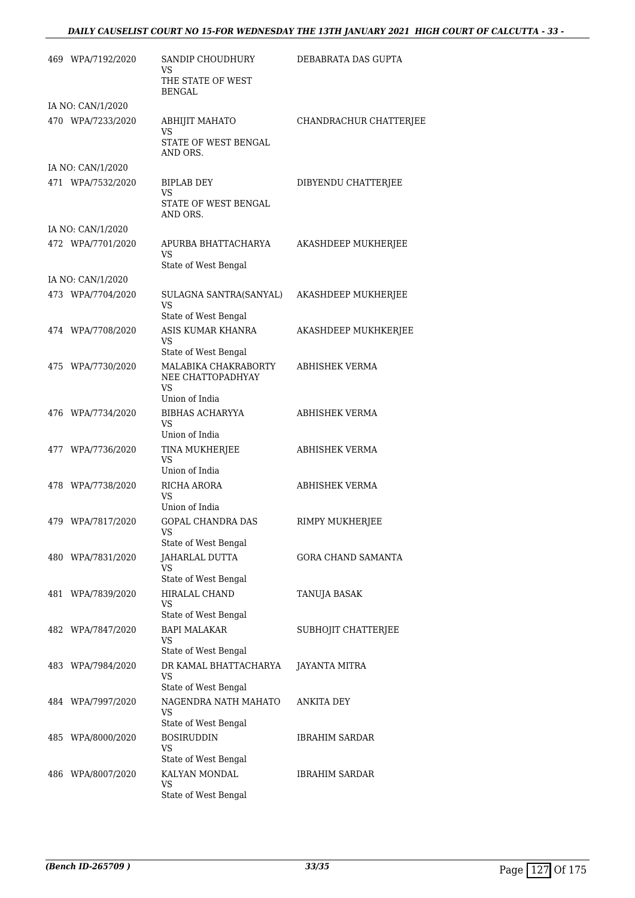## *DAILY CAUSELIST COURT NO 15-FOR WEDNESDAY THE 13TH JANUARY 2021 HIGH COURT OF CALCUTTA - 33 -*

| 469 WPA/7192/2020 | SANDIP CHOUDHURY<br>VS                                      | DEBABRATA DAS GUPTA    |
|-------------------|-------------------------------------------------------------|------------------------|
|                   | THE STATE OF WEST<br><b>BENGAL</b>                          |                        |
| IA NO: CAN/1/2020 |                                                             |                        |
| 470 WPA/7233/2020 | ABHIJIT MAHATO<br>VS                                        | CHANDRACHUR CHATTERJEE |
|                   | STATE OF WEST BENGAL<br>AND ORS.                            |                        |
| IA NO: CAN/1/2020 |                                                             |                        |
| 471 WPA/7532/2020 | BIPLAB DEY<br>VS                                            | DIBYENDU CHATTERJEE    |
|                   | STATE OF WEST BENGAL<br>AND ORS.                            |                        |
| IA NO: CAN/1/2020 |                                                             |                        |
| 472 WPA/7701/2020 | APURBA BHATTACHARYA<br><b>VS</b>                            | AKASHDEEP MUKHERJEE    |
|                   | State of West Bengal                                        |                        |
| IA NO: CAN/1/2020 |                                                             |                        |
| 473 WPA/7704/2020 | SULAGNA SANTRA(SANYAL)<br><b>VS</b><br>State of West Bengal | AKASHDEEP MUKHERJEE    |
| 474 WPA/7708/2020 | ASIS KUMAR KHANRA                                           | AKASHDEEP MUKHKERJEE   |
|                   | VS<br>State of West Bengal                                  |                        |
| 475 WPA/7730/2020 | MALABIKA CHAKRABORTY                                        | ABHISHEK VERMA         |
|                   | NEE CHATTOPADHYAY<br>VS                                     |                        |
|                   | Union of India                                              |                        |
| 476 WPA/7734/2020 | <b>BIBHAS ACHARYYA</b>                                      | <b>ABHISHEK VERMA</b>  |
|                   | <b>VS</b><br>Union of India                                 |                        |
| 477 WPA/7736/2020 | TINA MUKHERJEE                                              | <b>ABHISHEK VERMA</b>  |
|                   | VS<br>Union of India                                        |                        |
| 478 WPA/7738/2020 | RICHA ARORA                                                 | ABHISHEK VERMA         |
|                   | <b>VS</b><br>Union of India                                 |                        |
|                   |                                                             |                        |
| 479 WPA/7817/2020 | GOPAL CHANDRA DAS<br><b>VS</b>                              | RIMPY MUKHERJEE        |
|                   | State of West Bengal                                        |                        |
| 480 WPA/7831/2020 | JAHARLAL DUTTA<br>VS                                        | GORA CHAND SAMANTA     |
|                   | State of West Bengal                                        |                        |
| 481 WPA/7839/2020 | HIRALAL CHAND<br>VS                                         | TANUJA BASAK           |
|                   | State of West Bengal                                        |                        |
| 482 WPA/7847/2020 | <b>BAPI MALAKAR</b>                                         | SUBHOJIT CHATTERJEE    |
|                   | VS<br>State of West Bengal                                  |                        |
| 483 WPA/7984/2020 | DR KAMAL BHATTACHARYA                                       | <b>JAYANTA MITRA</b>   |
|                   | VS                                                          |                        |
| 484 WPA/7997/2020 | State of West Bengal<br>NAGENDRA NATH MAHATO                | ANKITA DEY             |
|                   | VS                                                          |                        |
|                   | State of West Bengal                                        |                        |
| 485 WPA/8000/2020 | <b>BOSIRUDDIN</b><br><b>VS</b>                              | IBRAHIM SARDAR         |
|                   | State of West Bengal                                        |                        |
| 486 WPA/8007/2020 | KALYAN MONDAL<br>VS                                         | <b>IBRAHIM SARDAR</b>  |
|                   | State of West Bengal                                        |                        |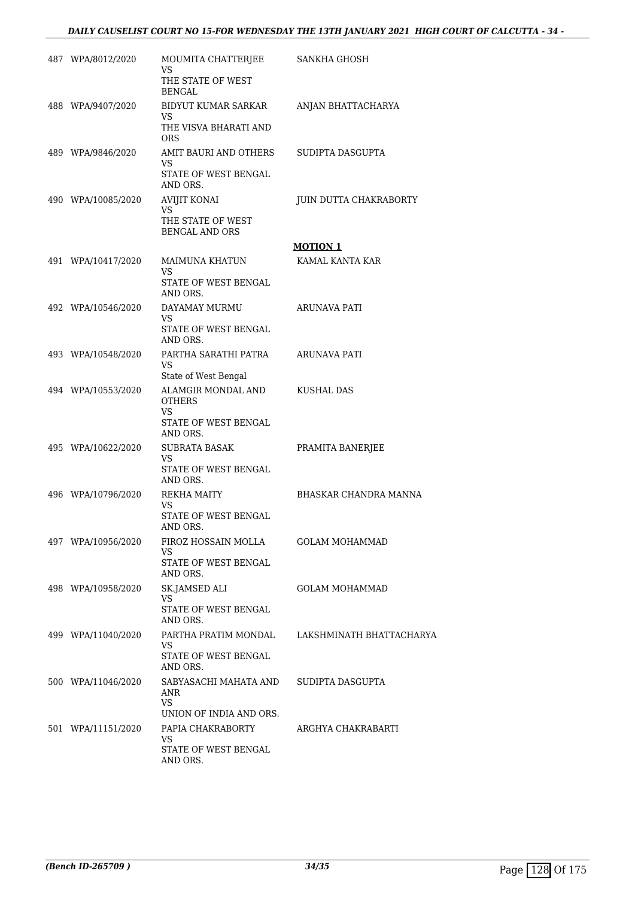## *DAILY CAUSELIST COURT NO 15-FOR WEDNESDAY THE 13TH JANUARY 2021 HIGH COURT OF CALCUTTA - 34 -*

| 487 WPA/8012/2020  | MOUMITA CHATTERJEE<br>VS.                                                      | SANKHA GHOSH             |
|--------------------|--------------------------------------------------------------------------------|--------------------------|
|                    | THE STATE OF WEST<br><b>BENGAL</b>                                             |                          |
| 488 WPA/9407/2020  | BIDYUT KUMAR SARKAR<br>VS.                                                     | ANJAN BHATTACHARYA       |
|                    | THE VISVA BHARATI AND<br><b>ORS</b>                                            |                          |
| 489 WPA/9846/2020  | AMIT BAURI AND OTHERS<br>VS.                                                   | SUDIPTA DASGUPTA         |
|                    | STATE OF WEST BENGAL<br>AND ORS.                                               |                          |
| 490 WPA/10085/2020 | <b>AVIJIT KONAI</b><br>VS                                                      | JUIN DUTTA CHAKRABORTY   |
|                    | THE STATE OF WEST<br><b>BENGAL AND ORS</b>                                     |                          |
|                    |                                                                                | <b>MOTION 1</b>          |
| 491 WPA/10417/2020 | MAIMUNA KHATUN<br>VS.                                                          | KAMAL KANTA KAR          |
|                    | STATE OF WEST BENGAL<br>AND ORS.                                               |                          |
| 492 WPA/10546/2020 | DAYAMAY MURMU<br>VS.                                                           | ARUNAVA PATI             |
|                    | STATE OF WEST BENGAL<br>AND ORS.                                               |                          |
| 493 WPA/10548/2020 | PARTHA SARATHI PATRA<br>VS                                                     | ARUNAVA PATI             |
|                    | State of West Bengal                                                           |                          |
| 494 WPA/10553/2020 | ALAMGIR MONDAL AND<br><b>OTHERS</b><br>VS.<br>STATE OF WEST BENGAL<br>AND ORS. | KUSHAL DAS               |
| 495 WPA/10622/2020 | SUBRATA BASAK                                                                  | PRAMITA BANERJEE         |
|                    | VS.<br>STATE OF WEST BENGAL<br>AND ORS.                                        |                          |
| 496 WPA/10796/2020 | REKHA MAITY<br>VS                                                              | BHASKAR CHANDRA MANNA    |
|                    | STATE OF WEST BENGAL<br>AND ORS.                                               |                          |
| 497 WPA/10956/2020 | FIROZ HOSSAIN MOLLA<br>VS.                                                     | GOLAM MOHAMMAD           |
|                    | STATE OF WEST BENGAL<br>AND ORS.                                               |                          |
| 498 WPA/10958/2020 | SK.JAMSED ALI<br>VS                                                            | GOLAM MOHAMMAD           |
|                    | STATE OF WEST BENGAL<br>AND ORS.                                               |                          |
| 499 WPA/11040/2020 | PARTHA PRATIM MONDAL<br>VS.                                                    | LAKSHMINATH BHATTACHARYA |
|                    | STATE OF WEST BENGAL<br>AND ORS.                                               |                          |
| 500 WPA/11046/2020 | SABYASACHI MAHATA AND<br>ANR                                                   | SUDIPTA DASGUPTA         |
|                    | VS.<br>UNION OF INDIA AND ORS.                                                 |                          |
| 501 WPA/11151/2020 | PAPIA CHAKRABORTY<br>VS.                                                       | ARGHYA CHAKRABARTI       |
|                    | STATE OF WEST BENGAL<br>AND ORS.                                               |                          |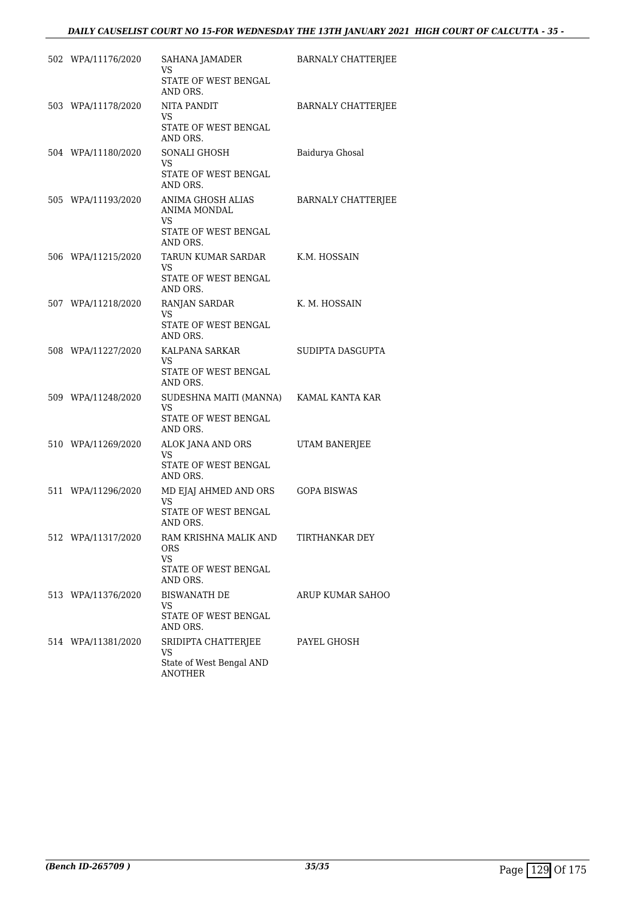## *DAILY CAUSELIST COURT NO 15-FOR WEDNESDAY THE 13TH JANUARY 2021 HIGH COURT OF CALCUTTA - 35 -*

| 502 WPA/11176/2020 | SAHANA JAMADER                               | BARNALY CHATTERJEE |
|--------------------|----------------------------------------------|--------------------|
|                    | VS.                                          |                    |
|                    | STATE OF WEST BENGAL<br>AND ORS.             |                    |
| 503 WPA/11178/2020 | NITA PANDIT                                  | BARNALY CHATTERJEE |
|                    | VS.<br>STATE OF WEST BENGAL<br>AND ORS.      |                    |
| 504 WPA/11180/2020 | SONALI GHOSH                                 | Baidurya Ghosal    |
|                    | VS<br>STATE OF WEST BENGAL<br>AND ORS.       |                    |
| 505 WPA/11193/2020 | ANIMA GHOSH ALIAS<br>ANIMA MONDAL<br>VS.     | BARNALY CHATTERJEE |
|                    | STATE OF WEST BENGAL<br>AND ORS.             |                    |
| 506 WPA/11215/2020 | TARUN KUMAR SARDAR<br>VS.                    | K.M. HOSSAIN       |
|                    | STATE OF WEST BENGAL<br>AND ORS.             |                    |
| 507 WPA/11218/2020 | RANJAN SARDAR<br>VS                          | K. M. HOSSAIN      |
|                    | STATE OF WEST BENGAL<br>AND ORS.             |                    |
| 508 WPA/11227/2020 | KALPANA SARKAR<br>VS.                        | SUDIPTA DASGUPTA   |
|                    | STATE OF WEST BENGAL<br>AND ORS.             |                    |
| 509 WPA/11248/2020 | SUDESHNA MAITI (MANNA) KAMAL KANTA KAR<br>VS |                    |
|                    | STATE OF WEST BENGAL<br>AND ORS.             |                    |
| 510 WPA/11269/2020 | ALOK JANA AND ORS<br>VS.                     | UTAM BANERJEE      |
|                    | STATE OF WEST BENGAL<br>AND ORS.             |                    |
| 511 WPA/11296/2020 | MD EJAJ AHMED AND ORS<br>VS.                 | <b>GOPA BISWAS</b> |
|                    | STATE OF WEST BENGAL<br>AND ORS.             |                    |
| 512 WPA/11317/2020 | RAM KRISHNA MALIK AND<br>ORS<br><b>VS</b>    | TIRTHANKAR DEY     |
|                    | STATE OF WEST BENGAL<br>AND ORS.             |                    |
| 513 WPA/11376/2020 | <b>BISWANATH DE</b><br>VS                    | ARUP KUMAR SAHOO   |
|                    | STATE OF WEST BENGAL<br>AND ORS.             |                    |
| 514 WPA/11381/2020 | SRIDIPTA CHATTERJEE<br>VS                    | PAYEL GHOSH        |
|                    | State of West Bengal AND<br><b>ANOTHER</b>   |                    |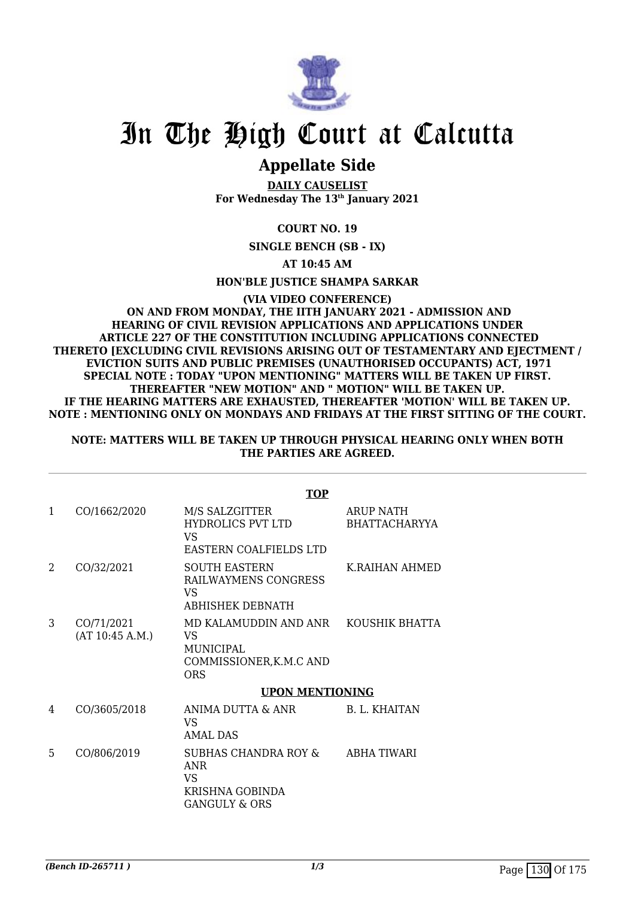

## **Appellate Side**

**DAILY CAUSELIST For Wednesday The 13th January 2021**

## **COURT NO. 19**

**SINGLE BENCH (SB - IX)**

**AT 10:45 AM**

**HON'BLE JUSTICE SHAMPA SARKAR**

#### **(VIA VIDEO CONFERENCE) ON AND FROM MONDAY, THE IITH JANUARY 2021 - ADMISSION AND HEARING OF CIVIL REVISION APPLICATIONS AND APPLICATIONS UNDER ARTICLE 227 OF THE CONSTITUTION INCLUDING APPLICATIONS CONNECTED THERETO [EXCLUDING CIVIL REVISIONS ARISING OUT OF TESTAMENTARY AND EJECTMENT / EVICTION SUITS AND PUBLIC PREMISES (UNAUTHORISED OCCUPANTS) ACT, 1971 SPECIAL NOTE : TODAY "UPON MENTIONING" MATTERS WILL BE TAKEN UP FIRST. THEREAFTER "NEW MOTION" AND " MOTION" WILL BE TAKEN UP. IF THE HEARING MATTERS ARE EXHAUSTED, THEREAFTER 'MOTION' WILL BE TAKEN UP. NOTE : MENTIONING ONLY ON MONDAYS AND FRIDAYS AT THE FIRST SITTING OF THE COURT.**

## **NOTE: MATTERS WILL BE TAKEN UP THROUGH PHYSICAL HEARING ONLY WHEN BOTH THE PARTIES ARE AGREED.**

|   |                               | <b>TOP</b>                                                                                       |                                          |
|---|-------------------------------|--------------------------------------------------------------------------------------------------|------------------------------------------|
| 1 | CO/1662/2020                  | M/S SALZGITTER<br>HYDROLICS PVT LTD<br>VS<br>EASTERN COALFIELDS LTD                              | <b>ARUP NATH</b><br><b>BHATTACHARYYA</b> |
| 2 | CO/32/2021                    | <b>SOUTH EASTERN</b><br>RAILWAYMENS CONGRESS<br>VS<br>ABHISHEK DEBNATH                           | K.RAIHAN AHMED                           |
| 3 | CO/71/2021<br>(AT 10:45 A.M.) | MD KALAMUDDIN AND ANR KOUSHIK BHATTA<br>VS<br>MUNICIPAL<br>COMMISSIONER, K.M.C AND<br><b>ORS</b> |                                          |
|   |                               | <b>UPON MENTIONING</b>                                                                           |                                          |
| 4 | CO/3605/2018                  | ANIMA DUTTA & ANR<br><b>VS</b><br>AMAL DAS                                                       | B. L. KHAITAN                            |
| 5 | CO/806/2019                   | SUBHAS CHANDRA ROY &<br>ANR<br>VS<br>KRISHNA GOBINDA<br><b>GANGULY &amp; ORS</b>                 | ABHA TIWARI                              |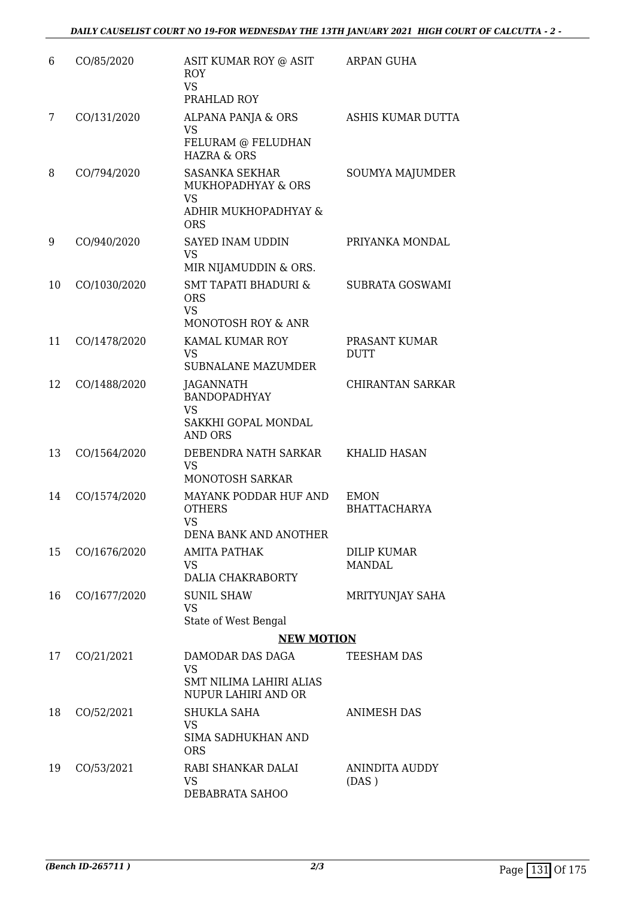| 6  | CO/85/2020   | ASIT KUMAR ROY @ ASIT<br><b>ROY</b><br><b>VS</b><br>PRAHLAD ROY                                           | <b>ARPAN GUHA</b>                   |
|----|--------------|-----------------------------------------------------------------------------------------------------------|-------------------------------------|
| 7  | CO/131/2020  | ALPANA PANJA & ORS<br><b>VS</b><br>FELURAM @ FELUDHAN<br><b>HAZRA &amp; ORS</b>                           | <b>ASHIS KUMAR DUTTA</b>            |
| 8  | CO/794/2020  | <b>SASANKA SEKHAR</b><br><b>MUKHOPADHYAY &amp; ORS</b><br><b>VS</b><br>ADHIR MUKHOPADHYAY &<br><b>ORS</b> | SOUMYA MAJUMDER                     |
| 9  | CO/940/2020  | <b>SAYED INAM UDDIN</b><br><b>VS</b><br>MIR NIJAMUDDIN & ORS.                                             | PRIYANKA MONDAL                     |
| 10 | CO/1030/2020 | <b>SMT TAPATI BHADURI &amp;</b><br><b>ORS</b><br><b>VS</b><br>MONOTOSH ROY & ANR                          | <b>SUBRATA GOSWAMI</b>              |
| 11 | CO/1478/2020 | KAMAL KUMAR ROY<br><b>VS</b><br>SUBNALANE MAZUMDER                                                        | PRASANT KUMAR<br><b>DUTT</b>        |
| 12 | CO/1488/2020 | JAGANNATH<br><b>BANDOPADHYAY</b><br><b>VS</b><br>SAKKHI GOPAL MONDAL<br><b>AND ORS</b>                    | <b>CHIRANTAN SARKAR</b>             |
| 13 | CO/1564/2020 | DEBENDRA NATH SARKAR<br><b>VS</b><br>MONOTOSH SARKAR                                                      | <b>KHALID HASAN</b>                 |
| 14 | CO/1574/2020 | MAYANK PODDAR HUF AND<br><b>OTHERS</b><br><b>VS</b><br>DENA BANK AND ANOTHER                              | <b>EMON</b><br><b>BHATTACHARYA</b>  |
| 15 | CO/1676/2020 | AMITA PATHAK<br><b>VS</b><br>DALIA CHAKRABORTY                                                            | <b>DILIP KUMAR</b><br><b>MANDAL</b> |
| 16 | CO/1677/2020 | <b>SUNIL SHAW</b><br><b>VS</b><br>State of West Bengal                                                    | MRITYUNJAY SAHA                     |
|    |              | <b>NEW MOTION</b>                                                                                         |                                     |
| 17 | CO/21/2021   | DAMODAR DAS DAGA<br><b>VS</b><br><b>SMT NILIMA LAHIRI ALIAS</b><br>NUPUR LAHIRI AND OR                    | TEESHAM DAS                         |
| 18 | CO/52/2021   | SHUKLA SAHA<br><b>VS</b><br>SIMA SADHUKHAN AND<br><b>ORS</b>                                              | <b>ANIMESH DAS</b>                  |
| 19 | CO/53/2021   | RABI SHANKAR DALAI<br><b>VS</b><br>DEBABRATA SAHOO                                                        | <b>ANINDITA AUDDY</b><br>(DAS)      |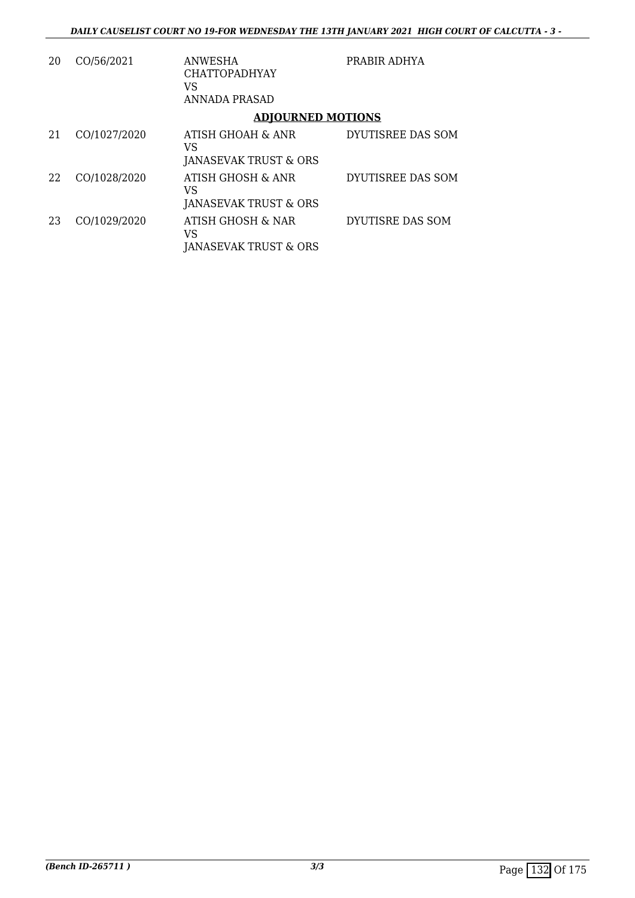| 20 | CO/56/2021   | <b>ANWESHA</b><br><b>CHATTOPADHYAY</b><br>VS<br>ANNADA PRASAD | PRABIR ADHYA      |
|----|--------------|---------------------------------------------------------------|-------------------|
|    |              | <b>ADJOURNED MOTIONS</b>                                      |                   |
| 21 | CO/1027/2020 | ATISH GHOAH & ANR<br>VS<br>JANASEVAK TRUST & ORS              | DYUTISREE DAS SOM |
| 22 | CO/1028/2020 | ATISH GHOSH & ANR<br>VS<br>JANASEVAK TRUST & ORS              | DYUTISREE DAS SOM |
| 23 | CO/1029/2020 | ATISH GHOSH & NAR<br>VS<br><b>JANASEVAK TRUST &amp; ORS</b>   | DYUTISRE DAS SOM  |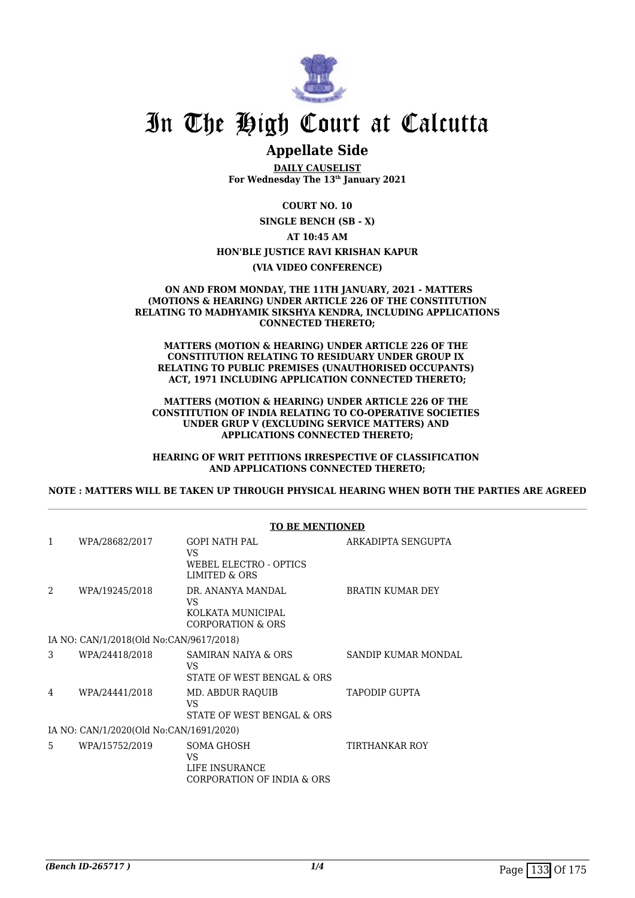

## **Appellate Side**

**DAILY CAUSELIST For Wednesday The 13th January 2021**

**COURT NO. 10**

**SINGLE BENCH (SB - X)**

**AT 10:45 AM**

## **HON'BLE JUSTICE RAVI KRISHAN KAPUR**

**(VIA VIDEO CONFERENCE)**

#### **ON AND FROM MONDAY, THE 11TH JANUARY, 2021 - MATTERS (MOTIONS & HEARING) UNDER ARTICLE 226 OF THE CONSTITUTION RELATING TO MADHYAMIK SIKSHYA KENDRA, INCLUDING APPLICATIONS CONNECTED THERETO;**

**MATTERS (MOTION & HEARING) UNDER ARTICLE 226 OF THE CONSTITUTION RELATING TO RESIDUARY UNDER GROUP IX RELATING TO PUBLIC PREMISES (UNAUTHORISED OCCUPANTS) ACT, 1971 INCLUDING APPLICATION CONNECTED THERETO;**

#### **MATTERS (MOTION & HEARING) UNDER ARTICLE 226 OF THE CONSTITUTION OF INDIA RELATING TO CO-OPERATIVE SOCIETIES UNDER GRUP V (EXCLUDING SERVICE MATTERS) AND APPLICATIONS CONNECTED THERETO;**

**HEARING OF WRIT PETITIONS IRRESPECTIVE OF CLASSIFICATION AND APPLICATIONS CONNECTED THERETO;**

**NOTE : MATTERS WILL BE TAKEN UP THROUGH PHYSICAL HEARING WHEN BOTH THE PARTIES ARE AGREED**

|   |                                         | <b>TO BE MENTIONED</b>                                                        |                         |  |
|---|-----------------------------------------|-------------------------------------------------------------------------------|-------------------------|--|
| 1 | WPA/28682/2017                          | <b>GOPI NATH PAL</b><br>VS.<br>WEBEL ELECTRO - OPTICS<br>LIMITED & ORS        | ARKADIPTA SENGUPTA      |  |
| 2 | WPA/19245/2018                          | DR. ANANYA MANDAL<br>VS.<br>KOLKATA MUNICIPAL<br><b>CORPORATION &amp; ORS</b> | <b>BRATIN KUMAR DEY</b> |  |
|   | IA NO: CAN/1/2018(Old No:CAN/9617/2018) |                                                                               |                         |  |
| 3 | WPA/24418/2018                          | SAMIRAN NAIYA & ORS<br>VS.<br>STATE OF WEST BENGAL & ORS                      | SANDIP KUMAR MONDAL     |  |
| 4 | WPA/24441/2018                          | MD. ABDUR RAQUIB<br>VS.<br>STATE OF WEST BENGAL & ORS                         | <b>TAPODIP GUPTA</b>    |  |
|   | IA NO: CAN/1/2020(Old No:CAN/1691/2020) |                                                                               |                         |  |
| 5 | WPA/15752/2019                          | SOMA GHOSH<br>VS.<br>LIFE INSURANCE<br>CORPORATION OF INDIA & ORS             | TIRTHANKAR ROY          |  |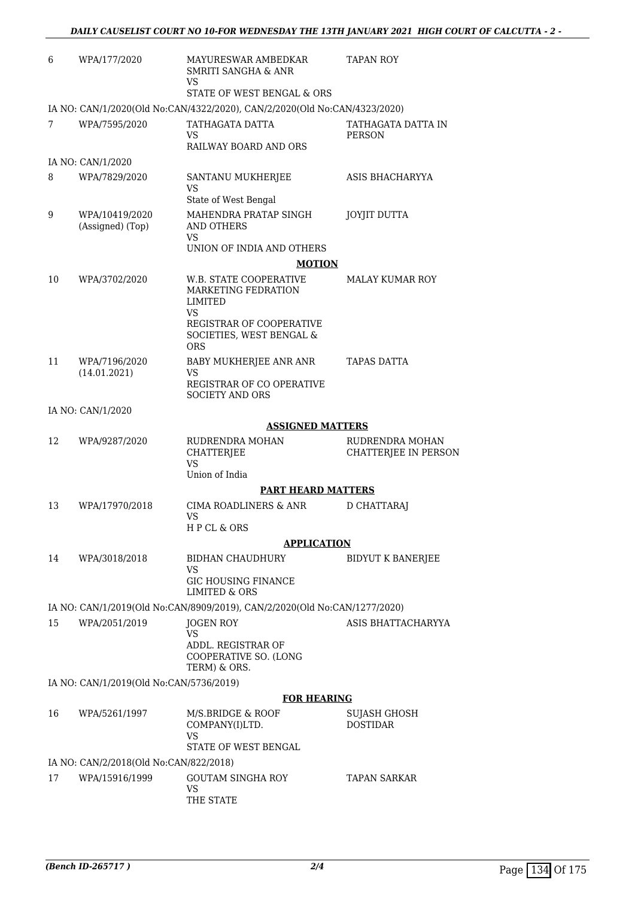| 6  | WPA/177/2020                            | MAYURESWAR AMBEDKAR<br>SMRITI SANGHA & ANR<br>VS                                                                                             | TAPAN ROY                                      |
|----|-----------------------------------------|----------------------------------------------------------------------------------------------------------------------------------------------|------------------------------------------------|
|    |                                         | STATE OF WEST BENGAL & ORS                                                                                                                   |                                                |
|    |                                         | IA NO: CAN/1/2020(Old No:CAN/4322/2020), CAN/2/2020(Old No:CAN/4323/2020)                                                                    |                                                |
| 7  | WPA/7595/2020                           | TATHAGATA DATTA<br>VS<br>RAILWAY BOARD AND ORS                                                                                               | TATHAGATA DATTA IN<br><b>PERSON</b>            |
|    | IA NO: CAN/1/2020                       |                                                                                                                                              |                                                |
| 8  | WPA/7829/2020                           | SANTANU MUKHERJEE<br>VS                                                                                                                      | ASIS BHACHARYYA                                |
| 9  | WPA/10419/2020<br>(Assigned) (Top)      | State of West Bengal<br>MAHENDRA PRATAP SINGH<br>AND OTHERS<br>VS                                                                            | <b>JOYJIT DUTTA</b>                            |
|    |                                         | UNION OF INDIA AND OTHERS                                                                                                                    |                                                |
|    |                                         | <b>MOTION</b>                                                                                                                                |                                                |
| 10 | WPA/3702/2020                           | W.B. STATE COOPERATIVE<br>MARKETING FEDRATION<br><b>LIMITED</b><br>VS.<br>REGISTRAR OF COOPERATIVE<br>SOCIETIES, WEST BENGAL &<br><b>ORS</b> | <b>MALAY KUMAR ROY</b>                         |
| 11 | WPA/7196/2020<br>(14.01.2021)           | BABY MUKHERJEE ANR ANR<br><b>VS</b><br>REGISTRAR OF CO OPERATIVE<br><b>SOCIETY AND ORS</b>                                                   | <b>TAPAS DATTA</b>                             |
|    | IA NO: CAN/1/2020                       |                                                                                                                                              |                                                |
|    |                                         | <b>ASSIGNED MATTERS</b>                                                                                                                      |                                                |
| 12 | WPA/9287/2020                           | RUDRENDRA MOHAN<br><b>CHATTERJEE</b><br><b>VS</b><br>Union of India                                                                          | RUDRENDRA MOHAN<br><b>CHATTERJEE IN PERSON</b> |
|    |                                         | <b>PART HEARD MATTERS</b>                                                                                                                    |                                                |
| 13 | WPA/17970/2018                          | CIMA ROADLINERS & ANR<br><b>VS</b><br>H P CL & ORS                                                                                           | D CHATTARAI                                    |
|    |                                         | <b>APPLICATION</b>                                                                                                                           |                                                |
| 14 | WPA/3018/2018                           | BIDHAN CHAUDHURY<br><b>VS</b>                                                                                                                | <b>BIDYUT K BANERJEE</b>                       |
|    |                                         | <b>GIC HOUSING FINANCE</b><br><b>LIMITED &amp; ORS</b>                                                                                       |                                                |
|    |                                         | IA NO: CAN/1/2019(Old No:CAN/8909/2019), CAN/2/2020(Old No:CAN/1277/2020)                                                                    |                                                |
| 15 | WPA/2051/2019                           | <b>JOGEN ROY</b><br><b>VS</b><br>ADDL. REGISTRAR OF<br>COOPERATIVE SO. (LONG<br>TERM) & ORS.                                                 | ASIS BHATTACHARYYA                             |
|    | IA NO: CAN/1/2019(Old No:CAN/5736/2019) |                                                                                                                                              |                                                |
|    |                                         | <b>FOR HEARING</b>                                                                                                                           |                                                |
| 16 | WPA/5261/1997                           | M/S.BRIDGE & ROOF<br>COMPANY(I)LTD.<br><b>VS</b>                                                                                             | SUJASH GHOSH<br><b>DOSTIDAR</b>                |
|    |                                         | STATE OF WEST BENGAL                                                                                                                         |                                                |
|    | IA NO: CAN/2/2018(Old No:CAN/822/2018)  |                                                                                                                                              |                                                |
| 17 | WPA/15916/1999                          | <b>GOUTAM SINGHA ROY</b><br>VS<br>THE STATE                                                                                                  | <b>TAPAN SARKAR</b>                            |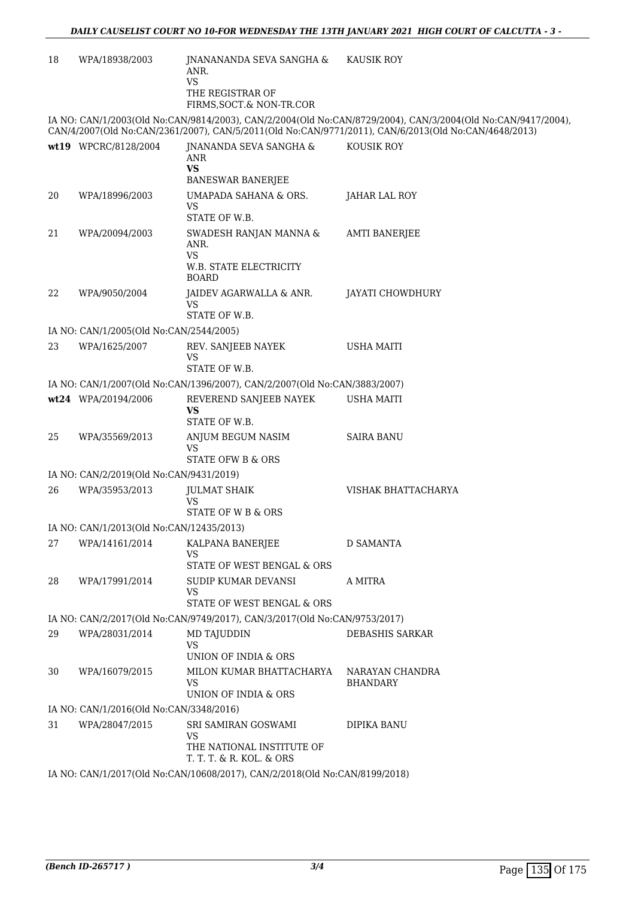| 18 | WPA/18938/2003                           | JNANANANDA SEVA SANGHA &<br>ANR.<br><b>VS</b>                                         | <b>KAUSIK ROY</b>                                                                                                                                                                                                    |
|----|------------------------------------------|---------------------------------------------------------------------------------------|----------------------------------------------------------------------------------------------------------------------------------------------------------------------------------------------------------------------|
|    |                                          | THE REGISTRAR OF<br>FIRMS, SOCT.& NON-TR.COR                                          |                                                                                                                                                                                                                      |
|    |                                          |                                                                                       | IA NO: CAN/1/2003(Old No:CAN/9814/2003), CAN/2/2004(Old No:CAN/8729/2004), CAN/3/2004(Old No:CAN/9417/2004),<br>CAN/4/2007(Old No:CAN/2361/2007), CAN/5/2011(Old No:CAN/9771/2011), CAN/6/2013(Old No:CAN/4648/2013) |
|    | wt19 WPCRC/8128/2004                     | JNANANDA SEVA SANGHA &<br>ANR<br><b>VS</b>                                            | KOUSIK ROY                                                                                                                                                                                                           |
|    |                                          | <b>BANESWAR BANERJEE</b>                                                              |                                                                                                                                                                                                                      |
| 20 | WPA/18996/2003                           | UMAPADA SAHANA & ORS.<br><b>VS</b><br>STATE OF W.B.                                   | JAHAR LAL ROY                                                                                                                                                                                                        |
| 21 | WPA/20094/2003                           | SWADESH RANJAN MANNA &<br>ANR.<br><b>VS</b><br>W.B. STATE ELECTRICITY<br><b>BOARD</b> | AMTI BANERJEE                                                                                                                                                                                                        |
| 22 | WPA/9050/2004                            | JAIDEV AGARWALLA & ANR.<br>VS<br>STATE OF W.B.                                        | JAYATI CHOWDHURY                                                                                                                                                                                                     |
|    | IA NO: CAN/1/2005(Old No:CAN/2544/2005)  |                                                                                       |                                                                                                                                                                                                                      |
| 23 | WPA/1625/2007                            | REV. SANJEEB NAYEK<br>VS<br>STATE OF W.B.                                             | USHA MAITI                                                                                                                                                                                                           |
|    |                                          | IA NO: CAN/1/2007(Old No:CAN/1396/2007), CAN/2/2007(Old No:CAN/3883/2007)             |                                                                                                                                                                                                                      |
|    | wt24 WPA/20194/2006                      | REVEREND SANJEEB NAYEK                                                                | USHA MAITI                                                                                                                                                                                                           |
|    |                                          | <b>VS</b><br>STATE OF W.B.                                                            |                                                                                                                                                                                                                      |
| 25 | WPA/35569/2013                           | ANJUM BEGUM NASIM<br><b>VS</b>                                                        | <b>SAIRA BANU</b>                                                                                                                                                                                                    |
|    | IA NO: CAN/2/2019(Old No:CAN/9431/2019)  | STATE OFW B & ORS                                                                     |                                                                                                                                                                                                                      |
| 26 | WPA/35953/2013                           | <b>JULMAT SHAIK</b>                                                                   | VISHAK BHATTACHARYA                                                                                                                                                                                                  |
|    |                                          | <b>VS</b><br>STATE OF W B & ORS                                                       |                                                                                                                                                                                                                      |
|    | IA NO: CAN/1/2013(Old No:CAN/12435/2013) |                                                                                       |                                                                                                                                                                                                                      |
| 27 | WPA/14161/2014                           | KALPANA BANERJEE<br>VS                                                                | <b>D SAMANTA</b>                                                                                                                                                                                                     |
|    |                                          | STATE OF WEST BENGAL & ORS<br>SUDIP KUMAR DEVANSI                                     |                                                                                                                                                                                                                      |
| 28 | WPA/17991/2014                           | <b>VS</b><br>STATE OF WEST BENGAL & ORS                                               | A MITRA                                                                                                                                                                                                              |
|    |                                          | IA NO: CAN/2/2017(Old No:CAN/9749/2017), CAN/3/2017(Old No:CAN/9753/2017)             |                                                                                                                                                                                                                      |
| 29 | WPA/28031/2014                           | MD TAJUDDIN<br><b>VS</b>                                                              | DEBASHIS SARKAR                                                                                                                                                                                                      |
|    |                                          | UNION OF INDIA & ORS                                                                  |                                                                                                                                                                                                                      |
| 30 | WPA/16079/2015                           | MILON KUMAR BHATTACHARYA<br>VS<br>UNION OF INDIA & ORS                                | NARAYAN CHANDRA<br><b>BHANDARY</b>                                                                                                                                                                                   |
|    | IA NO: CAN/1/2016(Old No:CAN/3348/2016)  |                                                                                       |                                                                                                                                                                                                                      |
| 31 | WPA/28047/2015                           | SRI SAMIRAN GOSWAMI                                                                   | DIPIKA BANU                                                                                                                                                                                                          |
|    |                                          | <b>VS</b><br>THE NATIONAL INSTITUTE OF<br>T. T. T. & R. KOL. & ORS                    |                                                                                                                                                                                                                      |
|    |                                          | IA NO: CAN/1/2017(Old No:CAN/10608/2017), CAN/2/2018(Old No:CAN/8199/2018)            |                                                                                                                                                                                                                      |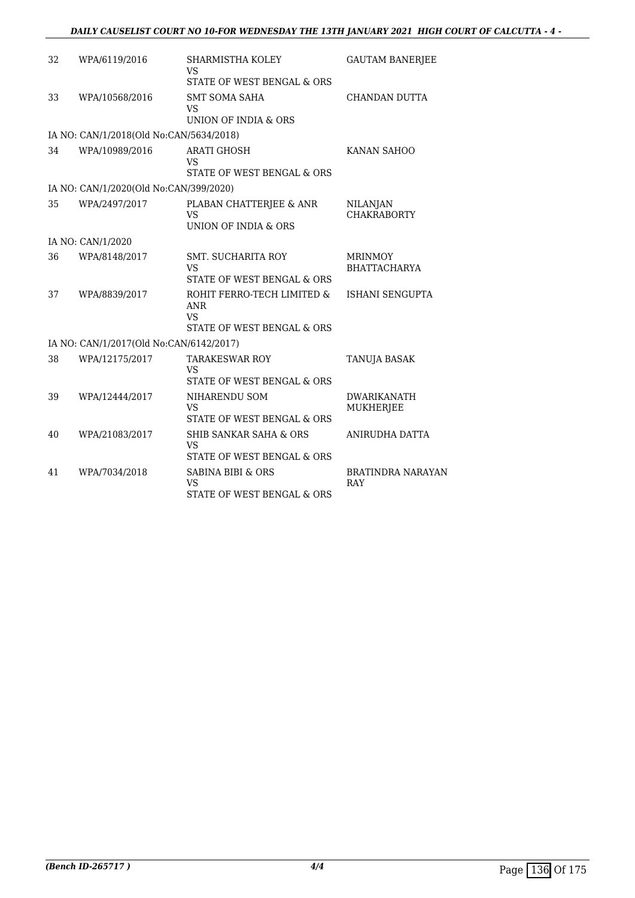## *DAILY CAUSELIST COURT NO 10-FOR WEDNESDAY THE 13TH JANUARY 2021 HIGH COURT OF CALCUTTA - 4 -*

| 32 | WPA/6119/2016                           | SHARMISTHA KOLEY<br>VS                                                       | <b>GAUTAM BANERJEE</b>                |
|----|-----------------------------------------|------------------------------------------------------------------------------|---------------------------------------|
|    |                                         | STATE OF WEST BENGAL & ORS                                                   |                                       |
| 33 | WPA/10568/2016                          | <b>SMT SOMA SAHA</b><br>VS<br>UNION OF INDIA & ORS                           | CHANDAN DUTTA                         |
|    | IA NO: CAN/1/2018(Old No:CAN/5634/2018) |                                                                              |                                       |
| 34 | WPA/10989/2016                          | <b>ARATI GHOSH</b><br>VS<br>STATE OF WEST BENGAL & ORS                       | KANAN SAHOO                           |
|    | IA NO: CAN/1/2020(Old No:CAN/399/2020)  |                                                                              |                                       |
| 35 | WPA/2497/2017                           | PLABAN CHATTERJEE & ANR<br>VS<br>UNION OF INDIA & ORS                        | <b>NILANJAN</b><br><b>CHAKRABORTY</b> |
|    | IA NO: CAN/1/2020                       |                                                                              |                                       |
| 36 | WPA/8148/2017                           | <b>SMT. SUCHARITA ROY</b><br>VS<br>STATE OF WEST BENGAL & ORS                | <b>MRINMOY</b><br><b>BHATTACHARYA</b> |
| 37 | WPA/8839/2017                           | ROHIT FERRO-TECH LIMITED &<br><b>ANR</b><br>VS<br>STATE OF WEST BENGAL & ORS | ISHANI SENGUPTA                       |
|    | IA NO: CAN/1/2017(Old No:CAN/6142/2017) |                                                                              |                                       |
| 38 | WPA/12175/2017                          | <b>TARAKESWAR ROY</b><br>VS<br>STATE OF WEST BENGAL & ORS                    | TANUJA BASAK                          |
| 39 | WPA/12444/2017                          | NIHARENDU SOM<br>VS<br>STATE OF WEST BENGAL & ORS                            | <b>DWARIKANATH</b><br>MUKHERJEE       |
| 40 | WPA/21083/2017                          | <b>SHIB SANKAR SAHA &amp; ORS</b><br>VS<br>STATE OF WEST BENGAL & ORS        | ANIRUDHA DATTA                        |
| 41 | WPA/7034/2018                           | SABINA BIBI & ORS<br><b>VS</b><br>STATE OF WEST BENGAL & ORS                 | <b>BRATINDRA NARAYAN</b><br>RAY       |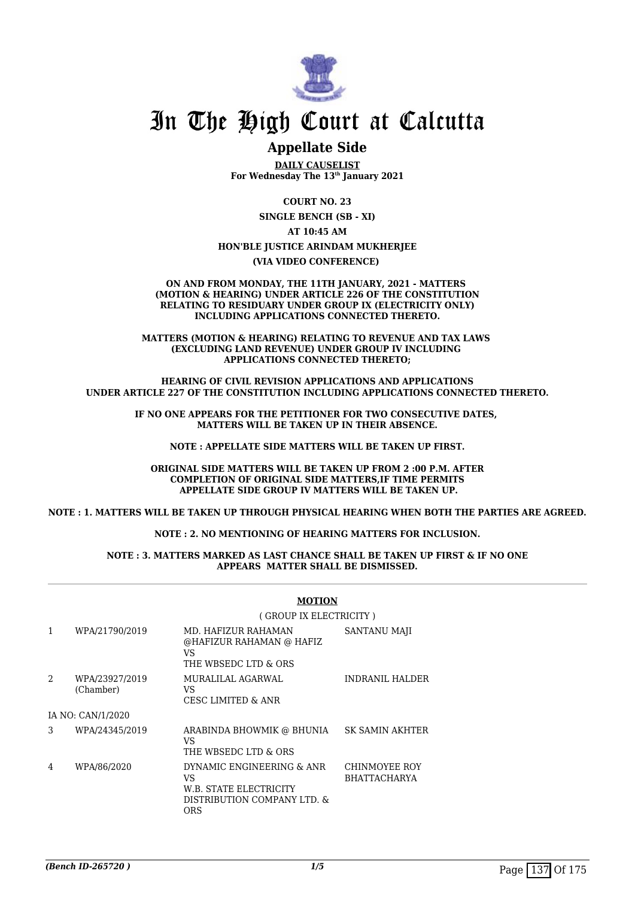

## **Appellate Side**

**DAILY CAUSELIST For Wednesday The 13th January 2021**

> **COURT NO. 23 SINGLE BENCH (SB - XI)**

> > **AT 10:45 AM**

## **HON'BLE JUSTICE ARINDAM MUKHERJEE**

**(VIA VIDEO CONFERENCE)** 

**ON AND FROM MONDAY, THE 11TH JANUARY, 2021 - MATTERS (MOTION & HEARING) UNDER ARTICLE 226 OF THE CONSTITUTION RELATING TO RESIDUARY UNDER GROUP IX (ELECTRICITY ONLY) INCLUDING APPLICATIONS CONNECTED THERETO.**

**MATTERS (MOTION & HEARING) RELATING TO REVENUE AND TAX LAWS (EXCLUDING LAND REVENUE) UNDER GROUP IV INCLUDING APPLICATIONS CONNECTED THERETO;**

**HEARING OF CIVIL REVISION APPLICATIONS AND APPLICATIONS UNDER ARTICLE 227 OF THE CONSTITUTION INCLUDING APPLICATIONS CONNECTED THERETO.**

> **IF NO ONE APPEARS FOR THE PETITIONER FOR TWO CONSECUTIVE DATES, MATTERS WILL BE TAKEN UP IN THEIR ABSENCE.**

**NOTE : APPELLATE SIDE MATTERS WILL BE TAKEN UP FIRST.**

**ORIGINAL SIDE MATTERS WILL BE TAKEN UP FROM 2 :00 P.M. AFTER COMPLETION OF ORIGINAL SIDE MATTERS,IF TIME PERMITS APPELLATE SIDE GROUP IV MATTERS WILL BE TAKEN UP.**

**NOTE : 1. MATTERS WILL BE TAKEN UP THROUGH PHYSICAL HEARING WHEN BOTH THE PARTIES ARE AGREED.**

**NOTE : 2. NO MENTIONING OF HEARING MATTERS FOR INCLUSION.**

**NOTE : 3. MATTERS MARKED AS LAST CHANCE SHALL BE TAKEN UP FIRST & IF NO ONE APPEARS MATTER SHALL BE DISMISSED.**

|                |                             | <b>MOTION</b>                                                                                          |                                      |
|----------------|-----------------------------|--------------------------------------------------------------------------------------------------------|--------------------------------------|
|                |                             | (GROUP IX ELECTRICITY)                                                                                 |                                      |
| $\mathbf{1}$   | WPA/21790/2019              | MD. HAFIZUR RAHAMAN<br>@HAFIZUR RAHAMAN @ HAFIZ<br>VS<br>THE WBSEDC LTD & ORS                          | <b>SANTANU MAJI</b>                  |
| $\mathfrak{D}$ | WPA/23927/2019<br>(Chamber) | MURALILAL AGARWAL<br>VS<br>CESC LIMITED & ANR                                                          | <b>INDRANIL HALDER</b>               |
|                | IA NO: CAN/1/2020           |                                                                                                        |                                      |
| 3              | WPA/24345/2019              | ARABINDA BHOWMIK @ BHUNIA<br>VS<br>THE WBSEDC LTD & ORS                                                | <b>SK SAMIN AKHTER</b>               |
| 4              | WPA/86/2020                 | DYNAMIC ENGINEERING & ANR<br>VS<br>W.B. STATE ELECTRICITY<br>DISTRIBUTION COMPANY LTD. &<br><b>ORS</b> | CHINMOYEE ROY<br><b>BHATTACHARYA</b> |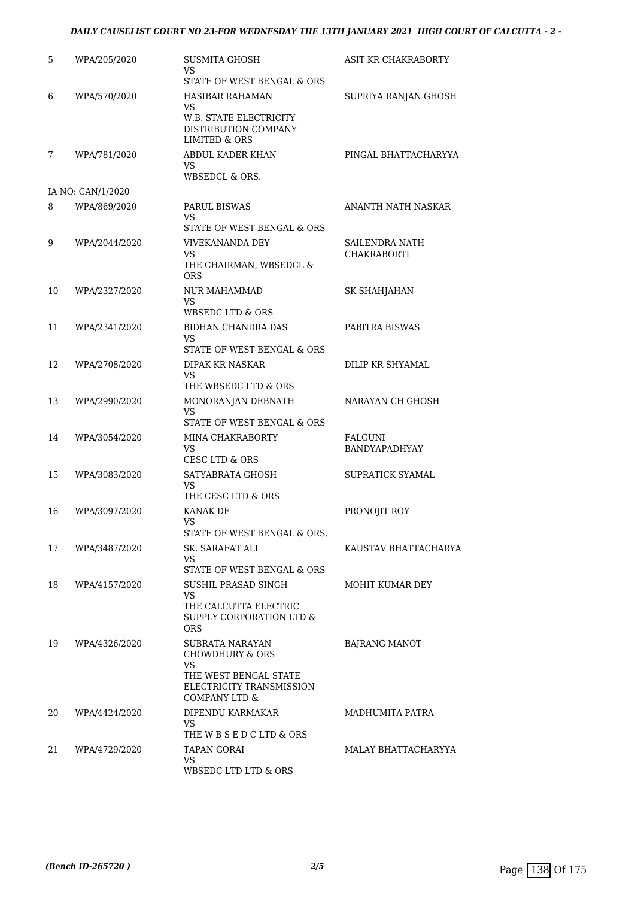## *DAILY CAUSELIST COURT NO 23-FOR WEDNESDAY THE 13TH JANUARY 2021 HIGH COURT OF CALCUTTA - 2 -*

| 5  | WPA/205/2020      | <b>SUSMITA GHOSH</b>                                                                                                                        | ASIT KR CHAKRABORTY                  |
|----|-------------------|---------------------------------------------------------------------------------------------------------------------------------------------|--------------------------------------|
|    |                   | VS<br>STATE OF WEST BENGAL & ORS                                                                                                            |                                      |
| 6  | WPA/570/2020      | HASIBAR RAHAMAN<br>VS                                                                                                                       | SUPRIYA RANJAN GHOSH                 |
|    |                   | W.B. STATE ELECTRICITY<br>DISTRIBUTION COMPANY<br><b>LIMITED &amp; ORS</b>                                                                  |                                      |
| 7  | WPA/781/2020      | ABDUL KADER KHAN<br>VS<br>WBSEDCL & ORS.                                                                                                    | PINGAL BHATTACHARYYA                 |
|    | IA NO: CAN/1/2020 |                                                                                                                                             |                                      |
| 8  | WPA/869/2020      | PARUL BISWAS<br>VS<br>STATE OF WEST BENGAL & ORS                                                                                            | ANANTH NATH NASKAR                   |
| 9  | WPA/2044/2020     | VIVEKANANDA DEY<br>VS.<br>THE CHAIRMAN, WBSEDCL &<br><b>ORS</b>                                                                             | SAILENDRA NATH<br><b>CHAKRABORTI</b> |
| 10 | WPA/2327/2020     | <b>NUR MAHAMMAD</b><br>VS.<br><b>WBSEDC LTD &amp; ORS</b>                                                                                   | SK SHAHJAHAN                         |
| 11 | WPA/2341/2020     | BIDHAN CHANDRA DAS<br>VS<br>STATE OF WEST BENGAL & ORS                                                                                      | PABITRA BISWAS                       |
| 12 | WPA/2708/2020     | DIPAK KR NASKAR<br>VS.<br>THE WBSEDC LTD & ORS                                                                                              | DILIP KR SHYAMAL                     |
| 13 | WPA/2990/2020     | MONORANJAN DEBNATH<br>VS<br>STATE OF WEST BENGAL & ORS                                                                                      | NARAYAN CH GHOSH                     |
| 14 | WPA/3054/2020     | MINA CHAKRABORTY<br>VS<br><b>CESC LTD &amp; ORS</b>                                                                                         | FALGUNI<br>BANDYAPADHYAY             |
| 15 | WPA/3083/2020     | SATYABRATA GHOSH<br>VS<br>THE CESC LTD & ORS                                                                                                | SUPRATICK SYAMAL                     |
| 16 | WPA/3097/2020     | <b>KANAK DE</b><br>VS<br>STATE OF WEST BENGAL & ORS.                                                                                        | PRONOJIT ROY                         |
| 17 | WPA/3487/2020     | SK. SARAFAT ALI<br><b>VS</b><br>STATE OF WEST BENGAL & ORS                                                                                  | KAUSTAV BHATTACHARYA                 |
| 18 | WPA/4157/2020     | SUSHIL PRASAD SINGH<br><b>VS</b><br>THE CALCUTTA ELECTRIC<br>SUPPLY CORPORATION LTD &<br><b>ORS</b>                                         | <b>MOHIT KUMAR DEY</b>               |
| 19 | WPA/4326/2020     | SUBRATA NARAYAN<br><b>CHOWDHURY &amp; ORS</b><br><b>VS</b><br>THE WEST BENGAL STATE<br>ELECTRICITY TRANSMISSION<br><b>COMPANY LTD &amp;</b> | <b>BAJRANG MANOT</b>                 |
| 20 | WPA/4424/2020     | DIPENDU KARMAKAR<br>VS.<br>THE W B S E D C LTD & ORS                                                                                        | MADHUMITA PATRA                      |
| 21 | WPA/4729/2020     | TAPAN GORAI<br><b>VS</b><br>WBSEDC LTD LTD & ORS                                                                                            | MALAY BHATTACHARYYA                  |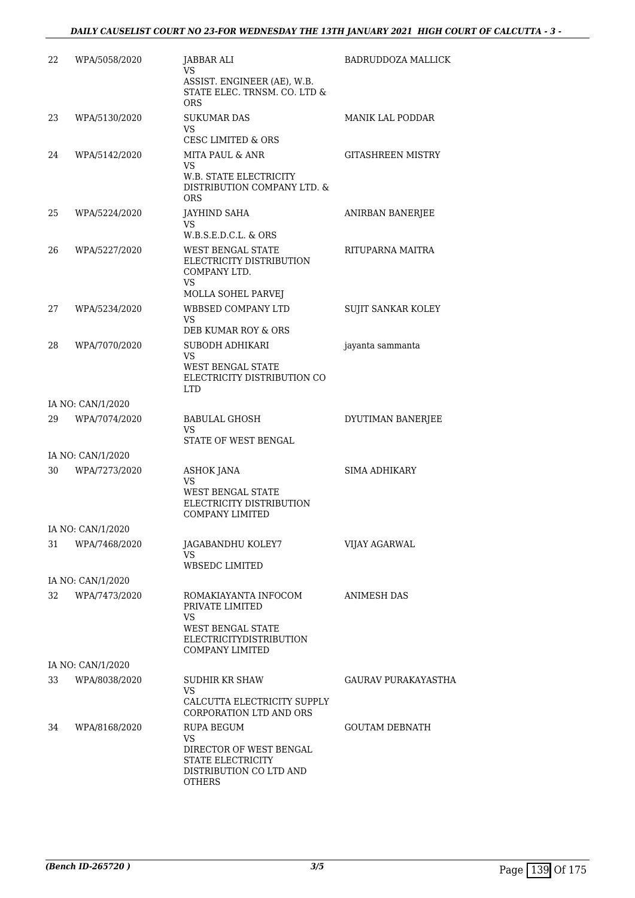| 22 | WPA/5058/2020     | <b>JABBAR ALI</b><br>VS<br>ASSIST. ENGINEER (AE), W.B.<br>STATE ELEC. TRNSM. CO. LTD &                         | <b>BADRUDDOZA MALLICK</b>  |
|----|-------------------|----------------------------------------------------------------------------------------------------------------|----------------------------|
|    |                   | <b>ORS</b>                                                                                                     |                            |
| 23 | WPA/5130/2020     | <b>SUKUMAR DAS</b><br><b>VS</b>                                                                                | <b>MANIK LAL PODDAR</b>    |
|    |                   | <b>CESC LIMITED &amp; ORS</b>                                                                                  |                            |
| 24 | WPA/5142/2020     | <b>MITA PAUL &amp; ANR</b><br><b>VS</b><br>W.B. STATE ELECTRICITY<br>DISTRIBUTION COMPANY LTD. &<br><b>ORS</b> | <b>GITASHREEN MISTRY</b>   |
| 25 | WPA/5224/2020     | <b>JAYHIND SAHA</b><br>VS<br>$W.B.S.E.D.C.L. \& ORS$                                                           | ANIRBAN BANERJEE           |
| 26 | WPA/5227/2020     | WEST BENGAL STATE<br>ELECTRICITY DISTRIBUTION<br>COMPANY LTD.<br><b>VS</b>                                     | RITUPARNA MAITRA           |
|    |                   | MOLLA SOHEL PARVEJ                                                                                             |                            |
| 27 | WPA/5234/2020     | <b>WBBSED COMPANY LTD</b><br><b>VS</b><br>DEB KUMAR ROY & ORS                                                  | SUJIT SANKAR KOLEY         |
| 28 | WPA/7070/2020     | SUBODH ADHIKARI                                                                                                | jayanta sammanta           |
|    |                   | <b>VS</b><br>WEST BENGAL STATE<br>ELECTRICITY DISTRIBUTION CO<br><b>LTD</b>                                    |                            |
|    | IA NO: CAN/1/2020 |                                                                                                                |                            |
| 29 | WPA/7074/2020     | <b>BABULAL GHOSH</b><br>VS<br>STATE OF WEST BENGAL                                                             | DYUTIMAN BANERJEE          |
|    | IA NO: CAN/1/2020 |                                                                                                                |                            |
| 30 | WPA/7273/2020     | <b>ASHOK JANA</b>                                                                                              | SIMA ADHIKARY              |
|    |                   | VS<br><b>WEST BENGAL STATE</b><br>ELECTRICITY DISTRIBUTION<br><b>COMPANY LIMITED</b>                           |                            |
|    | IA NO: CAN/1/2020 |                                                                                                                |                            |
| 31 | WPA/7468/2020     | JAGABANDHU KOLEY7<br>VS.                                                                                       | VIJAY AGARWAL              |
|    |                   | <b>WBSEDC LIMITED</b>                                                                                          |                            |
|    | IA NO: CAN/1/2020 |                                                                                                                | <b>ANIMESH DAS</b>         |
| 32 | WPA/7473/2020     | ROMAKIAYANTA INFOCOM<br>PRIVATE LIMITED<br>VS                                                                  |                            |
|    |                   | WEST BENGAL STATE<br><b>ELECTRICITYDISTRIBUTION</b><br>COMPANY LIMITED                                         |                            |
|    | IA NO: CAN/1/2020 |                                                                                                                |                            |
| 33 | WPA/8038/2020     | <b>SUDHIR KR SHAW</b><br>VS.<br>CALCUTTA ELECTRICITY SUPPLY<br>CORPORATION LTD AND ORS                         | <b>GAURAV PURAKAYASTHA</b> |
| 34 | WPA/8168/2020     | RUPA BEGUM<br><b>VS</b>                                                                                        | <b>GOUTAM DEBNATH</b>      |
|    |                   | DIRECTOR OF WEST BENGAL<br>STATE ELECTRICITY<br>DISTRIBUTION CO LTD AND<br>OTHERS                              |                            |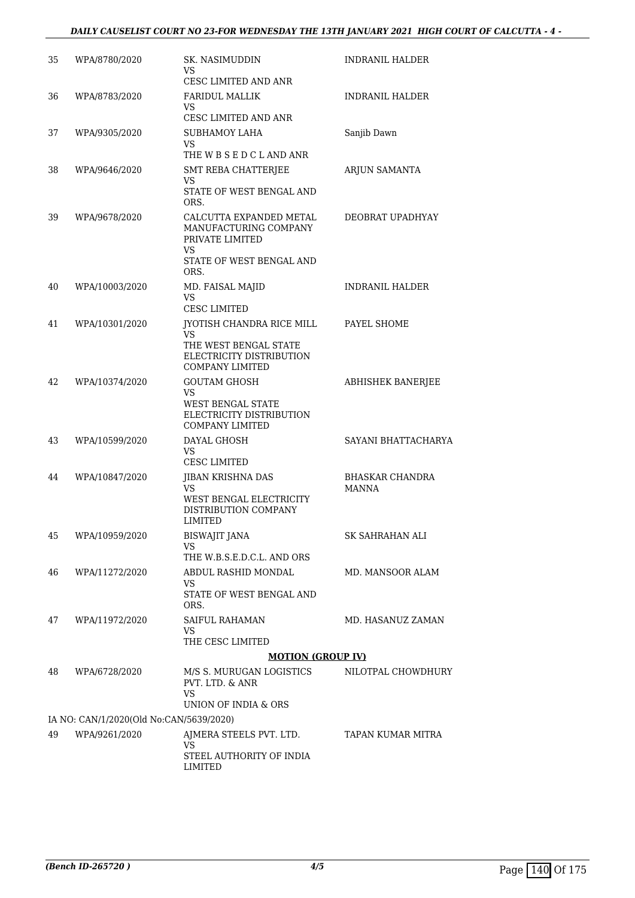## *DAILY CAUSELIST COURT NO 23-FOR WEDNESDAY THE 13TH JANUARY 2021 HIGH COURT OF CALCUTTA - 4 -*

| 35 | WPA/8780/2020                           | SK. NASIMUDDIN<br>VS<br>CESC LIMITED AND ANR                                                                  | <b>INDRANIL HALDER</b>          |
|----|-----------------------------------------|---------------------------------------------------------------------------------------------------------------|---------------------------------|
| 36 | WPA/8783/2020                           | <b>FARIDUL MALLIK</b>                                                                                         | <b>INDRANIL HALDER</b>          |
|    |                                         | VS<br>CESC LIMITED AND ANR                                                                                    |                                 |
| 37 | WPA/9305/2020                           | <b>SUBHAMOY LAHA</b><br>VS                                                                                    | Sanjib Dawn                     |
|    |                                         | THE W B S E D C L AND ANR                                                                                     |                                 |
| 38 | WPA/9646/2020                           | <b>SMT REBA CHATTERJEE</b><br>VS                                                                              | ARJUN SAMANTA                   |
|    |                                         | STATE OF WEST BENGAL AND<br>ORS.                                                                              |                                 |
| 39 | WPA/9678/2020                           | CALCUTTA EXPANDED METAL<br>MANUFACTURING COMPANY<br>PRIVATE LIMITED<br>VS<br>STATE OF WEST BENGAL AND<br>ORS. | DEOBRAT UPADHYAY                |
| 40 | WPA/10003/2020                          | MD. FAISAL MAJID<br>VS<br><b>CESC LIMITED</b>                                                                 | <b>INDRANIL HALDER</b>          |
| 41 | WPA/10301/2020                          | <b>JYOTISH CHANDRA RICE MILL</b>                                                                              | PAYEL SHOME                     |
|    |                                         | VS                                                                                                            |                                 |
|    |                                         | THE WEST BENGAL STATE<br>ELECTRICITY DISTRIBUTION<br><b>COMPANY LIMITED</b>                                   |                                 |
| 42 | WPA/10374/2020                          | <b>GOUTAM GHOSH</b>                                                                                           | ABHISHEK BANERJEE               |
|    |                                         | <b>VS</b><br><b>WEST BENGAL STATE</b><br>ELECTRICITY DISTRIBUTION<br><b>COMPANY LIMITED</b>                   |                                 |
| 43 | WPA/10599/2020                          | DAYAL GHOSH<br>VS                                                                                             | SAYANI BHATTACHARYA             |
|    |                                         | <b>CESC LIMITED</b>                                                                                           |                                 |
| 44 | WPA/10847/2020                          | JIBAN KRISHNA DAS<br>VS<br>WEST BENGAL ELECTRICITY<br>DISTRIBUTION COMPANY<br>LIMITED                         | <b>BHASKAR CHANDRA</b><br>MANNA |
| 45 | WPA/10959/2020                          | <b>BISWAJIT JANA</b>                                                                                          | SK SAHRAHAN ALI                 |
|    |                                         | <b>VS</b><br>THE W.B.S.E.D.C.L. AND ORS                                                                       |                                 |
| 46 | WPA/11272/2020                          | ABDUL RASHID MONDAL                                                                                           | MD. MANSOOR ALAM                |
|    |                                         | VS<br>STATE OF WEST BENGAL AND<br>ORS.                                                                        |                                 |
| 47 | WPA/11972/2020                          | <b>SAIFUL RAHAMAN</b><br>VS                                                                                   | MD. HASANUZ ZAMAN               |
|    |                                         | THE CESC LIMITED                                                                                              |                                 |
|    |                                         | <b>MOTION (GROUP IV)</b>                                                                                      |                                 |
| 48 | WPA/6728/2020                           | M/S S. MURUGAN LOGISTICS<br>PVT. LTD. & ANR<br>VS                                                             | NILOTPAL CHOWDHURY              |
|    |                                         | UNION OF INDIA & ORS                                                                                          |                                 |
|    | IA NO: CAN/1/2020(Old No:CAN/5639/2020) |                                                                                                               |                                 |
| 49 | WPA/9261/2020                           | AJMERA STEELS PVT. LTD.<br>VS                                                                                 | TAPAN KUMAR MITRA               |
|    |                                         | STEEL AUTHORITY OF INDIA<br>LIMITED                                                                           |                                 |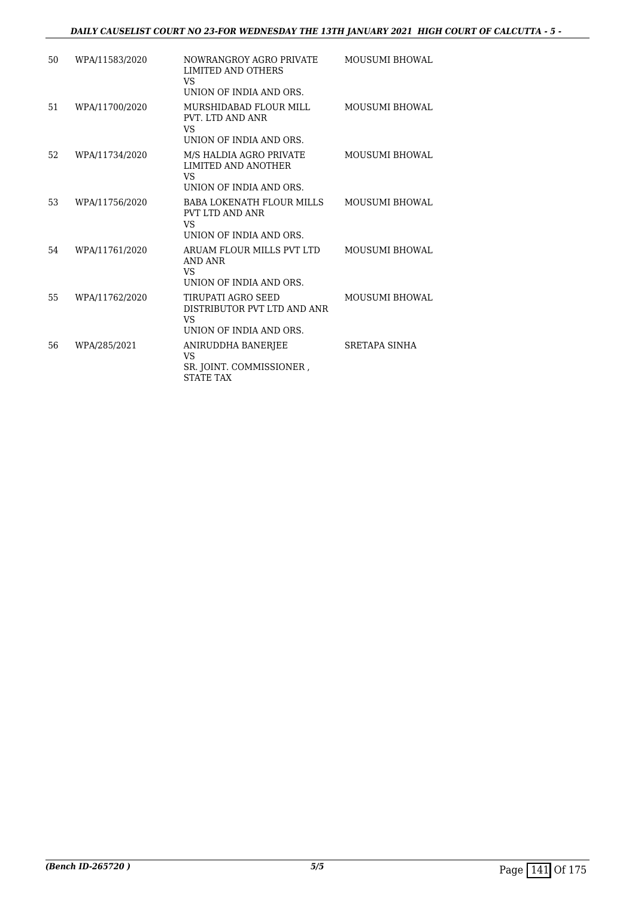| 50 | WPA/11583/2020 | NOWRANGROY AGRO PRIVATE<br>LIMITED AND OTHERS<br>VS.<br>UNION OF INDIA AND ORS.       | <b>MOUSUMI BHOWAL</b> |
|----|----------------|---------------------------------------------------------------------------------------|-----------------------|
| 51 | WPA/11700/2020 | MURSHIDABAD FLOUR MILL<br>PVT. LTD AND ANR<br><b>VS</b><br>UNION OF INDIA AND ORS.    | <b>MOUSUMI BHOWAL</b> |
| 52 | WPA/11734/2020 | M/S HALDIA AGRO PRIVATE<br>LIMITED AND ANOTHER<br>VS.<br>UNION OF INDIA AND ORS.      | <b>MOUSUMI BHOWAL</b> |
| 53 | WPA/11756/2020 | <b>BABA LOKENATH FLOUR MILLS</b><br>PVT LTD AND ANR<br>VS.<br>UNION OF INDIA AND ORS. | <b>MOUSUMI BHOWAL</b> |
| 54 | WPA/11761/2020 | ARUAM FLOUR MILLS PVT LTD<br>AND ANR<br>VS.<br>UNION OF INDIA AND ORS.                | <b>MOUSUMI BHOWAL</b> |
| 55 | WPA/11762/2020 | TIRUPATI AGRO SEED<br>DISTRIBUTOR PVT LTD AND ANR<br>VS.<br>UNION OF INDIA AND ORS.   | <b>MOUSUMI BHOWAL</b> |
| 56 | WPA/285/2021   | ANIRUDDHA BANERJEE<br><b>VS</b><br>SR. JOINT. COMMISSIONER,<br><b>STATE TAX</b>       | SRETAPA SINHA         |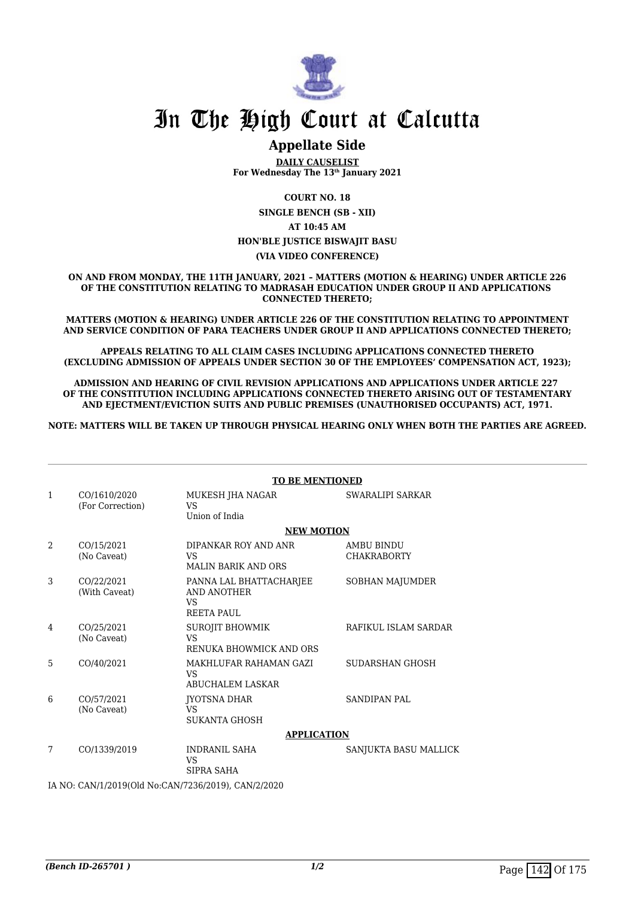

## **Appellate Side**

**DAILY CAUSELIST For Wednesday The 13th January 2021**

**COURT NO. 18**

**SINGLE BENCH (SB - XII) AT 10:45 AM HON'BLE JUSTICE BISWAJIT BASU (VIA VIDEO CONFERENCE)**

**ON AND FROM MONDAY, THE 11TH JANUARY, 2021 – MATTERS (MOTION & HEARING) UNDER ARTICLE 226 OF THE CONSTITUTION RELATING TO MADRASAH EDUCATION UNDER GROUP II AND APPLICATIONS CONNECTED THERETO;**

**MATTERS (MOTION & HEARING) UNDER ARTICLE 226 OF THE CONSTITUTION RELATING TO APPOINTMENT AND SERVICE CONDITION OF PARA TEACHERS UNDER GROUP II AND APPLICATIONS CONNECTED THERETO;**

**APPEALS RELATING TO ALL CLAIM CASES INCLUDING APPLICATIONS CONNECTED THERETO (EXCLUDING ADMISSION OF APPEALS UNDER SECTION 30 OF THE EMPLOYEES' COMPENSATION ACT, 1923);**

**ADMISSION AND HEARING OF CIVIL REVISION APPLICATIONS AND APPLICATIONS UNDER ARTICLE 227 OF THE CONSTITUTION INCLUDING APPLICATIONS CONNECTED THERETO ARISING OUT OF TESTAMENTARY AND EJECTMENT/EVICTION SUITS AND PUBLIC PREMISES (UNAUTHORISED OCCUPANTS) ACT, 1971.**

**NOTE: MATTERS WILL BE TAKEN UP THROUGH PHYSICAL HEARING ONLY WHEN BOTH THE PARTIES ARE AGREED.**

|                                                     | <b>TO BE MENTIONED</b>           |                                                                          |                                         |  |
|-----------------------------------------------------|----------------------------------|--------------------------------------------------------------------------|-----------------------------------------|--|
| $\mathbf{1}$                                        | CO/1610/2020<br>(For Correction) | MUKESH JHA NAGAR<br><b>VS</b><br>Union of India                          | SWARALIPI SARKAR                        |  |
|                                                     |                                  | <b>NEW MOTION</b>                                                        |                                         |  |
| 2                                                   | CO/15/2021<br>(No Caveat)        | DIPANKAR ROY AND ANR<br>VS<br><b>MALIN BARIK AND ORS</b>                 | <b>AMBU BINDU</b><br><b>CHAKRABORTY</b> |  |
| 3                                                   | CO/22/2021<br>(With Caveat)      | PANNA LAL BHATTACHARJEE<br><b>AND ANOTHER</b><br>VS<br><b>REETA PAUL</b> | <b>SOBHAN MAJUMDER</b>                  |  |
| 4                                                   | CO/25/2021<br>(No Caveat)        | SUROJIT BHOWMIK<br><b>VS</b><br>RENUKA BHOWMICK AND ORS                  | RAFIKUL ISLAM SARDAR                    |  |
| 5                                                   | CO/40/2021                       | MAKHLUFAR RAHAMAN GAZI<br>VS.<br><b>ABUCHALEM LASKAR</b>                 | SUDARSHAN GHOSH                         |  |
| 6                                                   | CO/57/2021<br>(No Caveat)        | JYOTSNA DHAR<br><b>VS</b><br><b>SUKANTA GHOSH</b>                        | <b>SANDIPAN PAL</b>                     |  |
|                                                     |                                  | <b>APPLICATION</b>                                                       |                                         |  |
| 7                                                   | CO/1339/2019                     | <b>INDRANIL SAHA</b><br><b>VS</b><br>SIPRA SAHA                          | SANJUKTA BASU MALLICK                   |  |
| IA NO: CAN/1/2019(Old No:CAN/7236/2019), CAN/2/2020 |                                  |                                                                          |                                         |  |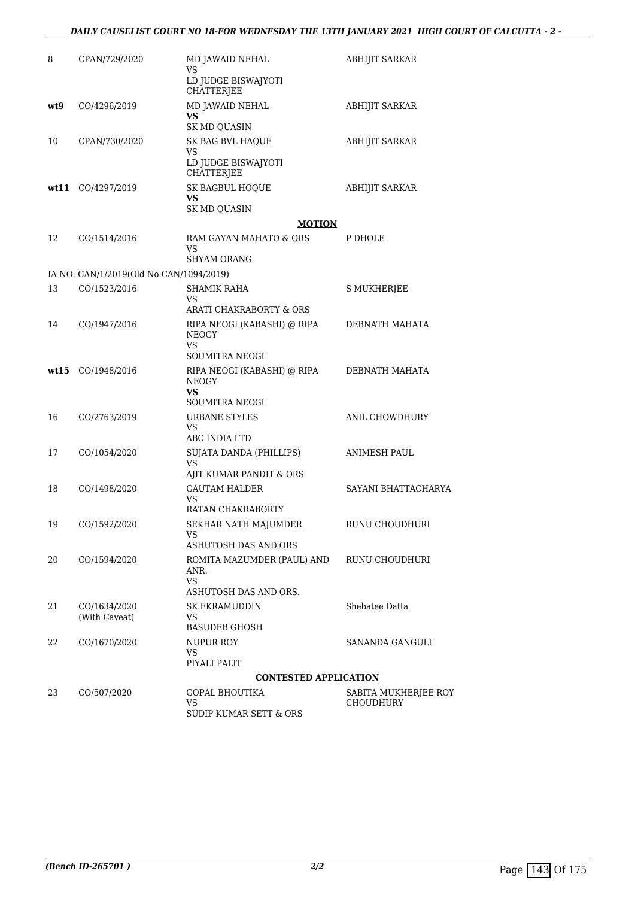| 8    | CPAN/729/2020                           | MD JAWAID NEHAL<br>VS                                                    | ABHIJIT SARKAR                           |
|------|-----------------------------------------|--------------------------------------------------------------------------|------------------------------------------|
|      |                                         | LD JUDGE BISWAJYOTI<br><b>CHATTERJEE</b>                                 |                                          |
| wt9  | CO/4296/2019                            | MD JAWAID NEHAL<br><b>VS</b><br>SK MD QUASIN                             | <b>ABHIJIT SARKAR</b>                    |
| 10   | CPAN/730/2020                           | SK BAG BVL HAQUE<br>VS<br>LD JUDGE BISWAJYOTI                            | ABHIJIT SARKAR                           |
|      | wt11 CO/4297/2019                       | CHATTERJEE<br>SK BAGBUL HOQUE<br>VS<br>SK MD QUASIN                      | <b>ABHIJIT SARKAR</b>                    |
|      |                                         | <b>MOTION</b>                                                            |                                          |
| 12   | CO/1514/2016                            | RAM GAYAN MAHATO & ORS<br>VS<br><b>SHYAM ORANG</b>                       | P DHOLE                                  |
|      | IA NO: CAN/1/2019(Old No:CAN/1094/2019) |                                                                          |                                          |
| 13   | CO/1523/2016                            | SHAMIK RAHA<br>VS                                                        | S MUKHERJEE                              |
|      |                                         | ARATI CHAKRABORTY & ORS                                                  |                                          |
| 14   | CO/1947/2016                            | RIPA NEOGI (KABASHI) @ RIPA<br><b>NEOGY</b><br>VS                        | DEBNATH MAHATA                           |
|      |                                         | SOUMITRA NEOGI                                                           |                                          |
| wt15 | CO/1948/2016                            | RIPA NEOGI (KABASHI) @ RIPA<br><b>NEOGY</b><br>VS<br>SOUMITRA NEOGI      | DEBNATH MAHATA                           |
| 16   | CO/2763/2019                            | <b>URBANE STYLES</b>                                                     | ANIL CHOWDHURY                           |
|      |                                         | VS<br>ABC INDIA LTD                                                      |                                          |
| 17   | CO/1054/2020                            | SUJATA DANDA (PHILLIPS)<br>VS<br>AJIT KUMAR PANDIT & ORS                 | ANIMESH PAUL                             |
| 18   | CO/1498/2020                            | <b>GAUTAM HALDER</b><br>VS                                               | SAYANI BHATTACHARYA                      |
|      |                                         | RATAN CHAKRABORTY                                                        |                                          |
| 19   | CO/1592/2020                            | SEKHAR NATH MAJUMDER<br>VS<br>ASHUTOSH DAS AND ORS                       | RUNU CHOUDHURI                           |
| 20   | CO/1594/2020                            | ROMITA MAZUMDER (PAUL) AND<br>ANR.<br><b>VS</b><br>ASHUTOSH DAS AND ORS. | RUNU CHOUDHURI                           |
| 21   | CO/1634/2020<br>(With Caveat)           | <b>SK.EKRAMUDDIN</b><br>VS<br><b>BASUDEB GHOSH</b>                       | Shebatee Datta                           |
| 22   | CO/1670/2020                            | NUPUR ROY<br>VS<br>PIYALI PALIT                                          | SANANDA GANGULI                          |
|      |                                         | <b>CONTESTED APPLICATION</b>                                             |                                          |
| 23   | CO/507/2020                             | GOPAL BHOUTIKA<br>VS<br><b>SUDIP KUMAR SETT &amp; ORS</b>                | SABITA MUKHERJEE ROY<br><b>CHOUDHURY</b> |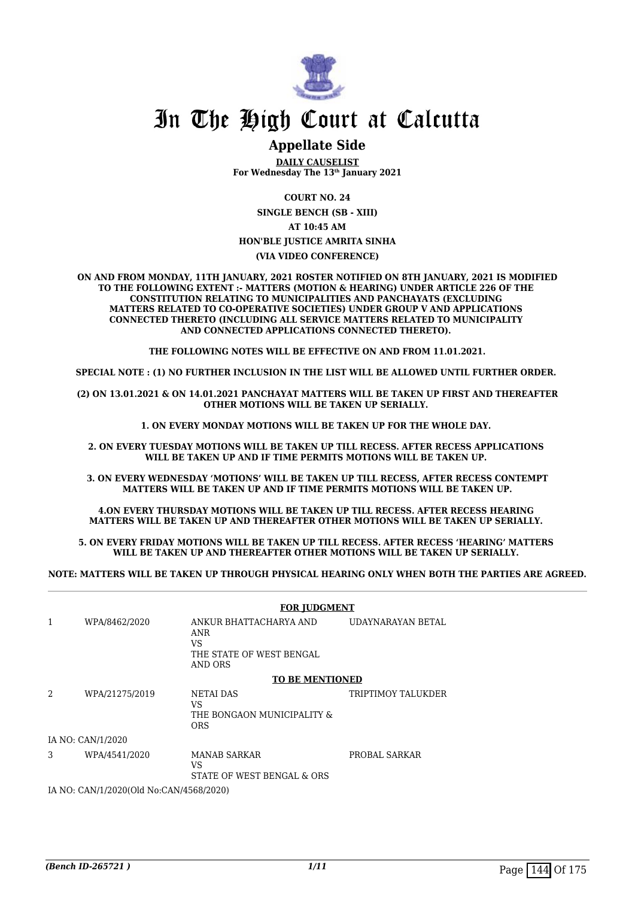

### **Appellate Side**

**DAILY CAUSELIST For Wednesday The 13th January 2021**

**COURT NO. 24**

**SINGLE BENCH (SB - XIII)**

**AT 10:45 AM**

#### **HON'BLE JUSTICE AMRITA SINHA**

**(VIA VIDEO CONFERENCE)**

**ON AND FROM MONDAY, 11TH JANUARY, 2021 ROSTER NOTIFIED ON 8TH JANUARY, 2021 IS MODIFIED TO THE FOLLOWING EXTENT :- MATTERS (MOTION & HEARING) UNDER ARTICLE 226 OF THE CONSTITUTION RELATING TO MUNICIPALITIES AND PANCHAYATS (EXCLUDING MATTERS RELATED TO CO-OPERATIVE SOCIETIES) UNDER GROUP V AND APPLICATIONS CONNECTED THERETO (INCLUDING ALL SERVICE MATTERS RELATED TO MUNICIPALITY AND CONNECTED APPLICATIONS CONNECTED THERETO).** 

**THE FOLLOWING NOTES WILL BE EFFECTIVE ON AND FROM 11.01.2021.**

**SPECIAL NOTE : (1) NO FURTHER INCLUSION IN THE LIST WILL BE ALLOWED UNTIL FURTHER ORDER.** 

**(2) ON 13.01.2021 & ON 14.01.2021 PANCHAYAT MATTERS WILL BE TAKEN UP FIRST AND THEREAFTER OTHER MOTIONS WILL BE TAKEN UP SERIALLY.** 

**1. ON EVERY MONDAY MOTIONS WILL BE TAKEN UP FOR THE WHOLE DAY.** 

**2. ON EVERY TUESDAY MOTIONS WILL BE TAKEN UP TILL RECESS. AFTER RECESS APPLICATIONS**  WILL BE TAKEN UP AND IF TIME PERMITS MOTIONS WILL BE TAKEN UP.

**3. ON EVERY WEDNESDAY 'MOTIONS' WILL BE TAKEN UP TILL RECESS, AFTER RECESS CONTEMPT MATTERS WILL BE TAKEN UP AND IF TIME PERMITS MOTIONS WILL BE TAKEN UP.**

**4.ON EVERY THURSDAY MOTIONS WILL BE TAKEN UP TILL RECESS. AFTER RECESS HEARING MATTERS WILL BE TAKEN UP AND THEREAFTER OTHER MOTIONS WILL BE TAKEN UP SERIALLY.** 

**5. ON EVERY FRIDAY MOTIONS WILL BE TAKEN UP TILL RECESS. AFTER RECESS 'HEARING' MATTERS WILL BE TAKEN UP AND THEREAFTER OTHER MOTIONS WILL BE TAKEN UP SERIALLY.** 

**NOTE: MATTERS WILL BE TAKEN UP THROUGH PHYSICAL HEARING ONLY WHEN BOTH THE PARTIES ARE AGREED.**

|   |                                               | <b>FOR JUDGMENT</b>                                                               |                    |  |
|---|-----------------------------------------------|-----------------------------------------------------------------------------------|--------------------|--|
| 1 | WPA/8462/2020                                 | ANKUR BHATTACHARYA AND<br><b>ANR</b><br>VS<br>THE STATE OF WEST BENGAL<br>AND ORS | UDAYNARAYAN BETAL  |  |
|   |                                               | <b>TO BE MENTIONED</b>                                                            |                    |  |
| 2 | WPA/21275/2019                                | NETAI DAS<br>VS<br>THE BONGAON MUNICIPALITY &<br><b>ORS</b>                       | TRIPTIMOY TALUKDER |  |
|   | IA NO: CAN/1/2020                             |                                                                                   |                    |  |
| 3 | WPA/4541/2020                                 | MANAB SARKAR<br>VS<br>STATE OF WEST BENGAL & ORS                                  | PROBAL SARKAR      |  |
|   | TA NIO CANTIA (0000/01-1 NI - CANTIAECO/0000) |                                                                                   |                    |  |

IA NO: CAN/1/2020(Old No:CAN/4568/2020)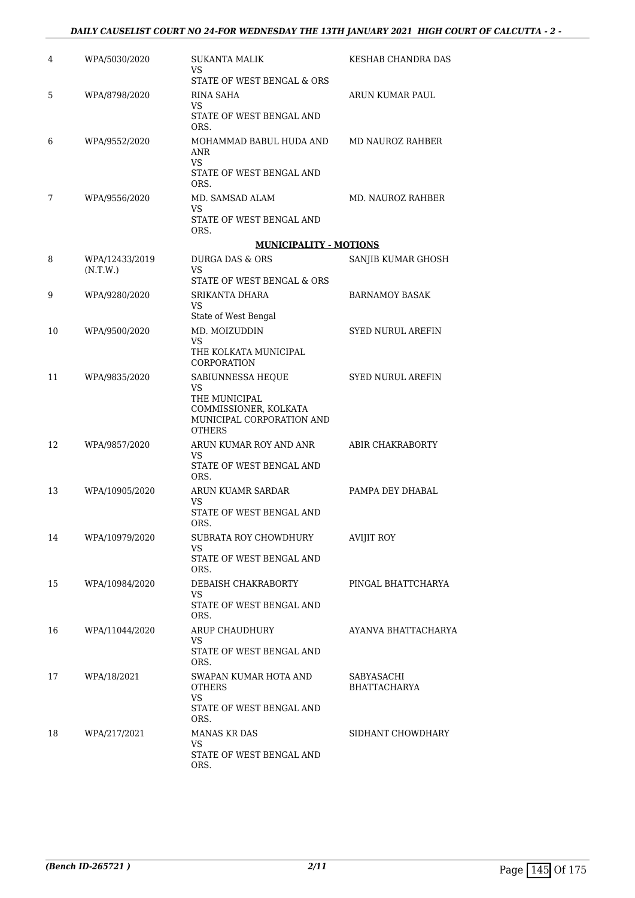#### *DAILY CAUSELIST COURT NO 24-FOR WEDNESDAY THE 13TH JANUARY 2021 HIGH COURT OF CALCUTTA - 2 -*

| 4  | WPA/5030/2020              | SUKANTA MALIK<br>VS<br>STATE OF WEST BENGAL & ORS                                    | KESHAB CHANDRA DAS                |
|----|----------------------------|--------------------------------------------------------------------------------------|-----------------------------------|
| 5  | WPA/8798/2020              | RINA SAHA<br>VS                                                                      | ARUN KUMAR PAUL                   |
|    |                            | STATE OF WEST BENGAL AND<br>ORS.                                                     |                                   |
| 6  | WPA/9552/2020              | MOHAMMAD BABUL HUDA AND<br>ANR<br>VS                                                 | MD NAUROZ RAHBER                  |
|    |                            | STATE OF WEST BENGAL AND<br>ORS.                                                     |                                   |
| 7  | WPA/9556/2020              | MD. SAMSAD ALAM<br>VS                                                                | MD. NAUROZ RAHBER                 |
|    |                            | STATE OF WEST BENGAL AND<br>ORS.                                                     |                                   |
|    |                            | <b>MUNICIPALITY - MOTIONS</b>                                                        |                                   |
| 8  | WPA/12433/2019<br>(N.T.W.) | <b>DURGA DAS &amp; ORS</b><br>VS                                                     | SANJIB KUMAR GHOSH                |
|    |                            | STATE OF WEST BENGAL & ORS                                                           |                                   |
| 9  | WPA/9280/2020              | SRIKANTA DHARA<br>VS<br>State of West Bengal                                         | <b>BARNAMOY BASAK</b>             |
| 10 | WPA/9500/2020              | MD. MOIZUDDIN<br>VS                                                                  | <b>SYED NURUL AREFIN</b>          |
|    |                            | THE KOLKATA MUNICIPAL<br><b>CORPORATION</b>                                          |                                   |
| 11 | WPA/9835/2020              | SABIUNNESSA HEQUE<br>VS                                                              | <b>SYED NURUL AREFIN</b>          |
|    |                            | THE MUNICIPAL<br>COMMISSIONER, KOLKATA<br>MUNICIPAL CORPORATION AND<br><b>OTHERS</b> |                                   |
| 12 | WPA/9857/2020              | ARUN KUMAR ROY AND ANR<br>VS<br>STATE OF WEST BENGAL AND<br>ORS.                     | ABIR CHAKRABORTY                  |
| 13 | WPA/10905/2020             | ARUN KUAMR SARDAR                                                                    | PAMPA DEY DHABAL                  |
|    |                            | VS<br>STATE OF WEST BENGAL AND<br>ORS.                                               |                                   |
| 14 | WPA/10979/2020             | SUBRATA ROY CHOWDHURY<br>VS                                                          | <b>AVIJIT ROY</b>                 |
|    |                            | STATE OF WEST BENGAL AND<br>ORS.                                                     |                                   |
| 15 | WPA/10984/2020             | DEBAISH CHAKRABORTY<br>VS                                                            | PINGAL BHATTCHARYA                |
|    |                            | STATE OF WEST BENGAL AND<br>ORS.                                                     |                                   |
| 16 | WPA/11044/2020             | ARUP CHAUDHURY<br>VS                                                                 | AYANVA BHATTACHARYA               |
|    |                            | STATE OF WEST BENGAL AND<br>ORS.                                                     |                                   |
| 17 | WPA/18/2021                | SWAPAN KUMAR HOTA AND<br><b>OTHERS</b>                                               | SABYASACHI<br><b>BHATTACHARYA</b> |
|    |                            | VS.<br>STATE OF WEST BENGAL AND<br>ORS.                                              |                                   |
| 18 | WPA/217/2021               | MANAS KR DAS<br>VS.<br>STATE OF WEST BENGAL AND<br>ORS.                              | SIDHANT CHOWDHARY                 |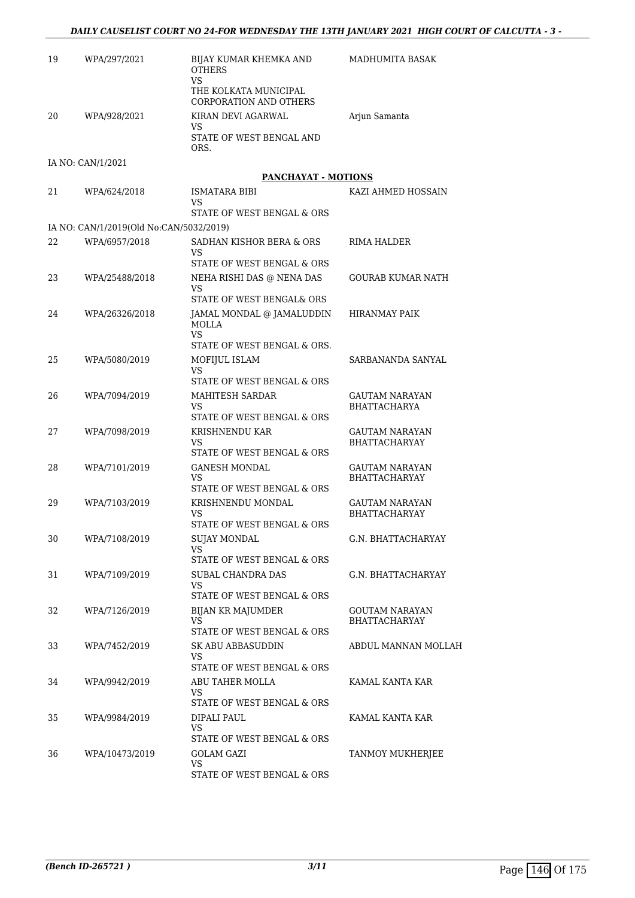| 19  | WPA/297/2021                            | BIJAY KUMAR KHEMKA AND<br><b>OTHERS</b><br><b>VS</b>            | <b>MADHUMITA BASAK</b>                       |
|-----|-----------------------------------------|-----------------------------------------------------------------|----------------------------------------------|
|     |                                         | THE KOLKATA MUNICIPAL<br>CORPORATION AND OTHERS                 |                                              |
| 20  | WPA/928/2021                            | KIRAN DEVI AGARWAL                                              | Arjun Samanta                                |
|     |                                         | VS.<br>STATE OF WEST BENGAL AND<br>ORS.                         |                                              |
|     | IA NO: CAN/1/2021                       |                                                                 |                                              |
|     |                                         | PANCHAYAT - MOTIONS                                             |                                              |
| 21  | WPA/624/2018                            | ISMATARA BIBI<br>VS.                                            | KAZI AHMED HOSSAIN                           |
|     |                                         | STATE OF WEST BENGAL & ORS                                      |                                              |
|     | IA NO: CAN/1/2019(Old No:CAN/5032/2019) |                                                                 |                                              |
| 22. | WPA/6957/2018                           | SADHAN KISHOR BERA & ORS<br>VS                                  | RIMA HALDER                                  |
|     |                                         | STATE OF WEST BENGAL & ORS                                      |                                              |
| 23  | WPA/25488/2018                          | NEHA RISHI DAS @ NENA DAS<br>VS.<br>STATE OF WEST BENGAL& ORS   | GOURAB KUMAR NATH                            |
| 24  | WPA/26326/2018                          | JAMAL MONDAL @ JAMALUDDIN<br><b>MOLLA</b><br><b>VS</b>          | HIRANMAY PAIK                                |
|     |                                         | STATE OF WEST BENGAL & ORS.                                     |                                              |
| 25  | WPA/5080/2019                           | MOFIJUL ISLAM<br>VS.                                            | SARBANANDA SANYAL                            |
|     |                                         | STATE OF WEST BENGAL & ORS                                      |                                              |
| 26  | WPA/7094/2019                           | MAHITESH SARDAR<br>VS.<br>STATE OF WEST BENGAL & ORS            | <b>GAUTAM NARAYAN</b><br><b>BHATTACHARYA</b> |
| 27  | WPA/7098/2019                           | KRISHNENDU KAR<br>VS.                                           | GAUTAM NARAYAN<br>BHATTACHARYAY              |
|     |                                         | STATE OF WEST BENGAL & ORS                                      |                                              |
| 28  | WPA/7101/2019                           | <b>GANESH MONDAL</b><br><b>VS</b><br>STATE OF WEST BENGAL & ORS | <b>GAUTAM NARAYAN</b><br>BHATTACHARYAY       |
| 29  | WPA/7103/2019                           | KRISHNENDU MONDAL                                               | <b>GAUTAM NARAYAN</b>                        |
|     |                                         | VS<br>STATE OF WEST BENGAL & ORS                                | <b>BHATTACHARYAY</b>                         |
| 30  | WPA/7108/2019                           | <b>SUJAY MONDAL</b><br>VS                                       | G.N. BHATTACHARYAY                           |
|     |                                         | STATE OF WEST BENGAL & ORS                                      |                                              |
| 31  | WPA/7109/2019                           | SUBAL CHANDRA DAS<br>VS<br>STATE OF WEST BENGAL & ORS           | G.N. BHATTACHARYAY                           |
| 32  | WPA/7126/2019                           | BIJAN KR MAJUMDER                                               | GOUTAM NARAYAN                               |
|     |                                         | VS.<br>STATE OF WEST BENGAL & ORS                               | <b>BHATTACHARYAY</b>                         |
| 33  | WPA/7452/2019                           | SK ABU ABBASUDDIN                                               | ABDUL MANNAN MOLLAH                          |
|     |                                         | VS<br>STATE OF WEST BENGAL & ORS                                |                                              |
| 34  | WPA/9942/2019                           | ABU TAHER MOLLA<br>VS.                                          | KAMAL KANTA KAR                              |
|     |                                         | STATE OF WEST BENGAL & ORS                                      |                                              |
| 35  | WPA/9984/2019                           | DIPALI PAUL<br>VS.<br>STATE OF WEST BENGAL & ORS                | KAMAL KANTA KAR                              |
| 36  | WPA/10473/2019                          | <b>GOLAM GAZI</b>                                               | TANMOY MUKHERJEE                             |
|     |                                         | <b>VS</b><br>STATE OF WEST BENGAL & ORS                         |                                              |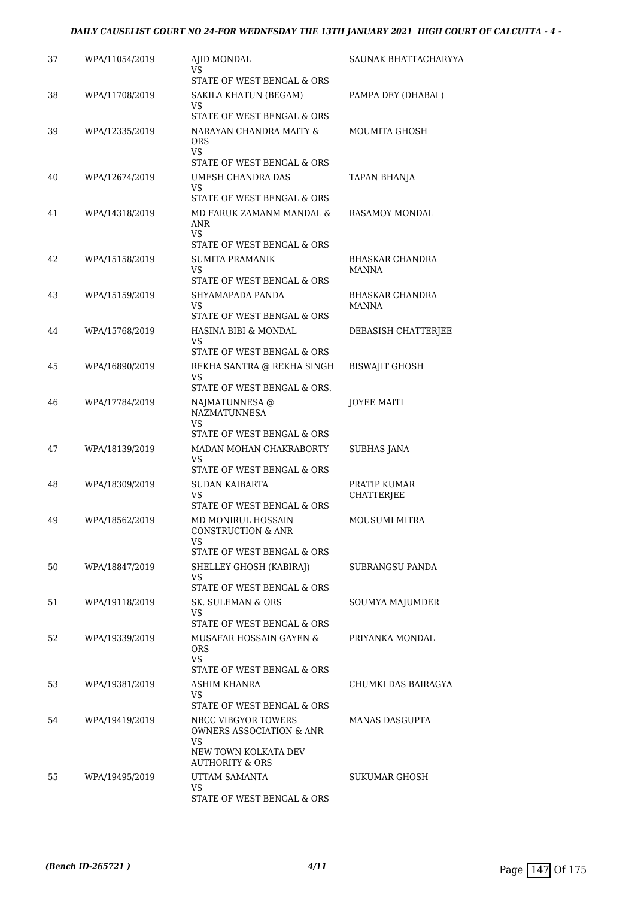| 37 | WPA/11054/2019 | AJID MONDAL<br>VS<br>STATE OF WEST BENGAL & ORS                              | SAUNAK BHATTACHARYYA                   |
|----|----------------|------------------------------------------------------------------------------|----------------------------------------|
| 38 | WPA/11708/2019 | SAKILA KHATUN (BEGAM)<br>VS<br>STATE OF WEST BENGAL & ORS                    | PAMPA DEY (DHABAL)                     |
| 39 | WPA/12335/2019 | NARAYAN CHANDRA MAITY &<br><b>ORS</b><br>VS.                                 | MOUMITA GHOSH                          |
|    |                | STATE OF WEST BENGAL & ORS                                                   |                                        |
| 40 | WPA/12674/2019 | UMESH CHANDRA DAS<br>VS                                                      | TAPAN BHANJA                           |
| 41 | WPA/14318/2019 | STATE OF WEST BENGAL & ORS<br>MD FARUK ZAMANM MANDAL &<br>ANR<br>VS.         | RASAMOY MONDAL                         |
|    |                | STATE OF WEST BENGAL & ORS                                                   |                                        |
| 42 | WPA/15158/2019 | SUMITA PRAMANIK<br>VS                                                        | <b>BHASKAR CHANDRA</b><br><b>MANNA</b> |
|    |                | STATE OF WEST BENGAL & ORS                                                   |                                        |
| 43 | WPA/15159/2019 | SHYAMAPADA PANDA<br>VS<br>STATE OF WEST BENGAL & ORS                         | <b>BHASKAR CHANDRA</b><br>MANNA        |
| 44 | WPA/15768/2019 | HASINA BIBI & MONDAL<br>VS                                                   | DEBASISH CHATTERJEE                    |
|    |                | STATE OF WEST BENGAL & ORS                                                   |                                        |
| 45 | WPA/16890/2019 | REKHA SANTRA @ REKHA SINGH<br>VS<br>STATE OF WEST BENGAL & ORS.              | BISWAJIT GHOSH                         |
| 46 | WPA/17784/2019 | NAJMATUNNESA @<br><b>NAZMATUNNESA</b><br><b>VS</b>                           | <b>JOYEE MAITI</b>                     |
|    |                | STATE OF WEST BENGAL & ORS                                                   |                                        |
| 47 | WPA/18139/2019 | MADAN MOHAN CHAKRABORTY<br>VS                                                | SUBHAS JANA                            |
| 48 | WPA/18309/2019 | STATE OF WEST BENGAL & ORS<br>SUDAN KAIBARTA                                 | PRATIP KUMAR                           |
|    |                | VS<br>STATE OF WEST BENGAL & ORS                                             | <b>CHATTERJEE</b>                      |
| 49 | WPA/18562/2019 | MD MONIRUL HOSSAIN<br>CONSTRUCTION & ANR<br>VS<br>STATE OF WEST BENGAL & ORS | <b>MOUSUMI MITRA</b>                   |
| 50 | WPA/18847/2019 | SHELLEY GHOSH (KABIRAJ)                                                      | SUBRANGSU PANDA                        |
|    |                | VS<br>STATE OF WEST BENGAL & ORS                                             |                                        |
| 51 | WPA/19118/2019 | SK. SULEMAN & ORS<br>VS.                                                     | SOUMYA MAJUMDER                        |
| 52 | WPA/19339/2019 | STATE OF WEST BENGAL & ORS<br>MUSAFAR HOSSAIN GAYEN &<br><b>ORS</b>          | PRIYANKA MONDAL                        |
|    |                | VS<br>STATE OF WEST BENGAL & ORS                                             |                                        |
| 53 | WPA/19381/2019 | ASHIM KHANRA<br>VS.                                                          | CHUMKI DAS BAIRAGYA                    |
|    |                | STATE OF WEST BENGAL & ORS                                                   |                                        |
| 54 | WPA/19419/2019 | NBCC VIBGYOR TOWERS<br>OWNERS ASSOCIATION & ANR                              | MANAS DASGUPTA                         |
|    |                | VS.<br>NEW TOWN KOLKATA DEV<br><b>AUTHORITY &amp; ORS</b>                    |                                        |
| 55 | WPA/19495/2019 | UTTAM SAMANTA                                                                | SUKUMAR GHOSH                          |
|    |                | VS.<br>STATE OF WEST BENGAL & ORS                                            |                                        |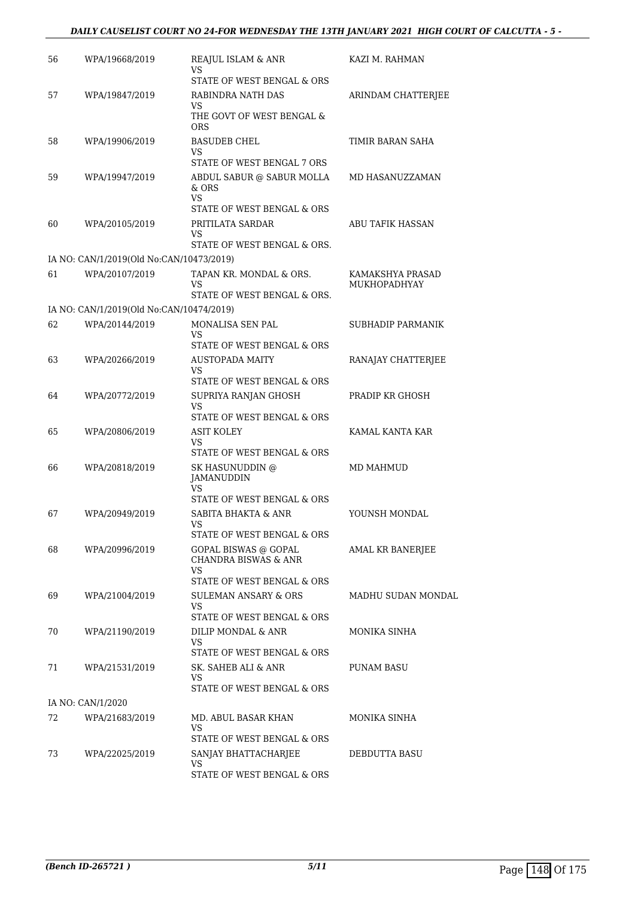#### *DAILY CAUSELIST COURT NO 24-FOR WEDNESDAY THE 13TH JANUARY 2021 HIGH COURT OF CALCUTTA - 5 -*

| 56 | WPA/19668/2019                           | REAJUL ISLAM & ANR<br>VS                                             | KAZI M. RAHMAN     |
|----|------------------------------------------|----------------------------------------------------------------------|--------------------|
|    |                                          | STATE OF WEST BENGAL & ORS                                           |                    |
| 57 | WPA/19847/2019                           | RABINDRA NATH DAS<br>VS.                                             | ARINDAM CHATTERJEE |
|    |                                          | THE GOVT OF WEST BENGAL &<br><b>ORS</b>                              |                    |
| 58 | WPA/19906/2019                           | <b>BASUDEB CHEL</b>                                                  | TIMIR BARAN SAHA   |
|    |                                          | VS<br>STATE OF WEST BENGAL 7 ORS                                     |                    |
| 59 | WPA/19947/2019                           | ABDUL SABUR @ SABUR MOLLA<br>$&$ ORS                                 | MD HASANUZZAMAN    |
|    |                                          | <b>VS</b><br>STATE OF WEST BENGAL & ORS                              |                    |
| 60 | WPA/20105/2019                           | PRITILATA SARDAR                                                     | ABU TAFIK HASSAN   |
|    |                                          | VS                                                                   |                    |
|    | IA NO: CAN/1/2019(Old No:CAN/10473/2019) | STATE OF WEST BENGAL & ORS.                                          |                    |
| 61 | WPA/20107/2019                           | TAPAN KR. MONDAL & ORS.                                              | KAMAKSHYA PRASAD   |
|    |                                          | VS<br>STATE OF WEST BENGAL & ORS.                                    | MUKHOPADHYAY       |
|    | IA NO: CAN/1/2019(Old No:CAN/10474/2019) |                                                                      |                    |
| 62 | WPA/20144/2019                           | MONALISA SEN PAL<br>VS                                               | SUBHADIP PARMANIK  |
|    |                                          | STATE OF WEST BENGAL & ORS                                           |                    |
| 63 | WPA/20266/2019                           | AUSTOPADA MAITY                                                      | RANAJAY CHATTERJEE |
|    |                                          | VS<br>STATE OF WEST BENGAL & ORS                                     |                    |
| 64 | WPA/20772/2019                           | SUPRIYA RANJAN GHOSH                                                 | PRADIP KR GHOSH    |
|    |                                          | VS<br>STATE OF WEST BENGAL & ORS                                     |                    |
| 65 | WPA/20806/2019                           | ASIT KOLEY                                                           | KAMAL KANTA KAR    |
|    |                                          | VS<br>STATE OF WEST BENGAL & ORS                                     |                    |
| 66 | WPA/20818/2019                           | SK HASUNUDDIN @                                                      | MD MAHMUD          |
|    |                                          | JAMANUDDIN<br>VS                                                     |                    |
|    |                                          | STATE OF WEST BENGAL & ORS                                           |                    |
| 67 | WPA/20949/2019                           | <b>SABITA BHAKTA &amp; ANR</b><br>VS<br>STATE OF WEST BENGAL & ORS   | YOUNSH MONDAL      |
| 68 | WPA/20996/2019                           | <b>GOPAL BISWAS @ GOPAL</b>                                          | AMAL KR BANERJEE   |
|    |                                          | <b>CHANDRA BISWAS &amp; ANR</b><br>VS.<br>STATE OF WEST BENGAL & ORS |                    |
| 69 | WPA/21004/2019                           | <b>SULEMAN ANSARY &amp; ORS</b>                                      | MADHU SUDAN MONDAL |
|    |                                          | VS                                                                   |                    |
|    |                                          | STATE OF WEST BENGAL & ORS                                           |                    |
| 70 | WPA/21190/2019                           | DILIP MONDAL & ANR<br>VS.                                            | MONIKA SINHA       |
|    |                                          | STATE OF WEST BENGAL & ORS                                           |                    |
| 71 | WPA/21531/2019                           | SK. SAHEB ALI & ANR<br>VS.<br>STATE OF WEST BENGAL & ORS             | PUNAM BASU         |
|    | IA NO: CAN/1/2020                        |                                                                      |                    |
| 72 | WPA/21683/2019                           | MD. ABUL BASAR KHAN<br>VS                                            | MONIKA SINHA       |
|    |                                          | STATE OF WEST BENGAL & ORS                                           |                    |
| 73 | WPA/22025/2019                           | SANJAY BHATTACHARJEE                                                 | DEBDUTTA BASU      |
|    |                                          | VS.<br>STATE OF WEST BENGAL & ORS                                    |                    |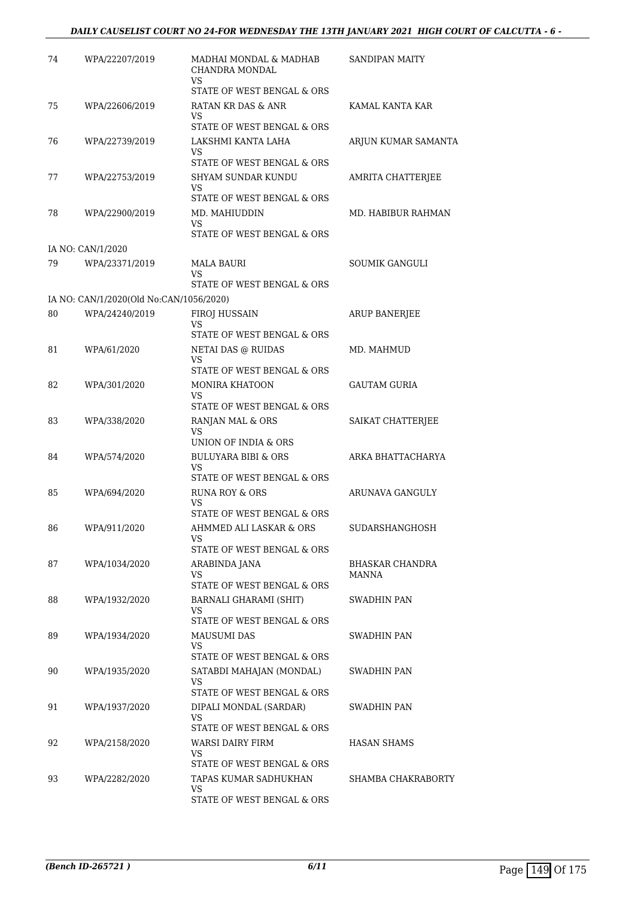| 74 | WPA/22207/2019                          | MADHAI MONDAL & MADHAB<br>CHANDRA MONDAL<br>VS         | <b>SANDIPAN MAITY</b>    |
|----|-----------------------------------------|--------------------------------------------------------|--------------------------|
|    |                                         | STATE OF WEST BENGAL & ORS                             |                          |
| 75 | WPA/22606/2019                          | RATAN KR DAS & ANR<br>VS<br>STATE OF WEST BENGAL & ORS | KAMAL KANTA KAR          |
| 76 | WPA/22739/2019                          | LAKSHMI KANTA LAHA                                     | ARJUN KUMAR SAMANTA      |
|    |                                         | VS<br>STATE OF WEST BENGAL & ORS                       |                          |
| 77 | WPA/22753/2019                          | SHYAM SUNDAR KUNDU                                     | AMRITA CHATTERJEE        |
|    |                                         | VS                                                     |                          |
| 78 | WPA/22900/2019                          | STATE OF WEST BENGAL & ORS<br>MD. MAHIUDDIN            | MD. HABIBUR RAHMAN       |
|    |                                         | <b>VS</b>                                              |                          |
|    |                                         | STATE OF WEST BENGAL & ORS                             |                          |
| 79 | IA NO: CAN/1/2020                       |                                                        |                          |
|    | WPA/23371/2019                          | MALA BAURI<br>VS                                       | SOUMIK GANGULI           |
|    |                                         | STATE OF WEST BENGAL & ORS                             |                          |
|    | IA NO: CAN/1/2020(Old No:CAN/1056/2020) |                                                        |                          |
| 80 | WPA/24240/2019                          | FIROJ HUSSAIN<br>VS                                    | ARUP BANERJEE            |
|    |                                         | STATE OF WEST BENGAL & ORS                             |                          |
| 81 | WPA/61/2020                             | NETAI DAS @ RUIDAS<br>VS                               | MD. MAHMUD               |
|    |                                         | STATE OF WEST BENGAL & ORS                             |                          |
| 82 | WPA/301/2020                            | MONIRA KHATOON                                         | <b>GAUTAM GURIA</b>      |
|    |                                         | VS<br>STATE OF WEST BENGAL & ORS                       |                          |
| 83 | WPA/338/2020                            | RANJAN MAL & ORS                                       | SAIKAT CHATTERJEE        |
|    |                                         | VS<br>UNION OF INDIA & ORS                             |                          |
| 84 | WPA/574/2020                            | <b>BULUYARA BIBI &amp; ORS</b>                         | ARKA BHATTACHARYA        |
|    |                                         | VS<br>STATE OF WEST BENGAL & ORS                       |                          |
| 85 | WPA/694/2020                            | <b>RUNA ROY &amp; ORS</b>                              | ARUNAVA GANGULY          |
|    |                                         | VS                                                     |                          |
|    |                                         | STATE OF WEST BENGAL & ORS                             |                          |
| 86 | WPA/911/2020                            | AHMMED ALI LASKAR & ORS<br>VS                          | SUDARSHANGHOSH           |
|    |                                         | STATE OF WEST BENGAL & ORS                             |                          |
| 87 | WPA/1034/2020                           | ARABINDA JANA<br>VS                                    | BHASKAR CHANDRA<br>MANNA |
|    |                                         | STATE OF WEST BENGAL & ORS                             |                          |
| 88 | WPA/1932/2020                           | BARNALI GHARAMI (SHIT)                                 | SWADHIN PAN              |
|    |                                         | VS<br>STATE OF WEST BENGAL & ORS                       |                          |
| 89 | WPA/1934/2020                           | <b>MAUSUMI DAS</b>                                     | SWADHIN PAN              |
|    |                                         | VS.<br>STATE OF WEST BENGAL & ORS                      |                          |
| 90 | WPA/1935/2020                           | SATABDI MAHAJAN (MONDAL)                               | SWADHIN PAN              |
|    |                                         | VS                                                     |                          |
| 91 | WPA/1937/2020                           | STATE OF WEST BENGAL & ORS<br>DIPALI MONDAL (SARDAR)   | SWADHIN PAN              |
|    |                                         | VS                                                     |                          |
|    |                                         | STATE OF WEST BENGAL & ORS                             |                          |
| 92 | WPA/2158/2020                           | WARSI DAIRY FIRM<br>VS.                                | HASAN SHAMS              |
|    |                                         | STATE OF WEST BENGAL & ORS                             |                          |
| 93 | WPA/2282/2020                           | TAPAS KUMAR SADHUKHAN<br>VS                            | SHAMBA CHAKRABORTY       |
|    |                                         | STATE OF WEST BENGAL & ORS                             |                          |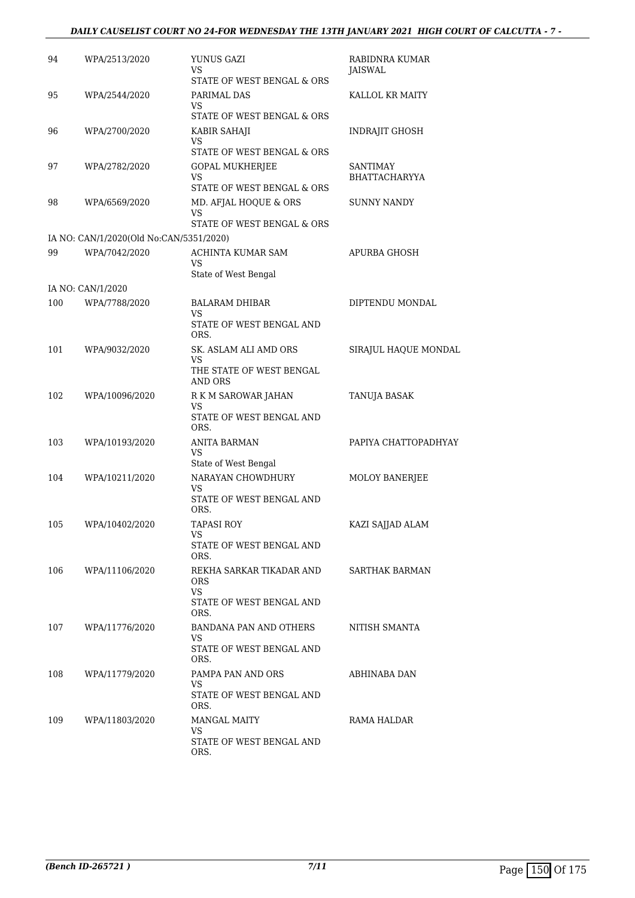#### *DAILY CAUSELIST COURT NO 24-FOR WEDNESDAY THE 13TH JANUARY 2021 HIGH COURT OF CALCUTTA - 7 -*

| 94  | WPA/2513/2020                           | YUNUS GAZI<br>VS                                          | RABIDNRA KUMAR<br>JAISWAL |
|-----|-----------------------------------------|-----------------------------------------------------------|---------------------------|
| 95  | WPA/2544/2020                           | STATE OF WEST BENGAL & ORS<br>PARIMAL DAS                 | KALLOL KR MAITY           |
|     |                                         | VS                                                        |                           |
|     |                                         | STATE OF WEST BENGAL & ORS                                |                           |
| 96  | WPA/2700/2020                           | KABIR SAHAJI<br>VS<br>STATE OF WEST BENGAL & ORS          | INDRAJIT GHOSH            |
| 97  | WPA/2782/2020                           | GOPAL MUKHERJEE                                           | SANTIMAY                  |
|     |                                         | VS                                                        | BHATTACHARYYA             |
|     |                                         | STATE OF WEST BENGAL & ORS                                |                           |
| 98  | WPA/6569/2020                           | MD. AFJAL HOQUE & ORS<br>VS<br>STATE OF WEST BENGAL & ORS | <b>SUNNY NANDY</b>        |
|     | IA NO: CAN/1/2020(Old No:CAN/5351/2020) |                                                           |                           |
| 99  | WPA/7042/2020                           | ACHINTA KUMAR SAM<br>VS                                   | APURBA GHOSH              |
|     |                                         | State of West Bengal                                      |                           |
| 100 | IA NO: CAN/1/2020<br>WPA/7788/2020      | <b>BALARAM DHIBAR</b>                                     | DIPTENDU MONDAL           |
|     |                                         | VS                                                        |                           |
|     |                                         | STATE OF WEST BENGAL AND<br>ORS.                          |                           |
| 101 | WPA/9032/2020                           | SK. ASLAM ALI AMD ORS<br>VS                               | SIRAJUL HAQUE MONDAL      |
|     |                                         | THE STATE OF WEST BENGAL<br><b>AND ORS</b>                |                           |
| 102 | WPA/10096/2020                          | R K M SAROWAR JAHAN                                       | TANUJA BASAK              |
|     |                                         | VS<br>STATE OF WEST BENGAL AND<br>ORS.                    |                           |
| 103 | WPA/10193/2020                          | ANITA BARMAN                                              | PAPIYA CHATTOPADHYAY      |
|     |                                         | VS<br>State of West Bengal                                |                           |
| 104 | WPA/10211/2020                          | NARAYAN CHOWDHURY                                         | MOLOY BANERJEE            |
|     |                                         | VS<br>STATE OF WEST BENGAL AND                            |                           |
|     |                                         | ORS.                                                      |                           |
| 105 | WPA/10402/2020                          | TAPASI ROY                                                | KAZI SAJJAD ALAM          |
|     |                                         | VS.<br>STATE OF WEST BENGAL AND<br>ORS.                   |                           |
| 106 | WPA/11106/2020                          | REKHA SARKAR TIKADAR AND                                  | SARTHAK BARMAN            |
|     |                                         | <b>ORS</b><br>VS                                          |                           |
|     |                                         | STATE OF WEST BENGAL AND<br>ORS.                          |                           |
| 107 | WPA/11776/2020                          | BANDANA PAN AND OTHERS                                    | NITISH SMANTA             |
|     |                                         | VS.<br>STATE OF WEST BENGAL AND<br>ORS.                   |                           |
| 108 | WPA/11779/2020                          | PAMPA PAN AND ORS                                         | ABHINABA DAN              |
|     |                                         | VS<br>STATE OF WEST BENGAL AND<br>ORS.                    |                           |
| 109 | WPA/11803/2020                          | MANGAL MAITY                                              | RAMA HALDAR               |
|     |                                         | VS.<br>STATE OF WEST BENGAL AND<br>ORS.                   |                           |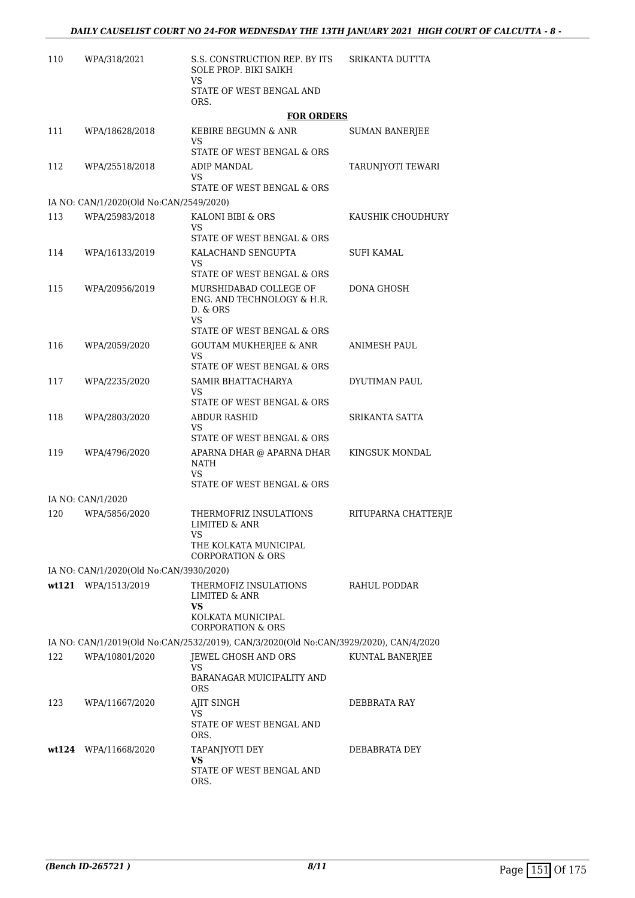| 110 | WPA/318/2021                            | S.S. CONSTRUCTION REP. BY ITS<br>SOLE PROP. BIKI SAIKH<br>VS<br>STATE OF WEST BENGAL AND<br>ORS.                  | SRIKANTA DUTTTA     |
|-----|-----------------------------------------|-------------------------------------------------------------------------------------------------------------------|---------------------|
|     |                                         | <b>FOR ORDERS</b>                                                                                                 |                     |
| 111 | WPA/18628/2018                          | KEBIRE BEGUMN & ANR                                                                                               | SUMAN BANERJEE      |
|     |                                         | VS<br>STATE OF WEST BENGAL & ORS                                                                                  |                     |
| 112 | WPA/25518/2018                          | ADIP MANDAL                                                                                                       | TARUNJYOTI TEWARI   |
|     |                                         | VS<br>STATE OF WEST BENGAL & ORS                                                                                  |                     |
|     | IA NO: CAN/1/2020(Old No:CAN/2549/2020) |                                                                                                                   |                     |
| 113 | WPA/25983/2018                          | KALONI BIBI & ORS<br>VS                                                                                           | KAUSHIK CHOUDHURY   |
| 114 | WPA/16133/2019                          | STATE OF WEST BENGAL & ORS<br>KALACHAND SENGUPTA                                                                  | SUFI KAMAL          |
|     |                                         | VS<br>STATE OF WEST BENGAL & ORS                                                                                  |                     |
| 115 | WPA/20956/2019                          | MURSHIDABAD COLLEGE OF<br>ENG. AND TECHNOLOGY & H.R.<br>D. & ORS<br>VS                                            | DONA GHOSH          |
|     |                                         | STATE OF WEST BENGAL & ORS                                                                                        |                     |
| 116 | WPA/2059/2020                           | <b>GOUTAM MUKHERJEE &amp; ANR</b><br>VS.<br>STATE OF WEST BENGAL & ORS                                            | ANIMESH PAUL        |
| 117 | WPA/2235/2020                           | SAMIR BHATTACHARYA                                                                                                | DYUTIMAN PAUL       |
|     |                                         | VS<br>STATE OF WEST BENGAL & ORS                                                                                  |                     |
| 118 | WPA/2803/2020                           | ABDUR RASHID<br>VS<br>STATE OF WEST BENGAL & ORS                                                                  | SRIKANTA SATTA      |
| 119 | WPA/4796/2020                           | APARNA DHAR @ APARNA DHAR<br>NATH<br>VS<br>STATE OF WEST BENGAL & ORS                                             | KINGSUK MONDAL      |
|     | IA NO: CAN/1/2020                       |                                                                                                                   |                     |
| 120 | WPA/5856/2020                           | THERMOFRIZ INSULATIONS<br><b>LIMITED &amp; ANR</b><br>VS<br>THE KOLKATA MUNICIPAL<br><b>CORPORATION &amp; ORS</b> | RITUPARNA CHATTERJE |
|     | IA NO: CAN/1/2020(Old No:CAN/3930/2020) |                                                                                                                   |                     |
|     | wt121 WPA/1513/2019                     | THERMOFIZ INSULATIONS<br><b>LIMITED &amp; ANR</b><br><b>VS</b>                                                    | RAHUL PODDAR        |
|     |                                         | KOLKATA MUNICIPAL<br><b>CORPORATION &amp; ORS</b>                                                                 |                     |
|     |                                         | IA NO: CAN/1/2019(Old No:CAN/2532/2019), CAN/3/2020(Old No:CAN/3929/2020), CAN/4/2020                             |                     |
| 122 | WPA/10801/2020                          | JEWEL GHOSH AND ORS<br>VS.                                                                                        | KUNTAL BANERJEE     |
|     |                                         | BARANAGAR MUICIPALITY AND<br><b>ORS</b>                                                                           |                     |
| 123 | WPA/11667/2020                          | AJIT SINGH<br>VS<br>STATE OF WEST BENGAL AND<br>ORS.                                                              | DEBBRATA RAY        |
|     | wt124 WPA/11668/2020                    | TAPANJYOTI DEY                                                                                                    | DEBABRATA DEY       |
|     |                                         | VS<br>STATE OF WEST BENGAL AND<br>ORS.                                                                            |                     |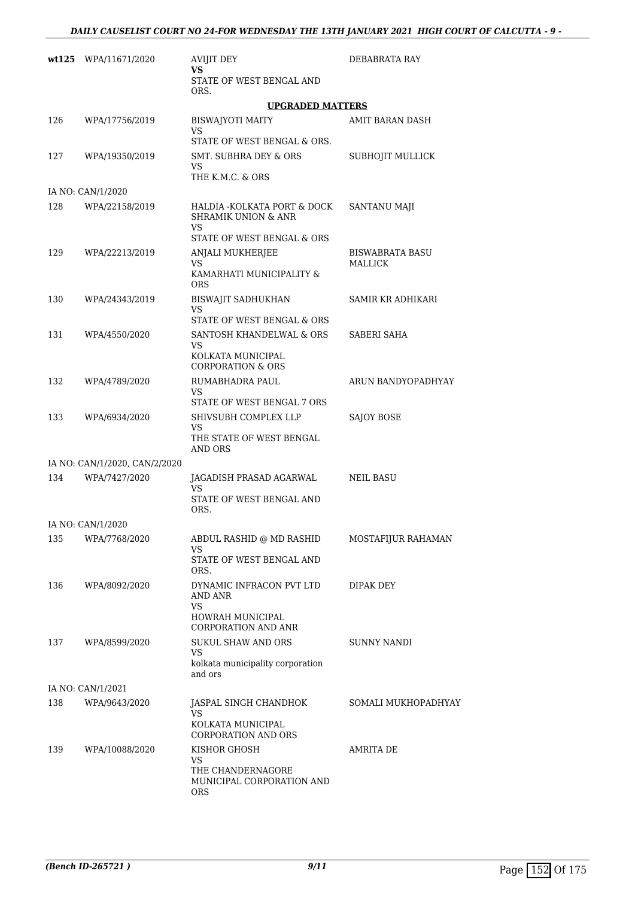|     | wt125 WPA/11671/2020                | <b>AVIJIT DEY</b><br>VS                                             | DEBABRATA RAY                     |
|-----|-------------------------------------|---------------------------------------------------------------------|-----------------------------------|
|     |                                     | STATE OF WEST BENGAL AND<br>ORS.                                    |                                   |
|     |                                     | <b>UPGRADED MATTERS</b>                                             |                                   |
| 126 | WPA/17756/2019                      | <b>BISWAJYOTI MAITY</b><br>VS                                       | AMIT BARAN DASH                   |
|     |                                     | STATE OF WEST BENGAL & ORS.                                         |                                   |
| 127 | WPA/19350/2019                      | SMT. SUBHRA DEY & ORS<br>VS                                         | SUBHOJIT MULLICK                  |
|     |                                     | THE K.M.C. & ORS                                                    |                                   |
| 128 | IA NO: CAN/1/2020<br>WPA/22158/2019 | HALDIA -KOLKATA PORT & DOCK<br><b>SHRAMIK UNION &amp; ANR</b><br>VS | SANTANU MAJI                      |
|     |                                     | STATE OF WEST BENGAL & ORS                                          |                                   |
| 129 | WPA/22213/2019                      | ANJALI MUKHERJEE<br>VS.<br>KAMARHATI MUNICIPALITY &<br><b>ORS</b>   | <b>BISWABRATA BASU</b><br>MALLICK |
| 130 | WPA/24343/2019                      | BISWAJIT SADHUKHAN<br><b>VS</b>                                     | SAMIR KR ADHIKARI                 |
|     |                                     | STATE OF WEST BENGAL & ORS                                          |                                   |
| 131 | WPA/4550/2020                       | SANTOSH KHANDELWAL & ORS<br>VS.                                     | SABERI SAHA                       |
|     |                                     | KOLKATA MUNICIPAL<br><b>CORPORATION &amp; ORS</b>                   |                                   |
| 132 | WPA/4789/2020                       | RUMABHADRA PAUL<br>VS                                               | ARUN BANDYOPADHYAY                |
|     |                                     | STATE OF WEST BENGAL 7 ORS                                          |                                   |
| 133 | WPA/6934/2020                       | SHIVSUBH COMPLEX LLP<br>VS                                          | <b>SAJOY BOSE</b>                 |
|     |                                     | THE STATE OF WEST BENGAL<br>AND ORS                                 |                                   |
|     | IA NO: CAN/1/2020, CAN/2/2020       |                                                                     |                                   |
| 134 | WPA/7427/2020                       | JAGADISH PRASAD AGARWAL<br>VS                                       | <b>NEIL BASU</b>                  |
|     |                                     | STATE OF WEST BENGAL AND<br>ORS.                                    |                                   |
|     | IA NO: CAN/1/2020                   |                                                                     |                                   |
| 135 | WPA/7768/2020                       | ABDUL RASHID @ MD RASHID<br>VS                                      | MOSTAFIJUR RAHAMAN                |
|     |                                     | STATE OF WEST BENGAL AND<br>ORS.                                    |                                   |
| 136 | WPA/8092/2020                       | DYNAMIC INFRACON PVT LTD<br>AND ANR<br><b>VS</b>                    | DIPAK DEY                         |
|     |                                     | HOWRAH MUNICIPAL<br><b>CORPORATION AND ANR</b>                      |                                   |
| 137 | WPA/8599/2020                       | <b>SUKUL SHAW AND ORS</b><br>VS.                                    | <b>SUNNY NANDI</b>                |
|     |                                     | kolkata municipality corporation<br>and ors                         |                                   |
|     | IA NO: CAN/1/2021                   |                                                                     |                                   |
| 138 | WPA/9643/2020                       | JASPAL SINGH CHANDHOK<br>VS                                         | SOMALI MUKHOPADHYAY               |
|     |                                     | KOLKATA MUNICIPAL<br><b>CORPORATION AND ORS</b>                     |                                   |
| 139 | WPA/10088/2020                      | KISHOR GHOSH<br>VS.                                                 | AMRITA DE                         |
|     |                                     | THE CHANDERNAGORE<br>MUNICIPAL CORPORATION AND<br><b>ORS</b>        |                                   |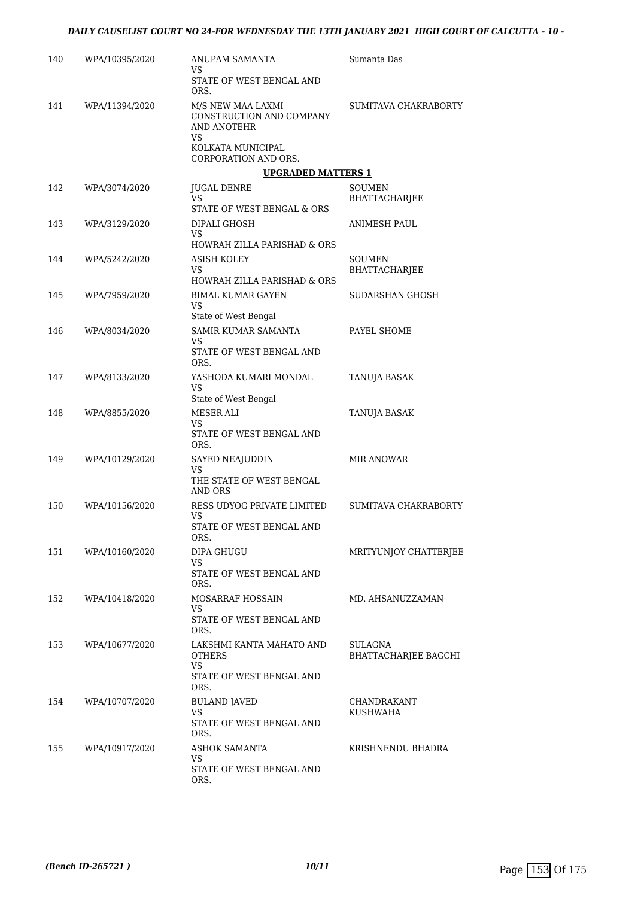| 140 | WPA/10395/2020 | ANUPAM SAMANTA<br>VS.                                                               | Sumanta Das                            |
|-----|----------------|-------------------------------------------------------------------------------------|----------------------------------------|
|     |                | STATE OF WEST BENGAL AND<br>ORS.                                                    |                                        |
| 141 | WPA/11394/2020 | M/S NEW MAA LAXMI<br>CONSTRUCTION AND COMPANY<br>AND ANOTEHR<br>VS.                 | SUMITAVA CHAKRABORTY                   |
|     |                | KOLKATA MUNICIPAL<br>CORPORATION AND ORS.                                           |                                        |
|     |                | <b>UPGRADED MATTERS 1</b>                                                           |                                        |
| 142 | WPA/3074/2020  | JUGAL DENRE<br>VS.<br>STATE OF WEST BENGAL & ORS                                    | <b>SOUMEN</b><br><b>BHATTACHARJEE</b>  |
| 143 | WPA/3129/2020  | DIPALI GHOSH<br>VS.                                                                 | ANIMESH PAUL                           |
|     |                | HOWRAH ZILLA PARISHAD & ORS                                                         |                                        |
| 144 | WPA/5242/2020  | <b>ASISH KOLEY</b><br>VS<br>HOWRAH ZILLA PARISHAD & ORS                             | SOUMEN<br>BHATTACHARJEE                |
| 145 | WPA/7959/2020  | <b>BIMAL KUMAR GAYEN</b><br>VS<br>State of West Bengal                              | SUDARSHAN GHOSH                        |
| 146 | WPA/8034/2020  | SAMIR KUMAR SAMANTA                                                                 | PAYEL SHOME                            |
|     |                | VS.<br>STATE OF WEST BENGAL AND<br>ORS.                                             |                                        |
| 147 | WPA/8133/2020  | YASHODA KUMARI MONDAL<br><b>VS</b><br>State of West Bengal                          | TANUJA BASAK                           |
| 148 | WPA/8855/2020  | MESER ALI<br>VS<br>STATE OF WEST BENGAL AND                                         | TANUJA BASAK                           |
| 149 | WPA/10129/2020 | ORS.<br>SAYED NEAJUDDIN<br>VS.<br>THE STATE OF WEST BENGAL<br>AND ORS               | MIR ANOWAR                             |
| 150 | WPA/10156/2020 | RESS UDYOG PRIVATE LIMITED<br>VS<br>STATE OF WEST BENGAL AND<br>ORS.                | SUMITAVA CHAKRABORTY                   |
| 151 | WPA/10160/2020 | DIPA GHUGU<br>VS.<br>STATE OF WEST BENGAL AND<br>ORS.                               | MRITYUNJOY CHATTERJEE                  |
| 152 | WPA/10418/2020 | MOSARRAF HOSSAIN<br>VS<br>STATE OF WEST BENGAL AND<br>ORS.                          | MD. AHSANUZZAMAN                       |
| 153 | WPA/10677/2020 | LAKSHMI KANTA MAHATO AND<br>OTHERS<br><b>VS</b><br>STATE OF WEST BENGAL AND<br>ORS. | SULAGNA<br><b>BHATTACHARJEE BAGCHI</b> |
| 154 | WPA/10707/2020 | <b>BULAND JAVED</b><br>VS<br>STATE OF WEST BENGAL AND<br>ORS.                       | CHANDRAKANT<br>KUSHWAHA                |
| 155 | WPA/10917/2020 | ASHOK SAMANTA<br>VS.<br>STATE OF WEST BENGAL AND<br>ORS.                            | KRISHNENDU BHADRA                      |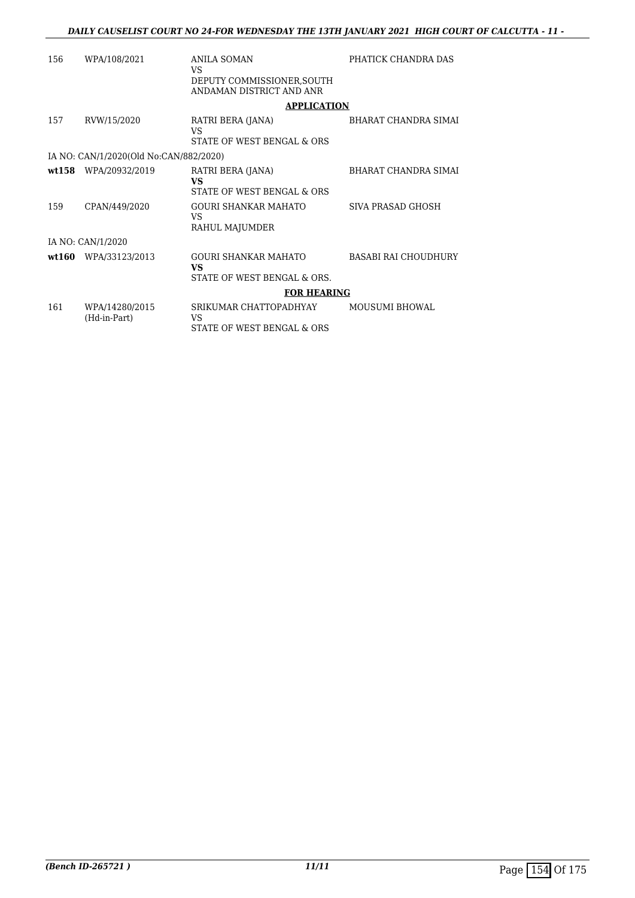| 156   | WPA/108/2021                           | ANILA SOMAN<br>VS.<br>DEPUTY COMMISSIONER, SOUTH<br>ANDAMAN DISTRICT AND ANR | PHATICK CHANDRA DAS         |
|-------|----------------------------------------|------------------------------------------------------------------------------|-----------------------------|
|       |                                        | <b>APPLICATION</b>                                                           |                             |
| 157   | RVW/15/2020                            | RATRI BERA (JANA)<br>VS<br>STATE OF WEST BENGAL & ORS                        | BHARAT CHANDRA SIMAI        |
|       | IA NO: CAN/1/2020(Old No:CAN/882/2020) |                                                                              |                             |
|       | wt158 WPA/20932/2019                   | RATRI BERA (JANA)<br>VS<br>STATE OF WEST BENGAL & ORS                        | BHARAT CHANDRA SIMAI        |
| 159   | CPAN/449/2020                          | <b>GOURI SHANKAR MAHATO</b><br>VS.<br>RAHUL MAJUMDER                         | SIVA PRASAD GHOSH           |
|       | IA NO: CAN/1/2020                      |                                                                              |                             |
| wt160 | WPA/33123/2013                         | GOURI SHANKAR MAHATO<br><b>VS</b><br>STATE OF WEST BENGAL & ORS.             | <b>BASABI RAI CHOUDHURY</b> |
|       |                                        | <b>FOR HEARING</b>                                                           |                             |
| 161   | WPA/14280/2015<br>(Hd-in-Part)         | SRIKUMAR CHATTOPADHYAY<br>VS<br>STATE OF WEST BENGAL & ORS                   | <b>MOUSUMI BHOWAL</b>       |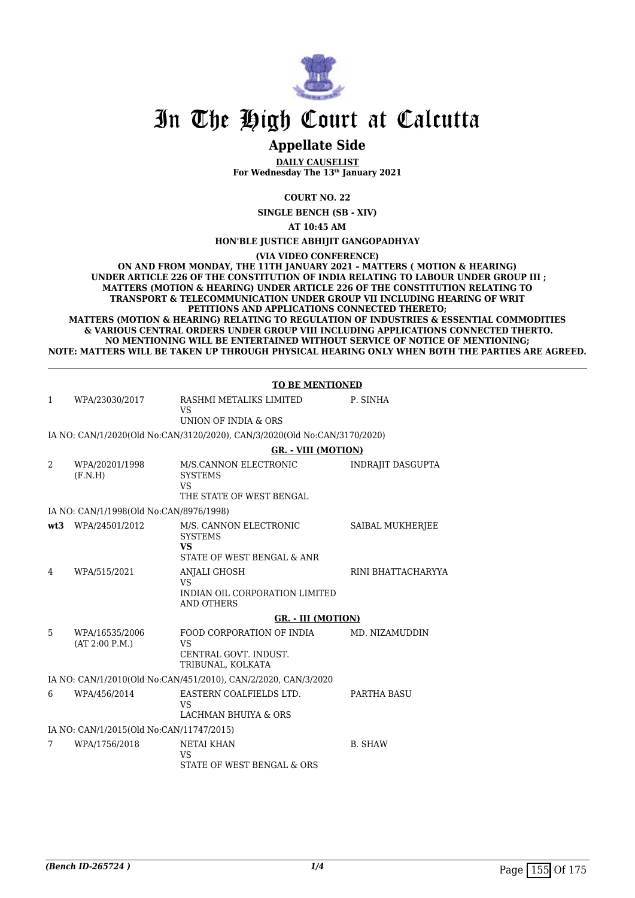

### **Appellate Side**

**DAILY CAUSELIST For Wednesday The 13th January 2021**

**COURT NO. 22**

**SINGLE BENCH (SB - XIV)**

**AT 10:45 AM**

**HON'BLE JUSTICE ABHIJIT GANGOPADHYAY**

**(VIA VIDEO CONFERENCE)**

**ON AND FROM MONDAY, THE 11TH JANUARY 2021 – MATTERS ( MOTION & HEARING) UNDER ARTICLE 226 OF THE CONSTITUTION OF INDIA RELATING TO LABOUR UNDER GROUP III ; MATTERS (MOTION & HEARING) UNDER ARTICLE 226 OF THE CONSTITUTION RELATING TO TRANSPORT & TELECOMMUNICATION UNDER GROUP VII INCLUDING HEARING OF WRIT PETITIONS AND APPLICATIONS CONNECTED THERETO;**

**MATTERS (MOTION & HEARING) RELATING TO REGULATION OF INDUSTRIES & ESSENTIAL COMMODITIES & VARIOUS CENTRAL ORDERS UNDER GROUP VIII INCLUDING APPLICATIONS CONNECTED THERTO. NO MENTIONING WILL BE ENTERTAINED WITHOUT SERVICE OF NOTICE OF MENTIONING; NOTE: MATTERS WILL BE TAKEN UP THROUGH PHYSICAL HEARING ONLY WHEN BOTH THE PARTIES ARE AGREED.**

|   |                                          | <b>TO BE MENTIONED</b>                                                               |                    |
|---|------------------------------------------|--------------------------------------------------------------------------------------|--------------------|
| 1 | WPA/23030/2017                           | RASHMI METALIKS LIMITED<br><b>VS</b>                                                 | P. SINHA           |
|   |                                          | UNION OF INDIA & ORS                                                                 |                    |
|   |                                          | IA NO: CAN/1/2020(Old No:CAN/3120/2020), CAN/3/2020(Old No:CAN/3170/2020)            |                    |
|   |                                          | <b>GR.</b> - VIII (MOTION)                                                           |                    |
| 2 | WPA/20201/1998<br>(F.N.H)                | M/S.CANNON ELECTRONIC<br><b>SYSTEMS</b><br><b>VS</b><br>THE STATE OF WEST BENGAL     | INDRAJIT DASGUPTA  |
|   | IA NO: CAN/1/1998(Old No:CAN/8976/1998)  |                                                                                      |                    |
|   | wt3 WPA/24501/2012                       | M/S. CANNON ELECTRONIC<br><b>SYSTEMS</b><br><b>VS</b><br>STATE OF WEST BENGAL & ANR  | SAIBAL MUKHERJEE   |
| 4 | WPA/515/2021                             | ANJALI GHOSH<br>VS.<br>INDIAN OIL CORPORATION LIMITED<br><b>AND OTHERS</b>           | RINI BHATTACHARYYA |
|   |                                          | <b>GR. - III (MOTION)</b>                                                            |                    |
| 5 | WPA/16535/2006<br>(AT 2:00 P.M.)         | FOOD CORPORATION OF INDIA<br><b>VS</b><br>CENTRAL GOVT, INDUST.<br>TRIBUNAL, KOLKATA | MD. NIZAMUDDIN     |
|   |                                          | IA NO: CAN/1/2010(Old No:CAN/451/2010), CAN/2/2020, CAN/3/2020                       |                    |
| 6 | WPA/456/2014                             | EASTERN COALFIELDS LTD.<br><b>VS</b><br>LACHMAN BHUIYA & ORS                         | PARTHA BASU        |
|   | IA NO: CAN/1/2015(Old No:CAN/11747/2015) |                                                                                      |                    |
| 7 | WPA/1756/2018                            | <b>NETAI KHAN</b><br><b>VS</b><br>STATE OF WEST BENGAL & ORS                         | <b>B. SHAW</b>     |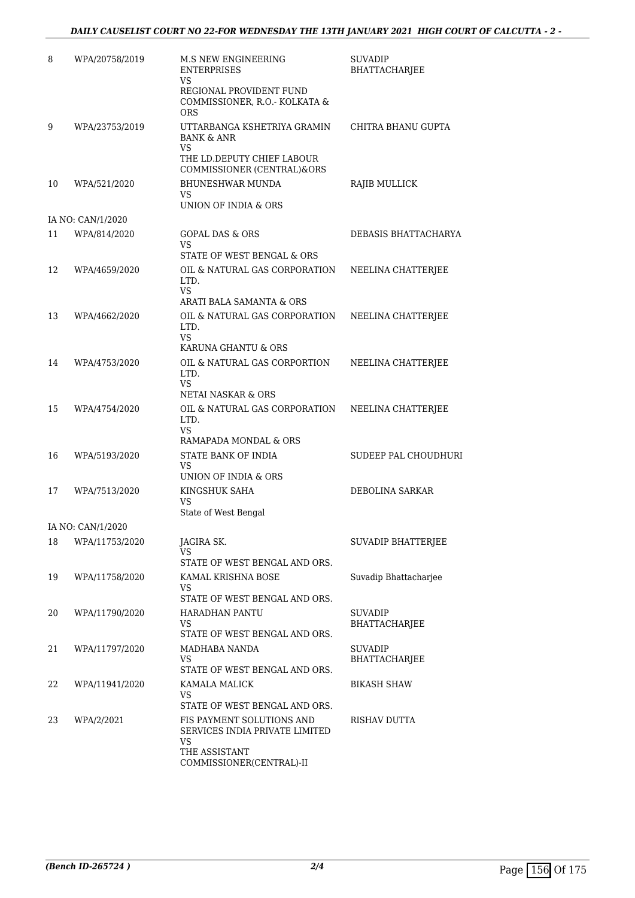| 8  | WPA/20758/2019    | M.S NEW ENGINEERING<br><b>ENTERPRISES</b><br>VS                                                                               | <b>SUVADIP</b><br>BHATTACHARJEE |
|----|-------------------|-------------------------------------------------------------------------------------------------------------------------------|---------------------------------|
|    |                   | REGIONAL PROVIDENT FUND<br>COMMISSIONER, R.O.- KOLKATA &<br><b>ORS</b>                                                        |                                 |
| 9  | WPA/23753/2019    | UTTARBANGA KSHETRIYA GRAMIN<br><b>BANK &amp; ANR</b><br><b>VS</b><br>THE LD.DEPUTY CHIEF LABOUR<br>COMMISSIONER (CENTRAL)&ORS | CHITRA BHANU GUPTA              |
| 10 | WPA/521/2020      | <b>BHUNESHWAR MUNDA</b><br>VS<br>UNION OF INDIA & ORS                                                                         | RAJIB MULLICK                   |
|    | IA NO: CAN/1/2020 |                                                                                                                               |                                 |
| 11 | WPA/814/2020      | <b>GOPAL DAS &amp; ORS</b><br>VS                                                                                              | DEBASIS BHATTACHARYA            |
| 12 | WPA/4659/2020     | STATE OF WEST BENGAL & ORS<br>OIL & NATURAL GAS CORPORATION<br>LTD.                                                           | NEELINA CHATTERJEE              |
|    |                   | <b>VS</b><br>ARATI BALA SAMANTA & ORS                                                                                         |                                 |
| 13 | WPA/4662/2020     | OIL & NATURAL GAS CORPORATION<br>LTD.<br><b>VS</b>                                                                            | NEELINA CHATTERJEE              |
|    |                   | KARUNA GHANTU & ORS                                                                                                           |                                 |
| 14 | WPA/4753/2020     | OIL & NATURAL GAS CORPORTION<br>LTD.<br><b>VS</b><br>NETAI NASKAR & ORS                                                       | NEELINA CHATTERJEE              |
| 15 | WPA/4754/2020     | OIL & NATURAL GAS CORPORATION<br>LTD.<br><b>VS</b>                                                                            | NEELINA CHATTERJEE              |
| 16 | WPA/5193/2020     | RAMAPADA MONDAL & ORS<br>STATE BANK OF INDIA<br>VS<br>UNION OF INDIA & ORS                                                    | SUDEEP PAL CHOUDHURI            |
| 17 | WPA/7513/2020     | KINGSHUK SAHA<br>VS<br>State of West Bengal                                                                                   | DEBOLINA SARKAR                 |
|    | IA NO: CAN/1/2020 |                                                                                                                               |                                 |
| 18 | WPA/11753/2020    | JAGIRA SK.<br>VS<br>STATE OF WEST BENGAL AND ORS.                                                                             | <b>SUVADIP BHATTERJEE</b>       |
| 19 | WPA/11758/2020    | KAMAL KRISHNA BOSE<br>VS.                                                                                                     | Suvadip Bhattacharjee           |
| 20 | WPA/11790/2020    | STATE OF WEST BENGAL AND ORS.<br>HARADHAN PANTU<br>VS<br>STATE OF WEST BENGAL AND ORS.                                        | <b>SUVADIP</b><br>BHATTACHARJEE |
| 21 | WPA/11797/2020    | MADHABA NANDA<br>VS<br>STATE OF WEST BENGAL AND ORS.                                                                          | <b>SUVADIP</b><br>BHATTACHARJEE |
| 22 | WPA/11941/2020    | KAMALA MALICK<br>VS.<br>STATE OF WEST BENGAL AND ORS.                                                                         | <b>BIKASH SHAW</b>              |
| 23 | WPA/2/2021        | FIS PAYMENT SOLUTIONS AND<br>SERVICES INDIA PRIVATE LIMITED<br>VS.<br>THE ASSISTANT<br>COMMISSIONER(CENTRAL)-II               | RISHAV DUTTA                    |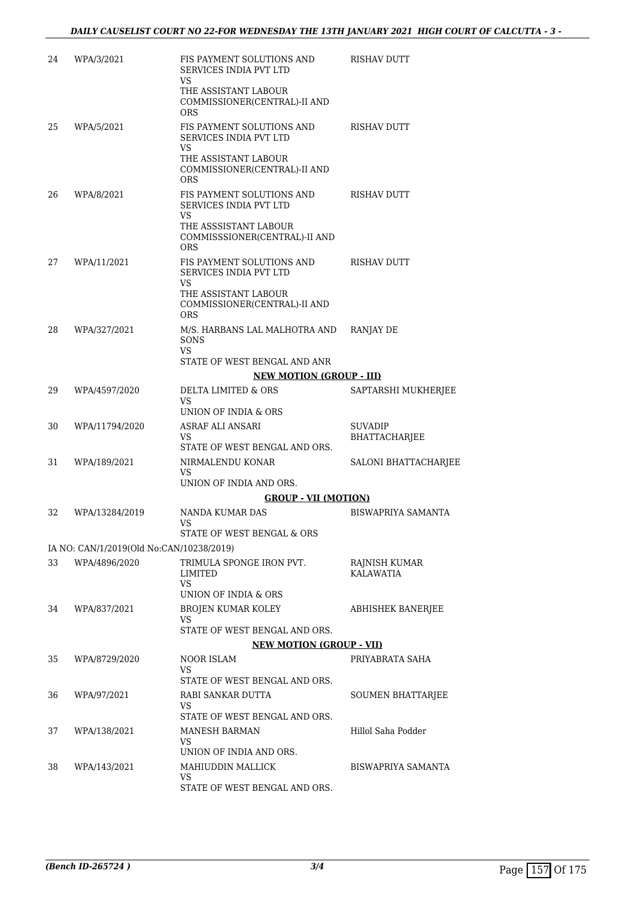| 24 | WPA/3/2021                               | FIS PAYMENT SOLUTIONS AND<br>SERVICES INDIA PVT LTD<br>VS<br>THE ASSISTANT LABOUR                                                  | RISHAV DUTT                            |
|----|------------------------------------------|------------------------------------------------------------------------------------------------------------------------------------|----------------------------------------|
|    |                                          | COMMISSIONER(CENTRAL)-II AND<br><b>ORS</b>                                                                                         |                                        |
| 25 | WPA/5/2021                               | FIS PAYMENT SOLUTIONS AND<br>SERVICES INDIA PVT LTD<br>VS.<br>THE ASSISTANT LABOUR<br>COMMISSIONER(CENTRAL)-II AND<br><b>ORS</b>   | RISHAV DUTT                            |
| 26 | WPA/8/2021                               | FIS PAYMENT SOLUTIONS AND<br>SERVICES INDIA PVT LTD<br>VS.<br>THE ASSSISTANT LABOUR<br>COMMISSSIONER(CENTRAL)-II AND<br><b>ORS</b> | <b>RISHAV DUTT</b>                     |
| 27 | WPA/11/2021                              | FIS PAYMENT SOLUTIONS AND<br>SERVICES INDIA PVT LTD<br>VS                                                                          | <b>RISHAV DUTT</b>                     |
|    |                                          | THE ASSISTANT LABOUR<br>COMMISSIONER(CENTRAL)-II AND<br><b>ORS</b>                                                                 |                                        |
| 28 | WPA/327/2021                             | M/S. HARBANS LAL MALHOTRA AND<br>SONS<br><b>VS</b>                                                                                 | <b>RANJAY DE</b>                       |
|    |                                          | STATE OF WEST BENGAL AND ANR                                                                                                       |                                        |
| 29 | WPA/4597/2020                            | <b>NEW MOTION (GROUP - III)</b><br>DELTA LIMITED & ORS                                                                             | SAPTARSHI MUKHERJEE                    |
|    |                                          | <b>VS</b><br>UNION OF INDIA & ORS                                                                                                  |                                        |
| 30 | WPA/11794/2020                           | ASRAF ALI ANSARI<br>VS<br>STATE OF WEST BENGAL AND ORS.                                                                            | <b>SUVADIP</b><br><b>BHATTACHARJEE</b> |
| 31 | WPA/189/2021                             | NIRMALENDU KONAR<br>VS.                                                                                                            | SALONI BHATTACHARJEE                   |
|    |                                          | UNION OF INDIA AND ORS.                                                                                                            |                                        |
|    |                                          | <b>GROUP - VII (MOTION)</b>                                                                                                        |                                        |
| 32 | WPA/13284/2019                           | NANDA KUMAR DAS<br>VS<br>STATE OF WEST BENGAL & ORS                                                                                | BISWAPRIYA SAMANTA                     |
|    | IA NO: CAN/1/2019(Old No:CAN/10238/2019) |                                                                                                                                    |                                        |
| 33 | WPA/4896/2020                            | TRIMULA SPONGE IRON PVT.<br>LIMITED                                                                                                | RAJNISH KUMAR<br>KALAWATIA             |
|    |                                          | VS<br>UNION OF INDIA & ORS                                                                                                         |                                        |
| 34 | WPA/837/2021                             | BROJEN KUMAR KOLEY<br>VS                                                                                                           | ABHISHEK BANERJEE                      |
|    |                                          | STATE OF WEST BENGAL AND ORS.                                                                                                      |                                        |
|    |                                          | <b>NEW MOTION (GROUP - VII)</b>                                                                                                    |                                        |
| 35 | WPA/8729/2020                            | NOOR ISLAM<br>VS<br>STATE OF WEST BENGAL AND ORS.                                                                                  | PRIYABRATA SAHA                        |
| 36 | WPA/97/2021                              | RABI SANKAR DUTTA<br>VS                                                                                                            | SOUMEN BHATTARJEE                      |
| 37 | WPA/138/2021                             | STATE OF WEST BENGAL AND ORS.<br><b>MANESH BARMAN</b><br>VS.<br>UNION OF INDIA AND ORS.                                            | Hillol Saha Podder                     |
| 38 | WPA/143/2021                             | MAHIUDDIN MALLICK<br>VS.<br>STATE OF WEST BENGAL AND ORS.                                                                          | <b>BISWAPRIYA SAMANTA</b>              |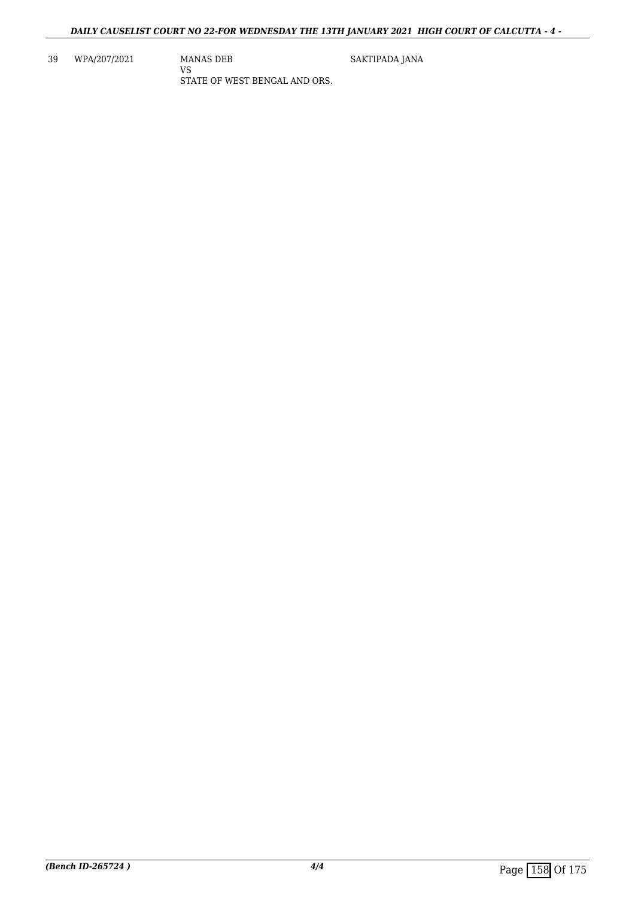39 WPA/207/2021 MANAS DEB

VS STATE OF WEST BENGAL AND ORS. SAKTIPADA JANA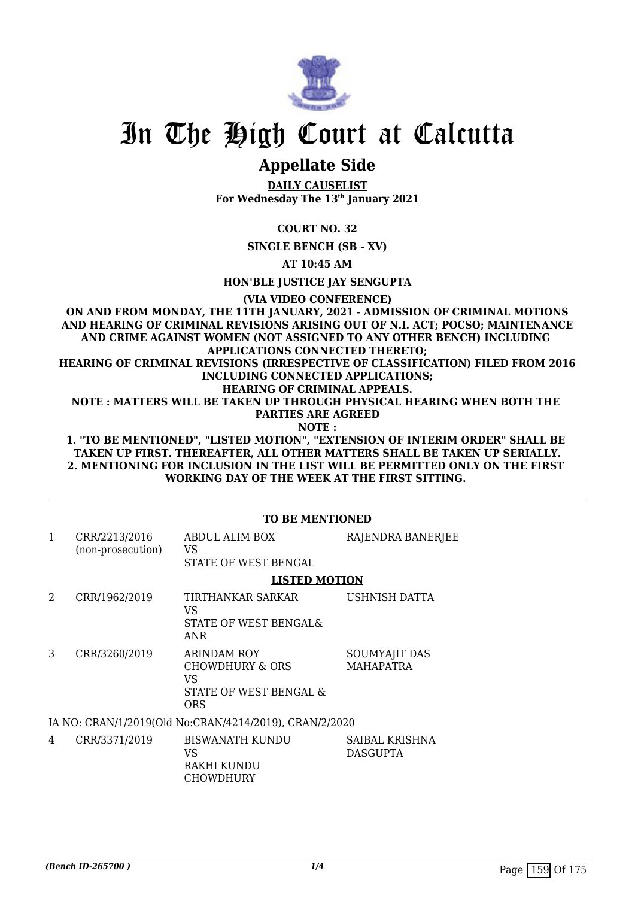

### **Appellate Side**

**DAILY CAUSELIST For Wednesday The 13th January 2021**

**COURT NO. 32**

**SINGLE BENCH (SB - XV)**

**AT 10:45 AM**

**HON'BLE JUSTICE JAY SENGUPTA**

**(VIA VIDEO CONFERENCE)**

**ON AND FROM MONDAY, THE 11TH JANUARY, 2021 - ADMISSION OF CRIMINAL MOTIONS AND HEARING OF CRIMINAL REVISIONS ARISING OUT OF N.I. ACT; POCSO; MAINTENANCE AND CRIME AGAINST WOMEN (NOT ASSIGNED TO ANY OTHER BENCH) INCLUDING APPLICATIONS CONNECTED THERETO; HEARING OF CRIMINAL REVISIONS (IRRESPECTIVE OF CLASSIFICATION) FILED FROM 2016 INCLUDING CONNECTED APPLICATIONS; HEARING OF CRIMINAL APPEALS. NOTE : MATTERS WILL BE TAKEN UP THROUGH PHYSICAL HEARING WHEN BOTH THE PARTIES ARE AGREED NOTE :**

**1. "TO BE MENTIONED", "LISTED MOTION", "EXTENSION OF INTERIM ORDER" SHALL BE TAKEN UP FIRST. THEREAFTER, ALL OTHER MATTERS SHALL BE TAKEN UP SERIALLY. 2. MENTIONING FOR INCLUSION IN THE LIST WILL BE PERMITTED ONLY ON THE FIRST WORKING DAY OF THE WEEK AT THE FIRST SITTING.** 

|   |                                                        | <b>TO BE MENTIONED</b>                                                              |                            |  |
|---|--------------------------------------------------------|-------------------------------------------------------------------------------------|----------------------------|--|
| 1 | CRR/2213/2016<br>(non-prosecution)                     | ABDUL ALIM BOX<br>VS                                                                | RAJENDRA BANERJEE          |  |
|   |                                                        | STATE OF WEST BENGAL                                                                |                            |  |
|   |                                                        | <b>LISTED MOTION</b>                                                                |                            |  |
| 2 | CRR/1962/2019                                          | TIRTHANKAR SARKAR<br>VS<br>STATE OF WEST BENGAL&<br><b>ANR</b>                      | USHNISH DATTA              |  |
| 3 | CRR/3260/2019                                          | <b>ARINDAM ROY</b><br>CHOWDHURY & ORS<br>VS<br>STATE OF WEST BENGAL &<br><b>ORS</b> | SOUMYAJIT DAS<br>MAHAPATRA |  |
|   | IA NO: CRAN/1/2019(Old No:CRAN/4214/2019), CRAN/2/2020 |                                                                                     |                            |  |
| 4 | CRR/3371/2019                                          | <b>BISWANATH KUNDU</b><br>VS<br>RAKHI KUNDU<br>CHOWDHURY                            | SAIBAL KRISHNA<br>DASGUPTA |  |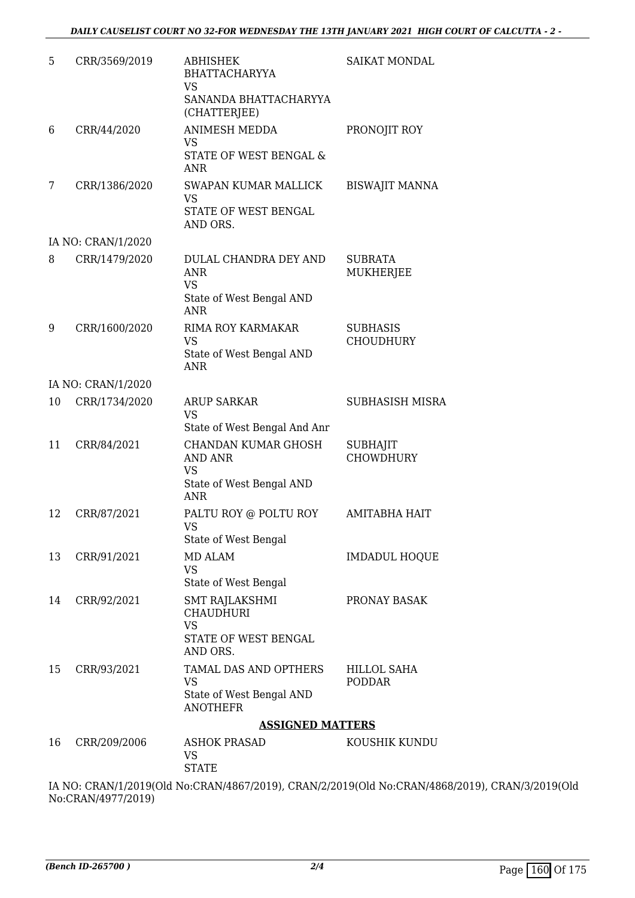| 5  | CRR/3569/2019      | <b>ABHISHEK</b><br><b>BHATTACHARYYA</b><br><b>VS</b><br>SANANDA BHATTACHARYYA<br>(CHATTERJEE) | SAIKAT MONDAL                       |
|----|--------------------|-----------------------------------------------------------------------------------------------|-------------------------------------|
| 6  | CRR/44/2020        | <b>ANIMESH MEDDA</b><br><b>VS</b><br>STATE OF WEST BENGAL &<br><b>ANR</b>                     | PRONOJIT ROY                        |
| 7  | CRR/1386/2020      | SWAPAN KUMAR MALLICK<br><b>VS</b><br>STATE OF WEST BENGAL<br>AND ORS.                         | <b>BISWAJIT MANNA</b>               |
|    | IA NO: CRAN/1/2020 |                                                                                               |                                     |
| 8  | CRR/1479/2020      | DULAL CHANDRA DEY AND<br><b>ANR</b><br><b>VS</b><br>State of West Bengal AND<br><b>ANR</b>    | <b>SUBRATA</b><br>MUKHERJEE         |
| 9  | CRR/1600/2020      | RIMA ROY KARMAKAR<br><b>VS</b><br>State of West Bengal AND<br><b>ANR</b>                      | <b>SUBHASIS</b><br><b>CHOUDHURY</b> |
|    | IA NO: CRAN/1/2020 |                                                                                               |                                     |
| 10 | CRR/1734/2020      | <b>ARUP SARKAR</b><br><b>VS</b><br>State of West Bengal And Anr                               | <b>SUBHASISH MISRA</b>              |
| 11 | CRR/84/2021        | CHANDAN KUMAR GHOSH<br><b>AND ANR</b><br><b>VS</b><br>State of West Bengal AND<br><b>ANR</b>  | <b>SUBHAJIT</b><br><b>CHOWDHURY</b> |
| 12 | CRR/87/2021        | PALTU ROY @ POLTU ROY<br><b>VS</b><br>State of West Bengal                                    | <b>AMITABHA HAIT</b>                |
| 13 | CRR/91/2021        | MD ALAM<br><b>VS</b><br>State of West Bengal                                                  | <b>IMDADUL HOQUE</b>                |
| 14 | CRR/92/2021        | SMT RAJLAKSHMI<br><b>CHAUDHURI</b><br><b>VS</b><br>STATE OF WEST BENGAL<br>AND ORS.           | PRONAY BASAK                        |
| 15 | CRR/93/2021        | TAMAL DAS AND OPTHERS<br><b>VS</b><br>State of West Bengal AND<br><b>ANOTHEFR</b>             | <b>HILLOL SAHA</b><br><b>PODDAR</b> |
|    |                    | <b>ASSIGNED MATTERS</b>                                                                       |                                     |
| 16 | CRR/209/2006       | <b>ASHOK PRASAD</b><br><b>VS</b><br><b>STATE</b>                                              | KOUSHIK KUNDU                       |

IA NO: CRAN/1/2019(Old No:CRAN/4867/2019), CRAN/2/2019(Old No:CRAN/4868/2019), CRAN/3/2019(Old No:CRAN/4977/2019)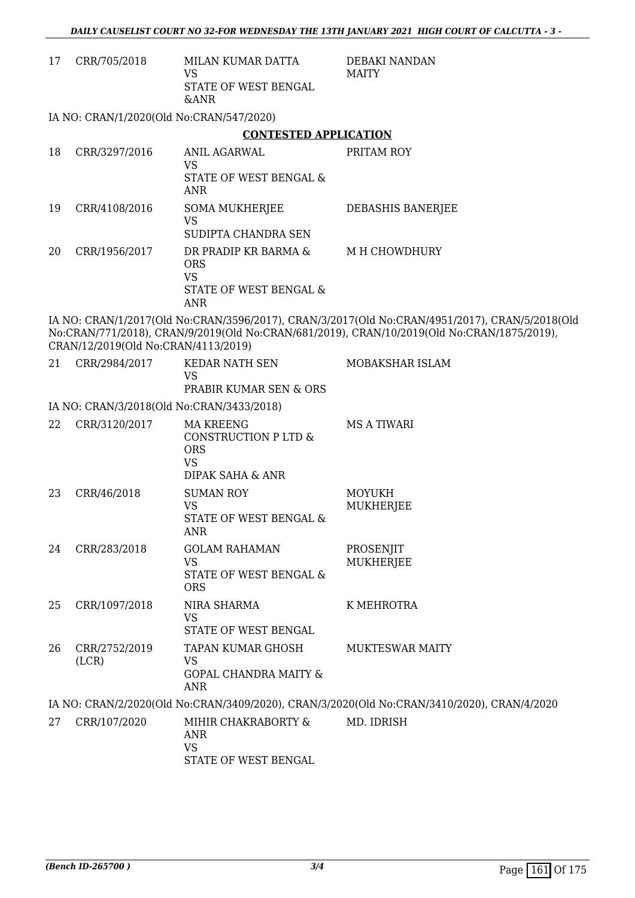| 17 | CRR/705/2018 | MILAN KUMAR DATTA    |  |
|----|--------------|----------------------|--|
|    |              | VS.                  |  |
|    |              | STATE OF WEST BENGAL |  |
|    |              | &ANR                 |  |

DEBAKI NANDAN MAITY

#### IA NO: CRAN/1/2020(Old No:CRAN/547/2020)

#### **CONTESTED APPLICATION**

| 18 | CRR/3297/2016 | ANIL AGARWAL<br>VS<br>STATE OF WEST BENGAL &<br>ANR                | PRITAM ROY        |
|----|---------------|--------------------------------------------------------------------|-------------------|
| 19 | CRR/4108/2016 | <b>SOMA MUKHERJEE</b><br>VS<br>SUDIPTA CHANDRA SEN                 | DEBASHIS BANERJEE |
| 20 | CRR/1956/2017 | DR PRADIP KR BARMA &<br>ORS<br>VS<br>STATE OF WEST BENGAL &<br>ANR | M H CHOWDHURY     |

IA NO: CRAN/1/2017(Old No:CRAN/3596/2017), CRAN/3/2017(Old No:CRAN/4951/2017), CRAN/5/2018(Old No:CRAN/771/2018), CRAN/9/2019(Old No:CRAN/681/2019), CRAN/10/2019(Old No:CRAN/1875/2019), CRAN/12/2019(Old No:CRAN/4113/2019)

| 21 | CRR/2984/2017                                                                              | <b>KEDAR NATH SEN</b><br><b>VS</b><br>PRABIR KUMAR SEN & ORS                            | MOBAKSHAR ISLAM                   |  |  |
|----|--------------------------------------------------------------------------------------------|-----------------------------------------------------------------------------------------|-----------------------------------|--|--|
|    | IA NO: CRAN/3/2018(Old No:CRAN/3433/2018)                                                  |                                                                                         |                                   |  |  |
| 22 | CRR/3120/2017                                                                              | <b>MA KREENG</b><br>CONSTRUCTION P LTD &<br><b>ORS</b><br><b>VS</b><br>DIPAK SAHA & ANR | <b>MS A TIWARI</b>                |  |  |
| 23 | CRR/46/2018                                                                                | <b>SUMAN ROY</b><br><b>VS</b><br>STATE OF WEST BENGAL &<br><b>ANR</b>                   | <b>MOYUKH</b><br><b>MUKHERJEE</b> |  |  |
| 24 | CRR/283/2018                                                                               | <b>GOLAM RAHAMAN</b><br><b>VS</b><br>STATE OF WEST BENGAL &<br><b>ORS</b>               | PROSENJIT<br><b>MUKHERJEE</b>     |  |  |
| 25 | CRR/1097/2018                                                                              | NIRA SHARMA<br><b>VS</b><br><b>STATE OF WEST BENGAL</b>                                 | K MEHROTRA                        |  |  |
| 26 | CRR/2752/2019<br>(LCR)                                                                     | TAPAN KUMAR GHOSH<br>VS.<br><b>GOPAL CHANDRA MAITY &amp;</b><br><b>ANR</b>              | <b>MUKTESWAR MAITY</b>            |  |  |
|    | IA NO: CRAN/2/2020(Old No:CRAN/3409/2020), CRAN/3/2020(Old No:CRAN/3410/2020), CRAN/4/2020 |                                                                                         |                                   |  |  |
| 27 | CRR/107/2020                                                                               | MIHIR CHAKRABORTY &<br>ANR<br><b>VS</b><br>STATE OF WEST BENGAL                         | MD. IDRISH                        |  |  |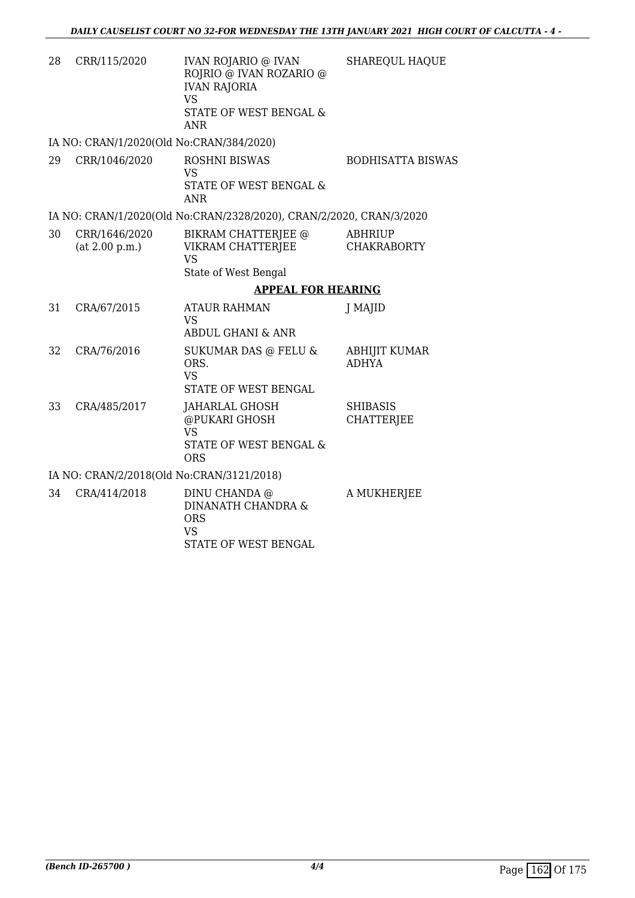| 28                    | CRR/115/2020                             | <b>IVAN ROJARIO @ IVAN</b><br>ROJRIO @ IVAN ROZARIO @<br><b>IVAN RAJORIA</b><br><b>VS</b><br>STATE OF WEST BENGAL &<br>ANR | <b>SHAREQUL HAQUE</b>                |
|-----------------------|------------------------------------------|----------------------------------------------------------------------------------------------------------------------------|--------------------------------------|
|                       | IA NO: CRAN/1/2020(Old No:CRAN/384/2020) |                                                                                                                            |                                      |
| 29                    | CRR/1046/2020                            | ROSHNI BISWAS<br>VS<br>STATE OF WEST BENGAL &<br>ANR                                                                       | <b>BODHISATTA BISWAS</b>             |
|                       |                                          | IA NO: CRAN/1/2020(Old No:CRAN/2328/2020), CRAN/2/2020, CRAN/3/2020                                                        |                                      |
| 30                    | CRR/1646/2020<br>(at 2.00 p.m.)          | BIKRAM CHATTERJEE @<br>VIKRAM CHATTERJEE<br>VS<br>State of West Bengal                                                     | <b>ABHRIUP</b><br><b>CHAKRABORTY</b> |
|                       |                                          | <b>APPEAL FOR HEARING</b>                                                                                                  |                                      |
| <b>O</b> <sub>d</sub> |                                          | $\sqrt{1 + \frac{1}{2}}$                                                                                                   | <b>TAFATTD</b>                       |

| 31 | CRA/67/2015  | <b>ATAUR RAHMAN</b><br>VS<br>ABDUL GHANI & ANR                  | J MAJID                              |
|----|--------------|-----------------------------------------------------------------|--------------------------------------|
| 32 | CRA/76/2016  | SUKUMAR DAS @ FELU &<br>ORS.<br>VS<br>STATE OF WEST BENGAL      | <b>ABHIJIT KUMAR</b><br><b>ADHYA</b> |
| 33 | CRA/485/2017 | JAHARLAL GHOSH<br>@PUKARI GHOSH<br>VS<br>STATE OF WEST BENGAL & | <b>SHIBASIS</b><br><b>CHATTERJEE</b> |

ORS

IA NO: CRAN/2/2018(Old No:CRAN/3121/2018)

| 34 | CRA/414/2018 | DINU CHANDA @        | A MUKHERJEE |
|----|--------------|----------------------|-------------|
|    |              | DINANATH CHANDRA &   |             |
|    |              | ORS                  |             |
|    |              | VS                   |             |
|    |              | STATE OF WEST BENGAL |             |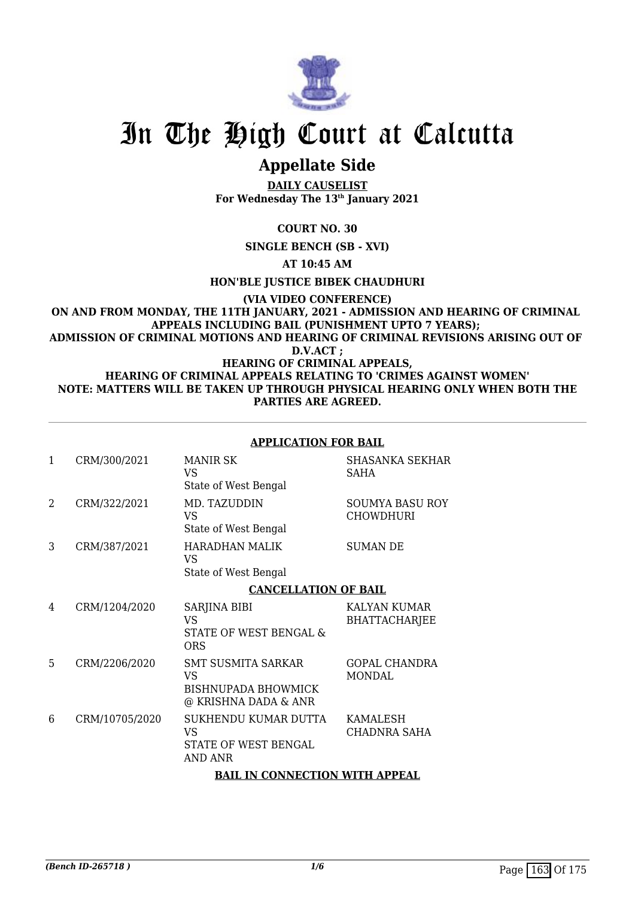

### **Appellate Side**

**DAILY CAUSELIST For Wednesday The 13th January 2021**

**COURT NO. 30**

**SINGLE BENCH (SB - XVI)**

**AT 10:45 AM**

**HON'BLE JUSTICE BIBEK CHAUDHURI**

**(VIA VIDEO CONFERENCE) ON AND FROM MONDAY, THE 11TH JANUARY, 2021 - ADMISSION AND HEARING OF CRIMINAL APPEALS INCLUDING BAIL (PUNISHMENT UPTO 7 YEARS);** 

**ADMISSION OF CRIMINAL MOTIONS AND HEARING OF CRIMINAL REVISIONS ARISING OUT OF D.V.ACT ;**

**HEARING OF CRIMINAL APPEALS, HEARING OF CRIMINAL APPEALS RELATING TO 'CRIMES AGAINST WOMEN' NOTE: MATTERS WILL BE TAKEN UP THROUGH PHYSICAL HEARING ONLY WHEN BOTH THE PARTIES ARE AGREED.**

|   | <b>APPLICATION FOR BAIL</b> |                                                                                       |                                            |
|---|-----------------------------|---------------------------------------------------------------------------------------|--------------------------------------------|
| 1 | CRM/300/2021                | <b>MANIR SK</b><br><b>VS</b><br>State of West Bengal                                  | SHASANKA SEKHAR<br><b>SAHA</b>             |
| 2 | CRM/322/2021                | MD. TAZUDDIN<br>VS<br>State of West Bengal                                            | <b>SOUMYA BASU ROY</b><br><b>CHOWDHURI</b> |
| 3 | CRM/387/2021                | HARADHAN MALIK<br><b>VS</b><br>State of West Bengal                                   | <b>SUMAN DE</b>                            |
|   | <b>CANCELLATION OF BAIL</b> |                                                                                       |                                            |
| 4 | CRM/1204/2020               | SARJINA BIBI<br>VS.<br>STATE OF WEST BENGAL &<br><b>ORS</b>                           | KALYAN KUMAR<br><b>BHATTACHARJEE</b>       |
| 5 | CRM/2206/2020               | <b>SMT SUSMITA SARKAR</b><br>VS<br><b>BISHNUPADA BHOWMICK</b><br>@ KRISHNA DADA & ANR | <b>GOPAL CHANDRA</b><br>MONDAL             |
| 6 | CRM/10705/2020              | SUKHENDU KUMAR DUTTA<br><b>VS</b><br>STATE OF WEST BENGAL<br>AND ANR                  | <b>KAMALESH</b><br>CHADNRA SAHA            |

#### **BAIL IN CONNECTION WITH APPEAL**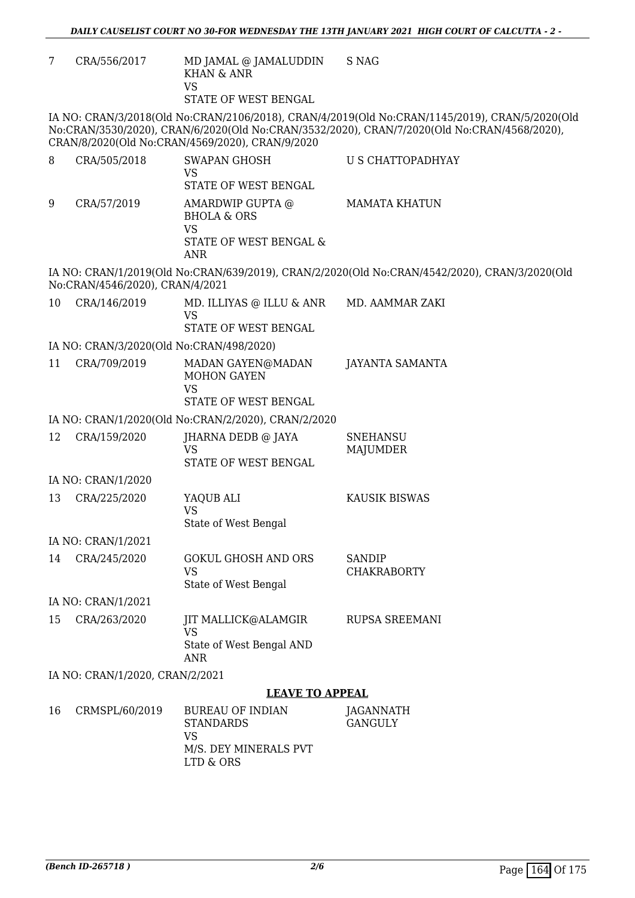| CRA/556/2017 | -S NAG<br>MD JAMAL @ JAMALUDDIN<br>KHAN & ANR |  |
|--------------|-----------------------------------------------|--|
|              | VS.                                           |  |
|              | STATE OF WEST BENGAL                          |  |

IA NO: CRAN/3/2018(Old No:CRAN/2106/2018), CRAN/4/2019(Old No:CRAN/1145/2019), CRAN/5/2020(Old No:CRAN/3530/2020), CRAN/6/2020(Old No:CRAN/3532/2020), CRAN/7/2020(Old No:CRAN/4568/2020), CRAN/8/2020(Old No:CRAN/4569/2020), CRAN/9/2020

| 8  | CRA/505/2018                             | <b>SWAPAN GHOSH</b><br><b>VS</b><br>STATE OF WEST BENGAL                                        | U S CHATTOPADHYAY                                                                             |  |  |  |
|----|------------------------------------------|-------------------------------------------------------------------------------------------------|-----------------------------------------------------------------------------------------------|--|--|--|
| 9  | CRA/57/2019                              | AMARDWIP GUPTA @<br><b>BHOLA &amp; ORS</b><br><b>VS</b><br>STATE OF WEST BENGAL &<br><b>ANR</b> | <b>MAMATA KHATUN</b>                                                                          |  |  |  |
|    | No:CRAN/4546/2020), CRAN/4/2021          |                                                                                                 | IA NO: CRAN/1/2019(Old No:CRAN/639/2019), CRAN/2/2020(Old No:CRAN/4542/2020), CRAN/3/2020(Old |  |  |  |
| 10 | CRA/146/2019                             | MD. ILLIYAS @ ILLU & ANR<br><b>VS</b><br>STATE OF WEST BENGAL                                   | MD. AAMMAR ZAKI                                                                               |  |  |  |
|    | IA NO: CRAN/3/2020(Old No:CRAN/498/2020) |                                                                                                 |                                                                                               |  |  |  |
| 11 | CRA/709/2019                             | MADAN GAYEN@MADAN<br><b>MOHON GAYEN</b><br><b>VS</b>                                            | <b>JAYANTA SAMANTA</b>                                                                        |  |  |  |
|    |                                          | STATE OF WEST BENGAL                                                                            |                                                                                               |  |  |  |
|    |                                          | IA NO: CRAN/1/2020(Old No:CRAN/2/2020), CRAN/2/2020                                             |                                                                                               |  |  |  |
| 12 | CRA/159/2020                             | JHARNA DEDB @ JAYA<br><b>VS</b><br>STATE OF WEST BENGAL                                         | <b>SNEHANSU</b><br>MAJUMDER                                                                   |  |  |  |
|    | IA NO: CRAN/1/2020                       |                                                                                                 |                                                                                               |  |  |  |
| 13 | CRA/225/2020                             | YAQUB ALI<br><b>VS</b><br>State of West Bengal                                                  | <b>KAUSIK BISWAS</b>                                                                          |  |  |  |
|    | IA NO: CRAN/1/2021                       |                                                                                                 |                                                                                               |  |  |  |
| 14 | CRA/245/2020                             | <b>GOKUL GHOSH AND ORS</b><br><b>VS</b><br>State of West Bengal                                 | <b>SANDIP</b><br><b>CHAKRABORTY</b>                                                           |  |  |  |
|    | IA NO: CRAN/1/2021                       |                                                                                                 |                                                                                               |  |  |  |
| 15 | CRA/263/2020                             | <b>JIT MALLICK@ALAMGIR</b><br>VS<br>State of West Bengal AND<br><b>ANR</b>                      | RUPSA SREEMANI                                                                                |  |  |  |
|    | IA NO: CRAN/1/2020, CRAN/2/2021          |                                                                                                 |                                                                                               |  |  |  |
|    |                                          | <b>LEAVE TO APPEAL</b>                                                                          |                                                                                               |  |  |  |
| 16 | CRMSPL/60/2019                           | <b>BUREAU OF INDIAN</b><br><b>STANDARDS</b><br><b>VS</b><br>M/S. DEY MINERALS PVT               | JAGANNATH<br><b>GANGULY</b>                                                                   |  |  |  |

LTD & ORS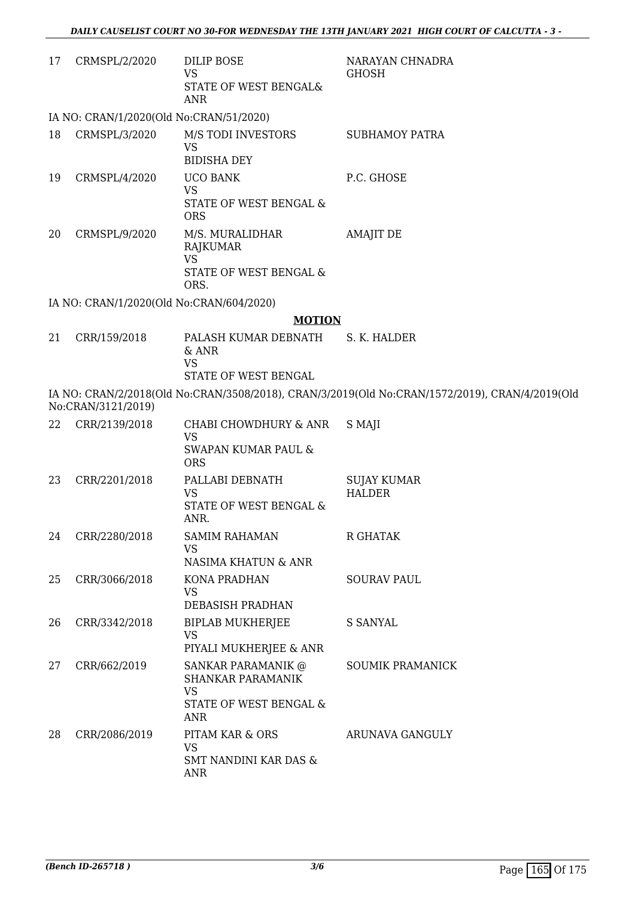| 17 | CRMSPL/2/2020                           | <b>DILIP BOSE</b><br>VS<br>STATE OF WEST BENGAL&<br><b>ANR</b>                               | NARAYAN CHNADRA<br><b>GHOSH</b>                                                                |
|----|-----------------------------------------|----------------------------------------------------------------------------------------------|------------------------------------------------------------------------------------------------|
|    | IA NO: CRAN/1/2020(Old No:CRAN/51/2020) |                                                                                              |                                                                                                |
| 18 | CRMSPL/3/2020                           | M/S TODI INVESTORS<br><b>VS</b><br><b>BIDISHA DEY</b>                                        | <b>SUBHAMOY PATRA</b>                                                                          |
| 19 | CRMSPL/4/2020                           | <b>UCO BANK</b><br><b>VS</b><br>STATE OF WEST BENGAL &<br><b>ORS</b>                         | P.C. GHOSE                                                                                     |
| 20 | CRMSPL/9/2020                           | M/S. MURALIDHAR<br>RAJKUMAR<br><b>VS</b><br>STATE OF WEST BENGAL &<br>ORS.                   | <b>AMAJIT DE</b>                                                                               |
|    |                                         | IA NO: CRAN/1/2020(Old No:CRAN/604/2020)                                                     |                                                                                                |
|    |                                         | <b>MOTION</b>                                                                                |                                                                                                |
| 21 | CRR/159/2018                            | PALASH KUMAR DEBNATH                                                                         | S. K. HALDER                                                                                   |
|    |                                         | & ANR<br><b>VS</b>                                                                           |                                                                                                |
|    |                                         | STATE OF WEST BENGAL                                                                         | IA NO: CRAN/2/2018(Old No:CRAN/3508/2018), CRAN/3/2019(Old No:CRAN/1572/2019), CRAN/4/2019(Old |
|    | No:CRAN/3121/2019)                      |                                                                                              |                                                                                                |
| 22 | CRR/2139/2018                           | CHABI CHOWDHURY & ANR<br><b>VS</b><br>SWAPAN KUMAR PAUL &<br><b>ORS</b>                      | S MAJI                                                                                         |
| 23 | CRR/2201/2018                           | PALLABI DEBNATH<br><b>VS</b><br>STATE OF WEST BENGAL &<br>ANR.                               | <b>SUJAY KUMAR</b><br><b>HALDER</b>                                                            |
| 24 | CRR/2280/2018                           | <b>SAMIM RAHAMAN</b><br><b>VS</b><br>NASIMA KHATUN & ANR                                     | R GHATAK                                                                                       |
| 25 | CRR/3066/2018                           | KONA PRADHAN<br><b>VS</b><br>DEBASISH PRADHAN                                                | <b>SOURAV PAUL</b>                                                                             |
| 26 | CRR/3342/2018                           | <b>BIPLAB MUKHERJEE</b><br><b>VS</b><br>PIYALI MUKHERJEE & ANR                               | <b>S SANYAL</b>                                                                                |
| 27 | CRR/662/2019                            | SANKAR PARAMANIK @<br><b>SHANKAR PARAMANIK</b><br><b>VS</b><br>STATE OF WEST BENGAL &<br>ANR | <b>SOUMIK PRAMANICK</b>                                                                        |
| 28 | CRR/2086/2019                           | PITAM KAR & ORS<br><b>VS</b><br><b>SMT NANDINI KAR DAS &amp;</b><br>ANR                      | ARUNAVA GANGULY                                                                                |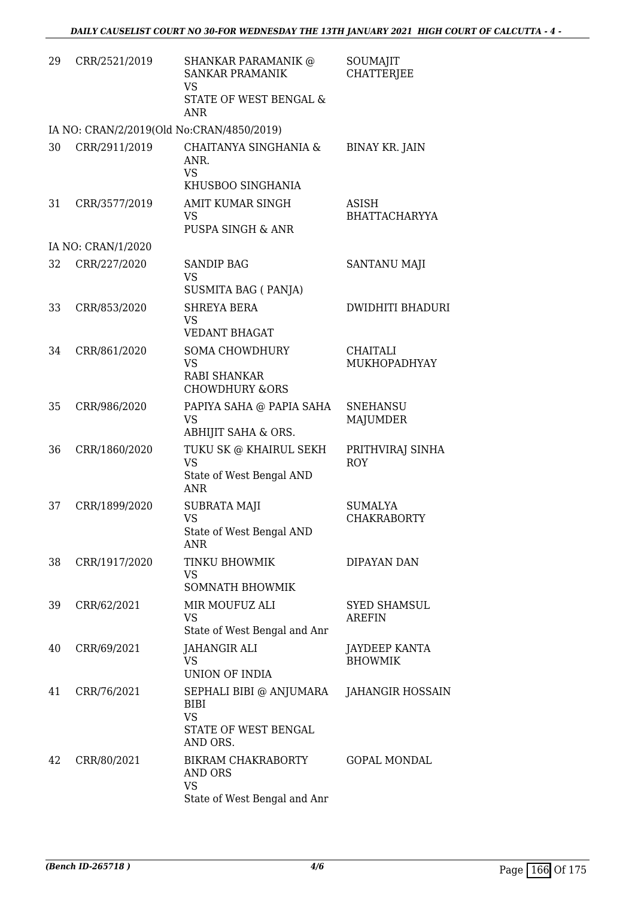| 29 | CRR/2521/2019                             | <b>SHANKAR PARAMANIK @</b><br><b>SANKAR PRAMANIK</b><br><b>VS</b><br>STATE OF WEST BENGAL &<br><b>ANR</b> | SOUMAJIT<br><b>CHATTERJEE</b>          |
|----|-------------------------------------------|-----------------------------------------------------------------------------------------------------------|----------------------------------------|
|    | IA NO: CRAN/2/2019(Old No:CRAN/4850/2019) |                                                                                                           |                                        |
| 30 | CRR/2911/2019                             | CHAITANYA SINGHANIA &<br>ANR.<br><b>VS</b>                                                                | <b>BINAY KR. JAIN</b>                  |
| 31 | CRR/3577/2019                             | KHUSBOO SINGHANIA<br><b>AMIT KUMAR SINGH</b><br><b>VS</b><br>PUSPA SINGH & ANR                            | ASISH<br><b>BHATTACHARYYA</b>          |
|    | IA NO: CRAN/1/2020                        |                                                                                                           |                                        |
| 32 | CRR/227/2020                              | <b>SANDIP BAG</b><br><b>VS</b><br>SUSMITA BAG ( PANJA)                                                    | <b>SANTANU MAJI</b>                    |
| 33 | CRR/853/2020                              | <b>SHREYA BERA</b><br><b>VS</b><br><b>VEDANT BHAGAT</b>                                                   | <b>DWIDHITI BHADURI</b>                |
| 34 | CRR/861/2020                              | <b>SOMA CHOWDHURY</b><br><b>VS</b><br><b>RABI SHANKAR</b>                                                 | <b>CHAITALI</b><br>MUKHOPADHYAY        |
| 35 | CRR/986/2020                              | <b>CHOWDHURY &amp;ORS</b><br>PAPIYA SAHA @ PAPIA SAHA<br><b>VS</b><br>ABHIJIT SAHA & ORS.                 | <b>SNEHANSU</b><br><b>MAJUMDER</b>     |
| 36 | CRR/1860/2020                             | TUKU SK @ KHAIRUL SEKH<br><b>VS</b><br>State of West Bengal AND<br><b>ANR</b>                             | PRITHVIRAJ SINHA<br><b>ROY</b>         |
| 37 | CRR/1899/2020                             | SUBRATA MAJI<br><b>VS</b><br>State of West Bengal AND<br>ANR                                              | <b>SUMALYA</b><br><b>CHAKRABORTY</b>   |
| 38 | CRR/1917/2020                             | TINKU BHOWMIK<br><b>VS</b><br><b>SOMNATH BHOWMIK</b>                                                      | DIPAYAN DAN                            |
| 39 | CRR/62/2021                               | MIR MOUFUZ ALI<br><b>VS</b><br>State of West Bengal and Anr                                               | <b>SYED SHAMSUL</b><br><b>AREFIN</b>   |
| 40 | CRR/69/2021                               | JAHANGIR ALI<br><b>VS</b><br>UNION OF INDIA                                                               | <b>JAYDEEP KANTA</b><br><b>BHOWMIK</b> |
| 41 | CRR/76/2021                               | SEPHALI BIBI @ ANJUMARA<br><b>BIBI</b><br><b>VS</b><br>STATE OF WEST BENGAL<br>AND ORS.                   | JAHANGIR HOSSAIN                       |
| 42 | CRR/80/2021                               | BIKRAM CHAKRABORTY<br>AND ORS<br><b>VS</b><br>State of West Bengal and Anr                                | <b>GOPAL MONDAL</b>                    |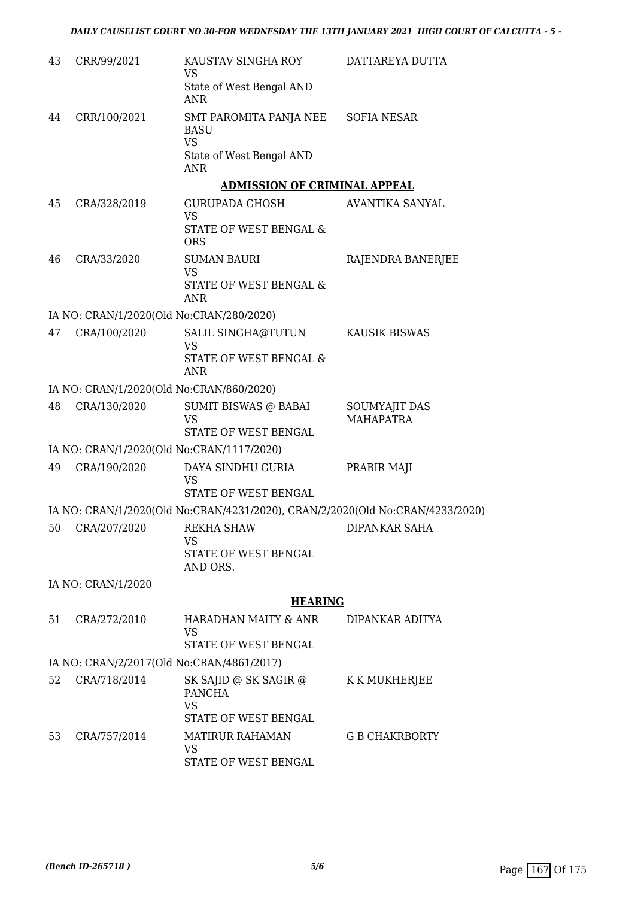| 43 | CRR/99/2021                              | KAUSTAV SINGHA ROY<br>VS                                                                                 | DATTAREYA DUTTA                   |
|----|------------------------------------------|----------------------------------------------------------------------------------------------------------|-----------------------------------|
|    |                                          | State of West Bengal AND<br><b>ANR</b>                                                                   |                                   |
| 44 | CRR/100/2021                             | SMT PAROMITA PANJA NEE SOFIA NESAR<br><b>BASU</b><br><b>VS</b><br>State of West Bengal AND<br><b>ANR</b> |                                   |
|    |                                          | <b>ADMISSION OF CRIMINAL APPEAL</b>                                                                      |                                   |
| 45 | CRA/328/2019                             | GURUPADA GHOSH<br><b>VS</b><br>STATE OF WEST BENGAL &<br><b>ORS</b>                                      | <b>AVANTIKA SANYAL</b>            |
| 46 | CRA/33/2020                              | <b>SUMAN BAURI</b><br>VS                                                                                 | RAJENDRA BANERJEE                 |
|    |                                          | STATE OF WEST BENGAL &<br><b>ANR</b>                                                                     |                                   |
|    | IA NO: CRAN/1/2020(Old No:CRAN/280/2020) |                                                                                                          |                                   |
| 47 | CRA/100/2020                             | SALIL SINGHA@TUTUN<br><b>VS</b>                                                                          | <b>KAUSIK BISWAS</b>              |
|    |                                          | STATE OF WEST BENGAL &<br><b>ANR</b>                                                                     |                                   |
|    | IA NO: CRAN/1/2020(Old No:CRAN/860/2020) |                                                                                                          |                                   |
| 48 | CRA/130/2020                             | SUMIT BISWAS @ BABAI<br><b>VS</b><br>STATE OF WEST BENGAL                                                | SOUMYAJIT DAS<br><b>MAHAPATRA</b> |
|    |                                          | IA NO: CRAN/1/2020(Old No:CRAN/1117/2020)                                                                |                                   |
| 49 | CRA/190/2020                             | DAYA SINDHU GURIA<br>VS                                                                                  | PRABIR MAJI                       |
|    |                                          | STATE OF WEST BENGAL                                                                                     |                                   |
|    |                                          | IA NO: CRAN/1/2020(Old No:CRAN/4231/2020), CRAN/2/2020(Old No:CRAN/4233/2020)                            |                                   |
| 50 |                                          | CRA/207/2020 REKHA SHAW DIPANKAR SAHA<br>VS                                                              |                                   |
|    |                                          | STATE OF WEST BENGAL<br>AND ORS.                                                                         |                                   |
|    | IA NO: CRAN/1/2020                       |                                                                                                          |                                   |
|    |                                          | <b>HEARING</b>                                                                                           |                                   |
| 51 | CRA/272/2010                             | HARADHAN MAITY & ANR<br>VS                                                                               | DIPANKAR ADITYA                   |
|    |                                          | STATE OF WEST BENGAL                                                                                     |                                   |
|    |                                          | IA NO: CRAN/2/2017(Old No:CRAN/4861/2017)                                                                |                                   |
| 52 | CRA/718/2014                             | SK SAJID @ SK SAGIR @<br><b>PANCHA</b><br><b>VS</b>                                                      | K K MUKHERJEE                     |
|    |                                          | STATE OF WEST BENGAL                                                                                     |                                   |
| 53 | CRA/757/2014                             | MATIRUR RAHAMAN<br><b>VS</b><br>STATE OF WEST BENGAL                                                     | <b>G B CHAKRBORTY</b>             |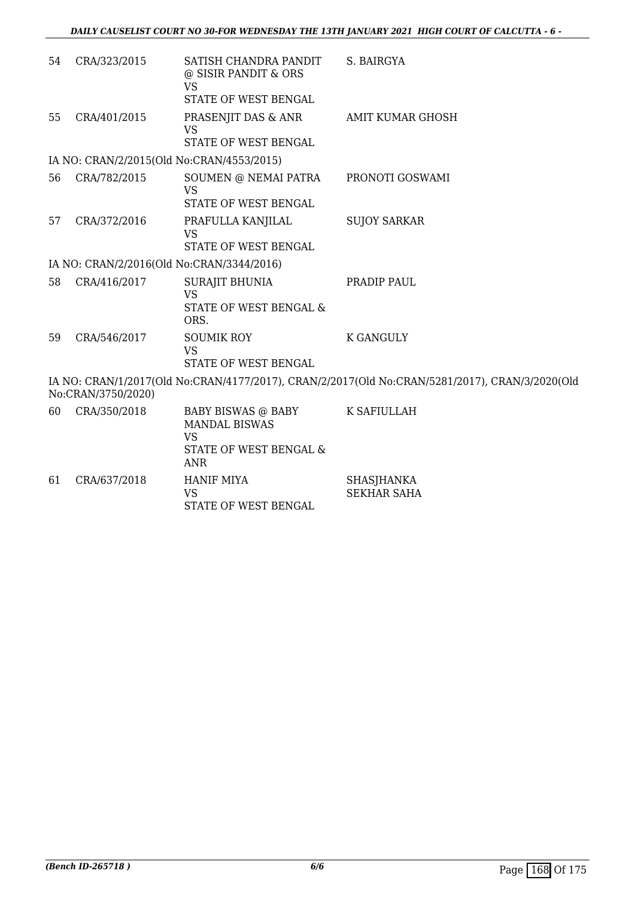| 54 | CRA/323/2015                              | SATISH CHANDRA PANDIT<br>@ SISIR PANDIT & ORS<br><b>VS</b>                                      | S. BAIRGYA                                                                                     |
|----|-------------------------------------------|-------------------------------------------------------------------------------------------------|------------------------------------------------------------------------------------------------|
|    |                                           | STATE OF WEST BENGAL                                                                            |                                                                                                |
| 55 | CRA/401/2015                              | PRASENJIT DAS & ANR<br><b>VS</b><br>STATE OF WEST BENGAL                                        | <b>AMIT KUMAR GHOSH</b>                                                                        |
|    |                                           |                                                                                                 |                                                                                                |
|    | IA NO: CRAN/2/2015(Old No:CRAN/4553/2015) |                                                                                                 |                                                                                                |
| 56 | CRA/782/2015                              | SOUMEN @ NEMAI PATRA<br><b>VS</b><br><b>STATE OF WEST BENGAL</b>                                | PRONOTI GOSWAMI                                                                                |
| 57 | CRA/372/2016                              | PRAFULLA KANJILAL<br><b>VS</b><br>STATE OF WEST BENGAL                                          | <b>SUJOY SARKAR</b>                                                                            |
|    | IA NO: CRAN/2/2016(Old No:CRAN/3344/2016) |                                                                                                 |                                                                                                |
| 58 | CRA/416/2017                              | <b>SURAJIT BHUNIA</b><br><b>VS</b><br>STATE OF WEST BENGAL &<br>ORS.                            | PRADIP PAUL                                                                                    |
| 59 | CRA/546/2017                              | <b>SOUMIK ROY</b><br><b>VS</b><br><b>STATE OF WEST BENGAL</b>                                   | <b>K GANGULY</b>                                                                               |
|    | No:CRAN/3750/2020)                        |                                                                                                 | IA NO: CRAN/1/2017(Old No:CRAN/4177/2017), CRAN/2/2017(Old No:CRAN/5281/2017), CRAN/3/2020(Old |
| 60 | CRA/350/2018                              | BABY BISWAS @ BABY<br><b>MANDAL BISWAS</b><br><b>VS</b><br>STATE OF WEST BENGAL &<br><b>ANR</b> | K SAFIULLAH                                                                                    |
| 61 | CRA/637/2018                              | <b>HANIF MIYA</b><br><b>VS</b>                                                                  | <b>SHASJHANKA</b><br><b>SEKHAR SAHA</b>                                                        |

STATE OF WEST BENGAL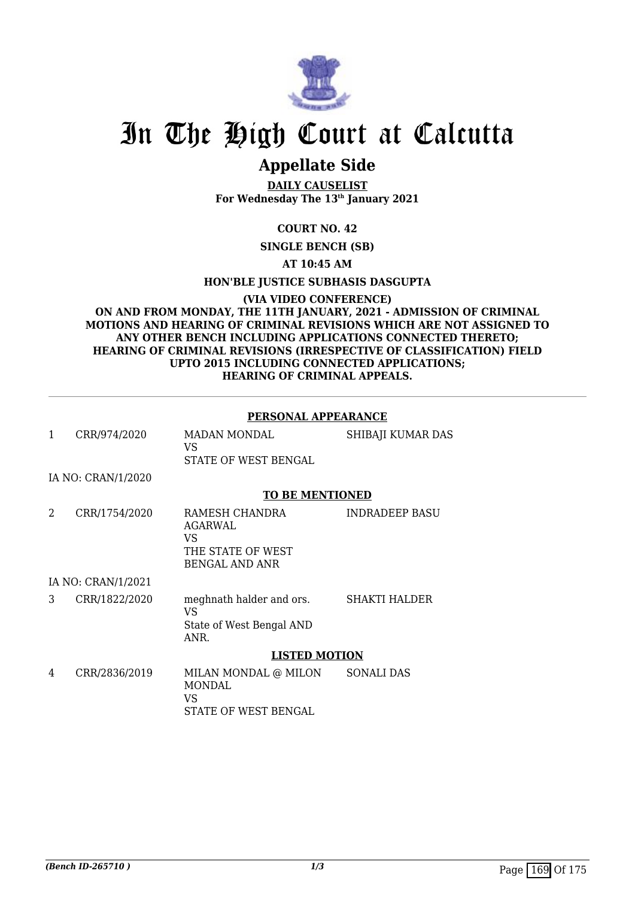

### **Appellate Side**

**DAILY CAUSELIST For Wednesday The 13th January 2021**

#### **COURT NO. 42**

**SINGLE BENCH (SB)**

**AT 10:45 AM**

#### **HON'BLE JUSTICE SUBHASIS DASGUPTA**

**(VIA VIDEO CONFERENCE) ON AND FROM MONDAY, THE 11TH JANUARY, 2021 - ADMISSION OF CRIMINAL MOTIONS AND HEARING OF CRIMINAL REVISIONS WHICH ARE NOT ASSIGNED TO ANY OTHER BENCH INCLUDING APPLICATIONS CONNECTED THERETO; HEARING OF CRIMINAL REVISIONS (IRRESPECTIVE OF CLASSIFICATION) FIELD UPTO 2015 INCLUDING CONNECTED APPLICATIONS; HEARING OF CRIMINAL APPEALS.**

#### **PERSONAL APPEARANCE**

| 1 | CRR/974/2020       | <b>MADAN MONDAL</b><br>VS.<br>STATE OF WEST BENGAL                        | SHIBAJI KUMAR DAS     |
|---|--------------------|---------------------------------------------------------------------------|-----------------------|
|   | IA NO: CRAN/1/2020 |                                                                           |                       |
|   |                    | <b>TO BE MENTIONED</b>                                                    |                       |
| 2 | CRR/1754/2020      | RAMESH CHANDRA<br>AGARWAL<br>VS.<br>THE STATE OF WEST<br>BENGAL AND ANR   | <b>INDRADEEP BASU</b> |
|   | IA NO: CRAN/1/2021 |                                                                           |                       |
| 3 | CRR/1822/2020      | meghnath halder and ors.<br><b>VS</b><br>State of West Bengal AND<br>ANR. | <b>SHAKTI HALDER</b>  |
|   |                    | <b>LISTED MOTION</b>                                                      |                       |
| 4 | CRR/2836/2019      | MILAN MONDAL @ MILON<br><b>MONDAL</b><br>VS.<br>STATE OF WEST BENGAL      | SONALI DAS            |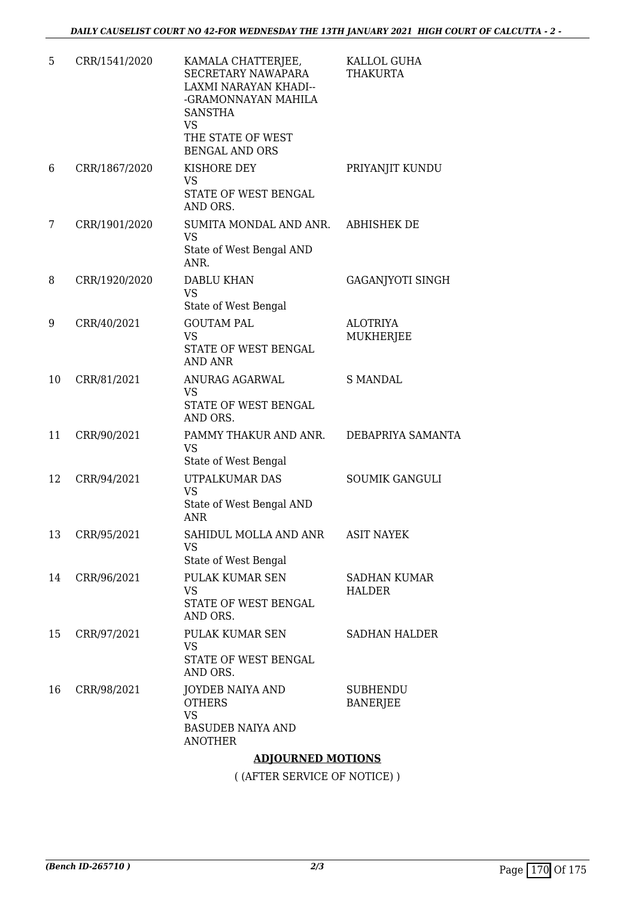| 5  | CRR/1541/2020 | KAMALA CHATTERJEE,<br>SECRETARY NAWAPARA<br>LAXMI NARAYAN KHADI--<br>-GRAMONNAYAN MAHILA<br>SANSTHA<br><b>VS</b><br>THE STATE OF WEST<br><b>BENGAL AND ORS</b> | KALLOL GUHA<br><b>THAKURTA</b>       |
|----|---------------|----------------------------------------------------------------------------------------------------------------------------------------------------------------|--------------------------------------|
| 6  | CRR/1867/2020 | KISHORE DEY<br><b>VS</b><br>STATE OF WEST BENGAL                                                                                                               | PRIYANJIT KUNDU                      |
| 7  | CRR/1901/2020 | AND ORS.<br>SUMITA MONDAL AND ANR.<br><b>VS</b><br>State of West Bengal AND<br>ANR.                                                                            | <b>ABHISHEK DE</b>                   |
| 8  | CRR/1920/2020 | DABLU KHAN<br><b>VS</b><br>State of West Bengal                                                                                                                | <b>GAGANJYOTI SINGH</b>              |
| 9  | CRR/40/2021   | <b>GOUTAM PAL</b><br><b>VS</b><br>STATE OF WEST BENGAL<br><b>AND ANR</b>                                                                                       | <b>ALOTRIYA</b><br>MUKHERJEE         |
| 10 | CRR/81/2021   | ANURAG AGARWAL<br><b>VS</b><br>STATE OF WEST BENGAL<br>AND ORS.                                                                                                | <b>S MANDAL</b>                      |
| 11 | CRR/90/2021   | PAMMY THAKUR AND ANR.<br><b>VS</b><br>State of West Bengal                                                                                                     | DEBAPRIYA SAMANTA                    |
| 12 | CRR/94/2021   | UTPALKUMAR DAS<br><b>VS</b><br>State of West Bengal AND<br><b>ANR</b>                                                                                          | <b>SOUMIK GANGULI</b>                |
| 13 | CRR/95/2021   | SAHIDUL MOLLA AND ANR<br><b>VS</b><br>State of West Bengal                                                                                                     | <b>ASIT NAYEK</b>                    |
| 14 | CRR/96/2021   | PULAK KUMAR SEN<br><b>VS</b><br>STATE OF WEST BENGAL<br>AND ORS.                                                                                               | <b>SADHAN KUMAR</b><br><b>HALDER</b> |
| 15 | CRR/97/2021   | PULAK KUMAR SEN<br><b>VS</b><br>STATE OF WEST BENGAL<br>AND ORS.                                                                                               | <b>SADHAN HALDER</b>                 |
| 16 | CRR/98/2021   | JOYDEB NAIYA AND<br><b>OTHERS</b><br><b>VS</b><br><b>BASUDEB NAIYA AND</b><br><b>ANOTHER</b>                                                                   | <b>SUBHENDU</b><br><b>BANERJEE</b>   |

#### **ADJOURNED MOTIONS**

( (AFTER SERVICE OF NOTICE) )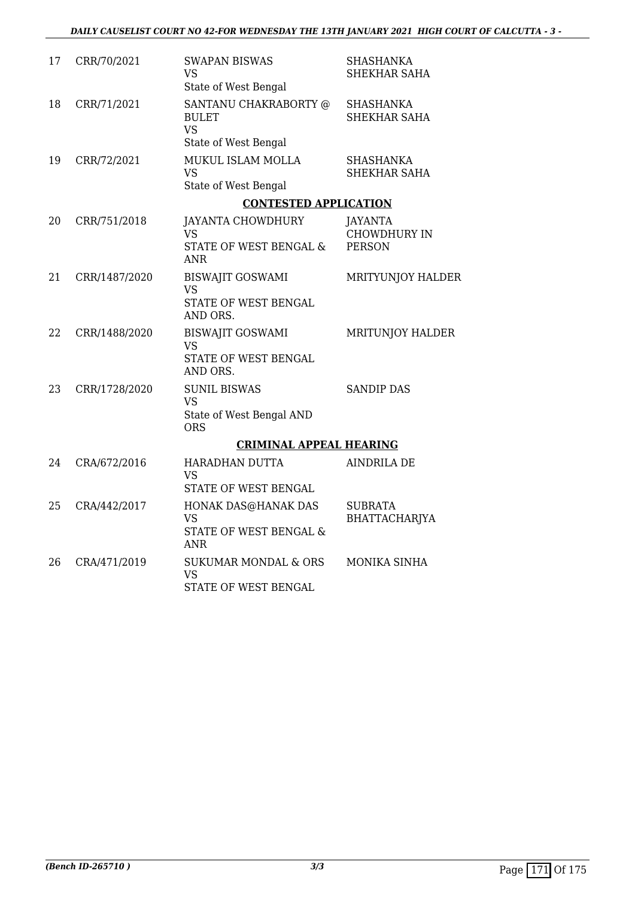| 17 | CRR/70/2021   | <b>SWAPAN BISWAS</b><br><b>VS</b><br>State of West Bengal                                 | <b>SHASHANKA</b><br><b>SHEKHAR SAHA</b>                |
|----|---------------|-------------------------------------------------------------------------------------------|--------------------------------------------------------|
| 18 | CRR/71/2021   | SANTANU CHAKRABORTY @<br><b>BULET</b><br><b>VS</b><br>State of West Bengal                | <b>SHASHANKA</b><br>SHEKHAR SAHA                       |
| 19 | CRR/72/2021   | MUKUL ISLAM MOLLA<br><b>VS</b><br>State of West Bengal                                    | <b>SHASHANKA</b><br>SHEKHAR SAHA                       |
|    |               | <b>CONTESTED APPLICATION</b>                                                              |                                                        |
| 20 | CRR/751/2018  | JAYANTA CHOWDHURY<br>VS<br>STATE OF WEST BENGAL &<br><b>ANR</b>                           | <b>JAYANTA</b><br><b>CHOWDHURY IN</b><br><b>PERSON</b> |
| 21 | CRR/1487/2020 | <b>BISWAJIT GOSWAMI</b><br>VS<br>STATE OF WEST BENGAL<br>AND ORS.                         | MRITYUNJOY HALDER                                      |
| 22 | CRR/1488/2020 | <b>BISWAJIT GOSWAMI</b><br>VS<br><b>STATE OF WEST BENGAL</b><br>AND ORS.                  | <b>MRITUNJOY HALDER</b>                                |
| 23 | CRR/1728/2020 | <b>SUNIL BISWAS</b><br><b>VS</b><br>State of West Bengal AND<br>ORS                       | <b>SANDIP DAS</b>                                      |
|    |               | <b>CRIMINAL APPEAL HEARING</b>                                                            |                                                        |
| 24 | CRA/672/2016  | HARADHAN DUTTA<br>VS.<br>STATE OF WEST BENGAL                                             | <b>AINDRILA DE</b>                                     |
| 25 | CRA/442/2017  | HONAK DAS@HANAK DAS<br>VS <sub>1</sub><br><b>STATE OF WEST BENGAL &amp;</b><br><b>ANR</b> | <b>SUBRATA</b><br>BHATTACHARJYA                        |
| 26 | CRA/471/2019  | <b>SUKUMAR MONDAL &amp; ORS</b><br><b>VS</b><br>STATE OF WEST BENGAL                      | MONIKA SINHA                                           |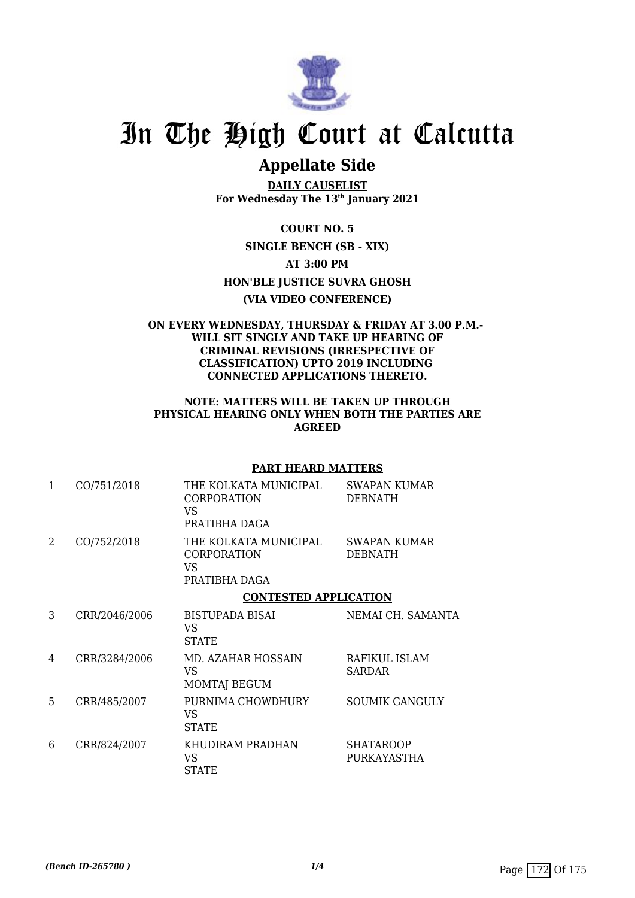

### **Appellate Side**

**DAILY CAUSELIST For Wednesday The 13th January 2021**

> **COURT NO. 5 SINGLE BENCH (SB - XIX)**

> > **AT 3:00 PM**

**HON'BLE JUSTICE SUVRA GHOSH**

#### **(VIA VIDEO CONFERENCE)**

#### **ON EVERY WEDNESDAY, THURSDAY & FRIDAY AT 3.00 P.M.- WILL SIT SINGLY AND TAKE UP HEARING OF CRIMINAL REVISIONS (IRRESPECTIVE OF CLASSIFICATION) UPTO 2019 INCLUDING CONNECTED APPLICATIONS THERETO.**

#### **NOTE: MATTERS WILL BE TAKEN UP THROUGH PHYSICAL HEARING ONLY WHEN BOTH THE PARTIES ARE AGREED**

#### **PART HEARD MATTERS**

| 1 | CO/751/2018   | THE KOLKATA MUNICIPAL<br><b>CORPORATION</b><br>VS<br>PRATIBHA DAGA | <b>SWAPAN KUMAR</b><br><b>DEBNATH</b> |
|---|---------------|--------------------------------------------------------------------|---------------------------------------|
| 2 | CO/752/2018   | THE KOLKATA MUNICIPAL<br><b>CORPORATION</b><br>VS<br>PRATIBHA DAGA | SWAPAN KUMAR<br><b>DEBNATH</b>        |
|   |               | <b>CONTESTED APPLICATION</b>                                       |                                       |
| 3 | CRR/2046/2006 | BISTUPADA BISAI<br>VS<br><b>STATE</b>                              | NEMAI CH. SAMANTA                     |
| 4 | CRR/3284/2006 | MD. AZAHAR HOSSAIN<br>VS<br><b>MOMTAJ BEGUM</b>                    | RAFIKUL ISLAM<br><b>SARDAR</b>        |
| 5 | CRR/485/2007  | PURNIMA CHOWDHURY<br>VS.<br><b>STATE</b>                           | <b>SOUMIK GANGULY</b>                 |
| 6 | CRR/824/2007  | KHUDIRAM PRADHAN<br>VS<br><b>STATE</b>                             | <b>SHATAROOP</b><br>PURKAYASTHA       |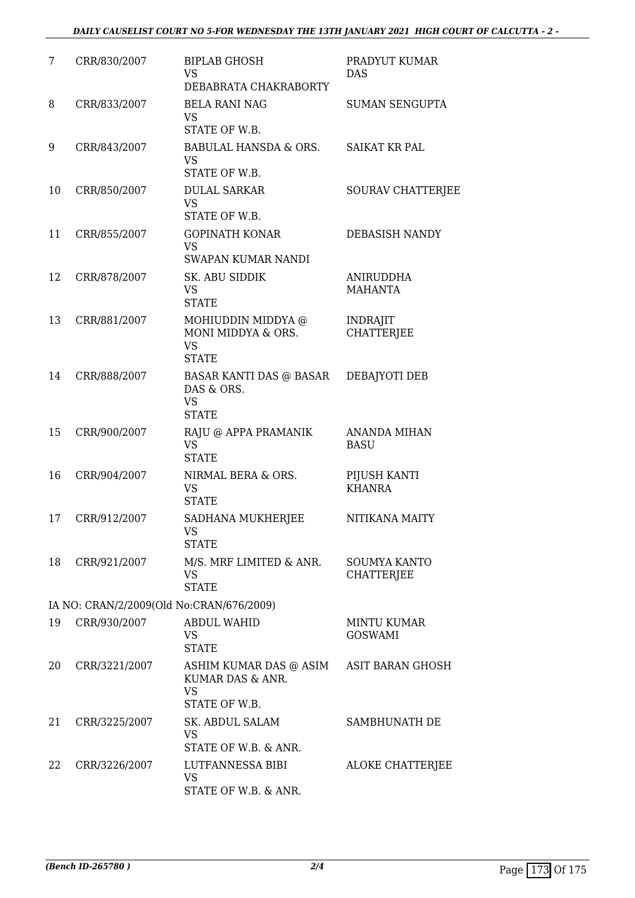| 7  | CRR/830/2007                             | <b>BIPLAB GHOSH</b><br><b>VS</b><br>DEBABRATA CHAKRABORTY                | PRADYUT KUMAR<br>DAS                     |
|----|------------------------------------------|--------------------------------------------------------------------------|------------------------------------------|
| 8  | CRR/833/2007                             | <b>BELA RANI NAG</b><br><b>VS</b><br>STATE OF W.B.                       | <b>SUMAN SENGUPTA</b>                    |
| 9  | CRR/843/2007                             | BABULAL HANSDA & ORS.<br><b>VS</b><br>STATE OF W.B.                      | <b>SAIKAT KR PAL</b>                     |
| 10 | CRR/850/2007                             | <b>DULAL SARKAR</b><br><b>VS</b><br>STATE OF W.B.                        | SOURAV CHATTERJEE                        |
| 11 | CRR/855/2007                             | <b>GOPINATH KONAR</b><br><b>VS</b><br>SWAPAN KUMAR NANDI                 | DEBASISH NANDY                           |
| 12 | CRR/878/2007                             | SK. ABU SIDDIK<br><b>VS</b><br><b>STATE</b>                              | <b>ANIRUDDHA</b><br><b>MAHANTA</b>       |
| 13 | CRR/881/2007                             | MOHIUDDIN MIDDYA @<br>MONI MIDDYA & ORS.<br><b>VS</b><br><b>STATE</b>    | <b>INDRAJIT</b><br><b>CHATTERJEE</b>     |
| 14 | CRR/888/2007                             | BASAR KANTI DAS @ BASAR<br>DAS & ORS.<br><b>VS</b><br><b>STATE</b>       | DEBAJYOTI DEB                            |
| 15 | CRR/900/2007                             | RAJU @ APPA PRAMANIK<br><b>VS</b><br><b>STATE</b>                        | <b>ANANDA MIHAN</b><br><b>BASU</b>       |
| 16 | CRR/904/2007                             | NIRMAL BERA & ORS.<br><b>VS</b><br><b>STATE</b>                          | PIJUSH KANTI<br><b>KHANRA</b>            |
| 17 | CRR/912/2007                             | SADHANA MUKHERJEE<br>VS<br><b>STATE</b>                                  | NITIKANA MAITY                           |
| 18 | CRR/921/2007                             | M/S. MRF LIMITED & ANR.<br><b>VS</b><br><b>STATE</b>                     | <b>SOUMYA KANTO</b><br><b>CHATTERJEE</b> |
|    | IA NO: CRAN/2/2009(Old No:CRAN/676/2009) |                                                                          |                                          |
| 19 | CRR/930/2007                             | <b>ABDUL WAHID</b><br><b>VS</b><br><b>STATE</b>                          | <b>MINTU KUMAR</b><br><b>GOSWAMI</b>     |
| 20 | CRR/3221/2007                            | ASHIM KUMAR DAS @ ASIM<br>KUMAR DAS & ANR.<br><b>VS</b><br>STATE OF W.B. | ASIT BARAN GHOSH                         |
| 21 | CRR/3225/2007                            | SK. ABDUL SALAM<br><b>VS</b><br>STATE OF W.B. & ANR.                     | SAMBHUNATH DE                            |
| 22 | CRR/3226/2007                            | LUTFANNESSA BIBI<br><b>VS</b><br>STATE OF W.B. & ANR.                    | ALOKE CHATTERJEE                         |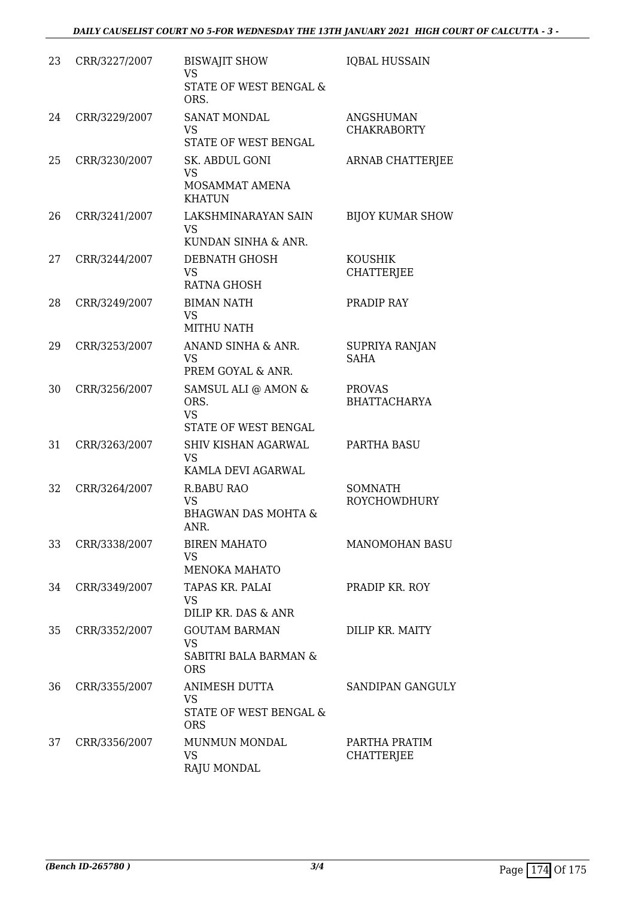| 23 | CRR/3227/2007 | <b>BISWAJIT SHOW</b><br><b>VS</b><br>STATE OF WEST BENGAL &<br>ORS. | <b>IQBAL HUSSAIN</b>                   |
|----|---------------|---------------------------------------------------------------------|----------------------------------------|
| 24 | CRR/3229/2007 | SANAT MONDAL<br><b>VS</b><br>STATE OF WEST BENGAL                   | <b>ANGSHUMAN</b><br><b>CHAKRABORTY</b> |
| 25 | CRR/3230/2007 | SK. ABDUL GONI<br><b>VS</b><br>MOSAMMAT AMENA<br><b>KHATUN</b>      | ARNAB CHATTERJEE                       |
| 26 | CRR/3241/2007 | LAKSHMINARAYAN SAIN<br><b>VS</b><br>KUNDAN SINHA & ANR.             | <b>BIJOY KUMAR SHOW</b>                |
| 27 | CRR/3244/2007 | DEBNATH GHOSH<br><b>VS</b><br><b>RATNA GHOSH</b>                    | KOUSHIK<br><b>CHATTERJEE</b>           |
| 28 | CRR/3249/2007 | <b>BIMAN NATH</b><br><b>VS</b><br><b>MITHU NATH</b>                 | PRADIP RAY                             |
| 29 | CRR/3253/2007 | ANAND SINHA & ANR.<br><b>VS</b><br>PREM GOYAL & ANR.                | SUPRIYA RANJAN<br><b>SAHA</b>          |
| 30 | CRR/3256/2007 | SAMSUL ALI @ AMON &<br>ORS.<br><b>VS</b><br>STATE OF WEST BENGAL    | <b>PROVAS</b><br><b>BHATTACHARYA</b>   |
| 31 | CRR/3263/2007 | SHIV KISHAN AGARWAL<br><b>VS</b><br>KAMLA DEVI AGARWAL              | PARTHA BASU                            |
| 32 | CRR/3264/2007 | <b>R.BABU RAO</b><br><b>VS</b><br>BHAGWAN DAS MOHTA &<br>ANR.       | <b>SOMNATH</b><br><b>ROYCHOWDHURY</b>  |
| 33 | CRR/3338/2007 | <b>BIREN MAHATO</b><br><b>VS</b><br><b>MENOKA MAHATO</b>            | <b>MANOMOHAN BASU</b>                  |
| 34 | CRR/3349/2007 | TAPAS KR. PALAI<br>VS<br>DILIP KR. DAS & ANR                        | PRADIP KR. ROY                         |
| 35 | CRR/3352/2007 | <b>GOUTAM BARMAN</b><br>VS<br>SABITRI BALA BARMAN &<br><b>ORS</b>   | DILIP KR. MAITY                        |
| 36 | CRR/3355/2007 | ANIMESH DUTTA<br><b>VS</b><br>STATE OF WEST BENGAL &<br><b>ORS</b>  | SANDIPAN GANGULY                       |
| 37 | CRR/3356/2007 | MUNMUN MONDAL<br><b>VS</b><br>RAJU MONDAL                           | PARTHA PRATIM<br><b>CHATTERJEE</b>     |